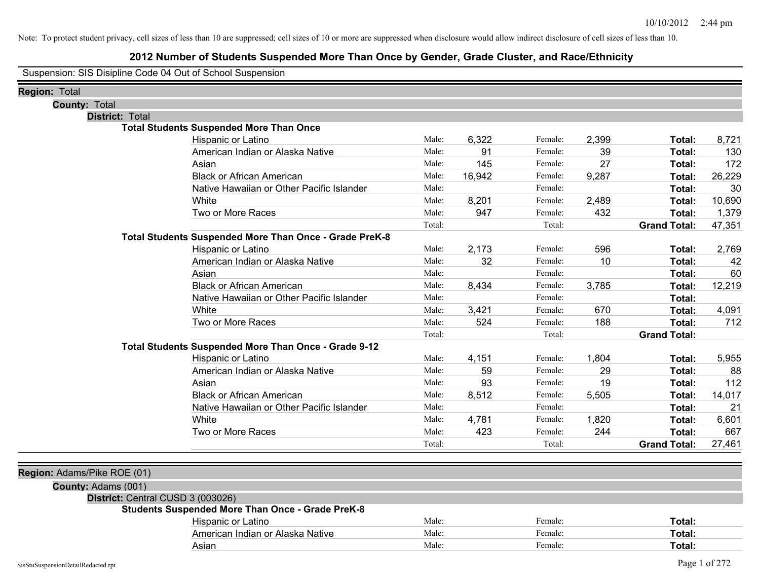### **2012 Number of Students Suspended More Than Once by Gender, Grade Cluster, and Race/Ethnicity**

Suspension: SIS Disipline Code 04 Out of School Suspension

| <b>Region: Total</b>              |                                                         |        |        |         |       |                     |        |
|-----------------------------------|---------------------------------------------------------|--------|--------|---------|-------|---------------------|--------|
| <b>County: Total</b>              |                                                         |        |        |         |       |                     |        |
| <b>District: Total</b>            |                                                         |        |        |         |       |                     |        |
|                                   | <b>Total Students Suspended More Than Once</b>          |        |        |         |       |                     |        |
|                                   | Hispanic or Latino                                      | Male:  | 6,322  | Female: | 2,399 | Total:              | 8,721  |
|                                   | American Indian or Alaska Native                        | Male:  | 91     | Female: | 39    | Total:              | 130    |
|                                   | Asian                                                   | Male:  | 145    | Female: | 27    | Total:              | 172    |
|                                   | <b>Black or African American</b>                        | Male:  | 16,942 | Female: | 9,287 | Total:              | 26,229 |
|                                   | Native Hawaiian or Other Pacific Islander               | Male:  |        | Female: |       | Total:              | 30     |
|                                   | White                                                   | Male:  | 8,201  | Female: | 2,489 | Total:              | 10,690 |
|                                   | Two or More Races                                       | Male:  | 947    | Female: | 432   | <b>Total:</b>       | 1,379  |
|                                   |                                                         | Total: |        | Total:  |       | <b>Grand Total:</b> | 47,351 |
|                                   | Total Students Suspended More Than Once - Grade PreK-8  |        |        |         |       |                     |        |
|                                   | Hispanic or Latino                                      | Male:  | 2,173  | Female: | 596   | Total:              | 2,769  |
|                                   | American Indian or Alaska Native                        | Male:  | 32     | Female: | 10    | Total:              | 42     |
|                                   | Asian                                                   | Male:  |        | Female: |       | Total:              | 60     |
|                                   | <b>Black or African American</b>                        | Male:  | 8,434  | Female: | 3,785 | Total:              | 12,219 |
|                                   | Native Hawaiian or Other Pacific Islander               | Male:  |        | Female: |       | Total:              |        |
|                                   | White                                                   | Male:  | 3,421  | Female: | 670   | Total:              | 4,091  |
|                                   | Two or More Races                                       | Male:  | 524    | Female: | 188   | Total:              | 712    |
|                                   |                                                         | Total: |        | Total:  |       | <b>Grand Total:</b> |        |
|                                   | Total Students Suspended More Than Once - Grade 9-12    |        |        |         |       |                     |        |
|                                   | Hispanic or Latino                                      | Male:  | 4,151  | Female: | 1,804 | Total:              | 5,955  |
|                                   | American Indian or Alaska Native                        | Male:  | 59     | Female: | 29    | Total:              | 88     |
|                                   | Asian                                                   | Male:  | 93     | Female: | 19    | Total:              | 112    |
|                                   | <b>Black or African American</b>                        | Male:  | 8,512  | Female: | 5,505 | Total:              | 14,017 |
|                                   | Native Hawaiian or Other Pacific Islander               | Male:  |        | Female: |       | Total:              | 21     |
|                                   | White                                                   | Male:  | 4,781  | Female: | 1,820 | Total:              | 6,601  |
|                                   | Two or More Races                                       | Male:  | 423    | Female: | 244   | Total:              | 667    |
|                                   |                                                         | Total: |        | Total:  |       | <b>Grand Total:</b> | 27,461 |
|                                   |                                                         |        |        |         |       |                     |        |
| Region: Adams/Pike ROE (01)       |                                                         |        |        |         |       |                     |        |
| County: Adams (001)               |                                                         |        |        |         |       |                     |        |
| District: Central CUSD 3 (003026) |                                                         |        |        |         |       |                     |        |
|                                   | <b>Students Suspended More Than Once - Grade PreK-8</b> |        |        |         |       |                     |        |
|                                   | Hispanic or Latino                                      | Male:  |        | Female: |       | Total:              |        |
|                                   | American Indian or Alaska Native                        | Male:  |        | Female: |       | <b>Total:</b>       |        |
|                                   | Asian                                                   | Male:  |        | Female: |       | Total:              |        |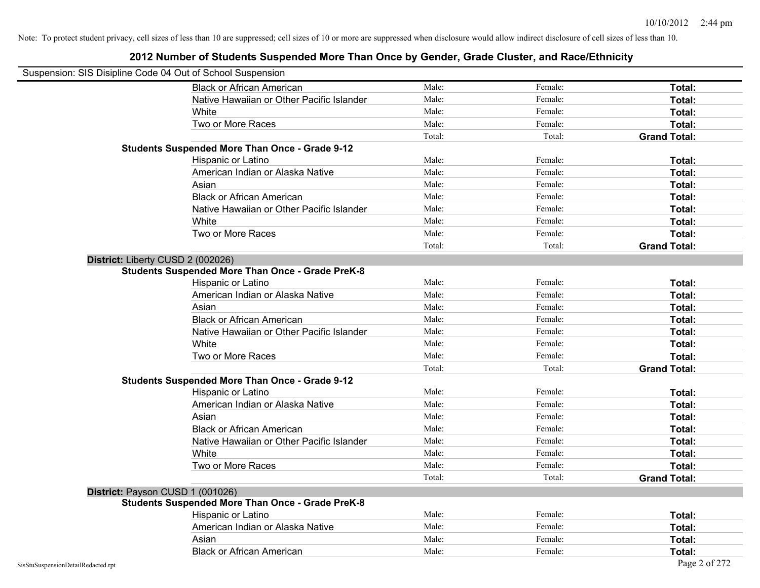| Suspension: SIS Disipline Code 04 Out of School Suspension |                                                         |        |         |                     |
|------------------------------------------------------------|---------------------------------------------------------|--------|---------|---------------------|
|                                                            | <b>Black or African American</b>                        | Male:  | Female: | Total:              |
|                                                            | Native Hawaiian or Other Pacific Islander               | Male:  | Female: | Total:              |
|                                                            | White                                                   | Male:  | Female: | Total:              |
|                                                            | Two or More Races                                       | Male:  | Female: | Total:              |
|                                                            |                                                         | Total: | Total:  | <b>Grand Total:</b> |
|                                                            | <b>Students Suspended More Than Once - Grade 9-12</b>   |        |         |                     |
|                                                            | Hispanic or Latino                                      | Male:  | Female: | Total:              |
|                                                            | American Indian or Alaska Native                        | Male:  | Female: | Total:              |
|                                                            | Asian                                                   | Male:  | Female: | Total:              |
|                                                            | <b>Black or African American</b>                        | Male:  | Female: | Total:              |
|                                                            | Native Hawaiian or Other Pacific Islander               | Male:  | Female: | Total:              |
|                                                            | White                                                   | Male:  | Female: | Total:              |
|                                                            | Two or More Races                                       | Male:  | Female: | Total:              |
|                                                            |                                                         | Total: | Total:  | <b>Grand Total:</b> |
| District: Liberty CUSD 2 (002026)                          |                                                         |        |         |                     |
|                                                            | <b>Students Suspended More Than Once - Grade PreK-8</b> |        |         |                     |
|                                                            | Hispanic or Latino                                      | Male:  | Female: | Total:              |
|                                                            | American Indian or Alaska Native                        | Male:  | Female: | Total:              |
|                                                            | Asian                                                   | Male:  | Female: | Total:              |
|                                                            | <b>Black or African American</b>                        | Male:  | Female: | Total:              |
|                                                            | Native Hawaiian or Other Pacific Islander               | Male:  | Female: | Total:              |
|                                                            | White                                                   | Male:  | Female: | Total:              |
|                                                            | Two or More Races                                       | Male:  | Female: | Total:              |
|                                                            |                                                         | Total: | Total:  | <b>Grand Total:</b> |
|                                                            | <b>Students Suspended More Than Once - Grade 9-12</b>   |        |         |                     |
|                                                            | Hispanic or Latino                                      | Male:  | Female: | Total:              |
|                                                            | American Indian or Alaska Native                        | Male:  | Female: | Total:              |
|                                                            | Asian                                                   | Male:  | Female: | Total:              |
|                                                            | <b>Black or African American</b>                        | Male:  | Female: | Total:              |
|                                                            | Native Hawaiian or Other Pacific Islander               | Male:  | Female: | Total:              |
|                                                            | White                                                   | Male:  | Female: | Total:              |
|                                                            | Two or More Races                                       | Male:  | Female: | Total:              |
|                                                            |                                                         | Total: | Total:  | <b>Grand Total:</b> |
| District: Payson CUSD 1 (001026)                           |                                                         |        |         |                     |
|                                                            | <b>Students Suspended More Than Once - Grade PreK-8</b> |        |         |                     |
|                                                            | Hispanic or Latino                                      | Male:  | Female: | Total:              |
|                                                            | American Indian or Alaska Native                        | Male:  | Female: | Total:              |
|                                                            | Asian                                                   | Male:  | Female: | Total:              |
|                                                            | <b>Black or African American</b>                        | Male:  | Female: | Total:              |
| SisStuSuspensionDetailRedacted.rpt                         |                                                         |        |         | Page 2 of 272       |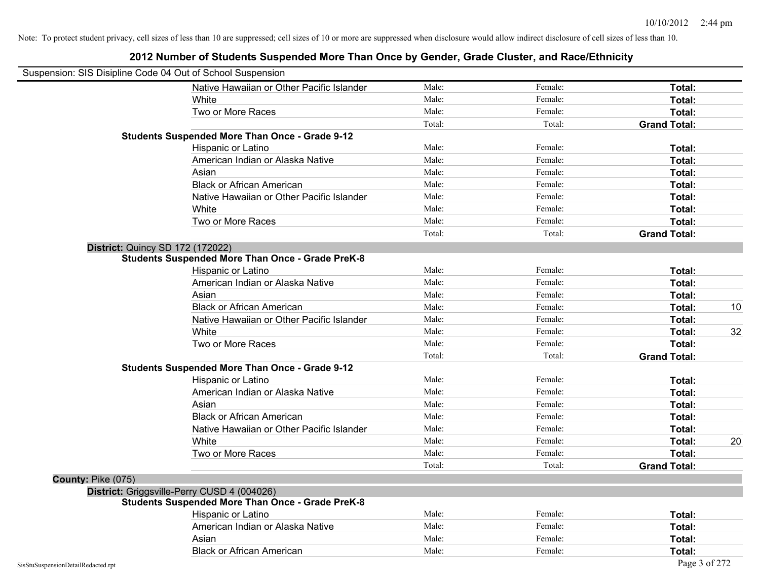| Suspension: SIS Disipline Code 04 Out of School Suspension |                                                         |        |         |                     |
|------------------------------------------------------------|---------------------------------------------------------|--------|---------|---------------------|
|                                                            | Native Hawaiian or Other Pacific Islander               | Male:  | Female: | Total:              |
|                                                            | White                                                   | Male:  | Female: | Total:              |
|                                                            | Two or More Races                                       | Male:  | Female: | Total:              |
|                                                            |                                                         | Total: | Total:  | <b>Grand Total:</b> |
|                                                            | <b>Students Suspended More Than Once - Grade 9-12</b>   |        |         |                     |
|                                                            | Hispanic or Latino                                      | Male:  | Female: | Total:              |
|                                                            | American Indian or Alaska Native                        | Male:  | Female: | Total:              |
|                                                            | Asian                                                   | Male:  | Female: | Total:              |
|                                                            | <b>Black or African American</b>                        | Male:  | Female: | Total:              |
|                                                            | Native Hawaiian or Other Pacific Islander               | Male:  | Female: | Total:              |
|                                                            | White                                                   | Male:  | Female: | Total:              |
|                                                            | Two or More Races                                       | Male:  | Female: | Total:              |
|                                                            |                                                         | Total: | Total:  | <b>Grand Total:</b> |
|                                                            | District: Quincy SD 172 (172022)                        |        |         |                     |
|                                                            | <b>Students Suspended More Than Once - Grade PreK-8</b> |        |         |                     |
|                                                            | Hispanic or Latino                                      | Male:  | Female: | Total:              |
|                                                            | American Indian or Alaska Native                        | Male:  | Female: | Total:              |
|                                                            | Asian                                                   | Male:  | Female: | Total:              |
|                                                            | <b>Black or African American</b>                        | Male:  | Female: | 10<br>Total:        |
|                                                            | Native Hawaiian or Other Pacific Islander               | Male:  | Female: | Total:              |
|                                                            | White                                                   | Male:  | Female: | 32<br>Total:        |
|                                                            | Two or More Races                                       | Male:  | Female: | Total:              |
|                                                            |                                                         | Total: | Total:  | <b>Grand Total:</b> |
|                                                            | <b>Students Suspended More Than Once - Grade 9-12</b>   |        |         |                     |
|                                                            | Hispanic or Latino                                      | Male:  | Female: | Total:              |
|                                                            | American Indian or Alaska Native                        | Male:  | Female: | Total:              |
|                                                            | Asian                                                   | Male:  | Female: | Total:              |
|                                                            | <b>Black or African American</b>                        | Male:  | Female: | Total:              |
|                                                            | Native Hawaiian or Other Pacific Islander               | Male:  | Female: | Total:              |
|                                                            | White                                                   | Male:  | Female: | 20<br>Total:        |
|                                                            | Two or More Races                                       | Male:  | Female: | Total:              |
|                                                            |                                                         | Total: | Total:  | <b>Grand Total:</b> |
| County: Pike (075)                                         |                                                         |        |         |                     |
|                                                            | District: Griggsville-Perry CUSD 4 (004026)             |        |         |                     |
|                                                            | <b>Students Suspended More Than Once - Grade PreK-8</b> |        |         |                     |
|                                                            | Hispanic or Latino                                      | Male:  | Female: | Total:              |
|                                                            | American Indian or Alaska Native                        | Male:  | Female: | Total:              |
|                                                            | Asian                                                   | Male:  | Female: | Total:              |
|                                                            | <b>Black or African American</b>                        | Male:  | Female: | Total:              |
| SisStuSuspensionDetailRedacted.rpt                         |                                                         |        |         | Page 3 of 272       |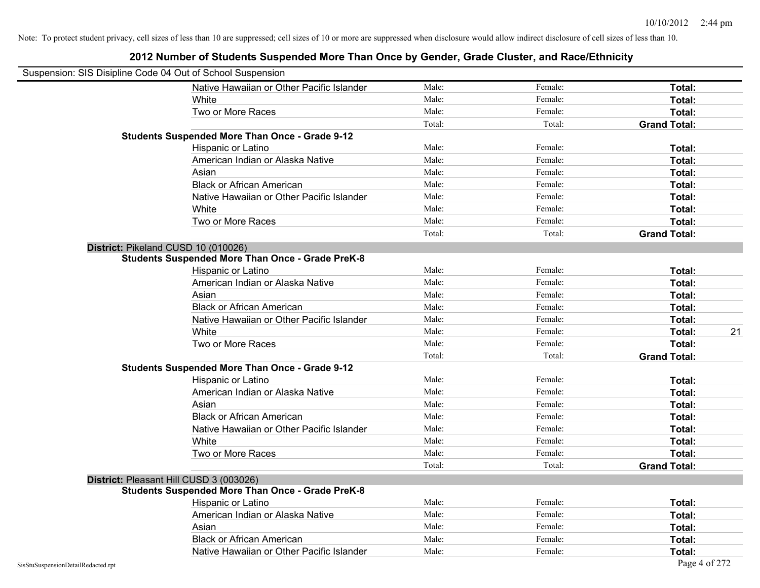| Suspension: SIS Disipline Code 04 Out of School Suspension |                                                         |        |         |                     |
|------------------------------------------------------------|---------------------------------------------------------|--------|---------|---------------------|
|                                                            | Native Hawaiian or Other Pacific Islander               | Male:  | Female: | Total:              |
|                                                            | White                                                   | Male:  | Female: | Total:              |
|                                                            | Two or More Races                                       | Male:  | Female: | Total:              |
|                                                            |                                                         | Total: | Total:  | <b>Grand Total:</b> |
|                                                            | <b>Students Suspended More Than Once - Grade 9-12</b>   |        |         |                     |
|                                                            | Hispanic or Latino                                      | Male:  | Female: | Total:              |
|                                                            | American Indian or Alaska Native                        | Male:  | Female: | Total:              |
|                                                            | Asian                                                   | Male:  | Female: | Total:              |
|                                                            | <b>Black or African American</b>                        | Male:  | Female: | Total:              |
|                                                            | Native Hawaiian or Other Pacific Islander               | Male:  | Female: | Total:              |
|                                                            | White                                                   | Male:  | Female: | Total:              |
|                                                            | Two or More Races                                       | Male:  | Female: | Total:              |
|                                                            |                                                         | Total: | Total:  | <b>Grand Total:</b> |
|                                                            | District: Pikeland CUSD 10 (010026)                     |        |         |                     |
|                                                            | Students Suspended More Than Once - Grade PreK-8        |        |         |                     |
|                                                            | Hispanic or Latino                                      | Male:  | Female: | Total:              |
|                                                            | American Indian or Alaska Native                        | Male:  | Female: | Total:              |
|                                                            | Asian                                                   | Male:  | Female: | Total:              |
|                                                            | <b>Black or African American</b>                        | Male:  | Female: | Total:              |
|                                                            | Native Hawaiian or Other Pacific Islander               | Male:  | Female: | Total:              |
|                                                            | White                                                   | Male:  | Female: | 21<br>Total:        |
|                                                            | Two or More Races                                       | Male:  | Female: | Total:              |
|                                                            |                                                         | Total: | Total:  | <b>Grand Total:</b> |
|                                                            | <b>Students Suspended More Than Once - Grade 9-12</b>   |        |         |                     |
|                                                            | Hispanic or Latino                                      | Male:  | Female: | Total:              |
|                                                            | American Indian or Alaska Native                        | Male:  | Female: | Total:              |
|                                                            | Asian                                                   | Male:  | Female: | Total:              |
|                                                            | <b>Black or African American</b>                        | Male:  | Female: | Total:              |
|                                                            | Native Hawaiian or Other Pacific Islander               | Male:  | Female: | Total:              |
|                                                            | White                                                   | Male:  | Female: | Total:              |
|                                                            | Two or More Races                                       | Male:  | Female: | Total:              |
|                                                            |                                                         | Total: | Total:  | <b>Grand Total:</b> |
|                                                            | District: Pleasant Hill CUSD 3 (003026)                 |        |         |                     |
|                                                            | <b>Students Suspended More Than Once - Grade PreK-8</b> |        |         |                     |
|                                                            | Hispanic or Latino                                      | Male:  | Female: | Total:              |
|                                                            | American Indian or Alaska Native                        | Male:  | Female: | Total:              |
|                                                            | Asian                                                   | Male:  | Female: | Total:              |
|                                                            | <b>Black or African American</b>                        | Male:  | Female: | Total:              |
|                                                            | Native Hawaiian or Other Pacific Islander               | Male:  | Female: | Total:              |
| SisStuSuspensionDetailRedacted.rpt                         |                                                         |        |         | Page 4 of 272       |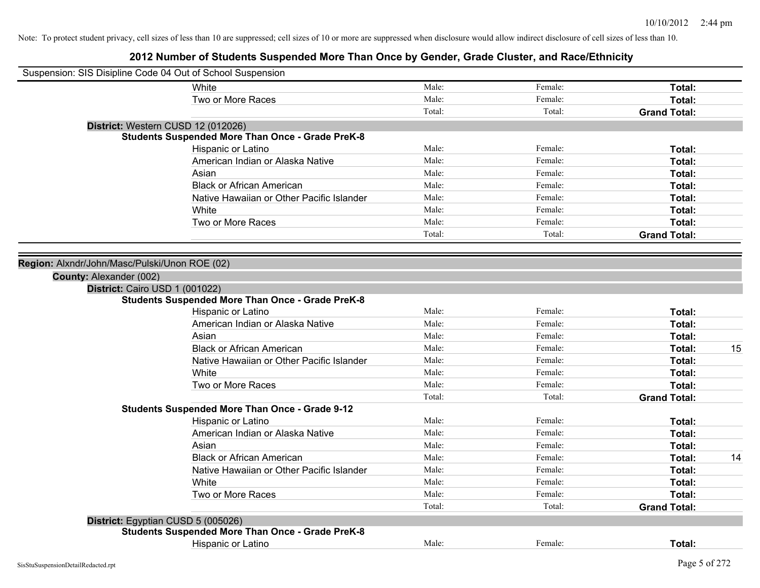| Suspension: SIS Disipline Code 04 Out of School Suspension |                                                         |        |         |                     |    |
|------------------------------------------------------------|---------------------------------------------------------|--------|---------|---------------------|----|
|                                                            | White                                                   | Male:  | Female: | Total:              |    |
|                                                            | Two or More Races                                       | Male:  | Female: | Total:              |    |
|                                                            |                                                         | Total: | Total:  | <b>Grand Total:</b> |    |
|                                                            | District: Western CUSD 12 (012026)                      |        |         |                     |    |
|                                                            | <b>Students Suspended More Than Once - Grade PreK-8</b> |        |         |                     |    |
|                                                            | Hispanic or Latino                                      | Male:  | Female: | Total:              |    |
|                                                            | American Indian or Alaska Native                        | Male:  | Female: | Total:              |    |
|                                                            | Asian                                                   | Male:  | Female: | Total:              |    |
|                                                            | <b>Black or African American</b>                        | Male:  | Female: | Total:              |    |
|                                                            | Native Hawaiian or Other Pacific Islander               | Male:  | Female: | Total:              |    |
|                                                            | White                                                   | Male:  | Female: | Total:              |    |
|                                                            | Two or More Races                                       | Male:  | Female: | <b>Total:</b>       |    |
|                                                            |                                                         | Total: | Total:  | <b>Grand Total:</b> |    |
|                                                            |                                                         |        |         |                     |    |
| Region: Alxndr/John/Masc/Pulski/Unon ROE (02)              |                                                         |        |         |                     |    |
| County: Alexander (002)                                    |                                                         |        |         |                     |    |
| District: Cairo USD 1 (001022)                             |                                                         |        |         |                     |    |
|                                                            | <b>Students Suspended More Than Once - Grade PreK-8</b> |        |         |                     |    |
|                                                            | Hispanic or Latino                                      | Male:  | Female: | Total:              |    |
|                                                            | American Indian or Alaska Native                        | Male:  | Female: | Total:              |    |
|                                                            | Asian                                                   | Male:  | Female: | Total:              |    |
|                                                            | <b>Black or African American</b>                        | Male:  | Female: | Total:              | 15 |
|                                                            | Native Hawaiian or Other Pacific Islander               | Male:  | Female: | Total:              |    |
|                                                            | White                                                   | Male:  | Female: | Total:              |    |
|                                                            | Two or More Races                                       | Male:  | Female: | Total:              |    |
|                                                            |                                                         | Total: | Total:  | <b>Grand Total:</b> |    |
|                                                            | <b>Students Suspended More Than Once - Grade 9-12</b>   |        |         |                     |    |
|                                                            | Hispanic or Latino                                      | Male:  | Female: | Total:              |    |
|                                                            | American Indian or Alaska Native                        | Male:  | Female: | Total:              |    |
|                                                            | Asian                                                   | Male:  | Female: | Total:              |    |
|                                                            | <b>Black or African American</b>                        | Male:  | Female: | Total:              | 14 |
|                                                            | Native Hawaiian or Other Pacific Islander               | Male:  | Female: | Total:              |    |
|                                                            | White                                                   | Male:  | Female: | Total:              |    |
|                                                            | Two or More Races                                       | Male:  | Female: | Total:              |    |
|                                                            |                                                         | Total: | Total:  | <b>Grand Total:</b> |    |
|                                                            | District: Egyptian CUSD 5 (005026)                      |        |         |                     |    |
|                                                            | <b>Students Suspended More Than Once - Grade PreK-8</b> |        |         |                     |    |
|                                                            | Hispanic or Latino                                      | Male:  | Female: | Total:              |    |
|                                                            |                                                         |        |         |                     |    |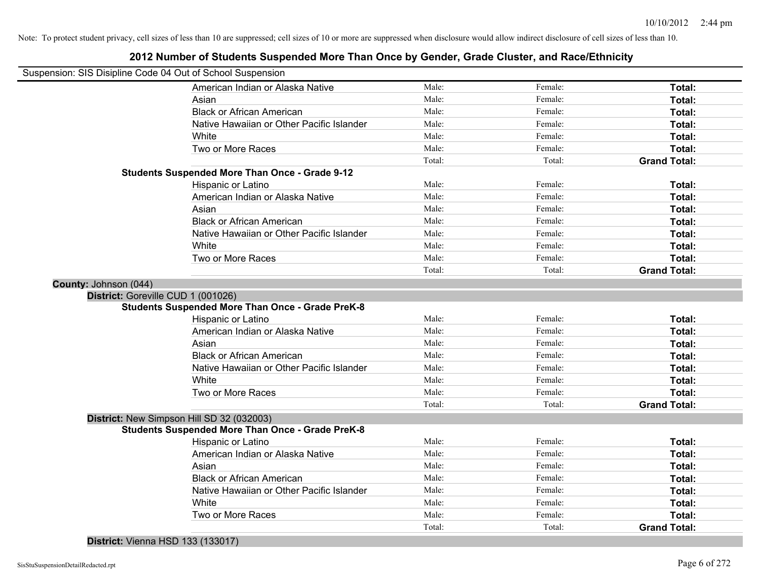|                                                            | zu iz namibel or Students Suspended More Than Once by Gender, Grade Cluster, and Nace/Lumicity |        |         |                     |
|------------------------------------------------------------|------------------------------------------------------------------------------------------------|--------|---------|---------------------|
| Suspension: SIS Disipline Code 04 Out of School Suspension |                                                                                                |        |         |                     |
|                                                            | American Indian or Alaska Native                                                               | Male:  | Female: | Total:              |
|                                                            | Asian                                                                                          | Male:  | Female: | Total:              |
|                                                            | <b>Black or African American</b>                                                               | Male:  | Female: | Total:              |
|                                                            | Native Hawaiian or Other Pacific Islander                                                      | Male:  | Female: | Total:              |
|                                                            | White                                                                                          | Male:  | Female: | Total:              |
|                                                            | Two or More Races                                                                              | Male:  | Female: | Total:              |
|                                                            |                                                                                                | Total: | Total:  | <b>Grand Total:</b> |
|                                                            | <b>Students Suspended More Than Once - Grade 9-12</b>                                          |        |         |                     |
|                                                            | Hispanic or Latino                                                                             | Male:  | Female: | Total:              |
|                                                            | American Indian or Alaska Native                                                               | Male:  | Female: | Total:              |
|                                                            | Asian                                                                                          | Male:  | Female: | Total:              |
|                                                            | <b>Black or African American</b>                                                               | Male:  | Female: | Total:              |
|                                                            | Native Hawaiian or Other Pacific Islander                                                      | Male:  | Female: | Total:              |
|                                                            | White                                                                                          | Male:  | Female: | Total:              |
|                                                            | Two or More Races                                                                              | Male:  | Female: | Total:              |
|                                                            |                                                                                                | Total: | Total:  | <b>Grand Total:</b> |
| County: Johnson (044)                                      |                                                                                                |        |         |                     |
| District: Goreville CUD 1 (001026)                         |                                                                                                |        |         |                     |
|                                                            | <b>Students Suspended More Than Once - Grade PreK-8</b>                                        |        |         |                     |
|                                                            | Hispanic or Latino                                                                             | Male:  | Female: | Total:              |
|                                                            | American Indian or Alaska Native                                                               | Male:  | Female: | Total:              |
|                                                            | Asian                                                                                          | Male:  | Female: | Total:              |
|                                                            | <b>Black or African American</b>                                                               | Male:  | Female: | Total:              |
|                                                            | Native Hawaiian or Other Pacific Islander                                                      | Male:  | Female: | Total:              |
|                                                            | White                                                                                          | Male:  | Female: | Total:              |
|                                                            | Two or More Races                                                                              | Male:  | Female: | Total:              |
|                                                            |                                                                                                | Total: | Total:  | <b>Grand Total:</b> |
|                                                            | District: New Simpson Hill SD 32 (032003)                                                      |        |         |                     |
|                                                            | <b>Students Suspended More Than Once - Grade PreK-8</b>                                        |        |         |                     |
|                                                            | Hispanic or Latino                                                                             | Male:  | Female: | Total:              |
|                                                            | American Indian or Alaska Native                                                               | Male:  | Female: | Total:              |
|                                                            | Asian                                                                                          | Male:  | Female: | Total:              |
|                                                            | <b>Black or African American</b>                                                               | Male:  | Female: | Total:              |
|                                                            | Native Hawaiian or Other Pacific Islander                                                      | Male:  | Female: | Total:              |
|                                                            | White                                                                                          | Male:  | Female: | Total:              |
|                                                            | Two or More Races                                                                              | Male:  | Female: | Total:              |
|                                                            |                                                                                                | Total: | Total:  | <b>Grand Total:</b> |
|                                                            |                                                                                                |        |         |                     |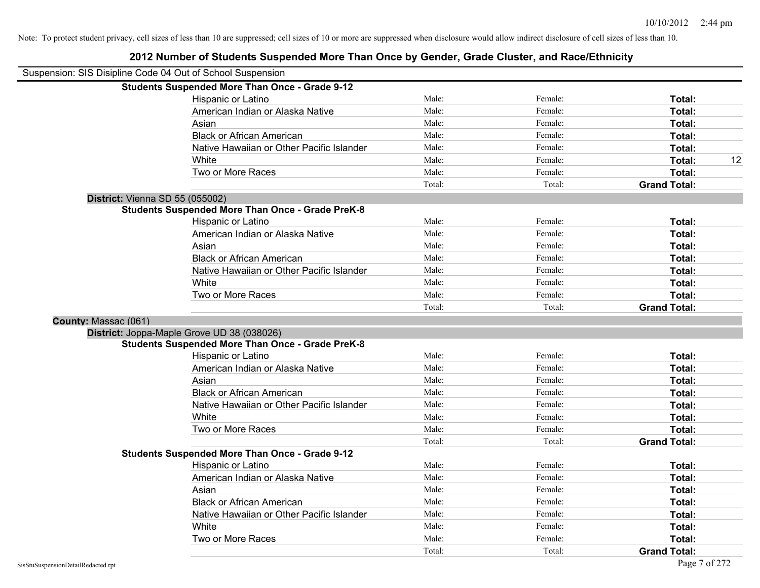## **2012 Number of Students Suspended More Than Once by Gender, Grade Cluster, and Race/Ethnicity** Suspension: SIS Disipline Code 04 Out of School Suspension **Students Suspended More Than Once - Grade 9-12** Hispanic or Latino **Finally Hispanic or Latino** *Total:* Male: Female: **Female: Total: Total:** Female: **Total:** American Indian or Alaska Native **Male:** Male: Female: Female: **Total:** Total: Asian **Asian Male:** Female: **Total:** Female: **Total:** Female: **Total:** Female: **Total:** Female: **Total:** Female: **Total:** Female: **Total:** Female: **Total:** Female: **Total: Total: Total: Total: Total: Total: Tot** Black or African American **Figure 1.1 and Total:** Male: Female: Female: **Total:** Total: Native Hawaiian or Other Pacific Islander Male: **Male:** Female: Female: **Total:** Total: White **Male:** Male: **Total: 12** Male: **Total: 12** Male: **Total: 12** Two or More Races **Total:** Total: Male: Female: Female: **Total:** Female: **Total:** Total: Total: Total: **Grand Total: District:** Vienna SD 55 (055002) **Students Suspended More Than Once - Grade PreK-8** Hispanic or Latino **Finally Contract Contract Contract Contract Contract Contract Contract Contract Contract Contract Contract Contract Contract Contract Contract Contract Contract Contract Contract Contract Contract Contr** American Indian or Alaska Native **Male:** Male: Female: Female: **Total:** Total: Asian **Female:** Total: Male: Female: **Total:** Total: Total: Total: Total: Total: Total: Total: Total: Total: Total: Total: Total: Total: Total: Total: Total: Total: Total: Total: Total: Total: Total: Total: Total: Total: T Black or African American **Figure 1.1 and Total:** Male: Female: Female: **Total:** Total: Native Hawaiian or Other Pacific Islander **Male:** Male: Female: Female: **Total:** Total: White **Total:** Male: Female: **Total:** Total: **Total:** Female: **Total:** Total: Two or More Races **Total:** Total: Male: Female: Female: **Total:** Total: Female: Total: Total: Total: **Grand Total: County:** Massac (061) **District:** Joppa-Maple Grove UD 38 (038026) **Students Suspended More Than Once - Grade PreK-8** Hispanic or Latino **Finale:** Female: **Female:** Female: **Total:** Female: **Total:** Female: **Finale:** Female: **Finale:** Finale: **Finale:** Finale: **Finale:** Finale: **Finale:** Finale: **Finale:** Finale: **Finale:** Finale: **Finale** American Indian or Alaska Native **Male:** Male: Female: Female: **Total:** Total: Asian **Asian Male:** Total: Male: Female: **Total: Total:** Total: Total: Total: Total: Total: Total: Total: Total: Total: Total: Total: Total: Total: Total: Total: Total: Total: Total: Total: Total: Total: Total: Total: Tota Black or African American **Figure 1.1 and Total:** Male: Female: Female: **Total:** Total: Native Hawaiian or Other Pacific Islander Male: Total: Female: Female: Total: Total: White **Total:** Male: Female: **Total:** Female: **Total:** Total: Two or More Races **Total:** Total: Male: Female: Female: **Total:** Total: Total: Total: **Grand Total: Students Suspended More Than Once - Grade 9-12** Hispanic or Latino **Final Contract Contract Contract Contract Contract Contract Contract Contract Contract Contract Contract Contract Contract Contract Contract Contract Contract Contract Contract Contract Contract Contrac** American Indian or Alaska Native **Male:** Male: Female: Female: **Total:** Total: Asian **Asian Male:** Total: Male: Female: **Total: Total:** Total: Total: Total: Total: Total: Total: Total: Total: Total: Total: Total: Total: Total: Total: Total: Total: Total: Total: Total: Total: Total: Total: Total: Tota Black or African American **American** Male: **Male:** Female: **Female: Total: Total: Total: Female: Total: Total: Total: Total: Total: Total: Total: Total: Total: Total: Total: Total: Total:** Native Hawaiian or Other Pacific Islander **Male:** Male: Female: Female: **Total:** Total: White **Total:** Male: Female: **Total:** Female: **Total:** Total: Two or More Races **Total:** Total: Male: Female: Female: **Total:** Total: Total: Total: Total: **Grand Total:**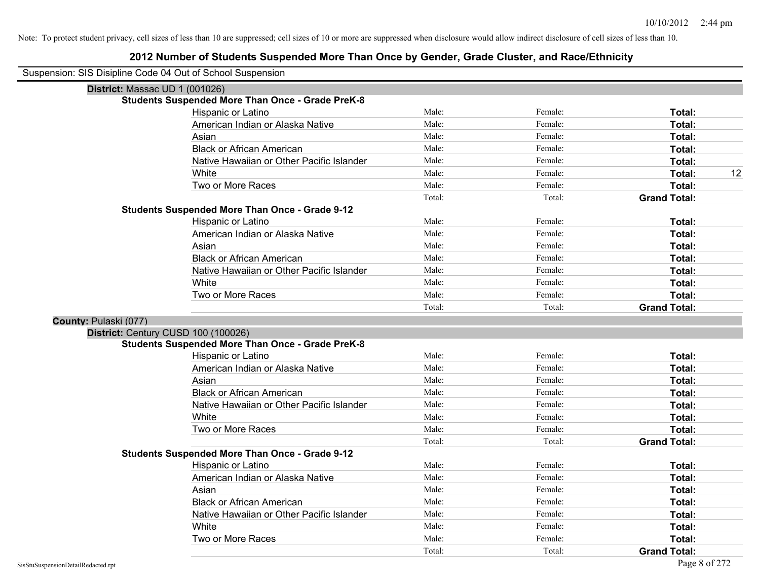| Suspension: SIS Disipline Code 04 Out of School Suspension |                                                         |        |         |                     |
|------------------------------------------------------------|---------------------------------------------------------|--------|---------|---------------------|
| District: Massac UD 1 (001026)                             |                                                         |        |         |                     |
|                                                            | <b>Students Suspended More Than Once - Grade PreK-8</b> |        |         |                     |
|                                                            | Hispanic or Latino                                      | Male:  | Female: | Total:              |
|                                                            | American Indian or Alaska Native                        | Male:  | Female: | Total:              |
|                                                            | Asian                                                   | Male:  | Female: | Total:              |
|                                                            | <b>Black or African American</b>                        | Male:  | Female: | Total:              |
|                                                            | Native Hawaiian or Other Pacific Islander               | Male:  | Female: | Total:              |
|                                                            | White                                                   | Male:  | Female: | 12<br>Total:        |
|                                                            | Two or More Races                                       | Male:  | Female: | Total:              |
|                                                            |                                                         | Total: | Total:  | <b>Grand Total:</b> |
|                                                            | <b>Students Suspended More Than Once - Grade 9-12</b>   |        |         |                     |
|                                                            | Hispanic or Latino                                      | Male:  | Female: | Total:              |
|                                                            | American Indian or Alaska Native                        | Male:  | Female: | Total:              |
|                                                            | Asian                                                   | Male:  | Female: | Total:              |
|                                                            | <b>Black or African American</b>                        | Male:  | Female: | Total:              |
|                                                            | Native Hawaiian or Other Pacific Islander               | Male:  | Female: | Total:              |
|                                                            | White                                                   | Male:  | Female: | <b>Total:</b>       |
|                                                            | Two or More Races                                       | Male:  | Female: | Total:              |
|                                                            |                                                         | Total: | Total:  | <b>Grand Total:</b> |
| County: Pulaski (077)                                      |                                                         |        |         |                     |
| District: Century CUSD 100 (100026)                        |                                                         |        |         |                     |
|                                                            | <b>Students Suspended More Than Once - Grade PreK-8</b> |        |         |                     |
|                                                            | Hispanic or Latino                                      | Male:  | Female: | Total:              |
|                                                            | American Indian or Alaska Native                        | Male:  | Female: | Total:              |
|                                                            | Asian                                                   | Male:  | Female: | Total:              |
|                                                            | <b>Black or African American</b>                        | Male:  | Female: | Total:              |
|                                                            | Native Hawaiian or Other Pacific Islander               | Male:  | Female: | Total:              |
|                                                            | White                                                   | Male:  | Female: | Total:              |
|                                                            | Two or More Races                                       | Male:  | Female: | Total:              |
|                                                            |                                                         | Total: | Total:  | <b>Grand Total:</b> |
|                                                            | <b>Students Suspended More Than Once - Grade 9-12</b>   |        |         |                     |
|                                                            | Hispanic or Latino                                      | Male:  | Female: | Total:              |
|                                                            | American Indian or Alaska Native                        | Male:  | Female: | Total:              |
|                                                            | Asian                                                   | Male:  | Female: | Total:              |
|                                                            | <b>Black or African American</b>                        | Male:  | Female: | Total:              |
|                                                            | Native Hawaiian or Other Pacific Islander               | Male:  | Female: | Total:              |
|                                                            | White                                                   | Male:  | Female: | Total:              |
|                                                            | Two or More Races                                       | Male:  | Female: | Total:              |
|                                                            |                                                         | Total: | Total:  | <b>Grand Total:</b> |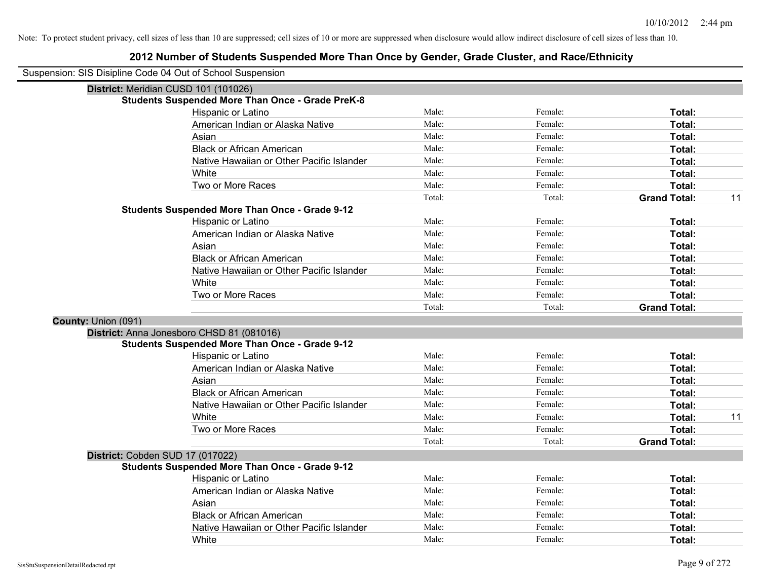| Suspension: SIS Disipline Code 04 Out of School Suspension |                                                         |        |         |                           |
|------------------------------------------------------------|---------------------------------------------------------|--------|---------|---------------------------|
|                                                            | District: Meridian CUSD 101 (101026)                    |        |         |                           |
|                                                            | <b>Students Suspended More Than Once - Grade PreK-8</b> |        |         |                           |
|                                                            | Hispanic or Latino                                      | Male:  | Female: | Total:                    |
|                                                            | American Indian or Alaska Native                        | Male:  | Female: | Total:                    |
|                                                            | Asian                                                   | Male:  | Female: | Total:                    |
|                                                            | <b>Black or African American</b>                        | Male:  | Female: | Total:                    |
|                                                            | Native Hawaiian or Other Pacific Islander               | Male:  | Female: | Total:                    |
|                                                            | White                                                   | Male:  | Female: | Total:                    |
|                                                            | Two or More Races                                       | Male:  | Female: | Total:                    |
|                                                            |                                                         | Total: | Total:  | <b>Grand Total:</b><br>11 |
|                                                            | <b>Students Suspended More Than Once - Grade 9-12</b>   |        |         |                           |
|                                                            | Hispanic or Latino                                      | Male:  | Female: | Total:                    |
|                                                            | American Indian or Alaska Native                        | Male:  | Female: | Total:                    |
|                                                            | Asian                                                   | Male:  | Female: | Total:                    |
|                                                            | <b>Black or African American</b>                        | Male:  | Female: | Total:                    |
|                                                            | Native Hawaiian or Other Pacific Islander               | Male:  | Female: | Total:                    |
|                                                            | White                                                   | Male:  | Female: | Total:                    |
|                                                            | Two or More Races                                       | Male:  | Female: | Total:                    |
|                                                            |                                                         | Total: | Total:  | <b>Grand Total:</b>       |
| County: Union (091)                                        |                                                         |        |         |                           |
|                                                            | District: Anna Jonesboro CHSD 81 (081016)               |        |         |                           |
|                                                            | <b>Students Suspended More Than Once - Grade 9-12</b>   |        |         |                           |
|                                                            | Hispanic or Latino                                      | Male:  | Female: | Total:                    |
|                                                            | American Indian or Alaska Native                        | Male:  | Female: | Total:                    |
|                                                            | Asian                                                   | Male:  | Female: | Total:                    |
|                                                            | <b>Black or African American</b>                        | Male:  | Female: | Total:                    |
|                                                            | Native Hawaiian or Other Pacific Islander               | Male:  | Female: | Total:                    |
|                                                            | White                                                   | Male:  | Female: | 11<br>Total:              |
|                                                            | Two or More Races                                       | Male:  | Female: | <b>Total:</b>             |
|                                                            |                                                         | Total: | Total:  | <b>Grand Total:</b>       |
|                                                            | District: Cobden SUD 17 (017022)                        |        |         |                           |
|                                                            | <b>Students Suspended More Than Once - Grade 9-12</b>   |        |         |                           |
|                                                            | Hispanic or Latino                                      | Male:  | Female: | Total:                    |
|                                                            | American Indian or Alaska Native                        | Male:  | Female: | Total:                    |
|                                                            | Asian                                                   | Male:  | Female: | Total:                    |
|                                                            | <b>Black or African American</b>                        | Male:  | Female: | Total:                    |
|                                                            | Native Hawaiian or Other Pacific Islander               | Male:  | Female: | <b>Total:</b>             |
|                                                            | White                                                   | Male:  | Female: | Total:                    |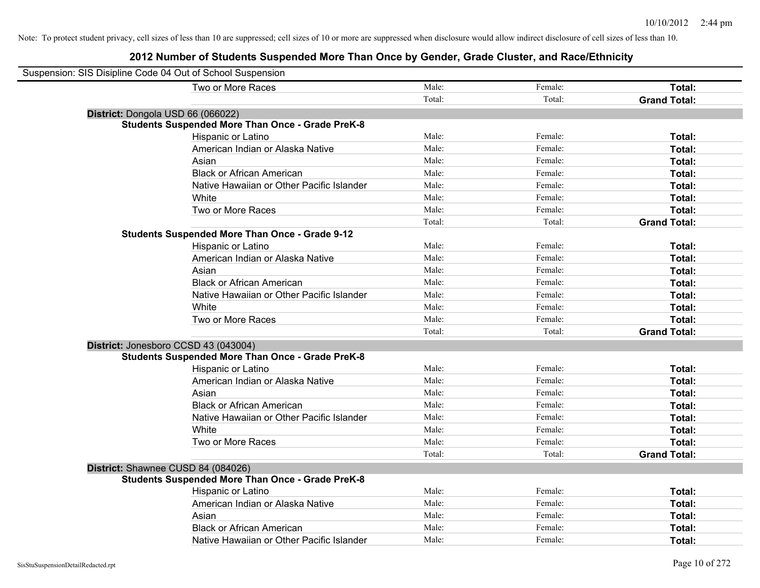| Suspension: SIS Disipline Code 04 Out of School Suspension |                                                         |        |         |                     |
|------------------------------------------------------------|---------------------------------------------------------|--------|---------|---------------------|
|                                                            | Two or More Races                                       | Male:  | Female: | Total:              |
|                                                            |                                                         | Total: | Total:  | <b>Grand Total:</b> |
|                                                            | District: Dongola USD 66 (066022)                       |        |         |                     |
|                                                            | <b>Students Suspended More Than Once - Grade PreK-8</b> |        |         |                     |
|                                                            | Hispanic or Latino                                      | Male:  | Female: | Total:              |
|                                                            | American Indian or Alaska Native                        | Male:  | Female: | Total:              |
|                                                            | Asian                                                   | Male:  | Female: | Total:              |
|                                                            | <b>Black or African American</b>                        | Male:  | Female: | Total:              |
|                                                            | Native Hawaiian or Other Pacific Islander               | Male:  | Female: | Total:              |
|                                                            | White                                                   | Male:  | Female: | Total:              |
|                                                            | Two or More Races                                       | Male:  | Female: | Total:              |
|                                                            |                                                         | Total: | Total:  | <b>Grand Total:</b> |
|                                                            | <b>Students Suspended More Than Once - Grade 9-12</b>   |        |         |                     |
|                                                            | Hispanic or Latino                                      | Male:  | Female: | Total:              |
|                                                            | American Indian or Alaska Native                        | Male:  | Female: | Total:              |
|                                                            | Asian                                                   | Male:  | Female: | Total:              |
|                                                            | <b>Black or African American</b>                        | Male:  | Female: | Total:              |
|                                                            | Native Hawaiian or Other Pacific Islander               | Male:  | Female: | Total:              |
|                                                            | White                                                   | Male:  | Female: | Total:              |
|                                                            | Two or More Races                                       | Male:  | Female: | Total:              |
|                                                            |                                                         | Total: | Total:  | <b>Grand Total:</b> |
|                                                            | District: Jonesboro CCSD 43 (043004)                    |        |         |                     |
|                                                            | <b>Students Suspended More Than Once - Grade PreK-8</b> |        |         |                     |
|                                                            | Hispanic or Latino                                      | Male:  | Female: | Total:              |
|                                                            | American Indian or Alaska Native                        | Male:  | Female: | Total:              |
|                                                            | Asian                                                   | Male:  | Female: | Total:              |
|                                                            | <b>Black or African American</b>                        | Male:  | Female: | Total:              |
|                                                            | Native Hawaiian or Other Pacific Islander               | Male:  | Female: | Total:              |
|                                                            | White                                                   | Male:  | Female: | Total:              |
|                                                            | Two or More Races                                       | Male:  | Female: | Total:              |
|                                                            |                                                         | Total: | Total:  | <b>Grand Total:</b> |
|                                                            | District: Shawnee CUSD 84 (084026)                      |        |         |                     |
|                                                            | <b>Students Suspended More Than Once - Grade PreK-8</b> |        |         |                     |
|                                                            | Hispanic or Latino                                      | Male:  | Female: | Total:              |
|                                                            | American Indian or Alaska Native                        | Male:  | Female: | Total:              |
|                                                            | Asian                                                   | Male:  | Female: | Total:              |
|                                                            | <b>Black or African American</b>                        | Male:  | Female: | Total:              |
|                                                            | Native Hawaiian or Other Pacific Islander               | Male:  | Female: | Total:              |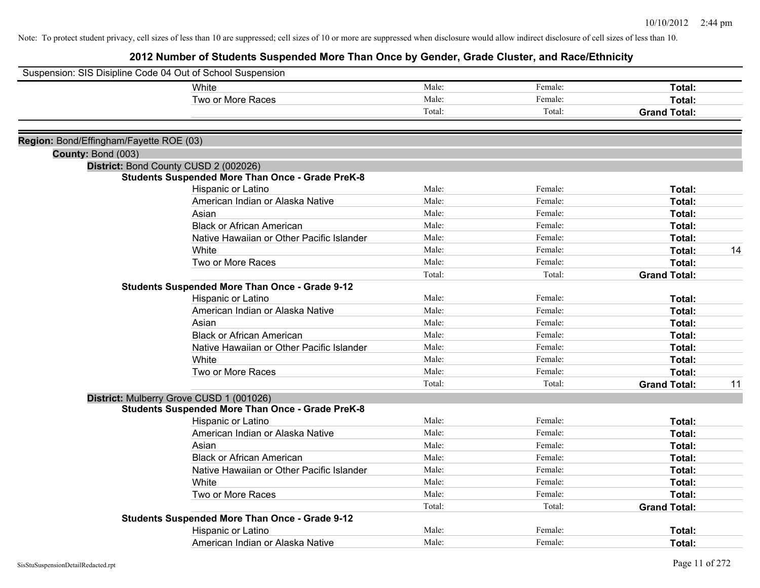| Suspension: SIS Disipline Code 04 Out of School Suspension |                                                         |        |         |                     |    |
|------------------------------------------------------------|---------------------------------------------------------|--------|---------|---------------------|----|
|                                                            | White                                                   | Male:  | Female: | Total:              |    |
|                                                            | Two or More Races                                       | Male:  | Female: | Total:              |    |
|                                                            |                                                         | Total: | Total:  | <b>Grand Total:</b> |    |
|                                                            |                                                         |        |         |                     |    |
| Region: Bond/Effingham/Fayette ROE (03)                    |                                                         |        |         |                     |    |
| County: Bond (003)                                         |                                                         |        |         |                     |    |
|                                                            | District: Bond County CUSD 2 (002026)                   |        |         |                     |    |
|                                                            | <b>Students Suspended More Than Once - Grade PreK-8</b> | Male:  | Female: |                     |    |
|                                                            | Hispanic or Latino                                      | Male:  | Female: | Total:              |    |
|                                                            | American Indian or Alaska Native                        |        |         | Total:              |    |
|                                                            | Asian                                                   | Male:  | Female: | Total:              |    |
|                                                            | <b>Black or African American</b>                        | Male:  | Female: | Total:              |    |
|                                                            | Native Hawaiian or Other Pacific Islander               | Male:  | Female: | Total:              |    |
|                                                            | White                                                   | Male:  | Female: | Total:              | 14 |
|                                                            | Two or More Races                                       | Male:  | Female: | Total:              |    |
|                                                            |                                                         | Total: | Total:  | <b>Grand Total:</b> |    |
|                                                            | <b>Students Suspended More Than Once - Grade 9-12</b>   |        |         |                     |    |
|                                                            | Hispanic or Latino                                      | Male:  | Female: | Total:              |    |
|                                                            | American Indian or Alaska Native                        | Male:  | Female: | Total:              |    |
|                                                            | Asian                                                   | Male:  | Female: | Total:              |    |
|                                                            | <b>Black or African American</b>                        | Male:  | Female: | Total:              |    |
|                                                            | Native Hawaiian or Other Pacific Islander               | Male:  | Female: | Total:              |    |
|                                                            | White                                                   | Male:  | Female: | Total:              |    |
|                                                            | Two or More Races                                       | Male:  | Female: | Total:              |    |
|                                                            |                                                         | Total: | Total:  | <b>Grand Total:</b> | 11 |
|                                                            | District: Mulberry Grove CUSD 1 (001026)                |        |         |                     |    |
|                                                            | <b>Students Suspended More Than Once - Grade PreK-8</b> |        |         |                     |    |
|                                                            | Hispanic or Latino                                      | Male:  | Female: | Total:              |    |
|                                                            | American Indian or Alaska Native                        | Male:  | Female: | Total:              |    |
|                                                            | Asian                                                   | Male:  | Female: | Total:              |    |
|                                                            | <b>Black or African American</b>                        | Male:  | Female: | Total:              |    |
|                                                            | Native Hawaiian or Other Pacific Islander               | Male:  | Female: | Total:              |    |
|                                                            | White                                                   | Male:  | Female: | Total:              |    |
|                                                            | Two or More Races                                       | Male:  | Female: | Total:              |    |
|                                                            |                                                         | Total: | Total:  | <b>Grand Total:</b> |    |
|                                                            | Students Suspended More Than Once - Grade 9-12          |        |         |                     |    |
|                                                            | Hispanic or Latino                                      | Male:  | Female: | Total:              |    |
|                                                            | American Indian or Alaska Native                        | Male:  | Female: | Total:              |    |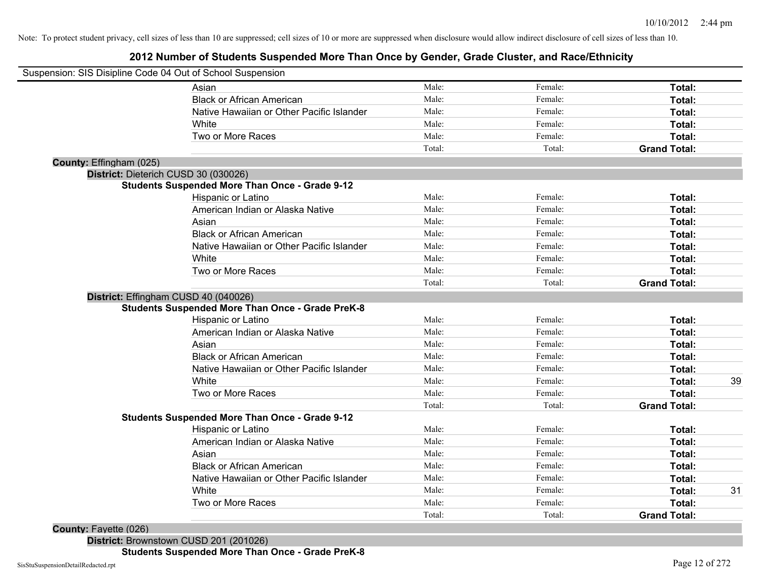#### **2012 Number of Students Suspended More Than Once by Gender, Grade Cluster, and Race/Ethnicity**

|                         | Suspension: SIS Disipline Code 04 Out of School Suspension |        |         |                     |    |
|-------------------------|------------------------------------------------------------|--------|---------|---------------------|----|
|                         | Asian                                                      | Male:  | Female: | Total:              |    |
|                         | <b>Black or African American</b>                           | Male:  | Female: | Total:              |    |
|                         | Native Hawaiian or Other Pacific Islander                  | Male:  | Female: | Total:              |    |
|                         | White                                                      | Male:  | Female: | Total:              |    |
|                         | Two or More Races                                          | Male:  | Female: | Total:              |    |
|                         |                                                            | Total: | Total:  | <b>Grand Total:</b> |    |
| County: Effingham (025) |                                                            |        |         |                     |    |
|                         | District: Dieterich CUSD 30 (030026)                       |        |         |                     |    |
|                         | <b>Students Suspended More Than Once - Grade 9-12</b>      |        |         |                     |    |
|                         | Hispanic or Latino                                         | Male:  | Female: | Total:              |    |
|                         | American Indian or Alaska Native                           | Male:  | Female: | Total:              |    |
|                         | Asian                                                      | Male:  | Female: | Total:              |    |
|                         | <b>Black or African American</b>                           | Male:  | Female: | Total:              |    |
|                         | Native Hawaiian or Other Pacific Islander                  | Male:  | Female: | Total:              |    |
|                         | White                                                      | Male:  | Female: | Total:              |    |
|                         | Two or More Races                                          | Male:  | Female: | Total:              |    |
|                         |                                                            | Total: | Total:  | <b>Grand Total:</b> |    |
|                         | District: Effingham CUSD 40 (040026)                       |        |         |                     |    |
|                         | <b>Students Suspended More Than Once - Grade PreK-8</b>    |        |         |                     |    |
|                         | Hispanic or Latino                                         | Male:  | Female: | Total:              |    |
|                         | American Indian or Alaska Native                           | Male:  | Female: | Total:              |    |
|                         | Asian                                                      | Male:  | Female: | Total:              |    |
|                         | <b>Black or African American</b>                           | Male:  | Female: | Total:              |    |
|                         | Native Hawaiian or Other Pacific Islander                  | Male:  | Female: | Total:              |    |
|                         | White                                                      | Male:  | Female: | Total:              | 39 |
|                         | Two or More Races                                          | Male:  | Female: | Total:              |    |
|                         |                                                            | Total: | Total:  | <b>Grand Total:</b> |    |
|                         | <b>Students Suspended More Than Once - Grade 9-12</b>      |        |         |                     |    |
|                         | Hispanic or Latino                                         | Male:  | Female: | Total:              |    |
|                         | American Indian or Alaska Native                           | Male:  | Female: | Total:              |    |
|                         | Asian                                                      | Male:  | Female: | Total:              |    |
|                         | <b>Black or African American</b>                           | Male:  | Female: | Total:              |    |
|                         | Native Hawaiian or Other Pacific Islander                  | Male:  | Female: | Total:              |    |
|                         | White                                                      | Male:  | Female: | Total:              | 31 |
|                         | Two or More Races                                          | Male:  | Female: | Total:              |    |
|                         |                                                            | Total: | Total:  | <b>Grand Total:</b> |    |

**District:** Brownstown CUSD 201 (201026)

**Students Suspended More Than Once - Grade PreK-8**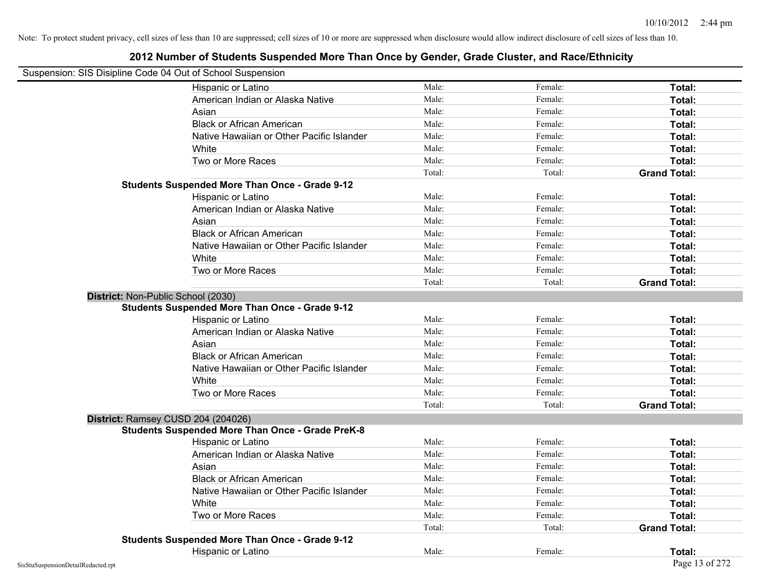|                                    | Suspension: SIS Disipline Code 04 Out of School Suspension |        |         |                     |
|------------------------------------|------------------------------------------------------------|--------|---------|---------------------|
|                                    | Hispanic or Latino                                         | Male:  | Female: | Total:              |
|                                    | American Indian or Alaska Native                           | Male:  | Female: | Total:              |
|                                    | Asian                                                      | Male:  | Female: | Total:              |
|                                    | <b>Black or African American</b>                           | Male:  | Female: | Total:              |
|                                    | Native Hawaiian or Other Pacific Islander                  | Male:  | Female: | Total:              |
|                                    | White                                                      | Male:  | Female: | Total:              |
|                                    | Two or More Races                                          | Male:  | Female: | Total:              |
|                                    |                                                            | Total: | Total:  | <b>Grand Total:</b> |
|                                    | <b>Students Suspended More Than Once - Grade 9-12</b>      |        |         |                     |
|                                    | Hispanic or Latino                                         | Male:  | Female: | Total:              |
|                                    | American Indian or Alaska Native                           | Male:  | Female: | Total:              |
|                                    | Asian                                                      | Male:  | Female: | Total:              |
|                                    | <b>Black or African American</b>                           | Male:  | Female: | Total:              |
|                                    | Native Hawaiian or Other Pacific Islander                  | Male:  | Female: | Total:              |
|                                    | White                                                      | Male:  | Female: | Total:              |
|                                    | Two or More Races                                          | Male:  | Female: | Total:              |
|                                    |                                                            | Total: | Total:  | <b>Grand Total:</b> |
| District: Non-Public School (2030) |                                                            |        |         |                     |
|                                    | <b>Students Suspended More Than Once - Grade 9-12</b>      |        |         |                     |
|                                    | Hispanic or Latino                                         | Male:  | Female: | Total:              |
|                                    | American Indian or Alaska Native                           | Male:  | Female: | Total:              |
|                                    | Asian                                                      | Male:  | Female: | Total:              |
|                                    | <b>Black or African American</b>                           | Male:  | Female: | Total:              |
|                                    | Native Hawaiian or Other Pacific Islander                  | Male:  | Female: | Total:              |
|                                    | White                                                      | Male:  | Female: | Total:              |
|                                    | Two or More Races                                          | Male:  | Female: | Total:              |
|                                    |                                                            | Total: | Total:  | <b>Grand Total:</b> |
|                                    | District: Ramsey CUSD 204 (204026)                         |        |         |                     |
|                                    | <b>Students Suspended More Than Once - Grade PreK-8</b>    |        |         |                     |
|                                    | Hispanic or Latino                                         | Male:  | Female: | Total:              |
|                                    | American Indian or Alaska Native                           | Male:  | Female: | Total:              |
|                                    | Asian                                                      | Male:  | Female: | Total:              |
|                                    | <b>Black or African American</b>                           | Male:  | Female: | Total:              |
|                                    | Native Hawaiian or Other Pacific Islander                  | Male:  | Female: | Total:              |
|                                    | White                                                      | Male:  | Female: | Total:              |
|                                    | Two or More Races                                          | Male:  | Female: | Total:              |
|                                    |                                                            | Total: | Total:  | <b>Grand Total:</b> |
|                                    | <b>Students Suspended More Than Once - Grade 9-12</b>      |        |         |                     |
|                                    | Hispanic or Latino                                         | Male:  | Female: | Total:              |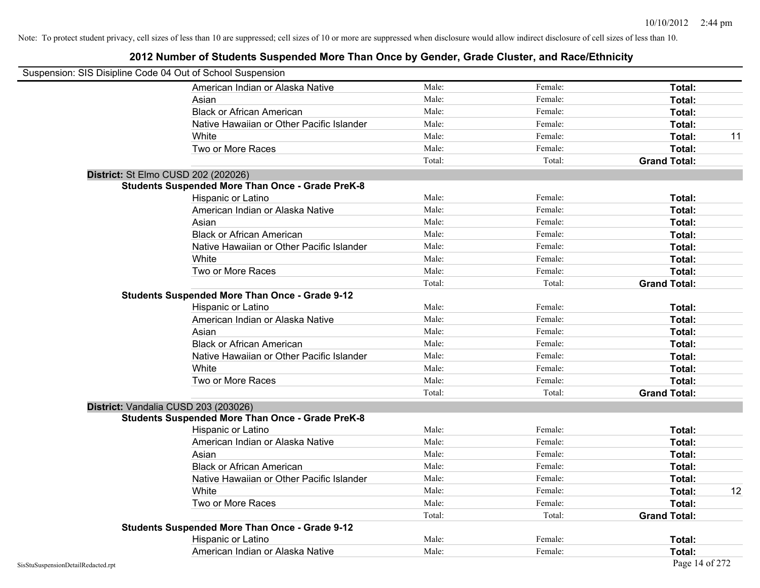| Suspension: SIS Disipline Code 04 Out of School Suspension |                                                         |        |         |                     |    |
|------------------------------------------------------------|---------------------------------------------------------|--------|---------|---------------------|----|
|                                                            | American Indian or Alaska Native                        | Male:  | Female: | Total:              |    |
|                                                            | Asian                                                   | Male:  | Female: | Total:              |    |
|                                                            | <b>Black or African American</b>                        | Male:  | Female: | Total:              |    |
|                                                            | Native Hawaiian or Other Pacific Islander               | Male:  | Female: | Total:              |    |
|                                                            | White                                                   | Male:  | Female: | Total:              | 11 |
|                                                            | Two or More Races                                       | Male:  | Female: | Total:              |    |
|                                                            |                                                         | Total: | Total:  | <b>Grand Total:</b> |    |
|                                                            | District: St Elmo CUSD 202 (202026)                     |        |         |                     |    |
|                                                            | <b>Students Suspended More Than Once - Grade PreK-8</b> |        |         |                     |    |
|                                                            | Hispanic or Latino                                      | Male:  | Female: | Total:              |    |
|                                                            | American Indian or Alaska Native                        | Male:  | Female: | Total:              |    |
|                                                            | Asian                                                   | Male:  | Female: | Total:              |    |
|                                                            | <b>Black or African American</b>                        | Male:  | Female: | Total:              |    |
|                                                            | Native Hawaiian or Other Pacific Islander               | Male:  | Female: | Total:              |    |
|                                                            | White                                                   | Male:  | Female: | Total:              |    |
|                                                            | Two or More Races                                       | Male:  | Female: | Total:              |    |
|                                                            |                                                         | Total: | Total:  | <b>Grand Total:</b> |    |
|                                                            | <b>Students Suspended More Than Once - Grade 9-12</b>   |        |         |                     |    |
|                                                            | Hispanic or Latino                                      | Male:  | Female: | Total:              |    |
|                                                            | American Indian or Alaska Native                        | Male:  | Female: | Total:              |    |
|                                                            | Asian                                                   | Male:  | Female: | Total:              |    |
|                                                            | <b>Black or African American</b>                        | Male:  | Female: | Total:              |    |
|                                                            | Native Hawaiian or Other Pacific Islander               | Male:  | Female: | Total:              |    |
|                                                            | White                                                   | Male:  | Female: | Total:              |    |
|                                                            | Two or More Races                                       | Male:  | Female: | Total:              |    |
|                                                            |                                                         | Total: | Total:  | <b>Grand Total:</b> |    |
|                                                            | District: Vandalia CUSD 203 (203026)                    |        |         |                     |    |
|                                                            | <b>Students Suspended More Than Once - Grade PreK-8</b> |        |         |                     |    |
|                                                            | Hispanic or Latino                                      | Male:  | Female: | Total:              |    |
|                                                            | American Indian or Alaska Native                        | Male:  | Female: | Total:              |    |
|                                                            | Asian                                                   | Male:  | Female: | Total:              |    |
|                                                            | <b>Black or African American</b>                        | Male:  | Female: | Total:              |    |
|                                                            | Native Hawaiian or Other Pacific Islander               | Male:  | Female: | <b>Total:</b>       |    |
|                                                            | White                                                   | Male:  | Female: | Total:              | 12 |
|                                                            | Two or More Races                                       | Male:  | Female: | Total:              |    |
|                                                            |                                                         | Total: | Total:  | <b>Grand Total:</b> |    |
|                                                            | <b>Students Suspended More Than Once - Grade 9-12</b>   |        |         |                     |    |
|                                                            | Hispanic or Latino                                      | Male:  | Female: | Total:              |    |
|                                                            | American Indian or Alaska Native                        | Male:  | Female: | Total:              |    |
| SisStuSuspensionDetailRedacted.rpt                         |                                                         |        |         | Page 14 of 272      |    |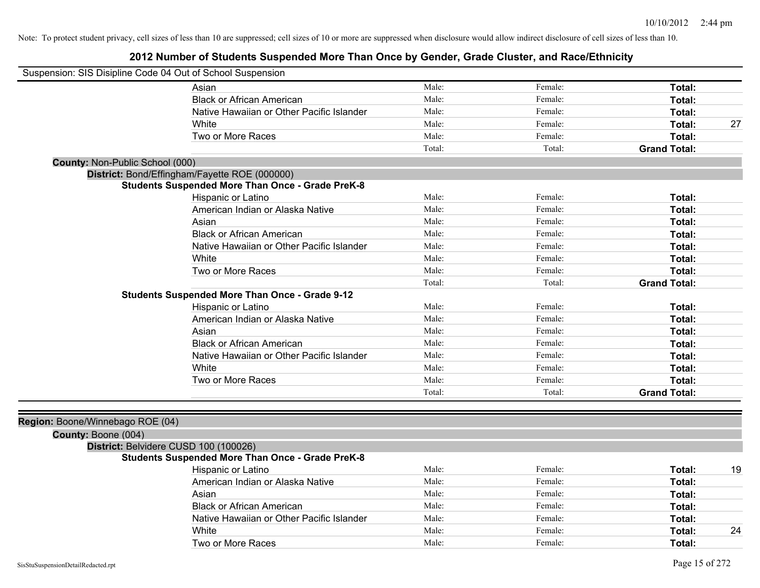| Suspension: SIS Disipline Code 04 Out of School Suspension |                                                         |        |         |                     |    |
|------------------------------------------------------------|---------------------------------------------------------|--------|---------|---------------------|----|
|                                                            | Asian                                                   | Male:  | Female: | Total:              |    |
|                                                            | <b>Black or African American</b>                        | Male:  | Female: | Total:              |    |
|                                                            | Native Hawaiian or Other Pacific Islander               | Male:  | Female: | <b>Total:</b>       |    |
|                                                            | White                                                   | Male:  | Female: | Total:              | 27 |
|                                                            | Two or More Races                                       | Male:  | Female: | Total:              |    |
|                                                            |                                                         | Total: | Total:  | <b>Grand Total:</b> |    |
| County: Non-Public School (000)                            |                                                         |        |         |                     |    |
|                                                            | District: Bond/Effingham/Fayette ROE (000000)           |        |         |                     |    |
|                                                            | <b>Students Suspended More Than Once - Grade PreK-8</b> |        |         |                     |    |
|                                                            | Hispanic or Latino                                      | Male:  | Female: | Total:              |    |
|                                                            | American Indian or Alaska Native                        | Male:  | Female: | Total:              |    |
|                                                            | Asian                                                   | Male:  | Female: | Total:              |    |
|                                                            | <b>Black or African American</b>                        | Male:  | Female: | Total:              |    |
|                                                            | Native Hawaiian or Other Pacific Islander               | Male:  | Female: | Total:              |    |
|                                                            | White                                                   | Male:  | Female: | Total:              |    |
|                                                            | Two or More Races                                       | Male:  | Female: | Total:              |    |
|                                                            |                                                         | Total: | Total:  | <b>Grand Total:</b> |    |
|                                                            | <b>Students Suspended More Than Once - Grade 9-12</b>   |        |         |                     |    |
|                                                            | Hispanic or Latino                                      | Male:  | Female: | Total:              |    |
|                                                            | American Indian or Alaska Native                        | Male:  | Female: | Total:              |    |
|                                                            | Asian                                                   | Male:  | Female: | Total:              |    |
|                                                            | <b>Black or African American</b>                        | Male:  | Female: | Total:              |    |
|                                                            | Native Hawaiian or Other Pacific Islander               | Male:  | Female: | Total:              |    |
|                                                            | White                                                   | Male:  | Female: | Total:              |    |
|                                                            | Two or More Races                                       | Male:  | Female: | Total:              |    |
|                                                            |                                                         | Total: | Total:  | <b>Grand Total:</b> |    |
| Region: Boone/Winnebago ROE (04)                           |                                                         |        |         |                     |    |
| County: Boone (004)                                        |                                                         |        |         |                     |    |
| District: Belvidere CUSD 100 (100026)                      |                                                         |        |         |                     |    |
|                                                            | <b>Students Suspended More Than Once - Grade PreK-8</b> |        |         |                     |    |
|                                                            | <b>Hispanic or Latino</b>                               | Male:  | Female: | Total:              | 19 |
|                                                            | American Indian or Alaska Native                        | Male:  | Female: | Total:              |    |
|                                                            | Asian                                                   | Male:  | Female: | Total:              |    |
|                                                            | <b>Black or African American</b>                        | Male:  | Female: | Total:              |    |
|                                                            | Native Hawaiian or Other Pacific Islander               | Male:  | Female: | Total:              |    |
|                                                            | White                                                   | Male:  | Female: | Total:              | 24 |
|                                                            | Two or More Races                                       | Male:  | Female: | Total:              |    |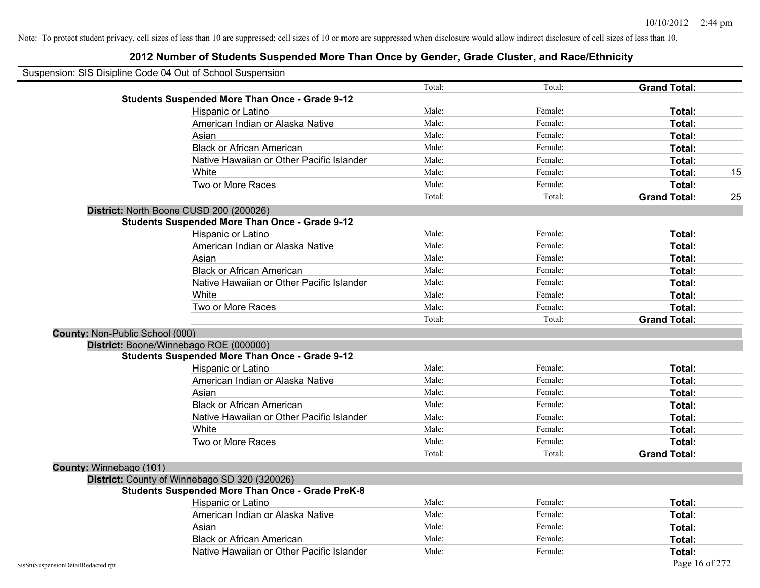| Suspension: SIS Disipline Code 04 Out of School Suspension |                                                         |        |         |                     |  |
|------------------------------------------------------------|---------------------------------------------------------|--------|---------|---------------------|--|
|                                                            |                                                         | Total: | Total:  | <b>Grand Total:</b> |  |
|                                                            | <b>Students Suspended More Than Once - Grade 9-12</b>   |        |         |                     |  |
|                                                            | Hispanic or Latino                                      | Male:  | Female: | Total:              |  |
|                                                            | American Indian or Alaska Native                        | Male:  | Female: | Total:              |  |
|                                                            | Asian                                                   | Male:  | Female: | Total:              |  |
|                                                            | <b>Black or African American</b>                        | Male:  | Female: | Total:              |  |
|                                                            | Native Hawaiian or Other Pacific Islander               | Male:  | Female: | Total:              |  |
|                                                            | White                                                   | Male:  | Female: | Total:              |  |
|                                                            | Two or More Races                                       | Male:  | Female: | Total:              |  |
|                                                            |                                                         | Total: | Total:  | <b>Grand Total:</b> |  |
| District: North Boone CUSD 200 (200026)                    |                                                         |        |         |                     |  |
|                                                            | <b>Students Suspended More Than Once - Grade 9-12</b>   |        |         |                     |  |
|                                                            | Hispanic or Latino                                      | Male:  | Female: | Total:              |  |
|                                                            | American Indian or Alaska Native                        | Male:  | Female: | Total:              |  |
|                                                            | Asian                                                   | Male:  | Female: | Total:              |  |
|                                                            | <b>Black or African American</b>                        | Male:  | Female: | Total:              |  |
|                                                            | Native Hawaiian or Other Pacific Islander               | Male:  | Female: | Total:              |  |
|                                                            | White                                                   | Male:  | Female: | Total:              |  |
|                                                            | Two or More Races                                       | Male:  | Female: | Total:              |  |
|                                                            |                                                         | Total: | Total:  | <b>Grand Total:</b> |  |
| County: Non-Public School (000)                            |                                                         |        |         |                     |  |
| District: Boone/Winnebago ROE (000000)                     |                                                         |        |         |                     |  |
|                                                            | <b>Students Suspended More Than Once - Grade 9-12</b>   |        |         |                     |  |
|                                                            | Hispanic or Latino                                      | Male:  | Female: | Total:              |  |
|                                                            | American Indian or Alaska Native                        | Male:  | Female: | Total:              |  |
|                                                            | Asian                                                   | Male:  | Female: | Total:              |  |
|                                                            | <b>Black or African American</b>                        | Male:  | Female: | Total:              |  |
|                                                            | Native Hawaiian or Other Pacific Islander               | Male:  | Female: | Total:              |  |
|                                                            | White                                                   | Male:  | Female: | Total:              |  |
|                                                            | Two or More Races                                       | Male:  | Female: | Total:              |  |
|                                                            |                                                         | Total: | Total:  | <b>Grand Total:</b> |  |
| County: Winnebago (101)                                    |                                                         |        |         |                     |  |
| District: County of Winnebago SD 320 (320026)              |                                                         |        |         |                     |  |
|                                                            | <b>Students Suspended More Than Once - Grade PreK-8</b> |        |         |                     |  |
|                                                            | Hispanic or Latino                                      | Male:  | Female: | Total:              |  |
|                                                            | American Indian or Alaska Native                        | Male:  | Female: | Total:              |  |
|                                                            | Asian                                                   | Male:  | Female: | Total:              |  |
|                                                            | <b>Black or African American</b>                        | Male:  | Female: | Total:              |  |
|                                                            | Native Hawaiian or Other Pacific Islander               | Male:  | Female: | Total:              |  |
| SisStuSuspensionDetailRedacted.rpt                         |                                                         |        |         | Page 16 of 272      |  |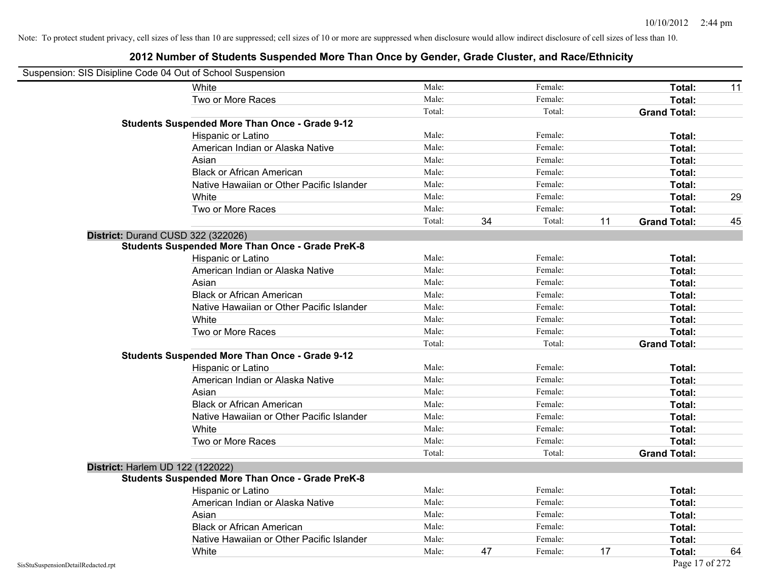| Suspension: SIS Disipline Code 04 Out of School Suspension |                                                         |        |    |         |    |                     |    |
|------------------------------------------------------------|---------------------------------------------------------|--------|----|---------|----|---------------------|----|
|                                                            | <b>White</b>                                            | Male:  |    | Female: |    | Total:              | 11 |
|                                                            | Two or More Races                                       | Male:  |    | Female: |    | Total:              |    |
|                                                            |                                                         | Total: |    | Total:  |    | <b>Grand Total:</b> |    |
|                                                            | <b>Students Suspended More Than Once - Grade 9-12</b>   |        |    |         |    |                     |    |
|                                                            | Hispanic or Latino                                      | Male:  |    | Female: |    | Total:              |    |
|                                                            | American Indian or Alaska Native                        | Male:  |    | Female: |    | Total:              |    |
|                                                            | Asian                                                   | Male:  |    | Female: |    | Total:              |    |
|                                                            | <b>Black or African American</b>                        | Male:  |    | Female: |    | Total:              |    |
|                                                            | Native Hawaiian or Other Pacific Islander               | Male:  |    | Female: |    | Total:              |    |
|                                                            | White                                                   | Male:  |    | Female: |    | Total:              | 29 |
|                                                            | Two or More Races                                       | Male:  |    | Female: |    | Total:              |    |
|                                                            |                                                         | Total: | 34 | Total:  | 11 | <b>Grand Total:</b> | 45 |
| District: Durand CUSD 322 (322026)                         |                                                         |        |    |         |    |                     |    |
|                                                            | <b>Students Suspended More Than Once - Grade PreK-8</b> |        |    |         |    |                     |    |
|                                                            | Hispanic or Latino                                      | Male:  |    | Female: |    | Total:              |    |
|                                                            | American Indian or Alaska Native                        | Male:  |    | Female: |    | Total:              |    |
|                                                            | Asian                                                   | Male:  |    | Female: |    | Total:              |    |
|                                                            | <b>Black or African American</b>                        | Male:  |    | Female: |    | Total:              |    |
|                                                            | Native Hawaiian or Other Pacific Islander               | Male:  |    | Female: |    | Total:              |    |
|                                                            | White                                                   | Male:  |    | Female: |    | Total:              |    |
|                                                            | Two or More Races                                       | Male:  |    | Female: |    | Total:              |    |
|                                                            |                                                         | Total: |    | Total:  |    | <b>Grand Total:</b> |    |
|                                                            | <b>Students Suspended More Than Once - Grade 9-12</b>   |        |    |         |    |                     |    |
|                                                            | Hispanic or Latino                                      | Male:  |    | Female: |    | Total:              |    |
|                                                            | American Indian or Alaska Native                        | Male:  |    | Female: |    | Total:              |    |
|                                                            | Asian                                                   | Male:  |    | Female: |    | Total:              |    |
|                                                            | <b>Black or African American</b>                        | Male:  |    | Female: |    | Total:              |    |
|                                                            | Native Hawaiian or Other Pacific Islander               | Male:  |    | Female: |    | Total:              |    |
|                                                            | White                                                   | Male:  |    | Female: |    | Total:              |    |
|                                                            | Two or More Races                                       | Male:  |    | Female: |    | Total:              |    |
|                                                            |                                                         | Total: |    | Total:  |    | <b>Grand Total:</b> |    |
| District: Harlem UD 122 (122022)                           |                                                         |        |    |         |    |                     |    |
|                                                            | <b>Students Suspended More Than Once - Grade PreK-8</b> |        |    |         |    |                     |    |
|                                                            | Hispanic or Latino                                      | Male:  |    | Female: |    | Total:              |    |
|                                                            | American Indian or Alaska Native                        | Male:  |    | Female: |    | Total:              |    |
|                                                            | Asian                                                   | Male:  |    | Female: |    | Total:              |    |
|                                                            | <b>Black or African American</b>                        | Male:  |    | Female: |    | Total:              |    |
|                                                            | Native Hawaiian or Other Pacific Islander               | Male:  |    | Female: |    | Total:              |    |
|                                                            | White                                                   | Male:  | 47 | Female: | 17 | Total:              | 64 |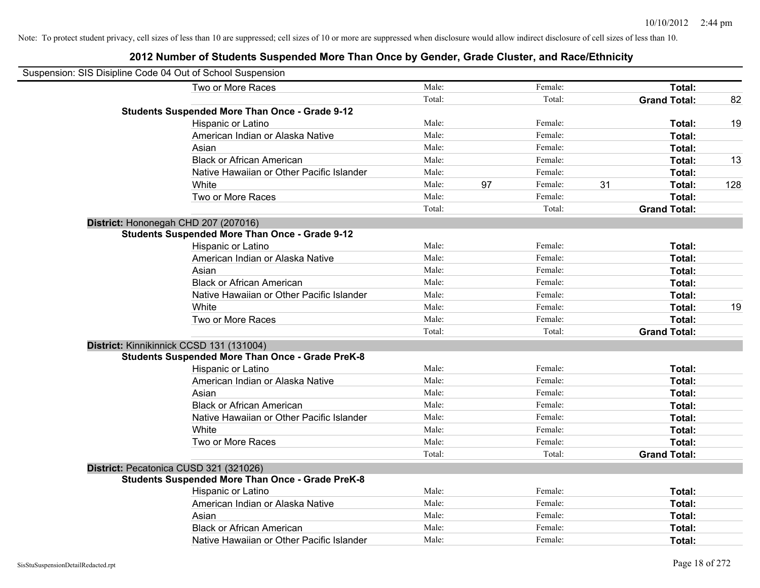| Suspension: SIS Disipline Code 04 Out of School Suspension |        |    |         |    |                     |     |
|------------------------------------------------------------|--------|----|---------|----|---------------------|-----|
| Two or More Races                                          | Male:  |    | Female: |    | Total:              |     |
|                                                            | Total: |    | Total:  |    | <b>Grand Total:</b> | 82  |
| <b>Students Suspended More Than Once - Grade 9-12</b>      |        |    |         |    |                     |     |
| Hispanic or Latino                                         | Male:  |    | Female: |    | Total:              | 19  |
| American Indian or Alaska Native                           | Male:  |    | Female: |    | Total:              |     |
| Asian                                                      | Male:  |    | Female: |    | Total:              |     |
| <b>Black or African American</b>                           | Male:  |    | Female: |    | Total:              | 13  |
| Native Hawaiian or Other Pacific Islander                  | Male:  |    | Female: |    | Total:              |     |
| White                                                      | Male:  | 97 | Female: | 31 | Total:              | 128 |
| Two or More Races                                          | Male:  |    | Female: |    | Total:              |     |
|                                                            | Total: |    | Total:  |    | <b>Grand Total:</b> |     |
| District: Hononegah CHD 207 (207016)                       |        |    |         |    |                     |     |
| <b>Students Suspended More Than Once - Grade 9-12</b>      |        |    |         |    |                     |     |
| Hispanic or Latino                                         | Male:  |    | Female: |    | Total:              |     |
| American Indian or Alaska Native                           | Male:  |    | Female: |    | Total:              |     |
| Asian                                                      | Male:  |    | Female: |    | Total:              |     |
| <b>Black or African American</b>                           | Male:  |    | Female: |    | Total:              |     |
| Native Hawaiian or Other Pacific Islander                  | Male:  |    | Female: |    | Total:              |     |
| White                                                      | Male:  |    | Female: |    | Total:              | 19  |
| Two or More Races                                          | Male:  |    | Female: |    | Total:              |     |
|                                                            | Total: |    | Total:  |    | <b>Grand Total:</b> |     |
| District: Kinnikinnick CCSD 131 (131004)                   |        |    |         |    |                     |     |
| <b>Students Suspended More Than Once - Grade PreK-8</b>    |        |    |         |    |                     |     |
| Hispanic or Latino                                         | Male:  |    | Female: |    | Total:              |     |
| American Indian or Alaska Native                           | Male:  |    | Female: |    | Total:              |     |
| Asian                                                      | Male:  |    | Female: |    | Total:              |     |
| <b>Black or African American</b>                           | Male:  |    | Female: |    | Total:              |     |
| Native Hawaiian or Other Pacific Islander                  | Male:  |    | Female: |    | Total:              |     |
| White                                                      | Male:  |    | Female: |    | Total:              |     |
| Two or More Races                                          | Male:  |    | Female: |    | Total:              |     |
|                                                            | Total: |    | Total:  |    | <b>Grand Total:</b> |     |
| District: Pecatonica CUSD 321 (321026)                     |        |    |         |    |                     |     |
| <b>Students Suspended More Than Once - Grade PreK-8</b>    |        |    |         |    |                     |     |
| Hispanic or Latino                                         | Male:  |    | Female: |    | Total:              |     |
| American Indian or Alaska Native                           | Male:  |    | Female: |    | Total:              |     |
| Asian                                                      | Male:  |    | Female: |    | Total:              |     |
| <b>Black or African American</b>                           | Male:  |    | Female: |    | Total:              |     |
| Native Hawaiian or Other Pacific Islander                  | Male:  |    | Female: |    | Total:              |     |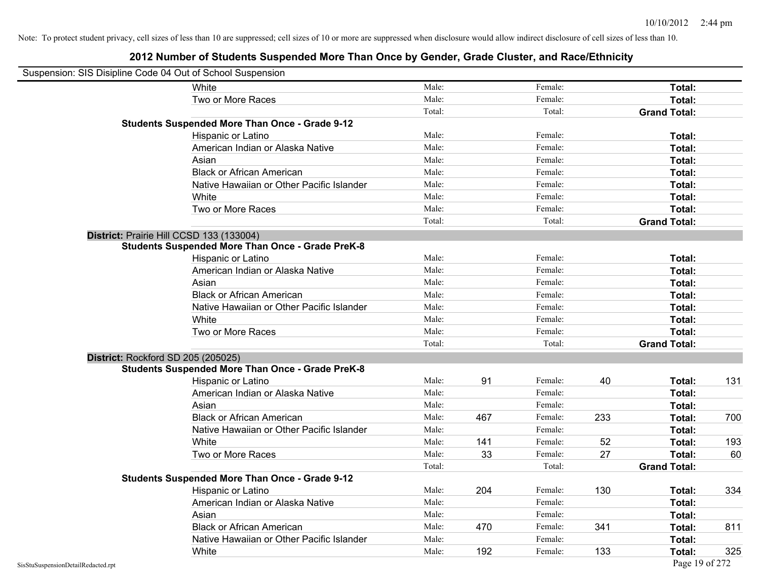|                                    | Suspension: SIS Disipline Code 04 Out of School Suspension |        |     |         |     |                     |     |
|------------------------------------|------------------------------------------------------------|--------|-----|---------|-----|---------------------|-----|
|                                    | White                                                      | Male:  |     | Female: |     | Total:              |     |
|                                    | Two or More Races                                          | Male:  |     | Female: |     | Total:              |     |
|                                    |                                                            | Total: |     | Total:  |     | <b>Grand Total:</b> |     |
|                                    | <b>Students Suspended More Than Once - Grade 9-12</b>      |        |     |         |     |                     |     |
|                                    | Hispanic or Latino                                         | Male:  |     | Female: |     | Total:              |     |
|                                    | American Indian or Alaska Native                           | Male:  |     | Female: |     | Total:              |     |
|                                    | Asian                                                      | Male:  |     | Female: |     | Total:              |     |
|                                    | <b>Black or African American</b>                           | Male:  |     | Female: |     | Total:              |     |
|                                    | Native Hawaiian or Other Pacific Islander                  | Male:  |     | Female: |     | Total:              |     |
|                                    | White                                                      | Male:  |     | Female: |     | Total:              |     |
|                                    | Two or More Races                                          | Male:  |     | Female: |     | Total:              |     |
|                                    |                                                            | Total: |     | Total:  |     | <b>Grand Total:</b> |     |
|                                    | District: Prairie Hill CCSD 133 (133004)                   |        |     |         |     |                     |     |
|                                    | <b>Students Suspended More Than Once - Grade PreK-8</b>    |        |     |         |     |                     |     |
|                                    | Hispanic or Latino                                         | Male:  |     | Female: |     | Total:              |     |
|                                    | American Indian or Alaska Native                           | Male:  |     | Female: |     | Total:              |     |
|                                    | Asian                                                      | Male:  |     | Female: |     | Total:              |     |
|                                    | <b>Black or African American</b>                           | Male:  |     | Female: |     | Total:              |     |
|                                    | Native Hawaiian or Other Pacific Islander                  | Male:  |     | Female: |     | Total:              |     |
|                                    | White                                                      | Male:  |     | Female: |     | Total:              |     |
|                                    | Two or More Races                                          | Male:  |     | Female: |     | Total:              |     |
|                                    |                                                            | Total: |     | Total:  |     | <b>Grand Total:</b> |     |
|                                    | District: Rockford SD 205 (205025)                         |        |     |         |     |                     |     |
|                                    | <b>Students Suspended More Than Once - Grade PreK-8</b>    |        |     |         |     |                     |     |
|                                    | Hispanic or Latino                                         | Male:  | 91  | Female: | 40  | Total:              | 131 |
|                                    | American Indian or Alaska Native                           | Male:  |     | Female: |     | Total:              |     |
|                                    | Asian                                                      | Male:  |     | Female: |     | Total:              |     |
|                                    | <b>Black or African American</b>                           | Male:  | 467 | Female: | 233 | Total:              | 700 |
|                                    | Native Hawaiian or Other Pacific Islander                  | Male:  |     | Female: |     | Total:              |     |
|                                    | White                                                      | Male:  | 141 | Female: | 52  | Total:              | 193 |
|                                    | Two or More Races                                          | Male:  | 33  | Female: | 27  | Total:              | 60  |
|                                    |                                                            | Total: |     | Total:  |     | <b>Grand Total:</b> |     |
|                                    | <b>Students Suspended More Than Once - Grade 9-12</b>      |        |     |         |     |                     |     |
|                                    | <b>Hispanic or Latino</b>                                  | Male:  | 204 | Female: | 130 | Total:              | 334 |
|                                    | American Indian or Alaska Native                           | Male:  |     | Female: |     | Total:              |     |
|                                    | Asian                                                      | Male:  |     | Female: |     | Total:              |     |
|                                    | <b>Black or African American</b>                           | Male:  | 470 | Female: | 341 | Total:              | 811 |
|                                    | Native Hawaiian or Other Pacific Islander                  | Male:  |     | Female: |     | Total:              |     |
|                                    | White                                                      | Male:  | 192 | Female: | 133 | Total:              | 325 |
| SisStuSuspensionDetailRedacted.rpt |                                                            |        |     |         |     | Page 19 of 272      |     |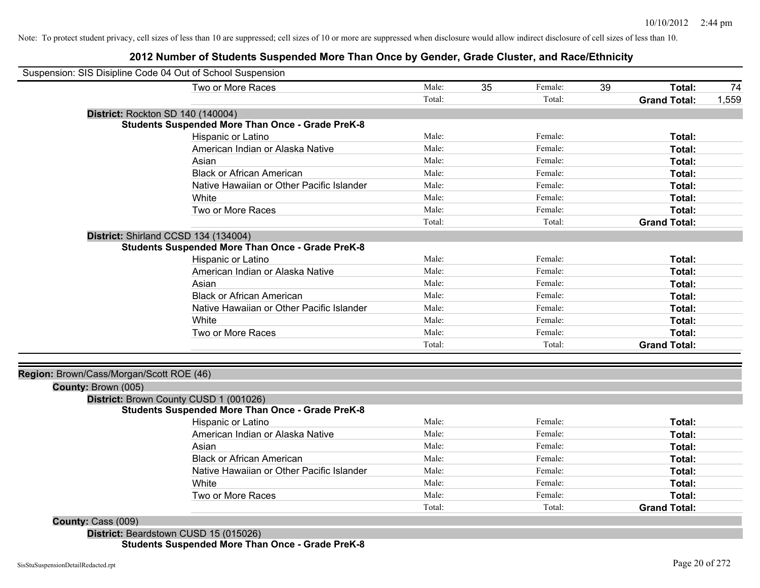### **2012 Number of Students Suspended More Than Once by Gender, Grade Cluster, and Race/Ethnicity**

| Suspension: SIS Disipline Code 04 Out of School Suspension |                                                                                                                                                                                                                                                                                       |        |    |         |    |                     |       |
|------------------------------------------------------------|---------------------------------------------------------------------------------------------------------------------------------------------------------------------------------------------------------------------------------------------------------------------------------------|--------|----|---------|----|---------------------|-------|
|                                                            | Two or More Races                                                                                                                                                                                                                                                                     | Male:  | 35 | Female: | 39 | Total:              | 74    |
|                                                            |                                                                                                                                                                                                                                                                                       | Total: |    | Total:  |    | <b>Grand Total:</b> | 1,559 |
| District: Rockton SD 140 (140004)                          |                                                                                                                                                                                                                                                                                       |        |    |         |    |                     |       |
|                                                            | <b>Students Suspended More Than Once - Grade PreK-8</b>                                                                                                                                                                                                                               |        |    |         |    |                     |       |
|                                                            | Hispanic or Latino                                                                                                                                                                                                                                                                    | Male:  |    | Female: |    | Total:              |       |
|                                                            | American Indian or Alaska Native                                                                                                                                                                                                                                                      | Male:  |    | Female: |    | Total:              |       |
|                                                            | Asian                                                                                                                                                                                                                                                                                 | Male:  |    | Female: |    | Total:              |       |
|                                                            | <b>Black or African American</b>                                                                                                                                                                                                                                                      | Male:  |    | Female: |    | Total:              |       |
|                                                            | Native Hawaiian or Other Pacific Islander                                                                                                                                                                                                                                             | Male:  |    | Female: |    | Total:              |       |
|                                                            | White                                                                                                                                                                                                                                                                                 | Male:  |    | Female: |    | Total:              |       |
|                                                            | Two or More Races                                                                                                                                                                                                                                                                     | Male:  |    | Female: |    | Total:              |       |
|                                                            |                                                                                                                                                                                                                                                                                       | Total: |    | Total:  |    | <b>Grand Total:</b> |       |
|                                                            | District: Shirland CCSD 134 (134004)                                                                                                                                                                                                                                                  |        |    |         |    |                     |       |
|                                                            | <b>Students Suspended More Than Once - Grade PreK-8</b>                                                                                                                                                                                                                               |        |    |         |    |                     |       |
|                                                            | Hispanic or Latino                                                                                                                                                                                                                                                                    | Male:  |    | Female: |    | Total:              |       |
|                                                            | American Indian or Alaska Native                                                                                                                                                                                                                                                      | Male:  |    | Female: |    | Total:              |       |
|                                                            | Asian                                                                                                                                                                                                                                                                                 | Male:  |    | Female: |    | Total:              |       |
|                                                            | <b>Black or African American</b>                                                                                                                                                                                                                                                      | Male:  |    | Female: |    | Total:              |       |
|                                                            | Native Hawaiian or Other Pacific Islander                                                                                                                                                                                                                                             | Male:  |    | Female: |    | Total:              |       |
|                                                            | White                                                                                                                                                                                                                                                                                 | Male:  |    | Female: |    | Total:              |       |
|                                                            | Two or More Races                                                                                                                                                                                                                                                                     | Male:  |    | Female: |    | Total:              |       |
|                                                            |                                                                                                                                                                                                                                                                                       | Total: |    | Total:  |    | <b>Grand Total:</b> |       |
|                                                            |                                                                                                                                                                                                                                                                                       |        |    |         |    |                     |       |
| Region: Brown/Cass/Morgan/Scott ROE (46)                   |                                                                                                                                                                                                                                                                                       |        |    |         |    |                     |       |
| County: Brown (005)                                        |                                                                                                                                                                                                                                                                                       |        |    |         |    |                     |       |
|                                                            | District: Brown County CUSD 1 (001026)                                                                                                                                                                                                                                                |        |    |         |    |                     |       |
|                                                            | <b>Students Suspended More Than Once - Grade PreK-8</b>                                                                                                                                                                                                                               |        |    |         |    |                     |       |
|                                                            | Hispanic or Latino                                                                                                                                                                                                                                                                    | Male:  |    | Female: |    | Total:              |       |
|                                                            | American Indian or Alaska Native                                                                                                                                                                                                                                                      | Male:  |    | Female: |    | Total:              |       |
|                                                            | Asian                                                                                                                                                                                                                                                                                 | Male:  |    | Female: |    | Total:              |       |
|                                                            | <b>Black or African American</b>                                                                                                                                                                                                                                                      | Male:  |    | Female: |    | Total:              |       |
|                                                            | Native Hawaiian or Other Pacific Islander                                                                                                                                                                                                                                             | Male:  |    | Female: |    | Total:              |       |
|                                                            | White                                                                                                                                                                                                                                                                                 | Male:  |    | Female: |    | Total:              |       |
|                                                            | Two or More Races                                                                                                                                                                                                                                                                     | Male:  |    | Female: |    | Total:              |       |
|                                                            |                                                                                                                                                                                                                                                                                       | Total: |    | Total:  |    | <b>Grand Total:</b> |       |
| County: Cass (009)                                         |                                                                                                                                                                                                                                                                                       |        |    |         |    |                     |       |
|                                                            | $D_{i}$ , $L_{i}$ , $L_{i}$ , $D_{i}$ , $L_{i}$ , $L_{i}$ , $L_{i}$ , $L_{i}$ , $L_{i}$ , $L_{i}$ , $L_{i}$ , $L_{i}$ , $L_{i}$ , $L_{i}$ , $L_{i}$ , $L_{i}$ , $L_{i}$ , $L_{i}$ , $L_{i}$ , $L_{i}$ , $L_{i}$ , $L_{i}$ , $L_{i}$ , $L_{i}$ , $L_{i}$ , $L_{i}$ , $L_{i}$ , $L_{i}$ |        |    |         |    |                     |       |

**District:** Beardstown CUSD 15 (015026) **Students Suspended More Than Once - Grade PreK-8**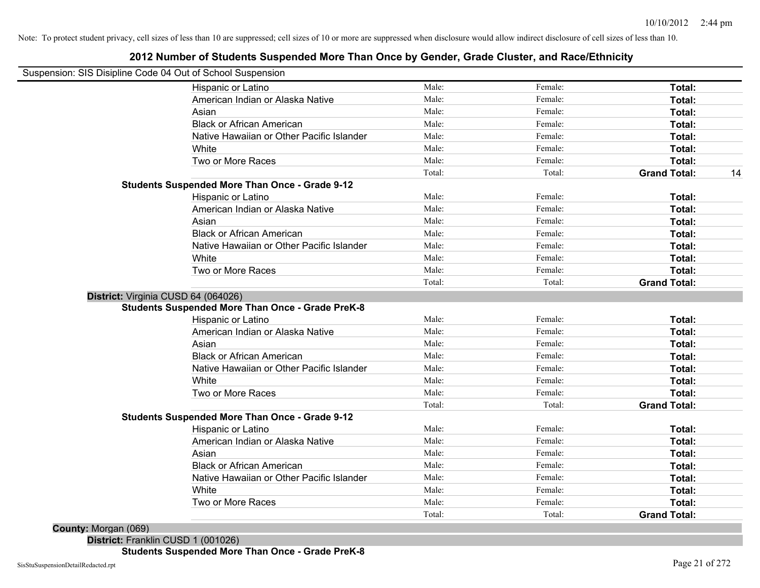### **2012 Number of Students Suspended More Than Once by Gender, Grade Cluster, and Race/Ethnicity**

| Suspension: SIS Disipline Code 04 Out of School Suspension | Male:  | Female: | Total:              |
|------------------------------------------------------------|--------|---------|---------------------|
| Hispanic or Latino                                         |        |         |                     |
| American Indian or Alaska Native                           | Male:  | Female: | Total:              |
| Asian                                                      | Male:  | Female: | Total:              |
| <b>Black or African American</b>                           | Male:  | Female: | Total:              |
| Native Hawaiian or Other Pacific Islander                  | Male:  | Female: | Total:              |
| White                                                      | Male:  | Female: | Total:              |
| Two or More Races                                          | Male:  | Female: | Total:              |
|                                                            | Total: | Total:  | <b>Grand Total:</b> |
| <b>Students Suspended More Than Once - Grade 9-12</b>      |        |         |                     |
| Hispanic or Latino                                         | Male:  | Female: | Total:              |
| American Indian or Alaska Native                           | Male:  | Female: | Total:              |
| Asian                                                      | Male:  | Female: | Total:              |
| <b>Black or African American</b>                           | Male:  | Female: | Total:              |
| Native Hawaiian or Other Pacific Islander                  | Male:  | Female: | Total:              |
| White                                                      | Male:  | Female: | Total:              |
| Two or More Races                                          | Male:  | Female: | Total:              |
|                                                            | Total: | Total:  | <b>Grand Total:</b> |
| District: Virginia CUSD 64 (064026)                        |        |         |                     |
| <b>Students Suspended More Than Once - Grade PreK-8</b>    |        |         |                     |
| Hispanic or Latino                                         | Male:  | Female: | Total:              |
| American Indian or Alaska Native                           | Male:  | Female: | Total:              |
| Asian                                                      | Male:  | Female: | Total:              |
| <b>Black or African American</b>                           | Male:  | Female: | Total:              |
| Native Hawaiian or Other Pacific Islander                  | Male:  | Female: | Total:              |
| White                                                      | Male:  | Female: | Total:              |
| Two or More Races                                          | Male:  | Female: | Total:              |
|                                                            | Total: | Total:  | <b>Grand Total:</b> |
| <b>Students Suspended More Than Once - Grade 9-12</b>      |        |         |                     |
| Hispanic or Latino                                         | Male:  | Female: | Total:              |
| American Indian or Alaska Native                           | Male:  | Female: | Total:              |
| Asian                                                      | Male:  | Female: | Total:              |
| <b>Black or African American</b>                           | Male:  | Female: | Total:              |
| Native Hawaiian or Other Pacific Islander                  | Male:  | Female: | Total:              |
| White                                                      | Male:  | Female: | Total:              |
| Two or More Races                                          | Male:  | Female: | Total:              |
|                                                            | Total: | Total:  | <b>Grand Total:</b> |

**District:** Franklin CUSD 1 (001026)

**Students Suspended More Than Once - Grade PreK-8**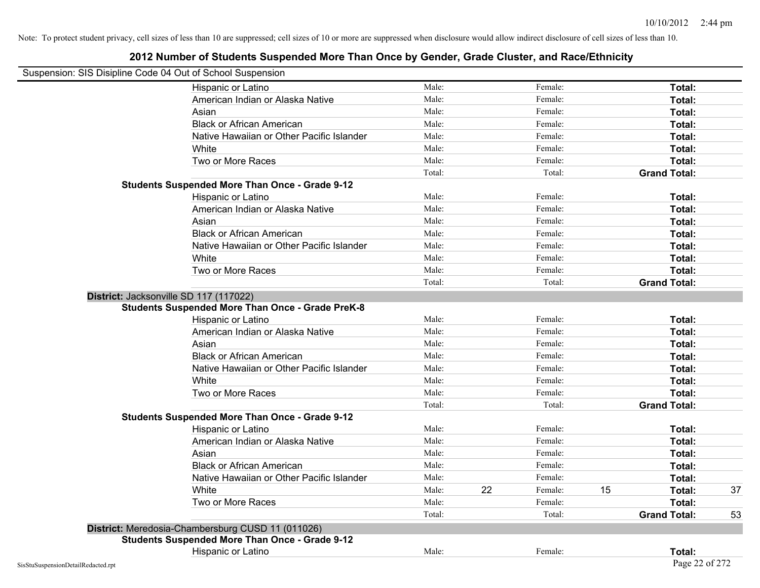| Suspension: SIS Disipline Code 04 Out of School Suspension |                                                         |        |    |         |    |                     |    |
|------------------------------------------------------------|---------------------------------------------------------|--------|----|---------|----|---------------------|----|
|                                                            | Hispanic or Latino                                      | Male:  |    | Female: |    | Total:              |    |
|                                                            | American Indian or Alaska Native                        | Male:  |    | Female: |    | Total:              |    |
|                                                            | Asian                                                   | Male:  |    | Female: |    | Total:              |    |
|                                                            | <b>Black or African American</b>                        | Male:  |    | Female: |    | Total:              |    |
|                                                            | Native Hawaiian or Other Pacific Islander               | Male:  |    | Female: |    | Total:              |    |
|                                                            | White                                                   | Male:  |    | Female: |    | Total:              |    |
|                                                            | Two or More Races                                       | Male:  |    | Female: |    | Total:              |    |
|                                                            |                                                         | Total: |    | Total:  |    | <b>Grand Total:</b> |    |
|                                                            | <b>Students Suspended More Than Once - Grade 9-12</b>   |        |    |         |    |                     |    |
|                                                            | Hispanic or Latino                                      | Male:  |    | Female: |    | Total:              |    |
|                                                            | American Indian or Alaska Native                        | Male:  |    | Female: |    | Total:              |    |
|                                                            | Asian                                                   | Male:  |    | Female: |    | Total:              |    |
|                                                            | <b>Black or African American</b>                        | Male:  |    | Female: |    | Total:              |    |
|                                                            | Native Hawaiian or Other Pacific Islander               | Male:  |    | Female: |    | Total:              |    |
|                                                            | White                                                   | Male:  |    | Female: |    | Total:              |    |
|                                                            | Two or More Races                                       | Male:  |    | Female: |    | Total:              |    |
|                                                            |                                                         | Total: |    | Total:  |    | <b>Grand Total:</b> |    |
|                                                            | District: Jacksonville SD 117 (117022)                  |        |    |         |    |                     |    |
|                                                            | <b>Students Suspended More Than Once - Grade PreK-8</b> |        |    |         |    |                     |    |
|                                                            | Hispanic or Latino                                      | Male:  |    | Female: |    | Total:              |    |
|                                                            | American Indian or Alaska Native                        | Male:  |    | Female: |    | Total:              |    |
|                                                            | Asian                                                   | Male:  |    | Female: |    | Total:              |    |
|                                                            | <b>Black or African American</b>                        | Male:  |    | Female: |    | Total:              |    |
|                                                            | Native Hawaiian or Other Pacific Islander               | Male:  |    | Female: |    | Total:              |    |
|                                                            | White                                                   | Male:  |    | Female: |    | Total:              |    |
|                                                            | Two or More Races                                       | Male:  |    | Female: |    | Total:              |    |
|                                                            |                                                         | Total: |    | Total:  |    | <b>Grand Total:</b> |    |
|                                                            | <b>Students Suspended More Than Once - Grade 9-12</b>   |        |    |         |    |                     |    |
|                                                            | Hispanic or Latino                                      | Male:  |    | Female: |    | Total:              |    |
|                                                            | American Indian or Alaska Native                        | Male:  |    | Female: |    | Total:              |    |
|                                                            | Asian                                                   | Male:  |    | Female: |    | Total:              |    |
|                                                            | <b>Black or African American</b>                        | Male:  |    | Female: |    | Total:              |    |
|                                                            | Native Hawaiian or Other Pacific Islander               | Male:  |    | Female: |    | Total:              |    |
|                                                            | White                                                   | Male:  | 22 | Female: | 15 | Total:              | 37 |
|                                                            | Two or More Races                                       | Male:  |    | Female: |    | Total:              |    |
|                                                            |                                                         | Total: |    | Total:  |    | <b>Grand Total:</b> | 53 |
|                                                            | District: Meredosia-Chambersburg CUSD 11 (011026)       |        |    |         |    |                     |    |
|                                                            | <b>Students Suspended More Than Once - Grade 9-12</b>   |        |    |         |    |                     |    |
|                                                            | Hispanic or Latino                                      | Male:  |    | Female: |    | Total:              |    |
| SisStuSuspensionDetailRedacted.rpt                         |                                                         |        |    |         |    | Page 22 of 272      |    |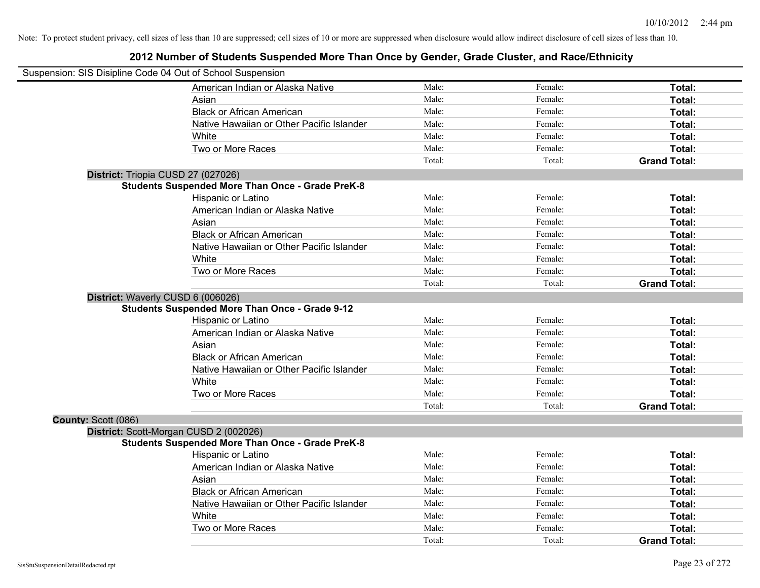| Suspension: SIS Disipline Code 04 Out of School Suspension |                                                         |        |         |                     |
|------------------------------------------------------------|---------------------------------------------------------|--------|---------|---------------------|
|                                                            | American Indian or Alaska Native                        | Male:  | Female: | Total:              |
|                                                            | Asian                                                   | Male:  | Female: | Total:              |
|                                                            | <b>Black or African American</b>                        | Male:  | Female: | Total:              |
|                                                            | Native Hawaiian or Other Pacific Islander               | Male:  | Female: | Total:              |
|                                                            | White                                                   | Male:  | Female: | Total:              |
|                                                            | Two or More Races                                       | Male:  | Female: | Total:              |
|                                                            |                                                         | Total: | Total:  | <b>Grand Total:</b> |
| District: Triopia CUSD 27 (027026)                         |                                                         |        |         |                     |
|                                                            | <b>Students Suspended More Than Once - Grade PreK-8</b> |        |         |                     |
|                                                            | Hispanic or Latino                                      | Male:  | Female: | Total:              |
|                                                            | American Indian or Alaska Native                        | Male:  | Female: | Total:              |
|                                                            | Asian                                                   | Male:  | Female: | Total:              |
|                                                            | <b>Black or African American</b>                        | Male:  | Female: | Total:              |
|                                                            | Native Hawaiian or Other Pacific Islander               | Male:  | Female: | Total:              |
|                                                            | White                                                   | Male:  | Female: | Total:              |
|                                                            | Two or More Races                                       | Male:  | Female: | Total:              |
|                                                            |                                                         | Total: | Total:  | <b>Grand Total:</b> |
| District: Waverly CUSD 6 (006026)                          |                                                         |        |         |                     |
|                                                            | <b>Students Suspended More Than Once - Grade 9-12</b>   |        |         |                     |
|                                                            | Hispanic or Latino                                      | Male:  | Female: | Total:              |
|                                                            | American Indian or Alaska Native                        | Male:  | Female: | Total:              |
|                                                            | Asian                                                   | Male:  | Female: | Total:              |
|                                                            | <b>Black or African American</b>                        | Male:  | Female: | Total:              |
|                                                            | Native Hawaiian or Other Pacific Islander               | Male:  | Female: | Total:              |
|                                                            | White                                                   | Male:  | Female: | Total:              |
|                                                            | Two or More Races                                       | Male:  | Female: | Total:              |
|                                                            |                                                         | Total: | Total:  | <b>Grand Total:</b> |
| County: Scott (086)                                        |                                                         |        |         |                     |
|                                                            | District: Scott-Morgan CUSD 2 (002026)                  |        |         |                     |
|                                                            | <b>Students Suspended More Than Once - Grade PreK-8</b> |        |         |                     |
|                                                            | Hispanic or Latino                                      | Male:  | Female: | Total:              |
|                                                            | American Indian or Alaska Native                        | Male:  | Female: | Total:              |
|                                                            | Asian                                                   | Male:  | Female: | Total:              |
|                                                            | <b>Black or African American</b>                        | Male:  | Female: | Total:              |
|                                                            | Native Hawaiian or Other Pacific Islander               | Male:  | Female: | Total:              |
|                                                            | White                                                   | Male:  | Female: | Total:              |
|                                                            | Two or More Races                                       | Male:  | Female: | Total:              |
|                                                            |                                                         | Total: | Total:  | <b>Grand Total:</b> |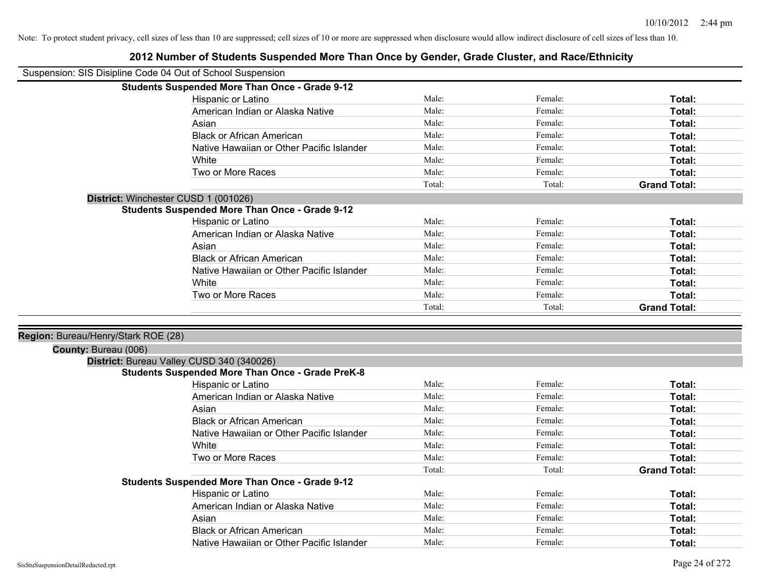| Suspension: SIS Disipline Code 04 Out of School Suspension |                                                                               |        |         |                     |
|------------------------------------------------------------|-------------------------------------------------------------------------------|--------|---------|---------------------|
|                                                            | <b>Students Suspended More Than Once - Grade 9-12</b>                         |        |         |                     |
|                                                            | Hispanic or Latino                                                            | Male:  | Female: | Total:              |
|                                                            | American Indian or Alaska Native                                              | Male:  | Female: | Total:              |
|                                                            | Asian                                                                         | Male:  | Female: | Total:              |
|                                                            | <b>Black or African American</b>                                              | Male:  | Female: | Total:              |
|                                                            | Native Hawaiian or Other Pacific Islander                                     | Male:  | Female: | Total:              |
|                                                            | White                                                                         | Male:  | Female: | Total:              |
|                                                            | Two or More Races                                                             | Male:  | Female: | Total:              |
|                                                            |                                                                               | Total: | Total:  | <b>Grand Total:</b> |
|                                                            | District: Winchester CUSD 1 (001026)                                          |        |         |                     |
|                                                            | <b>Students Suspended More Than Once - Grade 9-12</b>                         |        |         |                     |
|                                                            | Hispanic or Latino                                                            | Male:  | Female: | Total:              |
|                                                            | American Indian or Alaska Native                                              | Male:  | Female: | Total:              |
|                                                            | Asian                                                                         | Male:  | Female: | Total:              |
|                                                            | <b>Black or African American</b>                                              | Male:  | Female: | Total:              |
|                                                            | Native Hawaiian or Other Pacific Islander                                     | Male:  | Female: | Total:              |
|                                                            | White                                                                         | Male:  | Female: | Total:              |
|                                                            | Two or More Races                                                             | Male:  | Female: | Total:              |
|                                                            |                                                                               | Total: | Total:  | <b>Grand Total:</b> |
|                                                            |                                                                               |        |         |                     |
| Region: Bureau/Henry/Stark ROE (28)                        |                                                                               |        |         |                     |
|                                                            |                                                                               |        |         |                     |
|                                                            |                                                                               |        |         |                     |
| County: Bureau (006)                                       |                                                                               |        |         |                     |
|                                                            | District: Bureau Valley CUSD 340 (340026)                                     |        |         |                     |
|                                                            | <b>Students Suspended More Than Once - Grade PreK-8</b><br>Hispanic or Latino | Male:  | Female: | Total:              |
|                                                            | American Indian or Alaska Native                                              | Male:  | Female: | Total:              |
|                                                            | Asian                                                                         | Male:  | Female: | Total:              |
|                                                            | <b>Black or African American</b>                                              | Male:  | Female: | Total:              |
|                                                            | Native Hawaiian or Other Pacific Islander                                     | Male:  | Female: | Total:              |
|                                                            | White                                                                         | Male:  | Female: | Total:              |
|                                                            | Two or More Races                                                             | Male:  | Female: | Total:              |
|                                                            |                                                                               | Total: | Total:  | <b>Grand Total:</b> |
|                                                            |                                                                               |        |         |                     |
|                                                            | Students Suspended More Than Once - Grade 9-12<br>Hispanic or Latino          | Male:  | Female: | Total:              |
|                                                            | American Indian or Alaska Native                                              | Male:  | Female: | Total:              |
|                                                            | Asian                                                                         | Male:  | Female: | Total:              |
|                                                            | <b>Black or African American</b>                                              | Male:  | Female: | Total:              |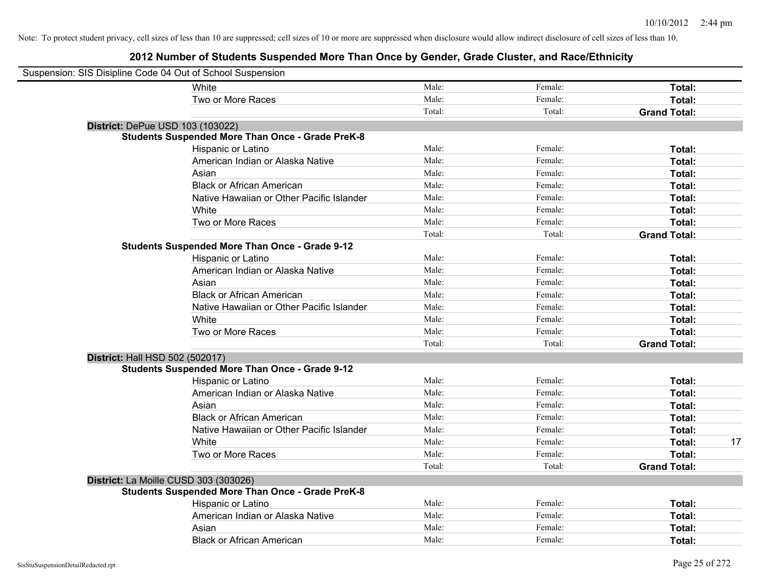| Suspension: SIS Disipline Code 04 Out of School Suspension |                                                         |        |         |                     |    |
|------------------------------------------------------------|---------------------------------------------------------|--------|---------|---------------------|----|
|                                                            | <b>White</b>                                            | Male:  | Female: | Total:              |    |
|                                                            | Two or More Races                                       | Male:  | Female: | Total:              |    |
|                                                            |                                                         | Total: | Total:  | <b>Grand Total:</b> |    |
| District: DePue USD 103 (103022)                           |                                                         |        |         |                     |    |
|                                                            | <b>Students Suspended More Than Once - Grade PreK-8</b> |        |         |                     |    |
|                                                            | Hispanic or Latino                                      | Male:  | Female: | Total:              |    |
|                                                            | American Indian or Alaska Native                        | Male:  | Female: | Total:              |    |
|                                                            | Asian                                                   | Male:  | Female: | Total:              |    |
|                                                            | <b>Black or African American</b>                        | Male:  | Female: | Total:              |    |
|                                                            | Native Hawaiian or Other Pacific Islander               | Male:  | Female: | Total:              |    |
|                                                            | White                                                   | Male:  | Female: | Total:              |    |
|                                                            | Two or More Races                                       | Male:  | Female: | Total:              |    |
|                                                            |                                                         | Total: | Total:  | <b>Grand Total:</b> |    |
|                                                            | <b>Students Suspended More Than Once - Grade 9-12</b>   |        |         |                     |    |
|                                                            | Hispanic or Latino                                      | Male:  | Female: | Total:              |    |
|                                                            | American Indian or Alaska Native                        | Male:  | Female: | Total:              |    |
|                                                            | Asian                                                   | Male:  | Female: | Total:              |    |
|                                                            | <b>Black or African American</b>                        | Male:  | Female: | Total:              |    |
|                                                            | Native Hawaiian or Other Pacific Islander               | Male:  | Female: | Total:              |    |
|                                                            | White                                                   | Male:  | Female: | Total:              |    |
|                                                            | Two or More Races                                       | Male:  | Female: | Total:              |    |
|                                                            |                                                         | Total: | Total:  | <b>Grand Total:</b> |    |
| District: Hall HSD 502 (502017)                            |                                                         |        |         |                     |    |
|                                                            | <b>Students Suspended More Than Once - Grade 9-12</b>   |        |         |                     |    |
|                                                            | Hispanic or Latino                                      | Male:  | Female: | Total:              |    |
|                                                            | American Indian or Alaska Native                        | Male:  | Female: | Total:              |    |
|                                                            | Asian                                                   | Male:  | Female: | Total:              |    |
|                                                            | <b>Black or African American</b>                        | Male:  | Female: | Total:              |    |
|                                                            | Native Hawaiian or Other Pacific Islander               | Male:  | Female: | Total:              |    |
|                                                            | White                                                   | Male:  | Female: | Total:              | 17 |
|                                                            | Two or More Races                                       | Male:  | Female: | Total:              |    |
|                                                            |                                                         | Total: | Total:  | <b>Grand Total:</b> |    |
|                                                            | District: La Moille CUSD 303 (303026)                   |        |         |                     |    |
|                                                            | <b>Students Suspended More Than Once - Grade PreK-8</b> |        |         |                     |    |
|                                                            | Hispanic or Latino                                      | Male:  | Female: | Total:              |    |
|                                                            | American Indian or Alaska Native                        | Male:  | Female: | Total:              |    |
|                                                            | Asian                                                   | Male:  | Female: | Total:              |    |
|                                                            | <b>Black or African American</b>                        | Male:  | Female: | Total:              |    |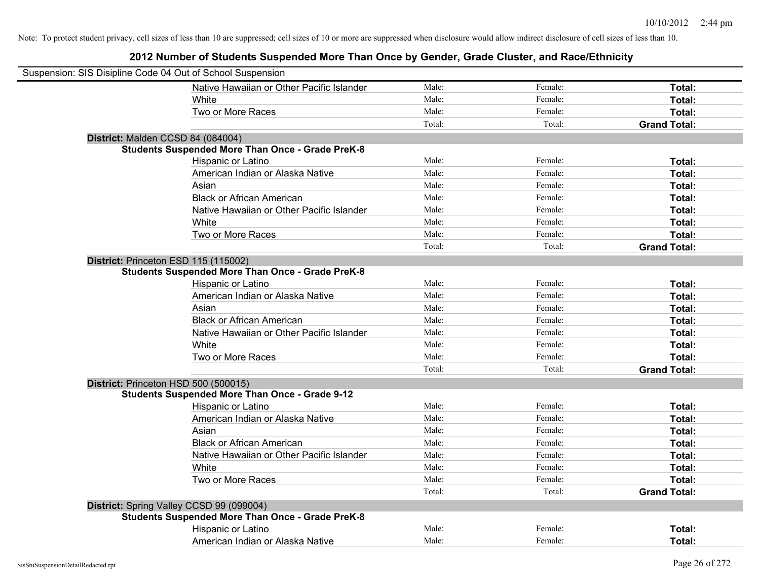| Suspension: SIS Disipline Code 04 Out of School Suspension |                                                         |        |         |                     |
|------------------------------------------------------------|---------------------------------------------------------|--------|---------|---------------------|
|                                                            | Native Hawaiian or Other Pacific Islander               | Male:  | Female: | Total:              |
|                                                            | White                                                   | Male:  | Female: | Total:              |
|                                                            | Two or More Races                                       | Male:  | Female: | Total:              |
|                                                            |                                                         | Total: | Total:  | <b>Grand Total:</b> |
| District: Malden CCSD 84 (084004)                          |                                                         |        |         |                     |
|                                                            | <b>Students Suspended More Than Once - Grade PreK-8</b> |        |         |                     |
|                                                            | Hispanic or Latino                                      | Male:  | Female: | Total:              |
|                                                            | American Indian or Alaska Native                        | Male:  | Female: | Total:              |
|                                                            | Asian                                                   | Male:  | Female: | Total:              |
|                                                            | <b>Black or African American</b>                        | Male:  | Female: | Total:              |
|                                                            | Native Hawaiian or Other Pacific Islander               | Male:  | Female: | Total:              |
|                                                            | White                                                   | Male:  | Female: | Total:              |
|                                                            | Two or More Races                                       | Male:  | Female: | Total:              |
|                                                            |                                                         | Total: | Total:  | <b>Grand Total:</b> |
| District: Princeton ESD 115 (115002)                       |                                                         |        |         |                     |
|                                                            | <b>Students Suspended More Than Once - Grade PreK-8</b> |        |         |                     |
|                                                            | Hispanic or Latino                                      | Male:  | Female: | Total:              |
|                                                            | American Indian or Alaska Native                        | Male:  | Female: | Total:              |
|                                                            | Asian                                                   | Male:  | Female: | Total:              |
|                                                            | <b>Black or African American</b>                        | Male:  | Female: | Total:              |
|                                                            | Native Hawaiian or Other Pacific Islander               | Male:  | Female: | Total:              |
|                                                            | White                                                   | Male:  | Female: | Total:              |
|                                                            | Two or More Races                                       | Male:  | Female: | Total:              |
|                                                            |                                                         | Total: | Total:  | <b>Grand Total:</b> |
| District: Princeton HSD 500 (500015)                       |                                                         |        |         |                     |
|                                                            | <b>Students Suspended More Than Once - Grade 9-12</b>   |        |         |                     |
|                                                            | Hispanic or Latino                                      | Male:  | Female: | Total:              |
|                                                            | American Indian or Alaska Native                        | Male:  | Female: | Total:              |
|                                                            | Asian                                                   | Male:  | Female: | Total:              |
|                                                            | <b>Black or African American</b>                        | Male:  | Female: | Total:              |
|                                                            | Native Hawaiian or Other Pacific Islander               | Male:  | Female: | Total:              |
|                                                            | White                                                   | Male:  | Female: | Total:              |
|                                                            | Two or More Races                                       | Male:  | Female: | Total:              |
|                                                            |                                                         | Total: | Total:  | <b>Grand Total:</b> |
| District: Spring Valley CCSD 99 (099004)                   |                                                         |        |         |                     |
|                                                            | <b>Students Suspended More Than Once - Grade PreK-8</b> |        |         |                     |
|                                                            | Hispanic or Latino                                      | Male:  | Female: | Total:              |
|                                                            | American Indian or Alaska Native                        | Male:  | Female: | Total:              |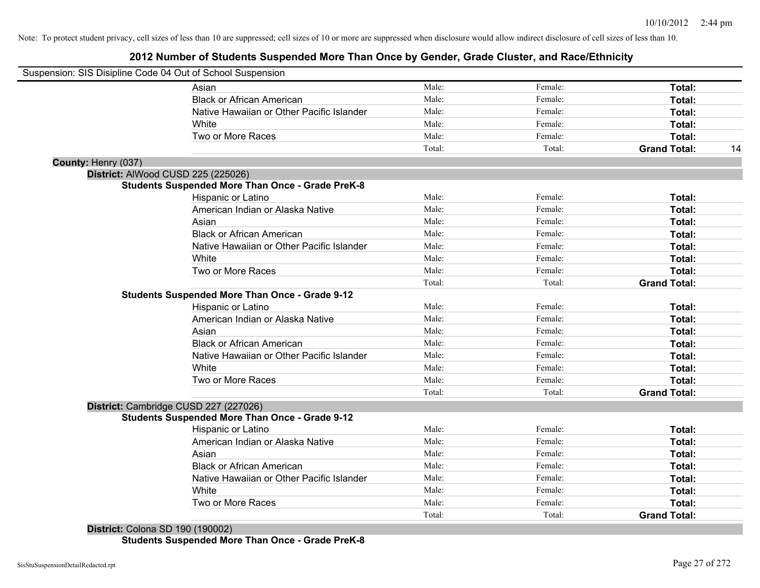### **2012 Number of Students Suspended More Than Once by Gender, Grade Cluster, and Race/Ethnicity**

| Suspension: SIS Disipline Code 04 Out of School Suspension |                                                         |        |         |                     |    |
|------------------------------------------------------------|---------------------------------------------------------|--------|---------|---------------------|----|
|                                                            | Asian                                                   | Male:  | Female: | Total:              |    |
|                                                            | <b>Black or African American</b>                        | Male:  | Female: | Total:              |    |
|                                                            | Native Hawaiian or Other Pacific Islander               | Male:  | Female: | Total:              |    |
|                                                            | White                                                   | Male:  | Female: | Total:              |    |
|                                                            | Two or More Races                                       | Male:  | Female: | Total:              |    |
|                                                            |                                                         | Total: | Total:  | <b>Grand Total:</b> | 14 |
| County: Henry (037)                                        |                                                         |        |         |                     |    |
| District: AlWood CUSD 225 (225026)                         |                                                         |        |         |                     |    |
|                                                            | <b>Students Suspended More Than Once - Grade PreK-8</b> |        |         |                     |    |
|                                                            | Hispanic or Latino                                      | Male:  | Female: | Total:              |    |
|                                                            | American Indian or Alaska Native                        | Male:  | Female: | Total:              |    |
|                                                            | Asian                                                   | Male:  | Female: | Total:              |    |
|                                                            | <b>Black or African American</b>                        | Male:  | Female: | Total:              |    |
|                                                            | Native Hawaiian or Other Pacific Islander               | Male:  | Female: | Total:              |    |
|                                                            | White                                                   | Male:  | Female: | Total:              |    |
|                                                            | Two or More Races                                       | Male:  | Female: | Total:              |    |
|                                                            |                                                         | Total: | Total:  | <b>Grand Total:</b> |    |
|                                                            | <b>Students Suspended More Than Once - Grade 9-12</b>   |        |         |                     |    |
|                                                            | Hispanic or Latino                                      | Male:  | Female: | Total:              |    |
|                                                            | American Indian or Alaska Native                        | Male:  | Female: | Total:              |    |
|                                                            | Asian                                                   | Male:  | Female: | Total:              |    |
|                                                            | <b>Black or African American</b>                        | Male:  | Female: | Total:              |    |
|                                                            | Native Hawaiian or Other Pacific Islander               | Male:  | Female: | Total:              |    |
|                                                            | White                                                   | Male:  | Female: | Total:              |    |
|                                                            | Two or More Races                                       | Male:  | Female: | <b>Total:</b>       |    |
|                                                            |                                                         | Total: | Total:  | <b>Grand Total:</b> |    |
| District: Cambridge CUSD 227 (227026)                      |                                                         |        |         |                     |    |
|                                                            | <b>Students Suspended More Than Once - Grade 9-12</b>   |        |         |                     |    |
|                                                            | Hispanic or Latino                                      | Male:  | Female: | Total:              |    |
|                                                            | American Indian or Alaska Native                        | Male:  | Female: | Total:              |    |
|                                                            | Asian                                                   | Male:  | Female: | Total:              |    |
|                                                            | <b>Black or African American</b>                        | Male:  | Female: | Total:              |    |
|                                                            | Native Hawaiian or Other Pacific Islander               | Male:  | Female: | Total:              |    |
|                                                            | White                                                   | Male:  | Female: | Total:              |    |
|                                                            | Two or More Races                                       | Male:  | Female: | <b>Total:</b>       |    |
| $D_{i}$ , $(100000)$                                       |                                                         | Total: | Total:  | <b>Grand Total:</b> |    |

**District:** Colona SD 190 (190002) **Students Suspended More Than Once - Grade PreK-8**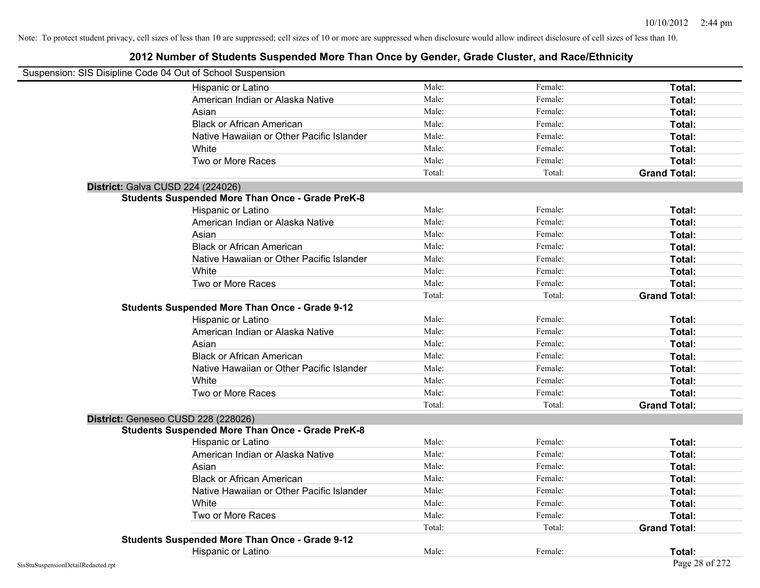| Suspension: SIS Disipline Code 04 Out of School Suspension |                                                         |        |         |                     |
|------------------------------------------------------------|---------------------------------------------------------|--------|---------|---------------------|
|                                                            | Hispanic or Latino                                      | Male:  | Female: | Total:              |
|                                                            | American Indian or Alaska Native                        | Male:  | Female: | Total:              |
|                                                            | Asian                                                   | Male:  | Female: | Total:              |
|                                                            | <b>Black or African American</b>                        | Male:  | Female: | Total:              |
|                                                            | Native Hawaiian or Other Pacific Islander               | Male:  | Female: | Total:              |
|                                                            | White                                                   | Male:  | Female: | Total:              |
|                                                            | Two or More Races                                       | Male:  | Female: | Total:              |
|                                                            |                                                         | Total: | Total:  | <b>Grand Total:</b> |
| District: Galva CUSD 224 (224026)                          |                                                         |        |         |                     |
|                                                            | <b>Students Suspended More Than Once - Grade PreK-8</b> |        |         |                     |
|                                                            | Hispanic or Latino                                      | Male:  | Female: | Total:              |
|                                                            | American Indian or Alaska Native                        | Male:  | Female: | Total:              |
|                                                            | Asian                                                   | Male:  | Female: | Total:              |
|                                                            | <b>Black or African American</b>                        | Male:  | Female: | Total:              |
|                                                            | Native Hawaiian or Other Pacific Islander               | Male:  | Female: | Total:              |
|                                                            | White                                                   | Male:  | Female: | Total:              |
|                                                            | Two or More Races                                       | Male:  | Female: | Total:              |
|                                                            |                                                         | Total: | Total:  | <b>Grand Total:</b> |
|                                                            | <b>Students Suspended More Than Once - Grade 9-12</b>   |        |         |                     |
|                                                            | Hispanic or Latino                                      | Male:  | Female: | Total:              |
|                                                            | American Indian or Alaska Native                        | Male:  | Female: | Total:              |
|                                                            | Asian                                                   | Male:  | Female: | Total:              |
|                                                            | <b>Black or African American</b>                        | Male:  | Female: | Total:              |
|                                                            | Native Hawaiian or Other Pacific Islander               | Male:  | Female: | Total:              |
|                                                            | White                                                   | Male:  | Female: | Total:              |
|                                                            | Two or More Races                                       | Male:  | Female: | Total:              |
|                                                            |                                                         | Total: | Total:  | <b>Grand Total:</b> |
|                                                            | District: Geneseo CUSD 228 (228026)                     |        |         |                     |
|                                                            | <b>Students Suspended More Than Once - Grade PreK-8</b> |        |         |                     |
|                                                            | Hispanic or Latino                                      | Male:  | Female: | Total:              |
|                                                            | American Indian or Alaska Native                        | Male:  | Female: | Total:              |
|                                                            | Asian                                                   | Male:  | Female: | Total:              |
|                                                            | <b>Black or African American</b>                        | Male:  | Female: | Total:              |
|                                                            | Native Hawaiian or Other Pacific Islander               | Male:  | Female: | Total:              |
|                                                            | White                                                   | Male:  | Female: | Total:              |
|                                                            | Two or More Races                                       | Male:  | Female: | Total:              |
|                                                            |                                                         | Total: | Total:  | <b>Grand Total:</b> |
|                                                            | <b>Students Suspended More Than Once - Grade 9-12</b>   |        |         |                     |
|                                                            | Hispanic or Latino                                      | Male:  | Female: | Total:              |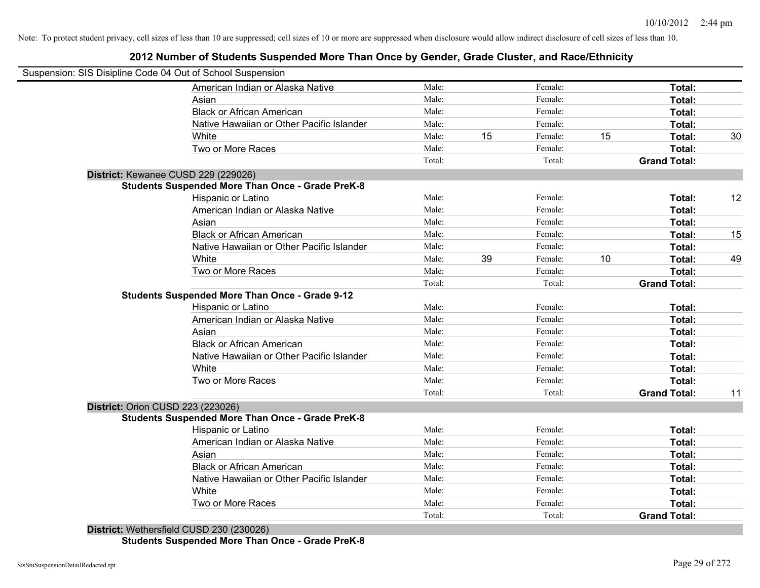### **2012 Number of Students Suspended More Than Once by Gender, Grade Cluster, and Race/Ethnicity**

|                                          | Suspension: SIS Disipline Code 04 Out of School Suspension |        |    |         |    |                     |    |
|------------------------------------------|------------------------------------------------------------|--------|----|---------|----|---------------------|----|
|                                          | American Indian or Alaska Native                           | Male:  |    | Female: |    | Total:              |    |
|                                          | Asian                                                      | Male:  |    | Female: |    | Total:              |    |
|                                          | <b>Black or African American</b>                           | Male:  |    | Female: |    | Total:              |    |
|                                          | Native Hawaiian or Other Pacific Islander                  | Male:  |    | Female: |    | Total:              |    |
|                                          | White                                                      | Male:  | 15 | Female: | 15 | Total:              | 30 |
|                                          | Two or More Races                                          | Male:  |    | Female: |    | Total:              |    |
|                                          |                                                            | Total: |    | Total:  |    | <b>Grand Total:</b> |    |
|                                          | District: Kewanee CUSD 229 (229026)                        |        |    |         |    |                     |    |
|                                          | <b>Students Suspended More Than Once - Grade PreK-8</b>    |        |    |         |    |                     |    |
|                                          | Hispanic or Latino                                         | Male:  |    | Female: |    | Total:              | 12 |
|                                          | American Indian or Alaska Native                           | Male:  |    | Female: |    | Total:              |    |
|                                          | Asian                                                      | Male:  |    | Female: |    | Total:              |    |
|                                          | <b>Black or African American</b>                           | Male:  |    | Female: |    | Total:              | 15 |
|                                          | Native Hawaiian or Other Pacific Islander                  | Male:  |    | Female: |    | Total:              |    |
|                                          | White                                                      | Male:  | 39 | Female: | 10 | Total:              | 49 |
|                                          | Two or More Races                                          | Male:  |    | Female: |    | Total:              |    |
|                                          |                                                            | Total: |    | Total:  |    | <b>Grand Total:</b> |    |
|                                          | <b>Students Suspended More Than Once - Grade 9-12</b>      |        |    |         |    |                     |    |
|                                          | Hispanic or Latino                                         | Male:  |    | Female: |    | Total:              |    |
|                                          | American Indian or Alaska Native                           | Male:  |    | Female: |    | Total:              |    |
|                                          | Asian                                                      | Male:  |    | Female: |    | Total:              |    |
|                                          | <b>Black or African American</b>                           | Male:  |    | Female: |    | Total:              |    |
|                                          | Native Hawaiian or Other Pacific Islander                  | Male:  |    | Female: |    | Total:              |    |
|                                          | White                                                      | Male:  |    | Female: |    | Total:              |    |
|                                          | Two or More Races                                          | Male:  |    | Female: |    | Total:              |    |
|                                          |                                                            | Total: |    | Total:  |    | <b>Grand Total:</b> | 11 |
| <b>District: Orion CUSD 223 (223026)</b> |                                                            |        |    |         |    |                     |    |
|                                          | <b>Students Suspended More Than Once - Grade PreK-8</b>    |        |    |         |    |                     |    |
|                                          | Hispanic or Latino                                         | Male:  |    | Female: |    | Total:              |    |
|                                          | American Indian or Alaska Native                           | Male:  |    | Female: |    | Total:              |    |
|                                          | Asian                                                      | Male:  |    | Female: |    | Total:              |    |
|                                          | <b>Black or African American</b>                           | Male:  |    | Female: |    | Total:              |    |
|                                          | Native Hawaiian or Other Pacific Islander                  | Male:  |    | Female: |    | Total:              |    |
|                                          | White                                                      | Male:  |    | Female: |    | Total:              |    |
|                                          | Two or More Races                                          | Male:  |    | Female: |    | <b>Total:</b>       |    |
|                                          |                                                            | Total: |    | Total:  |    | <b>Grand Total:</b> |    |
|                                          | District: Wethersfield CUSD 230 (230026)                   |        |    |         |    |                     |    |

**Students Suspended More Than Once - Grade PreK-8**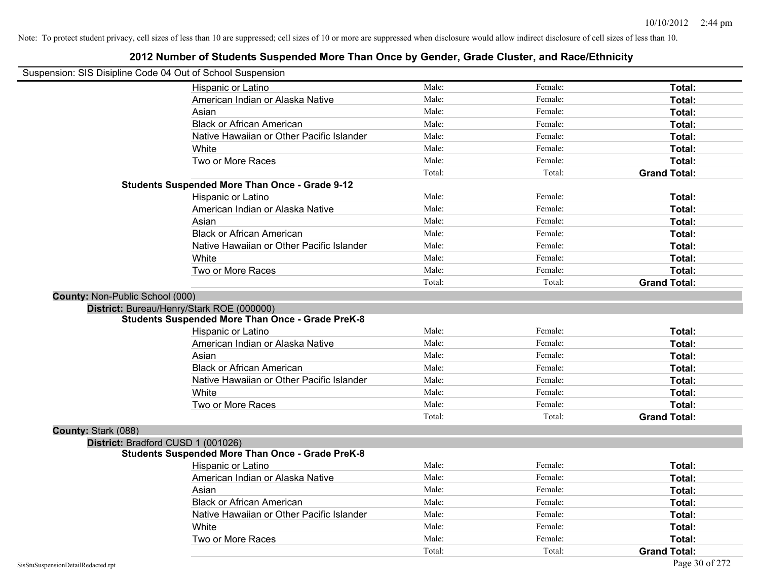**2012 Number of Students Suspended More Than Once by Gender, Grade Cluster, and Race/Ethnicity**

# Suspension: SIS Disipline Code 04 Out of School Suspension Hispanic or Latino **Finally Hispanic or Latino** *Total:* Male: Female: **Female: Total: Total:** Female: **Total:** American Indian or Alaska Native **Male:** Male: Female: Female: **Total:** Total: Asian **Asian Male:** Female: **Total:** Female: **Total:** Female: **Total:** Female: **Total:** Female: **Total:** Female: **Total:** Female: **Total:** Female: **Total:** Female: **Total: Total: Total: Total: Total: Total: Tot** Black or African American **Figure 1.1 and Total:** Male: Female: Female: **Total:** Total: Native Hawaiian or Other Pacific Islander **Male:** Male: Female: Female: **Total:** Total: White **Total:** Male: **Female:** Female: **Total:** Total: **Total:** Female: **Total:** Total: **Total:** Total: **Total:** Total: **Total:** Total: **Total:** Total: **Total:** Total: **Total:** Total: **Total:** Total: **Total:** Total: **Total** Two or More Races **Total:** Total: Male: Female: Female: **Total:** Female: **Total:** Total: Total: Total: Total: **Grand Total: Students Suspended More Than Once - Grade 9-12** Hispanic or Latino **Finally Hispanic or Latino** *Total:* Male: Female: **Female: Total: Total:** Female: **Total:** American Indian or Alaska Native **Male:** Male: Female: Female: **Total:** Total: Asian **Asian Male:** Female: **Total:** Female: **Total:** Female: **Total:** Female: **Total:** Female: **Total:** Female: **Total:** Female: **Total:** Female: **Total:** Female: **Total: Total: Total: Total: Total: Total: Tot** Black or African American **Figure 1.1 and Total:** Male: Female: Female: **Total:** Total: Native Hawaiian or Other Pacific Islander **Male:** Male: Female: Female: **Total:** Total: White **Total:** Male: **Female:** Female: **Total:** Total: **Total:** Female: **Total:** Total: **Total:** Total: **Total:** Total: **Total:** Total: **Total:** Total: **Total:** Total: **Total:** Total: **Total:** Total: **Total:** Total: **Total** Two or More Races **Total:** Total: Male: Female: Female: **Total:** Female: **Total:** Total: Total: Total: **Grand Total: County:** Non-Public School (000) **District:** Bureau/Henry/Stark ROE (000000) **Students Suspended More Than Once - Grade PreK-8** Hispanic or Latino **Finally Contract Contract Contract Contract Contract Contract Male:** Female: **Fotal: Total:** American Indian or Alaska Native **Male:** Male: Female: Female: **Total:** Total: Asian **Asian Male:** Total: Male: Female: **Total: Total:** Total: Total: Total: Total: Total: Total: Total: Total: Total: Total: Total: Total: Total: Total: Total: Total: Total: Total: Total: Total: Total: Total: Total: Tota Black or African American **Figure 1.1 and Total:** Male: Female: Female: **Total:** Total: Native Hawaiian or Other Pacific Islander Male: Total: Female: Female: Total: Total: Total: Total: Total: Total: Total: Total: Total: Total: Total: Total: Total: Total: Total: Total: Total: Total: Total: Total: Total: Tota White **Total:** Male: Female: **Total:** Total: **Total:** Female: **Total:** Total: Two or More Races **Total:** Total: Male: Female: Female: **Total:** Total: Total: Total: **Grand Total: County:** Stark (088) **District:** Bradford CUSD 1 (001026) **Students Suspended More Than Once - Grade PreK-8** Hispanic or Latino **Finale:** Female: **Female:** Female: **Total:** Female: **Total:** Female: **Female:** Female: **Fotal:** American Indian or Alaska Native **Male:** Male: Female: Female: **Total:** Total: Asian **Female:** Total: Male: Female: **Total:** Total: Total: Total: Total: Total: Total: Total: Total: Total: Total: Total: Total: Total: Total: Total: Total: Total: Total: Total: Total: Total: Total: Total: Total: Total: T Black or African American **Figure 1.1 and Total:** Male: Female: Female: **Total:** Total: Native Hawaiian or Other Pacific Islander **Male:** Male: Female: Female: **Total:** Total: White **Total:** Male: Female: **Total:** Female: **Total:** Total: Two or More Races **Total:** Total: Male: Female: Female: **Total:** Total: Female: Total: Total: Total: **Grand Total:**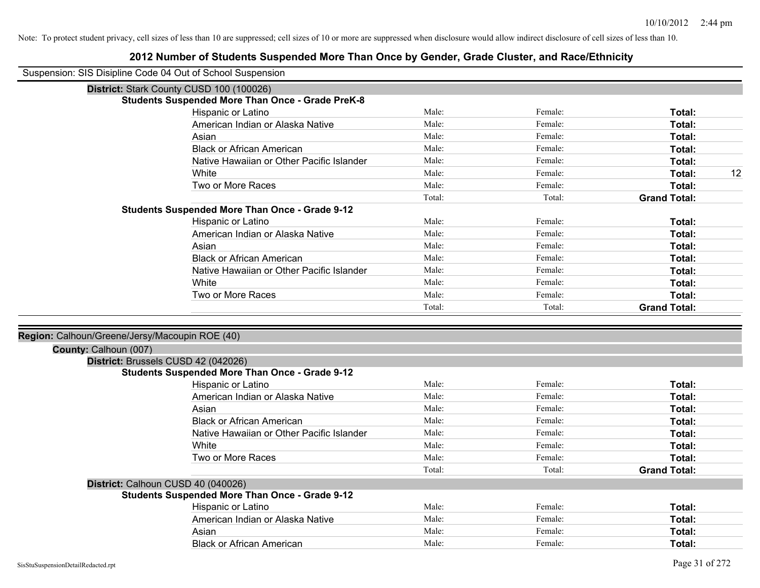| Suspension: SIS Disipline Code 04 Out of School Suspension |                                                         |        |         |                     |
|------------------------------------------------------------|---------------------------------------------------------|--------|---------|---------------------|
|                                                            | District: Stark County CUSD 100 (100026)                |        |         |                     |
|                                                            | <b>Students Suspended More Than Once - Grade PreK-8</b> |        |         |                     |
|                                                            | Hispanic or Latino                                      | Male:  | Female: | Total:              |
|                                                            | American Indian or Alaska Native                        | Male:  | Female: | Total:              |
|                                                            | Asian                                                   | Male:  | Female: | Total:              |
|                                                            | <b>Black or African American</b>                        | Male:  | Female: | Total:              |
|                                                            | Native Hawaiian or Other Pacific Islander               | Male:  | Female: | Total:              |
|                                                            | White                                                   | Male:  | Female: | 12<br>Total:        |
|                                                            | Two or More Races                                       | Male:  | Female: | Total:              |
|                                                            |                                                         | Total: | Total:  | <b>Grand Total:</b> |
|                                                            | <b>Students Suspended More Than Once - Grade 9-12</b>   |        |         |                     |
|                                                            | Hispanic or Latino                                      | Male:  | Female: | Total:              |
|                                                            | American Indian or Alaska Native                        | Male:  | Female: | Total:              |
|                                                            | Asian                                                   | Male:  | Female: | Total:              |
|                                                            | <b>Black or African American</b>                        | Male:  | Female: | Total:              |
|                                                            | Native Hawaiian or Other Pacific Islander               | Male:  | Female: | Total:              |
|                                                            | White                                                   | Male:  | Female: | Total:              |
|                                                            | Two or More Races                                       | Male:  | Female: | Total:              |
|                                                            |                                                         | Total: | Total:  | <b>Grand Total:</b> |
|                                                            |                                                         |        |         |                     |
| Region: Calhoun/Greene/Jersy/Macoupin ROE (40)             |                                                         |        |         |                     |
| County: Calhoun (007)                                      |                                                         |        |         |                     |
|                                                            | District: Brussels CUSD 42 (042026)                     |        |         |                     |
|                                                            | <b>Students Suspended More Than Once - Grade 9-12</b>   |        |         |                     |
|                                                            | <b>Hispanic or Latino</b>                               | Male:  | Female: | Total:              |
|                                                            | American Indian or Alaska Native                        | Male:  | Female: | Total:              |
|                                                            | Asian                                                   | Male:  | Female: | Total:              |
|                                                            | <b>Black or African American</b>                        | Male:  | Female: | Total:              |
|                                                            | Native Hawaiian or Other Pacific Islander               | Male:  | Female: | Total:              |
|                                                            | White                                                   | Male:  | Female: | Total:              |
|                                                            | Two or More Races                                       | Male:  | Female: | Total:              |
|                                                            |                                                         | Total: | Total:  | <b>Grand Total:</b> |
|                                                            | District: Calhoun CUSD 40 (040026)                      |        |         |                     |
|                                                            | <b>Students Suspended More Than Once - Grade 9-12</b>   |        |         |                     |
|                                                            | Hispanic or Latino                                      | Male:  | Female: | Total:              |
|                                                            | American Indian or Alaska Native                        | Male:  | Female: | Total:              |
|                                                            | Asian                                                   | Male:  | Female: | Total:              |
|                                                            | <b>Black or African American</b>                        | Male:  | Female: | Total:              |
|                                                            |                                                         |        |         |                     |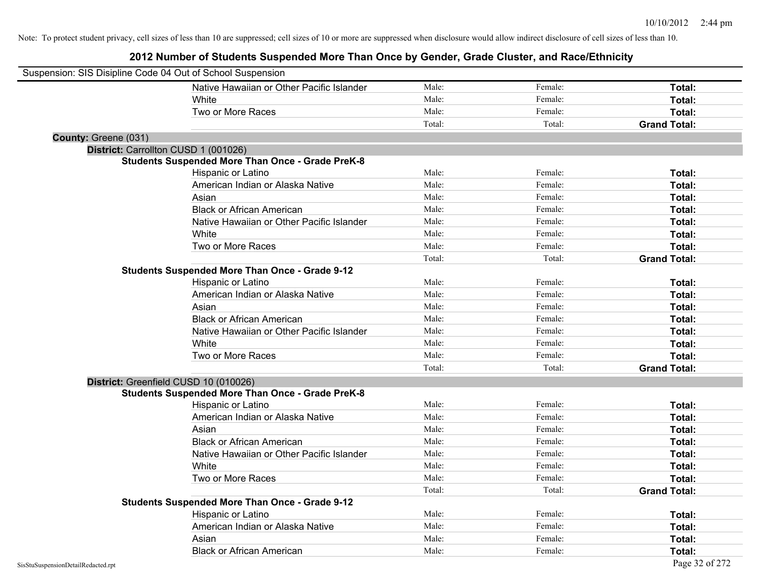| Suspension: SIS Disipline Code 04 Out of School Suspension |                                                         |        |         |                     |
|------------------------------------------------------------|---------------------------------------------------------|--------|---------|---------------------|
|                                                            | Native Hawaiian or Other Pacific Islander               | Male:  | Female: | Total:              |
|                                                            | White                                                   | Male:  | Female: | Total:              |
|                                                            | Two or More Races                                       | Male:  | Female: | Total:              |
|                                                            |                                                         | Total: | Total:  | <b>Grand Total:</b> |
| County: Greene (031)                                       |                                                         |        |         |                     |
|                                                            | District: Carrollton CUSD 1 (001026)                    |        |         |                     |
|                                                            | <b>Students Suspended More Than Once - Grade PreK-8</b> |        |         |                     |
|                                                            | Hispanic or Latino                                      | Male:  | Female: | Total:              |
|                                                            | American Indian or Alaska Native                        | Male:  | Female: | Total:              |
|                                                            | Asian                                                   | Male:  | Female: | Total:              |
|                                                            | <b>Black or African American</b>                        | Male:  | Female: | Total:              |
|                                                            | Native Hawaiian or Other Pacific Islander               | Male:  | Female: | Total:              |
|                                                            | White                                                   | Male:  | Female: | Total:              |
|                                                            | Two or More Races                                       | Male:  | Female: | Total:              |
|                                                            |                                                         | Total: | Total:  | <b>Grand Total:</b> |
|                                                            | <b>Students Suspended More Than Once - Grade 9-12</b>   |        |         |                     |
|                                                            | Hispanic or Latino                                      | Male:  | Female: | Total:              |
|                                                            | American Indian or Alaska Native                        | Male:  | Female: | Total:              |
|                                                            | Asian                                                   | Male:  | Female: | Total:              |
|                                                            | <b>Black or African American</b>                        | Male:  | Female: | Total:              |
|                                                            | Native Hawaiian or Other Pacific Islander               | Male:  | Female: | Total:              |
|                                                            | White                                                   | Male:  | Female: | Total:              |
|                                                            | Two or More Races                                       | Male:  | Female: | Total:              |
|                                                            |                                                         | Total: | Total:  | <b>Grand Total:</b> |
|                                                            | District: Greenfield CUSD 10 (010026)                   |        |         |                     |
|                                                            | <b>Students Suspended More Than Once - Grade PreK-8</b> |        |         |                     |
|                                                            | Hispanic or Latino                                      | Male:  | Female: | Total:              |
|                                                            | American Indian or Alaska Native                        | Male:  | Female: | Total:              |
|                                                            | Asian                                                   | Male:  | Female: | Total:              |
|                                                            | <b>Black or African American</b>                        | Male:  | Female: | Total:              |
|                                                            | Native Hawaiian or Other Pacific Islander               | Male:  | Female: | Total:              |
|                                                            | White                                                   | Male:  | Female: | Total:              |
|                                                            | Two or More Races                                       | Male:  | Female: | Total:              |
|                                                            |                                                         | Total: | Total:  | <b>Grand Total:</b> |
|                                                            | <b>Students Suspended More Than Once - Grade 9-12</b>   |        |         |                     |
|                                                            | Hispanic or Latino                                      | Male:  | Female: | Total:              |
|                                                            | American Indian or Alaska Native                        | Male:  | Female: | Total:              |
|                                                            | Asian                                                   | Male:  | Female: | Total:              |
|                                                            | <b>Black or African American</b>                        | Male:  | Female: | Total:              |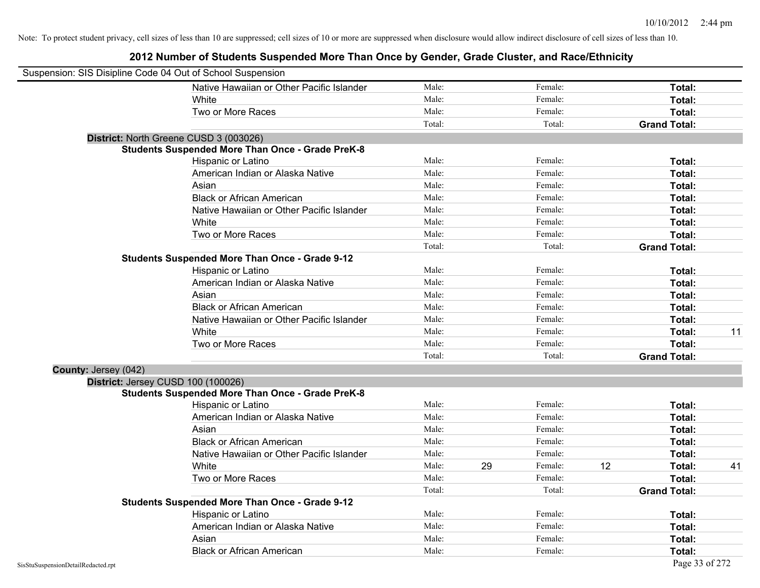| Suspension: SIS Disipline Code 04 Out of School Suspension |                                                         |        |    |         |    |                     |    |
|------------------------------------------------------------|---------------------------------------------------------|--------|----|---------|----|---------------------|----|
|                                                            | Native Hawaiian or Other Pacific Islander               | Male:  |    | Female: |    | Total:              |    |
|                                                            | White                                                   | Male:  |    | Female: |    | Total:              |    |
|                                                            | Two or More Races                                       | Male:  |    | Female: |    | Total:              |    |
|                                                            |                                                         | Total: |    | Total:  |    | <b>Grand Total:</b> |    |
|                                                            | District: North Greene CUSD 3 (003026)                  |        |    |         |    |                     |    |
|                                                            | <b>Students Suspended More Than Once - Grade PreK-8</b> |        |    |         |    |                     |    |
|                                                            | Hispanic or Latino                                      | Male:  |    | Female: |    | Total:              |    |
|                                                            | American Indian or Alaska Native                        | Male:  |    | Female: |    | Total:              |    |
|                                                            | Asian                                                   | Male:  |    | Female: |    | Total:              |    |
|                                                            | <b>Black or African American</b>                        | Male:  |    | Female: |    | Total:              |    |
|                                                            | Native Hawaiian or Other Pacific Islander               | Male:  |    | Female: |    | Total:              |    |
|                                                            | White                                                   | Male:  |    | Female: |    | Total:              |    |
|                                                            | Two or More Races                                       | Male:  |    | Female: |    | Total:              |    |
|                                                            |                                                         | Total: |    | Total:  |    | <b>Grand Total:</b> |    |
|                                                            | <b>Students Suspended More Than Once - Grade 9-12</b>   |        |    |         |    |                     |    |
|                                                            | Hispanic or Latino                                      | Male:  |    | Female: |    | Total:              |    |
|                                                            | American Indian or Alaska Native                        | Male:  |    | Female: |    | Total:              |    |
|                                                            | Asian                                                   | Male:  |    | Female: |    | Total:              |    |
|                                                            | <b>Black or African American</b>                        | Male:  |    | Female: |    | Total:              |    |
|                                                            | Native Hawaiian or Other Pacific Islander               | Male:  |    | Female: |    | Total:              |    |
|                                                            | White                                                   | Male:  |    | Female: |    | Total:              | 11 |
|                                                            | Two or More Races                                       | Male:  |    | Female: |    | Total:              |    |
|                                                            |                                                         | Total: |    | Total:  |    | <b>Grand Total:</b> |    |
| County: Jersey (042)                                       |                                                         |        |    |         |    |                     |    |
| District: Jersey CUSD 100 (100026)                         |                                                         |        |    |         |    |                     |    |
|                                                            | <b>Students Suspended More Than Once - Grade PreK-8</b> |        |    |         |    |                     |    |
|                                                            | Hispanic or Latino                                      | Male:  |    | Female: |    | Total:              |    |
|                                                            | American Indian or Alaska Native                        | Male:  |    | Female: |    | Total:              |    |
|                                                            | Asian                                                   | Male:  |    | Female: |    | Total:              |    |
|                                                            | <b>Black or African American</b>                        | Male:  |    | Female: |    | Total:              |    |
|                                                            | Native Hawaiian or Other Pacific Islander               | Male:  |    | Female: |    | Total:              |    |
|                                                            | White                                                   | Male:  | 29 | Female: | 12 | Total:              | 41 |
|                                                            | Two or More Races                                       | Male:  |    | Female: |    | Total:              |    |
|                                                            |                                                         | Total: |    | Total:  |    | <b>Grand Total:</b> |    |
|                                                            | <b>Students Suspended More Than Once - Grade 9-12</b>   |        |    |         |    |                     |    |
|                                                            | Hispanic or Latino                                      | Male:  |    | Female: |    | Total:              |    |
|                                                            | American Indian or Alaska Native                        | Male:  |    | Female: |    | Total:              |    |
|                                                            | Asian                                                   | Male:  |    | Female: |    | Total:              |    |
|                                                            | <b>Black or African American</b>                        | Male:  |    | Female: |    | Total:              |    |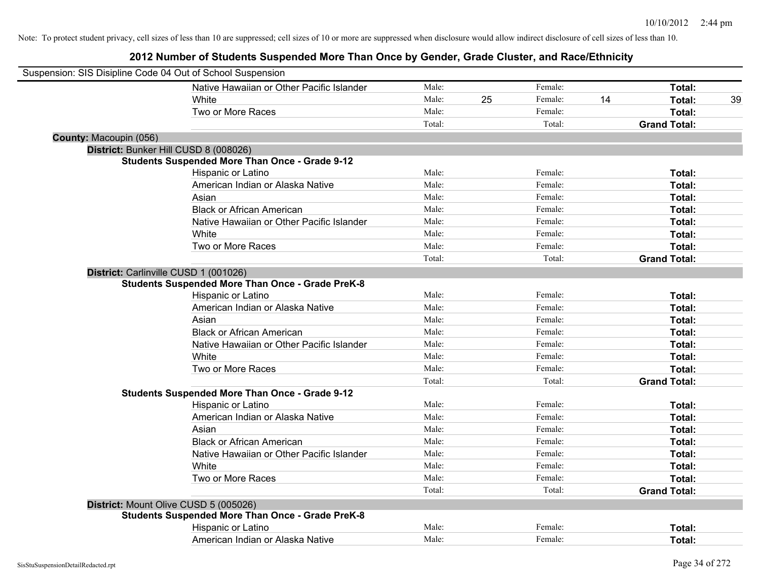| Suspension: SIS Disipline Code 04 Out of School Suspension |                                                         |        |    |         |    |                     |
|------------------------------------------------------------|---------------------------------------------------------|--------|----|---------|----|---------------------|
|                                                            | Native Hawaiian or Other Pacific Islander               | Male:  |    | Female: |    | Total:              |
|                                                            | White                                                   | Male:  | 25 | Female: | 14 | Total:<br>39        |
|                                                            | Two or More Races                                       | Male:  |    | Female: |    | Total:              |
|                                                            |                                                         | Total: |    | Total:  |    | <b>Grand Total:</b> |
| County: Macoupin (056)                                     |                                                         |        |    |         |    |                     |
|                                                            | District: Bunker Hill CUSD 8 (008026)                   |        |    |         |    |                     |
|                                                            | <b>Students Suspended More Than Once - Grade 9-12</b>   |        |    |         |    |                     |
|                                                            | Hispanic or Latino                                      | Male:  |    | Female: |    | Total:              |
|                                                            | American Indian or Alaska Native                        | Male:  |    | Female: |    | Total:              |
|                                                            | Asian                                                   | Male:  |    | Female: |    | Total:              |
|                                                            | <b>Black or African American</b>                        | Male:  |    | Female: |    | Total:              |
|                                                            | Native Hawaiian or Other Pacific Islander               | Male:  |    | Female: |    | Total:              |
|                                                            | White                                                   | Male:  |    | Female: |    | Total:              |
|                                                            | Two or More Races                                       | Male:  |    | Female: |    | Total:              |
|                                                            |                                                         | Total: |    | Total:  |    | <b>Grand Total:</b> |
|                                                            | District: Carlinville CUSD 1 (001026)                   |        |    |         |    |                     |
|                                                            | <b>Students Suspended More Than Once - Grade PreK-8</b> |        |    |         |    |                     |
|                                                            | Hispanic or Latino                                      | Male:  |    | Female: |    | Total:              |
|                                                            | American Indian or Alaska Native                        | Male:  |    | Female: |    | Total:              |
|                                                            | Asian                                                   | Male:  |    | Female: |    | Total:              |
|                                                            | <b>Black or African American</b>                        | Male:  |    | Female: |    | Total:              |
|                                                            | Native Hawaiian or Other Pacific Islander               | Male:  |    | Female: |    | Total:              |
|                                                            | White                                                   | Male:  |    | Female: |    | Total:              |
|                                                            | Two or More Races                                       | Male:  |    | Female: |    | Total:              |
|                                                            |                                                         | Total: |    | Total:  |    | <b>Grand Total:</b> |
|                                                            | <b>Students Suspended More Than Once - Grade 9-12</b>   |        |    |         |    |                     |
|                                                            | Hispanic or Latino                                      | Male:  |    | Female: |    | Total:              |
|                                                            | American Indian or Alaska Native                        | Male:  |    | Female: |    | Total:              |
|                                                            | Asian                                                   | Male:  |    | Female: |    | Total:              |
|                                                            | <b>Black or African American</b>                        | Male:  |    | Female: |    | Total:              |
|                                                            | Native Hawaiian or Other Pacific Islander               | Male:  |    | Female: |    | Total:              |
|                                                            | White                                                   | Male:  |    | Female: |    | Total:              |
|                                                            | Two or More Races                                       | Male:  |    | Female: |    | Total:              |
|                                                            |                                                         | Total: |    | Total:  |    | <b>Grand Total:</b> |
|                                                            | District: Mount Olive CUSD 5 (005026)                   |        |    |         |    |                     |
|                                                            | <b>Students Suspended More Than Once - Grade PreK-8</b> |        |    |         |    |                     |
|                                                            | Hispanic or Latino                                      | Male:  |    | Female: |    | Total:              |
|                                                            | American Indian or Alaska Native                        | Male:  |    | Female: |    | Total:              |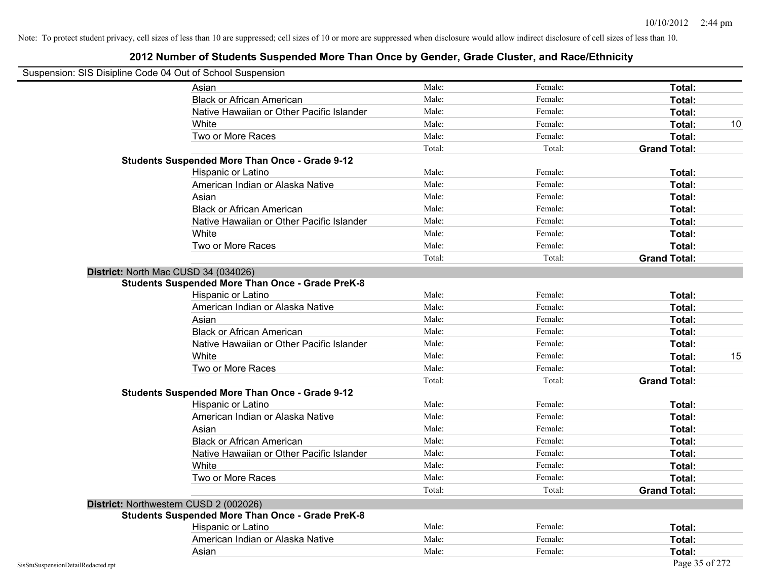| Suspension: SIS Disipline Code 04 Out of School Suspension |                                                         |        |         |                     |    |
|------------------------------------------------------------|---------------------------------------------------------|--------|---------|---------------------|----|
|                                                            | Asian                                                   | Male:  | Female: | Total:              |    |
|                                                            | <b>Black or African American</b>                        | Male:  | Female: | Total:              |    |
|                                                            | Native Hawaiian or Other Pacific Islander               | Male:  | Female: | Total:              |    |
|                                                            | White                                                   | Male:  | Female: | Total:              | 10 |
|                                                            | Two or More Races                                       | Male:  | Female: | Total:              |    |
|                                                            |                                                         | Total: | Total:  | <b>Grand Total:</b> |    |
|                                                            | <b>Students Suspended More Than Once - Grade 9-12</b>   |        |         |                     |    |
|                                                            | Hispanic or Latino                                      | Male:  | Female: | Total:              |    |
|                                                            | American Indian or Alaska Native                        | Male:  | Female: | Total:              |    |
|                                                            | Asian                                                   | Male:  | Female: | Total:              |    |
|                                                            | <b>Black or African American</b>                        | Male:  | Female: | Total:              |    |
|                                                            | Native Hawaiian or Other Pacific Islander               | Male:  | Female: | Total:              |    |
|                                                            | White                                                   | Male:  | Female: | Total:              |    |
|                                                            | Two or More Races                                       | Male:  | Female: | Total:              |    |
|                                                            |                                                         | Total: | Total:  | <b>Grand Total:</b> |    |
| District: North Mac CUSD 34 (034026)                       |                                                         |        |         |                     |    |
|                                                            | <b>Students Suspended More Than Once - Grade PreK-8</b> |        |         |                     |    |
|                                                            | Hispanic or Latino                                      | Male:  | Female: | Total:              |    |
|                                                            | American Indian or Alaska Native                        | Male:  | Female: | Total:              |    |
|                                                            | Asian                                                   | Male:  | Female: | Total:              |    |
|                                                            | <b>Black or African American</b>                        | Male:  | Female: | Total:              |    |
|                                                            | Native Hawaiian or Other Pacific Islander               | Male:  | Female: | Total:              |    |
|                                                            | White                                                   | Male:  | Female: | Total:              | 15 |
|                                                            | Two or More Races                                       | Male:  | Female: | Total:              |    |
|                                                            |                                                         | Total: | Total:  | <b>Grand Total:</b> |    |
|                                                            | <b>Students Suspended More Than Once - Grade 9-12</b>   |        |         |                     |    |
|                                                            | Hispanic or Latino                                      | Male:  | Female: | Total:              |    |
|                                                            | American Indian or Alaska Native                        | Male:  | Female: | Total:              |    |
|                                                            | Asian                                                   | Male:  | Female: | Total:              |    |
|                                                            | <b>Black or African American</b>                        | Male:  | Female: | Total:              |    |
|                                                            | Native Hawaiian or Other Pacific Islander               | Male:  | Female: | Total:              |    |
|                                                            | White                                                   | Male:  | Female: | Total:              |    |
|                                                            | Two or More Races                                       | Male:  | Female: | Total:              |    |
|                                                            |                                                         | Total: | Total:  | <b>Grand Total:</b> |    |
| District: Northwestern CUSD 2 (002026)                     |                                                         |        |         |                     |    |
|                                                            | <b>Students Suspended More Than Once - Grade PreK-8</b> |        |         |                     |    |
|                                                            | Hispanic or Latino                                      | Male:  | Female: | Total:              |    |
|                                                            | American Indian or Alaska Native                        | Male:  | Female: | Total:              |    |
|                                                            | Asian                                                   | Male:  | Female: | Total:              |    |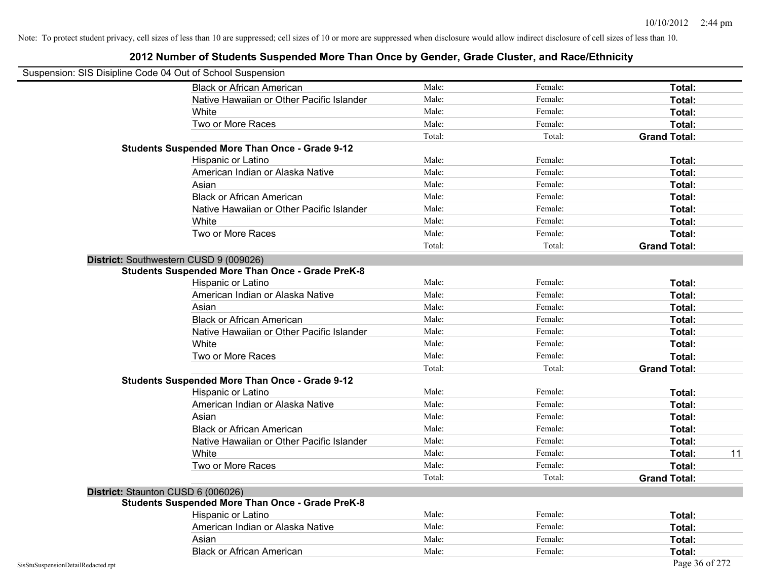| Suspension: SIS Disipline Code 04 Out of School Suspension |                                                         |        |         |                     |
|------------------------------------------------------------|---------------------------------------------------------|--------|---------|---------------------|
|                                                            | <b>Black or African American</b>                        | Male:  | Female: | Total:              |
|                                                            | Native Hawaiian or Other Pacific Islander               | Male:  | Female: | Total:              |
|                                                            | White                                                   | Male:  | Female: | Total:              |
|                                                            | Two or More Races                                       | Male:  | Female: | Total:              |
|                                                            |                                                         | Total: | Total:  | <b>Grand Total:</b> |
|                                                            | <b>Students Suspended More Than Once - Grade 9-12</b>   |        |         |                     |
|                                                            | Hispanic or Latino                                      | Male:  | Female: | Total:              |
|                                                            | American Indian or Alaska Native                        | Male:  | Female: | Total:              |
|                                                            | Asian                                                   | Male:  | Female: | Total:              |
|                                                            | <b>Black or African American</b>                        | Male:  | Female: | Total:              |
|                                                            | Native Hawaiian or Other Pacific Islander               | Male:  | Female: | Total:              |
|                                                            | White                                                   | Male:  | Female: | Total:              |
|                                                            | Two or More Races                                       | Male:  | Female: | Total:              |
|                                                            |                                                         | Total: | Total:  | <b>Grand Total:</b> |
|                                                            | District: Southwestern CUSD 9 (009026)                  |        |         |                     |
|                                                            | <b>Students Suspended More Than Once - Grade PreK-8</b> |        |         |                     |
|                                                            | Hispanic or Latino                                      | Male:  | Female: | Total:              |
|                                                            | American Indian or Alaska Native                        | Male:  | Female: | Total:              |
|                                                            | Asian                                                   | Male:  | Female: | Total:              |
|                                                            | <b>Black or African American</b>                        | Male:  | Female: | Total:              |
|                                                            | Native Hawaiian or Other Pacific Islander               | Male:  | Female: | Total:              |
|                                                            | White                                                   | Male:  | Female: | Total:              |
|                                                            | Two or More Races                                       | Male:  | Female: | Total:              |
|                                                            |                                                         | Total: | Total:  | <b>Grand Total:</b> |
|                                                            | <b>Students Suspended More Than Once - Grade 9-12</b>   |        |         |                     |
|                                                            | Hispanic or Latino                                      | Male:  | Female: | Total:              |
|                                                            | American Indian or Alaska Native                        | Male:  | Female: | Total:              |
|                                                            | Asian                                                   | Male:  | Female: | Total:              |
|                                                            | <b>Black or African American</b>                        | Male:  | Female: | Total:              |
|                                                            | Native Hawaiian or Other Pacific Islander               | Male:  | Female: | Total:              |
|                                                            | White                                                   | Male:  | Female: | 11<br>Total:        |
|                                                            | Two or More Races                                       | Male:  | Female: | Total:              |
|                                                            |                                                         | Total: | Total:  | <b>Grand Total:</b> |
|                                                            | District: Staunton CUSD 6 (006026)                      |        |         |                     |
|                                                            | <b>Students Suspended More Than Once - Grade PreK-8</b> |        |         |                     |
|                                                            | Hispanic or Latino                                      | Male:  | Female: | Total:              |
|                                                            | American Indian or Alaska Native                        | Male:  | Female: | Total:              |
|                                                            | Asian                                                   | Male:  | Female: | Total:              |
|                                                            | <b>Black or African American</b>                        | Male:  | Female: | Total:              |
| SisStuSuspensionDetailRedacted.rpt                         |                                                         |        |         | Page 36 of 272      |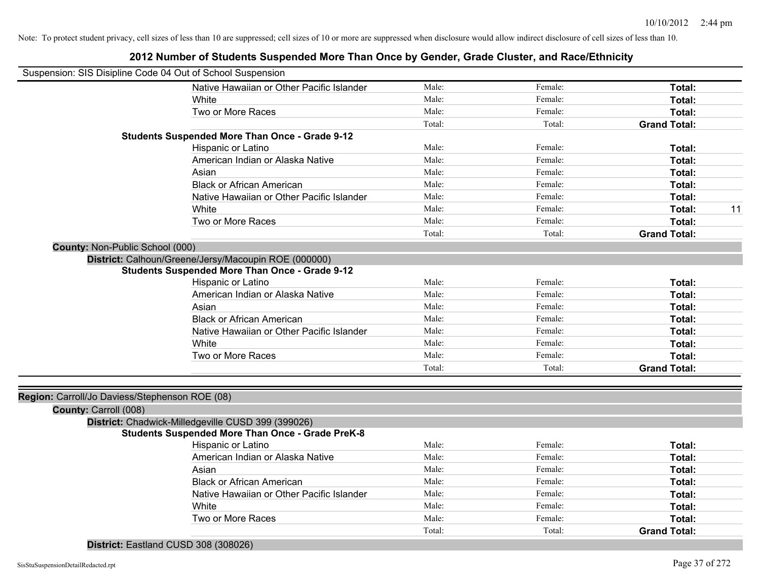|                                                | Suspension: SIS Disipline Code 04 Out of School Suspension |        |         |                     |    |
|------------------------------------------------|------------------------------------------------------------|--------|---------|---------------------|----|
|                                                | Native Hawaiian or Other Pacific Islander                  | Male:  | Female: | Total:              |    |
|                                                | White                                                      | Male:  | Female: | Total:              |    |
|                                                | Two or More Races                                          | Male:  | Female: | Total:              |    |
|                                                |                                                            | Total: | Total:  | <b>Grand Total:</b> |    |
|                                                | <b>Students Suspended More Than Once - Grade 9-12</b>      |        |         |                     |    |
|                                                | Hispanic or Latino                                         | Male:  | Female: | Total:              |    |
|                                                | American Indian or Alaska Native                           | Male:  | Female: | Total:              |    |
|                                                | Asian                                                      | Male:  | Female: | Total:              |    |
|                                                | <b>Black or African American</b>                           | Male:  | Female: | Total:              |    |
|                                                | Native Hawaiian or Other Pacific Islander                  | Male:  | Female: | Total:              |    |
|                                                | White                                                      | Male:  | Female: | Total:              | 11 |
|                                                | Two or More Races                                          | Male:  | Female: | Total:              |    |
|                                                |                                                            | Total: | Total:  | <b>Grand Total:</b> |    |
| County: Non-Public School (000)                |                                                            |        |         |                     |    |
|                                                | District: Calhoun/Greene/Jersy/Macoupin ROE (000000)       |        |         |                     |    |
|                                                | <b>Students Suspended More Than Once - Grade 9-12</b>      |        |         |                     |    |
|                                                | Hispanic or Latino                                         | Male:  | Female: | Total:              |    |
|                                                | American Indian or Alaska Native                           | Male:  | Female: | Total:              |    |
|                                                | Asian                                                      | Male:  | Female: | Total:              |    |
|                                                | <b>Black or African American</b>                           | Male:  | Female: | Total:              |    |
|                                                | Native Hawaiian or Other Pacific Islander                  | Male:  | Female: | Total:              |    |
|                                                | White                                                      | Male:  | Female: | Total:              |    |
|                                                | Two or More Races                                          | Male:  | Female: | Total:              |    |
|                                                |                                                            | Total: | Total:  | <b>Grand Total:</b> |    |
|                                                |                                                            |        |         |                     |    |
| Region: Carroll/Jo Daviess/Stephenson ROE (08) |                                                            |        |         |                     |    |
| County: Carroll (008)                          |                                                            |        |         |                     |    |
|                                                | District: Chadwick-Milledgeville CUSD 399 (399026)         |        |         |                     |    |
|                                                | <b>Students Suspended More Than Once - Grade PreK-8</b>    |        |         |                     |    |
|                                                | Hispanic or Latino                                         | Male:  | Female: | Total:              |    |
|                                                | American Indian or Alaska Native                           | Male:  | Female: | Total:              |    |
|                                                | Asian                                                      | Male:  | Female: | Total:              |    |
|                                                | <b>Black or African American</b>                           | Male:  | Female: | Total:              |    |
|                                                | Native Hawaiian or Other Pacific Islander                  | Male:  | Female: | Total:              |    |
|                                                | White                                                      | Male:  | Female: | Total:              |    |
|                                                | Two or More Races                                          | Male:  | Female: | <b>Total:</b>       |    |
|                                                |                                                            | Total: | Total:  | <b>Grand Total:</b> |    |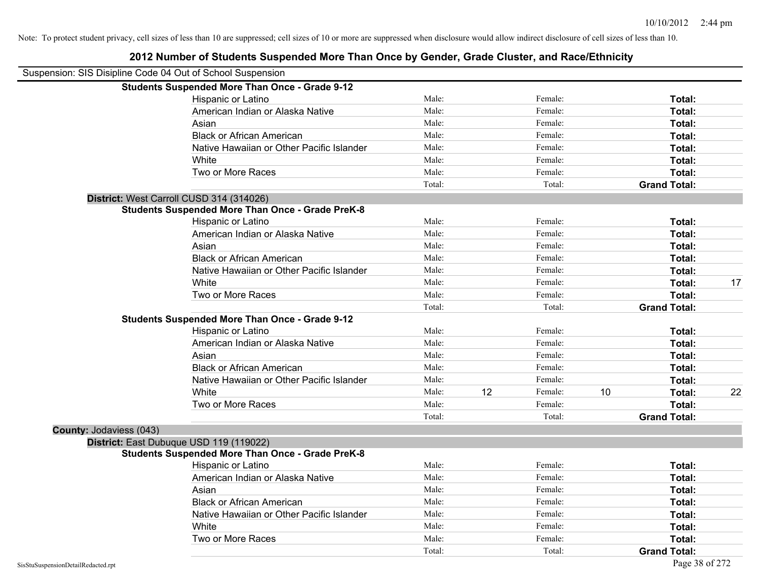|                         | Suspension: SIS Disipline Code 04 Out of School Suspension |        |    |         |    |                     |    |
|-------------------------|------------------------------------------------------------|--------|----|---------|----|---------------------|----|
|                         | <b>Students Suspended More Than Once - Grade 9-12</b>      |        |    |         |    |                     |    |
|                         | Hispanic or Latino                                         | Male:  |    | Female: |    | Total:              |    |
|                         | American Indian or Alaska Native                           | Male:  |    | Female: |    | Total:              |    |
|                         | Asian                                                      | Male:  |    | Female: |    | Total:              |    |
|                         | <b>Black or African American</b>                           | Male:  |    | Female: |    | Total:              |    |
|                         | Native Hawaiian or Other Pacific Islander                  | Male:  |    | Female: |    | Total:              |    |
|                         | White                                                      | Male:  |    | Female: |    | Total:              |    |
|                         | Two or More Races                                          | Male:  |    | Female: |    | Total:              |    |
|                         |                                                            | Total: |    | Total:  |    | <b>Grand Total:</b> |    |
|                         | District: West Carroll CUSD 314 (314026)                   |        |    |         |    |                     |    |
|                         | <b>Students Suspended More Than Once - Grade PreK-8</b>    |        |    |         |    |                     |    |
|                         | Hispanic or Latino                                         | Male:  |    | Female: |    | Total:              |    |
|                         | American Indian or Alaska Native                           | Male:  |    | Female: |    | Total:              |    |
|                         | Asian                                                      | Male:  |    | Female: |    | Total:              |    |
|                         | <b>Black or African American</b>                           | Male:  |    | Female: |    | Total:              |    |
|                         | Native Hawaiian or Other Pacific Islander                  | Male:  |    | Female: |    | Total:              |    |
|                         | White                                                      | Male:  |    | Female: |    | Total:              | 17 |
|                         | Two or More Races                                          | Male:  |    | Female: |    | Total:              |    |
|                         |                                                            | Total: |    | Total:  |    | <b>Grand Total:</b> |    |
|                         | <b>Students Suspended More Than Once - Grade 9-12</b>      |        |    |         |    |                     |    |
|                         | Hispanic or Latino                                         | Male:  |    | Female: |    | Total:              |    |
|                         | American Indian or Alaska Native                           | Male:  |    | Female: |    | Total:              |    |
|                         | Asian                                                      | Male:  |    | Female: |    | <b>Total:</b>       |    |
|                         | <b>Black or African American</b>                           | Male:  |    | Female: |    | Total:              |    |
|                         | Native Hawaiian or Other Pacific Islander                  | Male:  |    | Female: |    | Total:              |    |
|                         | White                                                      | Male:  | 12 | Female: | 10 | Total:              | 22 |
|                         | Two or More Races                                          | Male:  |    | Female: |    | Total:              |    |
|                         |                                                            | Total: |    | Total:  |    | <b>Grand Total:</b> |    |
| County: Jodaviess (043) |                                                            |        |    |         |    |                     |    |
|                         | District: East Dubuque USD 119 (119022)                    |        |    |         |    |                     |    |
|                         | <b>Students Suspended More Than Once - Grade PreK-8</b>    |        |    |         |    |                     |    |
|                         | Hispanic or Latino                                         | Male:  |    | Female: |    | Total:              |    |
|                         | American Indian or Alaska Native                           | Male:  |    | Female: |    | Total:              |    |
|                         | Asian                                                      | Male:  |    | Female: |    | Total:              |    |
|                         | <b>Black or African American</b>                           | Male:  |    | Female: |    | Total:              |    |
|                         | Native Hawaiian or Other Pacific Islander                  | Male:  |    | Female: |    | Total:              |    |
|                         | White                                                      | Male:  |    | Female: |    | Total:              |    |
|                         | Two or More Races                                          | Male:  |    | Female: |    | Total:              |    |
|                         |                                                            | Total: |    | Total:  |    | <b>Grand Total:</b> |    |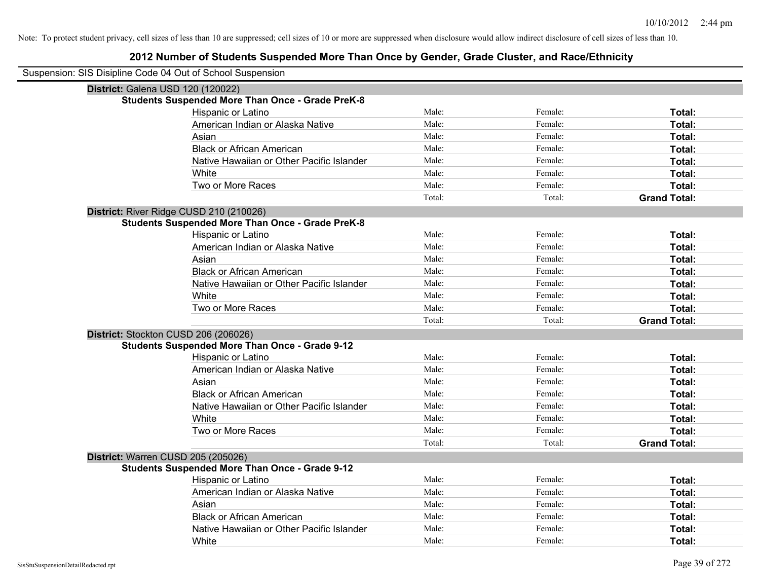| Suspension: SIS Disipline Code 04 Out of School Suspension |                                                         |        |         |                     |  |  |  |  |  |
|------------------------------------------------------------|---------------------------------------------------------|--------|---------|---------------------|--|--|--|--|--|
|                                                            | District: Galena USD 120 (120022)                       |        |         |                     |  |  |  |  |  |
|                                                            | <b>Students Suspended More Than Once - Grade PreK-8</b> |        |         |                     |  |  |  |  |  |
|                                                            | Hispanic or Latino                                      | Male:  | Female: | Total:              |  |  |  |  |  |
|                                                            | American Indian or Alaska Native                        | Male:  | Female: | Total:              |  |  |  |  |  |
|                                                            | Asian                                                   | Male:  | Female: | Total:              |  |  |  |  |  |
|                                                            | <b>Black or African American</b>                        | Male:  | Female: | Total:              |  |  |  |  |  |
|                                                            | Native Hawaiian or Other Pacific Islander               | Male:  | Female: | Total:              |  |  |  |  |  |
|                                                            | White                                                   | Male:  | Female: | Total:              |  |  |  |  |  |
|                                                            | Two or More Races                                       | Male:  | Female: | Total:              |  |  |  |  |  |
|                                                            |                                                         | Total: | Total:  | <b>Grand Total:</b> |  |  |  |  |  |
| District: River Ridge CUSD 210 (210026)                    |                                                         |        |         |                     |  |  |  |  |  |
|                                                            | <b>Students Suspended More Than Once - Grade PreK-8</b> |        |         |                     |  |  |  |  |  |
|                                                            | Hispanic or Latino                                      | Male:  | Female: | Total:              |  |  |  |  |  |
|                                                            | American Indian or Alaska Native                        | Male:  | Female: | Total:              |  |  |  |  |  |
|                                                            | Asian                                                   | Male:  | Female: | Total:              |  |  |  |  |  |
|                                                            | <b>Black or African American</b>                        | Male:  | Female: | Total:              |  |  |  |  |  |
|                                                            | Native Hawaiian or Other Pacific Islander               | Male:  | Female: | Total:              |  |  |  |  |  |
|                                                            | White                                                   | Male:  | Female: | Total:              |  |  |  |  |  |
|                                                            | Two or More Races                                       | Male:  | Female: | Total:              |  |  |  |  |  |
|                                                            |                                                         | Total: | Total:  | <b>Grand Total:</b> |  |  |  |  |  |
| District: Stockton CUSD 206 (206026)                       |                                                         |        |         |                     |  |  |  |  |  |
|                                                            | <b>Students Suspended More Than Once - Grade 9-12</b>   |        |         |                     |  |  |  |  |  |
|                                                            | Hispanic or Latino                                      | Male:  | Female: | Total:              |  |  |  |  |  |
|                                                            | American Indian or Alaska Native                        | Male:  | Female: | Total:              |  |  |  |  |  |
|                                                            | Asian                                                   | Male:  | Female: | Total:              |  |  |  |  |  |
|                                                            | <b>Black or African American</b>                        | Male:  | Female: | Total:              |  |  |  |  |  |
|                                                            | Native Hawaiian or Other Pacific Islander               | Male:  | Female: | Total:              |  |  |  |  |  |
|                                                            | White                                                   | Male:  | Female: | Total:              |  |  |  |  |  |
|                                                            | Two or More Races                                       | Male:  | Female: | Total:              |  |  |  |  |  |
|                                                            |                                                         | Total: | Total:  | <b>Grand Total:</b> |  |  |  |  |  |
| District: Warren CUSD 205 (205026)                         |                                                         |        |         |                     |  |  |  |  |  |
|                                                            | <b>Students Suspended More Than Once - Grade 9-12</b>   |        |         |                     |  |  |  |  |  |
|                                                            | Hispanic or Latino                                      | Male:  | Female: | Total:              |  |  |  |  |  |
|                                                            | American Indian or Alaska Native                        | Male:  | Female: | Total:              |  |  |  |  |  |
|                                                            | Asian                                                   | Male:  | Female: | Total:              |  |  |  |  |  |
|                                                            | <b>Black or African American</b>                        | Male:  | Female: | Total:              |  |  |  |  |  |
|                                                            | Native Hawaiian or Other Pacific Islander               | Male:  | Female: | Total:              |  |  |  |  |  |
|                                                            | White                                                   | Male:  | Female: | Total:              |  |  |  |  |  |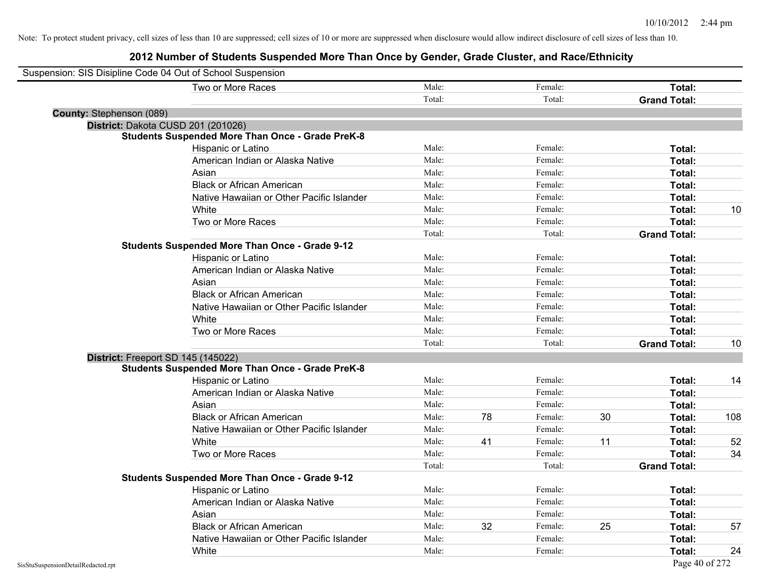| Suspension: SIS Disipline Code 04 Out of School Suspension |                                                         |        |    |         |    |                     |     |
|------------------------------------------------------------|---------------------------------------------------------|--------|----|---------|----|---------------------|-----|
|                                                            | Two or More Races                                       | Male:  |    | Female: |    | Total:              |     |
|                                                            |                                                         | Total: |    | Total:  |    | <b>Grand Total:</b> |     |
| County: Stephenson (089)                                   |                                                         |        |    |         |    |                     |     |
|                                                            | District: Dakota CUSD 201 (201026)                      |        |    |         |    |                     |     |
|                                                            | <b>Students Suspended More Than Once - Grade PreK-8</b> |        |    |         |    |                     |     |
|                                                            | Hispanic or Latino                                      | Male:  |    | Female: |    | Total:              |     |
|                                                            | American Indian or Alaska Native                        | Male:  |    | Female: |    | Total:              |     |
|                                                            | Asian                                                   | Male:  |    | Female: |    | Total:              |     |
|                                                            | <b>Black or African American</b>                        | Male:  |    | Female: |    | Total:              |     |
|                                                            | Native Hawaiian or Other Pacific Islander               | Male:  |    | Female: |    | Total:              |     |
|                                                            | White                                                   | Male:  |    | Female: |    | Total:              | 10  |
|                                                            | Two or More Races                                       | Male:  |    | Female: |    | Total:              |     |
|                                                            |                                                         | Total: |    | Total:  |    | <b>Grand Total:</b> |     |
|                                                            | <b>Students Suspended More Than Once - Grade 9-12</b>   |        |    |         |    |                     |     |
|                                                            | Hispanic or Latino                                      | Male:  |    | Female: |    | Total:              |     |
|                                                            | American Indian or Alaska Native                        | Male:  |    | Female: |    | Total:              |     |
|                                                            | Asian                                                   | Male:  |    | Female: |    | Total:              |     |
|                                                            | <b>Black or African American</b>                        | Male:  |    | Female: |    | <b>Total:</b>       |     |
|                                                            | Native Hawaiian or Other Pacific Islander               | Male:  |    | Female: |    | Total:              |     |
|                                                            | White                                                   | Male:  |    | Female: |    | Total:              |     |
|                                                            | Two or More Races                                       | Male:  |    | Female: |    | Total:              |     |
|                                                            |                                                         | Total: |    | Total:  |    | <b>Grand Total:</b> | 10  |
|                                                            | District: Freeport SD 145 (145022)                      |        |    |         |    |                     |     |
|                                                            | <b>Students Suspended More Than Once - Grade PreK-8</b> |        |    |         |    |                     |     |
|                                                            | Hispanic or Latino                                      | Male:  |    | Female: |    | Total:              | 14  |
|                                                            | American Indian or Alaska Native                        | Male:  |    | Female: |    | Total:              |     |
|                                                            | Asian                                                   | Male:  |    | Female: |    | Total:              |     |
|                                                            | <b>Black or African American</b>                        | Male:  | 78 | Female: | 30 | Total:              | 108 |
|                                                            | Native Hawaiian or Other Pacific Islander               | Male:  |    | Female: |    | Total:              |     |
|                                                            | White                                                   | Male:  | 41 | Female: | 11 | Total:              | 52  |
|                                                            | Two or More Races                                       | Male:  |    | Female: |    | Total:              | 34  |
|                                                            |                                                         | Total: |    | Total:  |    | <b>Grand Total:</b> |     |
|                                                            | <b>Students Suspended More Than Once - Grade 9-12</b>   |        |    |         |    |                     |     |
|                                                            | Hispanic or Latino                                      | Male:  |    | Female: |    | Total:              |     |
|                                                            | American Indian or Alaska Native                        | Male:  |    | Female: |    | Total:              |     |
|                                                            | Asian                                                   | Male:  |    | Female: |    | Total:              |     |
|                                                            | <b>Black or African American</b>                        | Male:  | 32 | Female: | 25 | Total:              | 57  |
|                                                            | Native Hawaiian or Other Pacific Islander               | Male:  |    | Female: |    | Total:              |     |
|                                                            | White                                                   | Male:  |    | Female: |    | Total:              | 24  |
| SisStuSuspensionDetailRedacted.rpt                         |                                                         |        |    |         |    | Page 40 of 272      |     |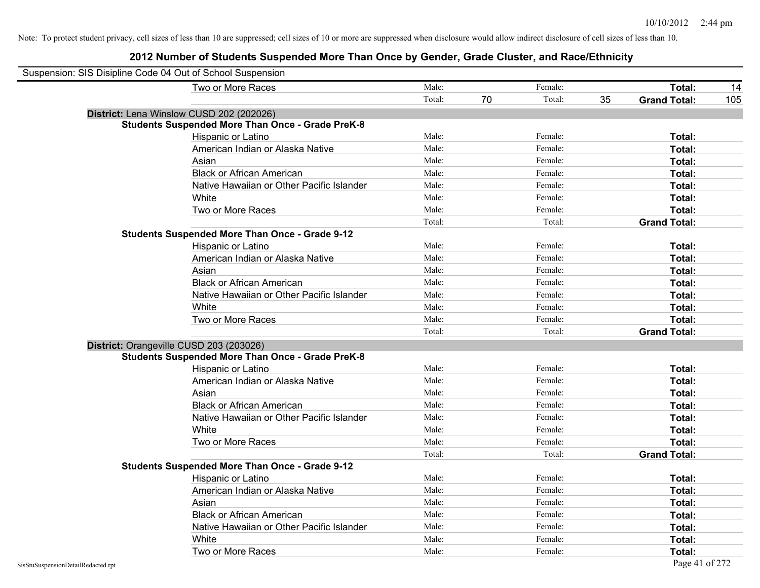| Suspension: SIS Disipline Code 04 Out of School Suspension |                                                         |        |    |         |    |                     |     |
|------------------------------------------------------------|---------------------------------------------------------|--------|----|---------|----|---------------------|-----|
|                                                            | Two or More Races                                       | Male:  |    | Female: |    | Total:              | 14  |
|                                                            |                                                         | Total: | 70 | Total:  | 35 | <b>Grand Total:</b> | 105 |
| District: Lena Winslow CUSD 202 (202026)                   |                                                         |        |    |         |    |                     |     |
|                                                            | <b>Students Suspended More Than Once - Grade PreK-8</b> |        |    |         |    |                     |     |
|                                                            | Hispanic or Latino                                      | Male:  |    | Female: |    | Total:              |     |
|                                                            | American Indian or Alaska Native                        | Male:  |    | Female: |    | Total:              |     |
|                                                            | Asian                                                   | Male:  |    | Female: |    | Total:              |     |
|                                                            | <b>Black or African American</b>                        | Male:  |    | Female: |    | Total:              |     |
|                                                            | Native Hawaiian or Other Pacific Islander               | Male:  |    | Female: |    | Total:              |     |
|                                                            | White                                                   | Male:  |    | Female: |    | Total:              |     |
|                                                            | Two or More Races                                       | Male:  |    | Female: |    | Total:              |     |
|                                                            |                                                         | Total: |    | Total:  |    | <b>Grand Total:</b> |     |
|                                                            | <b>Students Suspended More Than Once - Grade 9-12</b>   |        |    |         |    |                     |     |
|                                                            | Hispanic or Latino                                      | Male:  |    | Female: |    | Total:              |     |
|                                                            | American Indian or Alaska Native                        | Male:  |    | Female: |    | Total:              |     |
|                                                            | Asian                                                   | Male:  |    | Female: |    | Total:              |     |
|                                                            | <b>Black or African American</b>                        | Male:  |    | Female: |    | Total:              |     |
|                                                            | Native Hawaiian or Other Pacific Islander               | Male:  |    | Female: |    | Total:              |     |
|                                                            | White                                                   | Male:  |    | Female: |    | Total:              |     |
|                                                            | Two or More Races                                       | Male:  |    | Female: |    | Total:              |     |
|                                                            |                                                         | Total: |    | Total:  |    | <b>Grand Total:</b> |     |
| District: Orangeville CUSD 203 (203026)                    |                                                         |        |    |         |    |                     |     |
|                                                            | <b>Students Suspended More Than Once - Grade PreK-8</b> |        |    |         |    |                     |     |
|                                                            | Hispanic or Latino                                      | Male:  |    | Female: |    | Total:              |     |
|                                                            | American Indian or Alaska Native                        | Male:  |    | Female: |    | Total:              |     |
|                                                            | Asian                                                   | Male:  |    | Female: |    | Total:              |     |
|                                                            | <b>Black or African American</b>                        | Male:  |    | Female: |    | Total:              |     |
|                                                            | Native Hawaiian or Other Pacific Islander               | Male:  |    | Female: |    | Total:              |     |
|                                                            | White                                                   | Male:  |    | Female: |    | Total:              |     |
|                                                            | Two or More Races                                       | Male:  |    | Female: |    | Total:              |     |
|                                                            |                                                         | Total: |    | Total:  |    | <b>Grand Total:</b> |     |
|                                                            | <b>Students Suspended More Than Once - Grade 9-12</b>   |        |    |         |    |                     |     |
|                                                            | Hispanic or Latino                                      | Male:  |    | Female: |    | Total:              |     |
|                                                            | American Indian or Alaska Native                        | Male:  |    | Female: |    | Total:              |     |
|                                                            | Asian                                                   | Male:  |    | Female: |    | Total:              |     |
|                                                            | <b>Black or African American</b>                        | Male:  |    | Female: |    | Total:              |     |
|                                                            | Native Hawaiian or Other Pacific Islander               | Male:  |    | Female: |    | Total:              |     |
|                                                            | White                                                   | Male:  |    | Female: |    | Total:              |     |
|                                                            | Two or More Races                                       | Male:  |    | Female: |    | Total:              |     |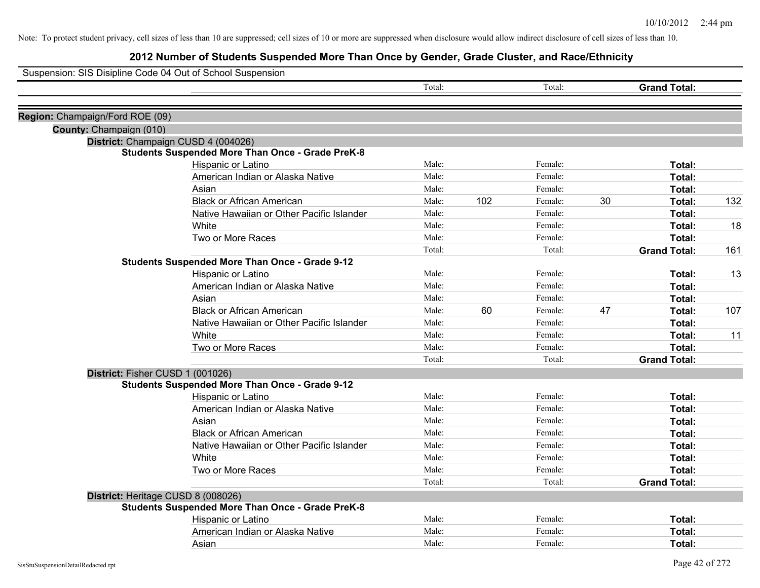|                                 | Suspension: SIS Disipline Code 04 Out of School Suspension                                     |        |     |         |    |                     |     |
|---------------------------------|------------------------------------------------------------------------------------------------|--------|-----|---------|----|---------------------|-----|
|                                 |                                                                                                | Total: |     | Total:  |    | <b>Grand Total:</b> |     |
|                                 |                                                                                                |        |     |         |    |                     |     |
| Region: Champaign/Ford ROE (09) |                                                                                                |        |     |         |    |                     |     |
| County: Champaign (010)         |                                                                                                |        |     |         |    |                     |     |
|                                 | District: Champaign CUSD 4 (004026)<br><b>Students Suspended More Than Once - Grade PreK-8</b> |        |     |         |    |                     |     |
|                                 | Hispanic or Latino                                                                             | Male:  |     | Female: |    | Total:              |     |
|                                 | American Indian or Alaska Native                                                               | Male:  |     | Female: |    | Total:              |     |
|                                 | Asian                                                                                          | Male:  |     | Female: |    | Total:              |     |
|                                 | <b>Black or African American</b>                                                               | Male:  | 102 | Female: | 30 | Total:              | 132 |
|                                 | Native Hawaiian or Other Pacific Islander                                                      | Male:  |     | Female: |    | Total:              |     |
|                                 | White                                                                                          | Male:  |     | Female: |    | Total:              | 18  |
|                                 | Two or More Races                                                                              | Male:  |     | Female: |    | Total:              |     |
|                                 |                                                                                                | Total: |     | Total:  |    | <b>Grand Total:</b> | 161 |
|                                 | <b>Students Suspended More Than Once - Grade 9-12</b>                                          |        |     |         |    |                     |     |
|                                 | Hispanic or Latino                                                                             | Male:  |     | Female: |    | Total:              | 13  |
|                                 | American Indian or Alaska Native                                                               | Male:  |     | Female: |    | Total:              |     |
|                                 | Asian                                                                                          | Male:  |     | Female: |    | Total:              |     |
|                                 | <b>Black or African American</b>                                                               | Male:  | 60  | Female: | 47 | Total:              | 107 |
|                                 | Native Hawaiian or Other Pacific Islander                                                      | Male:  |     | Female: |    | Total:              |     |
|                                 | White                                                                                          | Male:  |     | Female: |    | <b>Total:</b>       | 11  |
|                                 | Two or More Races                                                                              | Male:  |     | Female: |    | Total:              |     |
|                                 |                                                                                                | Total: |     | Total:  |    | <b>Grand Total:</b> |     |
|                                 | District: Fisher CUSD 1 (001026)                                                               |        |     |         |    |                     |     |
|                                 | <b>Students Suspended More Than Once - Grade 9-12</b>                                          |        |     |         |    |                     |     |
|                                 | Hispanic or Latino                                                                             | Male:  |     | Female: |    | Total:              |     |
|                                 | American Indian or Alaska Native                                                               | Male:  |     | Female: |    | Total:              |     |
|                                 | Asian                                                                                          | Male:  |     | Female: |    | Total:              |     |
|                                 | <b>Black or African American</b>                                                               | Male:  |     | Female: |    | Total:              |     |
|                                 | Native Hawaiian or Other Pacific Islander                                                      | Male:  |     | Female: |    | Total:              |     |
|                                 | White                                                                                          | Male:  |     | Female: |    | Total:              |     |
|                                 | Two or More Races                                                                              | Male:  |     | Female: |    | Total:              |     |
|                                 |                                                                                                | Total: |     | Total:  |    | <b>Grand Total:</b> |     |
|                                 | District: Heritage CUSD 8 (008026)                                                             |        |     |         |    |                     |     |
|                                 | <b>Students Suspended More Than Once - Grade PreK-8</b>                                        |        |     |         |    |                     |     |
|                                 | Hispanic or Latino                                                                             | Male:  |     | Female: |    | Total:              |     |
|                                 | American Indian or Alaska Native                                                               | Male:  |     | Female: |    | Total:              |     |
|                                 | Asian                                                                                          | Male:  |     | Female: |    | Total:              |     |
|                                 |                                                                                                |        |     |         |    |                     |     |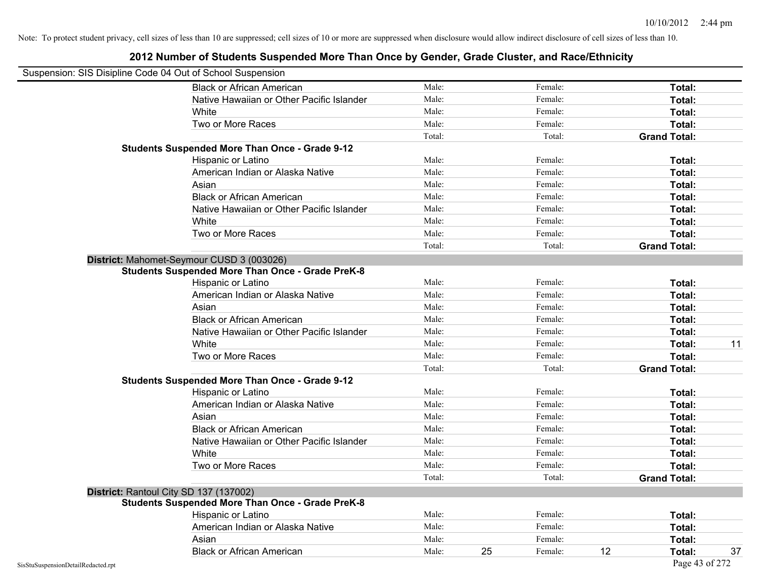| Suspension: SIS Disipline Code 04 Out of School Suspension |                                                         |        |    |         |    |                     |    |
|------------------------------------------------------------|---------------------------------------------------------|--------|----|---------|----|---------------------|----|
|                                                            | <b>Black or African American</b>                        | Male:  |    | Female: |    | Total:              |    |
|                                                            | Native Hawaiian or Other Pacific Islander               | Male:  |    | Female: |    | Total:              |    |
|                                                            | White                                                   | Male:  |    | Female: |    | Total:              |    |
|                                                            | Two or More Races                                       | Male:  |    | Female: |    | Total:              |    |
|                                                            |                                                         | Total: |    | Total:  |    | <b>Grand Total:</b> |    |
|                                                            | <b>Students Suspended More Than Once - Grade 9-12</b>   |        |    |         |    |                     |    |
|                                                            | Hispanic or Latino                                      | Male:  |    | Female: |    | Total:              |    |
|                                                            | American Indian or Alaska Native                        | Male:  |    | Female: |    | Total:              |    |
|                                                            | Asian                                                   | Male:  |    | Female: |    | Total:              |    |
|                                                            | <b>Black or African American</b>                        | Male:  |    | Female: |    | Total:              |    |
|                                                            | Native Hawaiian or Other Pacific Islander               | Male:  |    | Female: |    | Total:              |    |
|                                                            | White                                                   | Male:  |    | Female: |    | Total:              |    |
|                                                            | Two or More Races                                       | Male:  |    | Female: |    | Total:              |    |
|                                                            |                                                         | Total: |    | Total:  |    | <b>Grand Total:</b> |    |
|                                                            | District: Mahomet-Seymour CUSD 3 (003026)               |        |    |         |    |                     |    |
|                                                            | <b>Students Suspended More Than Once - Grade PreK-8</b> |        |    |         |    |                     |    |
|                                                            | Hispanic or Latino                                      | Male:  |    | Female: |    | Total:              |    |
|                                                            | American Indian or Alaska Native                        | Male:  |    | Female: |    | Total:              |    |
|                                                            | Asian                                                   | Male:  |    | Female: |    | Total:              |    |
|                                                            | <b>Black or African American</b>                        | Male:  |    | Female: |    | Total:              |    |
|                                                            | Native Hawaiian or Other Pacific Islander               | Male:  |    | Female: |    | Total:              |    |
|                                                            | White                                                   | Male:  |    | Female: |    | Total:              | 11 |
|                                                            | Two or More Races                                       | Male:  |    | Female: |    | Total:              |    |
|                                                            |                                                         | Total: |    | Total:  |    | <b>Grand Total:</b> |    |
|                                                            | <b>Students Suspended More Than Once - Grade 9-12</b>   |        |    |         |    |                     |    |
|                                                            | Hispanic or Latino                                      | Male:  |    | Female: |    | Total:              |    |
|                                                            | American Indian or Alaska Native                        | Male:  |    | Female: |    | Total:              |    |
|                                                            | Asian                                                   | Male:  |    | Female: |    | Total:              |    |
|                                                            | <b>Black or African American</b>                        | Male:  |    | Female: |    | Total:              |    |
|                                                            | Native Hawaiian or Other Pacific Islander               | Male:  |    | Female: |    | Total:              |    |
|                                                            | White                                                   | Male:  |    | Female: |    | Total:              |    |
|                                                            | Two or More Races                                       | Male:  |    | Female: |    | Total:              |    |
|                                                            |                                                         | Total: |    | Total:  |    | <b>Grand Total:</b> |    |
|                                                            | District: Rantoul City SD 137 (137002)                  |        |    |         |    |                     |    |
|                                                            | <b>Students Suspended More Than Once - Grade PreK-8</b> |        |    |         |    |                     |    |
|                                                            | Hispanic or Latino                                      | Male:  |    | Female: |    | Total:              |    |
|                                                            | American Indian or Alaska Native                        | Male:  |    | Female: |    | Total:              |    |
|                                                            | Asian                                                   | Male:  |    | Female: |    | Total:              |    |
|                                                            | <b>Black or African American</b>                        | Male:  | 25 | Female: | 12 | Total:              | 37 |
| SisStuSuspensionDetailRedacted.rpt                         |                                                         |        |    |         |    | Page 43 of 272      |    |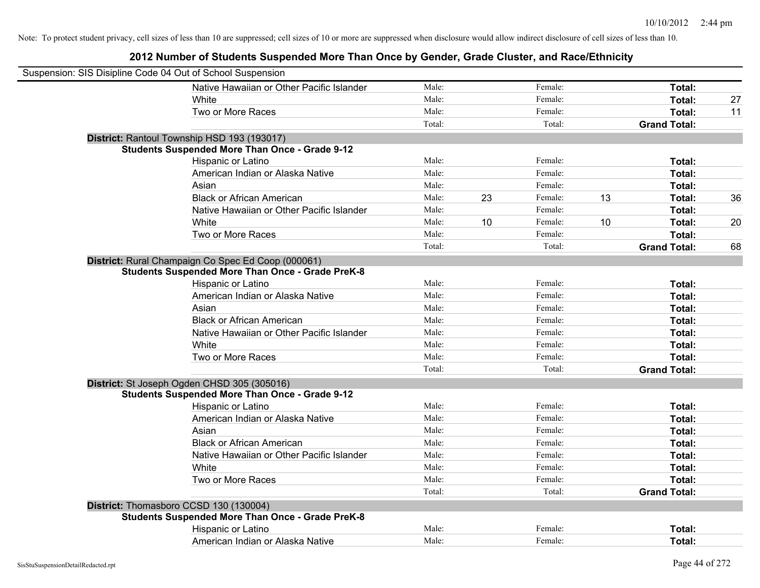| Suspension: SIS Disipline Code 04 Out of School Suspension |                                                         |        |    |         |    |                     |    |
|------------------------------------------------------------|---------------------------------------------------------|--------|----|---------|----|---------------------|----|
|                                                            | Native Hawaiian or Other Pacific Islander               | Male:  |    | Female: |    | Total:              |    |
|                                                            | White                                                   | Male:  |    | Female: |    | Total:              | 27 |
|                                                            | Two or More Races                                       | Male:  |    | Female: |    | Total:              | 11 |
|                                                            |                                                         | Total: |    | Total:  |    | <b>Grand Total:</b> |    |
|                                                            | District: Rantoul Township HSD 193 (193017)             |        |    |         |    |                     |    |
|                                                            | <b>Students Suspended More Than Once - Grade 9-12</b>   |        |    |         |    |                     |    |
|                                                            | Hispanic or Latino                                      | Male:  |    | Female: |    | Total:              |    |
|                                                            | American Indian or Alaska Native                        | Male:  |    | Female: |    | Total:              |    |
|                                                            | Asian                                                   | Male:  |    | Female: |    | Total:              |    |
|                                                            | <b>Black or African American</b>                        | Male:  | 23 | Female: | 13 | Total:              | 36 |
|                                                            | Native Hawaiian or Other Pacific Islander               | Male:  |    | Female: |    | Total:              |    |
|                                                            | White                                                   | Male:  | 10 | Female: | 10 | Total:              | 20 |
|                                                            | Two or More Races                                       | Male:  |    | Female: |    | Total:              |    |
|                                                            |                                                         | Total: |    | Total:  |    | <b>Grand Total:</b> | 68 |
|                                                            | District: Rural Champaign Co Spec Ed Coop (000061)      |        |    |         |    |                     |    |
|                                                            | <b>Students Suspended More Than Once - Grade PreK-8</b> |        |    |         |    |                     |    |
|                                                            | Hispanic or Latino                                      | Male:  |    | Female: |    | Total:              |    |
|                                                            | American Indian or Alaska Native                        | Male:  |    | Female: |    | Total:              |    |
|                                                            | Asian                                                   | Male:  |    | Female: |    | Total:              |    |
|                                                            | <b>Black or African American</b>                        | Male:  |    | Female: |    | Total:              |    |
|                                                            | Native Hawaiian or Other Pacific Islander               | Male:  |    | Female: |    | Total:              |    |
|                                                            | White                                                   | Male:  |    | Female: |    | Total:              |    |
|                                                            | Two or More Races                                       | Male:  |    | Female: |    | Total:              |    |
|                                                            |                                                         | Total: |    | Total:  |    | <b>Grand Total:</b> |    |
|                                                            | District: St Joseph Ogden CHSD 305 (305016)             |        |    |         |    |                     |    |
|                                                            | <b>Students Suspended More Than Once - Grade 9-12</b>   |        |    |         |    |                     |    |
|                                                            | Hispanic or Latino                                      | Male:  |    | Female: |    | Total:              |    |
|                                                            | American Indian or Alaska Native                        | Male:  |    | Female: |    | Total:              |    |
|                                                            | Asian                                                   | Male:  |    | Female: |    | Total:              |    |
|                                                            | <b>Black or African American</b>                        | Male:  |    | Female: |    | Total:              |    |
|                                                            | Native Hawaiian or Other Pacific Islander               | Male:  |    | Female: |    | Total:              |    |
|                                                            | White                                                   | Male:  |    | Female: |    | Total:              |    |
|                                                            | Two or More Races                                       | Male:  |    | Female: |    | Total:              |    |
|                                                            |                                                         | Total: |    | Total:  |    | <b>Grand Total:</b> |    |
|                                                            | District: Thomasboro CCSD 130 (130004)                  |        |    |         |    |                     |    |
|                                                            | <b>Students Suspended More Than Once - Grade PreK-8</b> |        |    |         |    |                     |    |
|                                                            | Hispanic or Latino                                      | Male:  |    | Female: |    | Total:              |    |
|                                                            | American Indian or Alaska Native                        | Male:  |    | Female: |    | Total:              |    |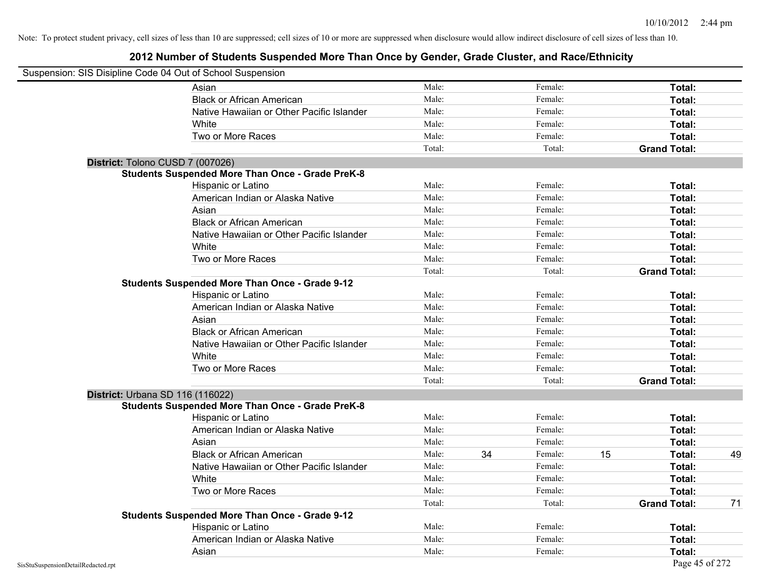|                                    | Suspension: SIS Disipline Code 04 Out of School Suspension |        |    |         |    |                     |    |
|------------------------------------|------------------------------------------------------------|--------|----|---------|----|---------------------|----|
|                                    | Asian                                                      | Male:  |    | Female: |    | Total:              |    |
|                                    | <b>Black or African American</b>                           | Male:  |    | Female: |    | Total:              |    |
|                                    | Native Hawaiian or Other Pacific Islander                  | Male:  |    | Female: |    | Total:              |    |
|                                    | White                                                      | Male:  |    | Female: |    | Total:              |    |
|                                    | Two or More Races                                          | Male:  |    | Female: |    | Total:              |    |
|                                    |                                                            | Total: |    | Total:  |    | <b>Grand Total:</b> |    |
|                                    | District: Tolono CUSD 7 (007026)                           |        |    |         |    |                     |    |
|                                    | <b>Students Suspended More Than Once - Grade PreK-8</b>    |        |    |         |    |                     |    |
|                                    | Hispanic or Latino                                         | Male:  |    | Female: |    | Total:              |    |
|                                    | American Indian or Alaska Native                           | Male:  |    | Female: |    | Total:              |    |
|                                    | Asian                                                      | Male:  |    | Female: |    | Total:              |    |
|                                    | <b>Black or African American</b>                           | Male:  |    | Female: |    | Total:              |    |
|                                    | Native Hawaiian or Other Pacific Islander                  | Male:  |    | Female: |    | Total:              |    |
|                                    | White                                                      | Male:  |    | Female: |    | Total:              |    |
|                                    | Two or More Races                                          | Male:  |    | Female: |    | Total:              |    |
|                                    |                                                            | Total: |    | Total:  |    | <b>Grand Total:</b> |    |
|                                    | <b>Students Suspended More Than Once - Grade 9-12</b>      |        |    |         |    |                     |    |
|                                    | Hispanic or Latino                                         | Male:  |    | Female: |    | Total:              |    |
|                                    | American Indian or Alaska Native                           | Male:  |    | Female: |    | Total:              |    |
|                                    | Asian                                                      | Male:  |    | Female: |    | Total:              |    |
|                                    | <b>Black or African American</b>                           | Male:  |    | Female: |    | Total:              |    |
|                                    | Native Hawaiian or Other Pacific Islander                  | Male:  |    | Female: |    | Total:              |    |
|                                    | White                                                      | Male:  |    | Female: |    | Total:              |    |
|                                    | Two or More Races                                          | Male:  |    | Female: |    | Total:              |    |
|                                    |                                                            | Total: |    | Total:  |    | <b>Grand Total:</b> |    |
|                                    | District: Urbana SD 116 (116022)                           |        |    |         |    |                     |    |
|                                    | <b>Students Suspended More Than Once - Grade PreK-8</b>    |        |    |         |    |                     |    |
|                                    | Hispanic or Latino                                         | Male:  |    | Female: |    | Total:              |    |
|                                    | American Indian or Alaska Native                           | Male:  |    | Female: |    | Total:              |    |
|                                    | Asian                                                      | Male:  |    | Female: |    | Total:              |    |
|                                    | <b>Black or African American</b>                           | Male:  | 34 | Female: | 15 | Total:              | 49 |
|                                    | Native Hawaiian or Other Pacific Islander                  | Male:  |    | Female: |    | Total:              |    |
|                                    | White                                                      | Male:  |    | Female: |    | Total:              |    |
|                                    | Two or More Races                                          | Male:  |    | Female: |    | Total:              |    |
|                                    |                                                            | Total: |    | Total:  |    | <b>Grand Total:</b> | 71 |
|                                    | <b>Students Suspended More Than Once - Grade 9-12</b>      |        |    |         |    |                     |    |
|                                    | Hispanic or Latino                                         | Male:  |    | Female: |    | Total:              |    |
|                                    | American Indian or Alaska Native                           | Male:  |    | Female: |    | Total:              |    |
|                                    | Asian                                                      | Male:  |    | Female: |    | Total:              |    |
| SisStuSuspensionDetailRedacted.rpt |                                                            |        |    |         |    | Page 45 of 272      |    |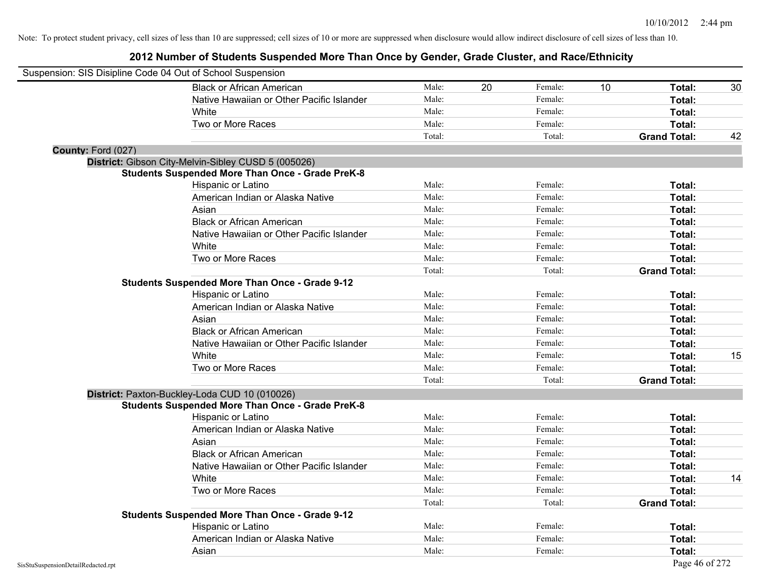| Suspension: SIS Disipline Code 04 Out of School Suspension |                                                         |        |    |         |    |                     |    |
|------------------------------------------------------------|---------------------------------------------------------|--------|----|---------|----|---------------------|----|
|                                                            | <b>Black or African American</b>                        | Male:  | 20 | Female: | 10 | Total:              | 30 |
|                                                            | Native Hawaiian or Other Pacific Islander               | Male:  |    | Female: |    | Total:              |    |
|                                                            | White                                                   | Male:  |    | Female: |    | Total:              |    |
|                                                            | Two or More Races                                       | Male:  |    | Female: |    | Total:              |    |
|                                                            |                                                         | Total: |    | Total:  |    | <b>Grand Total:</b> | 42 |
| County: Ford (027)                                         |                                                         |        |    |         |    |                     |    |
|                                                            | District: Gibson City-Melvin-Sibley CUSD 5 (005026)     |        |    |         |    |                     |    |
|                                                            | <b>Students Suspended More Than Once - Grade PreK-8</b> |        |    |         |    |                     |    |
|                                                            | Hispanic or Latino                                      | Male:  |    | Female: |    | Total:              |    |
|                                                            | American Indian or Alaska Native                        | Male:  |    | Female: |    | Total:              |    |
|                                                            | Asian                                                   | Male:  |    | Female: |    | Total:              |    |
|                                                            | <b>Black or African American</b>                        | Male:  |    | Female: |    | Total:              |    |
|                                                            | Native Hawaiian or Other Pacific Islander               | Male:  |    | Female: |    | Total:              |    |
|                                                            | White                                                   | Male:  |    | Female: |    | Total:              |    |
|                                                            | Two or More Races                                       | Male:  |    | Female: |    | Total:              |    |
|                                                            |                                                         | Total: |    | Total:  |    | <b>Grand Total:</b> |    |
|                                                            | Students Suspended More Than Once - Grade 9-12          |        |    |         |    |                     |    |
|                                                            | Hispanic or Latino                                      | Male:  |    | Female: |    | Total:              |    |
|                                                            | American Indian or Alaska Native                        | Male:  |    | Female: |    | Total:              |    |
|                                                            | Asian                                                   | Male:  |    | Female: |    | Total:              |    |
|                                                            | <b>Black or African American</b>                        | Male:  |    | Female: |    | Total:              |    |
|                                                            | Native Hawaiian or Other Pacific Islander               | Male:  |    | Female: |    | Total:              |    |
|                                                            | White                                                   | Male:  |    | Female: |    | Total:              | 15 |
|                                                            | Two or More Races                                       | Male:  |    | Female: |    | Total:              |    |
|                                                            |                                                         | Total: |    | Total:  |    | <b>Grand Total:</b> |    |
|                                                            | District: Paxton-Buckley-Loda CUD 10 (010026)           |        |    |         |    |                     |    |
|                                                            | <b>Students Suspended More Than Once - Grade PreK-8</b> |        |    |         |    |                     |    |
|                                                            | Hispanic or Latino                                      | Male:  |    | Female: |    | Total:              |    |
|                                                            | American Indian or Alaska Native                        | Male:  |    | Female: |    | Total:              |    |
|                                                            | Asian                                                   | Male:  |    | Female: |    | Total:              |    |
|                                                            | <b>Black or African American</b>                        | Male:  |    | Female: |    | Total:              |    |
|                                                            | Native Hawaiian or Other Pacific Islander               | Male:  |    | Female: |    | Total:              |    |
|                                                            | White                                                   | Male:  |    | Female: |    | Total:              | 14 |
|                                                            | Two or More Races                                       | Male:  |    | Female: |    | Total:              |    |
|                                                            |                                                         | Total: |    | Total:  |    | <b>Grand Total:</b> |    |
|                                                            | <b>Students Suspended More Than Once - Grade 9-12</b>   |        |    |         |    |                     |    |
|                                                            | Hispanic or Latino                                      | Male:  |    | Female: |    | Total:              |    |
|                                                            | American Indian or Alaska Native                        | Male:  |    | Female: |    | Total:              |    |
|                                                            | Asian                                                   | Male:  |    | Female: |    | Total:              |    |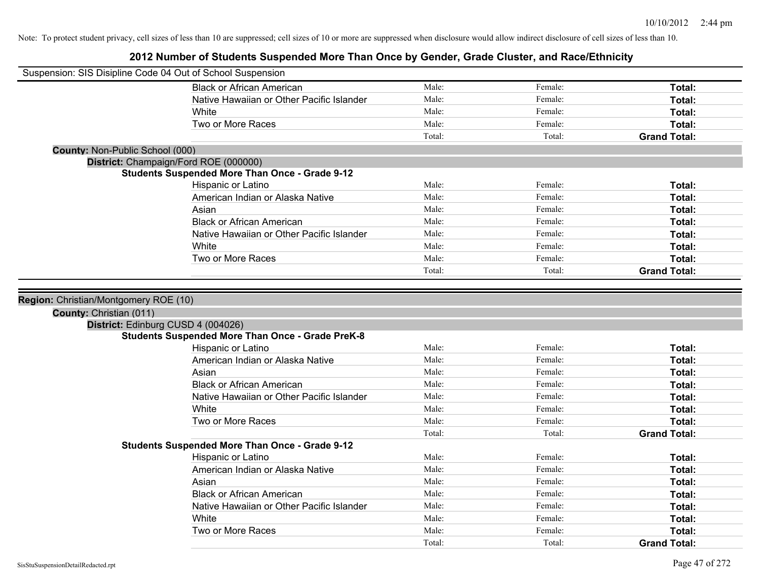| Suspension: SIS Disipline Code 04 Out of School Suspension |                                                         |                |         |                     |
|------------------------------------------------------------|---------------------------------------------------------|----------------|---------|---------------------|
|                                                            | <b>Black or African American</b>                        | Male:          | Female: | Total:              |
|                                                            | Native Hawaiian or Other Pacific Islander               | Male:          | Female: | Total:              |
|                                                            | White                                                   | Male:          | Female: | Total:              |
|                                                            | Two or More Races                                       | Male:          | Female: | Total:              |
|                                                            |                                                         | Total:         | Total:  | <b>Grand Total:</b> |
| <b>County: Non-Public School (000)</b>                     |                                                         |                |         |                     |
| District: Champaign/Ford ROE (000000)                      |                                                         |                |         |                     |
|                                                            | <b>Students Suspended More Than Once - Grade 9-12</b>   |                |         |                     |
|                                                            | Hispanic or Latino                                      | Male:          | Female: | Total:              |
|                                                            | American Indian or Alaska Native                        | Male:          | Female: | Total:              |
|                                                            | Asian                                                   | Male:          | Female: | Total:              |
|                                                            | <b>Black or African American</b>                        | Male:          | Female: | Total:              |
|                                                            | Native Hawaiian or Other Pacific Islander               | Male:          | Female: | Total:              |
|                                                            | White                                                   | Male:          | Female: | Total:              |
|                                                            | Two or More Races                                       | Male:          | Female: | Total:              |
|                                                            |                                                         | Total:         | Total:  | <b>Grand Total:</b> |
|                                                            |                                                         |                |         |                     |
| Region: Christian/Montgomery ROE (10)                      |                                                         |                |         |                     |
| County: Christian (011)                                    |                                                         |                |         |                     |
| District: Edinburg CUSD 4 (004026)                         |                                                         |                |         |                     |
|                                                            | <b>Students Suspended More Than Once - Grade PreK-8</b> |                |         |                     |
|                                                            | Hispanic or Latino                                      | Male:          | Female: | Total:              |
|                                                            | American Indian or Alaska Native                        | Male:          | Female: | Total:              |
|                                                            | Asian                                                   | Male:          | Female: | Total:              |
|                                                            | <b>Black or African American</b>                        | Male:          | Female: | Total:              |
|                                                            | Native Hawaiian or Other Pacific Islander               | Male:          | Female: | Total:              |
|                                                            | White                                                   | Male:          | Female: | Total:              |
|                                                            | Two or More Races                                       | Male:          | Female: | Total:              |
|                                                            |                                                         | Total:         | Total:  | <b>Grand Total:</b> |
|                                                            | <b>Students Suspended More Than Once - Grade 9-12</b>   |                |         |                     |
|                                                            | Hispanic or Latino                                      | Male:          | Female: | Total:              |
|                                                            | American Indian or Alaska Native                        | Male:          | Female: | Total:              |
|                                                            | Asian                                                   | Male:          | Female: | Total:              |
|                                                            |                                                         |                | Female: |                     |
|                                                            |                                                         | Male:          |         |                     |
|                                                            | <b>Black or African American</b>                        | Male:          | Female: | Total:              |
|                                                            | Native Hawaiian or Other Pacific Islander               |                | Female: | Total:              |
|                                                            | White<br>Two or More Races                              | Male:<br>Male: | Female: | Total:<br>Total:    |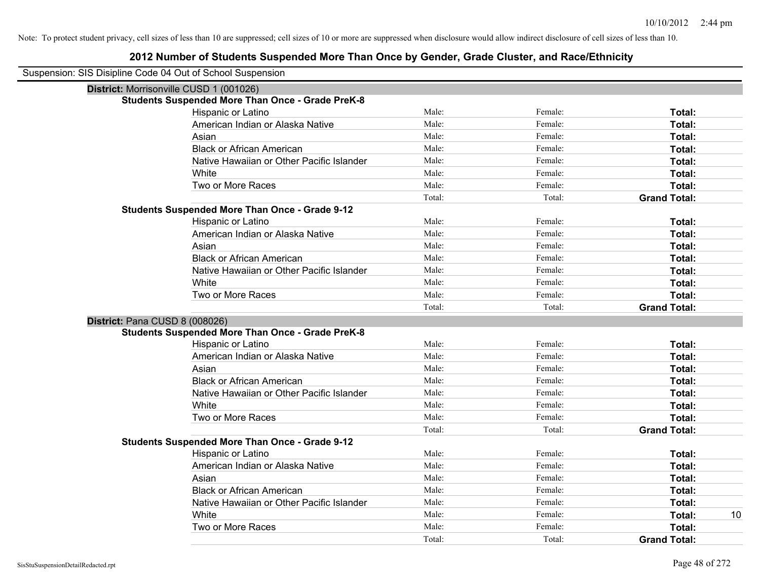| Suspension: SIS Disipline Code 04 Out of School Suspension |                                                         |        |         |                     |  |  |  |  |  |
|------------------------------------------------------------|---------------------------------------------------------|--------|---------|---------------------|--|--|--|--|--|
|                                                            | District: Morrisonville CUSD 1 (001026)                 |        |         |                     |  |  |  |  |  |
|                                                            | <b>Students Suspended More Than Once - Grade PreK-8</b> |        |         |                     |  |  |  |  |  |
|                                                            | <b>Hispanic or Latino</b>                               | Male:  | Female: | Total:              |  |  |  |  |  |
|                                                            | American Indian or Alaska Native                        | Male:  | Female: | Total:              |  |  |  |  |  |
|                                                            | Asian                                                   | Male:  | Female: | Total:              |  |  |  |  |  |
|                                                            | <b>Black or African American</b>                        | Male:  | Female: | Total:              |  |  |  |  |  |
|                                                            | Native Hawaiian or Other Pacific Islander               | Male:  | Female: | Total:              |  |  |  |  |  |
|                                                            | White                                                   | Male:  | Female: | Total:              |  |  |  |  |  |
|                                                            | Two or More Races                                       | Male:  | Female: | Total:              |  |  |  |  |  |
|                                                            |                                                         | Total: | Total:  | <b>Grand Total:</b> |  |  |  |  |  |
|                                                            | <b>Students Suspended More Than Once - Grade 9-12</b>   |        |         |                     |  |  |  |  |  |
|                                                            | Hispanic or Latino                                      | Male:  | Female: | Total:              |  |  |  |  |  |
|                                                            | American Indian or Alaska Native                        | Male:  | Female: | Total:              |  |  |  |  |  |
|                                                            | Asian                                                   | Male:  | Female: | Total:              |  |  |  |  |  |
|                                                            | <b>Black or African American</b>                        | Male:  | Female: | Total:              |  |  |  |  |  |
|                                                            | Native Hawaiian or Other Pacific Islander               | Male:  | Female: | Total:              |  |  |  |  |  |
|                                                            | White                                                   | Male:  | Female: | Total:              |  |  |  |  |  |
|                                                            | Two or More Races                                       | Male:  | Female: | Total:              |  |  |  |  |  |
|                                                            |                                                         | Total: | Total:  | <b>Grand Total:</b> |  |  |  |  |  |
| District: Pana CUSD 8 (008026)                             |                                                         |        |         |                     |  |  |  |  |  |
|                                                            | <b>Students Suspended More Than Once - Grade PreK-8</b> |        |         |                     |  |  |  |  |  |
|                                                            | Hispanic or Latino                                      | Male:  | Female: | Total:              |  |  |  |  |  |
|                                                            | American Indian or Alaska Native                        | Male:  | Female: | Total:              |  |  |  |  |  |
|                                                            | Asian                                                   | Male:  | Female: | Total:              |  |  |  |  |  |
|                                                            | <b>Black or African American</b>                        | Male:  | Female: | Total:              |  |  |  |  |  |
|                                                            | Native Hawaiian or Other Pacific Islander               | Male:  | Female: | Total:              |  |  |  |  |  |
|                                                            | White                                                   | Male:  | Female: | Total:              |  |  |  |  |  |
|                                                            | Two or More Races                                       | Male:  | Female: | Total:              |  |  |  |  |  |
|                                                            |                                                         | Total: | Total:  | <b>Grand Total:</b> |  |  |  |  |  |
|                                                            | <b>Students Suspended More Than Once - Grade 9-12</b>   |        |         |                     |  |  |  |  |  |
|                                                            | Hispanic or Latino                                      | Male:  | Female: | Total:              |  |  |  |  |  |
|                                                            | American Indian or Alaska Native                        | Male:  | Female: | Total:              |  |  |  |  |  |
|                                                            | Asian                                                   | Male:  | Female: | Total:              |  |  |  |  |  |
|                                                            | <b>Black or African American</b>                        | Male:  | Female: | Total:              |  |  |  |  |  |
|                                                            | Native Hawaiian or Other Pacific Islander               | Male:  | Female: | Total:              |  |  |  |  |  |
|                                                            | White                                                   | Male:  | Female: | <b>Total:</b><br>10 |  |  |  |  |  |
|                                                            | Two or More Races                                       | Male:  | Female: | Total:              |  |  |  |  |  |
|                                                            |                                                         | Total: | Total:  | <b>Grand Total:</b> |  |  |  |  |  |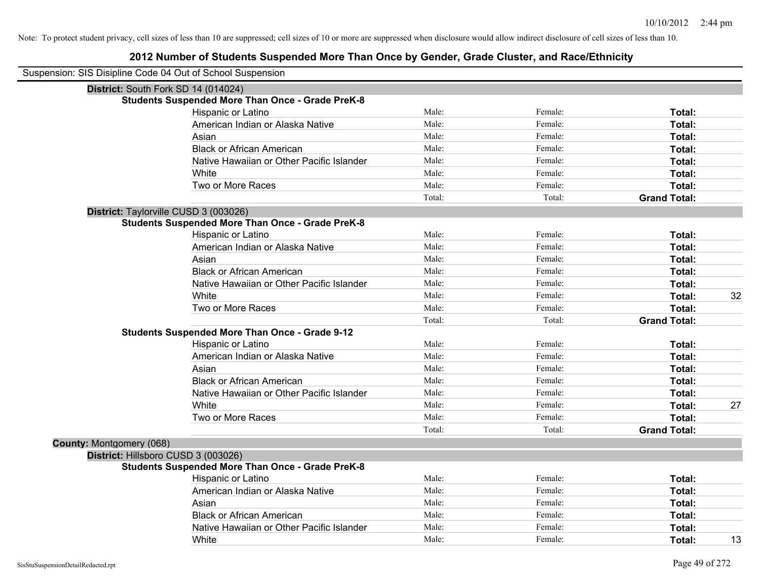|                          | Suspension: SIS Disipline Code 04 Out of School Suspension |        |         |                     |    |
|--------------------------|------------------------------------------------------------|--------|---------|---------------------|----|
|                          | District: South Fork SD 14 (014024)                        |        |         |                     |    |
|                          | <b>Students Suspended More Than Once - Grade PreK-8</b>    |        |         |                     |    |
|                          | Hispanic or Latino                                         | Male:  | Female: | Total:              |    |
|                          | American Indian or Alaska Native                           | Male:  | Female: | Total:              |    |
|                          | Asian                                                      | Male:  | Female: | Total:              |    |
|                          | <b>Black or African American</b>                           | Male:  | Female: | Total:              |    |
|                          | Native Hawaiian or Other Pacific Islander                  | Male:  | Female: | Total:              |    |
|                          | White                                                      | Male:  | Female: | Total:              |    |
|                          | Two or More Races                                          | Male:  | Female: | Total:              |    |
|                          |                                                            | Total: | Total:  | <b>Grand Total:</b> |    |
|                          | District: Taylorville CUSD 3 (003026)                      |        |         |                     |    |
|                          | <b>Students Suspended More Than Once - Grade PreK-8</b>    |        |         |                     |    |
|                          | Hispanic or Latino                                         | Male:  | Female: | Total:              |    |
|                          | American Indian or Alaska Native                           | Male:  | Female: | Total:              |    |
|                          | Asian                                                      | Male:  | Female: | Total:              |    |
|                          | <b>Black or African American</b>                           | Male:  | Female: | Total:              |    |
|                          | Native Hawaiian or Other Pacific Islander                  | Male:  | Female: | Total:              |    |
|                          | White                                                      | Male:  | Female: | Total:              | 32 |
|                          | Two or More Races                                          | Male:  | Female: | <b>Total:</b>       |    |
|                          |                                                            | Total: | Total:  | <b>Grand Total:</b> |    |
|                          | <b>Students Suspended More Than Once - Grade 9-12</b>      |        |         |                     |    |
|                          | Hispanic or Latino                                         | Male:  | Female: | Total:              |    |
|                          | American Indian or Alaska Native                           | Male:  | Female: | Total:              |    |
|                          | Asian                                                      | Male:  | Female: | Total:              |    |
|                          | <b>Black or African American</b>                           | Male:  | Female: | Total:              |    |
|                          | Native Hawaiian or Other Pacific Islander                  | Male:  | Female: | Total:              |    |
|                          | White                                                      | Male:  | Female: | Total:              | 27 |
|                          | Two or More Races                                          | Male:  | Female: | Total:              |    |
|                          |                                                            | Total: | Total:  | <b>Grand Total:</b> |    |
| County: Montgomery (068) |                                                            |        |         |                     |    |
|                          | District: Hillsboro CUSD 3 (003026)                        |        |         |                     |    |
|                          | <b>Students Suspended More Than Once - Grade PreK-8</b>    |        |         |                     |    |
|                          | Hispanic or Latino                                         | Male:  | Female: | Total:              |    |
|                          | American Indian or Alaska Native                           | Male:  | Female: | Total:              |    |
|                          | Asian                                                      | Male:  | Female: | Total:              |    |
|                          | <b>Black or African American</b>                           | Male:  | Female: | Total:              |    |
|                          | Native Hawaiian or Other Pacific Islander                  | Male:  | Female: | Total:              |    |
|                          | White                                                      | Male:  | Female: | Total:              | 13 |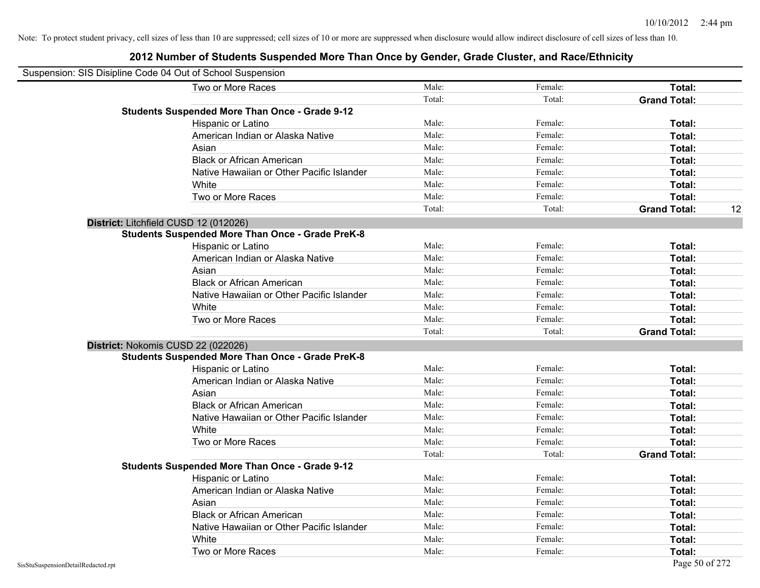| Suspension: SIS Disipline Code 04 Out of School Suspension |                                                         |        |         |                     |    |
|------------------------------------------------------------|---------------------------------------------------------|--------|---------|---------------------|----|
|                                                            | Two or More Races                                       | Male:  | Female: | Total:              |    |
|                                                            |                                                         | Total: | Total:  | <b>Grand Total:</b> |    |
|                                                            | <b>Students Suspended More Than Once - Grade 9-12</b>   |        |         |                     |    |
|                                                            | Hispanic or Latino                                      | Male:  | Female: | Total:              |    |
|                                                            | American Indian or Alaska Native                        | Male:  | Female: | Total:              |    |
|                                                            | Asian                                                   | Male:  | Female: | Total:              |    |
|                                                            | <b>Black or African American</b>                        | Male:  | Female: | Total:              |    |
|                                                            | Native Hawaiian or Other Pacific Islander               | Male:  | Female: | Total:              |    |
|                                                            | White                                                   | Male:  | Female: | Total:              |    |
|                                                            | Two or More Races                                       | Male:  | Female: | Total:              |    |
|                                                            |                                                         | Total: | Total:  | <b>Grand Total:</b> | 12 |
|                                                            | District: Litchfield CUSD 12 (012026)                   |        |         |                     |    |
|                                                            | <b>Students Suspended More Than Once - Grade PreK-8</b> |        |         |                     |    |
|                                                            | Hispanic or Latino                                      | Male:  | Female: | Total:              |    |
|                                                            | American Indian or Alaska Native                        | Male:  | Female: | Total:              |    |
|                                                            | Asian                                                   | Male:  | Female: | Total:              |    |
|                                                            | <b>Black or African American</b>                        | Male:  | Female: | Total:              |    |
|                                                            | Native Hawaiian or Other Pacific Islander               | Male:  | Female: | Total:              |    |
|                                                            | White                                                   | Male:  | Female: | Total:              |    |
|                                                            | Two or More Races                                       | Male:  | Female: | Total:              |    |
|                                                            |                                                         | Total: | Total:  | <b>Grand Total:</b> |    |
|                                                            | District: Nokomis CUSD 22 (022026)                      |        |         |                     |    |
|                                                            | <b>Students Suspended More Than Once - Grade PreK-8</b> |        |         |                     |    |
|                                                            | Hispanic or Latino                                      | Male:  | Female: | Total:              |    |
|                                                            | American Indian or Alaska Native                        | Male:  | Female: | Total:              |    |
|                                                            | Asian                                                   | Male:  | Female: | Total:              |    |
|                                                            | <b>Black or African American</b>                        | Male:  | Female: | Total:              |    |
|                                                            | Native Hawaiian or Other Pacific Islander               | Male:  | Female: | Total:              |    |
|                                                            | White                                                   | Male:  | Female: | Total:              |    |
|                                                            | Two or More Races                                       | Male:  | Female: | Total:              |    |
|                                                            |                                                         | Total: | Total:  | <b>Grand Total:</b> |    |
|                                                            | <b>Students Suspended More Than Once - Grade 9-12</b>   |        |         |                     |    |
|                                                            | Hispanic or Latino                                      | Male:  | Female: | Total:              |    |
|                                                            | American Indian or Alaska Native                        | Male:  | Female: | Total:              |    |
|                                                            | Asian                                                   | Male:  | Female: | Total:              |    |
|                                                            | <b>Black or African American</b>                        | Male:  | Female: | Total:              |    |
|                                                            | Native Hawaiian or Other Pacific Islander               | Male:  | Female: | Total:              |    |
|                                                            | White                                                   | Male:  | Female: | Total:              |    |
|                                                            | Two or More Races                                       | Male:  | Female: | Total:              |    |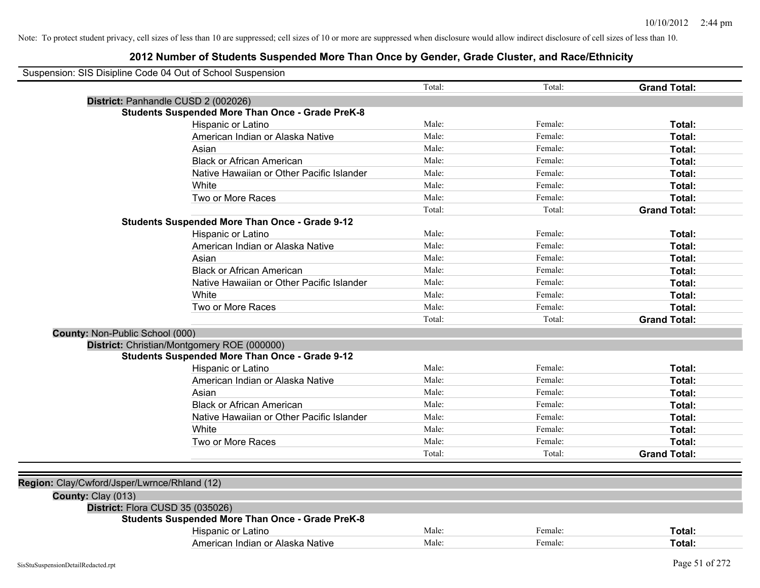| Suspension: SIS Disipline Code 04 Out of School Suspension |                                                         |        |         |                     |
|------------------------------------------------------------|---------------------------------------------------------|--------|---------|---------------------|
|                                                            |                                                         | Total: | Total:  | <b>Grand Total:</b> |
| District: Panhandle CUSD 2 (002026)                        |                                                         |        |         |                     |
|                                                            | <b>Students Suspended More Than Once - Grade PreK-8</b> |        |         |                     |
|                                                            | Hispanic or Latino                                      |        | Female: | Total:              |
|                                                            | American Indian or Alaska Native                        | Male:  | Female: | Total:              |
|                                                            | Asian                                                   | Male:  | Female: | Total:              |
|                                                            | <b>Black or African American</b>                        | Male:  | Female: | Total:              |
|                                                            | Native Hawaiian or Other Pacific Islander               | Male:  | Female: | Total:              |
|                                                            | White                                                   | Male:  | Female: | Total:              |
|                                                            | Two or More Races                                       | Male:  | Female: | Total:              |
|                                                            |                                                         | Total: | Total:  | <b>Grand Total:</b> |
|                                                            | <b>Students Suspended More Than Once - Grade 9-12</b>   |        |         |                     |
|                                                            | Hispanic or Latino                                      | Male:  | Female: | Total:              |
|                                                            | American Indian or Alaska Native                        | Male:  | Female: | Total:              |
|                                                            | Asian                                                   | Male:  | Female: | Total:              |
|                                                            | <b>Black or African American</b>                        | Male:  | Female: | Total:              |
|                                                            | Native Hawaiian or Other Pacific Islander               | Male:  | Female: | Total:              |
|                                                            | White                                                   | Male:  | Female: | Total:              |
|                                                            | Two or More Races                                       | Male:  | Female: | Total:              |
|                                                            |                                                         | Total: | Total:  | <b>Grand Total:</b> |
| County: Non-Public School (000)                            |                                                         |        |         |                     |
|                                                            | District: Christian/Montgomery ROE (000000)             |        |         |                     |
|                                                            | <b>Students Suspended More Than Once - Grade 9-12</b>   |        |         |                     |
|                                                            | Hispanic or Latino                                      | Male:  | Female: | Total:              |
|                                                            | American Indian or Alaska Native                        | Male:  | Female: | Total:              |
|                                                            | Asian                                                   | Male:  | Female: | Total:              |
|                                                            | <b>Black or African American</b>                        | Male:  | Female: | Total:              |
|                                                            | Native Hawaiian or Other Pacific Islander               | Male:  | Female: | Total:              |
|                                                            | White                                                   | Male:  | Female: | Total:              |
|                                                            | Two or More Races                                       | Male:  | Female: | Total:              |
|                                                            |                                                         | Total: | Total:  | <b>Grand Total:</b> |
|                                                            |                                                         |        |         |                     |
| Region: Clay/Cwford/Jsper/Lwrnce/Rhland (12)               |                                                         |        |         |                     |
| County: Clay (013)                                         |                                                         |        |         |                     |
| District: Flora CUSD 35 (035026)                           |                                                         |        |         |                     |
|                                                            | <b>Students Suspended More Than Once - Grade PreK-8</b> |        |         |                     |
|                                                            | Hispanic or Latino                                      | Male:  | Female: | Total:              |
|                                                            | American Indian or Alaska Native                        | Male:  | Female: | Total:              |
|                                                            |                                                         |        |         |                     |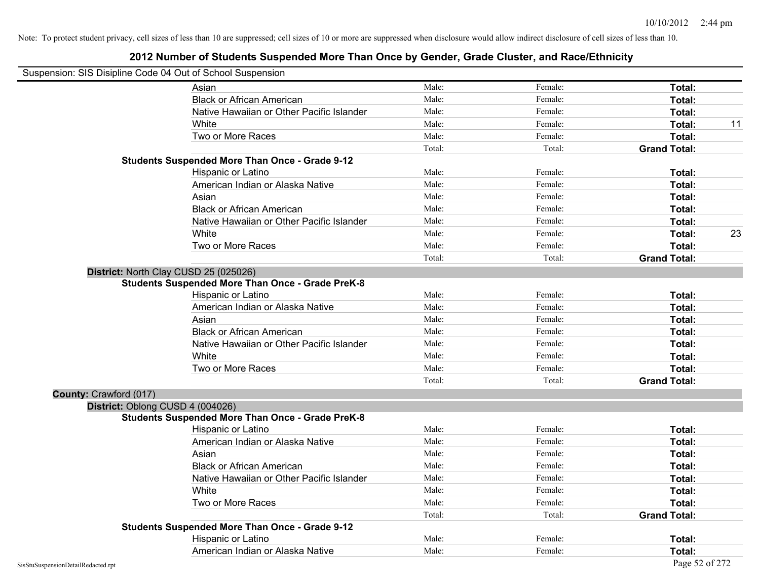| Suspension: SIS Disipline Code 04 Out of School Suspension |                                                         |        |         |                     |    |
|------------------------------------------------------------|---------------------------------------------------------|--------|---------|---------------------|----|
|                                                            | Asian                                                   | Male:  | Female: | Total:              |    |
|                                                            | <b>Black or African American</b>                        | Male:  | Female: | Total:              |    |
|                                                            | Native Hawaiian or Other Pacific Islander               | Male:  | Female: | Total:              |    |
|                                                            | White                                                   | Male:  | Female: | Total:              | 11 |
|                                                            | Two or More Races                                       | Male:  | Female: | Total:              |    |
|                                                            |                                                         | Total: | Total:  | <b>Grand Total:</b> |    |
|                                                            | <b>Students Suspended More Than Once - Grade 9-12</b>   |        |         |                     |    |
|                                                            | Hispanic or Latino                                      | Male:  | Female: | Total:              |    |
|                                                            | American Indian or Alaska Native                        | Male:  | Female: | Total:              |    |
|                                                            | Asian                                                   | Male:  | Female: | Total:              |    |
|                                                            | <b>Black or African American</b>                        | Male:  | Female: | Total:              |    |
|                                                            | Native Hawaiian or Other Pacific Islander               | Male:  | Female: | Total:              |    |
|                                                            | White                                                   | Male:  | Female: | Total:              | 23 |
|                                                            | Two or More Races                                       | Male:  | Female: | Total:              |    |
|                                                            |                                                         | Total: | Total:  | <b>Grand Total:</b> |    |
|                                                            | District: North Clay CUSD 25 (025026)                   |        |         |                     |    |
|                                                            | <b>Students Suspended More Than Once - Grade PreK-8</b> |        |         |                     |    |
|                                                            | Hispanic or Latino                                      | Male:  | Female: | Total:              |    |
|                                                            | American Indian or Alaska Native                        | Male:  | Female: | Total:              |    |
|                                                            | Asian                                                   | Male:  | Female: | Total:              |    |
|                                                            | <b>Black or African American</b>                        | Male:  | Female: | Total:              |    |
|                                                            | Native Hawaiian or Other Pacific Islander               | Male:  | Female: | Total:              |    |
|                                                            | White                                                   | Male:  | Female: | Total:              |    |
|                                                            | Two or More Races                                       | Male:  | Female: | Total:              |    |
|                                                            |                                                         | Total: | Total:  | <b>Grand Total:</b> |    |
| County: Crawford (017)                                     |                                                         |        |         |                     |    |
| District: Oblong CUSD 4 (004026)                           |                                                         |        |         |                     |    |
|                                                            | <b>Students Suspended More Than Once - Grade PreK-8</b> |        |         |                     |    |
|                                                            | Hispanic or Latino                                      | Male:  | Female: | Total:              |    |
|                                                            | American Indian or Alaska Native                        | Male:  | Female: | Total:              |    |
|                                                            | Asian                                                   | Male:  | Female: | Total:              |    |
|                                                            | <b>Black or African American</b>                        | Male:  | Female: | Total:              |    |
|                                                            | Native Hawaiian or Other Pacific Islander               | Male:  | Female: | Total:              |    |
|                                                            | White                                                   | Male:  | Female: | Total:              |    |
|                                                            | Two or More Races                                       | Male:  | Female: | Total:              |    |
|                                                            |                                                         | Total: | Total:  | <b>Grand Total:</b> |    |
|                                                            | <b>Students Suspended More Than Once - Grade 9-12</b>   |        |         |                     |    |
|                                                            | Hispanic or Latino                                      | Male:  | Female: | Total:              |    |
|                                                            | American Indian or Alaska Native                        | Male:  | Female: | Total:              |    |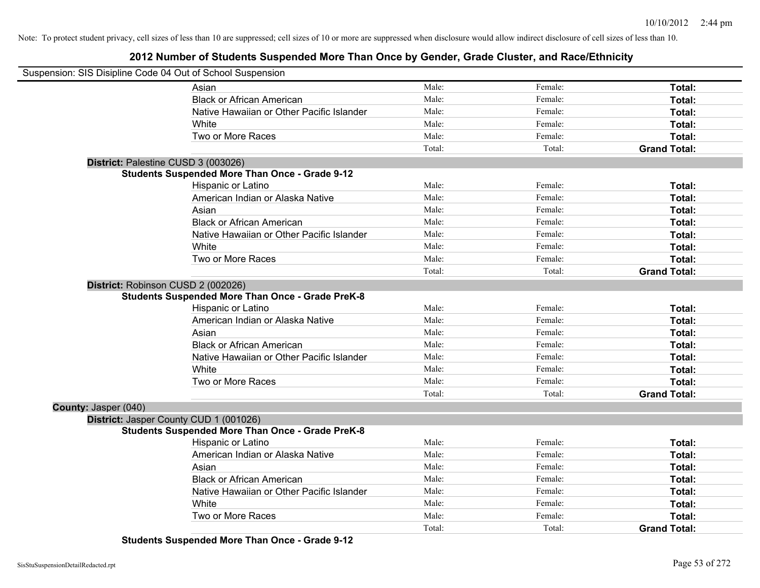## **2012 Number of Students Suspended More Than Once by Gender, Grade Cluster, and Race/Ethnicity**

| Suspension: SIS Disipline Code 04 Out of School Suspension |                                                         |        |         |                     |
|------------------------------------------------------------|---------------------------------------------------------|--------|---------|---------------------|
|                                                            | Asian                                                   | Male:  | Female: | Total:              |
|                                                            | <b>Black or African American</b>                        | Male:  | Female: | Total:              |
|                                                            | Native Hawaiian or Other Pacific Islander               | Male:  | Female: | Total:              |
|                                                            | White                                                   | Male:  | Female: | Total:              |
|                                                            | Two or More Races                                       | Male:  | Female: | Total:              |
|                                                            |                                                         | Total: | Total:  | <b>Grand Total:</b> |
| District: Palestine CUSD 3 (003026)                        |                                                         |        |         |                     |
|                                                            | <b>Students Suspended More Than Once - Grade 9-12</b>   |        |         |                     |
|                                                            | Hispanic or Latino                                      | Male:  | Female: | Total:              |
|                                                            | American Indian or Alaska Native                        | Male:  | Female: | Total:              |
|                                                            | Asian                                                   | Male:  | Female: | Total:              |
|                                                            | <b>Black or African American</b>                        | Male:  | Female: | Total:              |
|                                                            | Native Hawaiian or Other Pacific Islander               | Male:  | Female: | Total:              |
|                                                            | White                                                   | Male:  | Female: | Total:              |
|                                                            | Two or More Races                                       | Male:  | Female: | Total:              |
|                                                            |                                                         | Total: | Total:  | <b>Grand Total:</b> |
| District: Robinson CUSD 2 (002026)                         |                                                         |        |         |                     |
|                                                            | <b>Students Suspended More Than Once - Grade PreK-8</b> |        |         |                     |
|                                                            | Hispanic or Latino                                      | Male:  | Female: | Total:              |
|                                                            | American Indian or Alaska Native                        | Male:  | Female: | Total:              |
|                                                            | Asian                                                   | Male:  | Female: | Total:              |
|                                                            | <b>Black or African American</b>                        | Male:  | Female: | Total:              |
|                                                            | Native Hawaiian or Other Pacific Islander               | Male:  | Female: | Total:              |
|                                                            | White                                                   | Male:  | Female: | Total:              |
|                                                            | Two or More Races                                       | Male:  | Female: | Total:              |
|                                                            |                                                         | Total: | Total:  | <b>Grand Total:</b> |
| County: Jasper (040)                                       |                                                         |        |         |                     |
|                                                            | District: Jasper County CUD 1 (001026)                  |        |         |                     |
|                                                            | <b>Students Suspended More Than Once - Grade PreK-8</b> |        |         |                     |
|                                                            | Hispanic or Latino                                      | Male:  | Female: | Total:              |
|                                                            | American Indian or Alaska Native                        | Male:  | Female: | Total:              |
|                                                            | Asian                                                   | Male:  | Female: | Total:              |
|                                                            | <b>Black or African American</b>                        | Male:  | Female: | Total:              |
|                                                            | Native Hawaiian or Other Pacific Islander               | Male:  | Female: | Total:              |
|                                                            | White                                                   | Male:  | Female: | Total:              |
|                                                            | Two or More Races                                       | Male:  | Female: | Total:              |
|                                                            |                                                         | Total: | Total:  | <b>Grand Total:</b> |

**Students Suspended More Than Once - Grade 9-12**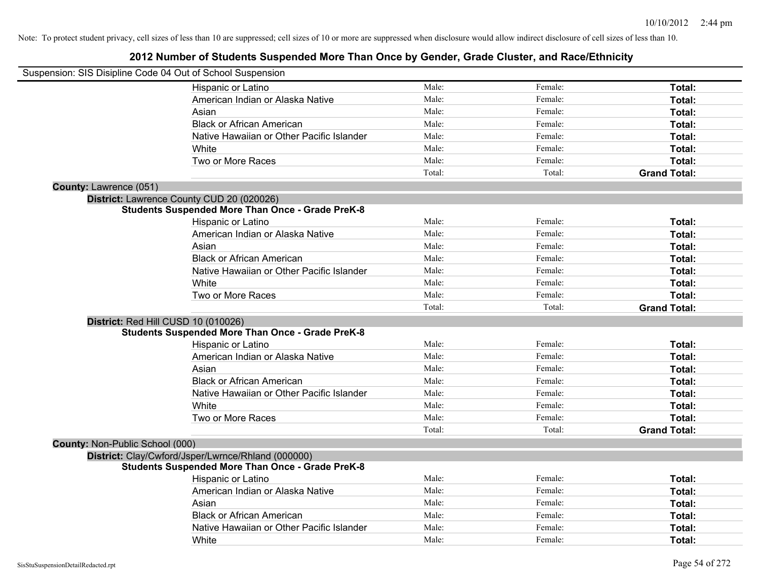| Suspension: SIS Disipline Code 04 Out of School Suspension |                                                         |        |         |                     |
|------------------------------------------------------------|---------------------------------------------------------|--------|---------|---------------------|
|                                                            | Hispanic or Latino                                      | Male:  | Female: | Total:              |
|                                                            | American Indian or Alaska Native                        | Male:  | Female: | Total:              |
|                                                            | Asian                                                   | Male:  | Female: | Total:              |
|                                                            | <b>Black or African American</b>                        | Male:  | Female: | Total:              |
|                                                            | Native Hawaiian or Other Pacific Islander               | Male:  | Female: | Total:              |
|                                                            | White                                                   | Male:  | Female: | Total:              |
|                                                            | Two or More Races                                       | Male:  | Female: | Total:              |
|                                                            |                                                         | Total: | Total:  | <b>Grand Total:</b> |
| <b>County: Lawrence (051)</b>                              |                                                         |        |         |                     |
|                                                            | District: Lawrence County CUD 20 (020026)               |        |         |                     |
|                                                            | <b>Students Suspended More Than Once - Grade PreK-8</b> |        |         |                     |
|                                                            | Hispanic or Latino                                      | Male:  | Female: | Total:              |
|                                                            | American Indian or Alaska Native                        | Male:  | Female: | Total:              |
|                                                            | Asian                                                   | Male:  | Female: | Total:              |
|                                                            | <b>Black or African American</b>                        | Male:  | Female: | Total:              |
|                                                            | Native Hawaiian or Other Pacific Islander               | Male:  | Female: | Total:              |
|                                                            | White                                                   | Male:  | Female: | Total:              |
|                                                            | Two or More Races                                       | Male:  | Female: | Total:              |
|                                                            |                                                         | Total: | Total:  | <b>Grand Total:</b> |
| District: Red Hill CUSD 10 (010026)                        |                                                         |        |         |                     |
|                                                            | <b>Students Suspended More Than Once - Grade PreK-8</b> |        |         |                     |
|                                                            | Hispanic or Latino                                      | Male:  | Female: | Total:              |
|                                                            | American Indian or Alaska Native                        | Male:  | Female: | Total:              |
|                                                            | Asian                                                   | Male:  | Female: | Total:              |
|                                                            | <b>Black or African American</b>                        | Male:  | Female: | Total:              |
|                                                            | Native Hawaiian or Other Pacific Islander               | Male:  | Female: | Total:              |
|                                                            | White                                                   | Male:  | Female: | Total:              |
|                                                            | Two or More Races                                       | Male:  | Female: | Total:              |
|                                                            |                                                         | Total: | Total:  | <b>Grand Total:</b> |
| County: Non-Public School (000)                            |                                                         |        |         |                     |
|                                                            | District: Clay/Cwford/Jsper/Lwrnce/Rhland (000000)      |        |         |                     |
|                                                            | <b>Students Suspended More Than Once - Grade PreK-8</b> |        |         |                     |
|                                                            | <b>Hispanic or Latino</b>                               | Male:  | Female: | Total:              |
|                                                            | American Indian or Alaska Native                        | Male:  | Female: | Total:              |
|                                                            | Asian                                                   | Male:  | Female: | Total:              |
|                                                            | <b>Black or African American</b>                        | Male:  | Female: | Total:              |
|                                                            | Native Hawaiian or Other Pacific Islander               | Male:  | Female: | Total:              |
|                                                            | White                                                   | Male:  |         | Total:              |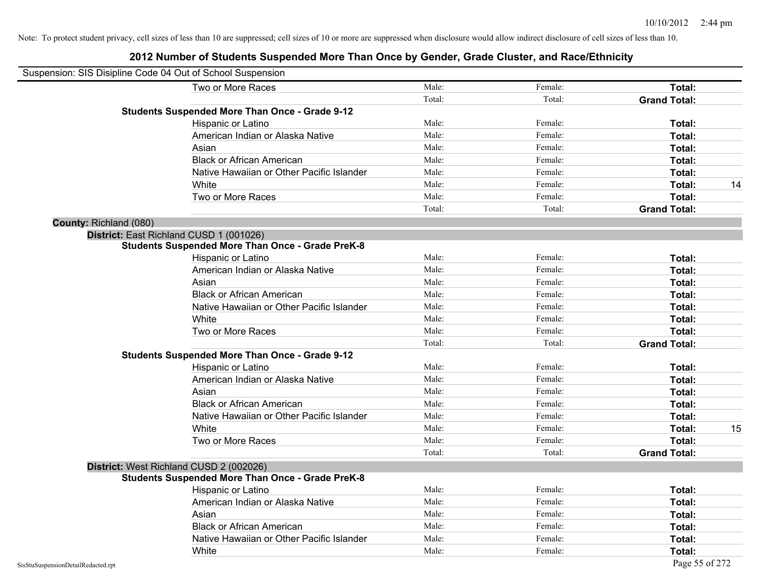| Suspension: SIS Disipline Code 04 Out of School Suspension |                                                         |        |         |                     |    |
|------------------------------------------------------------|---------------------------------------------------------|--------|---------|---------------------|----|
|                                                            | Two or More Races                                       | Male:  | Female: | Total:              |    |
|                                                            |                                                         | Total: | Total:  | <b>Grand Total:</b> |    |
|                                                            | <b>Students Suspended More Than Once - Grade 9-12</b>   |        |         |                     |    |
|                                                            | Hispanic or Latino                                      | Male:  | Female: | Total:              |    |
|                                                            | American Indian or Alaska Native                        | Male:  | Female: | Total:              |    |
|                                                            | Asian                                                   | Male:  | Female: | Total:              |    |
|                                                            | <b>Black or African American</b>                        | Male:  | Female: | Total:              |    |
|                                                            | Native Hawaiian or Other Pacific Islander               | Male:  | Female: | Total:              |    |
|                                                            | White                                                   | Male:  | Female: | Total:              | 14 |
|                                                            | Two or More Races                                       | Male:  | Female: | Total:              |    |
|                                                            |                                                         | Total: | Total:  | <b>Grand Total:</b> |    |
| County: Richland (080)                                     |                                                         |        |         |                     |    |
|                                                            | District: East Richland CUSD 1 (001026)                 |        |         |                     |    |
|                                                            | <b>Students Suspended More Than Once - Grade PreK-8</b> |        |         |                     |    |
|                                                            | Hispanic or Latino                                      | Male:  | Female: | Total:              |    |
|                                                            | American Indian or Alaska Native                        | Male:  | Female: | Total:              |    |
|                                                            | Asian                                                   | Male:  | Female: | Total:              |    |
|                                                            | <b>Black or African American</b>                        | Male:  | Female: | Total:              |    |
|                                                            | Native Hawaiian or Other Pacific Islander               | Male:  | Female: | Total:              |    |
|                                                            | White                                                   | Male:  | Female: | Total:              |    |
|                                                            | Two or More Races                                       | Male:  | Female: | Total:              |    |
|                                                            |                                                         | Total: | Total:  | <b>Grand Total:</b> |    |
|                                                            | <b>Students Suspended More Than Once - Grade 9-12</b>   |        |         |                     |    |
|                                                            | Hispanic or Latino                                      | Male:  | Female: | Total:              |    |
|                                                            | American Indian or Alaska Native                        | Male:  | Female: | Total:              |    |
|                                                            | Asian                                                   | Male:  | Female: | Total:              |    |
|                                                            | <b>Black or African American</b>                        | Male:  | Female: | Total:              |    |
|                                                            | Native Hawaiian or Other Pacific Islander               | Male:  | Female: | Total:              |    |
|                                                            | White                                                   | Male:  | Female: | Total:              | 15 |
|                                                            | Two or More Races                                       | Male:  | Female: | <b>Total:</b>       |    |
|                                                            |                                                         | Total: | Total:  | <b>Grand Total:</b> |    |
|                                                            | District: West Richland CUSD 2 (002026)                 |        |         |                     |    |
|                                                            | <b>Students Suspended More Than Once - Grade PreK-8</b> |        |         |                     |    |
|                                                            | Hispanic or Latino                                      | Male:  | Female: | Total:              |    |
|                                                            | American Indian or Alaska Native                        | Male:  | Female: | Total:              |    |
|                                                            | Asian                                                   | Male:  | Female: | Total:              |    |
|                                                            | <b>Black or African American</b>                        | Male:  | Female: | Total:              |    |
|                                                            | Native Hawaiian or Other Pacific Islander               | Male:  | Female: | Total:              |    |
|                                                            | White                                                   | Male:  | Female: | Total:              |    |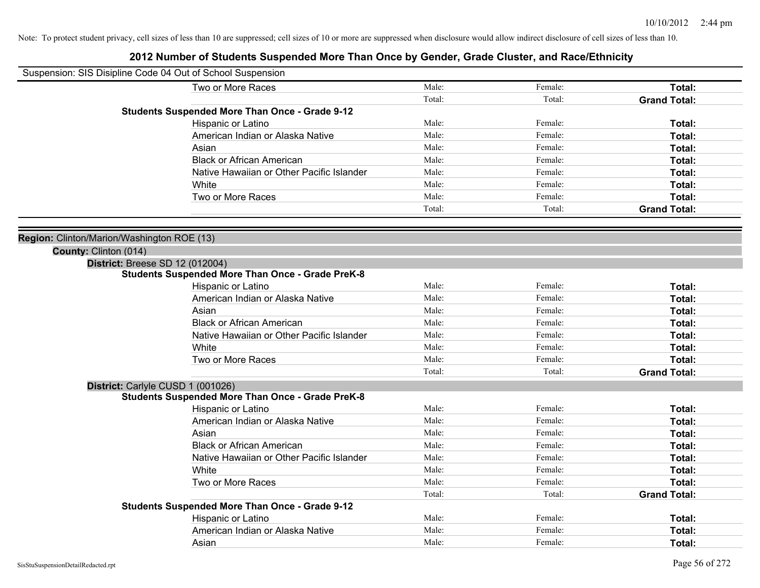| Suspension: SIS Disipline Code 04 Out of School Suspension |                                                         |        |         |                     |
|------------------------------------------------------------|---------------------------------------------------------|--------|---------|---------------------|
|                                                            | Two or More Races                                       | Male:  | Female: | Total:              |
|                                                            |                                                         | Total: | Total:  | <b>Grand Total:</b> |
|                                                            | <b>Students Suspended More Than Once - Grade 9-12</b>   |        |         |                     |
|                                                            | Hispanic or Latino                                      | Male:  | Female: | Total:              |
|                                                            | American Indian or Alaska Native                        | Male:  | Female: | Total:              |
|                                                            | Asian                                                   | Male:  | Female: | Total:              |
|                                                            | <b>Black or African American</b>                        | Male:  | Female: | Total:              |
|                                                            | Native Hawaiian or Other Pacific Islander               | Male:  | Female: | Total:              |
|                                                            | White                                                   | Male:  | Female: | Total:              |
|                                                            | Two or More Races                                       | Male:  | Female: | Total:              |
|                                                            |                                                         | Total: | Total:  | <b>Grand Total:</b> |
|                                                            |                                                         |        |         |                     |
| Region: Clinton/Marion/Washington ROE (13)                 |                                                         |        |         |                     |
| County: Clinton (014)                                      |                                                         |        |         |                     |
| <b>District: Breese SD 12 (012004)</b>                     |                                                         |        |         |                     |
|                                                            | <b>Students Suspended More Than Once - Grade PreK-8</b> |        |         |                     |
|                                                            | Hispanic or Latino                                      | Male:  | Female: | Total:              |
|                                                            | American Indian or Alaska Native                        | Male:  | Female: | Total:              |
|                                                            | Asian                                                   | Male:  | Female: | Total:              |
|                                                            | <b>Black or African American</b>                        | Male:  | Female: | Total:              |
|                                                            | Native Hawaiian or Other Pacific Islander               | Male:  | Female: | Total:              |
|                                                            | White                                                   | Male:  | Female: | Total:              |
|                                                            | Two or More Races                                       | Male:  | Female: | Total:              |
|                                                            |                                                         | Total: | Total:  | <b>Grand Total:</b> |
| District: Carlyle CUSD 1 (001026)                          |                                                         |        |         |                     |
|                                                            | <b>Students Suspended More Than Once - Grade PreK-8</b> |        |         |                     |
|                                                            | Hispanic or Latino                                      | Male:  | Female: | Total:              |
|                                                            | American Indian or Alaska Native                        | Male:  | Female: | Total:              |
|                                                            | Asian                                                   | Male:  | Female: | Total:              |
|                                                            | <b>Black or African American</b>                        | Male:  | Female: | Total:              |
|                                                            | Native Hawaiian or Other Pacific Islander               | Male:  | Female: | Total:              |
|                                                            | White                                                   | Male:  | Female: | Total:              |
|                                                            | Two or More Races                                       | Male:  | Female: | Total:              |
|                                                            |                                                         | Total: | Total:  | <b>Grand Total:</b> |
|                                                            | <b>Students Suspended More Than Once - Grade 9-12</b>   |        |         |                     |
|                                                            | Hispanic or Latino                                      | Male:  | Female: | Total:              |
|                                                            | American Indian or Alaska Native                        | Male:  | Female: | Total:              |
|                                                            | Asian                                                   | Male:  | Female: | Total:              |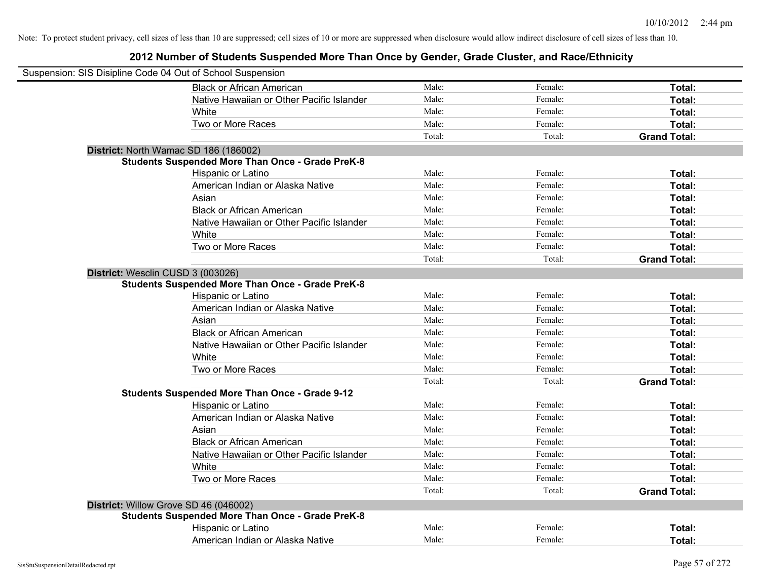|                                   | Suspension: SIS Disipline Code 04 Out of School Suspension |        |         |                     |
|-----------------------------------|------------------------------------------------------------|--------|---------|---------------------|
|                                   | <b>Black or African American</b>                           | Male:  | Female: | Total:              |
|                                   | Native Hawaiian or Other Pacific Islander                  | Male:  | Female: | Total:              |
|                                   | White                                                      | Male:  | Female: | Total:              |
|                                   | Two or More Races                                          | Male:  | Female: | Total:              |
|                                   |                                                            | Total: | Total:  | <b>Grand Total:</b> |
|                                   | District: North Wamac SD 186 (186002)                      |        |         |                     |
|                                   | <b>Students Suspended More Than Once - Grade PreK-8</b>    |        |         |                     |
|                                   | Hispanic or Latino                                         | Male:  | Female: | Total:              |
|                                   | American Indian or Alaska Native                           | Male:  | Female: | Total:              |
|                                   | Asian                                                      | Male:  | Female: | Total:              |
|                                   | <b>Black or African American</b>                           | Male:  | Female: | Total:              |
|                                   | Native Hawaiian or Other Pacific Islander                  | Male:  | Female: | Total:              |
|                                   | White                                                      | Male:  | Female: | Total:              |
|                                   | Two or More Races                                          | Male:  | Female: | Total:              |
|                                   |                                                            | Total: | Total:  | <b>Grand Total:</b> |
| District: Wesclin CUSD 3 (003026) |                                                            |        |         |                     |
|                                   | <b>Students Suspended More Than Once - Grade PreK-8</b>    |        |         |                     |
|                                   | Hispanic or Latino                                         | Male:  | Female: | Total:              |
|                                   | American Indian or Alaska Native                           | Male:  | Female: | Total:              |
|                                   | Asian                                                      | Male:  | Female: | Total:              |
|                                   | <b>Black or African American</b>                           | Male:  | Female: | Total:              |
|                                   | Native Hawaiian or Other Pacific Islander                  | Male:  | Female: | Total:              |
|                                   | White                                                      | Male:  | Female: | Total:              |
|                                   | Two or More Races                                          | Male:  | Female: | Total:              |
|                                   |                                                            | Total: | Total:  | <b>Grand Total:</b> |
|                                   | <b>Students Suspended More Than Once - Grade 9-12</b>      |        |         |                     |
|                                   | Hispanic or Latino                                         | Male:  | Female: | Total:              |
|                                   | American Indian or Alaska Native                           | Male:  | Female: | Total:              |
|                                   | Asian                                                      | Male:  | Female: | Total:              |
|                                   | <b>Black or African American</b>                           | Male:  | Female: | Total:              |
|                                   | Native Hawaiian or Other Pacific Islander                  | Male:  | Female: | Total:              |
|                                   | White                                                      | Male:  | Female: | Total:              |
|                                   | Two or More Races                                          | Male:  | Female: | Total:              |
|                                   |                                                            | Total: | Total:  | <b>Grand Total:</b> |
|                                   | District: Willow Grove SD 46 (046002)                      |        |         |                     |
|                                   | <b>Students Suspended More Than Once - Grade PreK-8</b>    |        |         |                     |
|                                   | Hispanic or Latino                                         | Male:  | Female: | Total:              |
|                                   | American Indian or Alaska Native                           | Male:  | Female: | Total:              |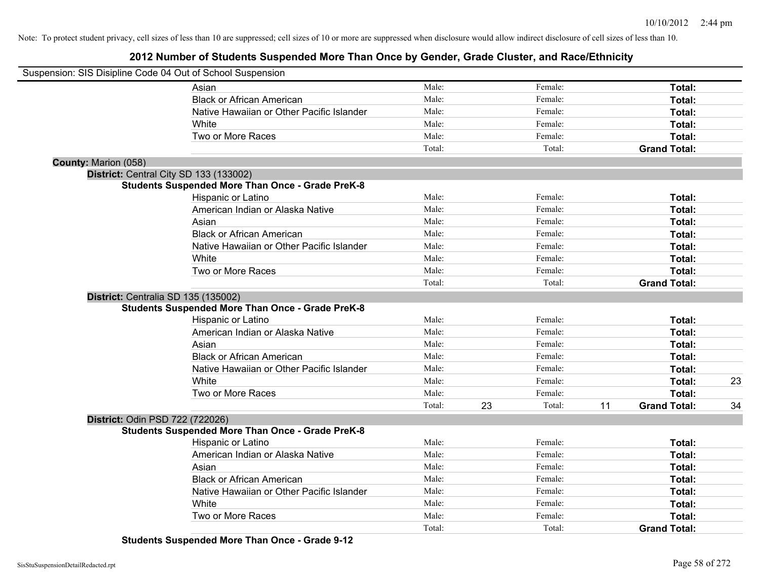## **2012 Number of Students Suspended More Than Once by Gender, Grade Cluster, and Race/Ethnicity**

|                             | Suspension: SIS Disipline Code 04 Out of School Suspension |        |    |         |    |                     |    |
|-----------------------------|------------------------------------------------------------|--------|----|---------|----|---------------------|----|
|                             | Asian                                                      | Male:  |    | Female: |    | Total:              |    |
|                             | <b>Black or African American</b>                           | Male:  |    | Female: |    | Total:              |    |
|                             | Native Hawaiian or Other Pacific Islander                  | Male:  |    | Female: |    | Total:              |    |
|                             | White                                                      | Male:  |    | Female: |    | Total:              |    |
|                             | Two or More Races                                          | Male:  |    | Female: |    | Total:              |    |
|                             |                                                            | Total: |    | Total:  |    | <b>Grand Total:</b> |    |
| <b>County: Marion (058)</b> |                                                            |        |    |         |    |                     |    |
|                             | District: Central City SD 133 (133002)                     |        |    |         |    |                     |    |
|                             | <b>Students Suspended More Than Once - Grade PreK-8</b>    |        |    |         |    |                     |    |
|                             | Hispanic or Latino                                         | Male:  |    | Female: |    | Total:              |    |
|                             | American Indian or Alaska Native                           | Male:  |    | Female: |    | Total:              |    |
|                             | Asian                                                      | Male:  |    | Female: |    | Total:              |    |
|                             | <b>Black or African American</b>                           | Male:  |    | Female: |    | Total:              |    |
|                             | Native Hawaiian or Other Pacific Islander                  | Male:  |    | Female: |    | Total:              |    |
|                             | White                                                      | Male:  |    | Female: |    | Total:              |    |
|                             | Two or More Races                                          | Male:  |    | Female: |    | Total:              |    |
|                             |                                                            | Total: |    | Total:  |    | <b>Grand Total:</b> |    |
|                             | District: Centralia SD 135 (135002)                        |        |    |         |    |                     |    |
|                             | <b>Students Suspended More Than Once - Grade PreK-8</b>    |        |    |         |    |                     |    |
|                             | Hispanic or Latino                                         | Male:  |    | Female: |    | Total:              |    |
|                             | American Indian or Alaska Native                           | Male:  |    | Female: |    | Total:              |    |
|                             | Asian                                                      | Male:  |    | Female: |    | Total:              |    |
|                             | <b>Black or African American</b>                           | Male:  |    | Female: |    | Total:              |    |
|                             | Native Hawaiian or Other Pacific Islander                  | Male:  |    | Female: |    | Total:              |    |
|                             | White                                                      | Male:  |    | Female: |    | Total:              | 23 |
|                             | Two or More Races                                          | Male:  |    | Female: |    | Total:              |    |
|                             |                                                            | Total: | 23 | Total:  | 11 | <b>Grand Total:</b> | 34 |
|                             | District: Odin PSD 722 (722026)                            |        |    |         |    |                     |    |
|                             | <b>Students Suspended More Than Once - Grade PreK-8</b>    |        |    |         |    |                     |    |
|                             | Hispanic or Latino                                         | Male:  |    | Female: |    | Total:              |    |
|                             | American Indian or Alaska Native                           | Male:  |    | Female: |    | Total:              |    |
|                             | Asian                                                      | Male:  |    | Female: |    | Total:              |    |
|                             | <b>Black or African American</b>                           | Male:  |    | Female: |    | Total:              |    |
|                             | Native Hawaiian or Other Pacific Islander                  | Male:  |    | Female: |    | Total:              |    |
|                             | White                                                      | Male:  |    | Female: |    | Total:              |    |
|                             | Two or More Races                                          | Male:  |    | Female: |    | Total:              |    |
|                             |                                                            | Total: |    | Total:  |    | <b>Grand Total:</b> |    |
|                             |                                                            |        |    |         |    |                     |    |

**Students Suspended More Than Once - Grade 9-12**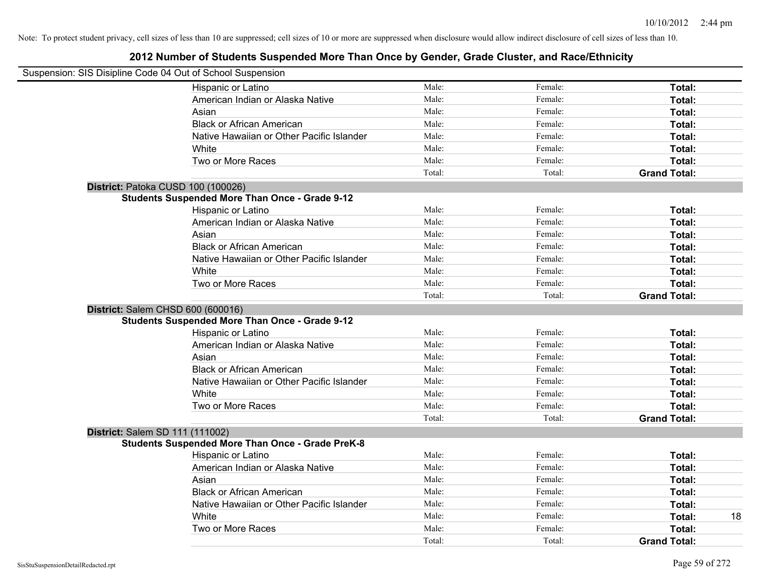| Suspension: SIS Disipline Code 04 Out of School Suspension |        |         |                     |
|------------------------------------------------------------|--------|---------|---------------------|
| Hispanic or Latino                                         | Male:  | Female: | Total:              |
| American Indian or Alaska Native                           | Male:  | Female: | Total:              |
| Asian                                                      | Male:  | Female: | Total:              |
| <b>Black or African American</b>                           | Male:  | Female: | Total:              |
| Native Hawaiian or Other Pacific Islander                  | Male:  | Female: | Total:              |
| White                                                      | Male:  | Female: | Total:              |
| Two or More Races                                          | Male:  | Female: | Total:              |
|                                                            | Total: | Total:  | <b>Grand Total:</b> |
| District: Patoka CUSD 100 (100026)                         |        |         |                     |
| <b>Students Suspended More Than Once - Grade 9-12</b>      |        |         |                     |
| Hispanic or Latino                                         | Male:  | Female: | Total:              |
| American Indian or Alaska Native                           | Male:  | Female: | Total:              |
| Asian                                                      | Male:  | Female: | Total:              |
| <b>Black or African American</b>                           | Male:  | Female: | Total:              |
| Native Hawaiian or Other Pacific Islander                  | Male:  | Female: | Total:              |
| White                                                      | Male:  | Female: | Total:              |
| Two or More Races                                          | Male:  | Female: | Total:              |
|                                                            | Total: | Total:  | <b>Grand Total:</b> |
| District: Salem CHSD 600 (600016)                          |        |         |                     |
| <b>Students Suspended More Than Once - Grade 9-12</b>      |        |         |                     |
| Hispanic or Latino                                         | Male:  | Female: | Total:              |
| American Indian or Alaska Native                           | Male:  | Female: | Total:              |
| Asian                                                      | Male:  | Female: | Total:              |
| <b>Black or African American</b>                           | Male:  | Female: | Total:              |
| Native Hawaiian or Other Pacific Islander                  | Male:  | Female: | Total:              |
| White                                                      | Male:  | Female: | Total:              |
| Two or More Races                                          | Male:  | Female: | Total:              |
|                                                            | Total: | Total:  | <b>Grand Total:</b> |
| District: Salem SD 111 (111002)                            |        |         |                     |
| <b>Students Suspended More Than Once - Grade PreK-8</b>    |        |         |                     |
| Hispanic or Latino                                         | Male:  | Female: | Total:              |
| American Indian or Alaska Native                           | Male:  | Female: | Total:              |
| Asian                                                      | Male:  | Female: | Total:              |
| <b>Black or African American</b>                           | Male:  | Female: | Total:              |
| Native Hawaiian or Other Pacific Islander                  | Male:  | Female: | Total:              |
| White                                                      | Male:  | Female: | 18<br>Total:        |
| Two or More Races                                          | Male:  | Female: | <b>Total:</b>       |
|                                                            | Total: | Total:  | <b>Grand Total:</b> |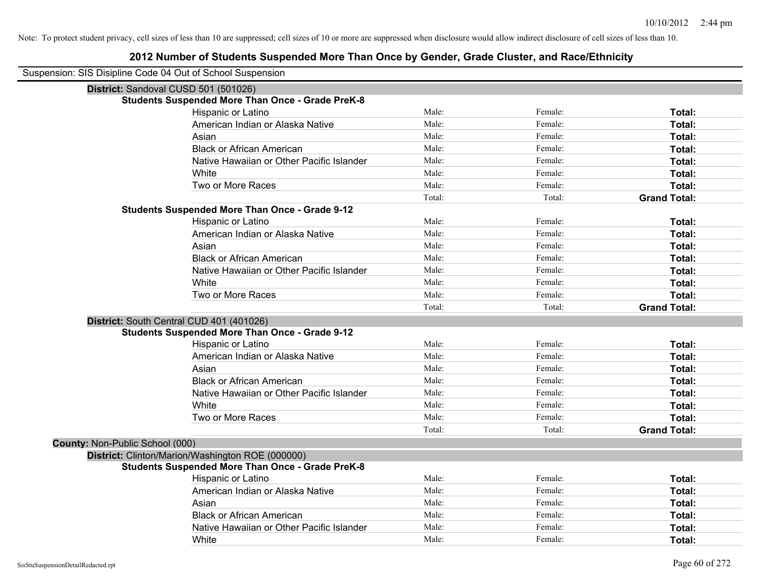|                                 | Suspension: SIS Disipline Code 04 Out of School Suspension |        |         |                     |  |  |  |
|---------------------------------|------------------------------------------------------------|--------|---------|---------------------|--|--|--|
|                                 | District: Sandoval CUSD 501 (501026)                       |        |         |                     |  |  |  |
|                                 | <b>Students Suspended More Than Once - Grade PreK-8</b>    |        |         |                     |  |  |  |
|                                 | Hispanic or Latino                                         | Male:  | Female: | Total:              |  |  |  |
|                                 | American Indian or Alaska Native                           | Male:  | Female: | Total:              |  |  |  |
|                                 | Asian                                                      | Male:  | Female: | Total:              |  |  |  |
|                                 | <b>Black or African American</b>                           | Male:  | Female: | Total:              |  |  |  |
|                                 | Native Hawaiian or Other Pacific Islander                  | Male:  | Female: | Total:              |  |  |  |
|                                 | White                                                      | Male:  | Female: | Total:              |  |  |  |
|                                 | Two or More Races                                          | Male:  | Female: | Total:              |  |  |  |
|                                 |                                                            | Total: | Total:  | <b>Grand Total:</b> |  |  |  |
|                                 | <b>Students Suspended More Than Once - Grade 9-12</b>      |        |         |                     |  |  |  |
|                                 | Hispanic or Latino                                         | Male:  | Female: | Total:              |  |  |  |
|                                 | American Indian or Alaska Native                           | Male:  | Female: | Total:              |  |  |  |
|                                 | Asian                                                      | Male:  | Female: | Total:              |  |  |  |
|                                 | <b>Black or African American</b>                           | Male:  | Female: | Total:              |  |  |  |
|                                 | Native Hawaiian or Other Pacific Islander                  | Male:  | Female: | Total:              |  |  |  |
|                                 | White                                                      | Male:  | Female: | Total:              |  |  |  |
|                                 | Two or More Races                                          | Male:  | Female: | Total:              |  |  |  |
|                                 |                                                            | Total: | Total:  | <b>Grand Total:</b> |  |  |  |
|                                 | District: South Central CUD 401 (401026)                   |        |         |                     |  |  |  |
|                                 | <b>Students Suspended More Than Once - Grade 9-12</b>      |        |         |                     |  |  |  |
|                                 | Hispanic or Latino                                         | Male:  | Female: | Total:              |  |  |  |
|                                 | American Indian or Alaska Native                           | Male:  | Female: | Total:              |  |  |  |
|                                 | Asian                                                      | Male:  | Female: | Total:              |  |  |  |
|                                 | <b>Black or African American</b>                           | Male:  | Female: | Total:              |  |  |  |
|                                 | Native Hawaiian or Other Pacific Islander                  | Male:  | Female: | Total:              |  |  |  |
|                                 | White                                                      | Male:  | Female: | Total:              |  |  |  |
|                                 | Two or More Races                                          | Male:  | Female: | Total:              |  |  |  |
|                                 |                                                            | Total: | Total:  | <b>Grand Total:</b> |  |  |  |
| County: Non-Public School (000) |                                                            |        |         |                     |  |  |  |
|                                 | District: Clinton/Marion/Washington ROE (000000)           |        |         |                     |  |  |  |
|                                 | <b>Students Suspended More Than Once - Grade PreK-8</b>    |        |         |                     |  |  |  |
|                                 | Hispanic or Latino                                         | Male:  | Female: | Total:              |  |  |  |
|                                 | American Indian or Alaska Native                           | Male:  | Female: | Total:              |  |  |  |
|                                 | Asian                                                      | Male:  | Female: | Total:              |  |  |  |
|                                 | <b>Black or African American</b>                           | Male:  | Female: | Total:              |  |  |  |
|                                 | Native Hawaiian or Other Pacific Islander                  | Male:  | Female: | Total:              |  |  |  |
|                                 | White                                                      | Male:  | Female: | Total:              |  |  |  |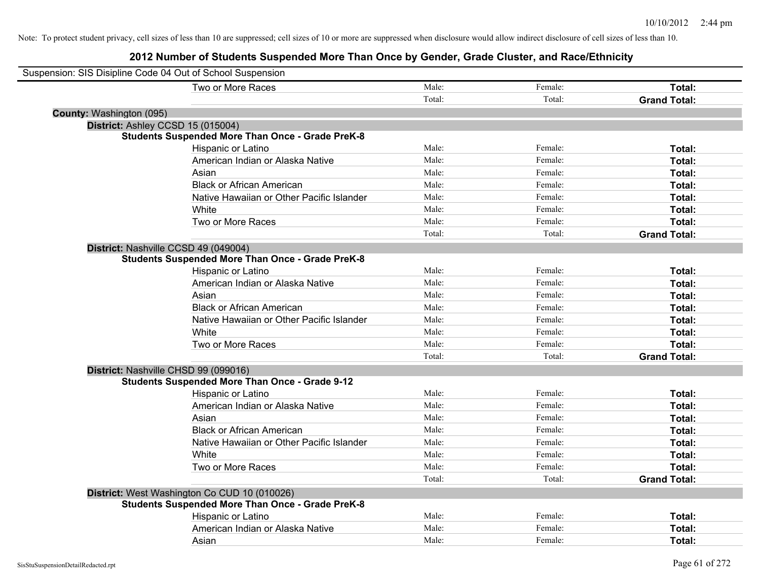| Suspension: SIS Disipline Code 04 Out of School Suspension |                                                         |        |         |                     |
|------------------------------------------------------------|---------------------------------------------------------|--------|---------|---------------------|
|                                                            | Two or More Races                                       | Male:  | Female: | Total:              |
|                                                            |                                                         | Total: | Total:  | <b>Grand Total:</b> |
| <b>County: Washington (095)</b>                            |                                                         |        |         |                     |
| District: Ashley CCSD 15 (015004)                          |                                                         |        |         |                     |
|                                                            | <b>Students Suspended More Than Once - Grade PreK-8</b> |        |         |                     |
|                                                            | Hispanic or Latino                                      | Male:  | Female: | Total:              |
|                                                            | American Indian or Alaska Native                        | Male:  | Female: | Total:              |
|                                                            | Asian                                                   | Male:  | Female: | Total:              |
|                                                            | <b>Black or African American</b>                        | Male:  | Female: | Total:              |
|                                                            | Native Hawaiian or Other Pacific Islander               | Male:  | Female: | Total:              |
|                                                            | White                                                   | Male:  | Female: | Total:              |
|                                                            | Two or More Races                                       | Male:  | Female: | Total:              |
|                                                            |                                                         | Total: | Total:  | <b>Grand Total:</b> |
| District: Nashville CCSD 49 (049004)                       |                                                         |        |         |                     |
|                                                            | <b>Students Suspended More Than Once - Grade PreK-8</b> |        |         |                     |
|                                                            | Hispanic or Latino                                      | Male:  | Female: | Total:              |
|                                                            | American Indian or Alaska Native                        | Male:  | Female: | Total:              |
|                                                            | Asian                                                   | Male:  | Female: | Total:              |
|                                                            | <b>Black or African American</b>                        | Male:  | Female: | Total:              |
|                                                            | Native Hawaiian or Other Pacific Islander               | Male:  | Female: | Total:              |
|                                                            | White                                                   | Male:  | Female: | Total:              |
|                                                            | Two or More Races                                       | Male:  | Female: | Total:              |
|                                                            |                                                         | Total: | Total:  | <b>Grand Total:</b> |
| District: Nashville CHSD 99 (099016)                       |                                                         |        |         |                     |
|                                                            | <b>Students Suspended More Than Once - Grade 9-12</b>   |        |         |                     |
|                                                            | Hispanic or Latino                                      | Male:  | Female: | Total:              |
|                                                            | American Indian or Alaska Native                        | Male:  | Female: | Total:              |
|                                                            | Asian                                                   | Male:  | Female: | Total:              |
|                                                            | <b>Black or African American</b>                        | Male:  | Female: | Total:              |
|                                                            | Native Hawaiian or Other Pacific Islander               | Male:  | Female: | Total:              |
|                                                            | White                                                   | Male:  | Female: | Total:              |
|                                                            | Two or More Races                                       | Male:  | Female: | Total:              |
|                                                            |                                                         | Total: | Total:  | <b>Grand Total:</b> |
|                                                            | District: West Washington Co CUD 10 (010026)            |        |         |                     |
|                                                            | <b>Students Suspended More Than Once - Grade PreK-8</b> |        |         |                     |
|                                                            | Hispanic or Latino                                      | Male:  | Female: | Total:              |
|                                                            | American Indian or Alaska Native                        | Male:  | Female: | Total:              |
|                                                            | Asian                                                   | Male:  | Female: | Total:              |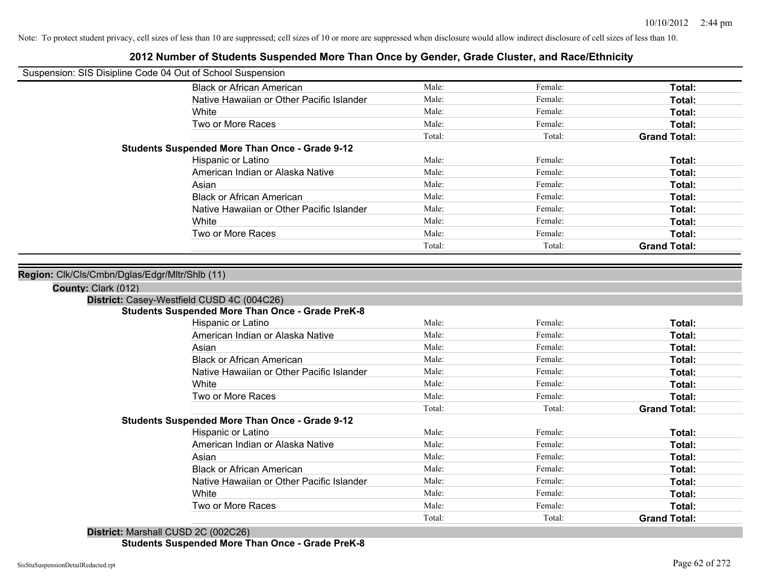## **2012 Number of Students Suspended More Than Once by Gender, Grade Cluster, and Race/Ethnicity**

| Suspension: SIS Disipline Code 04 Out of School Suspension |                                                                                                       |        |         |                     |
|------------------------------------------------------------|-------------------------------------------------------------------------------------------------------|--------|---------|---------------------|
|                                                            | <b>Black or African American</b>                                                                      | Male:  | Female: | Total:              |
|                                                            | Native Hawaiian or Other Pacific Islander                                                             | Male:  | Female: | Total:              |
|                                                            | White                                                                                                 | Male:  | Female: | Total:              |
|                                                            | Two or More Races                                                                                     | Male:  | Female: | Total:              |
|                                                            |                                                                                                       | Total: | Total:  | <b>Grand Total:</b> |
|                                                            | <b>Students Suspended More Than Once - Grade 9-12</b>                                                 |        |         |                     |
|                                                            | Hispanic or Latino                                                                                    | Male:  | Female: | Total:              |
|                                                            | American Indian or Alaska Native                                                                      | Male:  | Female: | <b>Total:</b>       |
|                                                            | Asian                                                                                                 | Male:  | Female: | Total:              |
|                                                            | <b>Black or African American</b>                                                                      | Male:  | Female: | Total:              |
|                                                            | Native Hawaiian or Other Pacific Islander                                                             | Male:  | Female: | Total:              |
|                                                            | White                                                                                                 | Male:  | Female: | Total:              |
|                                                            | Two or More Races                                                                                     | Male:  | Female: | Total:              |
|                                                            |                                                                                                       | Total: | Total:  | <b>Grand Total:</b> |
|                                                            | District: Casey-Westfield CUSD 4C (004C26)<br><b>Students Suspended More Than Once - Grade PreK-8</b> |        |         |                     |
|                                                            |                                                                                                       |        |         |                     |
|                                                            | Hispanic or Latino                                                                                    | Male:  | Female: | Total:              |
|                                                            | American Indian or Alaska Native                                                                      | Male:  | Female: | Total:              |
|                                                            | Asian                                                                                                 | Male:  | Female: | Total:              |
|                                                            | <b>Black or African American</b>                                                                      | Male:  | Female: | Total:              |
|                                                            | Native Hawaiian or Other Pacific Islander                                                             | Male:  | Female: | Total:              |
|                                                            | White                                                                                                 | Male:  | Female: | Total:              |
|                                                            | Two or More Races                                                                                     | Male:  | Female: | Total:              |
|                                                            |                                                                                                       | Total: | Total:  | <b>Grand Total:</b> |
|                                                            | <b>Students Suspended More Than Once - Grade 9-12</b>                                                 |        |         |                     |
|                                                            | Hispanic or Latino                                                                                    | Male:  | Female: | Total:              |
|                                                            | American Indian or Alaska Native                                                                      | Male:  | Female: | Total:              |
|                                                            | Asian                                                                                                 | Male:  | Female: | Total:              |
|                                                            | <b>Black or African American</b>                                                                      | Male:  | Female: | Total:              |
|                                                            | Native Hawaiian or Other Pacific Islander                                                             | Male:  | Female: | Total:              |
|                                                            | White                                                                                                 | Male:  | Female: | Total:              |
|                                                            | Two or More Races                                                                                     | Male:  | Female: | Total:              |
|                                                            |                                                                                                       | Total: | Total:  | <b>Grand Total:</b> |
| District: Marshall CUSD 2C (002C26)                        |                                                                                                       |        |         |                     |

**Students Suspended More Than Once - Grade PreK-8**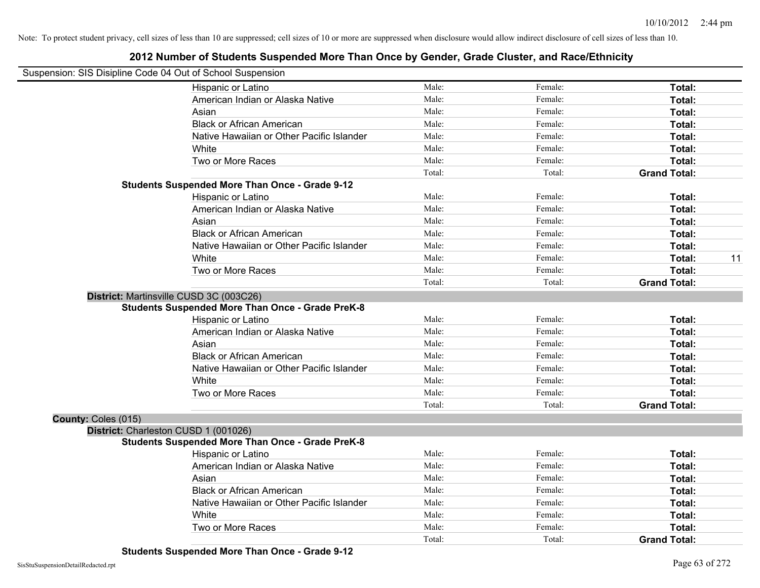| Suspension: SIS Disipline Code 04 Out of School Suspension |                                                         |        |         |                     |
|------------------------------------------------------------|---------------------------------------------------------|--------|---------|---------------------|
|                                                            | Hispanic or Latino                                      | Male:  | Female: | Total:              |
|                                                            | American Indian or Alaska Native                        | Male:  | Female: | Total:              |
|                                                            | Asian                                                   | Male:  | Female: | Total:              |
|                                                            | <b>Black or African American</b>                        | Male:  | Female: | Total:              |
|                                                            | Native Hawaiian or Other Pacific Islander               | Male:  | Female: | Total:              |
|                                                            | White                                                   | Male:  | Female: | Total:              |
|                                                            | Two or More Races                                       | Male:  | Female: | Total:              |
|                                                            |                                                         | Total: | Total:  | <b>Grand Total:</b> |
|                                                            | <b>Students Suspended More Than Once - Grade 9-12</b>   |        |         |                     |
|                                                            | Hispanic or Latino                                      | Male:  | Female: | Total:              |
|                                                            | American Indian or Alaska Native                        | Male:  | Female: | Total:              |
|                                                            | Asian                                                   | Male:  | Female: | Total:              |
|                                                            | <b>Black or African American</b>                        | Male:  | Female: | Total:              |
|                                                            | Native Hawaiian or Other Pacific Islander               | Male:  | Female: | Total:              |
|                                                            | White                                                   | Male:  | Female: | 11<br>Total:        |
|                                                            | Two or More Races                                       | Male:  | Female: | Total:              |
|                                                            |                                                         | Total: | Total:  | <b>Grand Total:</b> |
|                                                            | District: Martinsville CUSD 3C (003C26)                 |        |         |                     |
|                                                            | <b>Students Suspended More Than Once - Grade PreK-8</b> |        |         |                     |
|                                                            | Hispanic or Latino                                      | Male:  | Female: | Total:              |
|                                                            | American Indian or Alaska Native                        | Male:  | Female: | Total:              |
|                                                            | Asian                                                   | Male:  | Female: | Total:              |
|                                                            | <b>Black or African American</b>                        | Male:  | Female: | Total:              |
|                                                            | Native Hawaiian or Other Pacific Islander               | Male:  | Female: | Total:              |
|                                                            | White                                                   | Male:  | Female: | Total:              |
|                                                            | Two or More Races                                       | Male:  | Female: | Total:              |
|                                                            |                                                         | Total: | Total:  | <b>Grand Total:</b> |
| County: Coles (015)                                        |                                                         |        |         |                     |
|                                                            | District: Charleston CUSD 1 (001026)                    |        |         |                     |
|                                                            | <b>Students Suspended More Than Once - Grade PreK-8</b> |        |         |                     |
|                                                            | Hispanic or Latino                                      | Male:  | Female: | Total:              |
|                                                            | American Indian or Alaska Native                        | Male:  | Female: | Total:              |
|                                                            | Asian                                                   | Male:  | Female: | Total:              |
|                                                            | <b>Black or African American</b>                        | Male:  | Female: | Total:              |
|                                                            | Native Hawaiian or Other Pacific Islander               | Male:  | Female: | Total:              |
|                                                            | White                                                   | Male:  | Female: | Total:              |
|                                                            | Two or More Races                                       | Male:  | Female: | <b>Total:</b>       |
|                                                            |                                                         | Total: | Total:  | <b>Grand Total:</b> |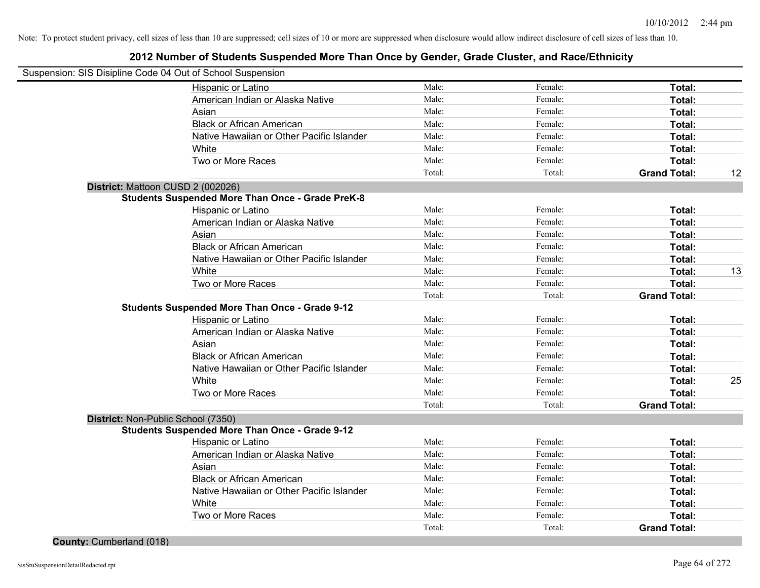## **2012 Number of Students Suspended More Than Once by Gender, Grade Cluster, and Race/Ethnicity**

| Suspension: SIS Disipline Code 04 Out of School Suspension |        |         |                     |    |
|------------------------------------------------------------|--------|---------|---------------------|----|
| Hispanic or Latino                                         | Male:  | Female: | Total:              |    |
| American Indian or Alaska Native                           | Male:  | Female: | Total:              |    |
| Asian                                                      | Male:  | Female: | Total:              |    |
| <b>Black or African American</b>                           | Male:  | Female: | Total:              |    |
| Native Hawaiian or Other Pacific Islander                  | Male:  | Female: | Total:              |    |
| White                                                      | Male:  | Female: | Total:              |    |
| Two or More Races                                          | Male:  | Female: | Total:              |    |
|                                                            | Total: | Total:  | <b>Grand Total:</b> | 12 |
| District: Mattoon CUSD 2 (002026)                          |        |         |                     |    |
| <b>Students Suspended More Than Once - Grade PreK-8</b>    |        |         |                     |    |
| Hispanic or Latino                                         | Male:  | Female: | Total:              |    |
| American Indian or Alaska Native                           | Male:  | Female: | Total:              |    |
| Asian                                                      | Male:  | Female: | Total:              |    |
| <b>Black or African American</b>                           | Male:  | Female: | Total:              |    |
| Native Hawaiian or Other Pacific Islander                  | Male:  | Female: | Total:              |    |
| White                                                      | Male:  | Female: | Total:              | 13 |
| Two or More Races                                          | Male:  | Female: | Total:              |    |
|                                                            | Total: | Total:  | <b>Grand Total:</b> |    |
| <b>Students Suspended More Than Once - Grade 9-12</b>      |        |         |                     |    |
| Hispanic or Latino                                         | Male:  | Female: | Total:              |    |
| American Indian or Alaska Native                           | Male:  | Female: | Total:              |    |
| Asian                                                      | Male:  | Female: | Total:              |    |
| <b>Black or African American</b>                           | Male:  | Female: | Total:              |    |
| Native Hawaiian or Other Pacific Islander                  | Male:  | Female: | Total:              |    |
| White                                                      | Male:  | Female: | Total:              | 25 |
| Two or More Races                                          | Male:  | Female: | <b>Total:</b>       |    |
|                                                            | Total: | Total:  | <b>Grand Total:</b> |    |
| District: Non-Public School (7350)                         |        |         |                     |    |
| <b>Students Suspended More Than Once - Grade 9-12</b>      |        |         |                     |    |
| Hispanic or Latino                                         | Male:  | Female: | Total:              |    |
| American Indian or Alaska Native                           | Male:  | Female: | Total:              |    |
| Asian                                                      | Male:  | Female: | Total:              |    |
| <b>Black or African American</b>                           | Male:  | Female: | Total:              |    |
| Native Hawaiian or Other Pacific Islander                  | Male:  | Female: | Total:              |    |
| White                                                      | Male:  | Female: | Total:              |    |
| Two or More Races                                          | Male:  | Female: | Total:              |    |
|                                                            | Total: | Total:  | <b>Grand Total:</b> |    |

**County:** Cumberland (018)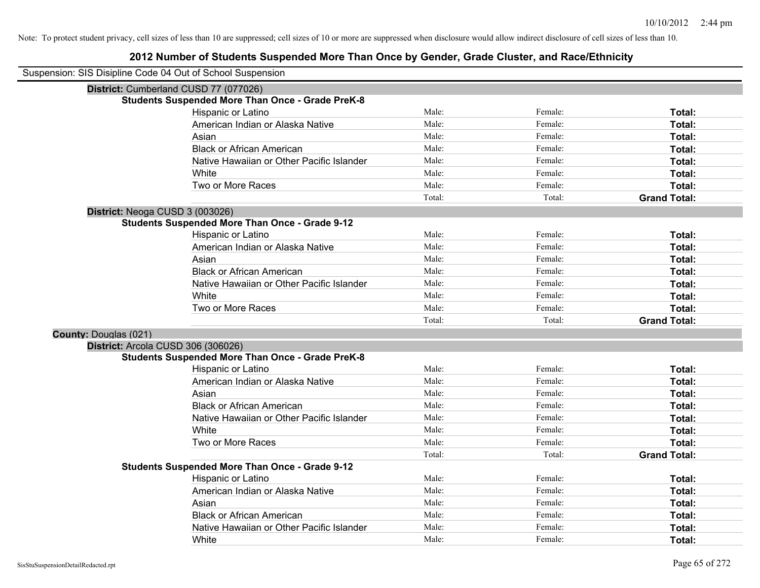| Suspension: SIS Disipline Code 04 Out of School Suspension |                                                         |        |         |                     |
|------------------------------------------------------------|---------------------------------------------------------|--------|---------|---------------------|
|                                                            | District: Cumberland CUSD 77 (077026)                   |        |         |                     |
|                                                            | <b>Students Suspended More Than Once - Grade PreK-8</b> |        |         |                     |
|                                                            | Hispanic or Latino                                      | Male:  | Female: | Total:              |
|                                                            | American Indian or Alaska Native                        | Male:  | Female: | Total:              |
|                                                            | Asian                                                   | Male:  | Female: | Total:              |
|                                                            | <b>Black or African American</b>                        | Male:  | Female: | Total:              |
|                                                            | Native Hawaiian or Other Pacific Islander               | Male:  | Female: | Total:              |
|                                                            | White                                                   | Male:  | Female: | Total:              |
|                                                            | Two or More Races                                       | Male:  | Female: | Total:              |
|                                                            |                                                         | Total: | Total:  | <b>Grand Total:</b> |
| District: Neoga CUSD 3 (003026)                            |                                                         |        |         |                     |
|                                                            | <b>Students Suspended More Than Once - Grade 9-12</b>   |        |         |                     |
|                                                            | Hispanic or Latino                                      | Male:  | Female: | Total:              |
|                                                            | American Indian or Alaska Native                        | Male:  | Female: | Total:              |
|                                                            | Asian                                                   | Male:  | Female: | Total:              |
|                                                            | <b>Black or African American</b>                        | Male:  | Female: | Total:              |
|                                                            | Native Hawaiian or Other Pacific Islander               | Male:  | Female: | Total:              |
|                                                            | White                                                   | Male:  | Female: | Total:              |
|                                                            | Two or More Races                                       | Male:  | Female: | Total:              |
|                                                            |                                                         | Total: | Total:  | <b>Grand Total:</b> |
| <b>County: Douglas (021)</b>                               |                                                         |        |         |                     |
| District: Arcola CUSD 306 (306026)                         |                                                         |        |         |                     |
|                                                            | <b>Students Suspended More Than Once - Grade PreK-8</b> |        |         |                     |
|                                                            | Hispanic or Latino                                      | Male:  | Female: | Total:              |
|                                                            | American Indian or Alaska Native                        | Male:  | Female: | Total:              |
|                                                            | Asian                                                   | Male:  | Female: | Total:              |
|                                                            | <b>Black or African American</b>                        | Male:  | Female: | Total:              |
|                                                            | Native Hawaiian or Other Pacific Islander               | Male:  | Female: | Total:              |
|                                                            | White                                                   | Male:  | Female: | Total:              |
|                                                            | Two or More Races                                       | Male:  | Female: | Total:              |
|                                                            |                                                         | Total: | Total:  | <b>Grand Total:</b> |
|                                                            | <b>Students Suspended More Than Once - Grade 9-12</b>   |        |         |                     |
|                                                            | Hispanic or Latino                                      | Male:  | Female: | Total:              |
|                                                            | American Indian or Alaska Native                        | Male:  | Female: | Total:              |
|                                                            | Asian                                                   | Male:  | Female: | Total:              |
|                                                            | <b>Black or African American</b>                        | Male:  | Female: | Total:              |
|                                                            | Native Hawaiian or Other Pacific Islander               | Male:  | Female: | Total:              |
|                                                            | White                                                   | Male:  | Female: | Total:              |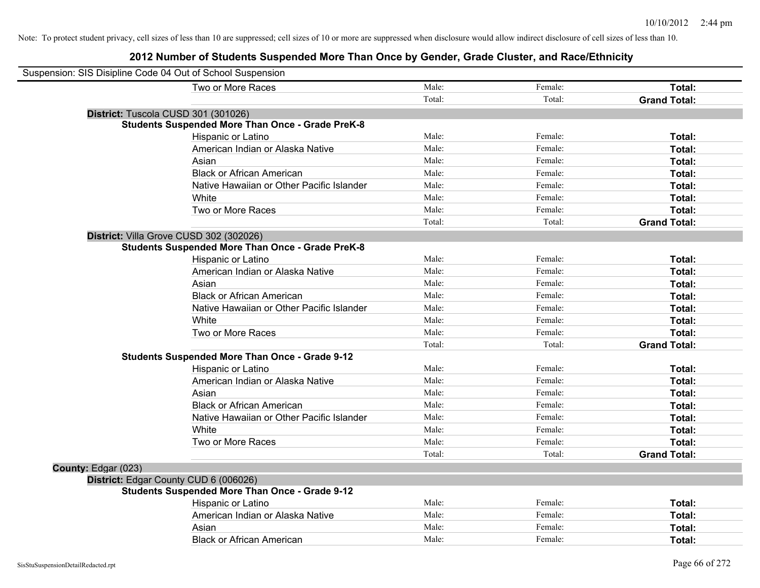| Suspension: SIS Disipline Code 04 Out of School Suspension |                                                         |        |         |                     |
|------------------------------------------------------------|---------------------------------------------------------|--------|---------|---------------------|
|                                                            | Two or More Races                                       | Male:  | Female: | Total:              |
|                                                            |                                                         | Total: | Total:  | <b>Grand Total:</b> |
| District: Tuscola CUSD 301 (301026)                        |                                                         |        |         |                     |
|                                                            | <b>Students Suspended More Than Once - Grade PreK-8</b> |        |         |                     |
|                                                            | Hispanic or Latino                                      | Male:  | Female: | Total:              |
|                                                            | American Indian or Alaska Native                        | Male:  | Female: | Total:              |
|                                                            | Asian                                                   | Male:  | Female: | Total:              |
|                                                            | <b>Black or African American</b>                        | Male:  | Female: | Total:              |
|                                                            | Native Hawaiian or Other Pacific Islander               | Male:  | Female: | Total:              |
|                                                            | White                                                   | Male:  | Female: | Total:              |
|                                                            | Two or More Races                                       | Male:  | Female: | Total:              |
|                                                            |                                                         | Total: | Total:  | <b>Grand Total:</b> |
|                                                            | District: Villa Grove CUSD 302 (302026)                 |        |         |                     |
|                                                            | <b>Students Suspended More Than Once - Grade PreK-8</b> |        |         |                     |
|                                                            | Hispanic or Latino                                      | Male:  | Female: | Total:              |
|                                                            | American Indian or Alaska Native                        | Male:  | Female: | Total:              |
|                                                            | Asian                                                   | Male:  | Female: | Total:              |
|                                                            | <b>Black or African American</b>                        | Male:  | Female: | Total:              |
|                                                            | Native Hawaiian or Other Pacific Islander               | Male:  | Female: | Total:              |
|                                                            | White                                                   | Male:  | Female: | Total:              |
|                                                            | Two or More Races                                       | Male:  | Female: | Total:              |
|                                                            |                                                         | Total: | Total:  | <b>Grand Total:</b> |
|                                                            | <b>Students Suspended More Than Once - Grade 9-12</b>   |        |         |                     |
|                                                            | Hispanic or Latino                                      | Male:  | Female: | Total:              |
|                                                            | American Indian or Alaska Native                        | Male:  | Female: | Total:              |
|                                                            | Asian                                                   | Male:  | Female: | Total:              |
|                                                            | <b>Black or African American</b>                        | Male:  | Female: | Total:              |
|                                                            | Native Hawaiian or Other Pacific Islander               | Male:  | Female: | Total:              |
|                                                            | White                                                   | Male:  | Female: | Total:              |
|                                                            | Two or More Races                                       | Male:  | Female: | Total:              |
|                                                            |                                                         | Total: | Total:  | <b>Grand Total:</b> |
| County: Edgar (023)                                        |                                                         |        |         |                     |
|                                                            | District: Edgar County CUD 6 (006026)                   |        |         |                     |
|                                                            | <b>Students Suspended More Than Once - Grade 9-12</b>   |        |         |                     |
|                                                            | Hispanic or Latino                                      | Male:  | Female: | Total:              |
|                                                            | American Indian or Alaska Native                        | Male:  | Female: | Total:              |
|                                                            | Asian                                                   | Male:  | Female: | Total:              |
|                                                            | <b>Black or African American</b>                        | Male:  | Female: | Total:              |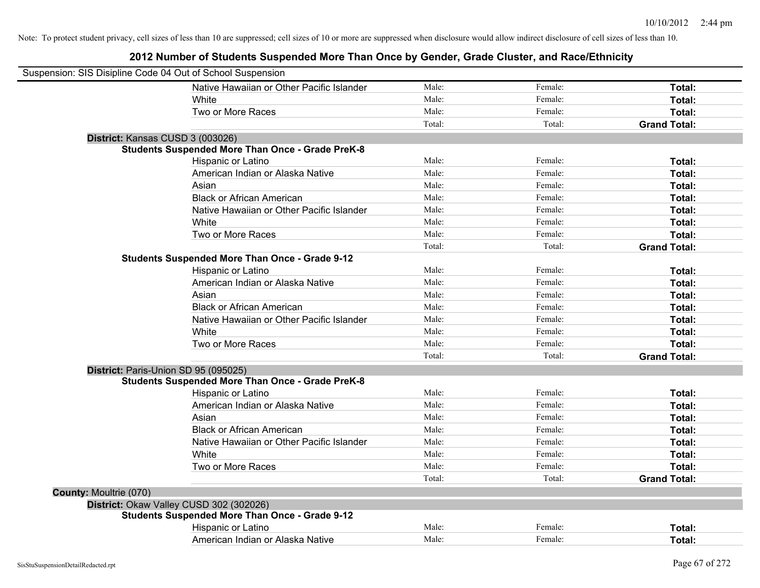| Suspension: SIS Disipline Code 04 Out of School Suspension |                                                         |        |         |                     |
|------------------------------------------------------------|---------------------------------------------------------|--------|---------|---------------------|
|                                                            | Native Hawaiian or Other Pacific Islander               | Male:  | Female: | Total:              |
|                                                            | <b>White</b>                                            | Male:  | Female: | Total:              |
|                                                            | Two or More Races                                       | Male:  | Female: | Total:              |
|                                                            |                                                         | Total: | Total:  | <b>Grand Total:</b> |
| District: Kansas CUSD 3 (003026)                           |                                                         |        |         |                     |
|                                                            | <b>Students Suspended More Than Once - Grade PreK-8</b> |        |         |                     |
|                                                            | Hispanic or Latino                                      | Male:  | Female: | Total:              |
|                                                            | American Indian or Alaska Native                        | Male:  | Female: | Total:              |
|                                                            | Asian                                                   | Male:  | Female: | Total:              |
|                                                            | <b>Black or African American</b>                        | Male:  | Female: | Total:              |
|                                                            | Native Hawaiian or Other Pacific Islander               | Male:  | Female: | Total:              |
|                                                            | White                                                   | Male:  | Female: | Total:              |
|                                                            | Two or More Races                                       | Male:  | Female: | Total:              |
|                                                            |                                                         | Total: | Total:  | <b>Grand Total:</b> |
|                                                            | <b>Students Suspended More Than Once - Grade 9-12</b>   |        |         |                     |
|                                                            | Hispanic or Latino                                      | Male:  | Female: | Total:              |
|                                                            | American Indian or Alaska Native                        | Male:  | Female: | Total:              |
|                                                            | Asian                                                   | Male:  | Female: | Total:              |
|                                                            | <b>Black or African American</b>                        | Male:  | Female: | Total:              |
|                                                            | Native Hawaiian or Other Pacific Islander               | Male:  | Female: | Total:              |
|                                                            | White                                                   | Male:  | Female: | Total:              |
|                                                            | Two or More Races                                       | Male:  | Female: | Total:              |
|                                                            |                                                         | Total: | Total:  | <b>Grand Total:</b> |
| District: Paris-Union SD 95 (095025)                       |                                                         |        |         |                     |
|                                                            | <b>Students Suspended More Than Once - Grade PreK-8</b> |        |         |                     |
|                                                            | Hispanic or Latino                                      | Male:  | Female: | Total:              |
|                                                            | American Indian or Alaska Native                        | Male:  | Female: | Total:              |
|                                                            | Asian                                                   | Male:  | Female: | Total:              |
|                                                            | <b>Black or African American</b>                        | Male:  | Female: | Total:              |
|                                                            | Native Hawaiian or Other Pacific Islander               | Male:  | Female: | Total:              |
|                                                            | White                                                   | Male:  | Female: | Total:              |
|                                                            | Two or More Races                                       | Male:  | Female: | Total:              |
|                                                            |                                                         | Total: | Total:  | <b>Grand Total:</b> |
| <b>County: Moultrie (070)</b>                              |                                                         |        |         |                     |
| District: Okaw Valley CUSD 302 (302026)                    |                                                         |        |         |                     |
|                                                            | <b>Students Suspended More Than Once - Grade 9-12</b>   |        |         |                     |
|                                                            | Hispanic or Latino                                      | Male:  | Female: | Total:              |
|                                                            | American Indian or Alaska Native                        | Male:  | Female: | Total:              |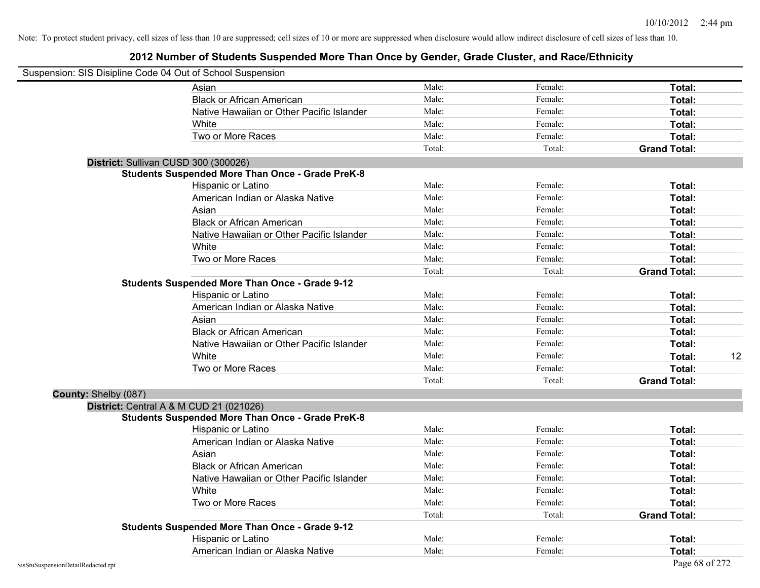|                      | Suspension: SIS Disipline Code 04 Out of School Suspension |        |         |                     |    |
|----------------------|------------------------------------------------------------|--------|---------|---------------------|----|
|                      | Asian                                                      | Male:  | Female: | Total:              |    |
|                      | <b>Black or African American</b>                           | Male:  | Female: | Total:              |    |
|                      | Native Hawaiian or Other Pacific Islander                  | Male:  | Female: | Total:              |    |
|                      | White                                                      | Male:  | Female: | Total:              |    |
|                      | Two or More Races                                          | Male:  | Female: | Total:              |    |
|                      |                                                            | Total: | Total:  | <b>Grand Total:</b> |    |
|                      | District: Sullivan CUSD 300 (300026)                       |        |         |                     |    |
|                      | <b>Students Suspended More Than Once - Grade PreK-8</b>    |        |         |                     |    |
|                      | Hispanic or Latino                                         | Male:  | Female: | Total:              |    |
|                      | American Indian or Alaska Native                           | Male:  | Female: | Total:              |    |
|                      | Asian                                                      | Male:  | Female: | Total:              |    |
|                      | <b>Black or African American</b>                           | Male:  | Female: | Total:              |    |
|                      | Native Hawaiian or Other Pacific Islander                  | Male:  | Female: | Total:              |    |
|                      | White                                                      | Male:  | Female: | Total:              |    |
|                      | Two or More Races                                          | Male:  | Female: | Total:              |    |
|                      |                                                            | Total: | Total:  | <b>Grand Total:</b> |    |
|                      | <b>Students Suspended More Than Once - Grade 9-12</b>      |        |         |                     |    |
|                      | Hispanic or Latino                                         | Male:  | Female: | Total:              |    |
|                      | American Indian or Alaska Native                           | Male:  | Female: | Total:              |    |
|                      | Asian                                                      | Male:  | Female: | Total:              |    |
|                      | <b>Black or African American</b>                           | Male:  | Female: | Total:              |    |
|                      | Native Hawaiian or Other Pacific Islander                  | Male:  | Female: | Total:              |    |
|                      | White                                                      | Male:  | Female: | Total:              | 12 |
|                      | Two or More Races                                          | Male:  | Female: | Total:              |    |
|                      |                                                            | Total: | Total:  | <b>Grand Total:</b> |    |
| County: Shelby (087) |                                                            |        |         |                     |    |
|                      | <b>District:</b> Central A & M CUD 21 (021026)             |        |         |                     |    |
|                      | <b>Students Suspended More Than Once - Grade PreK-8</b>    |        |         |                     |    |
|                      | Hispanic or Latino                                         | Male:  | Female: | Total:              |    |
|                      | American Indian or Alaska Native                           | Male:  | Female: | Total:              |    |
|                      | Asian                                                      | Male:  | Female: | Total:              |    |
|                      | <b>Black or African American</b>                           | Male:  | Female: | Total:              |    |
|                      | Native Hawaiian or Other Pacific Islander                  | Male:  | Female: | Total:              |    |
|                      | White                                                      | Male:  | Female: | Total:              |    |
|                      | Two or More Races                                          | Male:  | Female: | Total:              |    |
|                      |                                                            | Total: | Total:  | <b>Grand Total:</b> |    |
|                      | <b>Students Suspended More Than Once - Grade 9-12</b>      |        |         |                     |    |
|                      | Hispanic or Latino                                         | Male:  | Female: | Total:              |    |
|                      | American Indian or Alaska Native                           | Male:  | Female: | Total:              |    |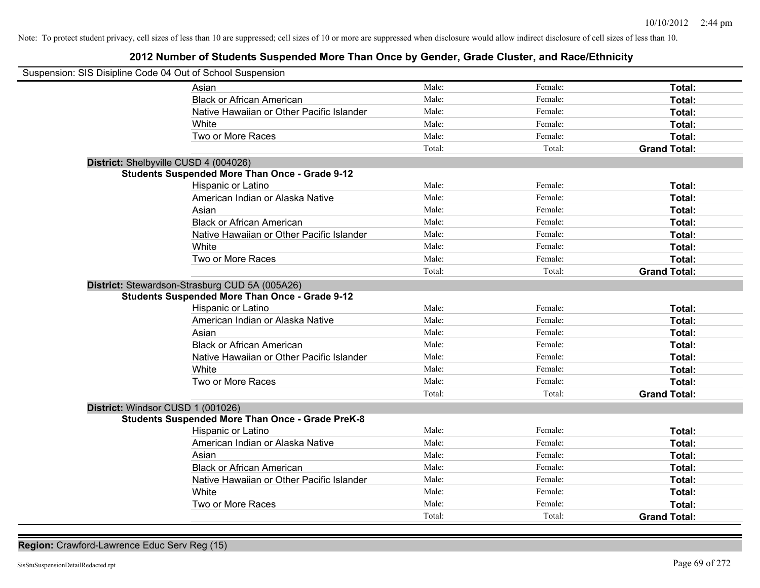## **2012 Number of Students Suspended More Than Once by Gender, Grade Cluster, and Race/Ethnicity**

| Suspension: SIS Disipline Code 04 Out of School Suspension |                                                         |        |         |                     |
|------------------------------------------------------------|---------------------------------------------------------|--------|---------|---------------------|
|                                                            | Asian                                                   | Male:  | Female: | Total:              |
|                                                            | <b>Black or African American</b>                        | Male:  | Female: | Total:              |
|                                                            | Native Hawaiian or Other Pacific Islander               | Male:  | Female: | Total:              |
|                                                            | White                                                   | Male:  | Female: | Total:              |
|                                                            | Two or More Races                                       | Male:  | Female: | Total:              |
|                                                            |                                                         | Total: | Total:  | <b>Grand Total:</b> |
| District: Shelbyville CUSD 4 (004026)                      |                                                         |        |         |                     |
|                                                            | <b>Students Suspended More Than Once - Grade 9-12</b>   |        |         |                     |
|                                                            | Hispanic or Latino                                      | Male:  | Female: | Total:              |
|                                                            | American Indian or Alaska Native                        | Male:  | Female: | Total:              |
|                                                            | Asian                                                   | Male:  | Female: | Total:              |
|                                                            | <b>Black or African American</b>                        | Male:  | Female: | Total:              |
|                                                            | Native Hawaiian or Other Pacific Islander               | Male:  | Female: | Total:              |
|                                                            | White                                                   | Male:  | Female: | Total:              |
|                                                            | Two or More Races                                       | Male:  | Female: | Total:              |
|                                                            |                                                         | Total: | Total:  | <b>Grand Total:</b> |
|                                                            | District: Stewardson-Strasburg CUD 5A (005A26)          |        |         |                     |
|                                                            | <b>Students Suspended More Than Once - Grade 9-12</b>   |        |         |                     |
|                                                            | Hispanic or Latino                                      | Male:  | Female: | Total:              |
|                                                            | American Indian or Alaska Native                        | Male:  | Female: | Total:              |
|                                                            | Asian                                                   | Male:  | Female: | Total:              |
|                                                            | <b>Black or African American</b>                        | Male:  | Female: | Total:              |
|                                                            | Native Hawaiian or Other Pacific Islander               | Male:  | Female: | <b>Total:</b>       |
|                                                            | White                                                   | Male:  | Female: | Total:              |
|                                                            | Two or More Races                                       | Male:  | Female: | Total:              |
|                                                            |                                                         | Total: | Total:  | <b>Grand Total:</b> |
| District: Windsor CUSD 1 (001026)                          |                                                         |        |         |                     |
|                                                            | <b>Students Suspended More Than Once - Grade PreK-8</b> |        |         |                     |
|                                                            | Hispanic or Latino                                      | Male:  | Female: | Total:              |
|                                                            | American Indian or Alaska Native                        | Male:  | Female: | Total:              |
|                                                            | Asian                                                   | Male:  | Female: | Total:              |
|                                                            | <b>Black or African American</b>                        | Male:  | Female: | Total:              |
|                                                            | Native Hawaiian or Other Pacific Islander               | Male:  | Female: | Total:              |
|                                                            | White                                                   | Male:  | Female: | Total:              |
|                                                            | Two or More Races                                       | Male:  | Female: | Total:              |
|                                                            |                                                         | Total: | Total:  | <b>Grand Total:</b> |

**Region:** Crawford-Lawrence Educ Serv Reg (15)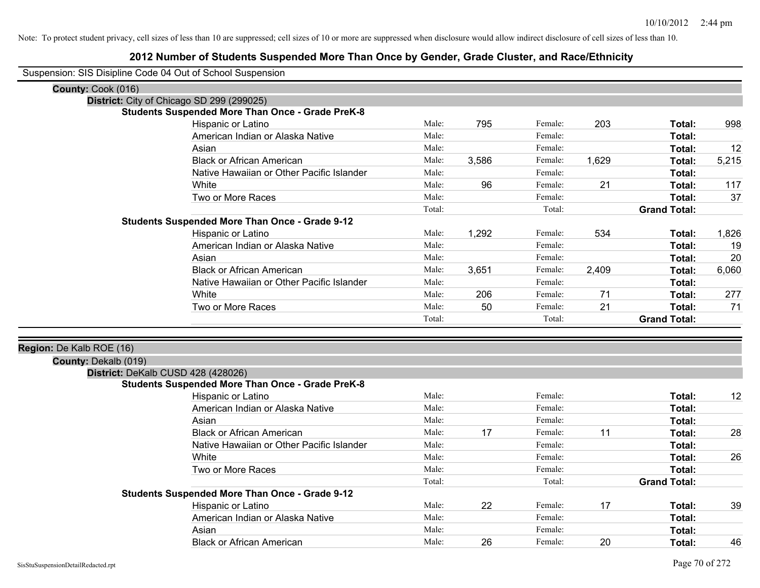|                          | Suspension: SIS Disipline Code 04 Out of School Suspension |        |       |         |       |                     |       |
|--------------------------|------------------------------------------------------------|--------|-------|---------|-------|---------------------|-------|
| County: Cook (016)       |                                                            |        |       |         |       |                     |       |
|                          | District: City of Chicago SD 299 (299025)                  |        |       |         |       |                     |       |
|                          | <b>Students Suspended More Than Once - Grade PreK-8</b>    |        |       |         |       |                     |       |
|                          | Hispanic or Latino                                         | Male:  | 795   | Female: | 203   | Total:              | 998   |
|                          | American Indian or Alaska Native                           | Male:  |       | Female: |       | Total:              |       |
|                          | Asian                                                      | Male:  |       | Female: |       | Total:              | 12    |
|                          | <b>Black or African American</b>                           | Male:  | 3,586 | Female: | 1,629 | Total:              | 5,215 |
|                          | Native Hawaiian or Other Pacific Islander                  | Male:  |       | Female: |       | Total:              |       |
|                          | White                                                      | Male:  | 96    | Female: | 21    | Total:              | 117   |
|                          | Two or More Races                                          | Male:  |       | Female: |       | Total:              | 37    |
|                          |                                                            | Total: |       | Total:  |       | <b>Grand Total:</b> |       |
|                          | <b>Students Suspended More Than Once - Grade 9-12</b>      |        |       |         |       |                     |       |
|                          | Hispanic or Latino                                         | Male:  | 1,292 | Female: | 534   | Total:              | 1,826 |
|                          | American Indian or Alaska Native                           | Male:  |       | Female: |       | Total:              | 19    |
|                          | Asian                                                      | Male:  |       | Female: |       | Total:              | 20    |
|                          | <b>Black or African American</b>                           | Male:  | 3,651 | Female: | 2,409 | Total:              | 6,060 |
|                          | Native Hawaiian or Other Pacific Islander                  | Male:  |       | Female: |       | Total:              |       |
|                          | White                                                      | Male:  | 206   | Female: | 71    | Total:              | 277   |
|                          | Two or More Races                                          | Male:  | 50    | Female: | 21    | Total:              | 71    |
|                          |                                                            | Total: |       | Total:  |       | <b>Grand Total:</b> |       |
|                          |                                                            |        |       |         |       |                     |       |
| Region: De Kalb ROE (16) |                                                            |        |       |         |       |                     |       |
| County: Dekalb (019)     |                                                            |        |       |         |       |                     |       |
|                          | District: DeKalb CUSD 428 (428026)                         |        |       |         |       |                     |       |
|                          | <b>Students Suspended More Than Once - Grade PreK-8</b>    | Male:  |       | Female: |       | Total:              | 12    |
|                          | Hispanic or Latino<br>American Indian or Alaska Native     | Male:  |       | Female: |       | Total:              |       |
|                          | Asian                                                      | Male:  |       | Female: |       |                     |       |
|                          |                                                            | Male:  |       | Female: | 11    | Total:              |       |
|                          | <b>Black or African American</b>                           |        | 17    |         |       | Total:              | 28    |
|                          | Native Hawaiian or Other Pacific Islander                  | Male:  |       | Female: |       | Total:              |       |
|                          | White                                                      | Male:  |       | Female: |       | Total:              | 26    |
|                          | Two or More Races                                          | Male:  |       | Female: |       | Total:              |       |
|                          |                                                            | Total: |       | Total:  |       | <b>Grand Total:</b> |       |
|                          | <b>Students Suspended More Than Once - Grade 9-12</b>      |        |       |         |       |                     |       |
|                          | Hispanic or Latino                                         | Male:  | 22    | Female: | 17    | Total:              | 39    |
|                          | American Indian or Alaska Native                           | Male:  |       | Female: |       | Total:              |       |
|                          | Asian                                                      | Male:  |       | Female: |       | Total:              |       |
|                          | <b>Black or African American</b>                           | Male:  | 26    | Female: | 20    | Total:              | 46    |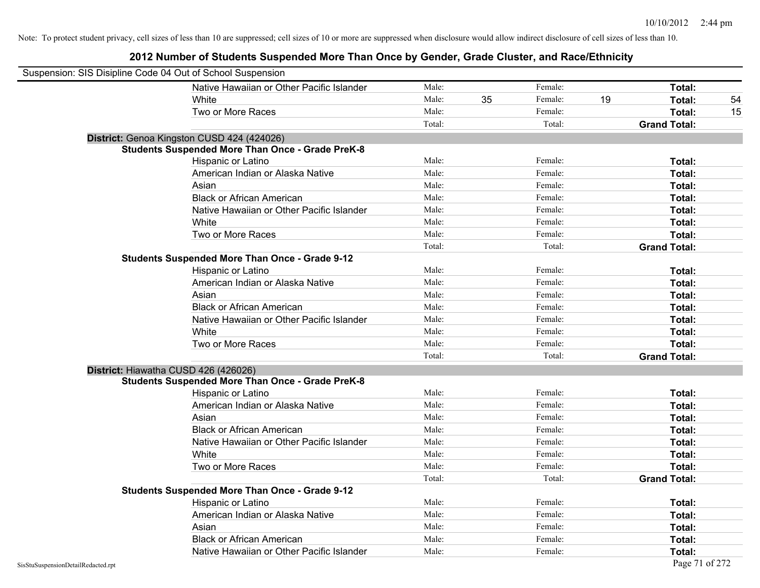| Suspension: SIS Disipline Code 04 Out of School Suspension |                                                         |        |    |         |    |                     |    |
|------------------------------------------------------------|---------------------------------------------------------|--------|----|---------|----|---------------------|----|
|                                                            | Native Hawaiian or Other Pacific Islander               | Male:  |    | Female: |    | Total:              |    |
|                                                            | White                                                   | Male:  | 35 | Female: | 19 | Total:              | 54 |
|                                                            | Two or More Races                                       | Male:  |    | Female: |    | Total:              | 15 |
|                                                            |                                                         | Total: |    | Total:  |    | <b>Grand Total:</b> |    |
|                                                            | District: Genoa Kingston CUSD 424 (424026)              |        |    |         |    |                     |    |
|                                                            | <b>Students Suspended More Than Once - Grade PreK-8</b> |        |    |         |    |                     |    |
|                                                            | Hispanic or Latino                                      | Male:  |    | Female: |    | Total:              |    |
|                                                            | American Indian or Alaska Native                        | Male:  |    | Female: |    | Total:              |    |
|                                                            | Asian                                                   | Male:  |    | Female: |    | Total:              |    |
|                                                            | <b>Black or African American</b>                        | Male:  |    | Female: |    | Total:              |    |
|                                                            | Native Hawaiian or Other Pacific Islander               | Male:  |    | Female: |    | Total:              |    |
|                                                            | White                                                   | Male:  |    | Female: |    | Total:              |    |
|                                                            | Two or More Races                                       | Male:  |    | Female: |    | Total:              |    |
|                                                            |                                                         | Total: |    | Total:  |    | <b>Grand Total:</b> |    |
|                                                            | <b>Students Suspended More Than Once - Grade 9-12</b>   |        |    |         |    |                     |    |
|                                                            | Hispanic or Latino                                      | Male:  |    | Female: |    | Total:              |    |
|                                                            | American Indian or Alaska Native                        | Male:  |    | Female: |    | Total:              |    |
|                                                            | Asian                                                   | Male:  |    | Female: |    | Total:              |    |
|                                                            | <b>Black or African American</b>                        | Male:  |    | Female: |    | Total:              |    |
|                                                            | Native Hawaiian or Other Pacific Islander               | Male:  |    | Female: |    | Total:              |    |
|                                                            | White                                                   | Male:  |    | Female: |    | Total:              |    |
|                                                            | Two or More Races                                       | Male:  |    | Female: |    | Total:              |    |
|                                                            |                                                         | Total: |    | Total:  |    | <b>Grand Total:</b> |    |
| District: Hiawatha CUSD 426 (426026)                       |                                                         |        |    |         |    |                     |    |
|                                                            | <b>Students Suspended More Than Once - Grade PreK-8</b> |        |    |         |    |                     |    |
|                                                            | Hispanic or Latino                                      | Male:  |    | Female: |    | Total:              |    |
|                                                            | American Indian or Alaska Native                        | Male:  |    | Female: |    | Total:              |    |
|                                                            | Asian                                                   | Male:  |    | Female: |    | Total:              |    |
|                                                            | <b>Black or African American</b>                        | Male:  |    | Female: |    | Total:              |    |
|                                                            | Native Hawaiian or Other Pacific Islander               | Male:  |    | Female: |    | Total:              |    |
|                                                            | White                                                   | Male:  |    | Female: |    | Total:              |    |
|                                                            | Two or More Races                                       | Male:  |    | Female: |    | Total:              |    |
|                                                            |                                                         | Total: |    | Total:  |    | <b>Grand Total:</b> |    |
|                                                            | <b>Students Suspended More Than Once - Grade 9-12</b>   |        |    |         |    |                     |    |
|                                                            | Hispanic or Latino                                      | Male:  |    | Female: |    | Total:              |    |
|                                                            | American Indian or Alaska Native                        | Male:  |    | Female: |    | Total:              |    |
|                                                            | Asian                                                   | Male:  |    | Female: |    | Total:              |    |
|                                                            | <b>Black or African American</b>                        | Male:  |    | Female: |    | Total:              |    |
|                                                            | Native Hawaiian or Other Pacific Islander               | Male:  |    | Female: |    | Total:              |    |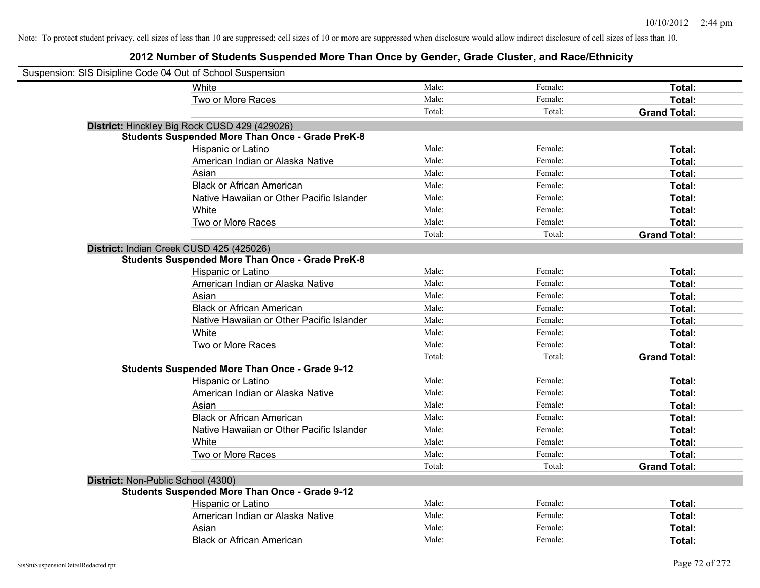| Suspension: SIS Disipline Code 04 Out of School Suspension |                                                         |        |         |                     |
|------------------------------------------------------------|---------------------------------------------------------|--------|---------|---------------------|
|                                                            | <b>White</b>                                            | Male:  | Female: | Total:              |
|                                                            | Two or More Races                                       | Male:  | Female: | Total:              |
|                                                            |                                                         | Total: | Total:  | <b>Grand Total:</b> |
|                                                            | District: Hinckley Big Rock CUSD 429 (429026)           |        |         |                     |
|                                                            | <b>Students Suspended More Than Once - Grade PreK-8</b> |        |         |                     |
|                                                            | Hispanic or Latino                                      | Male:  | Female: | Total:              |
|                                                            | American Indian or Alaska Native                        | Male:  | Female: | Total:              |
|                                                            | Asian                                                   | Male:  | Female: | Total:              |
|                                                            | <b>Black or African American</b>                        | Male:  | Female: | Total:              |
|                                                            | Native Hawaiian or Other Pacific Islander               | Male:  | Female: | Total:              |
|                                                            | White                                                   | Male:  | Female: | Total:              |
|                                                            | Two or More Races                                       | Male:  | Female: | Total:              |
|                                                            |                                                         | Total: | Total:  | <b>Grand Total:</b> |
|                                                            | District: Indian Creek CUSD 425 (425026)                |        |         |                     |
|                                                            | <b>Students Suspended More Than Once - Grade PreK-8</b> |        |         |                     |
|                                                            | Hispanic or Latino                                      | Male:  | Female: | Total:              |
|                                                            | American Indian or Alaska Native                        | Male:  | Female: | Total:              |
|                                                            | Asian                                                   | Male:  | Female: | Total:              |
|                                                            | <b>Black or African American</b>                        | Male:  | Female: | Total:              |
|                                                            | Native Hawaiian or Other Pacific Islander               | Male:  | Female: | Total:              |
|                                                            | White                                                   | Male:  | Female: | Total:              |
|                                                            | Two or More Races                                       | Male:  | Female: | Total:              |
|                                                            |                                                         | Total: | Total:  | <b>Grand Total:</b> |
|                                                            | <b>Students Suspended More Than Once - Grade 9-12</b>   |        |         |                     |
|                                                            | Hispanic or Latino                                      | Male:  | Female: | Total:              |
|                                                            | American Indian or Alaska Native                        | Male:  | Female: | Total:              |
|                                                            | Asian                                                   | Male:  | Female: | Total:              |
|                                                            | <b>Black or African American</b>                        | Male:  | Female: | Total:              |
|                                                            | Native Hawaiian or Other Pacific Islander               | Male:  | Female: | Total:              |
|                                                            | White                                                   | Male:  | Female: | Total:              |
|                                                            | Two or More Races                                       | Male:  | Female: | Total:              |
|                                                            |                                                         | Total: | Total:  | <b>Grand Total:</b> |
| District: Non-Public School (4300)                         |                                                         |        |         |                     |
|                                                            | <b>Students Suspended More Than Once - Grade 9-12</b>   |        |         |                     |
|                                                            | Hispanic or Latino                                      | Male:  | Female: | Total:              |
|                                                            | American Indian or Alaska Native                        | Male:  | Female: | Total:              |
|                                                            | Asian                                                   | Male:  | Female: | Total:              |
|                                                            | <b>Black or African American</b>                        | Male:  | Female: | Total:              |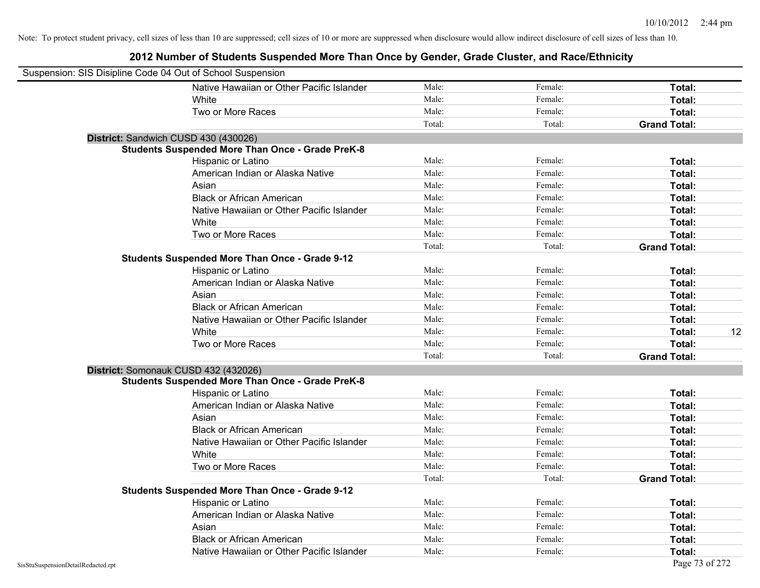| Suspension: SIS Disipline Code 04 Out of School Suspension |                                                         |        |         |                     |    |
|------------------------------------------------------------|---------------------------------------------------------|--------|---------|---------------------|----|
|                                                            | Native Hawaiian or Other Pacific Islander               | Male:  | Female: | Total:              |    |
|                                                            | White                                                   | Male:  | Female: | Total:              |    |
|                                                            | Two or More Races                                       | Male:  | Female: | Total:              |    |
|                                                            |                                                         | Total: | Total:  | <b>Grand Total:</b> |    |
| District: Sandwich CUSD 430 (430026)                       |                                                         |        |         |                     |    |
|                                                            | <b>Students Suspended More Than Once - Grade PreK-8</b> |        |         |                     |    |
|                                                            | Hispanic or Latino                                      | Male:  | Female: | Total:              |    |
|                                                            | American Indian or Alaska Native                        | Male:  | Female: | Total:              |    |
|                                                            | Asian                                                   | Male:  | Female: | Total:              |    |
|                                                            | <b>Black or African American</b>                        | Male:  | Female: | Total:              |    |
|                                                            | Native Hawaiian or Other Pacific Islander               | Male:  | Female: | Total:              |    |
|                                                            | White                                                   | Male:  | Female: | Total:              |    |
|                                                            | Two or More Races                                       | Male:  | Female: | Total:              |    |
|                                                            |                                                         | Total: | Total:  | <b>Grand Total:</b> |    |
|                                                            | <b>Students Suspended More Than Once - Grade 9-12</b>   |        |         |                     |    |
|                                                            | Hispanic or Latino                                      | Male:  | Female: | Total:              |    |
|                                                            | American Indian or Alaska Native                        | Male:  | Female: | Total:              |    |
|                                                            | Asian                                                   | Male:  | Female: | Total:              |    |
|                                                            | <b>Black or African American</b>                        | Male:  | Female: | Total:              |    |
|                                                            | Native Hawaiian or Other Pacific Islander               | Male:  | Female: | Total:              |    |
|                                                            | White                                                   | Male:  | Female: | Total:              | 12 |
|                                                            | Two or More Races                                       | Male:  | Female: | Total:              |    |
|                                                            |                                                         | Total: | Total:  | <b>Grand Total:</b> |    |
| District: Somonauk CUSD 432 (432026)                       |                                                         |        |         |                     |    |
|                                                            | <b>Students Suspended More Than Once - Grade PreK-8</b> |        |         |                     |    |
|                                                            | Hispanic or Latino                                      | Male:  | Female: | Total:              |    |
|                                                            | American Indian or Alaska Native                        | Male:  | Female: | Total:              |    |
|                                                            | Asian                                                   | Male:  | Female: | Total:              |    |
|                                                            | <b>Black or African American</b>                        | Male:  | Female: | Total:              |    |
|                                                            | Native Hawaiian or Other Pacific Islander               | Male:  | Female: | Total:              |    |
|                                                            | White                                                   | Male:  | Female: | Total:              |    |
|                                                            | Two or More Races                                       | Male:  | Female: | Total:              |    |
|                                                            |                                                         | Total: | Total:  | <b>Grand Total:</b> |    |
|                                                            | <b>Students Suspended More Than Once - Grade 9-12</b>   |        |         |                     |    |
|                                                            | Hispanic or Latino                                      | Male:  | Female: | Total:              |    |
|                                                            | American Indian or Alaska Native                        | Male:  | Female: | Total:              |    |
|                                                            | Asian                                                   | Male:  | Female: | Total:              |    |
|                                                            | <b>Black or African American</b>                        | Male:  | Female: | Total:              |    |
|                                                            | Native Hawaiian or Other Pacific Islander               | Male:  | Female: | Total:              |    |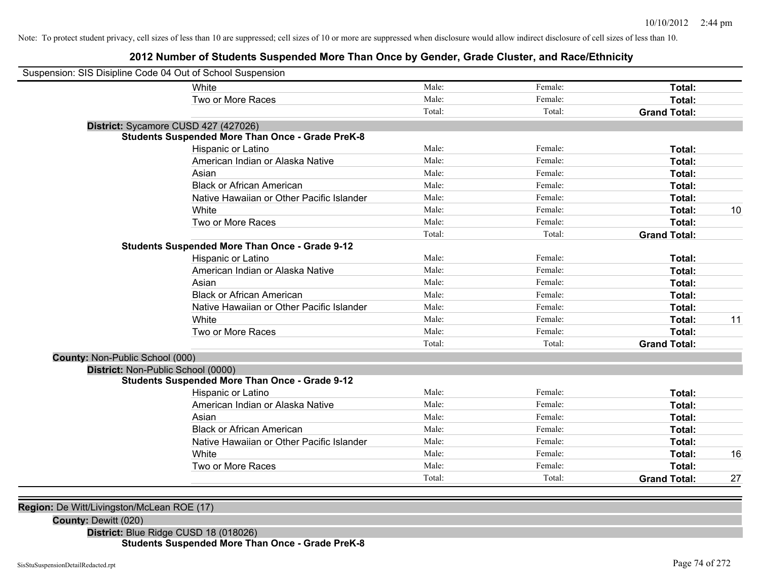#### **2012 Number of Students Suspended More Than Once by Gender, Grade Cluster, and Race/Ethnicity**

| Suspension: SIS Disipline Code 04 Out of School Suspension |                                                         |        |         |                     |    |
|------------------------------------------------------------|---------------------------------------------------------|--------|---------|---------------------|----|
|                                                            | White                                                   | Male:  | Female: | Total:              |    |
|                                                            | Two or More Races                                       | Male:  | Female: | Total:              |    |
|                                                            |                                                         | Total: | Total:  | <b>Grand Total:</b> |    |
| District: Sycamore CUSD 427 (427026)                       |                                                         |        |         |                     |    |
|                                                            | <b>Students Suspended More Than Once - Grade PreK-8</b> |        |         |                     |    |
|                                                            | Hispanic or Latino                                      | Male:  | Female: | Total:              |    |
|                                                            | American Indian or Alaska Native                        | Male:  | Female: | <b>Total:</b>       |    |
|                                                            | Asian                                                   | Male:  | Female: | Total:              |    |
|                                                            | <b>Black or African American</b>                        | Male:  | Female: | Total:              |    |
|                                                            | Native Hawaiian or Other Pacific Islander               | Male:  | Female: | Total:              |    |
|                                                            | White                                                   | Male:  | Female: | Total:              | 10 |
|                                                            | Two or More Races                                       | Male:  | Female: | Total:              |    |
|                                                            |                                                         | Total: | Total:  | <b>Grand Total:</b> |    |
|                                                            | <b>Students Suspended More Than Once - Grade 9-12</b>   |        |         |                     |    |
|                                                            | Hispanic or Latino                                      | Male:  | Female: | Total:              |    |
|                                                            | American Indian or Alaska Native                        | Male:  | Female: | Total:              |    |
|                                                            | Asian                                                   | Male:  | Female: | Total:              |    |
|                                                            | <b>Black or African American</b>                        | Male:  | Female: | Total:              |    |
|                                                            | Native Hawaiian or Other Pacific Islander               | Male:  | Female: | Total:              |    |
|                                                            | White                                                   | Male:  | Female: | Total:              | 11 |
|                                                            | Two or More Races                                       | Male:  | Female: | Total:              |    |
|                                                            |                                                         | Total: | Total:  | <b>Grand Total:</b> |    |
| <b>County: Non-Public School (000)</b>                     |                                                         |        |         |                     |    |
| District: Non-Public School (0000)                         |                                                         |        |         |                     |    |
|                                                            | <b>Students Suspended More Than Once - Grade 9-12</b>   |        |         |                     |    |
|                                                            | Hispanic or Latino                                      | Male:  | Female: | Total:              |    |
|                                                            | American Indian or Alaska Native                        | Male:  | Female: | Total:              |    |
|                                                            | Asian                                                   | Male:  | Female: | Total:              |    |
|                                                            | <b>Black or African American</b>                        | Male:  | Female: | Total:              |    |
|                                                            | Native Hawaiian or Other Pacific Islander               | Male:  | Female: | Total:              |    |
|                                                            | White                                                   | Male:  | Female: | Total:              | 16 |
|                                                            | Two or More Races                                       | Male:  | Female: | Total:              |    |
|                                                            |                                                         | Total: | Total:  | <b>Grand Total:</b> | 27 |

**Region:** De Witt/Livingston/McLean ROE (17)

**County:** Dewitt (020)

**District:** Blue Ridge CUSD 18 (018026)

**Students Suspended More Than Once - Grade PreK-8**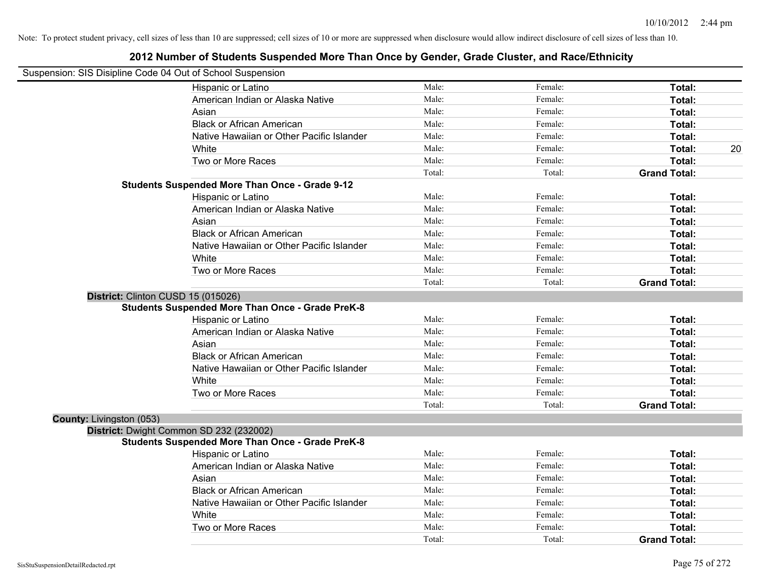| Suspension: SIS Disipline Code 04 Out of School Suspension |                                                         |        |         |                     |
|------------------------------------------------------------|---------------------------------------------------------|--------|---------|---------------------|
|                                                            | Hispanic or Latino                                      | Male:  | Female: | Total:              |
|                                                            | American Indian or Alaska Native                        | Male:  | Female: | Total:              |
|                                                            | Asian                                                   | Male:  | Female: | Total:              |
|                                                            | <b>Black or African American</b>                        | Male:  | Female: | Total:              |
|                                                            | Native Hawaiian or Other Pacific Islander               | Male:  | Female: | Total:              |
|                                                            | White                                                   | Male:  | Female: | Total:<br>20        |
|                                                            | Two or More Races                                       | Male:  | Female: | Total:              |
|                                                            |                                                         | Total: | Total:  | <b>Grand Total:</b> |
|                                                            | <b>Students Suspended More Than Once - Grade 9-12</b>   |        |         |                     |
|                                                            | Hispanic or Latino                                      | Male:  | Female: | Total:              |
|                                                            | American Indian or Alaska Native                        | Male:  | Female: | Total:              |
|                                                            | Asian                                                   | Male:  | Female: | Total:              |
|                                                            | <b>Black or African American</b>                        | Male:  | Female: | Total:              |
|                                                            | Native Hawaiian or Other Pacific Islander               | Male:  | Female: | Total:              |
|                                                            | White                                                   | Male:  | Female: | Total:              |
|                                                            | Two or More Races                                       | Male:  | Female: | Total:              |
|                                                            |                                                         | Total: | Total:  | <b>Grand Total:</b> |
|                                                            | District: Clinton CUSD 15 (015026)                      |        |         |                     |
|                                                            | <b>Students Suspended More Than Once - Grade PreK-8</b> |        |         |                     |
|                                                            | Hispanic or Latino                                      | Male:  | Female: | Total:              |
|                                                            | American Indian or Alaska Native                        | Male:  | Female: | Total:              |
|                                                            | Asian                                                   | Male:  | Female: | Total:              |
|                                                            | <b>Black or African American</b>                        | Male:  | Female: | Total:              |
|                                                            | Native Hawaiian or Other Pacific Islander               | Male:  | Female: | Total:              |
|                                                            | White                                                   | Male:  | Female: | Total:              |
|                                                            | Two or More Races                                       | Male:  | Female: | Total:              |
|                                                            |                                                         | Total: | Total:  | <b>Grand Total:</b> |
| County: Livingston (053)                                   |                                                         |        |         |                     |
|                                                            | District: Dwight Common SD 232 (232002)                 |        |         |                     |
|                                                            | <b>Students Suspended More Than Once - Grade PreK-8</b> |        |         |                     |
|                                                            | Hispanic or Latino                                      | Male:  | Female: | Total:              |
|                                                            | American Indian or Alaska Native                        | Male:  | Female: | Total:              |
|                                                            | Asian                                                   | Male:  | Female: | Total:              |
|                                                            | <b>Black or African American</b>                        | Male:  | Female: | Total:              |
|                                                            | Native Hawaiian or Other Pacific Islander               | Male:  | Female: | Total:              |
|                                                            | White                                                   | Male:  | Female: | Total:              |
|                                                            | Two or More Races                                       | Male:  | Female: | <b>Total:</b>       |
|                                                            |                                                         | Total: | Total:  | <b>Grand Total:</b> |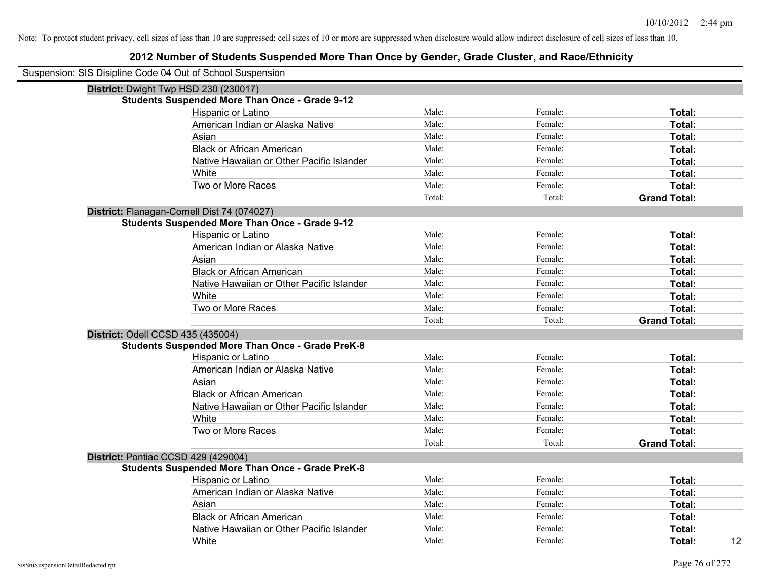| Suspension: SIS Disipline Code 04 Out of School Suspension |                                                         |        |         |                     |
|------------------------------------------------------------|---------------------------------------------------------|--------|---------|---------------------|
|                                                            | District: Dwight Twp HSD 230 (230017)                   |        |         |                     |
|                                                            | <b>Students Suspended More Than Once - Grade 9-12</b>   |        |         |                     |
|                                                            | Hispanic or Latino                                      | Male:  | Female: | Total:              |
|                                                            | American Indian or Alaska Native                        | Male:  | Female: | Total:              |
|                                                            | Asian                                                   | Male:  | Female: | Total:              |
|                                                            | <b>Black or African American</b>                        | Male:  | Female: | Total:              |
|                                                            | Native Hawaiian or Other Pacific Islander               | Male:  | Female: | Total:              |
|                                                            | White                                                   | Male:  | Female: | Total:              |
|                                                            | Two or More Races                                       | Male:  | Female: | Total:              |
|                                                            |                                                         | Total: | Total:  | <b>Grand Total:</b> |
|                                                            | District: Flanagan-Cornell Dist 74 (074027)             |        |         |                     |
|                                                            | <b>Students Suspended More Than Once - Grade 9-12</b>   |        |         |                     |
|                                                            | Hispanic or Latino                                      | Male:  | Female: | Total:              |
|                                                            | American Indian or Alaska Native                        | Male:  | Female: | Total:              |
|                                                            | Asian                                                   | Male:  | Female: | Total:              |
|                                                            | <b>Black or African American</b>                        | Male:  | Female: | Total:              |
|                                                            | Native Hawaiian or Other Pacific Islander               | Male:  | Female: | Total:              |
|                                                            | White                                                   | Male:  | Female: | Total:              |
|                                                            | Two or More Races                                       | Male:  | Female: | Total:              |
|                                                            |                                                         | Total: | Total:  | <b>Grand Total:</b> |
|                                                            | District: Odell CCSD 435 (435004)                       |        |         |                     |
|                                                            | <b>Students Suspended More Than Once - Grade PreK-8</b> |        |         |                     |
|                                                            | Hispanic or Latino                                      | Male:  | Female: | Total:              |
|                                                            | American Indian or Alaska Native                        | Male:  | Female: | Total:              |
|                                                            | Asian                                                   | Male:  | Female: | Total:              |
|                                                            | <b>Black or African American</b>                        | Male:  | Female: | Total:              |
|                                                            | Native Hawaiian or Other Pacific Islander               | Male:  | Female: | Total:              |
|                                                            | White                                                   | Male:  | Female: | Total:              |
|                                                            | Two or More Races                                       | Male:  | Female: | Total:              |
|                                                            |                                                         | Total: | Total:  | <b>Grand Total:</b> |
|                                                            | District: Pontiac CCSD 429 (429004)                     |        |         |                     |
|                                                            | Students Suspended More Than Once - Grade PreK-8        |        |         |                     |
|                                                            | Hispanic or Latino                                      | Male:  | Female: | Total:              |
|                                                            | American Indian or Alaska Native                        | Male:  | Female: | Total:              |
|                                                            | Asian                                                   | Male:  | Female: | Total:              |
|                                                            | <b>Black or African American</b>                        | Male:  | Female: | Total:              |
|                                                            | Native Hawaiian or Other Pacific Islander               | Male:  | Female: | Total:              |
|                                                            | White                                                   | Male:  | Female: | 12<br>Total:        |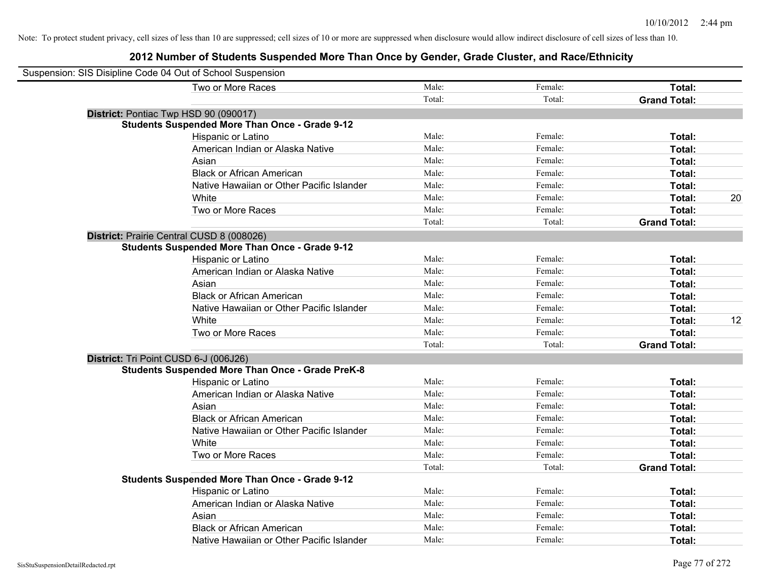| Suspension: SIS Disipline Code 04 Out of School Suspension |                                                         |        |         |                     |    |
|------------------------------------------------------------|---------------------------------------------------------|--------|---------|---------------------|----|
|                                                            | Two or More Races                                       | Male:  | Female: | Total:              |    |
|                                                            |                                                         | Total: | Total:  | <b>Grand Total:</b> |    |
|                                                            | District: Pontiac Twp HSD 90 (090017)                   |        |         |                     |    |
|                                                            | <b>Students Suspended More Than Once - Grade 9-12</b>   |        |         |                     |    |
|                                                            | Hispanic or Latino                                      | Male:  | Female: | Total:              |    |
|                                                            | American Indian or Alaska Native                        | Male:  | Female: | Total:              |    |
|                                                            | Asian                                                   | Male:  | Female: | Total:              |    |
|                                                            | <b>Black or African American</b>                        | Male:  | Female: | Total:              |    |
|                                                            | Native Hawaiian or Other Pacific Islander               | Male:  | Female: | Total:              |    |
|                                                            | White                                                   | Male:  | Female: | Total:              | 20 |
|                                                            | Two or More Races                                       | Male:  | Female: | Total:              |    |
|                                                            |                                                         | Total: | Total:  | <b>Grand Total:</b> |    |
|                                                            | District: Prairie Central CUSD 8 (008026)               |        |         |                     |    |
|                                                            | <b>Students Suspended More Than Once - Grade 9-12</b>   |        |         |                     |    |
|                                                            | Hispanic or Latino                                      | Male:  | Female: | Total:              |    |
|                                                            | American Indian or Alaska Native                        | Male:  | Female: | Total:              |    |
|                                                            | Asian                                                   | Male:  | Female: | Total:              |    |
|                                                            | <b>Black or African American</b>                        | Male:  | Female: | Total:              |    |
|                                                            | Native Hawaiian or Other Pacific Islander               | Male:  | Female: | Total:              |    |
|                                                            | White                                                   | Male:  | Female: | Total:              | 12 |
|                                                            | Two or More Races                                       | Male:  | Female: | Total:              |    |
|                                                            |                                                         | Total: | Total:  | <b>Grand Total:</b> |    |
| District: Tri Point CUSD 6-J (006J26)                      |                                                         |        |         |                     |    |
|                                                            | <b>Students Suspended More Than Once - Grade PreK-8</b> |        |         |                     |    |
|                                                            | Hispanic or Latino                                      | Male:  | Female: | Total:              |    |
|                                                            | American Indian or Alaska Native                        | Male:  | Female: | Total:              |    |
|                                                            | Asian                                                   | Male:  | Female: | Total:              |    |
|                                                            | <b>Black or African American</b>                        | Male:  | Female: | Total:              |    |
|                                                            | Native Hawaiian or Other Pacific Islander               | Male:  | Female: | Total:              |    |
|                                                            | White                                                   | Male:  | Female: | Total:              |    |
|                                                            | Two or More Races                                       | Male:  | Female: | Total:              |    |
|                                                            |                                                         | Total: | Total:  | <b>Grand Total:</b> |    |
|                                                            | <b>Students Suspended More Than Once - Grade 9-12</b>   |        |         |                     |    |
|                                                            | Hispanic or Latino                                      | Male:  | Female: | Total:              |    |
|                                                            | American Indian or Alaska Native                        | Male:  | Female: | Total:              |    |
|                                                            | Asian                                                   | Male:  | Female: | Total:              |    |
|                                                            | <b>Black or African American</b>                        | Male:  | Female: | Total:              |    |
|                                                            | Native Hawaiian or Other Pacific Islander               | Male:  | Female: | Total:              |    |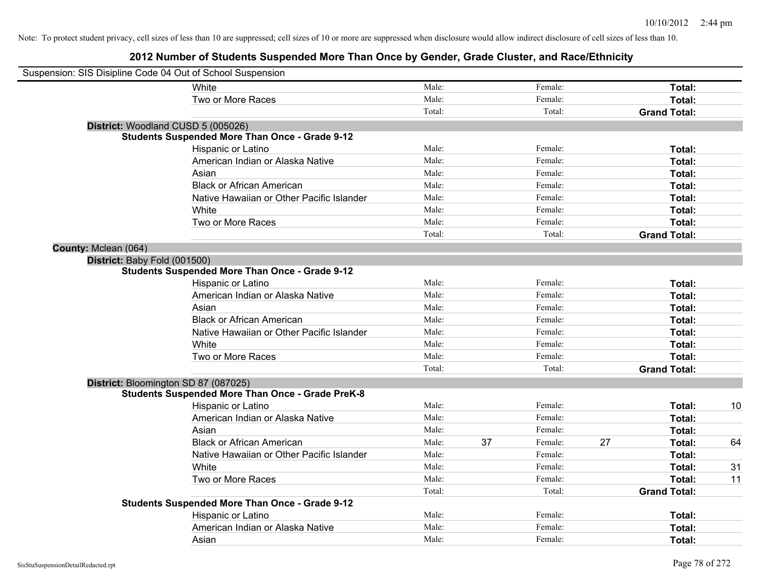| Suspension: SIS Disipline Code 04 Out of School Suspension |                                                         |        |    |         |    |                     |    |
|------------------------------------------------------------|---------------------------------------------------------|--------|----|---------|----|---------------------|----|
|                                                            | White                                                   | Male:  |    | Female: |    | Total:              |    |
|                                                            | Two or More Races                                       | Male:  |    | Female: |    | Total:              |    |
|                                                            |                                                         | Total: |    | Total:  |    | <b>Grand Total:</b> |    |
|                                                            | District: Woodland CUSD 5 (005026)                      |        |    |         |    |                     |    |
|                                                            | <b>Students Suspended More Than Once - Grade 9-12</b>   |        |    |         |    |                     |    |
|                                                            | Hispanic or Latino                                      | Male:  |    | Female: |    | Total:              |    |
|                                                            | American Indian or Alaska Native                        | Male:  |    | Female: |    | Total:              |    |
|                                                            | Asian                                                   | Male:  |    | Female: |    | Total:              |    |
|                                                            | <b>Black or African American</b>                        | Male:  |    | Female: |    | Total:              |    |
|                                                            | Native Hawaiian or Other Pacific Islander               | Male:  |    | Female: |    | Total:              |    |
|                                                            | White                                                   | Male:  |    | Female: |    | Total:              |    |
|                                                            | Two or More Races                                       | Male:  |    | Female: |    | Total:              |    |
|                                                            |                                                         | Total: |    | Total:  |    | <b>Grand Total:</b> |    |
| County: Mclean (064)                                       |                                                         |        |    |         |    |                     |    |
| District: Baby Fold (001500)                               |                                                         |        |    |         |    |                     |    |
|                                                            | <b>Students Suspended More Than Once - Grade 9-12</b>   |        |    |         |    |                     |    |
|                                                            | Hispanic or Latino                                      | Male:  |    | Female: |    | Total:              |    |
|                                                            | American Indian or Alaska Native                        | Male:  |    | Female: |    | Total:              |    |
|                                                            | Asian                                                   | Male:  |    | Female: |    | Total:              |    |
|                                                            | <b>Black or African American</b>                        | Male:  |    | Female: |    | Total:              |    |
|                                                            | Native Hawaiian or Other Pacific Islander               | Male:  |    | Female: |    | Total:              |    |
|                                                            | White                                                   | Male:  |    | Female: |    | Total:              |    |
|                                                            | Two or More Races                                       | Male:  |    | Female: |    | Total:              |    |
|                                                            |                                                         | Total: |    | Total:  |    | <b>Grand Total:</b> |    |
|                                                            | District: Bloomington SD 87 (087025)                    |        |    |         |    |                     |    |
|                                                            | <b>Students Suspended More Than Once - Grade PreK-8</b> |        |    |         |    |                     |    |
|                                                            | Hispanic or Latino                                      | Male:  |    | Female: |    | Total:              | 10 |
|                                                            | American Indian or Alaska Native                        | Male:  |    | Female: |    | Total:              |    |
|                                                            | Asian                                                   | Male:  |    | Female: |    | Total:              |    |
|                                                            | <b>Black or African American</b>                        | Male:  | 37 | Female: | 27 | Total:              | 64 |
|                                                            | Native Hawaiian or Other Pacific Islander               | Male:  |    | Female: |    | Total:              |    |
|                                                            | White                                                   | Male:  |    | Female: |    | Total:              | 31 |
|                                                            | Two or More Races                                       | Male:  |    | Female: |    | Total:              | 11 |
|                                                            |                                                         | Total: |    | Total:  |    | <b>Grand Total:</b> |    |
|                                                            | <b>Students Suspended More Than Once - Grade 9-12</b>   |        |    |         |    |                     |    |
|                                                            | Hispanic or Latino                                      | Male:  |    | Female: |    | Total:              |    |
|                                                            | American Indian or Alaska Native                        | Male:  |    | Female: |    | Total:              |    |
|                                                            | Asian                                                   | Male:  |    | Female: |    | Total:              |    |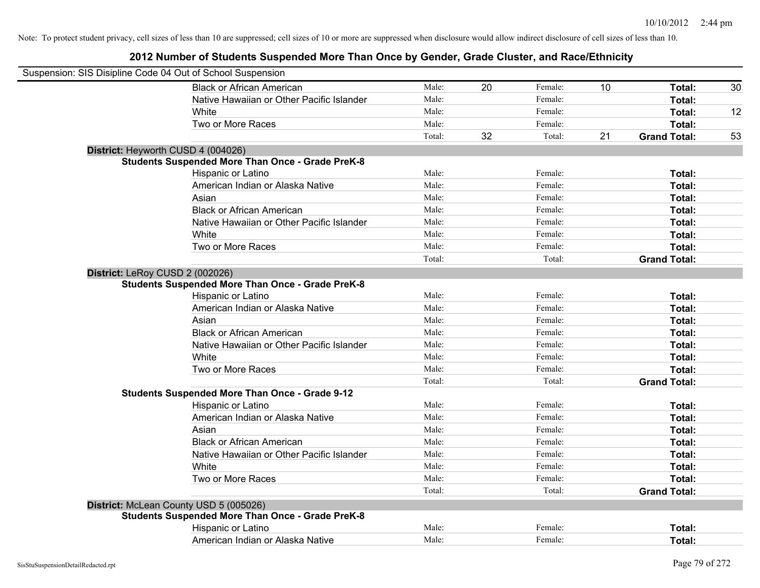| Suspension: SIS Disipline Code 04 Out of School Suspension |                                                         |        |    |         |    |                     |    |
|------------------------------------------------------------|---------------------------------------------------------|--------|----|---------|----|---------------------|----|
|                                                            | <b>Black or African American</b>                        | Male:  | 20 | Female: | 10 | Total:              | 30 |
|                                                            | Native Hawaiian or Other Pacific Islander               | Male:  |    | Female: |    | Total:              |    |
|                                                            | White                                                   | Male:  |    | Female: |    | Total:              | 12 |
|                                                            | Two or More Races                                       | Male:  |    | Female: |    | Total:              |    |
|                                                            |                                                         | Total: | 32 | Total:  | 21 | <b>Grand Total:</b> | 53 |
|                                                            | District: Heyworth CUSD 4 (004026)                      |        |    |         |    |                     |    |
|                                                            | <b>Students Suspended More Than Once - Grade PreK-8</b> |        |    |         |    |                     |    |
|                                                            | Hispanic or Latino                                      | Male:  |    | Female: |    | Total:              |    |
|                                                            | American Indian or Alaska Native                        | Male:  |    | Female: |    | Total:              |    |
|                                                            | Asian                                                   | Male:  |    | Female: |    | Total:              |    |
|                                                            | <b>Black or African American</b>                        | Male:  |    | Female: |    | Total:              |    |
|                                                            | Native Hawaiian or Other Pacific Islander               | Male:  |    | Female: |    | Total:              |    |
|                                                            | White                                                   | Male:  |    | Female: |    | Total:              |    |
|                                                            | Two or More Races                                       | Male:  |    | Female: |    | Total:              |    |
|                                                            |                                                         | Total: |    | Total:  |    | <b>Grand Total:</b> |    |
| District: LeRoy CUSD 2 (002026)                            |                                                         |        |    |         |    |                     |    |
|                                                            | <b>Students Suspended More Than Once - Grade PreK-8</b> |        |    |         |    |                     |    |
|                                                            | Hispanic or Latino                                      | Male:  |    | Female: |    | Total:              |    |
|                                                            | American Indian or Alaska Native                        | Male:  |    | Female: |    | Total:              |    |
|                                                            | Asian                                                   | Male:  |    | Female: |    | Total:              |    |
|                                                            | <b>Black or African American</b>                        | Male:  |    | Female: |    | Total:              |    |
|                                                            | Native Hawaiian or Other Pacific Islander               | Male:  |    | Female: |    | Total:              |    |
|                                                            | White                                                   | Male:  |    | Female: |    | Total:              |    |
|                                                            | Two or More Races                                       | Male:  |    | Female: |    | Total:              |    |
|                                                            |                                                         | Total: |    | Total:  |    | <b>Grand Total:</b> |    |
|                                                            | <b>Students Suspended More Than Once - Grade 9-12</b>   |        |    |         |    |                     |    |
|                                                            | Hispanic or Latino                                      | Male:  |    | Female: |    | Total:              |    |
|                                                            | American Indian or Alaska Native                        | Male:  |    | Female: |    | Total:              |    |
|                                                            | Asian                                                   | Male:  |    | Female: |    | Total:              |    |
|                                                            | <b>Black or African American</b>                        | Male:  |    | Female: |    | Total:              |    |
|                                                            | Native Hawaiian or Other Pacific Islander               | Male:  |    | Female: |    | Total:              |    |
|                                                            | White                                                   | Male:  |    | Female: |    | Total:              |    |
|                                                            | Two or More Races                                       | Male:  |    | Female: |    | Total:              |    |
|                                                            |                                                         | Total: |    | Total:  |    | <b>Grand Total:</b> |    |
|                                                            | District: McLean County USD 5 (005026)                  |        |    |         |    |                     |    |
|                                                            | <b>Students Suspended More Than Once - Grade PreK-8</b> |        |    |         |    |                     |    |
|                                                            | Hispanic or Latino                                      | Male:  |    | Female: |    | Total:              |    |
|                                                            | American Indian or Alaska Native                        | Male:  |    | Female: |    | Total:              |    |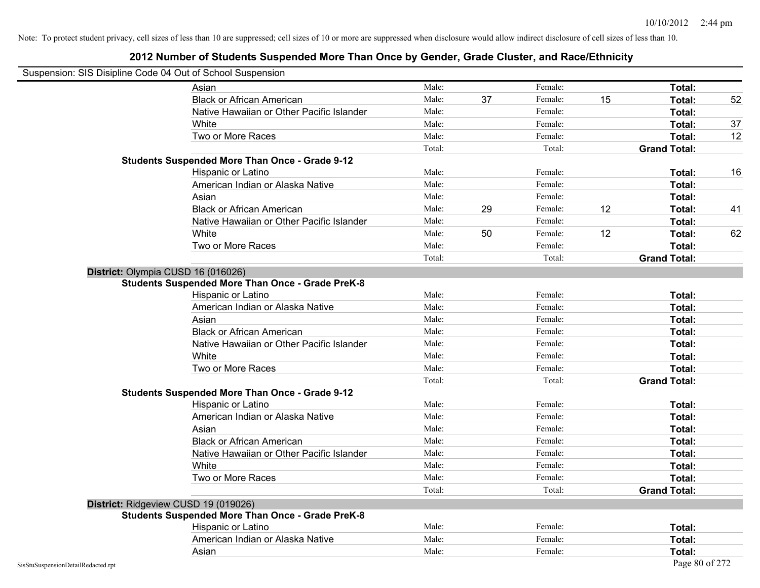| Suspension: SIS Disipline Code 04 Out of School Suspension |                                                         |        |    |         |    |                     |    |
|------------------------------------------------------------|---------------------------------------------------------|--------|----|---------|----|---------------------|----|
|                                                            | Asian                                                   | Male:  |    | Female: |    | Total:              |    |
|                                                            | <b>Black or African American</b>                        | Male:  | 37 | Female: | 15 | Total:              | 52 |
|                                                            | Native Hawaiian or Other Pacific Islander               | Male:  |    | Female: |    | Total:              |    |
|                                                            | White                                                   | Male:  |    | Female: |    | Total:              | 37 |
|                                                            | Two or More Races                                       | Male:  |    | Female: |    | Total:              | 12 |
|                                                            |                                                         | Total: |    | Total:  |    | <b>Grand Total:</b> |    |
|                                                            | <b>Students Suspended More Than Once - Grade 9-12</b>   |        |    |         |    |                     |    |
|                                                            | Hispanic or Latino                                      | Male:  |    | Female: |    | Total:              | 16 |
|                                                            | American Indian or Alaska Native                        | Male:  |    | Female: |    | Total:              |    |
|                                                            | Asian                                                   | Male:  |    | Female: |    | Total:              |    |
|                                                            | <b>Black or African American</b>                        | Male:  | 29 | Female: | 12 | Total:              | 41 |
|                                                            | Native Hawaiian or Other Pacific Islander               | Male:  |    | Female: |    | Total:              |    |
|                                                            | White                                                   | Male:  | 50 | Female: | 12 | Total:              | 62 |
|                                                            | Two or More Races                                       | Male:  |    | Female: |    | Total:              |    |
|                                                            |                                                         | Total: |    | Total:  |    | <b>Grand Total:</b> |    |
|                                                            | District: Olympia CUSD 16 (016026)                      |        |    |         |    |                     |    |
|                                                            | <b>Students Suspended More Than Once - Grade PreK-8</b> |        |    |         |    |                     |    |
|                                                            | Hispanic or Latino                                      | Male:  |    | Female: |    | Total:              |    |
|                                                            | American Indian or Alaska Native                        | Male:  |    | Female: |    | Total:              |    |
|                                                            | Asian                                                   | Male:  |    | Female: |    | Total:              |    |
|                                                            | <b>Black or African American</b>                        | Male:  |    | Female: |    | Total:              |    |
|                                                            | Native Hawaiian or Other Pacific Islander               | Male:  |    | Female: |    | Total:              |    |
|                                                            | White                                                   | Male:  |    | Female: |    | Total:              |    |
|                                                            | Two or More Races                                       | Male:  |    | Female: |    | Total:              |    |
|                                                            |                                                         | Total: |    | Total:  |    | <b>Grand Total:</b> |    |
|                                                            | <b>Students Suspended More Than Once - Grade 9-12</b>   |        |    |         |    |                     |    |
|                                                            | Hispanic or Latino                                      | Male:  |    | Female: |    | Total:              |    |
|                                                            | American Indian or Alaska Native                        | Male:  |    | Female: |    | Total:              |    |
|                                                            | Asian                                                   | Male:  |    | Female: |    | Total:              |    |
|                                                            | <b>Black or African American</b>                        | Male:  |    | Female: |    | Total:              |    |
|                                                            | Native Hawaiian or Other Pacific Islander               | Male:  |    | Female: |    | Total:              |    |
|                                                            | White                                                   | Male:  |    | Female: |    | Total:              |    |
|                                                            | Two or More Races                                       | Male:  |    | Female: |    | Total:              |    |
|                                                            |                                                         | Total: |    | Total:  |    | <b>Grand Total:</b> |    |
|                                                            | District: Ridgeview CUSD 19 (019026)                    |        |    |         |    |                     |    |
|                                                            | <b>Students Suspended More Than Once - Grade PreK-8</b> |        |    |         |    |                     |    |
|                                                            | Hispanic or Latino                                      | Male:  |    | Female: |    | Total:              |    |
|                                                            | American Indian or Alaska Native                        | Male:  |    | Female: |    | Total:              |    |
|                                                            | Asian                                                   | Male:  |    | Female: |    | Total:              |    |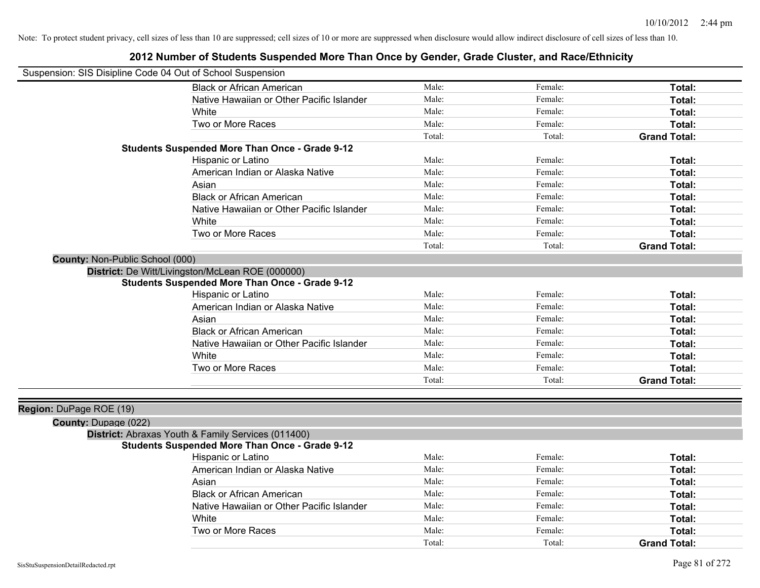| Suspension: SIS Disipline Code 04 Out of School Suspension |                                                       |        |         |                     |
|------------------------------------------------------------|-------------------------------------------------------|--------|---------|---------------------|
|                                                            | <b>Black or African American</b>                      | Male:  | Female: | Total:              |
|                                                            | Native Hawaiian or Other Pacific Islander             | Male:  | Female: | Total:              |
|                                                            | White                                                 | Male:  | Female: | Total:              |
|                                                            | Two or More Races                                     | Male:  | Female: | Total:              |
|                                                            |                                                       | Total: | Total:  | <b>Grand Total:</b> |
|                                                            | <b>Students Suspended More Than Once - Grade 9-12</b> |        |         |                     |
|                                                            | Hispanic or Latino                                    | Male:  | Female: | Total:              |
|                                                            | American Indian or Alaska Native                      | Male:  | Female: | Total:              |
|                                                            | Asian                                                 | Male:  | Female: | Total:              |
|                                                            | <b>Black or African American</b>                      | Male:  | Female: | Total:              |
|                                                            | Native Hawaiian or Other Pacific Islander             | Male:  | Female: | Total:              |
|                                                            | White                                                 | Male:  | Female: | Total:              |
|                                                            | Two or More Races                                     | Male:  | Female: | Total:              |
|                                                            |                                                       | Total: | Total:  | <b>Grand Total:</b> |
| <b>County: Non-Public School (000)</b>                     |                                                       |        |         |                     |
|                                                            | District: De Witt/Livingston/McLean ROE (000000)      |        |         |                     |
|                                                            | <b>Students Suspended More Than Once - Grade 9-12</b> |        |         |                     |
|                                                            | Hispanic or Latino                                    | Male:  | Female: | Total:              |
|                                                            | American Indian or Alaska Native                      | Male:  | Female: | Total:              |
|                                                            | Asian                                                 | Male:  | Female: | Total:              |
|                                                            | <b>Black or African American</b>                      | Male:  | Female: | Total:              |
|                                                            | Native Hawaiian or Other Pacific Islander             | Male:  | Female: | Total:              |
|                                                            | <b>White</b>                                          | Male:  | Female: | Total:              |
|                                                            | Two or More Races                                     | Male:  | Female: | Total:              |
|                                                            |                                                       | Total: | Total:  | <b>Grand Total:</b> |
|                                                            |                                                       |        |         |                     |
| Region: DuPage ROE (19)                                    |                                                       |        |         |                     |
| County: Dupage (022)                                       |                                                       |        |         |                     |
|                                                            | District: Abraxas Youth & Family Services (011400)    |        |         |                     |
|                                                            | <b>Students Suspended More Than Once - Grade 9-12</b> |        |         |                     |
|                                                            | <b>Hispanic or Latino</b>                             | Male:  | Female: | Total:              |
|                                                            | American Indian or Alaska Native                      | Male:  | Female: | Total:              |
|                                                            | Asian                                                 | Male:  | Female: | Total:              |
|                                                            | <b>Black or African American</b>                      | Male:  | Female: | Total:              |
|                                                            | Native Hawaiian or Other Pacific Islander             | Male:  | Female: | Total:              |
|                                                            | White                                                 | Male:  | Female: | Total:              |
|                                                            | Two or More Races                                     | Male:  | Female: | Total:              |
|                                                            |                                                       | Total: | Total:  | <b>Grand Total:</b> |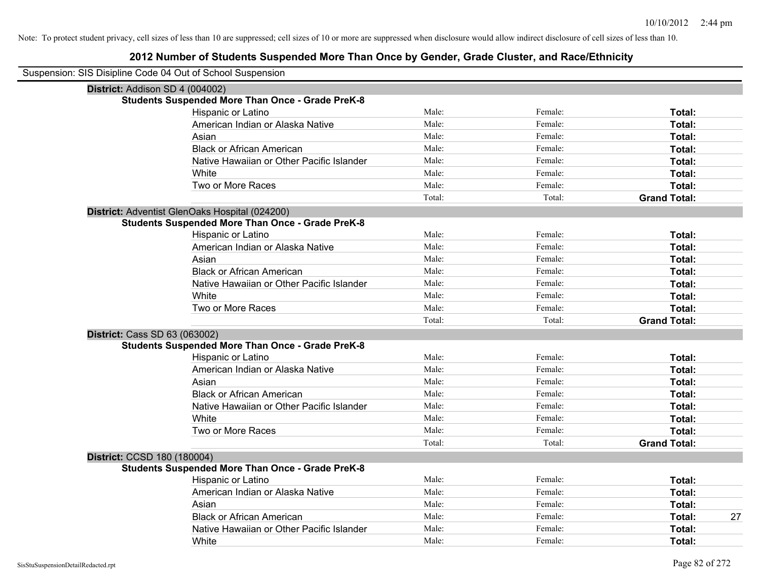| Suspension: SIS Disipline Code 04 Out of School Suspension |                                                         |        |         |                     |
|------------------------------------------------------------|---------------------------------------------------------|--------|---------|---------------------|
| District: Addison SD 4 (004002)                            |                                                         |        |         |                     |
|                                                            | <b>Students Suspended More Than Once - Grade PreK-8</b> |        |         |                     |
|                                                            | Hispanic or Latino                                      | Male:  | Female: | Total:              |
|                                                            | American Indian or Alaska Native                        | Male:  | Female: | Total:              |
|                                                            | Asian                                                   | Male:  | Female: | Total:              |
|                                                            | <b>Black or African American</b>                        | Male:  | Female: | Total:              |
|                                                            | Native Hawaiian or Other Pacific Islander               | Male:  | Female: | Total:              |
|                                                            | White                                                   | Male:  | Female: | Total:              |
|                                                            | Two or More Races                                       | Male:  | Female: | Total:              |
|                                                            |                                                         | Total: | Total:  | <b>Grand Total:</b> |
|                                                            | District: Adventist GlenOaks Hospital (024200)          |        |         |                     |
|                                                            | <b>Students Suspended More Than Once - Grade PreK-8</b> |        |         |                     |
|                                                            | Hispanic or Latino                                      | Male:  | Female: | Total:              |
|                                                            | American Indian or Alaska Native                        | Male:  | Female: | Total:              |
|                                                            | Asian                                                   | Male:  | Female: | Total:              |
|                                                            | <b>Black or African American</b>                        | Male:  | Female: | Total:              |
|                                                            | Native Hawaiian or Other Pacific Islander               | Male:  | Female: | Total:              |
|                                                            | White                                                   | Male:  | Female: | Total:              |
|                                                            | Two or More Races                                       | Male:  | Female: | Total:              |
|                                                            |                                                         | Total: | Total:  | <b>Grand Total:</b> |
| District: Cass SD 63 (063002)                              |                                                         |        |         |                     |
|                                                            | <b>Students Suspended More Than Once - Grade PreK-8</b> |        |         |                     |
|                                                            | Hispanic or Latino                                      | Male:  | Female: | Total:              |
|                                                            | American Indian or Alaska Native                        | Male:  | Female: | Total:              |
|                                                            | Asian                                                   | Male:  | Female: | Total:              |
|                                                            | <b>Black or African American</b>                        | Male:  | Female: | Total:              |
|                                                            | Native Hawaiian or Other Pacific Islander               | Male:  | Female: | Total:              |
|                                                            | White                                                   | Male:  | Female: | Total:              |
|                                                            | Two or More Races                                       | Male:  | Female: | Total:              |
|                                                            |                                                         | Total: | Total:  | <b>Grand Total:</b> |
| District: CCSD 180 (180004)                                |                                                         |        |         |                     |
|                                                            | <b>Students Suspended More Than Once - Grade PreK-8</b> |        |         |                     |
|                                                            | Hispanic or Latino                                      | Male:  | Female: | Total:              |
|                                                            | American Indian or Alaska Native                        | Male:  | Female: | Total:              |
|                                                            | Asian                                                   | Male:  | Female: | Total:              |
|                                                            | <b>Black or African American</b>                        | Male:  | Female: | Total:<br>27        |
|                                                            | Native Hawaiian or Other Pacific Islander               | Male:  | Female: | Total:              |
|                                                            | White                                                   | Male:  | Female: | Total:              |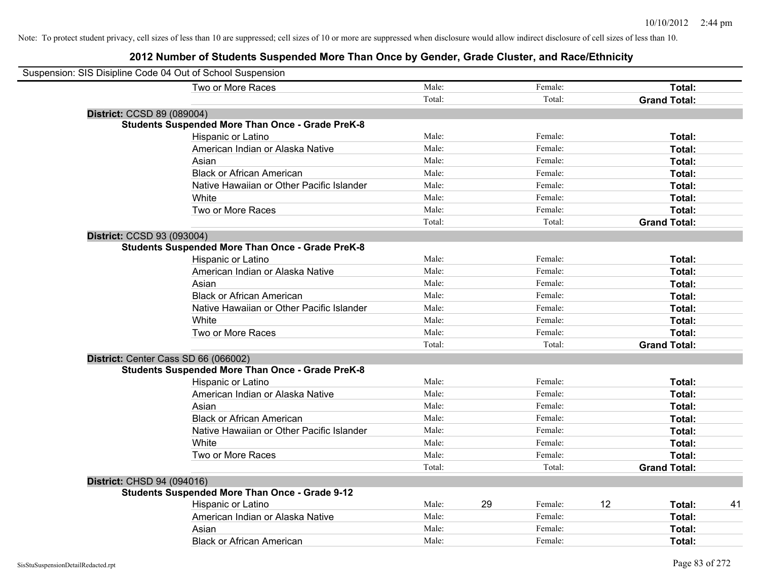| Suspension: SIS Disipline Code 04 Out of School Suspension |        |    |         |    |                     |    |
|------------------------------------------------------------|--------|----|---------|----|---------------------|----|
| Two or More Races                                          | Male:  |    | Female: |    | Total:              |    |
|                                                            | Total: |    | Total:  |    | <b>Grand Total:</b> |    |
| District: CCSD 89 (089004)                                 |        |    |         |    |                     |    |
| <b>Students Suspended More Than Once - Grade PreK-8</b>    |        |    |         |    |                     |    |
| Hispanic or Latino                                         | Male:  |    | Female: |    | Total:              |    |
| American Indian or Alaska Native                           | Male:  |    | Female: |    | Total:              |    |
| Asian                                                      | Male:  |    | Female: |    | Total:              |    |
| <b>Black or African American</b>                           | Male:  |    | Female: |    | Total:              |    |
| Native Hawaiian or Other Pacific Islander                  | Male:  |    | Female: |    | Total:              |    |
| White                                                      | Male:  |    | Female: |    | Total:              |    |
| Two or More Races                                          | Male:  |    | Female: |    | Total:              |    |
|                                                            | Total: |    | Total:  |    | <b>Grand Total:</b> |    |
| District: CCSD 93 (093004)                                 |        |    |         |    |                     |    |
| <b>Students Suspended More Than Once - Grade PreK-8</b>    |        |    |         |    |                     |    |
| Hispanic or Latino                                         | Male:  |    | Female: |    | Total:              |    |
| American Indian or Alaska Native                           | Male:  |    | Female: |    | Total:              |    |
| Asian                                                      | Male:  |    | Female: |    | Total:              |    |
| <b>Black or African American</b>                           | Male:  |    | Female: |    | Total:              |    |
| Native Hawaiian or Other Pacific Islander                  | Male:  |    | Female: |    | Total:              |    |
| White                                                      | Male:  |    | Female: |    | Total:              |    |
| Two or More Races                                          | Male:  |    | Female: |    | Total:              |    |
|                                                            | Total: |    | Total:  |    | <b>Grand Total:</b> |    |
| District: Center Cass SD 66 (066002)                       |        |    |         |    |                     |    |
| <b>Students Suspended More Than Once - Grade PreK-8</b>    |        |    |         |    |                     |    |
| <b>Hispanic or Latino</b>                                  | Male:  |    | Female: |    | Total:              |    |
| American Indian or Alaska Native                           | Male:  |    | Female: |    | Total:              |    |
| Asian                                                      | Male:  |    | Female: |    | Total:              |    |
| <b>Black or African American</b>                           | Male:  |    | Female: |    | Total:              |    |
| Native Hawaiian or Other Pacific Islander                  | Male:  |    | Female: |    | Total:              |    |
| White                                                      | Male:  |    | Female: |    | Total:              |    |
| Two or More Races                                          | Male:  |    | Female: |    | Total:              |    |
|                                                            | Total: |    | Total:  |    | <b>Grand Total:</b> |    |
| District: CHSD 94 (094016)                                 |        |    |         |    |                     |    |
| <b>Students Suspended More Than Once - Grade 9-12</b>      |        |    |         |    |                     |    |
| Hispanic or Latino                                         | Male:  | 29 | Female: | 12 | Total:              | 41 |
| American Indian or Alaska Native                           | Male:  |    | Female: |    | Total:              |    |
| Asian                                                      | Male:  |    | Female: |    | Total:              |    |
| <b>Black or African American</b>                           | Male:  |    | Female: |    | Total:              |    |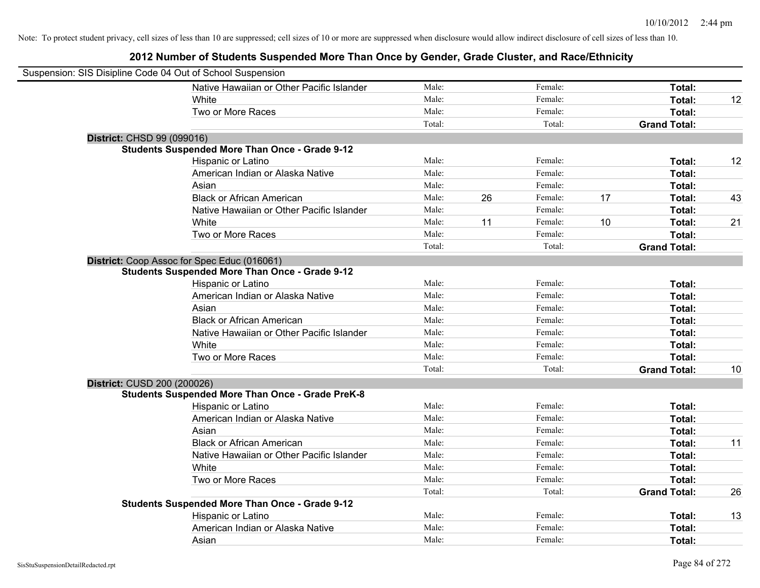| Suspension: SIS Disipline Code 04 Out of School Suspension |                                                         |        |    |         |    |                     |    |
|------------------------------------------------------------|---------------------------------------------------------|--------|----|---------|----|---------------------|----|
|                                                            | Native Hawaiian or Other Pacific Islander               | Male:  |    | Female: |    | Total:              |    |
|                                                            | White                                                   | Male:  |    | Female: |    | Total:              | 12 |
|                                                            | Two or More Races                                       | Male:  |    | Female: |    | Total:              |    |
|                                                            |                                                         | Total: |    | Total:  |    | <b>Grand Total:</b> |    |
| District: CHSD 99 (099016)                                 |                                                         |        |    |         |    |                     |    |
|                                                            | <b>Students Suspended More Than Once - Grade 9-12</b>   |        |    |         |    |                     |    |
|                                                            | Hispanic or Latino                                      | Male:  |    | Female: |    | Total:              | 12 |
|                                                            | American Indian or Alaska Native                        | Male:  |    | Female: |    | Total:              |    |
|                                                            | Asian                                                   | Male:  |    | Female: |    | Total:              |    |
|                                                            | <b>Black or African American</b>                        | Male:  | 26 | Female: | 17 | Total:              | 43 |
|                                                            | Native Hawaiian or Other Pacific Islander               | Male:  |    | Female: |    | Total:              |    |
|                                                            | White                                                   | Male:  | 11 | Female: | 10 | Total:              | 21 |
|                                                            | Two or More Races                                       | Male:  |    | Female: |    | Total:              |    |
|                                                            |                                                         | Total: |    | Total:  |    | <b>Grand Total:</b> |    |
|                                                            | District: Coop Assoc for Spec Educ (016061)             |        |    |         |    |                     |    |
|                                                            | <b>Students Suspended More Than Once - Grade 9-12</b>   |        |    |         |    |                     |    |
|                                                            | Hispanic or Latino                                      | Male:  |    | Female: |    | Total:              |    |
|                                                            | American Indian or Alaska Native                        | Male:  |    | Female: |    | Total:              |    |
|                                                            | Asian                                                   | Male:  |    | Female: |    | Total:              |    |
|                                                            | <b>Black or African American</b>                        | Male:  |    | Female: |    | Total:              |    |
|                                                            | Native Hawaiian or Other Pacific Islander               | Male:  |    | Female: |    | Total:              |    |
|                                                            | White                                                   | Male:  |    | Female: |    | Total:              |    |
|                                                            | Two or More Races                                       | Male:  |    | Female: |    | Total:              |    |
|                                                            |                                                         | Total: |    | Total:  |    | <b>Grand Total:</b> | 10 |
| District: CUSD 200 (200026)                                |                                                         |        |    |         |    |                     |    |
|                                                            | <b>Students Suspended More Than Once - Grade PreK-8</b> |        |    |         |    |                     |    |
|                                                            | Hispanic or Latino                                      | Male:  |    | Female: |    | Total:              |    |
|                                                            | American Indian or Alaska Native                        | Male:  |    | Female: |    | Total:              |    |
|                                                            | Asian                                                   | Male:  |    | Female: |    | Total:              |    |
|                                                            | <b>Black or African American</b>                        | Male:  |    | Female: |    | Total:              | 11 |
|                                                            | Native Hawaiian or Other Pacific Islander               | Male:  |    | Female: |    | Total:              |    |
|                                                            | White                                                   | Male:  |    | Female: |    | Total:              |    |
|                                                            | Two or More Races                                       | Male:  |    | Female: |    | Total:              |    |
|                                                            |                                                         | Total: |    | Total:  |    | <b>Grand Total:</b> | 26 |
|                                                            | <b>Students Suspended More Than Once - Grade 9-12</b>   |        |    |         |    |                     |    |
|                                                            | Hispanic or Latino                                      | Male:  |    | Female: |    | Total:              | 13 |
|                                                            | American Indian or Alaska Native                        | Male:  |    | Female: |    | Total:              |    |
|                                                            | Asian                                                   | Male:  |    | Female: |    | Total:              |    |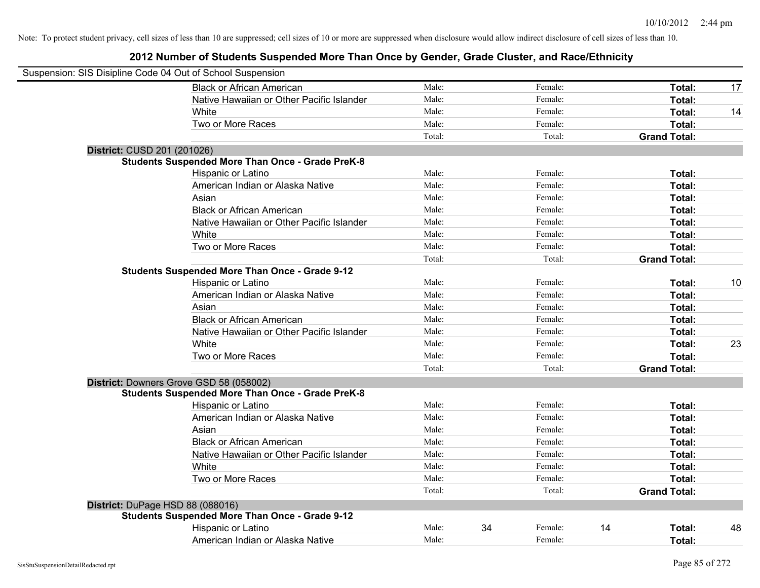| Suspension: SIS Disipline Code 04 Out of School Suspension |                                                         |        |    |         |    |                     |    |
|------------------------------------------------------------|---------------------------------------------------------|--------|----|---------|----|---------------------|----|
|                                                            | <b>Black or African American</b>                        | Male:  |    | Female: |    | Total:              | 17 |
|                                                            | Native Hawaiian or Other Pacific Islander               | Male:  |    | Female: |    | Total:              |    |
|                                                            | White                                                   | Male:  |    | Female: |    | Total:              | 14 |
|                                                            | Two or More Races                                       | Male:  |    | Female: |    | Total:              |    |
|                                                            |                                                         | Total: |    | Total:  |    | <b>Grand Total:</b> |    |
| District: CUSD 201 (201026)                                |                                                         |        |    |         |    |                     |    |
|                                                            | <b>Students Suspended More Than Once - Grade PreK-8</b> |        |    |         |    |                     |    |
|                                                            | Hispanic or Latino                                      | Male:  |    | Female: |    | Total:              |    |
|                                                            | American Indian or Alaska Native                        | Male:  |    | Female: |    | Total:              |    |
|                                                            | Asian                                                   | Male:  |    | Female: |    | Total:              |    |
|                                                            | <b>Black or African American</b>                        | Male:  |    | Female: |    | Total:              |    |
|                                                            | Native Hawaiian or Other Pacific Islander               | Male:  |    | Female: |    | Total:              |    |
|                                                            | White                                                   | Male:  |    | Female: |    | Total:              |    |
|                                                            | Two or More Races                                       | Male:  |    | Female: |    | Total:              |    |
|                                                            |                                                         | Total: |    | Total:  |    | <b>Grand Total:</b> |    |
|                                                            | <b>Students Suspended More Than Once - Grade 9-12</b>   |        |    |         |    |                     |    |
|                                                            | Hispanic or Latino                                      | Male:  |    | Female: |    | Total:              | 10 |
|                                                            | American Indian or Alaska Native                        | Male:  |    | Female: |    | Total:              |    |
|                                                            | Asian                                                   | Male:  |    | Female: |    | Total:              |    |
|                                                            | <b>Black or African American</b>                        | Male:  |    | Female: |    | Total:              |    |
|                                                            | Native Hawaiian or Other Pacific Islander               | Male:  |    | Female: |    | Total:              |    |
|                                                            | White                                                   | Male:  |    | Female: |    | Total:              | 23 |
|                                                            | Two or More Races                                       | Male:  |    | Female: |    | Total:              |    |
|                                                            |                                                         | Total: |    | Total:  |    | <b>Grand Total:</b> |    |
|                                                            | District: Downers Grove GSD 58 (058002)                 |        |    |         |    |                     |    |
|                                                            | <b>Students Suspended More Than Once - Grade PreK-8</b> |        |    |         |    |                     |    |
|                                                            | Hispanic or Latino                                      | Male:  |    | Female: |    | Total:              |    |
|                                                            | American Indian or Alaska Native                        | Male:  |    | Female: |    | Total:              |    |
|                                                            | Asian                                                   | Male:  |    | Female: |    | Total:              |    |
|                                                            | <b>Black or African American</b>                        | Male:  |    | Female: |    | Total:              |    |
|                                                            | Native Hawaiian or Other Pacific Islander               | Male:  |    | Female: |    | Total:              |    |
|                                                            | White                                                   | Male:  |    | Female: |    | Total:              |    |
|                                                            | Two or More Races                                       | Male:  |    | Female: |    | Total:              |    |
|                                                            |                                                         | Total: |    | Total:  |    | <b>Grand Total:</b> |    |
| District: DuPage HSD 88 (088016)                           |                                                         |        |    |         |    |                     |    |
|                                                            | <b>Students Suspended More Than Once - Grade 9-12</b>   |        |    |         |    |                     |    |
|                                                            | Hispanic or Latino                                      | Male:  | 34 | Female: | 14 | Total:              | 48 |
|                                                            | American Indian or Alaska Native                        | Male:  |    | Female: |    | Total:              |    |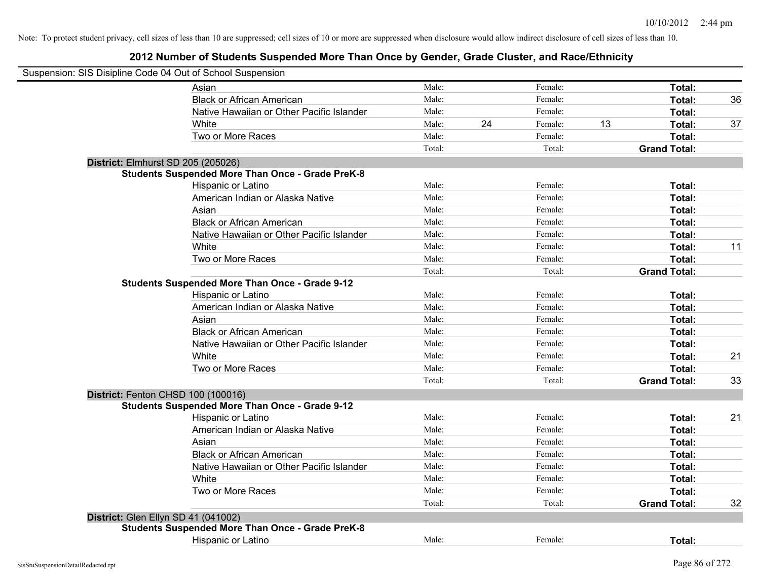| Suspension: SIS Disipline Code 04 Out of School Suspension |                                                         |        |    |         |    |                     |    |
|------------------------------------------------------------|---------------------------------------------------------|--------|----|---------|----|---------------------|----|
|                                                            | Asian                                                   | Male:  |    | Female: |    | Total:              |    |
|                                                            | <b>Black or African American</b>                        | Male:  |    | Female: |    | Total:              | 36 |
|                                                            | Native Hawaiian or Other Pacific Islander               | Male:  |    | Female: |    | Total:              |    |
|                                                            | White                                                   | Male:  | 24 | Female: | 13 | Total:              | 37 |
|                                                            | Two or More Races                                       | Male:  |    | Female: |    | <b>Total:</b>       |    |
|                                                            |                                                         | Total: |    | Total:  |    | <b>Grand Total:</b> |    |
|                                                            | District: Elmhurst SD 205 (205026)                      |        |    |         |    |                     |    |
|                                                            | <b>Students Suspended More Than Once - Grade PreK-8</b> |        |    |         |    |                     |    |
|                                                            | Hispanic or Latino                                      | Male:  |    | Female: |    | Total:              |    |
|                                                            | American Indian or Alaska Native                        | Male:  |    | Female: |    | Total:              |    |
|                                                            | Asian                                                   | Male:  |    | Female: |    | Total:              |    |
|                                                            | <b>Black or African American</b>                        | Male:  |    | Female: |    | Total:              |    |
|                                                            | Native Hawaiian or Other Pacific Islander               | Male:  |    | Female: |    | Total:              |    |
|                                                            | White                                                   | Male:  |    | Female: |    | Total:              | 11 |
|                                                            | Two or More Races                                       | Male:  |    | Female: |    | Total:              |    |
|                                                            |                                                         | Total: |    | Total:  |    | <b>Grand Total:</b> |    |
|                                                            | <b>Students Suspended More Than Once - Grade 9-12</b>   |        |    |         |    |                     |    |
|                                                            | Hispanic or Latino                                      | Male:  |    | Female: |    | Total:              |    |
|                                                            | American Indian or Alaska Native                        | Male:  |    | Female: |    | Total:              |    |
|                                                            | Asian                                                   | Male:  |    | Female: |    | Total:              |    |
|                                                            | <b>Black or African American</b>                        | Male:  |    | Female: |    | Total:              |    |
|                                                            | Native Hawaiian or Other Pacific Islander               | Male:  |    | Female: |    | Total:              |    |
|                                                            | White                                                   | Male:  |    | Female: |    | Total:              | 21 |
|                                                            | Two or More Races                                       | Male:  |    | Female: |    | Total:              |    |
|                                                            |                                                         | Total: |    | Total:  |    | <b>Grand Total:</b> | 33 |
|                                                            | District: Fenton CHSD 100 (100016)                      |        |    |         |    |                     |    |
|                                                            | <b>Students Suspended More Than Once - Grade 9-12</b>   |        |    |         |    |                     |    |
|                                                            | Hispanic or Latino                                      | Male:  |    | Female: |    | Total:              | 21 |
|                                                            | American Indian or Alaska Native                        | Male:  |    | Female: |    | Total:              |    |
|                                                            | Asian                                                   | Male:  |    | Female: |    | Total:              |    |
|                                                            | <b>Black or African American</b>                        | Male:  |    | Female: |    | Total:              |    |
|                                                            | Native Hawaiian or Other Pacific Islander               | Male:  |    | Female: |    | Total:              |    |
|                                                            | White                                                   | Male:  |    | Female: |    | Total:              |    |
|                                                            | Two or More Races                                       | Male:  |    | Female: |    | Total:              |    |
|                                                            |                                                         | Total: |    | Total:  |    | <b>Grand Total:</b> | 32 |
|                                                            | District: Glen Ellyn SD 41 (041002)                     |        |    |         |    |                     |    |
|                                                            | <b>Students Suspended More Than Once - Grade PreK-8</b> |        |    |         |    |                     |    |
|                                                            | Hispanic or Latino                                      | Male:  |    | Female: |    | Total:              |    |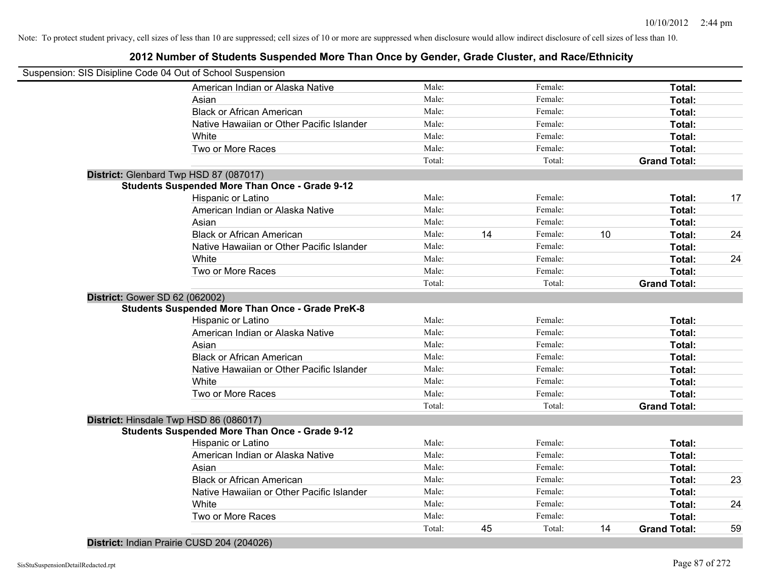## **2012 Number of Students Suspended More Than Once by Gender, Grade Cluster, and Race/Ethnicity**

|                                       | Suspension: SIS Disipline Code 04 Out of School Suspension |        |    |         |    |                     |    |
|---------------------------------------|------------------------------------------------------------|--------|----|---------|----|---------------------|----|
|                                       | American Indian or Alaska Native                           | Male:  |    | Female: |    | Total:              |    |
|                                       | Asian                                                      | Male:  |    | Female: |    | Total:              |    |
|                                       | <b>Black or African American</b>                           | Male:  |    | Female: |    | Total:              |    |
|                                       | Native Hawaiian or Other Pacific Islander                  | Male:  |    | Female: |    | Total:              |    |
|                                       | White                                                      | Male:  |    | Female: |    | Total:              |    |
|                                       | Two or More Races                                          | Male:  |    | Female: |    | Total:              |    |
|                                       |                                                            | Total: |    | Total:  |    | <b>Grand Total:</b> |    |
|                                       | District: Glenbard Twp HSD 87 (087017)                     |        |    |         |    |                     |    |
|                                       | <b>Students Suspended More Than Once - Grade 9-12</b>      |        |    |         |    |                     |    |
|                                       | Hispanic or Latino                                         | Male:  |    | Female: |    | Total:              | 17 |
|                                       | American Indian or Alaska Native                           | Male:  |    | Female: |    | Total:              |    |
|                                       | Asian                                                      | Male:  |    | Female: |    | Total:              |    |
|                                       | <b>Black or African American</b>                           | Male:  | 14 | Female: | 10 | Total:              | 24 |
|                                       | Native Hawaiian or Other Pacific Islander                  | Male:  |    | Female: |    | Total:              |    |
|                                       | White                                                      | Male:  |    | Female: |    | Total:              | 24 |
|                                       | Two or More Races                                          | Male:  |    | Female: |    | Total:              |    |
|                                       |                                                            | Total: |    | Total:  |    | <b>Grand Total:</b> |    |
| <b>District: Gower SD 62 (062002)</b> |                                                            |        |    |         |    |                     |    |
|                                       | <b>Students Suspended More Than Once - Grade PreK-8</b>    |        |    |         |    |                     |    |
|                                       | Hispanic or Latino                                         | Male:  |    | Female: |    | Total:              |    |
|                                       | American Indian or Alaska Native                           | Male:  |    | Female: |    | Total:              |    |
|                                       | Asian                                                      | Male:  |    | Female: |    | Total:              |    |
|                                       | <b>Black or African American</b>                           | Male:  |    | Female: |    | Total:              |    |
|                                       | Native Hawaiian or Other Pacific Islander                  | Male:  |    | Female: |    | Total:              |    |
|                                       | White                                                      | Male:  |    | Female: |    | Total:              |    |
|                                       | Two or More Races                                          | Male:  |    | Female: |    | Total:              |    |
|                                       |                                                            | Total: |    | Total:  |    | <b>Grand Total:</b> |    |
|                                       | District: Hinsdale Twp HSD 86 (086017)                     |        |    |         |    |                     |    |
|                                       | <b>Students Suspended More Than Once - Grade 9-12</b>      |        |    |         |    |                     |    |
|                                       | Hispanic or Latino                                         | Male:  |    | Female: |    | Total:              |    |
|                                       | American Indian or Alaska Native                           | Male:  |    | Female: |    | Total:              |    |
|                                       | Asian                                                      | Male:  |    | Female: |    | Total:              |    |
|                                       | <b>Black or African American</b>                           | Male:  |    | Female: |    | Total:              | 23 |
|                                       | Native Hawaiian or Other Pacific Islander                  | Male:  |    | Female: |    | Total:              |    |
|                                       | White                                                      | Male:  |    | Female: |    | Total:              | 24 |
|                                       | Two or More Races                                          | Male:  |    | Female: |    | Total:              |    |
|                                       |                                                            | Total: | 45 | Total:  | 14 | <b>Grand Total:</b> | 59 |

**District:** Indian Prairie CUSD 204 (204026)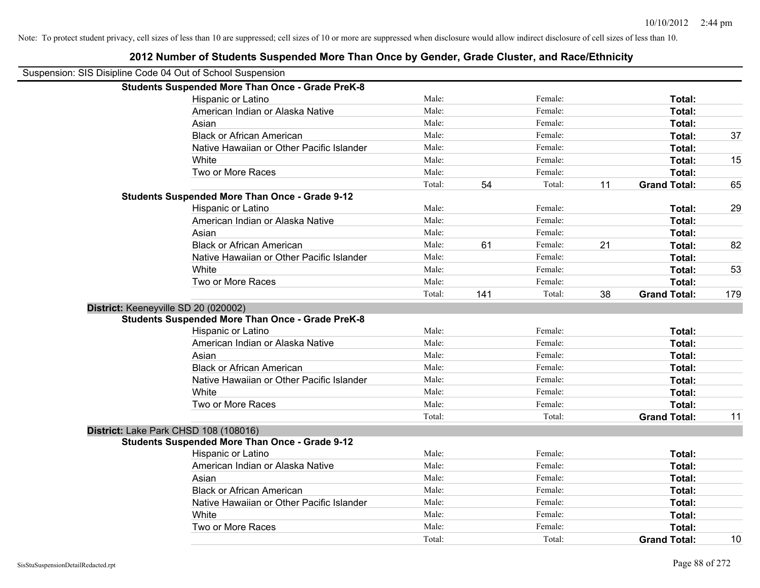| Suspension: SIS Disipline Code 04 Out of School Suspension |        |     |         |    |                     |     |
|------------------------------------------------------------|--------|-----|---------|----|---------------------|-----|
| <b>Students Suspended More Than Once - Grade PreK-8</b>    |        |     |         |    |                     |     |
| Hispanic or Latino                                         | Male:  |     | Female: |    | Total:              |     |
| American Indian or Alaska Native                           | Male:  |     | Female: |    | Total:              |     |
| Asian                                                      | Male:  |     | Female: |    | Total:              |     |
| <b>Black or African American</b>                           | Male:  |     | Female: |    | Total:              | 37  |
| Native Hawaiian or Other Pacific Islander                  | Male:  |     | Female: |    | Total:              |     |
| White                                                      | Male:  |     | Female: |    | Total:              | 15  |
| Two or More Races                                          | Male:  |     | Female: |    | Total:              |     |
|                                                            | Total: | 54  | Total:  | 11 | <b>Grand Total:</b> | 65  |
| <b>Students Suspended More Than Once - Grade 9-12</b>      |        |     |         |    |                     |     |
| Hispanic or Latino                                         | Male:  |     | Female: |    | Total:              | 29  |
| American Indian or Alaska Native                           | Male:  |     | Female: |    | Total:              |     |
| Asian                                                      | Male:  |     | Female: |    | Total:              |     |
| <b>Black or African American</b>                           | Male:  | 61  | Female: | 21 | Total:              | 82  |
| Native Hawaiian or Other Pacific Islander                  | Male:  |     | Female: |    | Total:              |     |
| White                                                      | Male:  |     | Female: |    | Total:              | 53  |
| Two or More Races                                          | Male:  |     | Female: |    | Total:              |     |
|                                                            | Total: | 141 | Total:  | 38 | <b>Grand Total:</b> | 179 |
| District: Keeneyville SD 20 (020002)                       |        |     |         |    |                     |     |
| <b>Students Suspended More Than Once - Grade PreK-8</b>    |        |     |         |    |                     |     |
| Hispanic or Latino                                         | Male:  |     | Female: |    | Total:              |     |
| American Indian or Alaska Native                           | Male:  |     | Female: |    | Total:              |     |
| Asian                                                      | Male:  |     | Female: |    | Total:              |     |
| <b>Black or African American</b>                           | Male:  |     | Female: |    | Total:              |     |
| Native Hawaiian or Other Pacific Islander                  | Male:  |     | Female: |    | Total:              |     |
| White                                                      | Male:  |     | Female: |    | Total:              |     |
| Two or More Races                                          | Male:  |     | Female: |    | Total:              |     |
|                                                            | Total: |     | Total:  |    | <b>Grand Total:</b> | 11  |
| District: Lake Park CHSD 108 (108016)                      |        |     |         |    |                     |     |
| <b>Students Suspended More Than Once - Grade 9-12</b>      |        |     |         |    |                     |     |
| Hispanic or Latino                                         | Male:  |     | Female: |    | Total:              |     |
| American Indian or Alaska Native                           | Male:  |     | Female: |    | Total:              |     |
| Asian                                                      | Male:  |     | Female: |    | Total:              |     |
| <b>Black or African American</b>                           | Male:  |     | Female: |    | Total:              |     |
| Native Hawaiian or Other Pacific Islander                  | Male:  |     | Female: |    | Total:              |     |
| White                                                      | Male:  |     | Female: |    | Total:              |     |
|                                                            |        |     |         |    |                     |     |
| Two or More Races                                          | Male:  |     | Female: |    | Total:              |     |
|                                                            | Total: |     | Total:  |    | <b>Grand Total:</b> | 10  |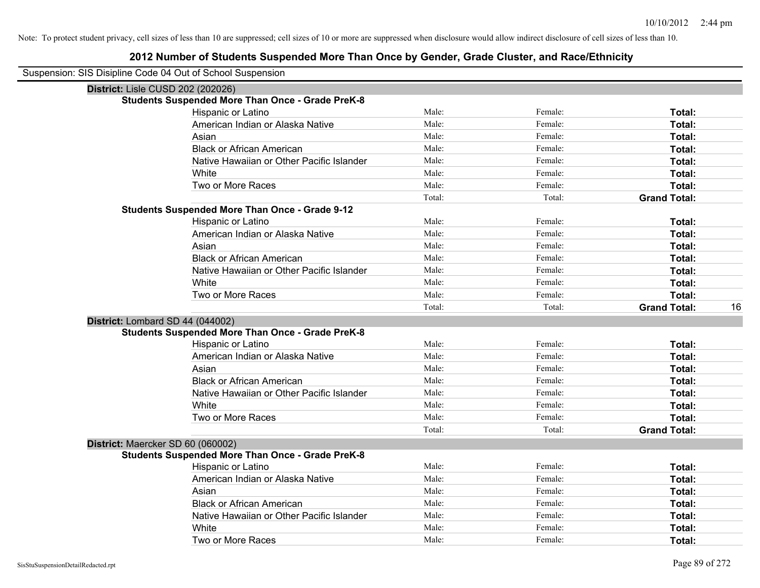| Suspension: SIS Disipline Code 04 Out of School Suspension |        |         |                     |    |
|------------------------------------------------------------|--------|---------|---------------------|----|
| District: Lisle CUSD 202 (202026)                          |        |         |                     |    |
| <b>Students Suspended More Than Once - Grade PreK-8</b>    |        |         |                     |    |
| Hispanic or Latino                                         | Male:  | Female: | Total:              |    |
| American Indian or Alaska Native                           | Male:  | Female: | Total:              |    |
| Asian                                                      | Male:  | Female: | Total:              |    |
| <b>Black or African American</b>                           | Male:  | Female: | Total:              |    |
| Native Hawaiian or Other Pacific Islander                  | Male:  | Female: | Total:              |    |
| White                                                      | Male:  | Female: | Total:              |    |
| Two or More Races                                          | Male:  | Female: | Total:              |    |
|                                                            | Total: | Total:  | <b>Grand Total:</b> |    |
| <b>Students Suspended More Than Once - Grade 9-12</b>      |        |         |                     |    |
| Hispanic or Latino                                         | Male:  | Female: | Total:              |    |
| American Indian or Alaska Native                           | Male:  | Female: | Total:              |    |
| Asian                                                      | Male:  | Female: | Total:              |    |
| <b>Black or African American</b>                           | Male:  | Female: | Total:              |    |
| Native Hawaiian or Other Pacific Islander                  | Male:  | Female: | Total:              |    |
| White                                                      | Male:  | Female: | Total:              |    |
| Two or More Races                                          | Male:  | Female: | Total:              |    |
|                                                            | Total: | Total:  | <b>Grand Total:</b> | 16 |
| District: Lombard SD 44 (044002)                           |        |         |                     |    |
| <b>Students Suspended More Than Once - Grade PreK-8</b>    |        |         |                     |    |
| Hispanic or Latino                                         | Male:  | Female: | Total:              |    |
| American Indian or Alaska Native                           | Male:  | Female: | Total:              |    |
| Asian                                                      | Male:  | Female: | Total:              |    |
| <b>Black or African American</b>                           | Male:  | Female: | Total:              |    |
| Native Hawaiian or Other Pacific Islander                  | Male:  | Female: | Total:              |    |
| White                                                      | Male:  | Female: | Total:              |    |
| Two or More Races                                          | Male:  | Female: | Total:              |    |
|                                                            | Total: | Total:  | <b>Grand Total:</b> |    |
| District: Maercker SD 60 (060002)                          |        |         |                     |    |
| <b>Students Suspended More Than Once - Grade PreK-8</b>    |        |         |                     |    |
| Hispanic or Latino                                         | Male:  | Female: | Total:              |    |
| American Indian or Alaska Native                           | Male:  | Female: | Total:              |    |
| Asian                                                      | Male:  | Female: | Total:              |    |
| <b>Black or African American</b>                           | Male:  | Female: | Total:              |    |
| Native Hawaiian or Other Pacific Islander                  | Male:  | Female: | Total:              |    |
| White                                                      | Male:  | Female: | <b>Total:</b>       |    |
| Two or More Races                                          | Male:  | Female: | Total:              |    |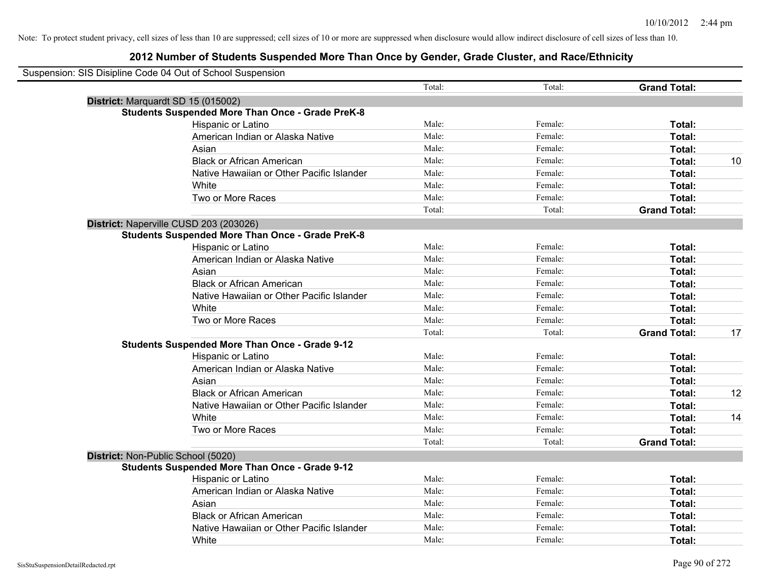| Suspension: SIS Disipline Code 04 Out of School Suspension |                                                         |        |         |                     |    |
|------------------------------------------------------------|---------------------------------------------------------|--------|---------|---------------------|----|
|                                                            |                                                         | Total: | Total:  | <b>Grand Total:</b> |    |
|                                                            | District: Marquardt SD 15 (015002)                      |        |         |                     |    |
|                                                            | <b>Students Suspended More Than Once - Grade PreK-8</b> |        |         |                     |    |
|                                                            | Hispanic or Latino                                      | Male:  | Female: | Total:              |    |
|                                                            | American Indian or Alaska Native                        | Male:  | Female: | Total:              |    |
|                                                            | Asian                                                   | Male:  | Female: | Total:              |    |
|                                                            | <b>Black or African American</b>                        | Male:  | Female: | Total:              | 10 |
|                                                            | Native Hawaiian or Other Pacific Islander               | Male:  | Female: | Total:              |    |
|                                                            | White                                                   | Male:  | Female: | Total:              |    |
|                                                            | Two or More Races                                       | Male:  | Female: | Total:              |    |
|                                                            |                                                         | Total: | Total:  | <b>Grand Total:</b> |    |
|                                                            | District: Naperville CUSD 203 (203026)                  |        |         |                     |    |
|                                                            | <b>Students Suspended More Than Once - Grade PreK-8</b> |        |         |                     |    |
|                                                            | Hispanic or Latino                                      | Male:  | Female: | Total:              |    |
|                                                            | American Indian or Alaska Native                        | Male:  | Female: | Total:              |    |
|                                                            | Asian                                                   | Male:  | Female: | Total:              |    |
|                                                            | <b>Black or African American</b>                        | Male:  | Female: | Total:              |    |
|                                                            | Native Hawaiian or Other Pacific Islander               | Male:  | Female: | Total:              |    |
|                                                            | White                                                   | Male:  | Female: | Total:              |    |
|                                                            | Two or More Races                                       | Male:  | Female: | Total:              |    |
|                                                            |                                                         | Total: | Total:  | <b>Grand Total:</b> | 17 |
|                                                            | <b>Students Suspended More Than Once - Grade 9-12</b>   |        |         |                     |    |
|                                                            | Hispanic or Latino                                      | Male:  | Female: | Total:              |    |
|                                                            | American Indian or Alaska Native                        | Male:  | Female: | Total:              |    |
|                                                            | Asian                                                   | Male:  | Female: | Total:              |    |
|                                                            | <b>Black or African American</b>                        | Male:  | Female: | Total:              | 12 |
|                                                            | Native Hawaiian or Other Pacific Islander               | Male:  | Female: | Total:              |    |
|                                                            | White                                                   | Male:  | Female: | Total:              | 14 |
|                                                            | Two or More Races                                       | Male:  | Female: | Total:              |    |
|                                                            |                                                         | Total: | Total:  | <b>Grand Total:</b> |    |
|                                                            | District: Non-Public School (5020)                      |        |         |                     |    |
|                                                            | <b>Students Suspended More Than Once - Grade 9-12</b>   |        |         |                     |    |
|                                                            | <b>Hispanic or Latino</b>                               | Male:  | Female: | Total:              |    |
|                                                            | American Indian or Alaska Native                        | Male:  | Female: | Total:              |    |
|                                                            | Asian                                                   | Male:  | Female: | Total:              |    |
|                                                            | <b>Black or African American</b>                        | Male:  | Female: | Total:              |    |
|                                                            | Native Hawaiian or Other Pacific Islander               | Male:  | Female: | Total:              |    |
|                                                            | White                                                   | Male:  | Female: | Total:              |    |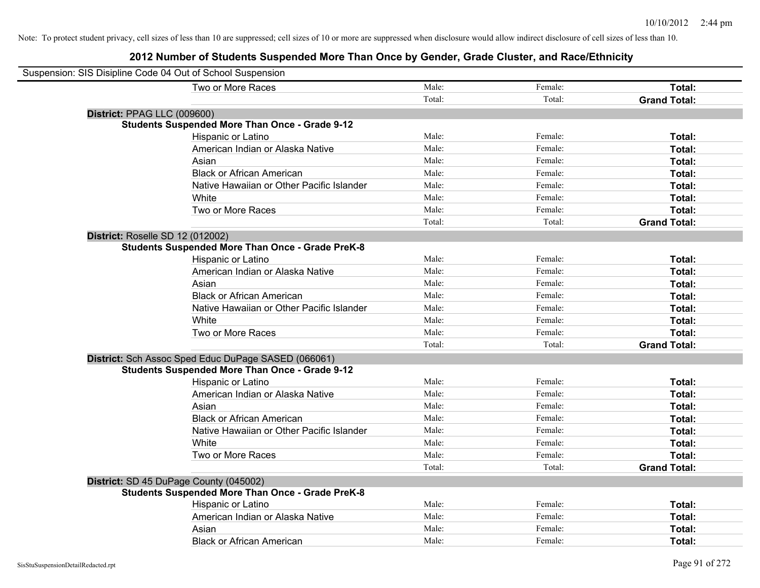| Suspension: SIS Disipline Code 04 Out of School Suspension |        |         |                     |
|------------------------------------------------------------|--------|---------|---------------------|
| Two or More Races                                          | Male:  | Female: | Total:              |
|                                                            | Total: | Total:  | <b>Grand Total:</b> |
| District: PPAG LLC (009600)                                |        |         |                     |
| <b>Students Suspended More Than Once - Grade 9-12</b>      |        |         |                     |
| Hispanic or Latino                                         | Male:  | Female: | Total:              |
| American Indian or Alaska Native                           | Male:  | Female: | Total:              |
| Asian                                                      | Male:  | Female: | Total:              |
| <b>Black or African American</b>                           | Male:  | Female: | Total:              |
| Native Hawaiian or Other Pacific Islander                  | Male:  | Female: | Total:              |
| White                                                      | Male:  | Female: | Total:              |
| Two or More Races                                          | Male:  | Female: | Total:              |
|                                                            | Total: | Total:  | <b>Grand Total:</b> |
| District: Roselle SD 12 (012002)                           |        |         |                     |
| <b>Students Suspended More Than Once - Grade PreK-8</b>    |        |         |                     |
| Hispanic or Latino                                         | Male:  | Female: | Total:              |
| American Indian or Alaska Native                           | Male:  | Female: | Total:              |
| Asian                                                      | Male:  | Female: | Total:              |
| <b>Black or African American</b>                           | Male:  | Female: | Total:              |
| Native Hawaiian or Other Pacific Islander                  | Male:  | Female: | Total:              |
| White                                                      | Male:  | Female: | Total:              |
| Two or More Races                                          | Male:  | Female: | Total:              |
|                                                            | Total: | Total:  | <b>Grand Total:</b> |
| District: Sch Assoc Sped Educ DuPage SASED (066061)        |        |         |                     |
| <b>Students Suspended More Than Once - Grade 9-12</b>      |        |         |                     |
| Hispanic or Latino                                         | Male:  | Female: | Total:              |
| American Indian or Alaska Native                           | Male:  | Female: | Total:              |
| Asian                                                      | Male:  | Female: | Total:              |
| <b>Black or African American</b>                           | Male:  | Female: | Total:              |
| Native Hawaiian or Other Pacific Islander                  | Male:  | Female: | Total:              |
| White                                                      | Male:  | Female: | Total:              |
| Two or More Races                                          | Male:  | Female: | Total:              |
|                                                            | Total: | Total:  | <b>Grand Total:</b> |
| District: SD 45 DuPage County (045002)                     |        |         |                     |
| <b>Students Suspended More Than Once - Grade PreK-8</b>    |        |         |                     |
| Hispanic or Latino                                         | Male:  | Female: | Total:              |
| American Indian or Alaska Native                           | Male:  | Female: | Total:              |
| Asian                                                      | Male:  | Female: | Total:              |
| <b>Black or African American</b>                           | Male:  | Female: | Total:              |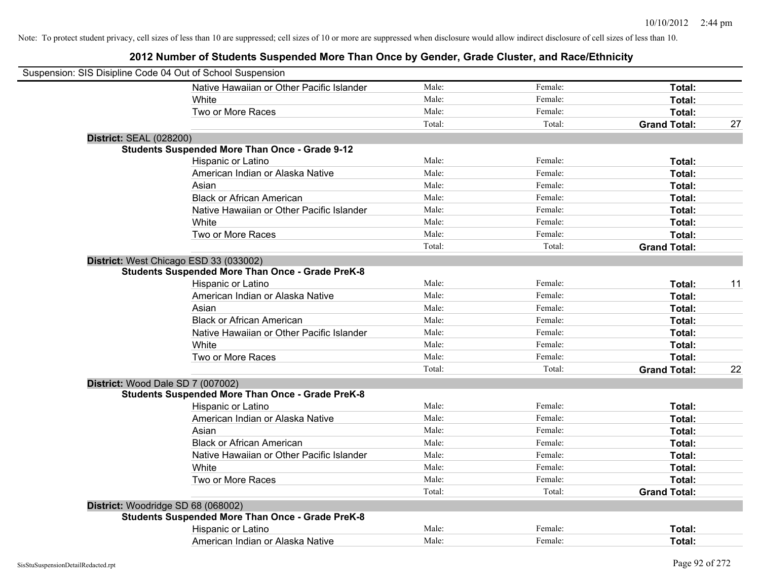| Suspension: SIS Disipline Code 04 Out of School Suspension |                                                         |        |         |                     |    |
|------------------------------------------------------------|---------------------------------------------------------|--------|---------|---------------------|----|
|                                                            | Native Hawaiian or Other Pacific Islander               | Male:  | Female: | Total:              |    |
|                                                            | White                                                   | Male:  | Female: | Total:              |    |
|                                                            | Two or More Races                                       | Male:  | Female: | Total:              |    |
|                                                            |                                                         | Total: | Total:  | <b>Grand Total:</b> | 27 |
| <b>District: SEAL (028200)</b>                             |                                                         |        |         |                     |    |
|                                                            | <b>Students Suspended More Than Once - Grade 9-12</b>   |        |         |                     |    |
|                                                            | Hispanic or Latino                                      | Male:  | Female: | Total:              |    |
|                                                            | American Indian or Alaska Native                        | Male:  | Female: | Total:              |    |
|                                                            | Asian                                                   | Male:  | Female: | Total:              |    |
|                                                            | <b>Black or African American</b>                        | Male:  | Female: | Total:              |    |
|                                                            | Native Hawaiian or Other Pacific Islander               | Male:  | Female: | Total:              |    |
|                                                            | White                                                   | Male:  | Female: | Total:              |    |
|                                                            | Two or More Races                                       | Male:  | Female: | Total:              |    |
|                                                            |                                                         | Total: | Total:  | <b>Grand Total:</b> |    |
|                                                            | District: West Chicago ESD 33 (033002)                  |        |         |                     |    |
|                                                            | <b>Students Suspended More Than Once - Grade PreK-8</b> |        |         |                     |    |
|                                                            | Hispanic or Latino                                      | Male:  | Female: | Total:              | 11 |
|                                                            | American Indian or Alaska Native                        | Male:  | Female: | Total:              |    |
|                                                            | Asian                                                   | Male:  | Female: | Total:              |    |
|                                                            | <b>Black or African American</b>                        | Male:  | Female: | Total:              |    |
|                                                            | Native Hawaiian or Other Pacific Islander               | Male:  | Female: | Total:              |    |
|                                                            | White                                                   | Male:  | Female: | Total:              |    |
|                                                            | Two or More Races                                       | Male:  | Female: | Total:              |    |
|                                                            |                                                         | Total: | Total:  | <b>Grand Total:</b> | 22 |
| District: Wood Dale SD 7 (007002)                          |                                                         |        |         |                     |    |
|                                                            | <b>Students Suspended More Than Once - Grade PreK-8</b> |        |         |                     |    |
|                                                            | Hispanic or Latino                                      | Male:  | Female: | Total:              |    |
|                                                            | American Indian or Alaska Native                        | Male:  | Female: | Total:              |    |
|                                                            | Asian                                                   | Male:  | Female: | Total:              |    |
|                                                            | <b>Black or African American</b>                        | Male:  | Female: | Total:              |    |
|                                                            | Native Hawaiian or Other Pacific Islander               | Male:  | Female: | Total:              |    |
|                                                            | White                                                   | Male:  | Female: | Total:              |    |
|                                                            | Two or More Races                                       | Male:  | Female: | Total:              |    |
|                                                            |                                                         | Total: | Total:  | <b>Grand Total:</b> |    |
|                                                            | District: Woodridge SD 68 (068002)                      |        |         |                     |    |
|                                                            | <b>Students Suspended More Than Once - Grade PreK-8</b> |        |         |                     |    |
|                                                            | Hispanic or Latino                                      | Male:  | Female: | Total:              |    |
|                                                            | American Indian or Alaska Native                        | Male:  | Female: | Total:              |    |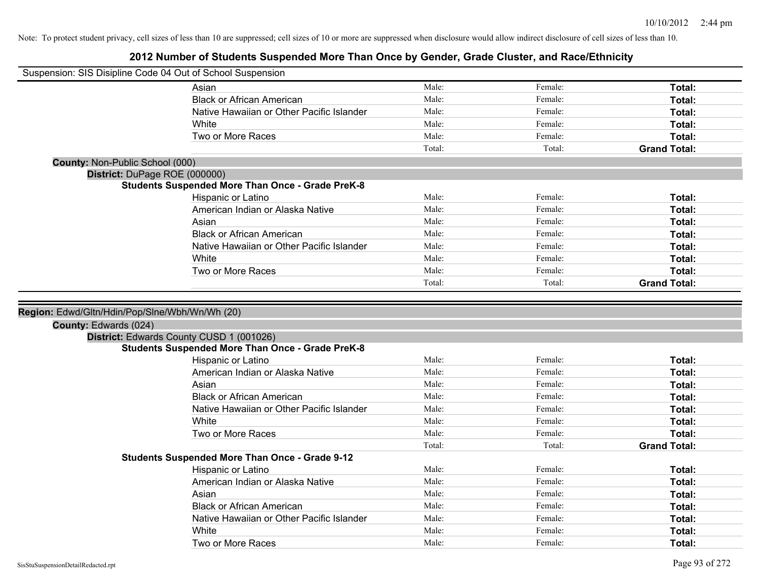|                                                                         | Suspension: SIS Disipline Code 04 Out of School Suspension                                          |        |         |                     |
|-------------------------------------------------------------------------|-----------------------------------------------------------------------------------------------------|--------|---------|---------------------|
|                                                                         | Asian                                                                                               | Male:  | Female: | Total:              |
|                                                                         | <b>Black or African American</b>                                                                    | Male:  | Female: | Total:              |
|                                                                         | Native Hawaiian or Other Pacific Islander                                                           | Male:  | Female: | Total:              |
|                                                                         | White                                                                                               | Male:  | Female: | Total:              |
|                                                                         | Two or More Races                                                                                   | Male:  | Female: | Total:              |
|                                                                         |                                                                                                     | Total: | Total:  | <b>Grand Total:</b> |
| <b>County: Non-Public School (000)</b>                                  |                                                                                                     |        |         |                     |
| District: DuPage ROE (000000)                                           |                                                                                                     |        |         |                     |
|                                                                         | <b>Students Suspended More Than Once - Grade PreK-8</b>                                             |        |         |                     |
|                                                                         | Hispanic or Latino                                                                                  | Male:  | Female: | Total:              |
|                                                                         | American Indian or Alaska Native                                                                    | Male:  | Female: | Total:              |
|                                                                         | Asian                                                                                               | Male:  | Female: | Total:              |
|                                                                         | <b>Black or African American</b>                                                                    | Male:  | Female: | Total:              |
|                                                                         | Native Hawaiian or Other Pacific Islander                                                           | Male:  | Female: | Total:              |
|                                                                         | White                                                                                               | Male:  | Female: | Total:              |
|                                                                         | Two or More Races                                                                                   | Male:  | Female: | Total:              |
|                                                                         |                                                                                                     | Total: | Total:  | <b>Grand Total:</b> |
| Region: Edwd/Gltn/Hdin/Pop/Slne/Wbh/Wn/Wh (20)<br>County: Edwards (024) |                                                                                                     |        |         |                     |
|                                                                         |                                                                                                     |        |         |                     |
|                                                                         | District: Edwards County CUSD 1 (001026)<br><b>Students Suspended More Than Once - Grade PreK-8</b> |        |         |                     |
|                                                                         | Hispanic or Latino                                                                                  | Male:  | Female: | Total:              |
|                                                                         | American Indian or Alaska Native                                                                    | Male:  | Female: | Total:              |
|                                                                         | Asian                                                                                               | Male:  | Female: | Total:              |
|                                                                         | <b>Black or African American</b>                                                                    | Male:  | Female: | Total:              |
|                                                                         | Native Hawaiian or Other Pacific Islander                                                           | Male:  | Female: | Total:              |
|                                                                         | White                                                                                               | Male:  | Female: | Total:              |
|                                                                         | Two or More Races                                                                                   | Male:  | Female: | Total:              |
|                                                                         |                                                                                                     | Total: | Total:  | <b>Grand Total:</b> |
|                                                                         | <b>Students Suspended More Than Once - Grade 9-12</b>                                               |        |         |                     |
|                                                                         | Hispanic or Latino                                                                                  | Male:  | Female: | Total:              |
|                                                                         | American Indian or Alaska Native                                                                    | Male:  | Female: | Total:              |
|                                                                         | Asian                                                                                               | Male:  | Female: | Total:              |
|                                                                         | <b>Black or African American</b>                                                                    | Male:  | Female: | Total:              |
|                                                                         | Native Hawaiian or Other Pacific Islander                                                           | Male:  | Female: | Total:              |
|                                                                         | White                                                                                               | Male:  | Female: | Total:              |
|                                                                         |                                                                                                     |        |         |                     |
|                                                                         | Two or More Races                                                                                   | Male:  | Female: | Total:              |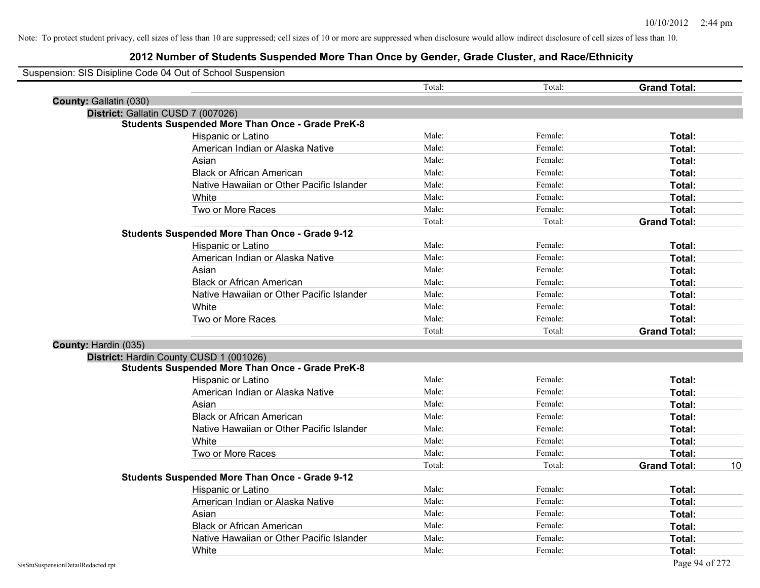| Suspension: SIS Disipline Code 04 Out of School Suspension |        |         |                     |    |
|------------------------------------------------------------|--------|---------|---------------------|----|
|                                                            | Total: | Total:  | <b>Grand Total:</b> |    |
| County: Gallatin (030)                                     |        |         |                     |    |
| District: Gallatin CUSD 7 (007026)                         |        |         |                     |    |
| <b>Students Suspended More Than Once - Grade PreK-8</b>    |        |         |                     |    |
| Hispanic or Latino                                         | Male:  | Female: | Total:              |    |
| American Indian or Alaska Native                           | Male:  | Female: | Total:              |    |
| Asian                                                      | Male:  | Female: | Total:              |    |
| <b>Black or African American</b>                           | Male:  | Female: | Total:              |    |
| Native Hawaiian or Other Pacific Islander                  | Male:  | Female: | Total:              |    |
| White                                                      | Male:  | Female: | Total:              |    |
| Two or More Races                                          | Male:  | Female: | Total:              |    |
|                                                            | Total: | Total:  | <b>Grand Total:</b> |    |
| <b>Students Suspended More Than Once - Grade 9-12</b>      |        |         |                     |    |
| Hispanic or Latino                                         | Male:  | Female: | Total:              |    |
| American Indian or Alaska Native                           | Male:  | Female: | Total:              |    |
| Asian                                                      | Male:  | Female: | Total:              |    |
| <b>Black or African American</b>                           | Male:  | Female: | Total:              |    |
| Native Hawaiian or Other Pacific Islander                  | Male:  | Female: | Total:              |    |
| White                                                      | Male:  | Female: | Total:              |    |
| Two or More Races                                          | Male:  | Female: | Total:              |    |
|                                                            | Total: | Total:  | <b>Grand Total:</b> |    |
| County: Hardin (035)                                       |        |         |                     |    |
| District: Hardin County CUSD 1 (001026)                    |        |         |                     |    |
| <b>Students Suspended More Than Once - Grade PreK-8</b>    |        |         |                     |    |
| Hispanic or Latino                                         | Male:  | Female: | Total:              |    |
| American Indian or Alaska Native                           | Male:  | Female: | Total:              |    |
| Asian                                                      | Male:  | Female: | Total:              |    |
| <b>Black or African American</b>                           | Male:  | Female: | Total:              |    |
| Native Hawaiian or Other Pacific Islander                  | Male:  | Female: | Total:              |    |
| White                                                      | Male:  | Female: | Total:              |    |
| Two or More Races                                          | Male:  | Female: | Total:              |    |
|                                                            | Total: | Total:  | <b>Grand Total:</b> | 10 |
| <b>Students Suspended More Than Once - Grade 9-12</b>      |        |         |                     |    |
| <b>Hispanic or Latino</b>                                  | Male:  | Female: | Total:              |    |
| American Indian or Alaska Native                           | Male:  | Female: | Total:              |    |
| Asian                                                      | Male:  | Female: | Total:              |    |
| <b>Black or African American</b>                           | Male:  | Female: | Total:              |    |
| Native Hawaiian or Other Pacific Islander                  | Male:  | Female: | Total:              |    |
| White                                                      | Male:  | Female: | Total:              |    |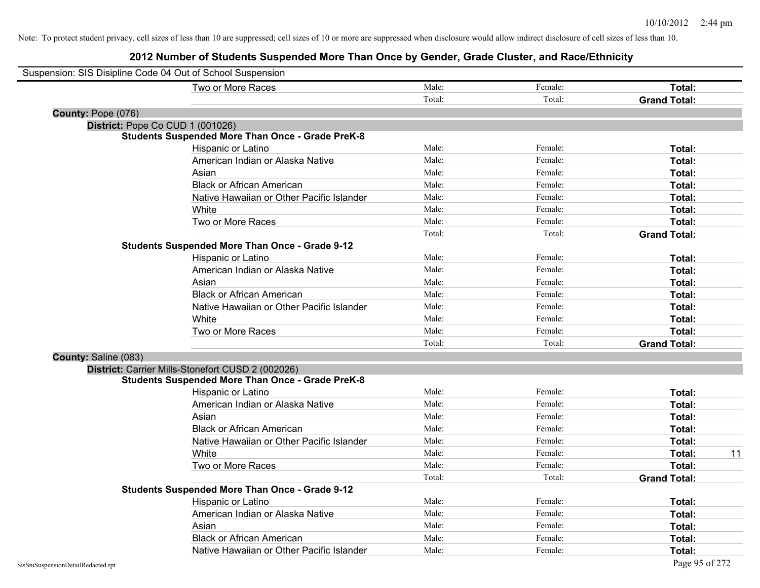| Suspension: SIS Disipline Code 04 Out of School Suspension |                                                         |        |         |                     |
|------------------------------------------------------------|---------------------------------------------------------|--------|---------|---------------------|
|                                                            | Two or More Races                                       | Male:  | Female: | Total:              |
|                                                            |                                                         | Total: | Total:  | <b>Grand Total:</b> |
| County: Pope (076)                                         |                                                         |        |         |                     |
| District: Pope Co CUD 1 (001026)                           |                                                         |        |         |                     |
|                                                            | <b>Students Suspended More Than Once - Grade PreK-8</b> |        |         |                     |
|                                                            | Hispanic or Latino                                      | Male:  | Female: | Total:              |
|                                                            | American Indian or Alaska Native                        | Male:  | Female: | Total:              |
|                                                            | Asian                                                   | Male:  | Female: | Total:              |
|                                                            | <b>Black or African American</b>                        | Male:  | Female: | Total:              |
|                                                            | Native Hawaiian or Other Pacific Islander               | Male:  | Female: | Total:              |
|                                                            | White                                                   | Male:  | Female: | Total:              |
|                                                            | Two or More Races                                       | Male:  | Female: | Total:              |
|                                                            |                                                         | Total: | Total:  | <b>Grand Total:</b> |
|                                                            | <b>Students Suspended More Than Once - Grade 9-12</b>   |        |         |                     |
|                                                            | Hispanic or Latino                                      | Male:  | Female: | Total:              |
|                                                            | American Indian or Alaska Native                        | Male:  | Female: | Total:              |
|                                                            | Asian                                                   | Male:  | Female: | Total:              |
|                                                            | <b>Black or African American</b>                        | Male:  | Female: | Total:              |
|                                                            | Native Hawaiian or Other Pacific Islander               | Male:  | Female: | Total:              |
|                                                            | White                                                   | Male:  | Female: | Total:              |
|                                                            | Two or More Races                                       | Male:  | Female: | Total:              |
|                                                            |                                                         | Total: | Total:  | <b>Grand Total:</b> |
| County: Saline (083)                                       |                                                         |        |         |                     |
|                                                            | District: Carrier Mills-Stonefort CUSD 2 (002026)       |        |         |                     |
|                                                            | <b>Students Suspended More Than Once - Grade PreK-8</b> |        |         |                     |
|                                                            | Hispanic or Latino                                      | Male:  | Female: | Total:              |
|                                                            | American Indian or Alaska Native                        | Male:  | Female: | Total:              |
|                                                            | Asian                                                   | Male:  | Female: | Total:              |
|                                                            | <b>Black or African American</b>                        | Male:  | Female: | Total:              |
|                                                            | Native Hawaiian or Other Pacific Islander               | Male:  | Female: | Total:              |
|                                                            | White                                                   | Male:  | Female: | 11<br>Total:        |
|                                                            | Two or More Races                                       | Male:  | Female: | Total:              |
|                                                            |                                                         | Total: | Total:  | <b>Grand Total:</b> |
|                                                            | <b>Students Suspended More Than Once - Grade 9-12</b>   |        |         |                     |
|                                                            | Hispanic or Latino                                      | Male:  | Female: | Total:              |
|                                                            | American Indian or Alaska Native                        | Male:  | Female: | Total:              |
|                                                            | Asian                                                   | Male:  | Female: | Total:              |
|                                                            | <b>Black or African American</b>                        | Male:  | Female: | Total:              |
|                                                            | Native Hawaiian or Other Pacific Islander               | Male:  | Female: | Total:              |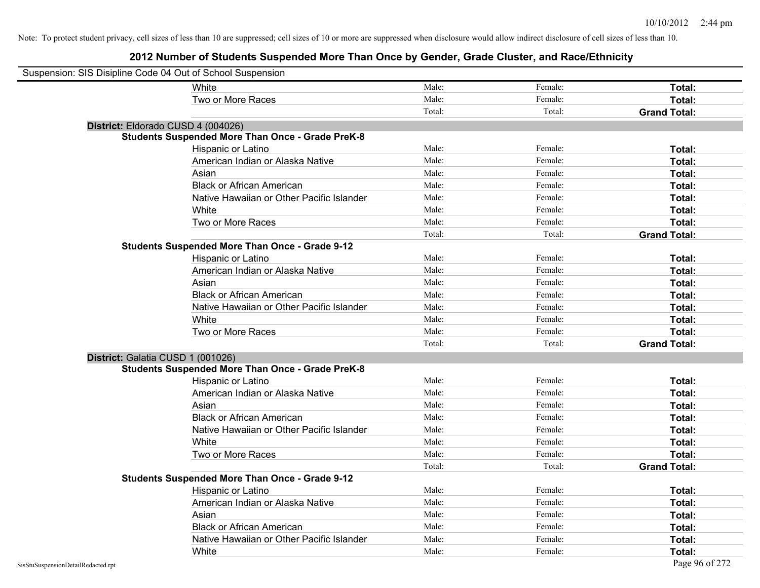| Suspension: SIS Disipline Code 04 Out of School Suspension |                                                         |        |         |                     |
|------------------------------------------------------------|---------------------------------------------------------|--------|---------|---------------------|
|                                                            | White                                                   | Male:  | Female: | Total:              |
|                                                            | Two or More Races                                       | Male:  | Female: | Total:              |
|                                                            |                                                         | Total: | Total:  | <b>Grand Total:</b> |
| District: Eldorado CUSD 4 (004026)                         |                                                         |        |         |                     |
|                                                            | <b>Students Suspended More Than Once - Grade PreK-8</b> |        |         |                     |
|                                                            | Hispanic or Latino                                      | Male:  | Female: | Total:              |
|                                                            | American Indian or Alaska Native                        | Male:  | Female: | Total:              |
|                                                            | Asian                                                   | Male:  | Female: | Total:              |
|                                                            | <b>Black or African American</b>                        | Male:  | Female: | Total:              |
|                                                            | Native Hawaiian or Other Pacific Islander               | Male:  | Female: | Total:              |
|                                                            | White                                                   | Male:  | Female: | Total:              |
|                                                            | Two or More Races                                       | Male:  | Female: | Total:              |
|                                                            |                                                         | Total: | Total:  | <b>Grand Total:</b> |
|                                                            | <b>Students Suspended More Than Once - Grade 9-12</b>   |        |         |                     |
|                                                            | Hispanic or Latino                                      | Male:  | Female: | Total:              |
|                                                            | American Indian or Alaska Native                        | Male:  | Female: | Total:              |
|                                                            | Asian                                                   | Male:  | Female: | Total:              |
|                                                            | <b>Black or African American</b>                        | Male:  | Female: | Total:              |
|                                                            | Native Hawaiian or Other Pacific Islander               | Male:  | Female: | Total:              |
|                                                            | White                                                   | Male:  | Female: | Total:              |
|                                                            | Two or More Races                                       | Male:  | Female: | Total:              |
|                                                            |                                                         | Total: | Total:  | <b>Grand Total:</b> |
| District: Galatia CUSD 1 (001026)                          |                                                         |        |         |                     |
|                                                            | <b>Students Suspended More Than Once - Grade PreK-8</b> |        |         |                     |
|                                                            | Hispanic or Latino                                      | Male:  | Female: | Total:              |
|                                                            | American Indian or Alaska Native                        | Male:  | Female: | Total:              |
|                                                            | Asian                                                   | Male:  | Female: | Total:              |
|                                                            | <b>Black or African American</b>                        | Male:  | Female: | Total:              |
|                                                            | Native Hawaiian or Other Pacific Islander               | Male:  | Female: | Total:              |
|                                                            | White                                                   | Male:  | Female: | Total:              |
|                                                            | Two or More Races                                       | Male:  | Female: | Total:              |
|                                                            |                                                         | Total: | Total:  | <b>Grand Total:</b> |
|                                                            | <b>Students Suspended More Than Once - Grade 9-12</b>   |        |         |                     |
|                                                            | Hispanic or Latino                                      | Male:  | Female: | Total:              |
|                                                            | American Indian or Alaska Native                        | Male:  | Female: | Total:              |
|                                                            | Asian                                                   | Male:  | Female: | Total:              |
|                                                            | <b>Black or African American</b>                        | Male:  | Female: | Total:              |
|                                                            | Native Hawaiian or Other Pacific Islander               | Male:  | Female: | Total:              |
|                                                            | White                                                   | Male:  | Female: | Total:              |
| SisStuSuspensionDetailRedacted.rpt                         |                                                         |        |         | Page 96 of 272      |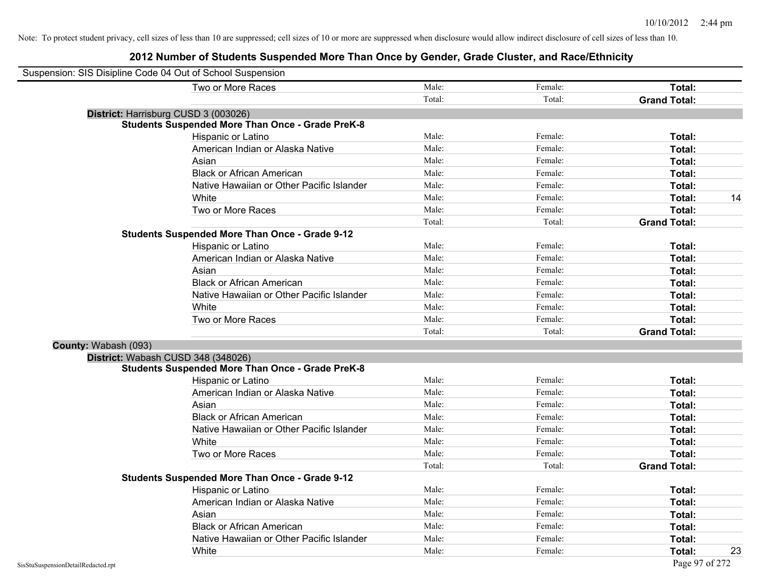| Suspension: SIS Disipline Code 04 Out of School Suspension |        |         |                     |
|------------------------------------------------------------|--------|---------|---------------------|
| Two or More Races                                          | Male:  | Female: | Total:              |
|                                                            | Total: | Total:  | <b>Grand Total:</b> |
| District: Harrisburg CUSD 3 (003026)                       |        |         |                     |
| <b>Students Suspended More Than Once - Grade PreK-8</b>    |        |         |                     |
| Hispanic or Latino                                         | Male:  | Female: | Total:              |
| American Indian or Alaska Native                           | Male:  | Female: | Total:              |
| Asian                                                      | Male:  | Female: | Total:              |
| <b>Black or African American</b>                           | Male:  | Female: | Total:              |
| Native Hawaiian or Other Pacific Islander                  | Male:  | Female: | Total:              |
| White                                                      | Male:  | Female: | 14<br>Total:        |
| Two or More Races                                          | Male:  | Female: | Total:              |
|                                                            | Total: | Total:  | <b>Grand Total:</b> |
| <b>Students Suspended More Than Once - Grade 9-12</b>      |        |         |                     |
| Hispanic or Latino                                         | Male:  | Female: | Total:              |
| American Indian or Alaska Native                           | Male:  | Female: | Total:              |
| Asian                                                      | Male:  | Female: | Total:              |
| <b>Black or African American</b>                           | Male:  | Female: | Total:              |
| Native Hawaiian or Other Pacific Islander                  | Male:  | Female: | Total:              |
| White                                                      | Male:  | Female: | Total:              |
| Two or More Races                                          | Male:  | Female: | Total:              |
|                                                            | Total: | Total:  | <b>Grand Total:</b> |
| County: Wabash (093)                                       |        |         |                     |
| District: Wabash CUSD 348 (348026)                         |        |         |                     |
| <b>Students Suspended More Than Once - Grade PreK-8</b>    |        |         |                     |
| Hispanic or Latino                                         | Male:  | Female: | Total:              |
| American Indian or Alaska Native                           | Male:  | Female: | Total:              |
| Asian                                                      | Male:  | Female: | Total:              |
| <b>Black or African American</b>                           | Male:  | Female: | Total:              |
| Native Hawaiian or Other Pacific Islander                  | Male:  | Female: | Total:              |
| White                                                      | Male:  | Female: | Total:              |
| Two or More Races                                          | Male:  | Female: | Total:              |
|                                                            | Total: | Total:  | <b>Grand Total:</b> |
| <b>Students Suspended More Than Once - Grade 9-12</b>      |        |         |                     |
| Hispanic or Latino                                         | Male:  | Female: | Total:              |
| American Indian or Alaska Native                           | Male:  | Female: | Total:              |
| Asian                                                      | Male:  | Female: | Total:              |
| <b>Black or African American</b>                           | Male:  | Female: | Total:              |
| Native Hawaiian or Other Pacific Islander                  | Male:  | Female: | Total:              |
| White                                                      | Male:  | Female: | 23<br>Total:        |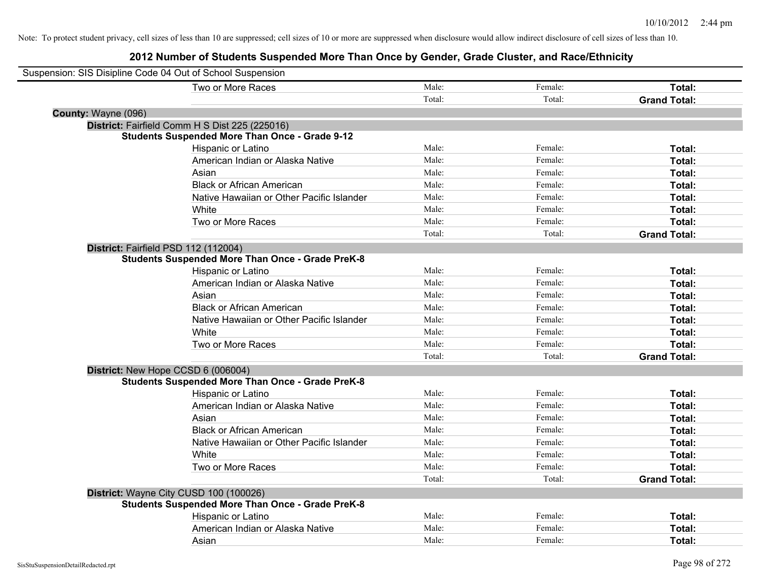| Suspension: SIS Disipline Code 04 Out of School Suspension |                                                         |        |         |                     |
|------------------------------------------------------------|---------------------------------------------------------|--------|---------|---------------------|
|                                                            | Two or More Races                                       | Male:  | Female: | Total:              |
|                                                            |                                                         | Total: | Total:  | <b>Grand Total:</b> |
| County: Wayne (096)                                        |                                                         |        |         |                     |
|                                                            | District: Fairfield Comm H S Dist 225 (225016)          |        |         |                     |
|                                                            | <b>Students Suspended More Than Once - Grade 9-12</b>   |        |         |                     |
|                                                            | Hispanic or Latino                                      | Male:  | Female: | Total:              |
|                                                            | American Indian or Alaska Native                        | Male:  | Female: | Total:              |
|                                                            | Asian                                                   | Male:  | Female: | Total:              |
|                                                            | <b>Black or African American</b>                        | Male:  | Female: | Total:              |
|                                                            | Native Hawaiian or Other Pacific Islander               | Male:  | Female: | Total:              |
|                                                            | White                                                   | Male:  | Female: | Total:              |
|                                                            | Two or More Races                                       | Male:  | Female: | Total:              |
|                                                            |                                                         | Total: | Total:  | <b>Grand Total:</b> |
| District: Fairfield PSD 112 (112004)                       |                                                         |        |         |                     |
|                                                            | <b>Students Suspended More Than Once - Grade PreK-8</b> |        |         |                     |
|                                                            | Hispanic or Latino                                      | Male:  | Female: | Total:              |
|                                                            | American Indian or Alaska Native                        | Male:  | Female: | Total:              |
|                                                            | Asian                                                   | Male:  | Female: | Total:              |
|                                                            | <b>Black or African American</b>                        | Male:  | Female: | Total:              |
|                                                            | Native Hawaiian or Other Pacific Islander               | Male:  | Female: | Total:              |
|                                                            | White                                                   | Male:  | Female: | Total:              |
|                                                            | Two or More Races                                       | Male:  | Female: | Total:              |
|                                                            |                                                         | Total: | Total:  | <b>Grand Total:</b> |
| District: New Hope CCSD 6 (006004)                         |                                                         |        |         |                     |
|                                                            | <b>Students Suspended More Than Once - Grade PreK-8</b> |        |         |                     |
|                                                            | Hispanic or Latino                                      | Male:  | Female: | Total:              |
|                                                            | American Indian or Alaska Native                        | Male:  | Female: | Total:              |
|                                                            | Asian                                                   | Male:  | Female: | Total:              |
|                                                            | <b>Black or African American</b>                        | Male:  | Female: | Total:              |
|                                                            | Native Hawaiian or Other Pacific Islander               | Male:  | Female: | Total:              |
|                                                            | White                                                   | Male:  | Female: | Total:              |
|                                                            | Two or More Races                                       | Male:  | Female: | Total:              |
|                                                            |                                                         | Total: | Total:  | <b>Grand Total:</b> |
|                                                            | District: Wayne City CUSD 100 (100026)                  |        |         |                     |
|                                                            | <b>Students Suspended More Than Once - Grade PreK-8</b> |        |         |                     |
|                                                            | Hispanic or Latino                                      | Male:  | Female: | Total:              |
|                                                            | American Indian or Alaska Native                        | Male:  | Female: | Total:              |
|                                                            | Asian                                                   | Male:  | Female: | Total:              |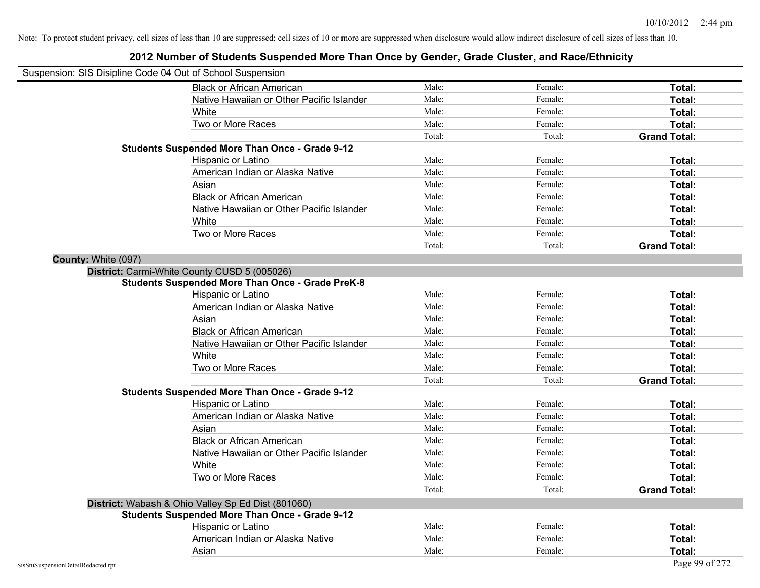| Suspension: SIS Disipline Code 04 Out of School Suspension |                                                         |        |         |                     |
|------------------------------------------------------------|---------------------------------------------------------|--------|---------|---------------------|
|                                                            | <b>Black or African American</b>                        | Male:  | Female: | Total:              |
|                                                            | Native Hawaiian or Other Pacific Islander               | Male:  | Female: | Total:              |
|                                                            | White                                                   | Male:  | Female: | Total:              |
|                                                            | Two or More Races                                       | Male:  | Female: | Total:              |
|                                                            |                                                         | Total: | Total:  | <b>Grand Total:</b> |
|                                                            | <b>Students Suspended More Than Once - Grade 9-12</b>   |        |         |                     |
|                                                            | Hispanic or Latino                                      | Male:  | Female: | Total:              |
|                                                            | American Indian or Alaska Native                        | Male:  | Female: | Total:              |
|                                                            | Asian                                                   | Male:  | Female: | Total:              |
|                                                            | <b>Black or African American</b>                        | Male:  | Female: | Total:              |
|                                                            | Native Hawaiian or Other Pacific Islander               | Male:  | Female: | Total:              |
|                                                            | White                                                   | Male:  | Female: | Total:              |
|                                                            | Two or More Races                                       | Male:  | Female: | Total:              |
|                                                            |                                                         | Total: | Total:  | <b>Grand Total:</b> |
| County: White (097)                                        |                                                         |        |         |                     |
|                                                            | District: Carmi-White County CUSD 5 (005026)            |        |         |                     |
|                                                            | <b>Students Suspended More Than Once - Grade PreK-8</b> |        |         |                     |
|                                                            | Hispanic or Latino                                      | Male:  | Female: | Total:              |
|                                                            | American Indian or Alaska Native                        | Male:  | Female: | Total:              |
|                                                            | Asian                                                   | Male:  | Female: | Total:              |
|                                                            | <b>Black or African American</b>                        | Male:  | Female: | Total:              |
|                                                            | Native Hawaiian or Other Pacific Islander               | Male:  | Female: | Total:              |
|                                                            | White                                                   | Male:  | Female: | Total:              |
|                                                            | Two or More Races                                       | Male:  | Female: | Total:              |
|                                                            |                                                         | Total: | Total:  | <b>Grand Total:</b> |
|                                                            | <b>Students Suspended More Than Once - Grade 9-12</b>   |        |         |                     |
|                                                            | Hispanic or Latino                                      | Male:  | Female: | Total:              |
|                                                            | American Indian or Alaska Native                        | Male:  | Female: | Total:              |
|                                                            | Asian                                                   | Male:  | Female: | Total:              |
|                                                            | <b>Black or African American</b>                        | Male:  | Female: | Total:              |
|                                                            | Native Hawaiian or Other Pacific Islander               | Male:  | Female: | Total:              |
|                                                            | White                                                   | Male:  | Female: | Total:              |
|                                                            | Two or More Races                                       | Male:  | Female: | Total:              |
|                                                            |                                                         | Total: | Total:  | <b>Grand Total:</b> |
|                                                            | District: Wabash & Ohio Valley Sp Ed Dist (801060)      |        |         |                     |
|                                                            | <b>Students Suspended More Than Once - Grade 9-12</b>   |        |         |                     |
|                                                            | Hispanic or Latino                                      | Male:  | Female: | Total:              |
|                                                            | American Indian or Alaska Native                        | Male:  | Female: | Total:              |
|                                                            | Asian                                                   | Male:  | Female: | Total:              |
| SisStuSuspensionDetailRedacted.rpt                         |                                                         |        |         | Page 99 of 272      |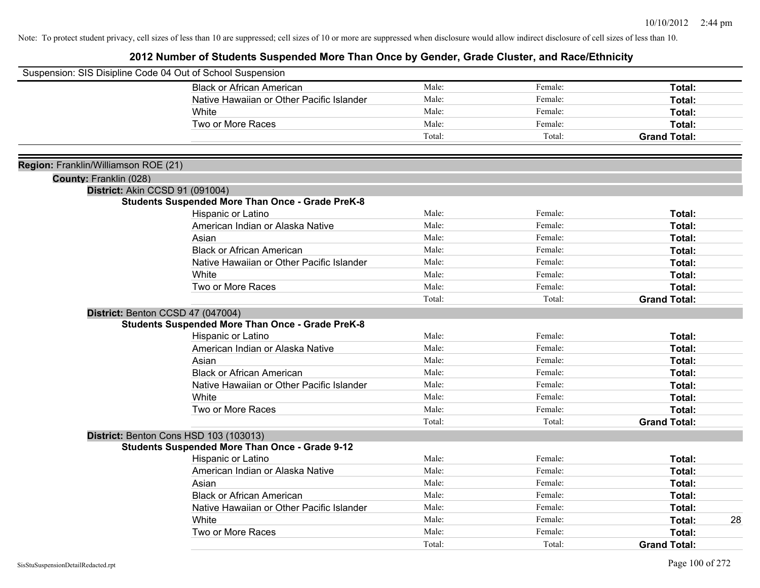| Suspension: SIS Disipline Code 04 Out of School Suspension |                                                                                            |        |         |                     |    |
|------------------------------------------------------------|--------------------------------------------------------------------------------------------|--------|---------|---------------------|----|
|                                                            | <b>Black or African American</b>                                                           | Male:  | Female: | Total:              |    |
|                                                            | Native Hawaiian or Other Pacific Islander                                                  | Male:  | Female: | Total:              |    |
|                                                            | White                                                                                      | Male:  | Female: | Total:              |    |
|                                                            | Two or More Races                                                                          | Male:  | Female: | Total:              |    |
|                                                            |                                                                                            | Total: | Total:  | <b>Grand Total:</b> |    |
|                                                            |                                                                                            |        |         |                     |    |
| Region: Franklin/Williamson ROE (21)                       |                                                                                            |        |         |                     |    |
| County: Franklin (028)                                     |                                                                                            |        |         |                     |    |
|                                                            | District: Akin CCSD 91 (091004)<br><b>Students Suspended More Than Once - Grade PreK-8</b> |        |         |                     |    |
|                                                            | Hispanic or Latino                                                                         | Male:  | Female: | Total:              |    |
|                                                            | American Indian or Alaska Native                                                           | Male:  | Female: | Total:              |    |
|                                                            | Asian                                                                                      | Male:  | Female: | Total:              |    |
|                                                            | <b>Black or African American</b>                                                           | Male:  | Female: | Total:              |    |
|                                                            | Native Hawaiian or Other Pacific Islander                                                  | Male:  | Female: | Total:              |    |
|                                                            | White                                                                                      | Male:  | Female: | Total:              |    |
|                                                            | Two or More Races                                                                          | Male:  | Female: | Total:              |    |
|                                                            |                                                                                            | Total: | Total:  | <b>Grand Total:</b> |    |
|                                                            | District: Benton CCSD 47 (047004)                                                          |        |         |                     |    |
|                                                            | <b>Students Suspended More Than Once - Grade PreK-8</b>                                    |        |         |                     |    |
|                                                            | Hispanic or Latino                                                                         | Male:  | Female: | Total:              |    |
|                                                            | American Indian or Alaska Native                                                           | Male:  | Female: | Total:              |    |
|                                                            | Asian                                                                                      | Male:  | Female: | Total:              |    |
|                                                            | <b>Black or African American</b>                                                           | Male:  | Female: | Total:              |    |
|                                                            | Native Hawaiian or Other Pacific Islander                                                  | Male:  | Female: | Total:              |    |
|                                                            | White                                                                                      | Male:  | Female: | Total:              |    |
|                                                            | Two or More Races                                                                          | Male:  | Female: | Total:              |    |
|                                                            |                                                                                            | Total: | Total:  | <b>Grand Total:</b> |    |
|                                                            | District: Benton Cons HSD 103 (103013)                                                     |        |         |                     |    |
|                                                            | <b>Students Suspended More Than Once - Grade 9-12</b>                                      |        |         |                     |    |
|                                                            | Hispanic or Latino                                                                         | Male:  | Female: | Total:              |    |
|                                                            | American Indian or Alaska Native                                                           | Male:  | Female: | Total:              |    |
|                                                            | Asian                                                                                      | Male:  | Female: | Total:              |    |
|                                                            | <b>Black or African American</b>                                                           | Male:  | Female: | Total:              |    |
|                                                            | Native Hawaiian or Other Pacific Islander                                                  | Male:  | Female: | Total:              |    |
|                                                            | White                                                                                      | Male:  | Female: | Total:              | 28 |
|                                                            | Two or More Races                                                                          | Male:  | Female: | <b>Total:</b>       |    |
|                                                            |                                                                                            | Total: | Total:  | <b>Grand Total:</b> |    |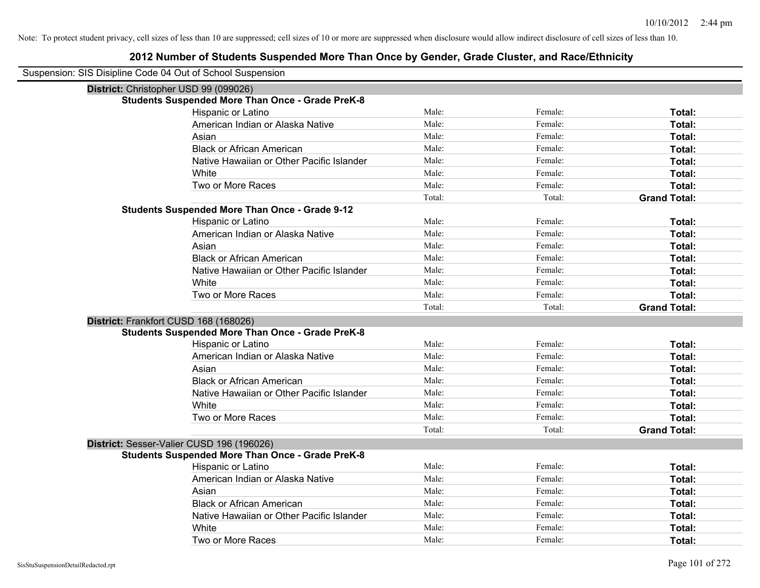| Suspension: SIS Disipline Code 04 Out of School Suspension |                                                         |        |         |                     |
|------------------------------------------------------------|---------------------------------------------------------|--------|---------|---------------------|
| District: Christopher USD 99 (099026)                      |                                                         |        |         |                     |
|                                                            | <b>Students Suspended More Than Once - Grade PreK-8</b> |        |         |                     |
|                                                            | Hispanic or Latino                                      | Male:  | Female: | Total:              |
|                                                            | American Indian or Alaska Native                        | Male:  | Female: | Total:              |
|                                                            | Asian                                                   | Male:  | Female: | Total:              |
|                                                            | <b>Black or African American</b>                        | Male:  | Female: | Total:              |
|                                                            | Native Hawaiian or Other Pacific Islander               | Male:  | Female: | Total:              |
|                                                            | White                                                   | Male:  | Female: | Total:              |
|                                                            | Two or More Races                                       | Male:  | Female: | Total:              |
|                                                            |                                                         | Total: | Total:  | <b>Grand Total:</b> |
|                                                            | <b>Students Suspended More Than Once - Grade 9-12</b>   |        |         |                     |
|                                                            | Hispanic or Latino                                      | Male:  | Female: | Total:              |
|                                                            | American Indian or Alaska Native                        | Male:  | Female: | Total:              |
|                                                            | Asian                                                   | Male:  | Female: | Total:              |
|                                                            | <b>Black or African American</b>                        | Male:  | Female: | Total:              |
|                                                            | Native Hawaiian or Other Pacific Islander               | Male:  | Female: | Total:              |
|                                                            | White                                                   | Male:  | Female: | Total:              |
|                                                            | Two or More Races                                       | Male:  | Female: | Total:              |
|                                                            |                                                         | Total: | Total:  | <b>Grand Total:</b> |
| District: Frankfort CUSD 168 (168026)                      |                                                         |        |         |                     |
|                                                            | <b>Students Suspended More Than Once - Grade PreK-8</b> |        |         |                     |
|                                                            | Hispanic or Latino                                      | Male:  | Female: | Total:              |
|                                                            | American Indian or Alaska Native                        | Male:  | Female: | Total:              |
|                                                            | Asian                                                   | Male:  | Female: | Total:              |
|                                                            | <b>Black or African American</b>                        | Male:  | Female: | Total:              |
|                                                            | Native Hawaiian or Other Pacific Islander               | Male:  | Female: | Total:              |
|                                                            | White                                                   | Male:  | Female: | Total:              |
|                                                            | Two or More Races                                       | Male:  | Female: | Total:              |
|                                                            |                                                         | Total: | Total:  | <b>Grand Total:</b> |
| District: Sesser-Valier CUSD 196 (196026)                  |                                                         |        |         |                     |
|                                                            | <b>Students Suspended More Than Once - Grade PreK-8</b> |        |         |                     |
|                                                            | Hispanic or Latino                                      | Male:  | Female: | Total:              |
|                                                            | American Indian or Alaska Native                        | Male:  | Female: | Total:              |
|                                                            | Asian                                                   | Male:  | Female: | Total:              |
|                                                            | <b>Black or African American</b>                        | Male:  | Female: | Total:              |
|                                                            | Native Hawaiian or Other Pacific Islander               | Male:  | Female: | Total:              |
|                                                            | White                                                   | Male:  | Female: | Total:              |
|                                                            | Two or More Races                                       | Male:  | Female: | Total:              |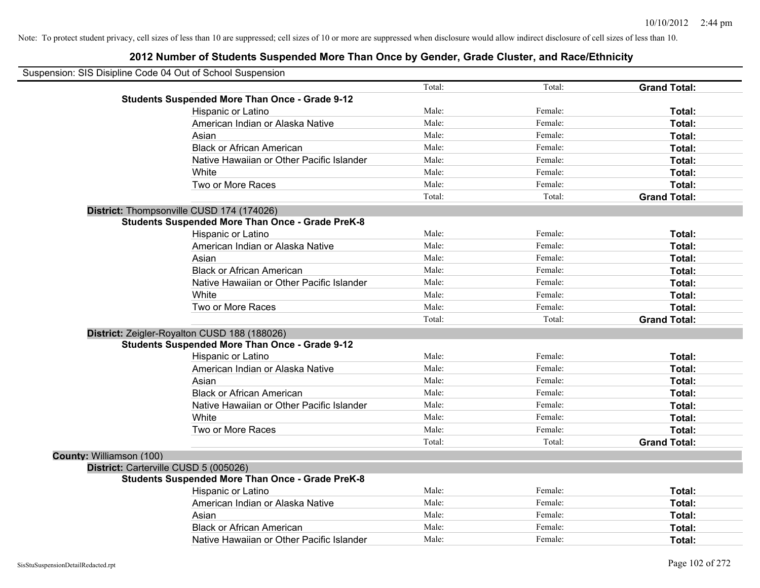| Suspension: SIS Disipline Code 04 Out of School Suspension |                                                         |        |         |                     |
|------------------------------------------------------------|---------------------------------------------------------|--------|---------|---------------------|
|                                                            |                                                         | Total: | Total:  | <b>Grand Total:</b> |
|                                                            | <b>Students Suspended More Than Once - Grade 9-12</b>   |        |         |                     |
|                                                            | Hispanic or Latino                                      | Male:  | Female: | Total:              |
|                                                            | American Indian or Alaska Native                        | Male:  | Female: | Total:              |
|                                                            | Asian                                                   | Male:  | Female: | Total:              |
|                                                            | <b>Black or African American</b>                        | Male:  | Female: | Total:              |
|                                                            | Native Hawaiian or Other Pacific Islander               | Male:  | Female: | Total:              |
|                                                            | White                                                   | Male:  | Female: | Total:              |
|                                                            | Two or More Races                                       | Male:  | Female: | Total:              |
|                                                            |                                                         | Total: | Total:  | <b>Grand Total:</b> |
|                                                            | District: Thompsonville CUSD 174 (174026)               |        |         |                     |
|                                                            | <b>Students Suspended More Than Once - Grade PreK-8</b> |        |         |                     |
|                                                            | Hispanic or Latino                                      | Male:  | Female: | Total:              |
|                                                            | American Indian or Alaska Native                        | Male:  | Female: | Total:              |
|                                                            | Asian                                                   | Male:  | Female: | Total:              |
|                                                            | <b>Black or African American</b>                        | Male:  | Female: | Total:              |
|                                                            | Native Hawaiian or Other Pacific Islander               | Male:  | Female: | Total:              |
|                                                            | White                                                   | Male:  | Female: | Total:              |
|                                                            | Two or More Races                                       | Male:  | Female: | Total:              |
|                                                            |                                                         | Total: | Total:  | <b>Grand Total:</b> |
|                                                            | District: Zeigler-Royalton CUSD 188 (188026)            |        |         |                     |
|                                                            | <b>Students Suspended More Than Once - Grade 9-12</b>   |        |         |                     |
|                                                            | Hispanic or Latino                                      | Male:  | Female: | Total:              |
|                                                            | American Indian or Alaska Native                        | Male:  | Female: | Total:              |
|                                                            | Asian                                                   | Male:  | Female: | Total:              |
|                                                            | <b>Black or African American</b>                        | Male:  | Female: | Total:              |
|                                                            | Native Hawaiian or Other Pacific Islander               | Male:  | Female: | Total:              |
|                                                            | White                                                   | Male:  | Female: | Total:              |
|                                                            | Two or More Races                                       | Male:  | Female: | Total:              |
|                                                            |                                                         | Total: | Total:  | <b>Grand Total:</b> |
| County: Williamson (100)                                   |                                                         |        |         |                     |
| District: Carterville CUSD 5 (005026)                      |                                                         |        |         |                     |
|                                                            | <b>Students Suspended More Than Once - Grade PreK-8</b> |        |         |                     |
|                                                            | Hispanic or Latino                                      | Male:  | Female: | Total:              |
|                                                            | American Indian or Alaska Native                        | Male:  | Female: | Total:              |
|                                                            | Asian                                                   | Male:  | Female: | Total:              |
|                                                            | <b>Black or African American</b>                        | Male:  | Female: | Total:              |
|                                                            | Native Hawaiian or Other Pacific Islander               | Male:  | Female: | Total:              |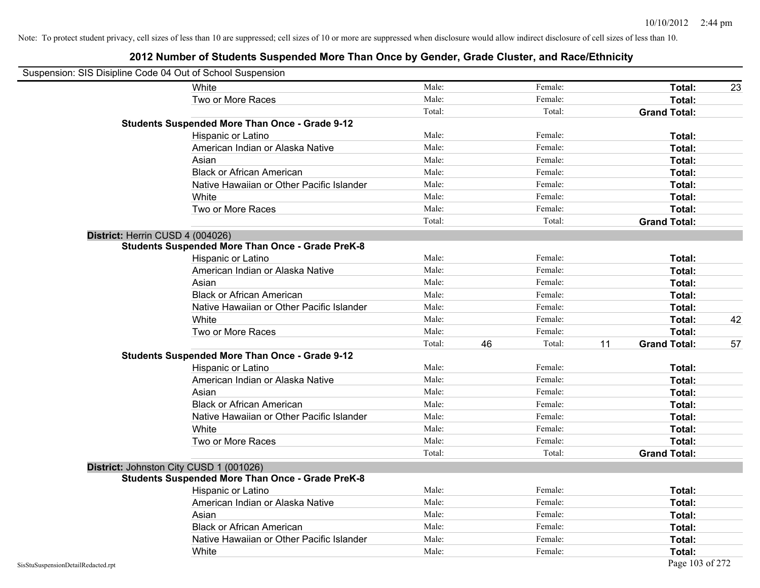| Suspension: SIS Disipline Code 04 Out of School Suspension |                                                         |        |              |                           |    |
|------------------------------------------------------------|---------------------------------------------------------|--------|--------------|---------------------------|----|
|                                                            | <b>White</b>                                            | Male:  | Female:      | Total:                    | 23 |
|                                                            | Two or More Races                                       | Male:  | Female:      | Total:                    |    |
|                                                            |                                                         | Total: | Total:       | <b>Grand Total:</b>       |    |
|                                                            | <b>Students Suspended More Than Once - Grade 9-12</b>   |        |              |                           |    |
|                                                            | Hispanic or Latino                                      | Male:  | Female:      | Total:                    |    |
|                                                            | American Indian or Alaska Native                        | Male:  | Female:      | Total:                    |    |
|                                                            | Asian                                                   | Male:  | Female:      | Total:                    |    |
|                                                            | <b>Black or African American</b>                        | Male:  | Female:      | Total:                    |    |
|                                                            | Native Hawaiian or Other Pacific Islander               | Male:  | Female:      | Total:                    |    |
|                                                            | White                                                   | Male:  | Female:      | Total:                    |    |
|                                                            | Two or More Races                                       | Male:  | Female:      | Total:                    |    |
|                                                            |                                                         | Total: | Total:       | <b>Grand Total:</b>       |    |
| District: Herrin CUSD 4 (004026)                           |                                                         |        |              |                           |    |
|                                                            | <b>Students Suspended More Than Once - Grade PreK-8</b> |        |              |                           |    |
|                                                            | Hispanic or Latino                                      | Male:  | Female:      | Total:                    |    |
|                                                            | American Indian or Alaska Native                        | Male:  | Female:      | Total:                    |    |
|                                                            | Asian                                                   | Male:  | Female:      | Total:                    |    |
|                                                            | <b>Black or African American</b>                        | Male:  | Female:      | Total:                    |    |
|                                                            | Native Hawaiian or Other Pacific Islander               | Male:  | Female:      | Total:                    |    |
|                                                            | White                                                   | Male:  | Female:      | Total:                    | 42 |
|                                                            | Two or More Races                                       | Male:  | Female:      | Total:                    |    |
|                                                            |                                                         | Total: | 46<br>Total: | 11<br><b>Grand Total:</b> | 57 |
|                                                            | <b>Students Suspended More Than Once - Grade 9-12</b>   |        |              |                           |    |
|                                                            | Hispanic or Latino                                      | Male:  | Female:      | Total:                    |    |
|                                                            | American Indian or Alaska Native                        | Male:  | Female:      | Total:                    |    |
|                                                            | Asian                                                   | Male:  | Female:      | Total:                    |    |
|                                                            | <b>Black or African American</b>                        | Male:  | Female:      | Total:                    |    |
|                                                            | Native Hawaiian or Other Pacific Islander               | Male:  | Female:      | Total:                    |    |
|                                                            | White                                                   | Male:  | Female:      | Total:                    |    |
|                                                            | Two or More Races                                       | Male:  | Female:      | Total:                    |    |
|                                                            |                                                         | Total: | Total:       | <b>Grand Total:</b>       |    |
| District: Johnston City CUSD 1 (001026)                    |                                                         |        |              |                           |    |
|                                                            | <b>Students Suspended More Than Once - Grade PreK-8</b> |        |              |                           |    |
|                                                            | Hispanic or Latino                                      | Male:  | Female:      | Total:                    |    |
|                                                            | American Indian or Alaska Native                        | Male:  | Female:      | Total:                    |    |
|                                                            | Asian                                                   | Male:  | Female:      | Total:                    |    |
|                                                            | <b>Black or African American</b>                        | Male:  | Female:      | Total:                    |    |
|                                                            | Native Hawaiian or Other Pacific Islander               | Male:  | Female:      | Total:                    |    |
|                                                            | White                                                   | Male:  | Female:      | Total:                    |    |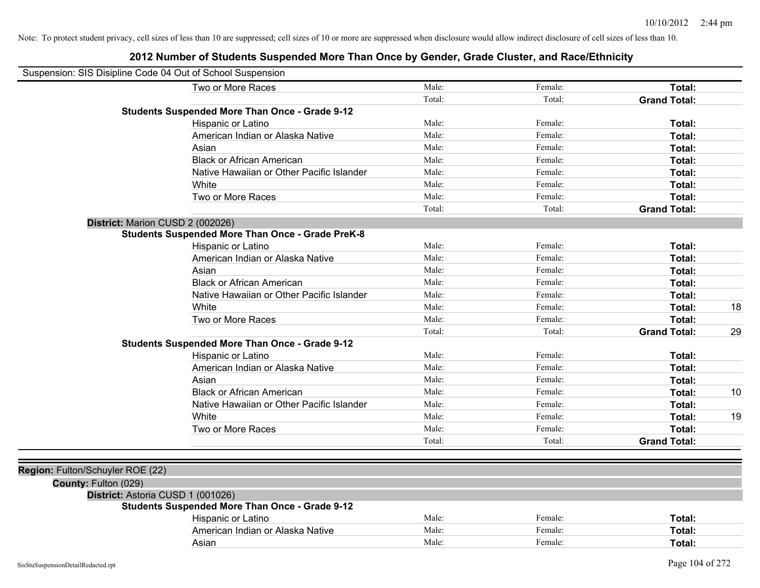| Suspension: SIS Disipline Code 04 Out of School Suspension |                                                         |        |         |                     |    |
|------------------------------------------------------------|---------------------------------------------------------|--------|---------|---------------------|----|
|                                                            | Two or More Races                                       | Male:  | Female: | Total:              |    |
|                                                            |                                                         | Total: | Total:  | <b>Grand Total:</b> |    |
|                                                            | <b>Students Suspended More Than Once - Grade 9-12</b>   |        |         |                     |    |
|                                                            | Hispanic or Latino                                      | Male:  | Female: | Total:              |    |
|                                                            | American Indian or Alaska Native                        | Male:  | Female: | Total:              |    |
|                                                            | Asian                                                   | Male:  | Female: | Total:              |    |
|                                                            | <b>Black or African American</b>                        | Male:  | Female: | Total:              |    |
|                                                            | Native Hawaiian or Other Pacific Islander               | Male:  | Female: | Total:              |    |
|                                                            | White                                                   | Male:  | Female: | Total:              |    |
|                                                            | Two or More Races                                       | Male:  | Female: | Total:              |    |
|                                                            |                                                         | Total: | Total:  | <b>Grand Total:</b> |    |
| District: Marion CUSD 2 (002026)                           |                                                         |        |         |                     |    |
|                                                            | <b>Students Suspended More Than Once - Grade PreK-8</b> |        |         |                     |    |
|                                                            | Hispanic or Latino                                      | Male:  | Female: | Total:              |    |
|                                                            | American Indian or Alaska Native                        | Male:  | Female: | Total:              |    |
|                                                            | Asian                                                   | Male:  | Female: | Total:              |    |
|                                                            | <b>Black or African American</b>                        | Male:  | Female: | Total:              |    |
|                                                            | Native Hawaiian or Other Pacific Islander               | Male:  | Female: | Total:              |    |
|                                                            | White                                                   | Male:  | Female: | Total:              | 18 |
|                                                            | Two or More Races                                       | Male:  | Female: | Total:              |    |
|                                                            |                                                         | Total: | Total:  | <b>Grand Total:</b> | 29 |
|                                                            | <b>Students Suspended More Than Once - Grade 9-12</b>   |        |         |                     |    |
|                                                            | Hispanic or Latino                                      | Male:  | Female: | Total:              |    |
|                                                            | American Indian or Alaska Native                        | Male:  | Female: | Total:              |    |
|                                                            | Asian                                                   | Male:  | Female: | Total:              |    |
|                                                            | <b>Black or African American</b>                        | Male:  | Female: | Total:              | 10 |
|                                                            | Native Hawaiian or Other Pacific Islander               | Male:  | Female: | Total:              |    |
|                                                            | White                                                   | Male:  | Female: | <b>Total:</b>       | 19 |
|                                                            | Two or More Races                                       | Male:  | Female: | Total:              |    |
|                                                            |                                                         | Total: | Total:  | <b>Grand Total:</b> |    |
|                                                            |                                                         |        |         |                     |    |
| Region: Fulton/Schuyler ROE (22)                           |                                                         |        |         |                     |    |
| County: Fulton (029)                                       |                                                         |        |         |                     |    |
| District: Astoria CUSD 1 (001026)                          |                                                         |        |         |                     |    |
|                                                            | <b>Students Suspended More Than Once - Grade 9-12</b>   |        |         |                     |    |
|                                                            | Hispanic or Latino                                      | Male:  | Female: | Total:              |    |
|                                                            | American Indian or Alaska Native                        | Male:  | Female: | Total:              |    |
|                                                            | Asian                                                   | Male:  | Female: | Total:              |    |
|                                                            |                                                         |        |         |                     |    |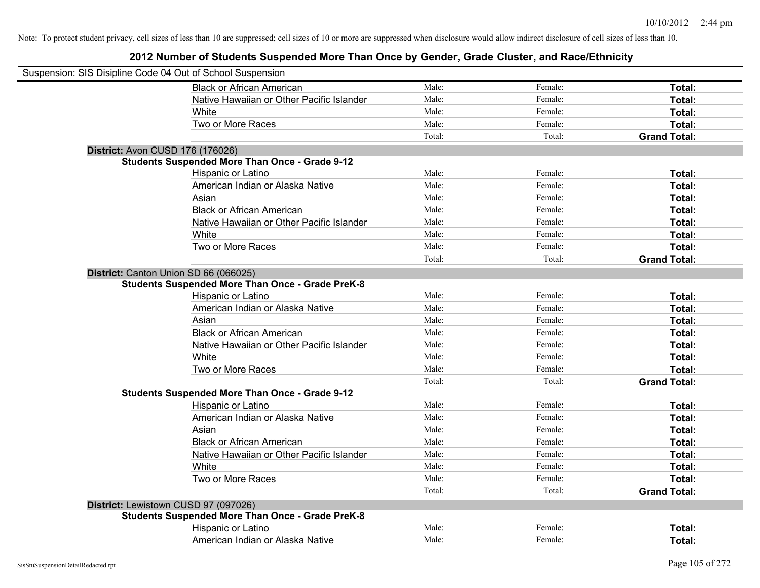| Suspension: SIS Disipline Code 04 Out of School Suspension |                                                         |        |         |                     |
|------------------------------------------------------------|---------------------------------------------------------|--------|---------|---------------------|
|                                                            | <b>Black or African American</b>                        | Male:  | Female: | Total:              |
|                                                            | Native Hawaiian or Other Pacific Islander               | Male:  | Female: | Total:              |
|                                                            | White                                                   | Male:  | Female: | Total:              |
|                                                            | Two or More Races                                       | Male:  | Female: | Total:              |
|                                                            |                                                         | Total: | Total:  | <b>Grand Total:</b> |
| District: Avon CUSD 176 (176026)                           |                                                         |        |         |                     |
|                                                            | <b>Students Suspended More Than Once - Grade 9-12</b>   |        |         |                     |
|                                                            | Hispanic or Latino                                      | Male:  | Female: | Total:              |
|                                                            | American Indian or Alaska Native                        | Male:  | Female: | Total:              |
|                                                            | Asian                                                   | Male:  | Female: | Total:              |
|                                                            | <b>Black or African American</b>                        | Male:  | Female: | Total:              |
|                                                            | Native Hawaiian or Other Pacific Islander               | Male:  | Female: | Total:              |
|                                                            | White                                                   | Male:  | Female: | Total:              |
|                                                            | Two or More Races                                       | Male:  | Female: | Total:              |
|                                                            |                                                         | Total: | Total:  | <b>Grand Total:</b> |
| District: Canton Union SD 66 (066025)                      |                                                         |        |         |                     |
|                                                            | <b>Students Suspended More Than Once - Grade PreK-8</b> |        |         |                     |
|                                                            | Hispanic or Latino                                      | Male:  | Female: | Total:              |
|                                                            | American Indian or Alaska Native                        | Male:  | Female: | Total:              |
|                                                            | Asian                                                   | Male:  | Female: | Total:              |
|                                                            | <b>Black or African American</b>                        | Male:  | Female: | Total:              |
|                                                            | Native Hawaiian or Other Pacific Islander               | Male:  | Female: | Total:              |
|                                                            | White                                                   | Male:  | Female: | Total:              |
|                                                            | Two or More Races                                       | Male:  | Female: | Total:              |
|                                                            |                                                         | Total: | Total:  | <b>Grand Total:</b> |
|                                                            | <b>Students Suspended More Than Once - Grade 9-12</b>   |        |         |                     |
|                                                            | Hispanic or Latino                                      | Male:  | Female: | Total:              |
|                                                            | American Indian or Alaska Native                        | Male:  | Female: | Total:              |
|                                                            | Asian                                                   | Male:  | Female: | Total:              |
|                                                            | <b>Black or African American</b>                        | Male:  | Female: | Total:              |
|                                                            | Native Hawaiian or Other Pacific Islander               | Male:  | Female: | Total:              |
|                                                            | White                                                   | Male:  | Female: | Total:              |
|                                                            | Two or More Races                                       | Male:  | Female: | Total:              |
|                                                            |                                                         | Total: | Total:  | <b>Grand Total:</b> |
| District: Lewistown CUSD 97 (097026)                       |                                                         |        |         |                     |
|                                                            | <b>Students Suspended More Than Once - Grade PreK-8</b> |        |         |                     |
|                                                            | Hispanic or Latino                                      | Male:  | Female: | Total:              |
|                                                            | American Indian or Alaska Native                        | Male:  | Female: | Total:              |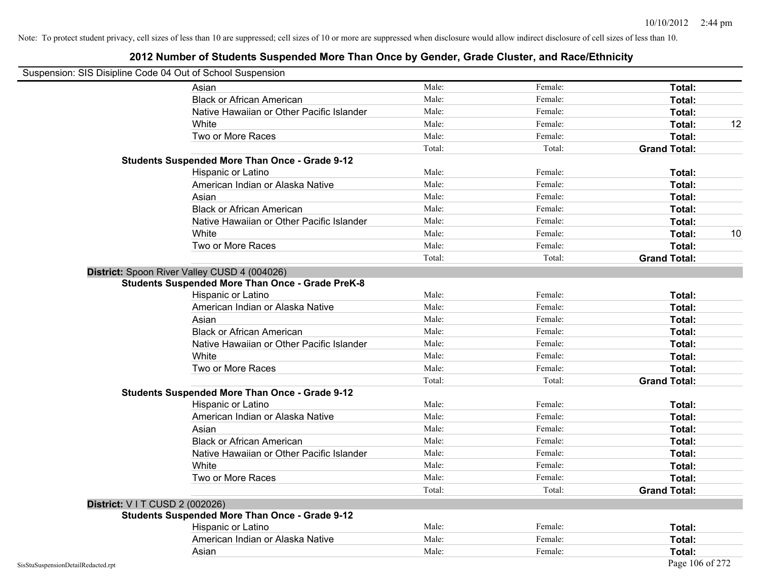| Suspension: SIS Disipline Code 04 Out of School Suspension |                                                         |        |         |                     |    |
|------------------------------------------------------------|---------------------------------------------------------|--------|---------|---------------------|----|
|                                                            | Asian                                                   | Male:  | Female: | Total:              |    |
|                                                            | <b>Black or African American</b>                        | Male:  | Female: | Total:              |    |
|                                                            | Native Hawaiian or Other Pacific Islander               | Male:  | Female: | Total:              |    |
|                                                            | White                                                   | Male:  | Female: | Total:              | 12 |
|                                                            | Two or More Races                                       | Male:  | Female: | Total:              |    |
|                                                            |                                                         | Total: | Total:  | <b>Grand Total:</b> |    |
|                                                            | <b>Students Suspended More Than Once - Grade 9-12</b>   |        |         |                     |    |
|                                                            | Hispanic or Latino                                      | Male:  | Female: | Total:              |    |
|                                                            | American Indian or Alaska Native                        | Male:  | Female: | Total:              |    |
|                                                            | Asian                                                   | Male:  | Female: | Total:              |    |
|                                                            | <b>Black or African American</b>                        | Male:  | Female: | Total:              |    |
|                                                            | Native Hawaiian or Other Pacific Islander               | Male:  | Female: | Total:              |    |
|                                                            | White                                                   | Male:  | Female: | Total:              | 10 |
|                                                            | Two or More Races                                       | Male:  | Female: | Total:              |    |
|                                                            |                                                         | Total: | Total:  | <b>Grand Total:</b> |    |
|                                                            | District: Spoon River Valley CUSD 4 (004026)            |        |         |                     |    |
|                                                            | <b>Students Suspended More Than Once - Grade PreK-8</b> |        |         |                     |    |
|                                                            | Hispanic or Latino                                      | Male:  | Female: | Total:              |    |
|                                                            | American Indian or Alaska Native                        | Male:  | Female: | Total:              |    |
|                                                            | Asian                                                   | Male:  | Female: | Total:              |    |
|                                                            | <b>Black or African American</b>                        | Male:  | Female: | Total:              |    |
|                                                            | Native Hawaiian or Other Pacific Islander               | Male:  | Female: | Total:              |    |
|                                                            | White                                                   | Male:  | Female: | Total:              |    |
|                                                            | Two or More Races                                       | Male:  | Female: | Total:              |    |
|                                                            |                                                         | Total: | Total:  | <b>Grand Total:</b> |    |
|                                                            | <b>Students Suspended More Than Once - Grade 9-12</b>   |        |         |                     |    |
|                                                            | Hispanic or Latino                                      | Male:  | Female: | Total:              |    |
|                                                            | American Indian or Alaska Native                        | Male:  | Female: | Total:              |    |
|                                                            | Asian                                                   | Male:  | Female: | Total:              |    |
|                                                            | <b>Black or African American</b>                        | Male:  | Female: | Total:              |    |
|                                                            | Native Hawaiian or Other Pacific Islander               | Male:  | Female: | Total:              |    |
|                                                            | White                                                   | Male:  | Female: | Total:              |    |
|                                                            | Two or More Races                                       | Male:  | Female: | Total:              |    |
|                                                            |                                                         | Total: | Total:  | <b>Grand Total:</b> |    |
| District: V I T CUSD 2 (002026)                            |                                                         |        |         |                     |    |
|                                                            | <b>Students Suspended More Than Once - Grade 9-12</b>   |        |         |                     |    |
|                                                            | <b>Hispanic or Latino</b>                               | Male:  | Female: | Total:              |    |
|                                                            | American Indian or Alaska Native                        | Male:  | Female: | Total:              |    |
|                                                            | Asian                                                   | Male:  | Female: | Total:              |    |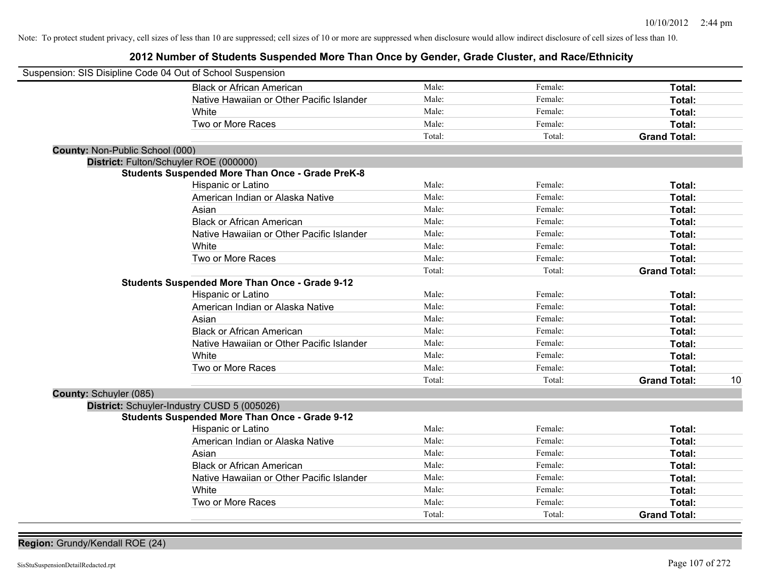**2012 Number of Students Suspended More Than Once by Gender, Grade Cluster, and Race/Ethnicity**

| Suspension: SIS Disipline Code 04 Out of School Suspension |                                                         |        |         |                     |    |
|------------------------------------------------------------|---------------------------------------------------------|--------|---------|---------------------|----|
|                                                            | <b>Black or African American</b>                        | Male:  | Female: | Total:              |    |
|                                                            | Native Hawaiian or Other Pacific Islander               | Male:  | Female: | Total:              |    |
|                                                            | White                                                   | Male:  | Female: | Total:              |    |
|                                                            | Two or More Races                                       | Male:  | Female: | Total:              |    |
|                                                            |                                                         | Total: | Total:  | <b>Grand Total:</b> |    |
| County: Non-Public School (000)                            |                                                         |        |         |                     |    |
| District: Fulton/Schuyler ROE (000000)                     |                                                         |        |         |                     |    |
|                                                            | <b>Students Suspended More Than Once - Grade PreK-8</b> |        |         |                     |    |
|                                                            | Hispanic or Latino                                      | Male:  | Female: | Total:              |    |
|                                                            | American Indian or Alaska Native                        | Male:  | Female: | Total:              |    |
|                                                            | Asian                                                   | Male:  | Female: | Total:              |    |
|                                                            | <b>Black or African American</b>                        | Male:  | Female: | Total:              |    |
|                                                            | Native Hawaiian or Other Pacific Islander               | Male:  | Female: | Total:              |    |
|                                                            | White                                                   | Male:  | Female: | Total:              |    |
|                                                            | Two or More Races                                       | Male:  | Female: | Total:              |    |
|                                                            |                                                         | Total: | Total:  | <b>Grand Total:</b> |    |
|                                                            | <b>Students Suspended More Than Once - Grade 9-12</b>   |        |         |                     |    |
|                                                            | Hispanic or Latino                                      | Male:  | Female: | Total:              |    |
|                                                            | American Indian or Alaska Native                        | Male:  | Female: | Total:              |    |
|                                                            | Asian                                                   | Male:  | Female: | Total:              |    |
|                                                            | <b>Black or African American</b>                        | Male:  | Female: | Total:              |    |
|                                                            | Native Hawaiian or Other Pacific Islander               | Male:  | Female: | Total:              |    |
|                                                            | White                                                   | Male:  | Female: | Total:              |    |
|                                                            | Two or More Races                                       | Male:  | Female: | <b>Total:</b>       |    |
|                                                            |                                                         | Total: | Total:  | <b>Grand Total:</b> | 10 |
| County: Schuyler (085)                                     |                                                         |        |         |                     |    |
| District: Schuyler-Industry CUSD 5 (005026)                |                                                         |        |         |                     |    |
|                                                            | <b>Students Suspended More Than Once - Grade 9-12</b>   |        |         |                     |    |
|                                                            | Hispanic or Latino                                      | Male:  | Female: | Total:              |    |
|                                                            | American Indian or Alaska Native                        | Male:  | Female: | Total:              |    |
|                                                            | Asian                                                   | Male:  | Female: | Total:              |    |
|                                                            | <b>Black or African American</b>                        | Male:  | Female: | Total:              |    |
|                                                            | Native Hawaiian or Other Pacific Islander               | Male:  | Female: | Total:              |    |
|                                                            | White                                                   | Male:  | Female: | Total:              |    |
|                                                            | Two or More Races                                       | Male:  | Female: | Total:              |    |
|                                                            |                                                         | Total: | Total:  | <b>Grand Total:</b> |    |

**Region:** Grundy/Kendall ROE (24)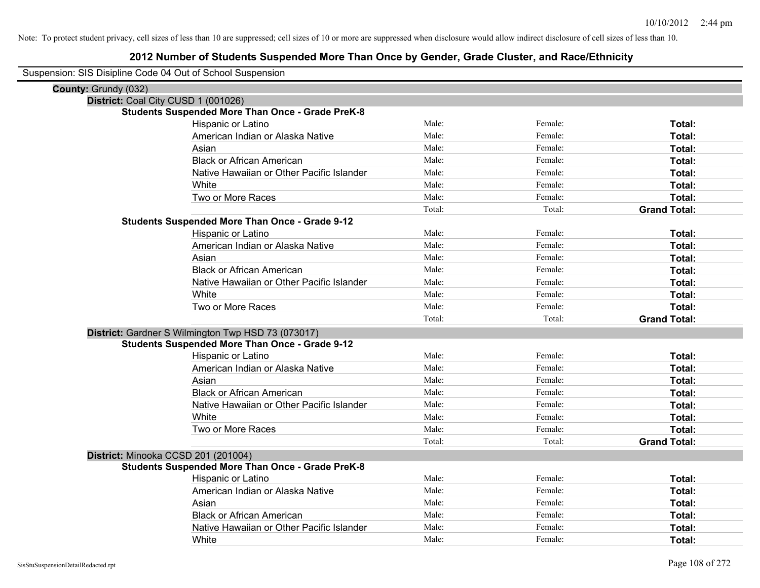| Suspension: SIS Disipline Code 04 Out of School Suspension |                                                         |        |         |                     |
|------------------------------------------------------------|---------------------------------------------------------|--------|---------|---------------------|
| County: Grundy (032)                                       |                                                         |        |         |                     |
| District: Coal City CUSD 1 (001026)                        |                                                         |        |         |                     |
|                                                            | <b>Students Suspended More Than Once - Grade PreK-8</b> |        |         |                     |
|                                                            | Hispanic or Latino                                      | Male:  | Female: | Total:              |
|                                                            | American Indian or Alaska Native                        | Male:  | Female: | Total:              |
|                                                            | Asian                                                   | Male:  | Female: | Total:              |
|                                                            | <b>Black or African American</b>                        | Male:  | Female: | Total:              |
|                                                            | Native Hawaiian or Other Pacific Islander               | Male:  | Female: | Total:              |
|                                                            | White                                                   | Male:  | Female: | Total:              |
|                                                            | Two or More Races                                       | Male:  | Female: | Total:              |
|                                                            |                                                         | Total: | Total:  | <b>Grand Total:</b> |
|                                                            | <b>Students Suspended More Than Once - Grade 9-12</b>   |        |         |                     |
|                                                            | Hispanic or Latino                                      | Male:  | Female: | Total:              |
|                                                            | American Indian or Alaska Native                        | Male:  | Female: | Total:              |
|                                                            | Asian                                                   | Male:  | Female: | Total:              |
|                                                            | <b>Black or African American</b>                        | Male:  | Female: | Total:              |
|                                                            | Native Hawaiian or Other Pacific Islander               | Male:  | Female: | Total:              |
|                                                            | White                                                   | Male:  | Female: | Total:              |
|                                                            | Two or More Races                                       | Male:  | Female: | Total:              |
|                                                            |                                                         | Total: | Total:  | <b>Grand Total:</b> |
|                                                            | District: Gardner S Wilmington Twp HSD 73 (073017)      |        |         |                     |
|                                                            | <b>Students Suspended More Than Once - Grade 9-12</b>   |        |         |                     |
|                                                            | Hispanic or Latino                                      | Male:  | Female: | Total:              |
|                                                            | American Indian or Alaska Native                        | Male:  | Female: | Total:              |
|                                                            | Asian                                                   | Male:  | Female: | Total:              |
|                                                            | <b>Black or African American</b>                        | Male:  | Female: | Total:              |
|                                                            | Native Hawaiian or Other Pacific Islander               | Male:  | Female: | Total:              |
|                                                            | White                                                   | Male:  | Female: | Total:              |
|                                                            | Two or More Races                                       | Male:  | Female: | Total:              |
|                                                            |                                                         | Total: | Total:  | <b>Grand Total:</b> |
| District: Minooka CCSD 201 (201004)                        |                                                         |        |         |                     |
|                                                            | <b>Students Suspended More Than Once - Grade PreK-8</b> |        |         |                     |
|                                                            | Hispanic or Latino                                      | Male:  | Female: | Total:              |
|                                                            | American Indian or Alaska Native                        | Male:  | Female: | Total:              |
|                                                            | Asian                                                   | Male:  | Female: | Total:              |
|                                                            | <b>Black or African American</b>                        | Male:  | Female: | Total:              |
|                                                            | Native Hawaiian or Other Pacific Islander               | Male:  | Female: | Total:              |
|                                                            | White                                                   | Male:  | Female: | Total:              |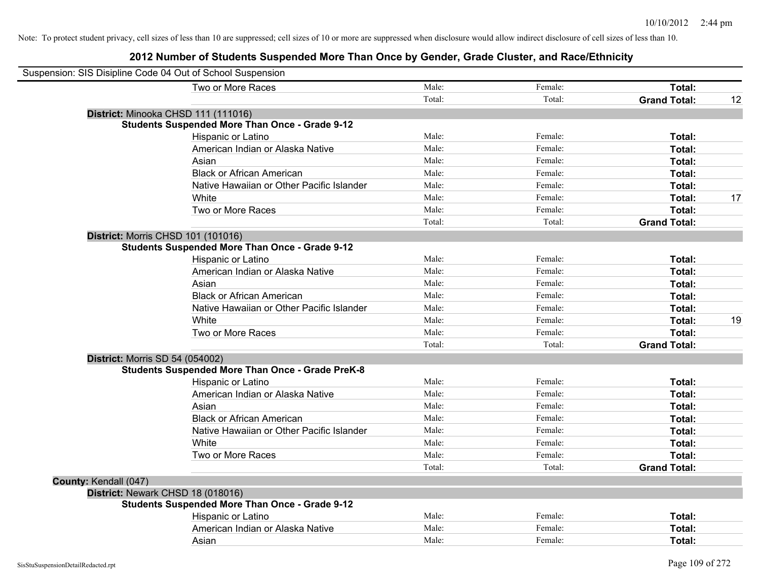| Suspension: SIS Disipline Code 04 Out of School Suspension |                                                         |        |         |                     |    |
|------------------------------------------------------------|---------------------------------------------------------|--------|---------|---------------------|----|
|                                                            | Two or More Races                                       | Male:  | Female: | <b>Total:</b>       |    |
|                                                            |                                                         | Total: | Total:  | <b>Grand Total:</b> | 12 |
| District: Minooka CHSD 111 (111016)                        |                                                         |        |         |                     |    |
|                                                            | <b>Students Suspended More Than Once - Grade 9-12</b>   |        |         |                     |    |
|                                                            | Hispanic or Latino                                      | Male:  | Female: | Total:              |    |
|                                                            | American Indian or Alaska Native                        | Male:  | Female: | Total:              |    |
|                                                            | Asian                                                   | Male:  | Female: | Total:              |    |
|                                                            | <b>Black or African American</b>                        | Male:  | Female: | Total:              |    |
|                                                            | Native Hawaiian or Other Pacific Islander               | Male:  | Female: | Total:              |    |
|                                                            | White                                                   | Male:  | Female: | Total:              | 17 |
|                                                            | Two or More Races                                       | Male:  | Female: | Total:              |    |
|                                                            |                                                         | Total: | Total:  | <b>Grand Total:</b> |    |
| <b>District: Morris CHSD 101 (101016)</b>                  |                                                         |        |         |                     |    |
|                                                            | <b>Students Suspended More Than Once - Grade 9-12</b>   |        |         |                     |    |
|                                                            | Hispanic or Latino                                      | Male:  | Female: | Total:              |    |
|                                                            | American Indian or Alaska Native                        | Male:  | Female: | Total:              |    |
|                                                            | Asian                                                   | Male:  | Female: | Total:              |    |
|                                                            | <b>Black or African American</b>                        | Male:  | Female: | Total:              |    |
|                                                            | Native Hawaiian or Other Pacific Islander               | Male:  | Female: | Total:              |    |
|                                                            | White                                                   | Male:  | Female: | Total:              | 19 |
|                                                            | Two or More Races                                       | Male:  | Female: | Total:              |    |
|                                                            |                                                         | Total: | Total:  | <b>Grand Total:</b> |    |
| <b>District: Morris SD 54 (054002)</b>                     |                                                         |        |         |                     |    |
|                                                            | <b>Students Suspended More Than Once - Grade PreK-8</b> |        |         |                     |    |
|                                                            | Hispanic or Latino                                      | Male:  | Female: | Total:              |    |
|                                                            | American Indian or Alaska Native                        | Male:  | Female: | Total:              |    |
|                                                            | Asian                                                   | Male:  | Female: | Total:              |    |
|                                                            | <b>Black or African American</b>                        | Male:  | Female: | Total:              |    |
|                                                            | Native Hawaiian or Other Pacific Islander               | Male:  | Female: | Total:              |    |
|                                                            | White                                                   | Male:  | Female: | Total:              |    |
|                                                            | Two or More Races                                       | Male:  | Female: | Total:              |    |
|                                                            |                                                         | Total: | Total:  | <b>Grand Total:</b> |    |
| County: Kendall (047)                                      |                                                         |        |         |                     |    |
| District: Newark CHSD 18 (018016)                          |                                                         |        |         |                     |    |
|                                                            | <b>Students Suspended More Than Once - Grade 9-12</b>   |        |         |                     |    |
|                                                            | Hispanic or Latino                                      | Male:  | Female: | Total:              |    |
|                                                            | American Indian or Alaska Native                        | Male:  | Female: | Total:              |    |
|                                                            | Asian                                                   | Male:  | Female: | Total:              |    |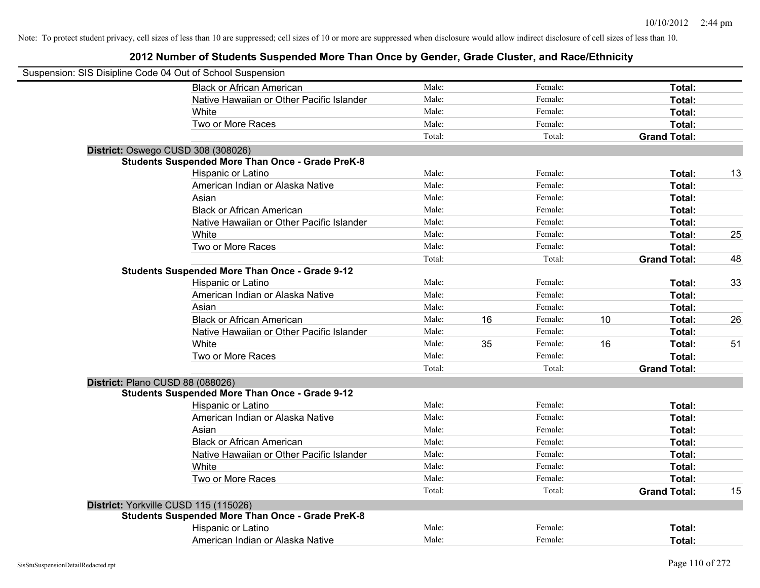| Suspension: SIS Disipline Code 04 Out of School Suspension |        |    |         |    |                     |    |
|------------------------------------------------------------|--------|----|---------|----|---------------------|----|
| <b>Black or African American</b>                           | Male:  |    | Female: |    | Total:              |    |
| Native Hawaiian or Other Pacific Islander                  | Male:  |    | Female: |    | Total:              |    |
| White                                                      | Male:  |    | Female: |    | Total:              |    |
| Two or More Races                                          | Male:  |    | Female: |    | Total:              |    |
|                                                            | Total: |    | Total:  |    | <b>Grand Total:</b> |    |
| District: Oswego CUSD 308 (308026)                         |        |    |         |    |                     |    |
| <b>Students Suspended More Than Once - Grade PreK-8</b>    |        |    |         |    |                     |    |
| Hispanic or Latino                                         | Male:  |    | Female: |    | Total:              | 13 |
| American Indian or Alaska Native                           | Male:  |    | Female: |    | Total:              |    |
| Asian                                                      | Male:  |    | Female: |    | Total:              |    |
| <b>Black or African American</b>                           | Male:  |    | Female: |    | Total:              |    |
| Native Hawaiian or Other Pacific Islander                  | Male:  |    | Female: |    | Total:              |    |
| White                                                      | Male:  |    | Female: |    | Total:              | 25 |
| Two or More Races                                          | Male:  |    | Female: |    | Total:              |    |
|                                                            | Total: |    | Total:  |    | <b>Grand Total:</b> | 48 |
| <b>Students Suspended More Than Once - Grade 9-12</b>      |        |    |         |    |                     |    |
| Hispanic or Latino                                         | Male:  |    | Female: |    | Total:              | 33 |
| American Indian or Alaska Native                           | Male:  |    | Female: |    | Total:              |    |
| Asian                                                      | Male:  |    | Female: |    | Total:              |    |
| <b>Black or African American</b>                           | Male:  | 16 | Female: | 10 | Total:              | 26 |
| Native Hawaiian or Other Pacific Islander                  | Male:  |    | Female: |    | Total:              |    |
| White                                                      | Male:  | 35 | Female: | 16 | Total:              | 51 |
| Two or More Races                                          | Male:  |    | Female: |    | Total:              |    |
|                                                            | Total: |    | Total:  |    | <b>Grand Total:</b> |    |
| District: Plano CUSD 88 (088026)                           |        |    |         |    |                     |    |
| <b>Students Suspended More Than Once - Grade 9-12</b>      |        |    |         |    |                     |    |
| Hispanic or Latino                                         | Male:  |    | Female: |    | Total:              |    |
| American Indian or Alaska Native                           | Male:  |    | Female: |    | Total:              |    |
| Asian                                                      | Male:  |    | Female: |    | Total:              |    |
| <b>Black or African American</b>                           | Male:  |    | Female: |    | Total:              |    |
| Native Hawaiian or Other Pacific Islander                  | Male:  |    | Female: |    | Total:              |    |
| White                                                      | Male:  |    | Female: |    | Total:              |    |
| Two or More Races                                          | Male:  |    | Female: |    | Total:              |    |
|                                                            | Total: |    | Total:  |    | <b>Grand Total:</b> | 15 |
| District: Yorkville CUSD 115 (115026)                      |        |    |         |    |                     |    |
| <b>Students Suspended More Than Once - Grade PreK-8</b>    |        |    |         |    |                     |    |
| Hispanic or Latino                                         | Male:  |    | Female: |    | Total:              |    |
| American Indian or Alaska Native                           | Male:  |    | Female: |    | Total:              |    |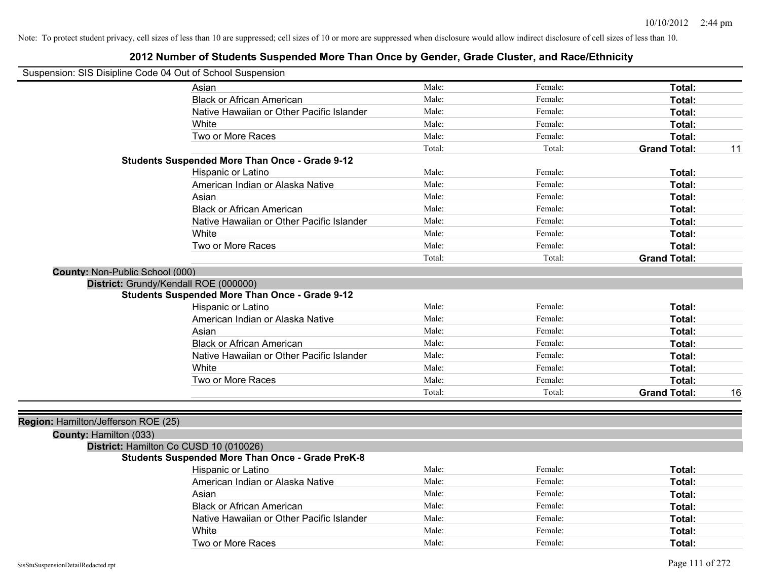| Suspension: SIS Disipline Code 04 Out of School Suspension |                                                         |        |         |                     |    |
|------------------------------------------------------------|---------------------------------------------------------|--------|---------|---------------------|----|
|                                                            | Asian                                                   | Male:  | Female: | Total:              |    |
|                                                            | <b>Black or African American</b>                        | Male:  | Female: | Total:              |    |
|                                                            | Native Hawaiian or Other Pacific Islander               | Male:  | Female: | Total:              |    |
|                                                            | White                                                   | Male:  | Female: | Total:              |    |
|                                                            | Two or More Races                                       | Male:  | Female: | Total:              |    |
|                                                            |                                                         | Total: | Total:  | <b>Grand Total:</b> | 11 |
|                                                            | <b>Students Suspended More Than Once - Grade 9-12</b>   |        |         |                     |    |
|                                                            | Hispanic or Latino                                      | Male:  | Female: | Total:              |    |
|                                                            | American Indian or Alaska Native                        | Male:  | Female: | Total:              |    |
|                                                            | Asian                                                   | Male:  | Female: | Total:              |    |
|                                                            | <b>Black or African American</b>                        | Male:  | Female: | Total:              |    |
|                                                            | Native Hawaiian or Other Pacific Islander               | Male:  | Female: | Total:              |    |
|                                                            | White                                                   | Male:  | Female: | Total:              |    |
|                                                            | Two or More Races                                       | Male:  | Female: | Total:              |    |
|                                                            |                                                         | Total: | Total:  | <b>Grand Total:</b> |    |
| County: Non-Public School (000)                            |                                                         |        |         |                     |    |
| District: Grundy/Kendall ROE (000000)                      |                                                         |        |         |                     |    |
|                                                            | <b>Students Suspended More Than Once - Grade 9-12</b>   |        |         |                     |    |
|                                                            | Hispanic or Latino                                      | Male:  | Female: | Total:              |    |
|                                                            | American Indian or Alaska Native                        | Male:  | Female: | Total:              |    |
|                                                            | Asian                                                   | Male:  | Female: | Total:              |    |
|                                                            | <b>Black or African American</b>                        | Male:  | Female: | Total:              |    |
|                                                            | Native Hawaiian or Other Pacific Islander               | Male:  | Female: | Total:              |    |
|                                                            | White                                                   | Male:  | Female: | Total:              |    |
|                                                            | Two or More Races                                       | Male:  | Female: | Total:              |    |
|                                                            |                                                         | Total: | Total:  | <b>Grand Total:</b> | 16 |
|                                                            |                                                         |        |         |                     |    |
| Region: Hamilton/Jefferson ROE (25)                        |                                                         |        |         |                     |    |
| County: Hamilton (033)                                     |                                                         |        |         |                     |    |
| District: Hamilton Co CUSD 10 (010026)                     |                                                         |        |         |                     |    |
|                                                            | <b>Students Suspended More Than Once - Grade PreK-8</b> |        |         |                     |    |
|                                                            | Hispanic or Latino                                      | Male:  | Female: | Total:              |    |
|                                                            | American Indian or Alaska Native                        | Male:  | Female: | Total:              |    |
|                                                            | Asian                                                   | Male:  | Female: | Total:              |    |
|                                                            | <b>Black or African American</b>                        | Male:  | Female: | Total:              |    |
|                                                            | Native Hawaiian or Other Pacific Islander               | Male:  | Female: | Total:              |    |
|                                                            | White                                                   | Male:  | Female: | Total:              |    |
|                                                            | Two or More Races                                       | Male:  | Female: | Total:              |    |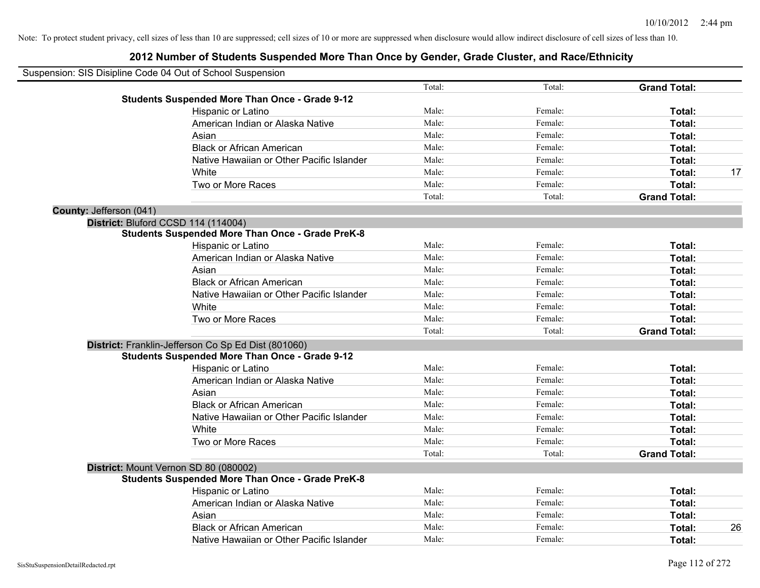|                         | Suspension: SIS Disipline Code 04 Out of School Suspension |        |         |                     |    |
|-------------------------|------------------------------------------------------------|--------|---------|---------------------|----|
|                         |                                                            | Total: | Total:  | <b>Grand Total:</b> |    |
|                         | <b>Students Suspended More Than Once - Grade 9-12</b>      |        |         |                     |    |
|                         | Hispanic or Latino                                         | Male:  | Female: | Total:              |    |
|                         | American Indian or Alaska Native                           | Male:  | Female: | Total:              |    |
|                         | Asian                                                      | Male:  | Female: | Total:              |    |
|                         | <b>Black or African American</b>                           | Male:  | Female: | Total:              |    |
|                         | Native Hawaiian or Other Pacific Islander                  | Male:  | Female: | Total:              |    |
|                         | White                                                      | Male:  | Female: | Total:              | 17 |
|                         | Two or More Races                                          | Male:  | Female: | Total:              |    |
|                         |                                                            | Total: | Total:  | <b>Grand Total:</b> |    |
| County: Jefferson (041) |                                                            |        |         |                     |    |
|                         | District: Bluford CCSD 114 (114004)                        |        |         |                     |    |
|                         | <b>Students Suspended More Than Once - Grade PreK-8</b>    |        |         |                     |    |
|                         | Hispanic or Latino                                         | Male:  | Female: | Total:              |    |
|                         | American Indian or Alaska Native                           | Male:  | Female: | Total:              |    |
|                         | Asian                                                      | Male:  | Female: | Total:              |    |
|                         | <b>Black or African American</b>                           | Male:  | Female: | Total:              |    |
|                         | Native Hawaiian or Other Pacific Islander                  | Male:  | Female: | Total:              |    |
|                         | White                                                      | Male:  | Female: | Total:              |    |
|                         | Two or More Races                                          | Male:  | Female: | Total:              |    |
|                         |                                                            | Total: | Total:  | <b>Grand Total:</b> |    |
|                         | District: Franklin-Jefferson Co Sp Ed Dist (801060)        |        |         |                     |    |
|                         | <b>Students Suspended More Than Once - Grade 9-12</b>      |        |         |                     |    |
|                         | Hispanic or Latino                                         | Male:  | Female: | Total:              |    |
|                         | American Indian or Alaska Native                           | Male:  | Female: | Total:              |    |
|                         | Asian                                                      | Male:  | Female: | Total:              |    |
|                         | <b>Black or African American</b>                           | Male:  | Female: | Total:              |    |
|                         | Native Hawaiian or Other Pacific Islander                  | Male:  | Female: | Total:              |    |
|                         | White                                                      | Male:  | Female: | Total:              |    |
|                         | Two or More Races                                          | Male:  | Female: | Total:              |    |
|                         |                                                            | Total: | Total:  | <b>Grand Total:</b> |    |
|                         | District: Mount Vernon SD 80 (080002)                      |        |         |                     |    |
|                         | <b>Students Suspended More Than Once - Grade PreK-8</b>    |        |         |                     |    |
|                         | Hispanic or Latino                                         | Male:  | Female: | Total:              |    |
|                         | American Indian or Alaska Native                           | Male:  | Female: | Total:              |    |
|                         | Asian                                                      | Male:  | Female: | Total:              |    |
|                         | <b>Black or African American</b>                           | Male:  | Female: | Total:              | 26 |
|                         | Native Hawaiian or Other Pacific Islander                  | Male:  | Female: | Total:              |    |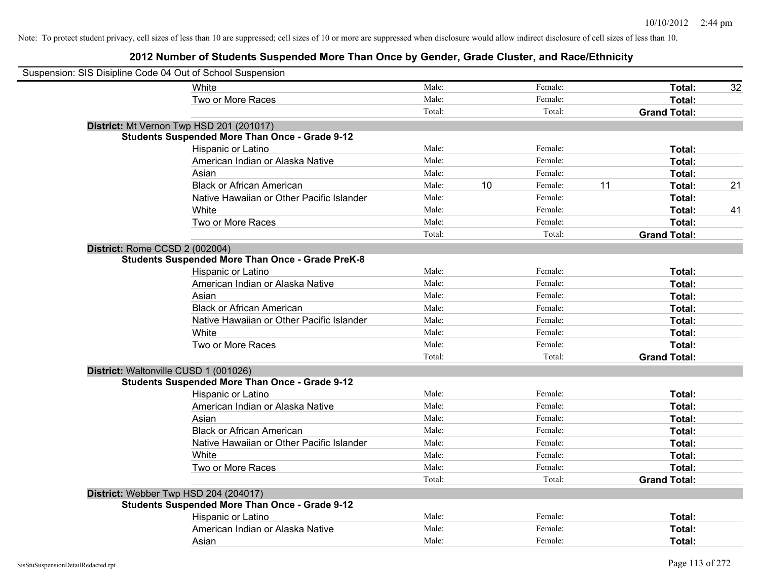| Suspension: SIS Disipline Code 04 Out of School Suspension |        |    |         |    |                     |    |
|------------------------------------------------------------|--------|----|---------|----|---------------------|----|
| White                                                      | Male:  |    | Female: |    | Total:              | 32 |
| Two or More Races                                          | Male:  |    | Female: |    | Total:              |    |
|                                                            | Total: |    | Total:  |    | <b>Grand Total:</b> |    |
| District: Mt Vernon Twp HSD 201 (201017)                   |        |    |         |    |                     |    |
| <b>Students Suspended More Than Once - Grade 9-12</b>      |        |    |         |    |                     |    |
| Hispanic or Latino                                         | Male:  |    | Female: |    | Total:              |    |
| American Indian or Alaska Native                           | Male:  |    | Female: |    | Total:              |    |
| Asian                                                      | Male:  |    | Female: |    | Total:              |    |
| <b>Black or African American</b>                           | Male:  | 10 | Female: | 11 | Total:              | 21 |
| Native Hawaiian or Other Pacific Islander                  | Male:  |    | Female: |    | Total:              |    |
| White                                                      | Male:  |    | Female: |    | Total:              | 41 |
| Two or More Races                                          | Male:  |    | Female: |    | Total:              |    |
|                                                            | Total: |    | Total:  |    | <b>Grand Total:</b> |    |
| District: Rome CCSD 2 (002004)                             |        |    |         |    |                     |    |
| <b>Students Suspended More Than Once - Grade PreK-8</b>    |        |    |         |    |                     |    |
| Hispanic or Latino                                         | Male:  |    | Female: |    | Total:              |    |
| American Indian or Alaska Native                           | Male:  |    | Female: |    | Total:              |    |
| Asian                                                      | Male:  |    | Female: |    | Total:              |    |
| <b>Black or African American</b>                           | Male:  |    | Female: |    | Total:              |    |
| Native Hawaiian or Other Pacific Islander                  | Male:  |    | Female: |    | Total:              |    |
| White                                                      | Male:  |    | Female: |    | Total:              |    |
| Two or More Races                                          | Male:  |    | Female: |    | Total:              |    |
|                                                            | Total: |    | Total:  |    | <b>Grand Total:</b> |    |
| District: Waltonville CUSD 1 (001026)                      |        |    |         |    |                     |    |
| <b>Students Suspended More Than Once - Grade 9-12</b>      |        |    |         |    |                     |    |
| Hispanic or Latino                                         | Male:  |    | Female: |    | Total:              |    |
| American Indian or Alaska Native                           | Male:  |    | Female: |    | Total:              |    |
| Asian                                                      | Male:  |    | Female: |    | Total:              |    |
| <b>Black or African American</b>                           | Male:  |    | Female: |    | Total:              |    |
| Native Hawaiian or Other Pacific Islander                  | Male:  |    | Female: |    | Total:              |    |
| White                                                      | Male:  |    | Female: |    | Total:              |    |
| Two or More Races                                          | Male:  |    | Female: |    | Total:              |    |
|                                                            | Total: |    | Total:  |    | <b>Grand Total:</b> |    |
| District: Webber Twp HSD 204 (204017)                      |        |    |         |    |                     |    |
| <b>Students Suspended More Than Once - Grade 9-12</b>      |        |    |         |    |                     |    |
| Hispanic or Latino                                         | Male:  |    | Female: |    | Total:              |    |
| American Indian or Alaska Native                           | Male:  |    | Female: |    | Total:              |    |
| Asian                                                      | Male:  |    | Female: |    | Total:              |    |
|                                                            |        |    |         |    |                     |    |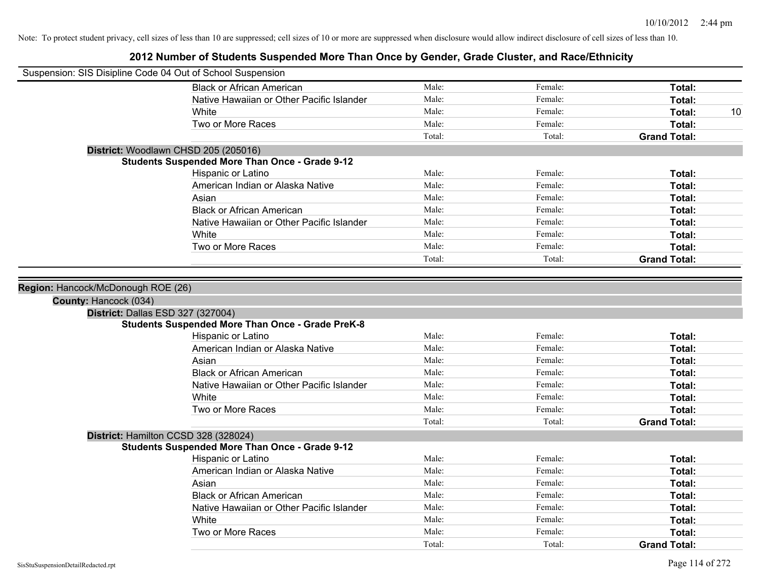| Suspension: SIS Disipline Code 04 Out of School Suspension |                                                         |        |         |                     |
|------------------------------------------------------------|---------------------------------------------------------|--------|---------|---------------------|
|                                                            | <b>Black or African American</b>                        | Male:  | Female: | Total:              |
|                                                            | Native Hawaiian or Other Pacific Islander               | Male:  | Female: | Total:              |
|                                                            | <b>White</b>                                            | Male:  | Female: | Total:<br>10        |
|                                                            | Two or More Races                                       | Male:  | Female: | Total:              |
|                                                            |                                                         | Total: | Total:  | <b>Grand Total:</b> |
|                                                            | District: Woodlawn CHSD 205 (205016)                    |        |         |                     |
|                                                            | <b>Students Suspended More Than Once - Grade 9-12</b>   |        |         |                     |
|                                                            | Hispanic or Latino                                      | Male:  | Female: | Total:              |
|                                                            | American Indian or Alaska Native                        | Male:  | Female: | Total:              |
|                                                            | Asian                                                   | Male:  | Female: | Total:              |
|                                                            | <b>Black or African American</b>                        | Male:  | Female: | Total:              |
|                                                            | Native Hawaiian or Other Pacific Islander               | Male:  | Female: | Total:              |
|                                                            | White                                                   | Male:  | Female: | Total:              |
|                                                            | Two or More Races                                       | Male:  | Female: | Total:              |
|                                                            |                                                         | Total: | Total:  | <b>Grand Total:</b> |
| County: Hancock (034)                                      |                                                         |        |         |                     |
| District: Dallas ESD 327 (327004)                          |                                                         |        |         |                     |
|                                                            | <b>Students Suspended More Than Once - Grade PreK-8</b> |        |         |                     |
|                                                            | Hispanic or Latino                                      | Male:  | Female: | Total:              |
|                                                            | American Indian or Alaska Native                        | Male:  | Female: | Total:              |
|                                                            | Asian                                                   | Male:  | Female: | Total:              |
|                                                            | <b>Black or African American</b>                        | Male:  | Female: | Total:              |
|                                                            | Native Hawaiian or Other Pacific Islander               | Male:  | Female: | Total:              |
|                                                            | White                                                   | Male:  | Female: | Total:              |
|                                                            | Two or More Races                                       | Male:  | Female: | Total:              |
|                                                            |                                                         | Total: | Total:  | <b>Grand Total:</b> |
| District: Hamilton CCSD 328 (328024)                       |                                                         |        |         |                     |
|                                                            | <b>Students Suspended More Than Once - Grade 9-12</b>   |        |         |                     |
|                                                            | Hispanic or Latino                                      | Male:  | Female: | Total:              |
|                                                            | American Indian or Alaska Native                        | Male:  | Female: | Total:              |
|                                                            | Asian                                                   | Male:  | Female: | Total:              |
|                                                            | <b>Black or African American</b>                        | Male:  | Female: | Total:              |
|                                                            | Native Hawaiian or Other Pacific Islander               | Male:  | Female: | Total:              |
|                                                            | White                                                   | Male:  | Female: | Total:              |
|                                                            | Two or More Races                                       | Male:  | Female: | <b>Total:</b>       |
|                                                            |                                                         | Total: | Total:  | <b>Grand Total:</b> |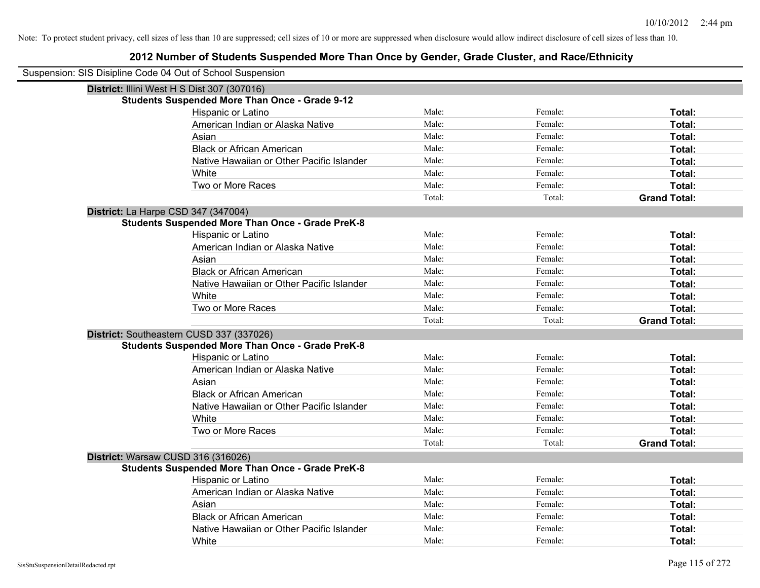| Suspension: SIS Disipline Code 04 Out of School Suspension |                                                         |        |         |                     |
|------------------------------------------------------------|---------------------------------------------------------|--------|---------|---------------------|
| District: Illini West H S Dist 307 (307016)                |                                                         |        |         |                     |
|                                                            | <b>Students Suspended More Than Once - Grade 9-12</b>   |        |         |                     |
|                                                            | Hispanic or Latino                                      | Male:  | Female: | Total:              |
|                                                            | American Indian or Alaska Native                        | Male:  | Female: | Total:              |
|                                                            | Asian                                                   | Male:  | Female: | Total:              |
|                                                            | <b>Black or African American</b>                        | Male:  | Female: | Total:              |
|                                                            | Native Hawaiian or Other Pacific Islander               | Male:  | Female: | Total:              |
|                                                            | White                                                   | Male:  | Female: | Total:              |
|                                                            | Two or More Races                                       | Male:  | Female: | Total:              |
|                                                            |                                                         | Total: | Total:  | <b>Grand Total:</b> |
| District: La Harpe CSD 347 (347004)                        |                                                         |        |         |                     |
|                                                            | <b>Students Suspended More Than Once - Grade PreK-8</b> |        |         |                     |
|                                                            | Hispanic or Latino                                      | Male:  | Female: | Total:              |
|                                                            | American Indian or Alaska Native                        | Male:  | Female: | Total:              |
|                                                            | Asian                                                   | Male:  | Female: | Total:              |
|                                                            | <b>Black or African American</b>                        | Male:  | Female: | Total:              |
|                                                            | Native Hawaiian or Other Pacific Islander               | Male:  | Female: | Total:              |
|                                                            | White                                                   | Male:  | Female: | Total:              |
|                                                            | Two or More Races                                       | Male:  | Female: | Total:              |
|                                                            |                                                         | Total: | Total:  | <b>Grand Total:</b> |
| District: Southeastern CUSD 337 (337026)                   |                                                         |        |         |                     |
|                                                            | <b>Students Suspended More Than Once - Grade PreK-8</b> |        |         |                     |
|                                                            | Hispanic or Latino                                      | Male:  | Female: | Total:              |
|                                                            | American Indian or Alaska Native                        | Male:  | Female: | Total:              |
|                                                            | Asian                                                   | Male:  | Female: | <b>Total:</b>       |
|                                                            | <b>Black or African American</b>                        | Male:  | Female: | Total:              |
|                                                            | Native Hawaiian or Other Pacific Islander               | Male:  | Female: | Total:              |
|                                                            | White                                                   | Male:  | Female: | Total:              |
|                                                            | Two or More Races                                       | Male:  | Female: | Total:              |
|                                                            |                                                         | Total: | Total:  | <b>Grand Total:</b> |
| District: Warsaw CUSD 316 (316026)                         |                                                         |        |         |                     |
|                                                            | <b>Students Suspended More Than Once - Grade PreK-8</b> |        |         |                     |
|                                                            | Hispanic or Latino                                      | Male:  | Female: | Total:              |
|                                                            | American Indian or Alaska Native                        | Male:  | Female: | Total:              |
|                                                            | Asian                                                   | Male:  | Female: | Total:              |
|                                                            | <b>Black or African American</b>                        | Male:  | Female: | Total:              |
|                                                            | Native Hawaiian or Other Pacific Islander               | Male:  | Female: | Total:              |
|                                                            | White                                                   | Male:  | Female: | Total:              |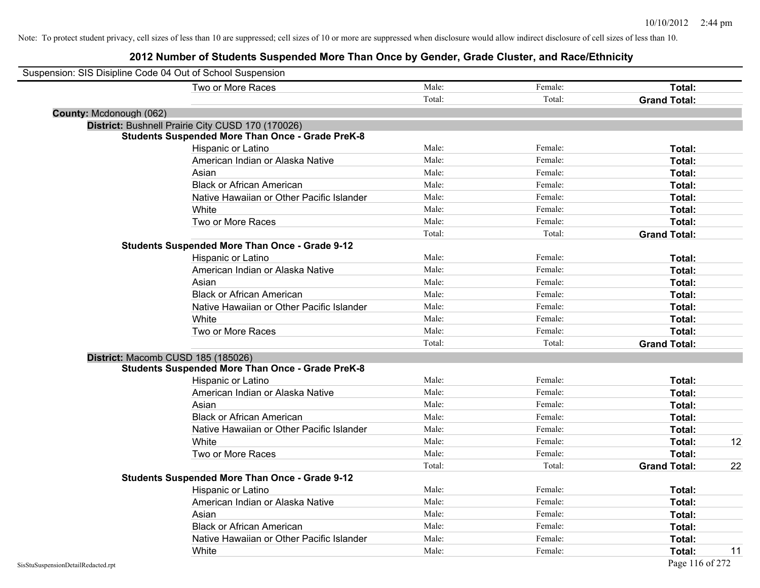| Suspension: SIS Disipline Code 04 Out of School Suspension |                                                         |        |         |                     |    |
|------------------------------------------------------------|---------------------------------------------------------|--------|---------|---------------------|----|
|                                                            | Two or More Races                                       | Male:  | Female: | Total:              |    |
|                                                            |                                                         | Total: | Total:  | <b>Grand Total:</b> |    |
| County: Mcdonough (062)                                    |                                                         |        |         |                     |    |
|                                                            | District: Bushnell Prairie City CUSD 170 (170026)       |        |         |                     |    |
|                                                            | <b>Students Suspended More Than Once - Grade PreK-8</b> |        |         |                     |    |
|                                                            | Hispanic or Latino                                      | Male:  | Female: | Total:              |    |
|                                                            | American Indian or Alaska Native                        | Male:  | Female: | Total:              |    |
|                                                            | Asian                                                   | Male:  | Female: | Total:              |    |
|                                                            | <b>Black or African American</b>                        | Male:  | Female: | Total:              |    |
|                                                            | Native Hawaiian or Other Pacific Islander               | Male:  | Female: | Total:              |    |
|                                                            | White                                                   | Male:  | Female: | Total:              |    |
|                                                            | Two or More Races                                       | Male:  | Female: | Total:              |    |
|                                                            |                                                         | Total: | Total:  | <b>Grand Total:</b> |    |
|                                                            | <b>Students Suspended More Than Once - Grade 9-12</b>   |        |         |                     |    |
|                                                            | Hispanic or Latino                                      | Male:  | Female: | Total:              |    |
|                                                            | American Indian or Alaska Native                        | Male:  | Female: | Total:              |    |
|                                                            | Asian                                                   | Male:  | Female: | Total:              |    |
|                                                            | <b>Black or African American</b>                        | Male:  | Female: | Total:              |    |
|                                                            | Native Hawaiian or Other Pacific Islander               | Male:  | Female: | Total:              |    |
|                                                            | White                                                   | Male:  | Female: | Total:              |    |
|                                                            | Two or More Races                                       | Male:  | Female: | Total:              |    |
|                                                            |                                                         | Total: | Total:  | <b>Grand Total:</b> |    |
| District: Macomb CUSD 185 (185026)                         |                                                         |        |         |                     |    |
|                                                            | <b>Students Suspended More Than Once - Grade PreK-8</b> |        |         |                     |    |
|                                                            | Hispanic or Latino                                      | Male:  | Female: | Total:              |    |
|                                                            | American Indian or Alaska Native                        | Male:  | Female: | Total:              |    |
|                                                            | Asian                                                   | Male:  | Female: | Total:              |    |
|                                                            | <b>Black or African American</b>                        | Male:  | Female: | Total:              |    |
|                                                            | Native Hawaiian or Other Pacific Islander               | Male:  | Female: | Total:              |    |
|                                                            | White                                                   | Male:  | Female: | Total:              | 12 |
|                                                            | Two or More Races                                       | Male:  | Female: | <b>Total:</b>       |    |
|                                                            |                                                         | Total: | Total:  | <b>Grand Total:</b> | 22 |
|                                                            | <b>Students Suspended More Than Once - Grade 9-12</b>   |        |         |                     |    |
|                                                            | Hispanic or Latino                                      | Male:  | Female: | Total:              |    |
|                                                            | American Indian or Alaska Native                        | Male:  | Female: | Total:              |    |
|                                                            | Asian                                                   | Male:  | Female: | Total:              |    |
|                                                            | <b>Black or African American</b>                        | Male:  | Female: | Total:              |    |
|                                                            | Native Hawaiian or Other Pacific Islander               | Male:  | Female: | Total:              |    |
|                                                            | White                                                   | Male:  | Female: | Total:              | 11 |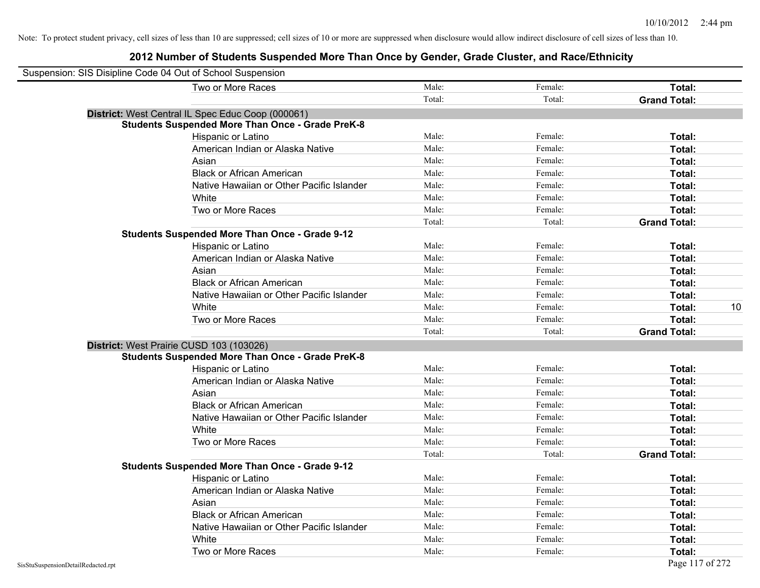| Suspension: SIS Disipline Code 04 Out of School Suspension |        |         |                     |    |
|------------------------------------------------------------|--------|---------|---------------------|----|
| Two or More Races                                          | Male:  | Female: | Total:              |    |
|                                                            | Total: | Total:  | <b>Grand Total:</b> |    |
| District: West Central IL Spec Educ Coop (000061)          |        |         |                     |    |
| <b>Students Suspended More Than Once - Grade PreK-8</b>    |        |         |                     |    |
| Hispanic or Latino                                         | Male:  | Female: | Total:              |    |
| American Indian or Alaska Native                           | Male:  | Female: | Total:              |    |
| Asian                                                      | Male:  | Female: | Total:              |    |
| <b>Black or African American</b>                           | Male:  | Female: | Total:              |    |
| Native Hawaiian or Other Pacific Islander                  | Male:  | Female: | Total:              |    |
| White                                                      | Male:  | Female: | Total:              |    |
| Two or More Races                                          | Male:  | Female: | Total:              |    |
|                                                            | Total: | Total:  | <b>Grand Total:</b> |    |
| <b>Students Suspended More Than Once - Grade 9-12</b>      |        |         |                     |    |
| Hispanic or Latino                                         | Male:  | Female: | Total:              |    |
| American Indian or Alaska Native                           | Male:  | Female: | Total:              |    |
| Asian                                                      | Male:  | Female: | Total:              |    |
| <b>Black or African American</b>                           | Male:  | Female: | Total:              |    |
| Native Hawaiian or Other Pacific Islander                  | Male:  | Female: | Total:              |    |
| White                                                      | Male:  | Female: | Total:              | 10 |
| Two or More Races                                          | Male:  | Female: | Total:              |    |
|                                                            | Total: | Total:  | <b>Grand Total:</b> |    |
| District: West Prairie CUSD 103 (103026)                   |        |         |                     |    |
| <b>Students Suspended More Than Once - Grade PreK-8</b>    |        |         |                     |    |
| Hispanic or Latino                                         | Male:  | Female: | Total:              |    |
| American Indian or Alaska Native                           | Male:  | Female: | Total:              |    |
| Asian                                                      | Male:  | Female: | Total:              |    |
| <b>Black or African American</b>                           | Male:  | Female: | Total:              |    |
| Native Hawaiian or Other Pacific Islander                  | Male:  | Female: | Total:              |    |
| White                                                      | Male:  | Female: | Total:              |    |
| Two or More Races                                          | Male:  | Female: | Total:              |    |
|                                                            | Total: | Total:  | <b>Grand Total:</b> |    |
| <b>Students Suspended More Than Once - Grade 9-12</b>      |        |         |                     |    |
| Hispanic or Latino                                         | Male:  | Female: | Total:              |    |
| American Indian or Alaska Native                           | Male:  | Female: | Total:              |    |
| Asian                                                      | Male:  | Female: | Total:              |    |
| <b>Black or African American</b>                           | Male:  | Female: | Total:              |    |
| Native Hawaiian or Other Pacific Islander                  | Male:  | Female: | Total:              |    |
| White                                                      | Male:  | Female: | Total:              |    |
| Two or More Races                                          | Male:  | Female: | Total:              |    |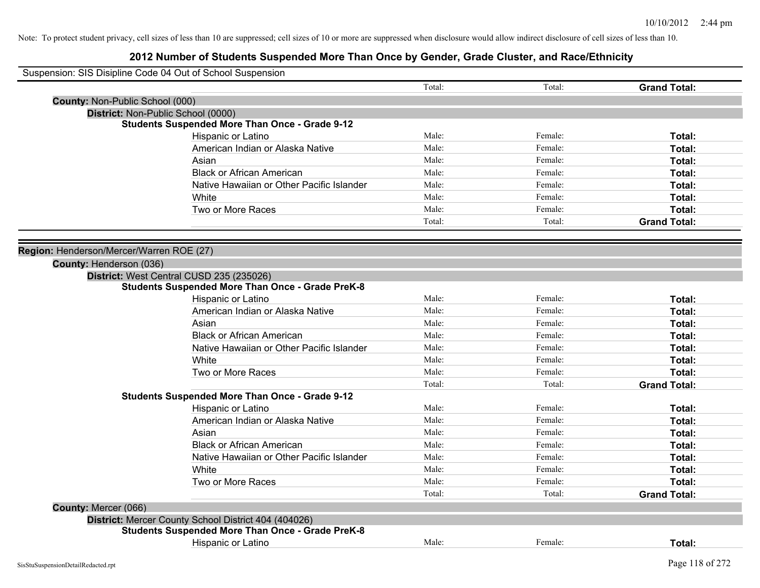|                                          | Suspension: SIS Disipline Code 04 Out of School Suspension |        |         |                     |
|------------------------------------------|------------------------------------------------------------|--------|---------|---------------------|
|                                          |                                                            | Total: | Total:  | <b>Grand Total:</b> |
| <b>County: Non-Public School (000)</b>   |                                                            |        |         |                     |
|                                          | District: Non-Public School (0000)                         |        |         |                     |
|                                          | <b>Students Suspended More Than Once - Grade 9-12</b>      |        |         |                     |
|                                          | Hispanic or Latino                                         | Male:  | Female: | Total:              |
|                                          | American Indian or Alaska Native                           | Male:  | Female: | Total:              |
|                                          | Asian                                                      | Male:  | Female: | Total:              |
|                                          | <b>Black or African American</b>                           | Male:  | Female: | Total:              |
|                                          | Native Hawaiian or Other Pacific Islander                  | Male:  | Female: | Total:              |
|                                          | White                                                      | Male:  | Female: | Total:              |
|                                          | Two or More Races                                          | Male:  | Female: | Total:              |
|                                          |                                                            | Total: | Total:  | <b>Grand Total:</b> |
|                                          |                                                            |        |         |                     |
| Region: Henderson/Mercer/Warren ROE (27) |                                                            |        |         |                     |
| County: Henderson (036)                  |                                                            |        |         |                     |
|                                          | District: West Central CUSD 235 (235026)                   |        |         |                     |
|                                          | <b>Students Suspended More Than Once - Grade PreK-8</b>    |        |         |                     |
|                                          | Hispanic or Latino                                         | Male:  | Female: | Total:              |
|                                          | American Indian or Alaska Native                           | Male:  | Female: | Total:              |
|                                          | Asian                                                      | Male:  | Female: | Total:              |
|                                          | <b>Black or African American</b>                           | Male:  | Female: | Total:              |
|                                          | Native Hawaiian or Other Pacific Islander                  | Male:  | Female: | Total:              |
|                                          | White                                                      | Male:  | Female: | Total:              |
|                                          | Two or More Races                                          | Male:  | Female: | Total:              |
|                                          |                                                            | Total: | Total:  | <b>Grand Total:</b> |
|                                          | <b>Students Suspended More Than Once - Grade 9-12</b>      |        |         |                     |
|                                          | Hispanic or Latino                                         | Male:  | Female: | Total:              |
|                                          | American Indian or Alaska Native                           | Male:  | Female: | Total:              |
|                                          | Asian                                                      | Male:  | Female: | Total:              |
|                                          | <b>Black or African American</b>                           | Male:  | Female: | Total:              |
|                                          | Native Hawaiian or Other Pacific Islander                  | Male:  | Female: | Total:              |
|                                          | <b>White</b>                                               | Male:  | Female: | Total:              |
|                                          | Two or More Races                                          | Male:  | Female: | Total:              |
|                                          |                                                            | Total: | Total:  | <b>Grand Total:</b> |
| County: Mercer (066)                     |                                                            |        |         |                     |
|                                          | District: Mercer County School District 404 (404026)       |        |         |                     |
|                                          | <b>Students Suspended More Than Once - Grade PreK-8</b>    |        |         |                     |
|                                          | Hispanic or Latino                                         | Male:  | Female: | Total:              |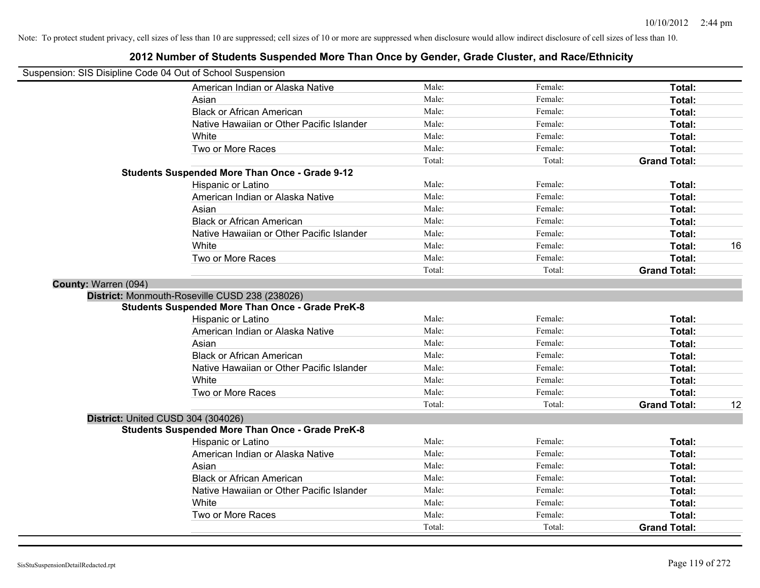| Suspension: SIS Disipline Code 04 Out of School Suspension | ZUTZ NUMBER OF SHUGEMS SUSPENDED MOTE THAN ONCE BY OCHUER, SHUGE SHUSICI, AND NACE/LIMINIUTY |        |         |                     |    |
|------------------------------------------------------------|----------------------------------------------------------------------------------------------|--------|---------|---------------------|----|
|                                                            | American Indian or Alaska Native                                                             | Male:  | Female: | Total:              |    |
|                                                            | Asian                                                                                        | Male:  | Female: | Total:              |    |
|                                                            | <b>Black or African American</b>                                                             | Male:  | Female: | Total:              |    |
|                                                            | Native Hawaiian or Other Pacific Islander                                                    | Male:  | Female: | Total:              |    |
|                                                            | White                                                                                        | Male:  | Female: | Total:              |    |
|                                                            | Two or More Races                                                                            | Male:  | Female: | Total:              |    |
|                                                            |                                                                                              | Total: | Total:  | <b>Grand Total:</b> |    |
|                                                            | <b>Students Suspended More Than Once - Grade 9-12</b>                                        |        |         |                     |    |
|                                                            | Hispanic or Latino                                                                           | Male:  | Female: | Total:              |    |
|                                                            | American Indian or Alaska Native                                                             | Male:  | Female: | Total:              |    |
|                                                            | Asian                                                                                        | Male:  | Female: | Total:              |    |
|                                                            | <b>Black or African American</b>                                                             | Male:  | Female: | Total:              |    |
|                                                            | Native Hawaiian or Other Pacific Islander                                                    | Male:  | Female: | Total:              |    |
|                                                            | White                                                                                        | Male:  | Female: | Total:              | 16 |
|                                                            | Two or More Races                                                                            | Male:  | Female: | Total:              |    |
|                                                            |                                                                                              | Total: | Total:  | <b>Grand Total:</b> |    |
| County: Warren (094)                                       |                                                                                              |        |         |                     |    |
|                                                            | District: Monmouth-Roseville CUSD 238 (238026)                                               |        |         |                     |    |
|                                                            | <b>Students Suspended More Than Once - Grade PreK-8</b>                                      |        |         |                     |    |
|                                                            | Hispanic or Latino                                                                           | Male:  | Female: | Total:              |    |
|                                                            | American Indian or Alaska Native                                                             | Male:  | Female: | Total:              |    |
|                                                            | Asian                                                                                        | Male:  | Female: | Total:              |    |
|                                                            | <b>Black or African American</b>                                                             | Male:  | Female: | Total:              |    |
|                                                            | Native Hawaiian or Other Pacific Islander                                                    | Male:  | Female: | Total:              |    |
|                                                            | White                                                                                        | Male:  | Female: | Total:              |    |
|                                                            | Two or More Races                                                                            | Male:  | Female: | Total:              |    |
|                                                            |                                                                                              | Total: | Total:  | <b>Grand Total:</b> | 12 |
| District: United CUSD 304 (304026)                         |                                                                                              |        |         |                     |    |
|                                                            | <b>Students Suspended More Than Once - Grade PreK-8</b>                                      |        |         |                     |    |
|                                                            | Hispanic or Latino                                                                           | Male:  | Female: | Total:              |    |
|                                                            | American Indian or Alaska Native                                                             | Male:  | Female: | Total:              |    |
|                                                            | Asian                                                                                        | Male:  | Female: | Total:              |    |
|                                                            | <b>Black or African American</b>                                                             | Male:  | Female: | Total:              |    |
|                                                            | Native Hawaiian or Other Pacific Islander                                                    | Male:  | Female: | Total:              |    |
|                                                            | White                                                                                        | Male:  | Female: | Total:              |    |
|                                                            | Two or More Races                                                                            | Male:  | Female: | Total:              |    |
|                                                            |                                                                                              | Total: | Total:  | <b>Grand Total:</b> |    |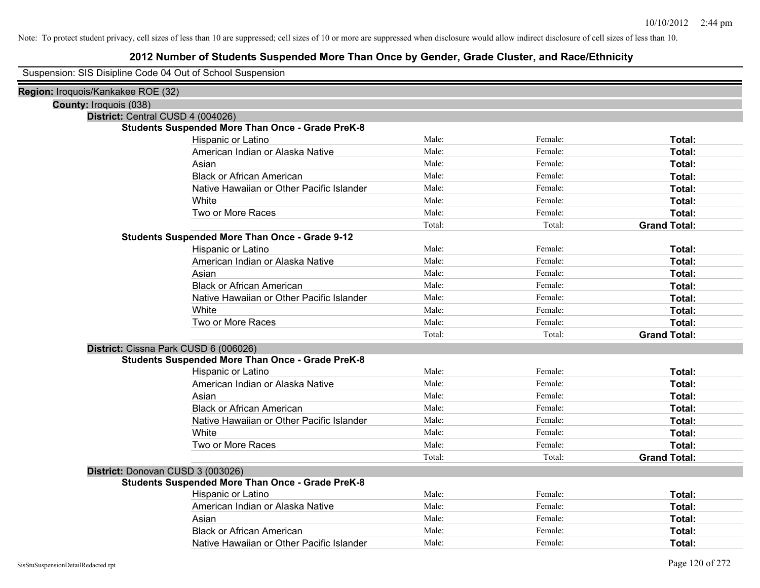| Suspension: SIS Disipline Code 04 Out of School Suspension |                                                         |        |         |                     |
|------------------------------------------------------------|---------------------------------------------------------|--------|---------|---------------------|
| Region: Iroquois/Kankakee ROE (32)                         |                                                         |        |         |                     |
| <b>County: Iroquois (038)</b>                              |                                                         |        |         |                     |
| District: Central CUSD 4 (004026)                          |                                                         |        |         |                     |
|                                                            | <b>Students Suspended More Than Once - Grade PreK-8</b> |        |         |                     |
|                                                            | Hispanic or Latino                                      | Male:  | Female: | Total:              |
|                                                            | American Indian or Alaska Native                        | Male:  | Female: | Total:              |
|                                                            | Asian                                                   | Male:  | Female: | Total:              |
|                                                            | <b>Black or African American</b>                        | Male:  | Female: | Total:              |
|                                                            | Native Hawaiian or Other Pacific Islander               | Male:  | Female: | Total:              |
|                                                            | White                                                   | Male:  | Female: | Total:              |
|                                                            | Two or More Races                                       | Male:  | Female: | Total:              |
|                                                            |                                                         | Total: | Total:  | <b>Grand Total:</b> |
|                                                            | <b>Students Suspended More Than Once - Grade 9-12</b>   |        |         |                     |
|                                                            | Hispanic or Latino                                      | Male:  | Female: | Total:              |
|                                                            | American Indian or Alaska Native                        | Male:  | Female: | Total:              |
|                                                            | Asian                                                   | Male:  | Female: | Total:              |
|                                                            | <b>Black or African American</b>                        | Male:  | Female: | Total:              |
|                                                            | Native Hawaiian or Other Pacific Islander               | Male:  | Female: | Total:              |
|                                                            | White                                                   | Male:  | Female: | Total:              |
|                                                            | Two or More Races                                       | Male:  | Female: | Total:              |
|                                                            |                                                         | Total: | Total:  | <b>Grand Total:</b> |
|                                                            | District: Cissna Park CUSD 6 (006026)                   |        |         |                     |
|                                                            | <b>Students Suspended More Than Once - Grade PreK-8</b> |        |         |                     |
|                                                            | Hispanic or Latino                                      | Male:  | Female: | Total:              |
|                                                            | American Indian or Alaska Native                        | Male:  | Female: | Total:              |
|                                                            | Asian                                                   | Male:  | Female: | Total:              |
|                                                            | <b>Black or African American</b>                        | Male:  | Female: | Total:              |
|                                                            | Native Hawaiian or Other Pacific Islander               | Male:  | Female: | Total:              |
|                                                            | White                                                   | Male:  | Female: | Total:              |
|                                                            | Two or More Races                                       | Male:  | Female: | Total:              |
|                                                            |                                                         | Total: | Total:  | <b>Grand Total:</b> |
|                                                            | District: Donovan CUSD 3 (003026)                       |        |         |                     |
|                                                            | <b>Students Suspended More Than Once - Grade PreK-8</b> |        |         |                     |
|                                                            | Hispanic or Latino                                      | Male:  | Female: | Total:              |
|                                                            | American Indian or Alaska Native                        | Male:  | Female: | Total:              |
|                                                            | Asian                                                   | Male:  | Female: | Total:              |
|                                                            | <b>Black or African American</b>                        | Male:  | Female: | Total:              |
|                                                            | Native Hawaiian or Other Pacific Islander               | Male:  | Female: | Total:              |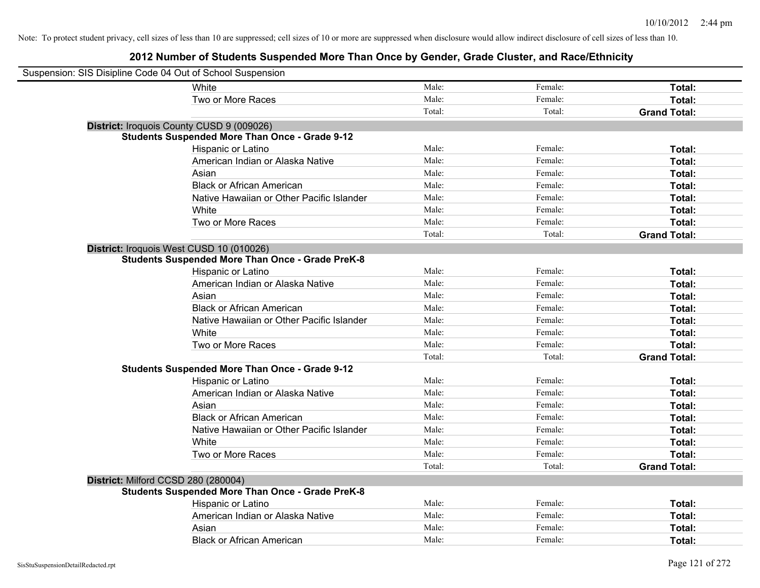| Suspension: SIS Disipline Code 04 Out of School Suspension |                                                         |        |         |                     |
|------------------------------------------------------------|---------------------------------------------------------|--------|---------|---------------------|
|                                                            | White                                                   | Male:  | Female: | Total:              |
|                                                            | Two or More Races                                       | Male:  | Female: | Total:              |
|                                                            |                                                         | Total: | Total:  | <b>Grand Total:</b> |
|                                                            | District: Iroquois County CUSD 9 (009026)               |        |         |                     |
|                                                            | <b>Students Suspended More Than Once - Grade 9-12</b>   |        |         |                     |
|                                                            | Hispanic or Latino                                      | Male:  | Female: | Total:              |
|                                                            | American Indian or Alaska Native                        | Male:  | Female: | Total:              |
|                                                            | Asian                                                   | Male:  | Female: | Total:              |
|                                                            | <b>Black or African American</b>                        | Male:  | Female: | Total:              |
|                                                            | Native Hawaiian or Other Pacific Islander               | Male:  | Female: | Total:              |
|                                                            | White                                                   | Male:  | Female: | Total:              |
|                                                            | Two or More Races                                       | Male:  | Female: | Total:              |
|                                                            |                                                         | Total: | Total:  | <b>Grand Total:</b> |
|                                                            | District: Iroquois West CUSD 10 (010026)                |        |         |                     |
|                                                            | <b>Students Suspended More Than Once - Grade PreK-8</b> |        |         |                     |
|                                                            | Hispanic or Latino                                      | Male:  | Female: | Total:              |
|                                                            | American Indian or Alaska Native                        | Male:  | Female: | Total:              |
|                                                            | Asian                                                   | Male:  | Female: | Total:              |
|                                                            | <b>Black or African American</b>                        | Male:  | Female: | Total:              |
|                                                            | Native Hawaiian or Other Pacific Islander               | Male:  | Female: | Total:              |
|                                                            | White                                                   | Male:  | Female: | Total:              |
|                                                            | Two or More Races                                       | Male:  | Female: | Total:              |
|                                                            |                                                         | Total: | Total:  | <b>Grand Total:</b> |
|                                                            | <b>Students Suspended More Than Once - Grade 9-12</b>   |        |         |                     |
|                                                            | Hispanic or Latino                                      | Male:  | Female: | Total:              |
|                                                            | American Indian or Alaska Native                        | Male:  | Female: | Total:              |
|                                                            | Asian                                                   | Male:  | Female: | Total:              |
|                                                            | <b>Black or African American</b>                        | Male:  | Female: | Total:              |
|                                                            | Native Hawaiian or Other Pacific Islander               | Male:  | Female: | Total:              |
|                                                            | White                                                   | Male:  | Female: | Total:              |
|                                                            | Two or More Races                                       | Male:  | Female: | Total:              |
|                                                            |                                                         | Total: | Total:  | <b>Grand Total:</b> |
| District: Milford CCSD 280 (280004)                        |                                                         |        |         |                     |
|                                                            | <b>Students Suspended More Than Once - Grade PreK-8</b> |        |         |                     |
|                                                            | Hispanic or Latino                                      | Male:  | Female: | Total:              |
|                                                            | American Indian or Alaska Native                        | Male:  | Female: | Total:              |
|                                                            | Asian                                                   | Male:  | Female: | Total:              |
|                                                            | <b>Black or African American</b>                        | Male:  | Female: | Total:              |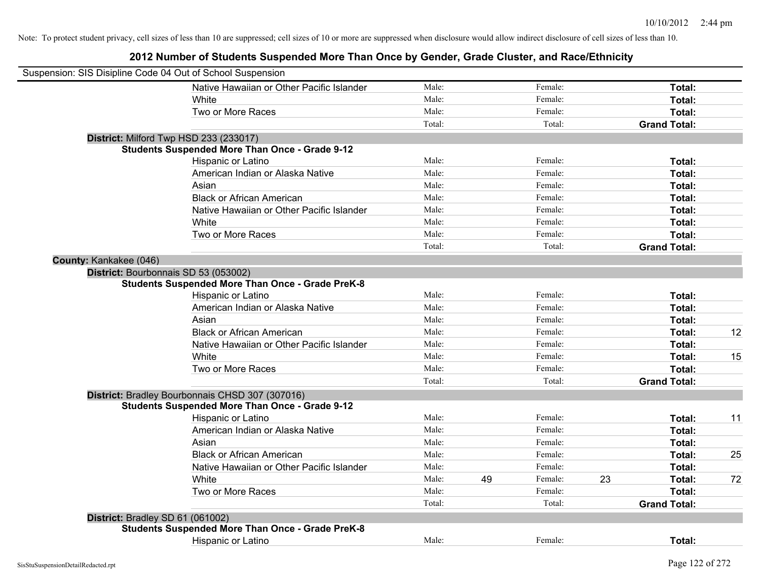| Suspension: SIS Disipline Code 04 Out of School Suspension |                                                         |        |    |         |    |                     |    |
|------------------------------------------------------------|---------------------------------------------------------|--------|----|---------|----|---------------------|----|
|                                                            | Native Hawaiian or Other Pacific Islander               | Male:  |    | Female: |    | Total:              |    |
|                                                            | White                                                   | Male:  |    | Female: |    | Total:              |    |
|                                                            | Two or More Races                                       | Male:  |    | Female: |    | Total:              |    |
|                                                            |                                                         | Total: |    | Total:  |    | <b>Grand Total:</b> |    |
| District: Milford Twp HSD 233 (233017)                     |                                                         |        |    |         |    |                     |    |
|                                                            | <b>Students Suspended More Than Once - Grade 9-12</b>   |        |    |         |    |                     |    |
|                                                            | Hispanic or Latino                                      | Male:  |    | Female: |    | Total:              |    |
|                                                            | American Indian or Alaska Native                        | Male:  |    | Female: |    | Total:              |    |
|                                                            | Asian                                                   | Male:  |    | Female: |    | Total:              |    |
|                                                            | <b>Black or African American</b>                        | Male:  |    | Female: |    | Total:              |    |
|                                                            | Native Hawaiian or Other Pacific Islander               | Male:  |    | Female: |    | Total:              |    |
|                                                            | White                                                   | Male:  |    | Female: |    | Total:              |    |
|                                                            | Two or More Races                                       | Male:  |    | Female: |    | Total:              |    |
|                                                            |                                                         | Total: |    | Total:  |    | <b>Grand Total:</b> |    |
| County: Kankakee (046)                                     |                                                         |        |    |         |    |                     |    |
| District: Bourbonnais SD 53 (053002)                       |                                                         |        |    |         |    |                     |    |
|                                                            | <b>Students Suspended More Than Once - Grade PreK-8</b> |        |    |         |    |                     |    |
|                                                            | Hispanic or Latino                                      | Male:  |    | Female: |    | Total:              |    |
|                                                            | American Indian or Alaska Native                        | Male:  |    | Female: |    | Total:              |    |
|                                                            | Asian                                                   | Male:  |    | Female: |    | Total:              |    |
|                                                            | <b>Black or African American</b>                        | Male:  |    | Female: |    | Total:              | 12 |
|                                                            | Native Hawaiian or Other Pacific Islander               | Male:  |    | Female: |    | Total:              |    |
|                                                            | White                                                   | Male:  |    | Female: |    | Total:              | 15 |
|                                                            | Two or More Races                                       | Male:  |    | Female: |    | Total:              |    |
|                                                            |                                                         | Total: |    | Total:  |    | <b>Grand Total:</b> |    |
|                                                            | District: Bradley Bourbonnais CHSD 307 (307016)         |        |    |         |    |                     |    |
|                                                            | <b>Students Suspended More Than Once - Grade 9-12</b>   |        |    |         |    |                     |    |
|                                                            | Hispanic or Latino                                      | Male:  |    | Female: |    | Total:              | 11 |
|                                                            | American Indian or Alaska Native                        | Male:  |    | Female: |    | Total:              |    |
|                                                            | Asian                                                   | Male:  |    | Female: |    | Total:              |    |
|                                                            | <b>Black or African American</b>                        | Male:  |    | Female: |    | Total:              | 25 |
|                                                            | Native Hawaiian or Other Pacific Islander               | Male:  |    | Female: |    | Total:              |    |
|                                                            | White                                                   | Male:  | 49 | Female: | 23 | Total:              | 72 |
|                                                            | Two or More Races                                       | Male:  |    | Female: |    | Total:              |    |
|                                                            |                                                         | Total: |    | Total:  |    | <b>Grand Total:</b> |    |
| District: Bradley SD 61 (061002)                           |                                                         |        |    |         |    |                     |    |
|                                                            | <b>Students Suspended More Than Once - Grade PreK-8</b> |        |    |         |    |                     |    |
|                                                            | <b>Hispanic or Latino</b>                               | Male:  |    | Female: |    | Total:              |    |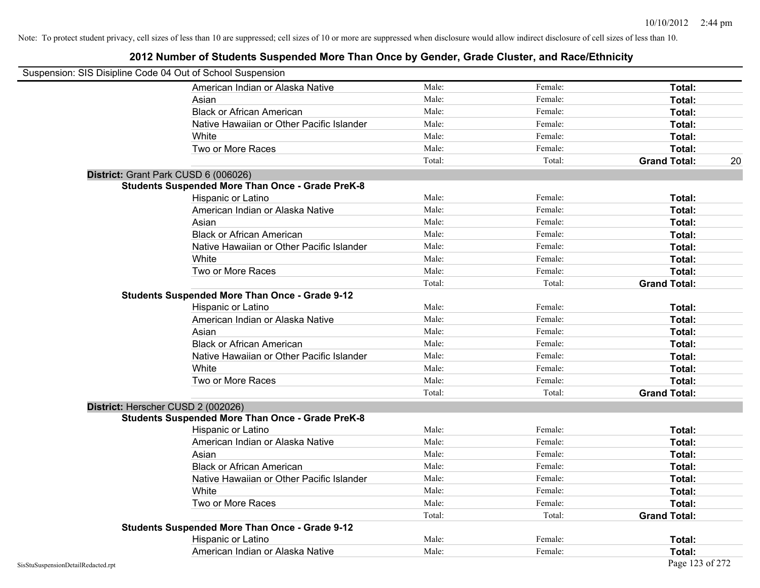| Suspension: SIS Disipline Code 04 Out of School Suspension |                                                         |        |         |                     |    |
|------------------------------------------------------------|---------------------------------------------------------|--------|---------|---------------------|----|
|                                                            | American Indian or Alaska Native                        | Male:  | Female: | <b>Total:</b>       |    |
|                                                            | Asian                                                   | Male:  | Female: | Total:              |    |
|                                                            | <b>Black or African American</b>                        | Male:  | Female: | Total:              |    |
|                                                            | Native Hawaiian or Other Pacific Islander               | Male:  | Female: | Total:              |    |
|                                                            | White                                                   | Male:  | Female: | Total:              |    |
|                                                            | Two or More Races                                       | Male:  | Female: | Total:              |    |
|                                                            |                                                         | Total: | Total:  | <b>Grand Total:</b> | 20 |
|                                                            | District: Grant Park CUSD 6 (006026)                    |        |         |                     |    |
|                                                            | <b>Students Suspended More Than Once - Grade PreK-8</b> |        |         |                     |    |
|                                                            | Hispanic or Latino                                      | Male:  | Female: | Total:              |    |
|                                                            | American Indian or Alaska Native                        | Male:  | Female: | Total:              |    |
|                                                            | Asian                                                   | Male:  | Female: | Total:              |    |
|                                                            | <b>Black or African American</b>                        | Male:  | Female: | Total:              |    |
|                                                            | Native Hawaiian or Other Pacific Islander               | Male:  | Female: | Total:              |    |
|                                                            | White                                                   | Male:  | Female: | Total:              |    |
|                                                            | Two or More Races                                       | Male:  | Female: | Total:              |    |
|                                                            |                                                         | Total: | Total:  | <b>Grand Total:</b> |    |
|                                                            | <b>Students Suspended More Than Once - Grade 9-12</b>   |        |         |                     |    |
|                                                            | Hispanic or Latino                                      | Male:  | Female: | Total:              |    |
|                                                            | American Indian or Alaska Native                        | Male:  | Female: | Total:              |    |
|                                                            | Asian                                                   | Male:  | Female: | Total:              |    |
|                                                            | <b>Black or African American</b>                        | Male:  | Female: | Total:              |    |
|                                                            | Native Hawaiian or Other Pacific Islander               | Male:  | Female: | Total:              |    |
|                                                            | White                                                   | Male:  | Female: | Total:              |    |
|                                                            | Two or More Races                                       | Male:  | Female: | Total:              |    |
|                                                            |                                                         | Total: | Total:  | <b>Grand Total:</b> |    |
|                                                            | District: Herscher CUSD 2 (002026)                      |        |         |                     |    |
|                                                            | <b>Students Suspended More Than Once - Grade PreK-8</b> |        |         |                     |    |
|                                                            | Hispanic or Latino                                      | Male:  | Female: | Total:              |    |
|                                                            | American Indian or Alaska Native                        | Male:  | Female: | Total:              |    |
|                                                            | Asian                                                   | Male:  | Female: | Total:              |    |
|                                                            | <b>Black or African American</b>                        | Male:  | Female: | Total:              |    |
|                                                            | Native Hawaiian or Other Pacific Islander               | Male:  | Female: | Total:              |    |
|                                                            | White                                                   | Male:  | Female: | Total:              |    |
|                                                            | Two or More Races                                       | Male:  | Female: | <b>Total:</b>       |    |
|                                                            |                                                         | Total: | Total:  | <b>Grand Total:</b> |    |
|                                                            | <b>Students Suspended More Than Once - Grade 9-12</b>   |        |         |                     |    |
|                                                            | Hispanic or Latino                                      | Male:  | Female: | Total:              |    |
|                                                            | American Indian or Alaska Native                        | Male:  | Female: | Total:              |    |
| SisStuSuspensionDetailRedacted.rpt                         |                                                         |        |         | Page 123 of 272     |    |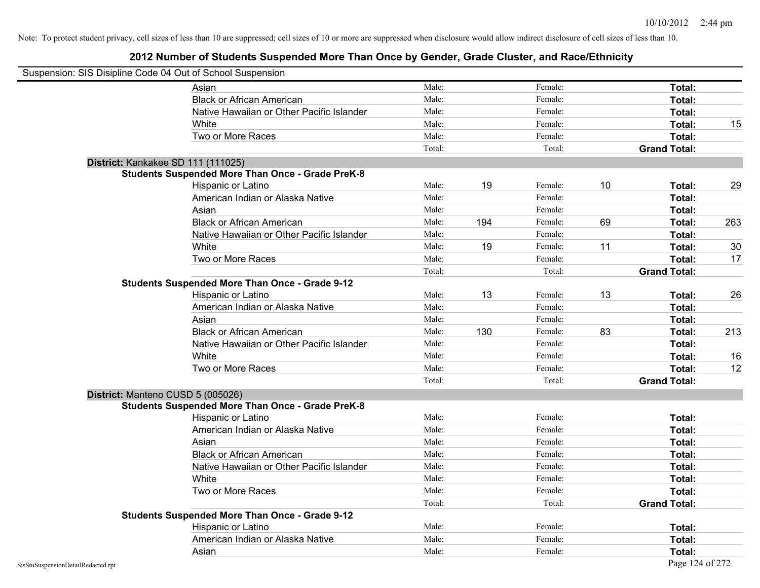|                                    | Suspension: SIS Disipline Code 04 Out of School Suspension |        |     |         |    |                     |     |
|------------------------------------|------------------------------------------------------------|--------|-----|---------|----|---------------------|-----|
|                                    | Asian                                                      | Male:  |     | Female: |    | Total:              |     |
|                                    | <b>Black or African American</b>                           | Male:  |     | Female: |    | Total:              |     |
|                                    | Native Hawaiian or Other Pacific Islander                  | Male:  |     | Female: |    | Total:              |     |
|                                    | White                                                      | Male:  |     | Female: |    | Total:              | 15  |
|                                    | Two or More Races                                          | Male:  |     | Female: |    | Total:              |     |
|                                    |                                                            | Total: |     | Total:  |    | <b>Grand Total:</b> |     |
|                                    | District: Kankakee SD 111 (111025)                         |        |     |         |    |                     |     |
|                                    | <b>Students Suspended More Than Once - Grade PreK-8</b>    |        |     |         |    |                     |     |
|                                    | Hispanic or Latino                                         | Male:  | 19  | Female: | 10 | Total:              | 29  |
|                                    | American Indian or Alaska Native                           | Male:  |     | Female: |    | Total:              |     |
|                                    | Asian                                                      | Male:  |     | Female: |    | Total:              |     |
|                                    | <b>Black or African American</b>                           | Male:  | 194 | Female: | 69 | Total:              | 263 |
|                                    | Native Hawaiian or Other Pacific Islander                  | Male:  |     | Female: |    | Total:              |     |
|                                    | White                                                      | Male:  | 19  | Female: | 11 | Total:              | 30  |
|                                    | Two or More Races                                          | Male:  |     | Female: |    | Total:              | 17  |
|                                    |                                                            | Total: |     | Total:  |    | <b>Grand Total:</b> |     |
|                                    | <b>Students Suspended More Than Once - Grade 9-12</b>      |        |     |         |    |                     |     |
|                                    | Hispanic or Latino                                         | Male:  | 13  | Female: | 13 | Total:              | 26  |
|                                    | American Indian or Alaska Native                           | Male:  |     | Female: |    | Total:              |     |
|                                    | Asian                                                      | Male:  |     | Female: |    | Total:              |     |
|                                    | <b>Black or African American</b>                           | Male:  | 130 | Female: | 83 | Total:              | 213 |
|                                    | Native Hawaiian or Other Pacific Islander                  | Male:  |     | Female: |    | Total:              |     |
|                                    | White                                                      | Male:  |     | Female: |    | Total:              | 16  |
|                                    | Two or More Races                                          | Male:  |     | Female: |    | Total:              | 12  |
|                                    |                                                            | Total: |     | Total:  |    | <b>Grand Total:</b> |     |
|                                    | District: Manteno CUSD 5 (005026)                          |        |     |         |    |                     |     |
|                                    | <b>Students Suspended More Than Once - Grade PreK-8</b>    |        |     |         |    |                     |     |
|                                    | Hispanic or Latino                                         | Male:  |     | Female: |    | Total:              |     |
|                                    | American Indian or Alaska Native                           | Male:  |     | Female: |    | Total:              |     |
|                                    | Asian                                                      | Male:  |     | Female: |    | Total:              |     |
|                                    | <b>Black or African American</b>                           | Male:  |     | Female: |    | Total:              |     |
|                                    | Native Hawaiian or Other Pacific Islander                  | Male:  |     | Female: |    | Total:              |     |
|                                    | White                                                      | Male:  |     | Female: |    | <b>Total:</b>       |     |
|                                    | Two or More Races                                          | Male:  |     | Female: |    | Total:              |     |
|                                    |                                                            | Total: |     | Total:  |    | <b>Grand Total:</b> |     |
|                                    | <b>Students Suspended More Than Once - Grade 9-12</b>      |        |     |         |    |                     |     |
|                                    | Hispanic or Latino                                         | Male:  |     | Female: |    | Total:              |     |
|                                    | American Indian or Alaska Native                           | Male:  |     | Female: |    | Total:              |     |
|                                    | Asian                                                      | Male:  |     | Female: |    | Total:              |     |
| SisStuSuspensionDetailRedacted.rpt |                                                            |        |     |         |    | Page 124 of 272     |     |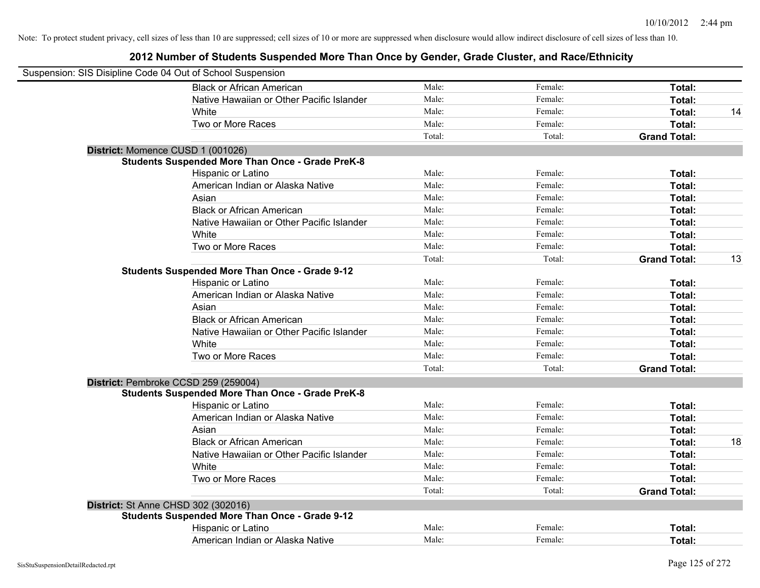| Suspension: SIS Disipline Code 04 Out of School Suspension |                                                         |        |         |                     |    |
|------------------------------------------------------------|---------------------------------------------------------|--------|---------|---------------------|----|
|                                                            | <b>Black or African American</b>                        | Male:  | Female: | Total:              |    |
|                                                            | Native Hawaiian or Other Pacific Islander               | Male:  | Female: | Total:              |    |
|                                                            | White                                                   | Male:  | Female: | Total:              | 14 |
|                                                            | Two or More Races                                       | Male:  | Female: | Total:              |    |
|                                                            |                                                         | Total: | Total:  | <b>Grand Total:</b> |    |
| District: Momence CUSD 1 (001026)                          |                                                         |        |         |                     |    |
|                                                            | <b>Students Suspended More Than Once - Grade PreK-8</b> |        |         |                     |    |
|                                                            | Hispanic or Latino                                      | Male:  | Female: | Total:              |    |
|                                                            | American Indian or Alaska Native                        | Male:  | Female: | Total:              |    |
|                                                            | Asian                                                   | Male:  | Female: | Total:              |    |
|                                                            | <b>Black or African American</b>                        | Male:  | Female: | Total:              |    |
|                                                            | Native Hawaiian or Other Pacific Islander               | Male:  | Female: | Total:              |    |
|                                                            | White                                                   | Male:  | Female: | Total:              |    |
|                                                            | Two or More Races                                       | Male:  | Female: | Total:              |    |
|                                                            |                                                         | Total: | Total:  | <b>Grand Total:</b> | 13 |
|                                                            | <b>Students Suspended More Than Once - Grade 9-12</b>   |        |         |                     |    |
|                                                            | Hispanic or Latino                                      | Male:  | Female: | Total:              |    |
|                                                            | American Indian or Alaska Native                        | Male:  | Female: | Total:              |    |
|                                                            | Asian                                                   | Male:  | Female: | Total:              |    |
|                                                            | <b>Black or African American</b>                        | Male:  | Female: | Total:              |    |
|                                                            | Native Hawaiian or Other Pacific Islander               | Male:  | Female: | Total:              |    |
|                                                            | White                                                   | Male:  | Female: | Total:              |    |
|                                                            | Two or More Races                                       | Male:  | Female: | Total:              |    |
|                                                            |                                                         | Total: | Total:  | <b>Grand Total:</b> |    |
|                                                            | District: Pembroke CCSD 259 (259004)                    |        |         |                     |    |
|                                                            | <b>Students Suspended More Than Once - Grade PreK-8</b> |        |         |                     |    |
|                                                            | Hispanic or Latino                                      | Male:  | Female: | Total:              |    |
|                                                            | American Indian or Alaska Native                        | Male:  | Female: | Total:              |    |
|                                                            | Asian                                                   | Male:  | Female: | Total:              |    |
|                                                            | <b>Black or African American</b>                        | Male:  | Female: | Total:              | 18 |
|                                                            | Native Hawaiian or Other Pacific Islander               | Male:  | Female: | Total:              |    |
|                                                            | White                                                   | Male:  | Female: | Total:              |    |
|                                                            | Two or More Races                                       | Male:  | Female: | Total:              |    |
|                                                            |                                                         | Total: | Total:  | <b>Grand Total:</b> |    |
| <b>District: St Anne CHSD 302 (302016)</b>                 |                                                         |        |         |                     |    |
|                                                            | <b>Students Suspended More Than Once - Grade 9-12</b>   |        |         |                     |    |
|                                                            | Hispanic or Latino                                      | Male:  | Female: | Total:              |    |
|                                                            | American Indian or Alaska Native                        | Male:  | Female: | Total:              |    |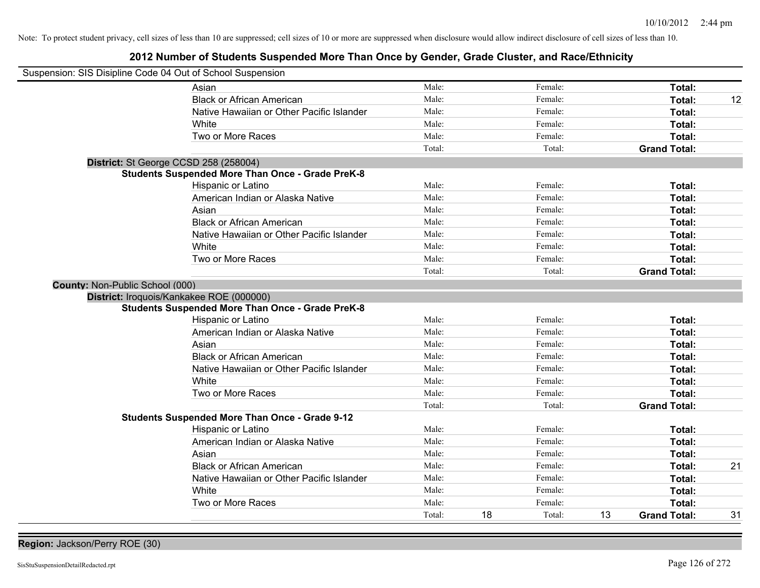## **2012 Number of Students Suspended More Than Once by Gender, Grade Cluster, and Race/Ethnicity**

| Suspension: SIS Disipline Code 04 Out of School Suspension |                                                         |        |    |         |    |                     |    |
|------------------------------------------------------------|---------------------------------------------------------|--------|----|---------|----|---------------------|----|
|                                                            | Asian                                                   | Male:  |    | Female: |    | Total:              |    |
|                                                            | <b>Black or African American</b>                        | Male:  |    | Female: |    | Total:              | 12 |
|                                                            | Native Hawaiian or Other Pacific Islander               | Male:  |    | Female: |    | Total:              |    |
|                                                            | White                                                   | Male:  |    | Female: |    | Total:              |    |
|                                                            | Two or More Races                                       | Male:  |    | Female: |    | Total:              |    |
|                                                            |                                                         | Total: |    | Total:  |    | <b>Grand Total:</b> |    |
| District: St George CCSD 258 (258004)                      |                                                         |        |    |         |    |                     |    |
|                                                            | <b>Students Suspended More Than Once - Grade PreK-8</b> |        |    |         |    |                     |    |
|                                                            | Hispanic or Latino                                      | Male:  |    | Female: |    | Total:              |    |
|                                                            | American Indian or Alaska Native                        | Male:  |    | Female: |    | Total:              |    |
|                                                            | Asian                                                   | Male:  |    | Female: |    | Total:              |    |
|                                                            | <b>Black or African American</b>                        | Male:  |    | Female: |    | Total:              |    |
|                                                            | Native Hawaiian or Other Pacific Islander               | Male:  |    | Female: |    | Total:              |    |
|                                                            | White                                                   | Male:  |    | Female: |    | Total:              |    |
|                                                            | Two or More Races                                       | Male:  |    | Female: |    | Total:              |    |
|                                                            |                                                         | Total: |    | Total:  |    | <b>Grand Total:</b> |    |
| County: Non-Public School (000)                            |                                                         |        |    |         |    |                     |    |
| District: Iroquois/Kankakee ROE (000000)                   |                                                         |        |    |         |    |                     |    |
|                                                            | <b>Students Suspended More Than Once - Grade PreK-8</b> |        |    |         |    |                     |    |
|                                                            | Hispanic or Latino                                      | Male:  |    | Female: |    | Total:              |    |
|                                                            | American Indian or Alaska Native                        | Male:  |    | Female: |    | Total:              |    |
|                                                            | Asian                                                   | Male:  |    | Female: |    | Total:              |    |
|                                                            | <b>Black or African American</b>                        | Male:  |    | Female: |    | Total:              |    |
|                                                            | Native Hawaiian or Other Pacific Islander               | Male:  |    | Female: |    | Total:              |    |
|                                                            | White                                                   | Male:  |    | Female: |    | Total:              |    |
|                                                            | Two or More Races                                       | Male:  |    | Female: |    | Total:              |    |
|                                                            |                                                         | Total: |    | Total:  |    | <b>Grand Total:</b> |    |
|                                                            | <b>Students Suspended More Than Once - Grade 9-12</b>   |        |    |         |    |                     |    |
|                                                            | <b>Hispanic or Latino</b>                               | Male:  |    | Female: |    | Total:              |    |
|                                                            | American Indian or Alaska Native                        | Male:  |    | Female: |    | Total:              |    |
|                                                            | Asian                                                   | Male:  |    | Female: |    | Total:              |    |
|                                                            | <b>Black or African American</b>                        | Male:  |    | Female: |    | Total:              | 21 |
|                                                            | Native Hawaiian or Other Pacific Islander               | Male:  |    | Female: |    | Total:              |    |
|                                                            | White                                                   | Male:  |    | Female: |    | Total:              |    |
|                                                            | Two or More Races                                       | Male:  |    | Female: |    | Total:              |    |
|                                                            |                                                         | Total: | 18 | Total:  | 13 | <b>Grand Total:</b> | 31 |

**Region:** Jackson/Perry ROE (30)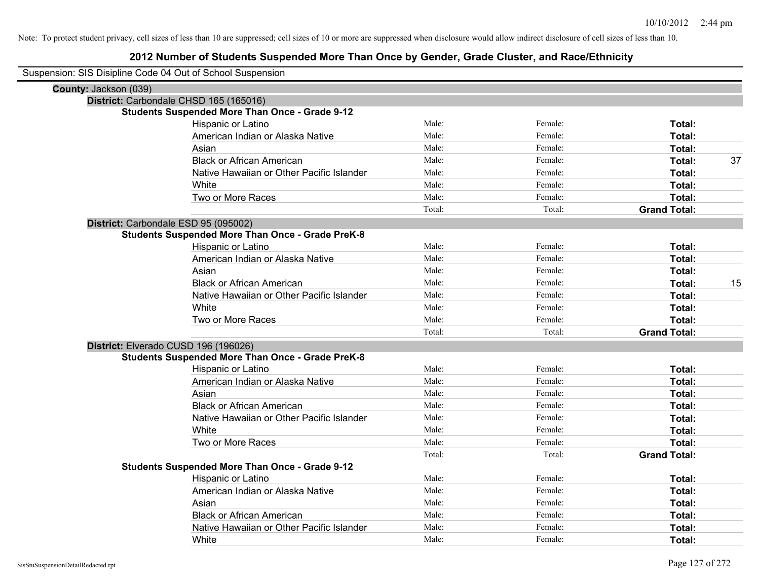| Suspension: SIS Disipline Code 04 Out of School Suspension |                                                         |        |         |                     |    |
|------------------------------------------------------------|---------------------------------------------------------|--------|---------|---------------------|----|
| County: Jackson (039)                                      |                                                         |        |         |                     |    |
|                                                            | District: Carbondale CHSD 165 (165016)                  |        |         |                     |    |
|                                                            | <b>Students Suspended More Than Once - Grade 9-12</b>   |        |         |                     |    |
|                                                            | Hispanic or Latino                                      | Male:  | Female: | Total:              |    |
|                                                            | American Indian or Alaska Native                        | Male:  | Female: | <b>Total:</b>       |    |
|                                                            | Asian                                                   | Male:  | Female: | Total:              |    |
|                                                            | <b>Black or African American</b>                        | Male:  | Female: | Total:              | 37 |
|                                                            | Native Hawaiian or Other Pacific Islander               | Male:  | Female: | Total:              |    |
|                                                            | White                                                   | Male:  | Female: | Total:              |    |
|                                                            | Two or More Races                                       | Male:  | Female: | Total:              |    |
|                                                            |                                                         | Total: | Total:  | <b>Grand Total:</b> |    |
|                                                            | District: Carbondale ESD 95 (095002)                    |        |         |                     |    |
|                                                            | <b>Students Suspended More Than Once - Grade PreK-8</b> |        |         |                     |    |
|                                                            | Hispanic or Latino                                      | Male:  | Female: | Total:              |    |
|                                                            | American Indian or Alaska Native                        | Male:  | Female: | Total:              |    |
|                                                            | Asian                                                   | Male:  | Female: | Total:              |    |
|                                                            | <b>Black or African American</b>                        | Male:  | Female: | Total:              | 15 |
|                                                            | Native Hawaiian or Other Pacific Islander               | Male:  | Female: | Total:              |    |
|                                                            | White                                                   | Male:  | Female: | Total:              |    |
|                                                            | Two or More Races                                       | Male:  | Female: | Total:              |    |
|                                                            |                                                         | Total: | Total:  | <b>Grand Total:</b> |    |
|                                                            | District: Elverado CUSD 196 (196026)                    |        |         |                     |    |
|                                                            | <b>Students Suspended More Than Once - Grade PreK-8</b> |        |         |                     |    |
|                                                            | Hispanic or Latino                                      | Male:  | Female: | Total:              |    |
|                                                            | American Indian or Alaska Native                        | Male:  | Female: | Total:              |    |
|                                                            | Asian                                                   | Male:  | Female: | Total:              |    |
|                                                            | <b>Black or African American</b>                        | Male:  | Female: | Total:              |    |
|                                                            | Native Hawaiian or Other Pacific Islander               | Male:  | Female: | Total:              |    |
|                                                            | White                                                   | Male:  | Female: | Total:              |    |
|                                                            | Two or More Races                                       | Male:  | Female: | Total:              |    |
|                                                            |                                                         | Total: | Total:  | <b>Grand Total:</b> |    |
|                                                            | <b>Students Suspended More Than Once - Grade 9-12</b>   |        |         |                     |    |
|                                                            | Hispanic or Latino                                      | Male:  | Female: | Total:              |    |
|                                                            | American Indian or Alaska Native                        | Male:  | Female: | Total:              |    |
|                                                            | Asian                                                   | Male:  | Female: | Total:              |    |
|                                                            | <b>Black or African American</b>                        | Male:  | Female: | Total:              |    |
|                                                            | Native Hawaiian or Other Pacific Islander               | Male:  | Female: | Total:              |    |
|                                                            | White                                                   | Male:  | Female: | Total:              |    |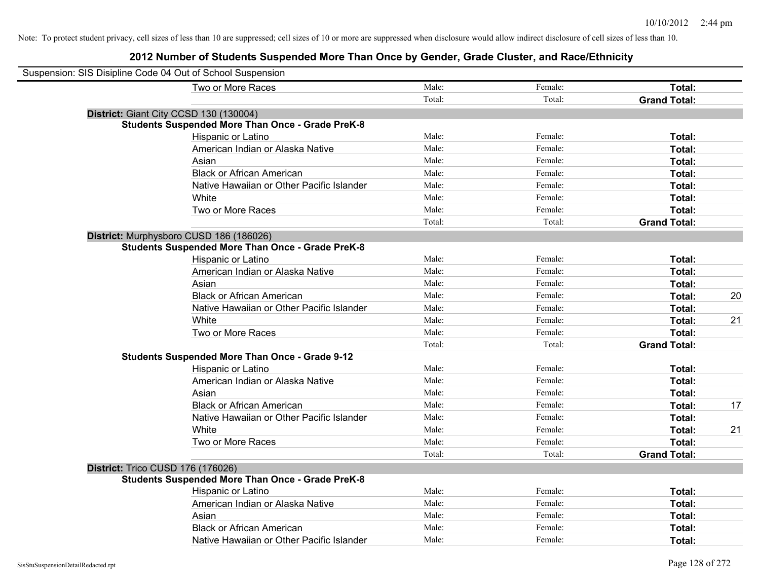| Suspension: SIS Disipline Code 04 Out of School Suspension |                                                         |        |         |                     |    |
|------------------------------------------------------------|---------------------------------------------------------|--------|---------|---------------------|----|
|                                                            | Two or More Races                                       | Male:  | Female: | Total:              |    |
|                                                            |                                                         | Total: | Total:  | <b>Grand Total:</b> |    |
|                                                            | District: Giant City CCSD 130 (130004)                  |        |         |                     |    |
|                                                            | <b>Students Suspended More Than Once - Grade PreK-8</b> |        |         |                     |    |
|                                                            | Hispanic or Latino                                      | Male:  | Female: | Total:              |    |
|                                                            | American Indian or Alaska Native                        | Male:  | Female: | Total:              |    |
|                                                            | Asian                                                   | Male:  | Female: | Total:              |    |
|                                                            | <b>Black or African American</b>                        | Male:  | Female: | Total:              |    |
|                                                            | Native Hawaiian or Other Pacific Islander               | Male:  | Female: | Total:              |    |
|                                                            | White                                                   | Male:  | Female: | Total:              |    |
|                                                            | Two or More Races                                       | Male:  | Female: | Total:              |    |
|                                                            |                                                         | Total: | Total:  | <b>Grand Total:</b> |    |
|                                                            | District: Murphysboro CUSD 186 (186026)                 |        |         |                     |    |
|                                                            | <b>Students Suspended More Than Once - Grade PreK-8</b> |        |         |                     |    |
|                                                            | Hispanic or Latino                                      | Male:  | Female: | Total:              |    |
|                                                            | American Indian or Alaska Native                        | Male:  | Female: | Total:              |    |
|                                                            | Asian                                                   | Male:  | Female: | Total:              |    |
|                                                            | <b>Black or African American</b>                        | Male:  | Female: | Total:              | 20 |
|                                                            | Native Hawaiian or Other Pacific Islander               | Male:  | Female: | Total:              |    |
|                                                            | White                                                   | Male:  | Female: | Total:              | 21 |
|                                                            | Two or More Races                                       | Male:  | Female: | Total:              |    |
|                                                            |                                                         | Total: | Total:  | <b>Grand Total:</b> |    |
|                                                            | <b>Students Suspended More Than Once - Grade 9-12</b>   |        |         |                     |    |
|                                                            | Hispanic or Latino                                      | Male:  | Female: | Total:              |    |
|                                                            | American Indian or Alaska Native                        | Male:  | Female: | Total:              |    |
|                                                            | Asian                                                   | Male:  | Female: | Total:              |    |
|                                                            | <b>Black or African American</b>                        | Male:  | Female: | Total:              | 17 |
|                                                            | Native Hawaiian or Other Pacific Islander               | Male:  | Female: | Total:              |    |
|                                                            | White                                                   | Male:  | Female: | Total:              | 21 |
|                                                            | Two or More Races                                       | Male:  | Female: | Total:              |    |
|                                                            |                                                         | Total: | Total:  | <b>Grand Total:</b> |    |
|                                                            | District: Trico CUSD 176 (176026)                       |        |         |                     |    |
|                                                            | <b>Students Suspended More Than Once - Grade PreK-8</b> |        |         |                     |    |
|                                                            | Hispanic or Latino                                      | Male:  | Female: | Total:              |    |
|                                                            | American Indian or Alaska Native                        | Male:  | Female: | Total:              |    |
|                                                            | Asian                                                   | Male:  | Female: | Total:              |    |
|                                                            | <b>Black or African American</b>                        | Male:  | Female: | Total:              |    |
|                                                            | Native Hawaiian or Other Pacific Islander               | Male:  | Female: | Total:              |    |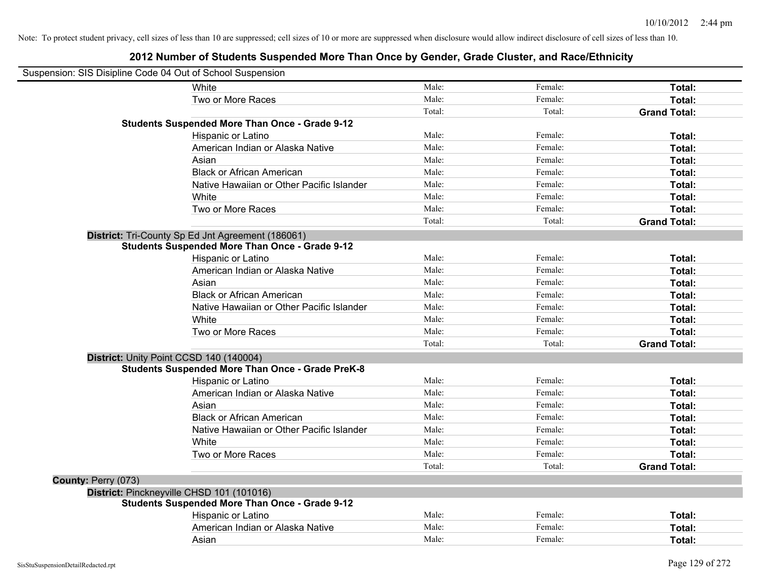| Suspension: SIS Disipline Code 04 Out of School Suspension |                                                         |        |         |                     |
|------------------------------------------------------------|---------------------------------------------------------|--------|---------|---------------------|
|                                                            | White                                                   | Male:  | Female: | Total:              |
|                                                            | Two or More Races                                       | Male:  | Female: | Total:              |
|                                                            |                                                         | Total: | Total:  | <b>Grand Total:</b> |
|                                                            | <b>Students Suspended More Than Once - Grade 9-12</b>   |        |         |                     |
|                                                            | Hispanic or Latino                                      | Male:  | Female: | Total:              |
|                                                            | American Indian or Alaska Native                        | Male:  | Female: | Total:              |
|                                                            | Asian                                                   | Male:  | Female: | Total:              |
|                                                            | <b>Black or African American</b>                        | Male:  | Female: | Total:              |
|                                                            | Native Hawaiian or Other Pacific Islander               | Male:  | Female: | Total:              |
|                                                            | White                                                   | Male:  | Female: | Total:              |
|                                                            | Two or More Races                                       | Male:  | Female: | Total:              |
|                                                            |                                                         | Total: | Total:  | <b>Grand Total:</b> |
|                                                            | District: Tri-County Sp Ed Jnt Agreement (186061)       |        |         |                     |
|                                                            | <b>Students Suspended More Than Once - Grade 9-12</b>   |        |         |                     |
|                                                            | Hispanic or Latino                                      | Male:  | Female: | Total:              |
|                                                            | American Indian or Alaska Native                        | Male:  | Female: | Total:              |
|                                                            | Asian                                                   | Male:  | Female: | Total:              |
|                                                            | <b>Black or African American</b>                        | Male:  | Female: | Total:              |
|                                                            | Native Hawaiian or Other Pacific Islander               | Male:  | Female: | Total:              |
|                                                            | White                                                   | Male:  | Female: | Total:              |
|                                                            | Two or More Races                                       | Male:  | Female: | Total:              |
|                                                            |                                                         | Total: | Total:  | <b>Grand Total:</b> |
|                                                            | District: Unity Point CCSD 140 (140004)                 |        |         |                     |
|                                                            | <b>Students Suspended More Than Once - Grade PreK-8</b> |        |         |                     |
|                                                            | Hispanic or Latino                                      | Male:  | Female: | Total:              |
|                                                            | American Indian or Alaska Native                        | Male:  | Female: | Total:              |
|                                                            | Asian                                                   | Male:  | Female: | Total:              |
|                                                            | <b>Black or African American</b>                        | Male:  | Female: | Total:              |
|                                                            | Native Hawaiian or Other Pacific Islander               | Male:  | Female: | Total:              |
|                                                            | White                                                   | Male:  | Female: | Total:              |
|                                                            | Two or More Races                                       | Male:  | Female: | Total:              |
|                                                            |                                                         | Total: | Total:  | <b>Grand Total:</b> |
| County: Perry (073)                                        |                                                         |        |         |                     |
|                                                            | District: Pinckneyville CHSD 101 (101016)               |        |         |                     |
|                                                            | <b>Students Suspended More Than Once - Grade 9-12</b>   |        |         |                     |
|                                                            | Hispanic or Latino                                      | Male:  | Female: | Total:              |
|                                                            | American Indian or Alaska Native                        | Male:  | Female: | Total:              |
|                                                            | Asian                                                   | Male:  | Female: | Total:              |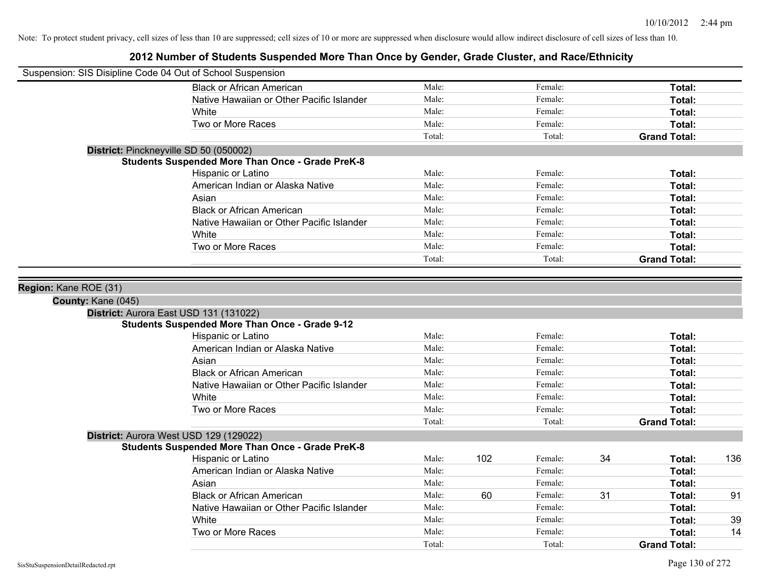| Suspension: SIS Disipline Code 04 Out of School Suspension |                                                               |                 |     |                   |    |                     |     |
|------------------------------------------------------------|---------------------------------------------------------------|-----------------|-----|-------------------|----|---------------------|-----|
|                                                            | <b>Black or African American</b>                              | Male:           |     | Female:           |    | Total:              |     |
|                                                            | Native Hawaiian or Other Pacific Islander                     | Male:           |     | Female:           |    | Total:              |     |
|                                                            | White                                                         | Male:           |     | Female:           |    | Total:              |     |
|                                                            | Two or More Races                                             | Male:           |     | Female:           |    | Total:              |     |
|                                                            |                                                               | Total:          |     | Total:            |    | <b>Grand Total:</b> |     |
|                                                            | District: Pinckneyville SD 50 (050002)                        |                 |     |                   |    |                     |     |
|                                                            | <b>Students Suspended More Than Once - Grade PreK-8</b>       |                 |     |                   |    |                     |     |
|                                                            | Hispanic or Latino                                            | Male:           |     | Female:           |    | Total:              |     |
|                                                            | American Indian or Alaska Native                              | Male:           |     | Female:           |    | Total:              |     |
|                                                            | Asian                                                         | Male:           |     | Female:           |    | Total:              |     |
|                                                            | <b>Black or African American</b>                              | Male:           |     | Female:           |    | Total:              |     |
|                                                            | Native Hawaiian or Other Pacific Islander                     | Male:           |     | Female:           |    | Total:              |     |
|                                                            | White                                                         | Male:           |     | Female:           |    | Total:              |     |
|                                                            | Two or More Races                                             | Male:           |     | Female:           |    | Total:              |     |
|                                                            |                                                               | Total:          |     | Total:            |    | <b>Grand Total:</b> |     |
|                                                            |                                                               |                 |     |                   |    |                     |     |
| Region: Kane ROE (31)                                      |                                                               |                 |     |                   |    |                     |     |
| County: Kane (045)                                         |                                                               |                 |     |                   |    |                     |     |
|                                                            | District: Aurora East USD 131 (131022)                        |                 |     |                   |    |                     |     |
|                                                            | <b>Students Suspended More Than Once - Grade 9-12</b>         |                 |     |                   |    |                     |     |
|                                                            | Hispanic or Latino                                            | Male:           |     | Female:           |    | Total:              |     |
|                                                            | American Indian or Alaska Native                              | Male:           |     | Female:           |    | Total:              |     |
|                                                            | Asian                                                         | Male:           |     | Female:           |    | Total:              |     |
|                                                            | <b>Black or African American</b>                              | Male:           |     | Female:           |    | Total:              |     |
|                                                            | Native Hawaiian or Other Pacific Islander                     | Male:           |     | Female:           |    | Total:              |     |
|                                                            | White<br>Two or More Races                                    | Male:           |     | Female:           |    | Total:              |     |
|                                                            |                                                               | Male:<br>Total: |     | Female:<br>Total: |    | Total:              |     |
|                                                            |                                                               |                 |     |                   |    | <b>Grand Total:</b> |     |
|                                                            | District: Aurora West USD 129 (129022)                        |                 |     |                   |    |                     |     |
|                                                            | <b>Students Suspended More Than Once - Grade PreK-8</b>       | Male:           | 102 | Female:           | 34 |                     |     |
|                                                            | <b>Hispanic or Latino</b><br>American Indian or Alaska Native | Male:           |     | Female:           |    | Total:              | 136 |
|                                                            | Asian                                                         | Male:           |     | Female:           |    | Total:<br>Total:    |     |
|                                                            | <b>Black or African American</b>                              | Male:           | 60  | Female:           | 31 |                     | 91  |
|                                                            | Native Hawaiian or Other Pacific Islander                     | Male:           |     | Female:           |    | Total:              |     |
|                                                            | White                                                         | Male:           |     | Female:           |    | Total:<br>Total:    | 39  |
|                                                            | Two or More Races                                             | Male:           |     | Female:           |    | Total:              | 14  |
|                                                            |                                                               | Total:          |     | Total:            |    | <b>Grand Total:</b> |     |
|                                                            |                                                               |                 |     |                   |    |                     |     |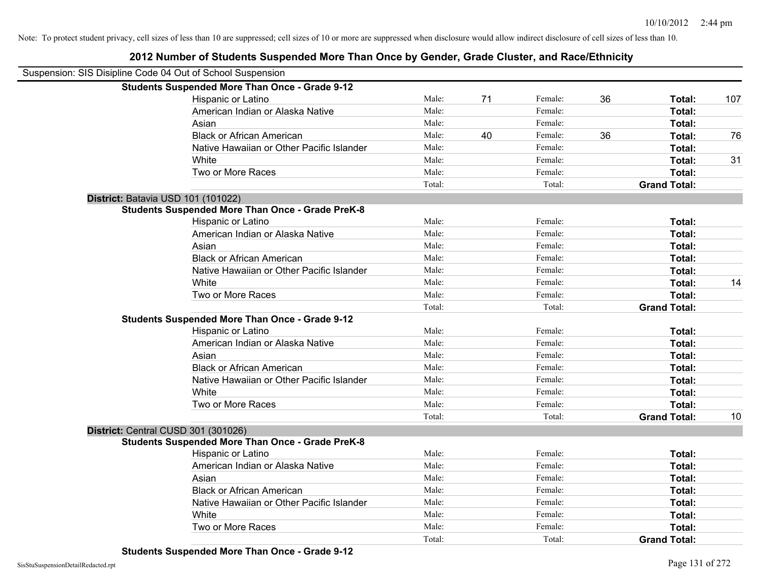| Suspension: SIS Disipline Code 04 Out of School Suspension |                                                         |        |    |         |    |                     |     |
|------------------------------------------------------------|---------------------------------------------------------|--------|----|---------|----|---------------------|-----|
|                                                            | <b>Students Suspended More Than Once - Grade 9-12</b>   |        |    |         |    |                     |     |
|                                                            | Hispanic or Latino                                      | Male:  | 71 | Female: | 36 | Total:              | 107 |
|                                                            | American Indian or Alaska Native                        | Male:  |    | Female: |    | Total:              |     |
|                                                            | Asian                                                   | Male:  |    | Female: |    | Total:              |     |
|                                                            | <b>Black or African American</b>                        | Male:  | 40 | Female: | 36 | Total:              | 76  |
|                                                            | Native Hawaiian or Other Pacific Islander               | Male:  |    | Female: |    | Total:              |     |
|                                                            | White                                                   | Male:  |    | Female: |    | Total:              | 31  |
|                                                            | Two or More Races                                       | Male:  |    | Female: |    | Total:              |     |
|                                                            |                                                         | Total: |    | Total:  |    | <b>Grand Total:</b> |     |
|                                                            | District: Batavia USD 101 (101022)                      |        |    |         |    |                     |     |
|                                                            | <b>Students Suspended More Than Once - Grade PreK-8</b> |        |    |         |    |                     |     |
|                                                            | Hispanic or Latino                                      | Male:  |    | Female: |    | Total:              |     |
|                                                            | American Indian or Alaska Native                        | Male:  |    | Female: |    | Total:              |     |
|                                                            | Asian                                                   | Male:  |    | Female: |    | Total:              |     |
|                                                            | <b>Black or African American</b>                        | Male:  |    | Female: |    | Total:              |     |
|                                                            | Native Hawaiian or Other Pacific Islander               | Male:  |    | Female: |    | Total:              |     |
|                                                            | White                                                   | Male:  |    | Female: |    | Total:              | 14  |
|                                                            | Two or More Races                                       | Male:  |    | Female: |    | Total:              |     |
|                                                            |                                                         | Total: |    | Total:  |    | <b>Grand Total:</b> |     |
|                                                            | <b>Students Suspended More Than Once - Grade 9-12</b>   |        |    |         |    |                     |     |
|                                                            | Hispanic or Latino                                      | Male:  |    | Female: |    | Total:              |     |
|                                                            | American Indian or Alaska Native                        | Male:  |    | Female: |    | Total:              |     |
|                                                            | Asian                                                   | Male:  |    | Female: |    | Total:              |     |
|                                                            | <b>Black or African American</b>                        | Male:  |    | Female: |    | Total:              |     |
|                                                            | Native Hawaiian or Other Pacific Islander               | Male:  |    | Female: |    | Total:              |     |
|                                                            | White                                                   | Male:  |    | Female: |    | Total:              |     |
|                                                            | Two or More Races                                       | Male:  |    | Female: |    | Total:              |     |
|                                                            |                                                         | Total: |    | Total:  |    | <b>Grand Total:</b> | 10  |
|                                                            | District: Central CUSD 301 (301026)                     |        |    |         |    |                     |     |
|                                                            | <b>Students Suspended More Than Once - Grade PreK-8</b> |        |    |         |    |                     |     |
|                                                            | Hispanic or Latino                                      | Male:  |    | Female: |    | Total:              |     |
|                                                            | American Indian or Alaska Native                        | Male:  |    | Female: |    | Total:              |     |
|                                                            | Asian                                                   | Male:  |    | Female: |    | Total:              |     |
|                                                            | <b>Black or African American</b>                        | Male:  |    | Female: |    | Total:              |     |
|                                                            | Native Hawaiian or Other Pacific Islander               | Male:  |    | Female: |    | Total:              |     |
|                                                            | White                                                   | Male:  |    | Female: |    | Total:              |     |
|                                                            | Two or More Races                                       | Male:  |    | Female: |    | Total:              |     |
|                                                            |                                                         | Total: |    | Total:  |    | <b>Grand Total:</b> |     |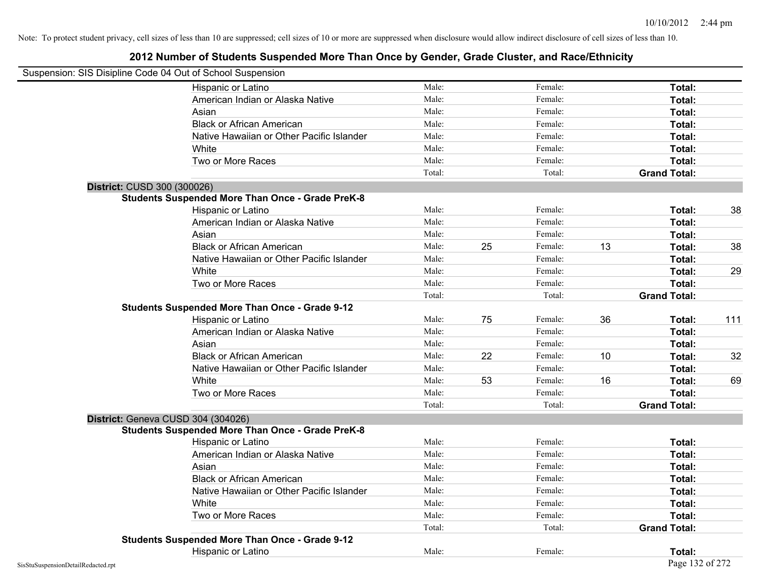| Suspension: SIS Disipline Code 04 Out of School Suspension |                                                         |        |    |         |    |                     |     |
|------------------------------------------------------------|---------------------------------------------------------|--------|----|---------|----|---------------------|-----|
|                                                            | Hispanic or Latino                                      | Male:  |    | Female: |    | Total:              |     |
|                                                            | American Indian or Alaska Native                        | Male:  |    | Female: |    | Total:              |     |
|                                                            | Asian                                                   | Male:  |    | Female: |    | Total:              |     |
|                                                            | <b>Black or African American</b>                        | Male:  |    | Female: |    | Total:              |     |
|                                                            | Native Hawaiian or Other Pacific Islander               | Male:  |    | Female: |    | Total:              |     |
|                                                            | White                                                   | Male:  |    | Female: |    | Total:              |     |
|                                                            | Two or More Races                                       | Male:  |    | Female: |    | Total:              |     |
|                                                            |                                                         | Total: |    | Total:  |    | <b>Grand Total:</b> |     |
| District: CUSD 300 (300026)                                |                                                         |        |    |         |    |                     |     |
|                                                            | <b>Students Suspended More Than Once - Grade PreK-8</b> |        |    |         |    |                     |     |
|                                                            | Hispanic or Latino                                      | Male:  |    | Female: |    | Total:              | 38  |
|                                                            | American Indian or Alaska Native                        | Male:  |    | Female: |    | Total:              |     |
|                                                            | Asian                                                   | Male:  |    | Female: |    | Total:              |     |
|                                                            | <b>Black or African American</b>                        | Male:  | 25 | Female: | 13 | Total:              | 38  |
|                                                            | Native Hawaiian or Other Pacific Islander               | Male:  |    | Female: |    | Total:              |     |
|                                                            | White                                                   | Male:  |    | Female: |    | Total:              | 29  |
|                                                            | Two or More Races                                       | Male:  |    | Female: |    | Total:              |     |
|                                                            |                                                         | Total: |    | Total:  |    | <b>Grand Total:</b> |     |
|                                                            | <b>Students Suspended More Than Once - Grade 9-12</b>   |        |    |         |    |                     |     |
|                                                            | Hispanic or Latino                                      | Male:  | 75 | Female: | 36 | Total:              | 111 |
|                                                            | American Indian or Alaska Native                        | Male:  |    | Female: |    | Total:              |     |
|                                                            | Asian                                                   | Male:  |    | Female: |    | Total:              |     |
|                                                            | <b>Black or African American</b>                        | Male:  | 22 | Female: | 10 | Total:              | 32  |
|                                                            | Native Hawaiian or Other Pacific Islander               | Male:  |    | Female: |    | Total:              |     |
|                                                            | White                                                   | Male:  | 53 | Female: | 16 | Total:              | 69  |
|                                                            | Two or More Races                                       | Male:  |    | Female: |    | Total:              |     |
|                                                            |                                                         | Total: |    | Total:  |    | <b>Grand Total:</b> |     |
| District: Geneva CUSD 304 (304026)                         |                                                         |        |    |         |    |                     |     |
|                                                            | <b>Students Suspended More Than Once - Grade PreK-8</b> |        |    |         |    |                     |     |
|                                                            | Hispanic or Latino                                      | Male:  |    | Female: |    | Total:              |     |
|                                                            | American Indian or Alaska Native                        | Male:  |    | Female: |    | Total:              |     |
|                                                            | Asian                                                   | Male:  |    | Female: |    | Total:              |     |
|                                                            | <b>Black or African American</b>                        | Male:  |    | Female: |    | Total:              |     |
|                                                            | Native Hawaiian or Other Pacific Islander               | Male:  |    | Female: |    | Total:              |     |
|                                                            | White                                                   | Male:  |    | Female: |    | Total:              |     |
|                                                            | Two or More Races                                       | Male:  |    | Female: |    | Total:              |     |
|                                                            |                                                         | Total: |    | Total:  |    | <b>Grand Total:</b> |     |
|                                                            | <b>Students Suspended More Than Once - Grade 9-12</b>   |        |    |         |    |                     |     |
|                                                            | Hispanic or Latino                                      | Male:  |    | Female: |    | Total:              |     |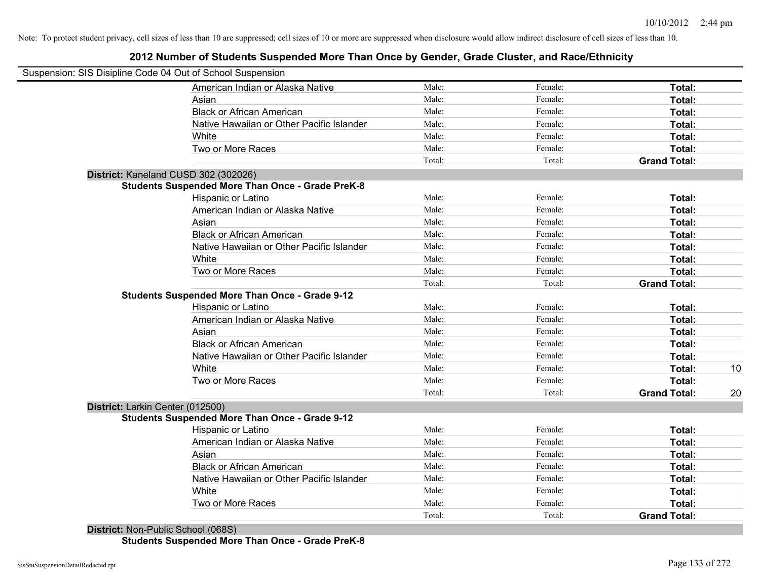## **2012 Number of Students Suspended More Than Once by Gender, Grade Cluster, and Race/Ethnicity**

| Suspension: SIS Disipline Code 04 Out of School Suspension |                                                         |        |         |                     |    |
|------------------------------------------------------------|---------------------------------------------------------|--------|---------|---------------------|----|
|                                                            | American Indian or Alaska Native                        | Male:  | Female: | Total:              |    |
|                                                            | Asian                                                   | Male:  | Female: | Total:              |    |
|                                                            | <b>Black or African American</b>                        | Male:  | Female: | Total:              |    |
|                                                            | Native Hawaiian or Other Pacific Islander               | Male:  | Female: | Total:              |    |
|                                                            | White                                                   | Male:  | Female: | Total:              |    |
|                                                            | Two or More Races                                       | Male:  | Female: | Total:              |    |
|                                                            |                                                         | Total: | Total:  | <b>Grand Total:</b> |    |
| District: Kaneland CUSD 302 (302026)                       |                                                         |        |         |                     |    |
|                                                            | <b>Students Suspended More Than Once - Grade PreK-8</b> |        |         |                     |    |
|                                                            | Hispanic or Latino                                      | Male:  | Female: | Total:              |    |
|                                                            | American Indian or Alaska Native                        | Male:  | Female: | Total:              |    |
|                                                            | Asian                                                   | Male:  | Female: | Total:              |    |
|                                                            | <b>Black or African American</b>                        | Male:  | Female: | Total:              |    |
|                                                            | Native Hawaiian or Other Pacific Islander               | Male:  | Female: | Total:              |    |
|                                                            | White                                                   | Male:  | Female: | Total:              |    |
|                                                            | Two or More Races                                       | Male:  | Female: | Total:              |    |
|                                                            |                                                         | Total: | Total:  | <b>Grand Total:</b> |    |
|                                                            | <b>Students Suspended More Than Once - Grade 9-12</b>   |        |         |                     |    |
|                                                            | Hispanic or Latino                                      | Male:  | Female: | Total:              |    |
|                                                            | American Indian or Alaska Native                        | Male:  | Female: | Total:              |    |
|                                                            | Asian                                                   | Male:  | Female: | Total:              |    |
|                                                            | <b>Black or African American</b>                        | Male:  | Female: | Total:              |    |
|                                                            | Native Hawaiian or Other Pacific Islander               | Male:  | Female: | Total:              |    |
|                                                            | White                                                   | Male:  | Female: | Total:              | 10 |
|                                                            | Two or More Races                                       | Male:  | Female: | Total:              |    |
|                                                            |                                                         | Total: | Total:  | <b>Grand Total:</b> | 20 |
| District: Larkin Center (012500)                           |                                                         |        |         |                     |    |
|                                                            | <b>Students Suspended More Than Once - Grade 9-12</b>   |        |         |                     |    |
|                                                            | Hispanic or Latino                                      | Male:  | Female: | Total:              |    |
|                                                            | American Indian or Alaska Native                        | Male:  | Female: | Total:              |    |
|                                                            | Asian                                                   | Male:  | Female: | Total:              |    |
|                                                            | <b>Black or African American</b>                        | Male:  | Female: | Total:              |    |
|                                                            | Native Hawaiian or Other Pacific Islander               | Male:  | Female: | Total:              |    |
|                                                            | White                                                   | Male:  | Female: | Total:              |    |
|                                                            | Two or More Races                                       | Male:  | Female: | Total:              |    |
|                                                            |                                                         | Total: | Total:  | <b>Grand Total:</b> |    |

**District:** Non-Public School (068S) **Students Suspended More Than Once - Grade PreK-8**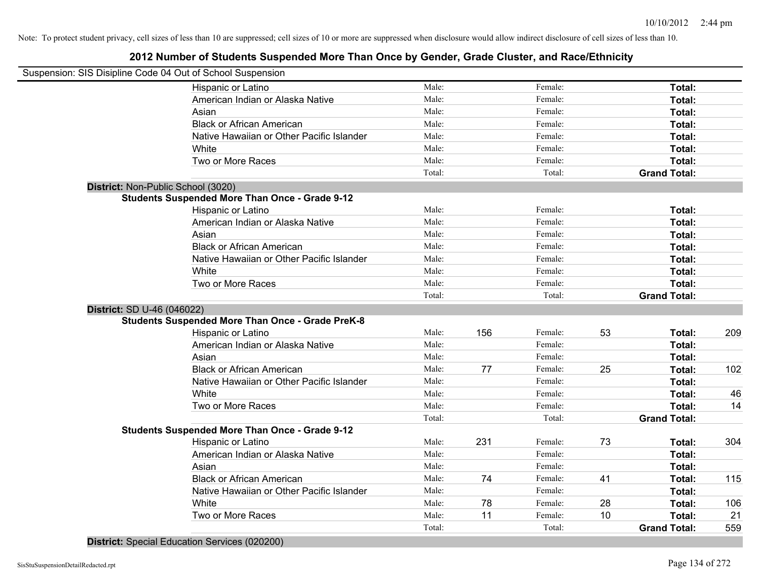## **2012 Number of Students Suspended More Than Once by Gender, Grade Cluster, and Race/Ethnicity**

| Suspension: SIS Disipline Code 04 Out of School Suspension |        |     |         |    |                     |     |
|------------------------------------------------------------|--------|-----|---------|----|---------------------|-----|
| Hispanic or Latino                                         | Male:  |     | Female: |    | Total:              |     |
| American Indian or Alaska Native                           | Male:  |     | Female: |    | Total:              |     |
| Asian                                                      | Male:  |     | Female: |    | Total:              |     |
| <b>Black or African American</b>                           | Male:  |     | Female: |    | Total:              |     |
| Native Hawaiian or Other Pacific Islander                  | Male:  |     | Female: |    | Total:              |     |
| White                                                      | Male:  |     | Female: |    | Total:              |     |
| Two or More Races                                          | Male:  |     | Female: |    | Total:              |     |
|                                                            | Total: |     | Total:  |    | <b>Grand Total:</b> |     |
| District: Non-Public School (3020)                         |        |     |         |    |                     |     |
| <b>Students Suspended More Than Once - Grade 9-12</b>      |        |     |         |    |                     |     |
| Hispanic or Latino                                         | Male:  |     | Female: |    | Total:              |     |
| American Indian or Alaska Native                           | Male:  |     | Female: |    | Total:              |     |
| Asian                                                      | Male:  |     | Female: |    | Total:              |     |
| <b>Black or African American</b>                           | Male:  |     | Female: |    | Total:              |     |
| Native Hawaiian or Other Pacific Islander                  | Male:  |     | Female: |    | Total:              |     |
| White                                                      | Male:  |     | Female: |    | Total:              |     |
| Two or More Races                                          | Male:  |     | Female: |    | Total:              |     |
|                                                            | Total: |     | Total:  |    | <b>Grand Total:</b> |     |
| District: SD U-46 (046022)                                 |        |     |         |    |                     |     |
| <b>Students Suspended More Than Once - Grade PreK-8</b>    |        |     |         |    |                     |     |
| Hispanic or Latino                                         | Male:  | 156 | Female: | 53 | Total:              | 209 |
| American Indian or Alaska Native                           | Male:  |     | Female: |    | Total:              |     |
| Asian                                                      | Male:  |     | Female: |    | Total:              |     |
| <b>Black or African American</b>                           | Male:  | 77  | Female: | 25 | Total:              | 102 |
| Native Hawaiian or Other Pacific Islander                  | Male:  |     | Female: |    | Total:              |     |
| White                                                      | Male:  |     | Female: |    | Total:              | 46  |
| Two or More Races                                          | Male:  |     | Female: |    | Total:              | 14  |
|                                                            | Total: |     | Total:  |    | <b>Grand Total:</b> |     |
| <b>Students Suspended More Than Once - Grade 9-12</b>      |        |     |         |    |                     |     |
| Hispanic or Latino                                         | Male:  | 231 | Female: | 73 | Total:              | 304 |
| American Indian or Alaska Native                           | Male:  |     | Female: |    | Total:              |     |
| Asian                                                      | Male:  |     | Female: |    | Total:              |     |
| <b>Black or African American</b>                           | Male:  | 74  | Female: | 41 | Total:              | 115 |
| Native Hawaiian or Other Pacific Islander                  | Male:  |     | Female: |    | Total:              |     |
| White                                                      | Male:  | 78  | Female: | 28 | Total:              | 106 |
| Two or More Races                                          | Male:  | 11  | Female: | 10 | Total:              | 21  |
|                                                            | Total: |     | Total:  |    | <b>Grand Total:</b> | 559 |

**District:** Special Education Services (020200)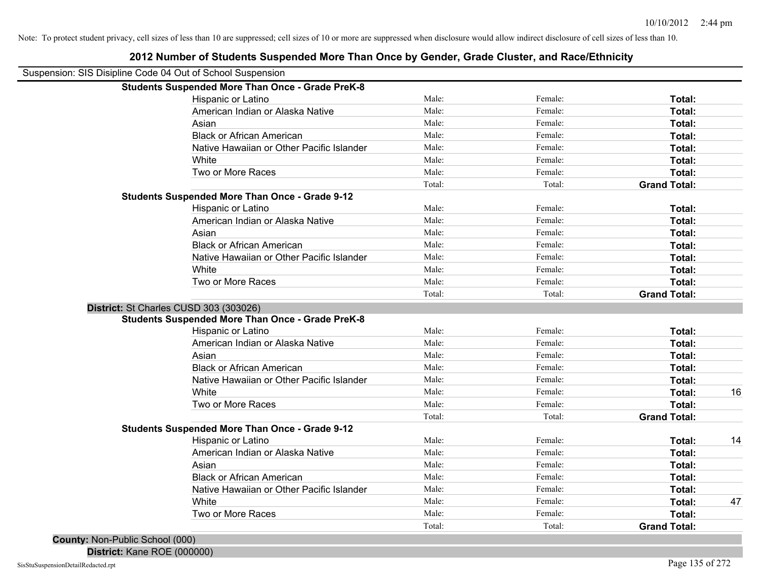| Suspension: SIS Disipline Code 04 Out of School Suspension |        |         |                     |    |
|------------------------------------------------------------|--------|---------|---------------------|----|
| <b>Students Suspended More Than Once - Grade PreK-8</b>    |        |         |                     |    |
| Hispanic or Latino                                         | Male:  | Female: | Total:              |    |
| American Indian or Alaska Native                           | Male:  | Female: | Total:              |    |
| Asian                                                      | Male:  | Female: | Total:              |    |
| <b>Black or African American</b>                           | Male:  | Female: | Total:              |    |
| Native Hawaiian or Other Pacific Islander                  | Male:  | Female: | Total:              |    |
| White                                                      | Male:  | Female: | Total:              |    |
| Two or More Races                                          | Male:  | Female: | Total:              |    |
|                                                            | Total: | Total:  | <b>Grand Total:</b> |    |
| <b>Students Suspended More Than Once - Grade 9-12</b>      |        |         |                     |    |
| Hispanic or Latino                                         | Male:  | Female: | Total:              |    |
| American Indian or Alaska Native                           | Male:  | Female: | Total:              |    |
| Asian                                                      | Male:  | Female: | Total:              |    |
| <b>Black or African American</b>                           | Male:  | Female: | Total:              |    |
| Native Hawaiian or Other Pacific Islander                  | Male:  | Female: | Total:              |    |
| White                                                      | Male:  | Female: | Total:              |    |
| Two or More Races                                          | Male:  | Female: | Total:              |    |
|                                                            | Total: | Total:  | <b>Grand Total:</b> |    |
| District: St Charles CUSD 303 (303026)                     |        |         |                     |    |
| <b>Students Suspended More Than Once - Grade PreK-8</b>    |        |         |                     |    |
| Hispanic or Latino                                         | Male:  | Female: | Total:              |    |
| American Indian or Alaska Native                           | Male:  | Female: | Total:              |    |
| Asian                                                      | Male:  | Female: | Total:              |    |
| <b>Black or African American</b>                           | Male:  | Female: | Total:              |    |
| Native Hawaiian or Other Pacific Islander                  | Male:  | Female: | Total:              |    |
| White                                                      | Male:  | Female: | Total:              | 16 |
| Two or More Races                                          | Male:  | Female: | Total:              |    |
|                                                            | Total: | Total:  | <b>Grand Total:</b> |    |
| <b>Students Suspended More Than Once - Grade 9-12</b>      |        |         |                     |    |
| Hispanic or Latino                                         | Male:  | Female: | Total:              | 14 |
| American Indian or Alaska Native                           | Male:  | Female: | Total:              |    |
| Asian                                                      | Male:  | Female: | Total:              |    |
| <b>Black or African American</b>                           | Male:  | Female: | Total:              |    |
| Native Hawaiian or Other Pacific Islander                  | Male:  | Female: | Total:              |    |
| White                                                      | Male:  | Female: | Total:              | 47 |
| Two or More Races                                          | Male:  | Female: | Total:              |    |
|                                                            | Total: | Total:  | <b>Grand Total:</b> |    |

**2012 Number of Students Suspended More Than Once by Gender, Grade Cluster, and Race/Ethnicity**

**District:** Kane ROE (000000)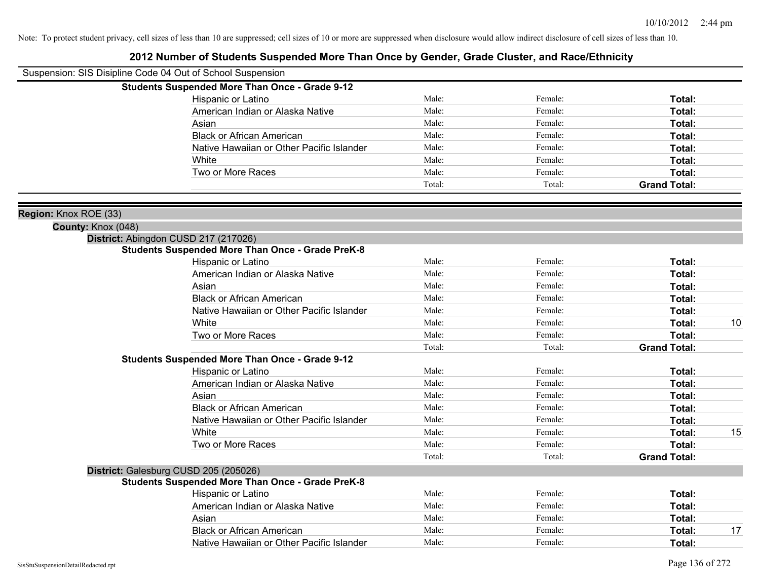| Suspension: SIS Disipline Code 04 Out of School Suspension |                                                         |        |         |                     |    |
|------------------------------------------------------------|---------------------------------------------------------|--------|---------|---------------------|----|
|                                                            | <b>Students Suspended More Than Once - Grade 9-12</b>   |        |         |                     |    |
|                                                            | Hispanic or Latino                                      | Male:  | Female: | Total:              |    |
|                                                            | American Indian or Alaska Native                        | Male:  | Female: | Total:              |    |
|                                                            | Asian                                                   | Male:  | Female: | Total:              |    |
|                                                            | <b>Black or African American</b>                        | Male:  | Female: | Total:              |    |
|                                                            | Native Hawaiian or Other Pacific Islander               | Male:  | Female: | Total:              |    |
|                                                            | White                                                   | Male:  | Female: | Total:              |    |
|                                                            | Two or More Races                                       | Male:  | Female: | Total:              |    |
|                                                            |                                                         | Total: | Total:  | <b>Grand Total:</b> |    |
| Region: Knox ROE (33)                                      |                                                         |        |         |                     |    |
| County: Knox (048)                                         |                                                         |        |         |                     |    |
|                                                            | District: Abingdon CUSD 217 (217026)                    |        |         |                     |    |
|                                                            | <b>Students Suspended More Than Once - Grade PreK-8</b> |        |         |                     |    |
|                                                            | Hispanic or Latino                                      | Male:  | Female: | Total:              |    |
|                                                            | American Indian or Alaska Native                        | Male:  | Female: | Total:              |    |
|                                                            | Asian                                                   | Male:  | Female: | Total:              |    |
|                                                            | <b>Black or African American</b>                        | Male:  | Female: | Total:              |    |
|                                                            | Native Hawaiian or Other Pacific Islander               | Male:  | Female: | Total:              |    |
|                                                            | White                                                   | Male:  | Female: | Total:              | 10 |
|                                                            | Two or More Races                                       | Male:  | Female: | Total:              |    |
|                                                            |                                                         | Total: | Total:  | <b>Grand Total:</b> |    |
|                                                            | <b>Students Suspended More Than Once - Grade 9-12</b>   |        |         |                     |    |
|                                                            | Hispanic or Latino                                      | Male:  | Female: | Total:              |    |
|                                                            | American Indian or Alaska Native                        | Male:  | Female: | Total:              |    |
|                                                            | Asian                                                   | Male:  | Female: | Total:              |    |
|                                                            | <b>Black or African American</b>                        | Male:  | Female: | Total:              |    |
|                                                            | Native Hawaiian or Other Pacific Islander               | Male:  | Female: | Total:              |    |
|                                                            | White                                                   | Male:  | Female: | Total:              | 15 |
|                                                            | Two or More Races                                       | Male:  | Female: | Total:              |    |
|                                                            |                                                         | Total: | Total:  | <b>Grand Total:</b> |    |
|                                                            | District: Galesburg CUSD 205 (205026)                   |        |         |                     |    |
|                                                            | <b>Students Suspended More Than Once - Grade PreK-8</b> |        |         |                     |    |
|                                                            | Hispanic or Latino                                      | Male:  | Female: | Total:              |    |
|                                                            | American Indian or Alaska Native                        | Male:  | Female: | Total:              |    |
|                                                            | Asian                                                   | Male:  | Female: | Total:              |    |
|                                                            | <b>Black or African American</b>                        | Male:  | Female: | Total:              | 17 |
|                                                            | Native Hawaiian or Other Pacific Islander               | Male:  | Female: | Total:              |    |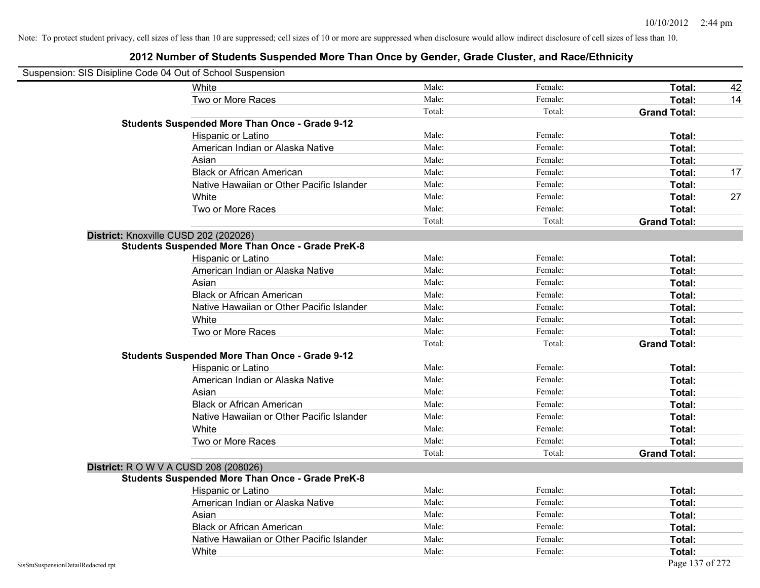| Suspension: SIS Disipline Code 04 Out of School Suspension |                                                         |        |         |                     |    |
|------------------------------------------------------------|---------------------------------------------------------|--------|---------|---------------------|----|
|                                                            | White                                                   | Male:  | Female: | Total:              | 42 |
|                                                            | Two or More Races                                       | Male:  | Female: | Total:              | 14 |
|                                                            |                                                         | Total: | Total:  | <b>Grand Total:</b> |    |
|                                                            | <b>Students Suspended More Than Once - Grade 9-12</b>   |        |         |                     |    |
|                                                            | Hispanic or Latino                                      | Male:  | Female: | Total:              |    |
|                                                            | American Indian or Alaska Native                        | Male:  | Female: | Total:              |    |
|                                                            | Asian                                                   | Male:  | Female: | Total:              |    |
|                                                            | <b>Black or African American</b>                        | Male:  | Female: | Total:              | 17 |
|                                                            | Native Hawaiian or Other Pacific Islander               | Male:  | Female: | Total:              |    |
|                                                            | White                                                   | Male:  | Female: | Total:              | 27 |
|                                                            | Two or More Races                                       | Male:  | Female: | Total:              |    |
|                                                            |                                                         | Total: | Total:  | <b>Grand Total:</b> |    |
|                                                            | District: Knoxville CUSD 202 (202026)                   |        |         |                     |    |
|                                                            | <b>Students Suspended More Than Once - Grade PreK-8</b> |        |         |                     |    |
|                                                            | Hispanic or Latino                                      | Male:  | Female: | Total:              |    |
|                                                            | American Indian or Alaska Native                        | Male:  | Female: | Total:              |    |
|                                                            | Asian                                                   | Male:  | Female: | Total:              |    |
|                                                            | <b>Black or African American</b>                        | Male:  | Female: | Total:              |    |
|                                                            | Native Hawaiian or Other Pacific Islander               | Male:  | Female: | Total:              |    |
|                                                            | White                                                   | Male:  | Female: | Total:              |    |
|                                                            | Two or More Races                                       | Male:  | Female: | Total:              |    |
|                                                            |                                                         | Total: | Total:  | <b>Grand Total:</b> |    |
|                                                            | <b>Students Suspended More Than Once - Grade 9-12</b>   |        |         |                     |    |
|                                                            | Hispanic or Latino                                      | Male:  | Female: | Total:              |    |
|                                                            | American Indian or Alaska Native                        | Male:  | Female: | Total:              |    |
|                                                            | Asian                                                   | Male:  | Female: | Total:              |    |
|                                                            | <b>Black or African American</b>                        | Male:  | Female: | Total:              |    |
|                                                            | Native Hawaiian or Other Pacific Islander               | Male:  | Female: | Total:              |    |
|                                                            | White                                                   | Male:  | Female: | Total:              |    |
|                                                            | Two or More Races                                       | Male:  | Female: | Total:              |    |
|                                                            |                                                         | Total: | Total:  | <b>Grand Total:</b> |    |
|                                                            | <b>District:</b> R O W V A CUSD 208 (208026)            |        |         |                     |    |
|                                                            | <b>Students Suspended More Than Once - Grade PreK-8</b> |        |         |                     |    |
|                                                            | Hispanic or Latino                                      | Male:  | Female: | Total:              |    |
|                                                            | American Indian or Alaska Native                        | Male:  | Female: | Total:              |    |
|                                                            | Asian                                                   | Male:  | Female: | Total:              |    |
|                                                            | <b>Black or African American</b>                        | Male:  | Female: | Total:              |    |
|                                                            | Native Hawaiian or Other Pacific Islander               | Male:  | Female: | Total:              |    |
|                                                            | White                                                   | Male:  | Female: | Total:              |    |
| SisStuSuspensionDetailRedacted.rpt                         |                                                         |        |         | Page 137 of 272     |    |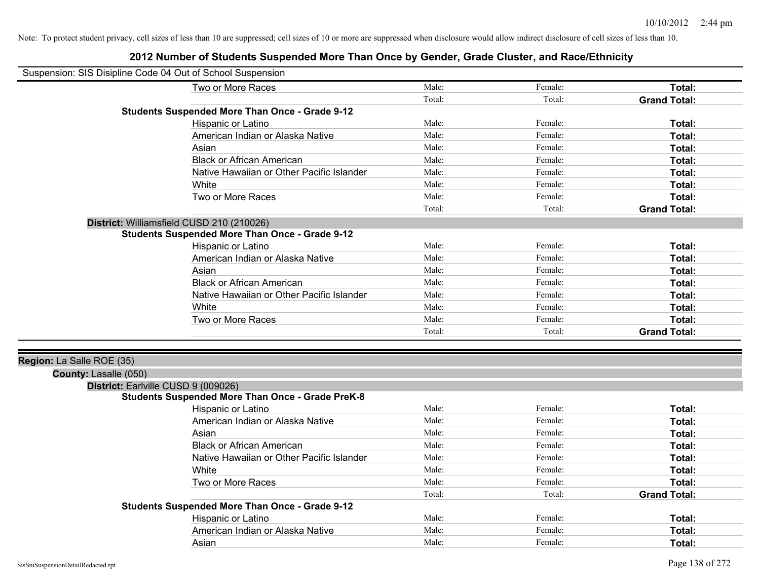| Suspension: SIS Disipline Code 04 Out of School Suspension |                                                         |        |         |                     |
|------------------------------------------------------------|---------------------------------------------------------|--------|---------|---------------------|
|                                                            | Two or More Races                                       | Male:  | Female: | Total:              |
|                                                            |                                                         | Total: | Total:  | <b>Grand Total:</b> |
|                                                            | <b>Students Suspended More Than Once - Grade 9-12</b>   |        |         |                     |
|                                                            | Hispanic or Latino                                      | Male:  | Female: | Total:              |
|                                                            | American Indian or Alaska Native                        | Male:  | Female: | Total:              |
|                                                            | Asian                                                   | Male:  | Female: | Total:              |
|                                                            | <b>Black or African American</b>                        | Male:  | Female: | Total:              |
|                                                            | Native Hawaiian or Other Pacific Islander               | Male:  | Female: | Total:              |
|                                                            | White                                                   | Male:  | Female: | Total:              |
|                                                            | Two or More Races                                       | Male:  | Female: | Total:              |
|                                                            |                                                         | Total: | Total:  | <b>Grand Total:</b> |
|                                                            | District: Williamsfield CUSD 210 (210026)               |        |         |                     |
|                                                            | <b>Students Suspended More Than Once - Grade 9-12</b>   |        |         |                     |
|                                                            | Hispanic or Latino                                      | Male:  | Female: | Total:              |
|                                                            | American Indian or Alaska Native                        | Male:  | Female: | Total:              |
|                                                            | Asian                                                   | Male:  | Female: | Total:              |
|                                                            | <b>Black or African American</b>                        | Male:  | Female: | Total:              |
|                                                            | Native Hawaiian or Other Pacific Islander               | Male:  | Female: | Total:              |
|                                                            | White                                                   | Male:  | Female: | Total:              |
|                                                            | Two or More Races                                       | Male:  | Female: | Total:              |
|                                                            |                                                         | Total: | Total:  | <b>Grand Total:</b> |
|                                                            |                                                         |        |         |                     |
| Region: La Salle ROE (35)                                  |                                                         |        |         |                     |
| County: Lasalle (050)                                      |                                                         |        |         |                     |
| District: Earlville CUSD 9 (009026)                        |                                                         |        |         |                     |
|                                                            | <b>Students Suspended More Than Once - Grade PreK-8</b> |        |         |                     |
|                                                            | Hispanic or Latino                                      | Male:  | Female: | Total:              |
|                                                            | American Indian or Alaska Native                        | Male:  | Female: | Total:              |
|                                                            | Asian                                                   | Male:  | Female: | Total:              |
|                                                            | <b>Black or African American</b>                        | Male:  | Female: | Total:              |
|                                                            | Native Hawaiian or Other Pacific Islander               | Male:  | Female: | Total:              |
|                                                            | White                                                   | Male:  | Female: | Total:              |
|                                                            | Two or More Races                                       | Male:  | Female: | Total:              |
|                                                            |                                                         | Total: | Total:  | <b>Grand Total:</b> |
|                                                            | <b>Students Suspended More Than Once - Grade 9-12</b>   |        |         |                     |
|                                                            | Hispanic or Latino                                      | Male:  | Female: | Total:              |
|                                                            | American Indian or Alaska Native                        | Male:  | Female: | Total:              |
|                                                            | Asian                                                   | Male:  | Female: | Total:              |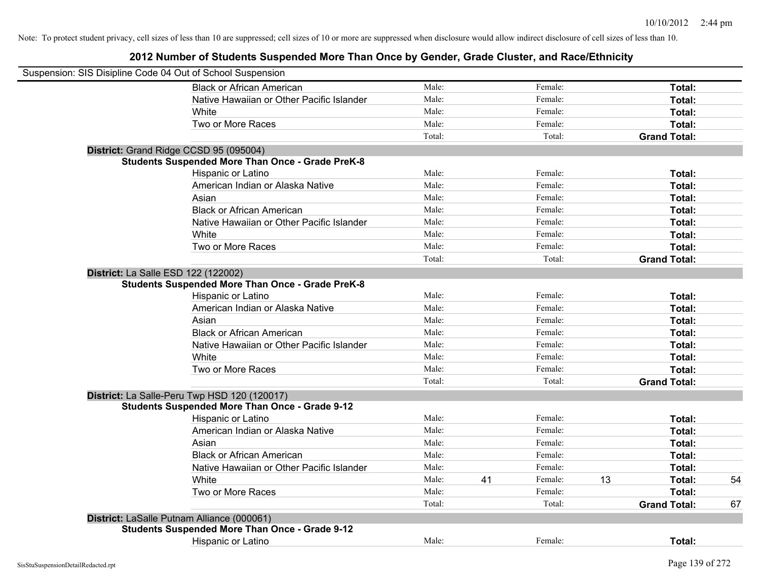| Suspension: SIS Disipline Code 04 Out of School Suspension |        |    |         |    |                     |    |
|------------------------------------------------------------|--------|----|---------|----|---------------------|----|
| <b>Black or African American</b>                           | Male:  |    | Female: |    | Total:              |    |
| Native Hawaiian or Other Pacific Islander                  | Male:  |    | Female: |    | Total:              |    |
| White                                                      | Male:  |    | Female: |    | Total:              |    |
| Two or More Races                                          | Male:  |    | Female: |    | Total:              |    |
|                                                            | Total: |    | Total:  |    | <b>Grand Total:</b> |    |
| District: Grand Ridge CCSD 95 (095004)                     |        |    |         |    |                     |    |
| <b>Students Suspended More Than Once - Grade PreK-8</b>    |        |    |         |    |                     |    |
| Hispanic or Latino                                         | Male:  |    | Female: |    | Total:              |    |
| American Indian or Alaska Native                           | Male:  |    | Female: |    | Total:              |    |
| Asian                                                      | Male:  |    | Female: |    | Total:              |    |
| <b>Black or African American</b>                           | Male:  |    | Female: |    | Total:              |    |
| Native Hawaiian or Other Pacific Islander                  | Male:  |    | Female: |    | Total:              |    |
| White                                                      | Male:  |    | Female: |    | Total:              |    |
| Two or More Races                                          | Male:  |    | Female: |    | Total:              |    |
|                                                            | Total: |    | Total:  |    | <b>Grand Total:</b> |    |
| District: La Salle ESD 122 (122002)                        |        |    |         |    |                     |    |
| <b>Students Suspended More Than Once - Grade PreK-8</b>    |        |    |         |    |                     |    |
| Hispanic or Latino                                         | Male:  |    | Female: |    | Total:              |    |
| American Indian or Alaska Native                           | Male:  |    | Female: |    | Total:              |    |
| Asian                                                      | Male:  |    | Female: |    | Total:              |    |
| <b>Black or African American</b>                           | Male:  |    | Female: |    | Total:              |    |
| Native Hawaiian or Other Pacific Islander                  | Male:  |    | Female: |    | Total:              |    |
| White                                                      | Male:  |    | Female: |    | Total:              |    |
| Two or More Races                                          | Male:  |    | Female: |    | Total:              |    |
|                                                            | Total: |    | Total:  |    | <b>Grand Total:</b> |    |
| District: La Salle-Peru Twp HSD 120 (120017)               |        |    |         |    |                     |    |
| <b>Students Suspended More Than Once - Grade 9-12</b>      |        |    |         |    |                     |    |
| Hispanic or Latino                                         | Male:  |    | Female: |    | Total:              |    |
| American Indian or Alaska Native                           | Male:  |    | Female: |    | Total:              |    |
| Asian                                                      | Male:  |    | Female: |    | Total:              |    |
| <b>Black or African American</b>                           | Male:  |    | Female: |    | Total:              |    |
| Native Hawaiian or Other Pacific Islander                  | Male:  |    | Female: |    | Total:              |    |
| White                                                      | Male:  | 41 | Female: | 13 | Total:              | 54 |
| Two or More Races                                          | Male:  |    | Female: |    | Total:              |    |
|                                                            | Total: |    | Total:  |    | <b>Grand Total:</b> | 67 |
| District: LaSalle Putnam Alliance (000061)                 |        |    |         |    |                     |    |
| <b>Students Suspended More Than Once - Grade 9-12</b>      |        |    |         |    |                     |    |
| <b>Hispanic or Latino</b>                                  | Male:  |    | Female: |    | Total:              |    |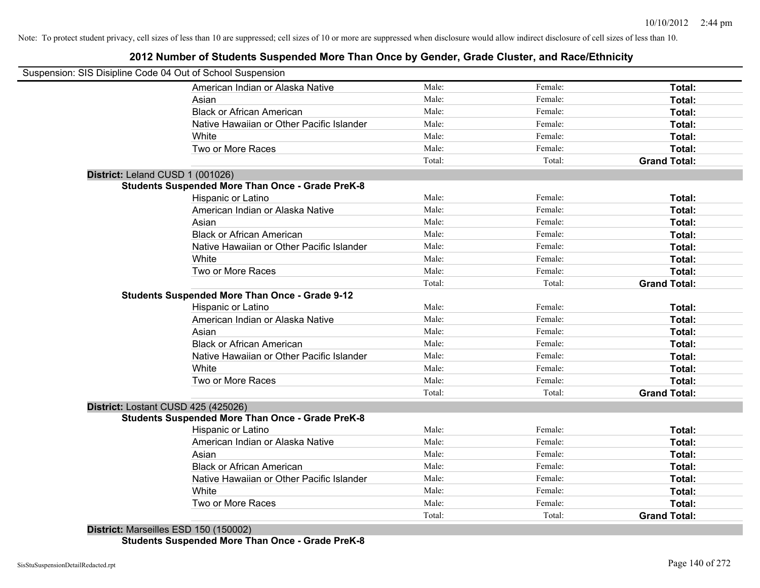## **2012 Number of Students Suspended More Than Once by Gender, Grade Cluster, and Race/Ethnicity**

|                                  | Suspension: SIS Disipline Code 04 Out of School Suspension |        |         |                     |
|----------------------------------|------------------------------------------------------------|--------|---------|---------------------|
|                                  | American Indian or Alaska Native                           | Male:  | Female: | Total:              |
|                                  | Asian                                                      | Male:  | Female: | Total:              |
|                                  | <b>Black or African American</b>                           | Male:  | Female: | Total:              |
|                                  | Native Hawaiian or Other Pacific Islander                  | Male:  | Female: | Total:              |
|                                  | White                                                      | Male:  | Female: | Total:              |
|                                  | Two or More Races                                          | Male:  | Female: | Total:              |
|                                  |                                                            | Total: | Total:  | <b>Grand Total:</b> |
| District: Leland CUSD 1 (001026) |                                                            |        |         |                     |
|                                  | <b>Students Suspended More Than Once - Grade PreK-8</b>    |        |         |                     |
|                                  | Hispanic or Latino                                         | Male:  | Female: | Total:              |
|                                  | American Indian or Alaska Native                           | Male:  | Female: | Total:              |
|                                  | Asian                                                      | Male:  | Female: | Total:              |
|                                  | <b>Black or African American</b>                           | Male:  | Female: | Total:              |
|                                  | Native Hawaiian or Other Pacific Islander                  | Male:  | Female: | Total:              |
|                                  | White                                                      | Male:  | Female: | Total:              |
|                                  | Two or More Races                                          | Male:  | Female: | Total:              |
|                                  |                                                            | Total: | Total:  | <b>Grand Total:</b> |
|                                  | <b>Students Suspended More Than Once - Grade 9-12</b>      |        |         |                     |
|                                  | Hispanic or Latino                                         | Male:  | Female: | Total:              |
|                                  | American Indian or Alaska Native                           | Male:  | Female: | Total:              |
|                                  | Asian                                                      | Male:  | Female: | Total:              |
|                                  | <b>Black or African American</b>                           | Male:  | Female: | Total:              |
|                                  | Native Hawaiian or Other Pacific Islander                  | Male:  | Female: | Total:              |
|                                  | White                                                      | Male:  | Female: | Total:              |
|                                  | Two or More Races                                          | Male:  | Female: | Total:              |
|                                  |                                                            | Total: | Total:  | <b>Grand Total:</b> |
|                                  | District: Lostant CUSD 425 (425026)                        |        |         |                     |
|                                  | <b>Students Suspended More Than Once - Grade PreK-8</b>    |        |         |                     |
|                                  | <b>Hispanic or Latino</b>                                  | Male:  | Female: | Total:              |
|                                  | American Indian or Alaska Native                           | Male:  | Female: | Total:              |
|                                  | Asian                                                      | Male:  | Female: | Total:              |
|                                  | <b>Black or African American</b>                           | Male:  | Female: | Total:              |
|                                  | Native Hawaiian or Other Pacific Islander                  | Male:  | Female: | Total:              |
|                                  | White                                                      | Male:  | Female: | Total:              |
|                                  | Two or More Races                                          | Male:  | Female: | Total:              |
|                                  |                                                            | Total: | Total:  | <b>Grand Total:</b> |

**Students Suspended More Than Once - Grade PreK-8**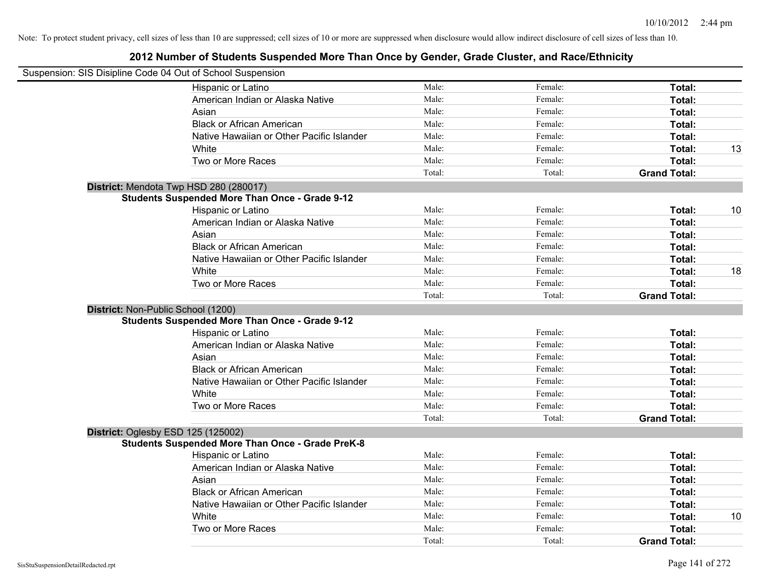| Suspension: SIS Disipline Code 04 Out of School Suspension |        |         |                     |    |
|------------------------------------------------------------|--------|---------|---------------------|----|
| Hispanic or Latino                                         | Male:  | Female: | Total:              |    |
| American Indian or Alaska Native                           | Male:  | Female: | Total:              |    |
| Asian                                                      | Male:  | Female: | Total:              |    |
| <b>Black or African American</b>                           | Male:  | Female: | Total:              |    |
| Native Hawaiian or Other Pacific Islander                  | Male:  | Female: | Total:              |    |
| White                                                      | Male:  | Female: | Total:              | 13 |
| Two or More Races                                          | Male:  | Female: | Total:              |    |
|                                                            | Total: | Total:  | <b>Grand Total:</b> |    |
| District: Mendota Twp HSD 280 (280017)                     |        |         |                     |    |
| <b>Students Suspended More Than Once - Grade 9-12</b>      |        |         |                     |    |
| Hispanic or Latino                                         | Male:  | Female: | Total:              | 10 |
| American Indian or Alaska Native                           | Male:  | Female: | Total:              |    |
| Asian                                                      | Male:  | Female: | Total:              |    |
| <b>Black or African American</b>                           | Male:  | Female: | Total:              |    |
| Native Hawaiian or Other Pacific Islander                  | Male:  | Female: | Total:              |    |
| White                                                      | Male:  | Female: | Total:              | 18 |
| Two or More Races                                          | Male:  | Female: | Total:              |    |
|                                                            | Total: | Total:  | <b>Grand Total:</b> |    |
| District: Non-Public School (1200)                         |        |         |                     |    |
| <b>Students Suspended More Than Once - Grade 9-12</b>      |        |         |                     |    |
| Hispanic or Latino                                         | Male:  | Female: | Total:              |    |
| American Indian or Alaska Native                           | Male:  | Female: | Total:              |    |
| Asian                                                      | Male:  | Female: | Total:              |    |
| <b>Black or African American</b>                           | Male:  | Female: | Total:              |    |
| Native Hawaiian or Other Pacific Islander                  | Male:  | Female: | Total:              |    |
| White                                                      | Male:  | Female: | Total:              |    |
| Two or More Races                                          | Male:  | Female: | Total:              |    |
|                                                            | Total: | Total:  | <b>Grand Total:</b> |    |
| District: Oglesby ESD 125 (125002)                         |        |         |                     |    |
| <b>Students Suspended More Than Once - Grade PreK-8</b>    |        |         |                     |    |
| Hispanic or Latino                                         | Male:  | Female: | Total:              |    |
| American Indian or Alaska Native                           | Male:  | Female: | Total:              |    |
| Asian                                                      | Male:  | Female: | Total:              |    |
| <b>Black or African American</b>                           | Male:  | Female: | Total:              |    |
| Native Hawaiian or Other Pacific Islander                  | Male:  | Female: | Total:              |    |
| White                                                      | Male:  | Female: | Total:              | 10 |
| Two or More Races                                          | Male:  | Female: | Total:              |    |
|                                                            | Total: | Total:  | <b>Grand Total:</b> |    |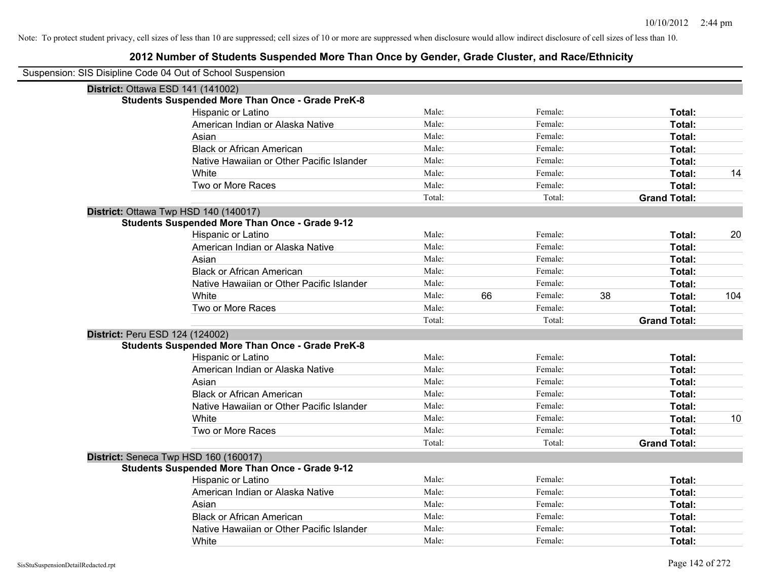| Suspension: SIS Disipline Code 04 Out of School Suspension |                                                         |        |    |         |    |                     |     |
|------------------------------------------------------------|---------------------------------------------------------|--------|----|---------|----|---------------------|-----|
| District: Ottawa ESD 141 (141002)                          |                                                         |        |    |         |    |                     |     |
|                                                            | <b>Students Suspended More Than Once - Grade PreK-8</b> |        |    |         |    |                     |     |
|                                                            | Hispanic or Latino                                      | Male:  |    | Female: |    | Total:              |     |
|                                                            | American Indian or Alaska Native                        | Male:  |    | Female: |    | Total:              |     |
|                                                            | Asian                                                   | Male:  |    | Female: |    | Total:              |     |
|                                                            | <b>Black or African American</b>                        | Male:  |    | Female: |    | Total:              |     |
|                                                            | Native Hawaiian or Other Pacific Islander               | Male:  |    | Female: |    | Total:              |     |
|                                                            | White                                                   | Male:  |    | Female: |    | Total:              | 14  |
|                                                            | Two or More Races                                       | Male:  |    | Female: |    | Total:              |     |
|                                                            |                                                         | Total: |    | Total:  |    | <b>Grand Total:</b> |     |
|                                                            | District: Ottawa Twp HSD 140 (140017)                   |        |    |         |    |                     |     |
|                                                            | <b>Students Suspended More Than Once - Grade 9-12</b>   |        |    |         |    |                     |     |
|                                                            | Hispanic or Latino                                      | Male:  |    | Female: |    | Total:              | 20  |
|                                                            | American Indian or Alaska Native                        | Male:  |    | Female: |    | Total:              |     |
|                                                            | Asian                                                   | Male:  |    | Female: |    | Total:              |     |
|                                                            | <b>Black or African American</b>                        | Male:  |    | Female: |    | Total:              |     |
|                                                            | Native Hawaiian or Other Pacific Islander               | Male:  |    | Female: |    | Total:              |     |
|                                                            | White                                                   | Male:  | 66 | Female: | 38 | Total:              | 104 |
|                                                            | Two or More Races                                       | Male:  |    | Female: |    | Total:              |     |
|                                                            |                                                         | Total: |    | Total:  |    | <b>Grand Total:</b> |     |
| District: Peru ESD 124 (124002)                            |                                                         |        |    |         |    |                     |     |
|                                                            | <b>Students Suspended More Than Once - Grade PreK-8</b> |        |    |         |    |                     |     |
|                                                            | Hispanic or Latino                                      | Male:  |    | Female: |    | Total:              |     |
|                                                            | American Indian or Alaska Native                        | Male:  |    | Female: |    | Total:              |     |
|                                                            | Asian                                                   | Male:  |    | Female: |    | Total:              |     |
|                                                            | <b>Black or African American</b>                        | Male:  |    | Female: |    | Total:              |     |
|                                                            | Native Hawaiian or Other Pacific Islander               | Male:  |    | Female: |    | Total:              |     |
|                                                            | White                                                   | Male:  |    | Female: |    | Total:              | 10  |
|                                                            | Two or More Races                                       | Male:  |    | Female: |    | Total:              |     |
|                                                            |                                                         | Total: |    | Total:  |    | <b>Grand Total:</b> |     |
|                                                            | District: Seneca Twp HSD 160 (160017)                   |        |    |         |    |                     |     |
|                                                            | <b>Students Suspended More Than Once - Grade 9-12</b>   |        |    |         |    |                     |     |
|                                                            | <b>Hispanic or Latino</b>                               | Male:  |    | Female: |    | Total:              |     |
|                                                            | American Indian or Alaska Native                        | Male:  |    | Female: |    | Total:              |     |
|                                                            | Asian                                                   | Male:  |    | Female: |    | Total:              |     |
|                                                            | <b>Black or African American</b>                        | Male:  |    | Female: |    | Total:              |     |
|                                                            | Native Hawaiian or Other Pacific Islander               | Male:  |    | Female: |    | Total:              |     |
|                                                            | White                                                   | Male:  |    | Female: |    | Total:              |     |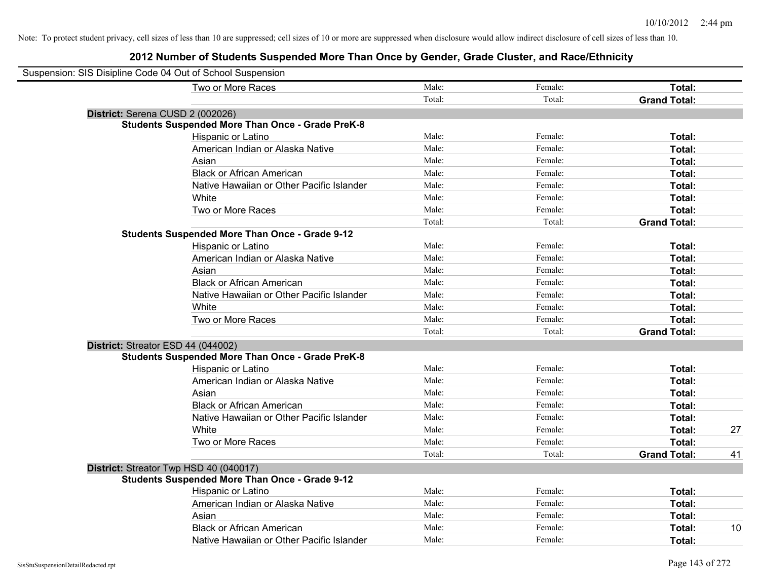| Suspension: SIS Disipline Code 04 Out of School Suspension |        |         |                     |    |
|------------------------------------------------------------|--------|---------|---------------------|----|
| Two or More Races                                          | Male:  | Female: | Total:              |    |
|                                                            | Total: | Total:  | <b>Grand Total:</b> |    |
| District: Serena CUSD 2 (002026)                           |        |         |                     |    |
| <b>Students Suspended More Than Once - Grade PreK-8</b>    |        |         |                     |    |
| Hispanic or Latino                                         | Male:  | Female: | Total:              |    |
| American Indian or Alaska Native                           | Male:  | Female: | Total:              |    |
| Asian                                                      | Male:  | Female: | Total:              |    |
| <b>Black or African American</b>                           | Male:  | Female: | Total:              |    |
| Native Hawaiian or Other Pacific Islander                  | Male:  | Female: | Total:              |    |
| White                                                      | Male:  | Female: | Total:              |    |
| Two or More Races                                          | Male:  | Female: | Total:              |    |
|                                                            | Total: | Total:  | <b>Grand Total:</b> |    |
| <b>Students Suspended More Than Once - Grade 9-12</b>      |        |         |                     |    |
| Hispanic or Latino                                         | Male:  | Female: | Total:              |    |
| American Indian or Alaska Native                           | Male:  | Female: | Total:              |    |
| Asian                                                      | Male:  | Female: | Total:              |    |
| <b>Black or African American</b>                           | Male:  | Female: | Total:              |    |
| Native Hawaiian or Other Pacific Islander                  | Male:  | Female: | Total:              |    |
| White                                                      | Male:  | Female: | Total:              |    |
| Two or More Races                                          | Male:  | Female: | Total:              |    |
|                                                            | Total: | Total:  | <b>Grand Total:</b> |    |
| District: Streator ESD 44 (044002)                         |        |         |                     |    |
| <b>Students Suspended More Than Once - Grade PreK-8</b>    |        |         |                     |    |
| Hispanic or Latino                                         | Male:  | Female: | Total:              |    |
| American Indian or Alaska Native                           | Male:  | Female: | Total:              |    |
| Asian                                                      | Male:  | Female: | Total:              |    |
| <b>Black or African American</b>                           | Male:  | Female: | Total:              |    |
| Native Hawaiian or Other Pacific Islander                  | Male:  | Female: | Total:              |    |
| White                                                      | Male:  | Female: | Total:              | 27 |
| Two or More Races                                          | Male:  | Female: | Total:              |    |
|                                                            | Total: | Total:  | <b>Grand Total:</b> | 41 |
| District: Streator Twp HSD 40 (040017)                     |        |         |                     |    |
| <b>Students Suspended More Than Once - Grade 9-12</b>      |        |         |                     |    |
| Hispanic or Latino                                         | Male:  | Female: | Total:              |    |
| American Indian or Alaska Native                           | Male:  | Female: | Total:              |    |
| Asian                                                      | Male:  | Female: | Total:              |    |
| <b>Black or African American</b>                           | Male:  | Female: | Total:              | 10 |
| Native Hawaiian or Other Pacific Islander                  | Male:  | Female: | Total:              |    |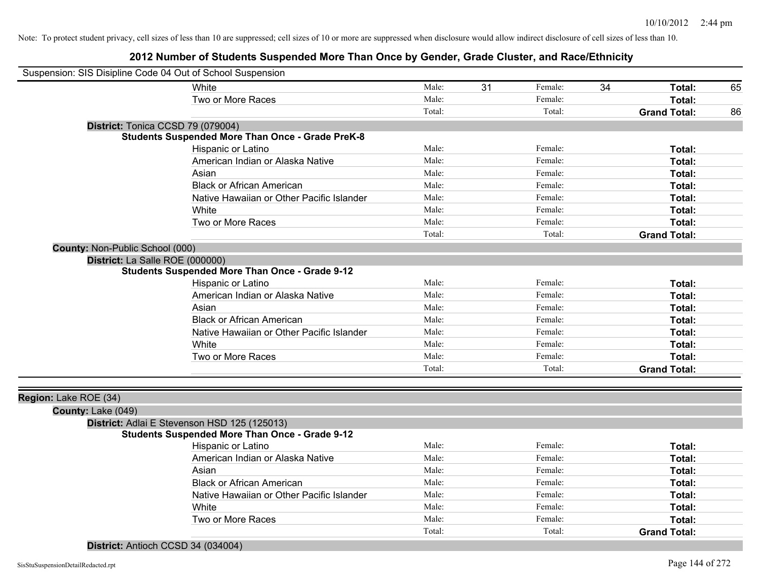## **2012 Number of Students Suspended More Than Once by Gender, Grade Cluster, and Race/Ethnicity**

| Suspension: SIS Disipline Code 04 Out of School Suspension |                                                         |        |    |         |    |                     |    |
|------------------------------------------------------------|---------------------------------------------------------|--------|----|---------|----|---------------------|----|
|                                                            | White                                                   | Male:  | 31 | Female: | 34 | Total:              | 65 |
|                                                            | Two or More Races                                       | Male:  |    | Female: |    | Total:              |    |
|                                                            |                                                         | Total: |    | Total:  |    | <b>Grand Total:</b> | 86 |
| District: Tonica CCSD 79 (079004)                          |                                                         |        |    |         |    |                     |    |
|                                                            | <b>Students Suspended More Than Once - Grade PreK-8</b> |        |    |         |    |                     |    |
|                                                            | Hispanic or Latino                                      | Male:  |    | Female: |    | Total:              |    |
|                                                            | American Indian or Alaska Native                        | Male:  |    | Female: |    | Total:              |    |
|                                                            | Asian                                                   | Male:  |    | Female: |    | Total:              |    |
|                                                            | <b>Black or African American</b>                        | Male:  |    | Female: |    | Total:              |    |
|                                                            | Native Hawaiian or Other Pacific Islander               | Male:  |    | Female: |    | Total:              |    |
|                                                            | White                                                   | Male:  |    | Female: |    | Total:              |    |
|                                                            | Two or More Races                                       | Male:  |    | Female: |    | Total:              |    |
|                                                            |                                                         | Total: |    | Total:  |    | <b>Grand Total:</b> |    |
| County: Non-Public School (000)                            |                                                         |        |    |         |    |                     |    |
| District: La Salle ROE (000000)                            |                                                         |        |    |         |    |                     |    |
|                                                            | <b>Students Suspended More Than Once - Grade 9-12</b>   |        |    |         |    |                     |    |
|                                                            | Hispanic or Latino                                      | Male:  |    | Female: |    | Total:              |    |
|                                                            | American Indian or Alaska Native                        | Male:  |    | Female: |    | Total:              |    |
|                                                            | Asian                                                   | Male:  |    | Female: |    | Total:              |    |
|                                                            | <b>Black or African American</b>                        | Male:  |    | Female: |    | Total:              |    |
|                                                            | Native Hawaiian or Other Pacific Islander               | Male:  |    | Female: |    | Total:              |    |
|                                                            | White                                                   | Male:  |    | Female: |    | Total:              |    |
|                                                            | Two or More Races                                       | Male:  |    | Female: |    | Total:              |    |
|                                                            |                                                         | Total: |    | Total:  |    | <b>Grand Total:</b> |    |
|                                                            |                                                         |        |    |         |    |                     |    |
| Region: Lake ROE (34)                                      |                                                         |        |    |         |    |                     |    |
| County: Lake (049)                                         |                                                         |        |    |         |    |                     |    |
| District: Adlai E Stevenson HSD 125 (125013)               |                                                         |        |    |         |    |                     |    |
|                                                            | <b>Students Suspended More Than Once - Grade 9-12</b>   |        |    |         |    |                     |    |
|                                                            | Hispanic or Latino                                      | Male:  |    | Female: |    | Total:              |    |
|                                                            | American Indian or Alaska Native                        | Male:  |    | Female: |    | Total:              |    |
|                                                            | Asian                                                   | Male:  |    | Female: |    | Total:              |    |
|                                                            | <b>Black or African American</b>                        | Male:  |    | Female: |    | Total:              |    |
|                                                            | Native Hawaiian or Other Pacific Islander               | Male:  |    | Female: |    | Total:              |    |
|                                                            | White                                                   | Male:  |    | Female: |    | Total:              |    |
|                                                            | Two or More Races                                       | Male:  |    | Female: |    | Total:              |    |
|                                                            |                                                         | Total: |    | Total:  |    | <b>Grand Total:</b> |    |

**District:** Antioch CCSD 34 (034004)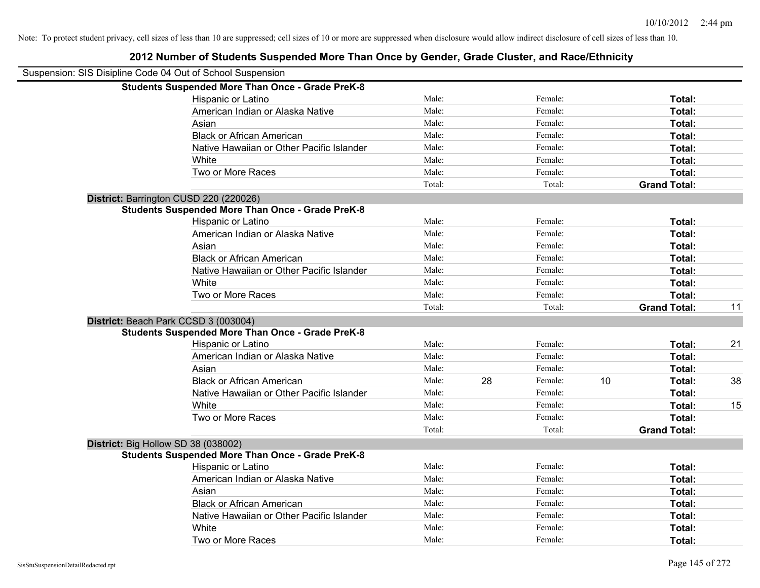| Suspension: SIS Disipline Code 04 Out of School Suspension |        |    |         |    |                     |    |
|------------------------------------------------------------|--------|----|---------|----|---------------------|----|
| <b>Students Suspended More Than Once - Grade PreK-8</b>    |        |    |         |    |                     |    |
| Hispanic or Latino                                         | Male:  |    | Female: |    | Total:              |    |
| American Indian or Alaska Native                           | Male:  |    | Female: |    | Total:              |    |
| Asian                                                      | Male:  |    | Female: |    | Total:              |    |
| <b>Black or African American</b>                           | Male:  |    | Female: |    | Total:              |    |
| Native Hawaiian or Other Pacific Islander                  | Male:  |    | Female: |    | Total:              |    |
| White                                                      | Male:  |    | Female: |    | Total:              |    |
| Two or More Races                                          | Male:  |    | Female: |    | Total:              |    |
|                                                            | Total: |    | Total:  |    | <b>Grand Total:</b> |    |
| District: Barrington CUSD 220 (220026)                     |        |    |         |    |                     |    |
| <b>Students Suspended More Than Once - Grade PreK-8</b>    |        |    |         |    |                     |    |
| Hispanic or Latino                                         | Male:  |    | Female: |    | Total:              |    |
| American Indian or Alaska Native                           | Male:  |    | Female: |    | Total:              |    |
| Asian                                                      | Male:  |    | Female: |    | Total:              |    |
| <b>Black or African American</b>                           | Male:  |    | Female: |    | Total:              |    |
| Native Hawaiian or Other Pacific Islander                  | Male:  |    | Female: |    | Total:              |    |
| White                                                      | Male:  |    | Female: |    | Total:              |    |
| Two or More Races                                          | Male:  |    | Female: |    | Total:              |    |
|                                                            | Total: |    | Total:  |    | <b>Grand Total:</b> | 11 |
| District: Beach Park CCSD 3 (003004)                       |        |    |         |    |                     |    |
| <b>Students Suspended More Than Once - Grade PreK-8</b>    |        |    |         |    |                     |    |
| Hispanic or Latino                                         | Male:  |    | Female: |    | Total:              | 21 |
| American Indian or Alaska Native                           | Male:  |    | Female: |    | Total:              |    |
| Asian                                                      | Male:  |    | Female: |    | Total:              |    |
| <b>Black or African American</b>                           | Male:  | 28 | Female: | 10 | Total:              | 38 |
| Native Hawaiian or Other Pacific Islander                  | Male:  |    | Female: |    | Total:              |    |
| White                                                      | Male:  |    | Female: |    | Total:              | 15 |
| Two or More Races                                          | Male:  |    | Female: |    | Total:              |    |
|                                                            | Total: |    | Total:  |    | <b>Grand Total:</b> |    |
| District: Big Hollow SD 38 (038002)                        |        |    |         |    |                     |    |
| <b>Students Suspended More Than Once - Grade PreK-8</b>    |        |    |         |    |                     |    |
| Hispanic or Latino                                         | Male:  |    | Female: |    | Total:              |    |
| American Indian or Alaska Native                           | Male:  |    | Female: |    | Total:              |    |
| Asian                                                      | Male:  |    | Female: |    | Total:              |    |
| <b>Black or African American</b>                           | Male:  |    | Female: |    | Total:              |    |
| Native Hawaiian or Other Pacific Islander                  | Male:  |    | Female: |    | Total:              |    |
| White                                                      | Male:  |    | Female: |    | Total:              |    |
| Two or More Races                                          | Male:  |    | Female: |    | Total:              |    |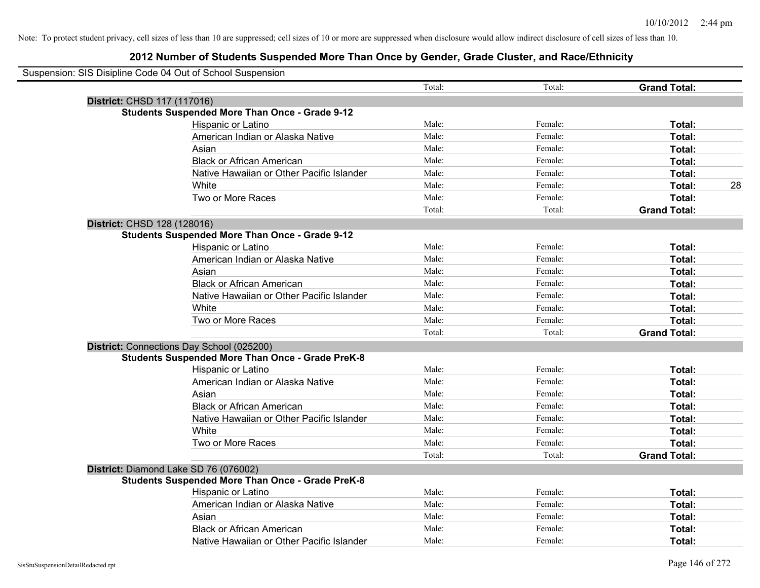|                             | Suspension: SIS Disipline Code 04 Out of School Suspension |        |         |                     |    |
|-----------------------------|------------------------------------------------------------|--------|---------|---------------------|----|
|                             |                                                            | Total: | Total:  | <b>Grand Total:</b> |    |
| District: CHSD 117 (117016) |                                                            |        |         |                     |    |
|                             | <b>Students Suspended More Than Once - Grade 9-12</b>      |        |         |                     |    |
|                             | Hispanic or Latino                                         | Male:  | Female: | Total:              |    |
|                             | American Indian or Alaska Native                           | Male:  | Female: | Total:              |    |
|                             | Asian                                                      | Male:  | Female: | Total:              |    |
|                             | <b>Black or African American</b>                           | Male:  | Female: | Total:              |    |
|                             | Native Hawaiian or Other Pacific Islander                  | Male:  | Female: | Total:              |    |
|                             | White                                                      | Male:  | Female: | Total:              | 28 |
|                             | Two or More Races                                          | Male:  | Female: | Total:              |    |
|                             |                                                            | Total: | Total:  | <b>Grand Total:</b> |    |
| District: CHSD 128 (128016) |                                                            |        |         |                     |    |
|                             | <b>Students Suspended More Than Once - Grade 9-12</b>      |        |         |                     |    |
|                             | Hispanic or Latino                                         | Male:  | Female: | Total:              |    |
|                             | American Indian or Alaska Native                           | Male:  | Female: | Total:              |    |
|                             | Asian                                                      | Male:  | Female: | Total:              |    |
|                             | <b>Black or African American</b>                           | Male:  | Female: | Total:              |    |
|                             | Native Hawaiian or Other Pacific Islander                  | Male:  | Female: | Total:              |    |
|                             | White                                                      | Male:  | Female: | Total:              |    |
|                             | Two or More Races                                          | Male:  | Female: | Total:              |    |
|                             |                                                            | Total: | Total:  | <b>Grand Total:</b> |    |
|                             | District: Connections Day School (025200)                  |        |         |                     |    |
|                             | <b>Students Suspended More Than Once - Grade PreK-8</b>    |        |         |                     |    |
|                             | Hispanic or Latino                                         | Male:  | Female: | Total:              |    |
|                             | American Indian or Alaska Native                           | Male:  | Female: | Total:              |    |
|                             | Asian                                                      | Male:  | Female: | Total:              |    |
|                             | <b>Black or African American</b>                           | Male:  | Female: | Total:              |    |
|                             | Native Hawaiian or Other Pacific Islander                  | Male:  | Female: | Total:              |    |
|                             | White                                                      | Male:  | Female: | Total:              |    |
|                             | Two or More Races                                          | Male:  | Female: | Total:              |    |
|                             |                                                            | Total: | Total:  | <b>Grand Total:</b> |    |
|                             | District: Diamond Lake SD 76 (076002)                      |        |         |                     |    |
|                             | <b>Students Suspended More Than Once - Grade PreK-8</b>    |        |         |                     |    |
|                             | Hispanic or Latino                                         | Male:  | Female: | Total:              |    |
|                             | American Indian or Alaska Native                           | Male:  | Female: | Total:              |    |
|                             | Asian                                                      | Male:  | Female: | Total:              |    |
|                             | <b>Black or African American</b>                           | Male:  | Female: | <b>Total:</b>       |    |
|                             | Native Hawaiian or Other Pacific Islander                  | Male:  | Female: | Total:              |    |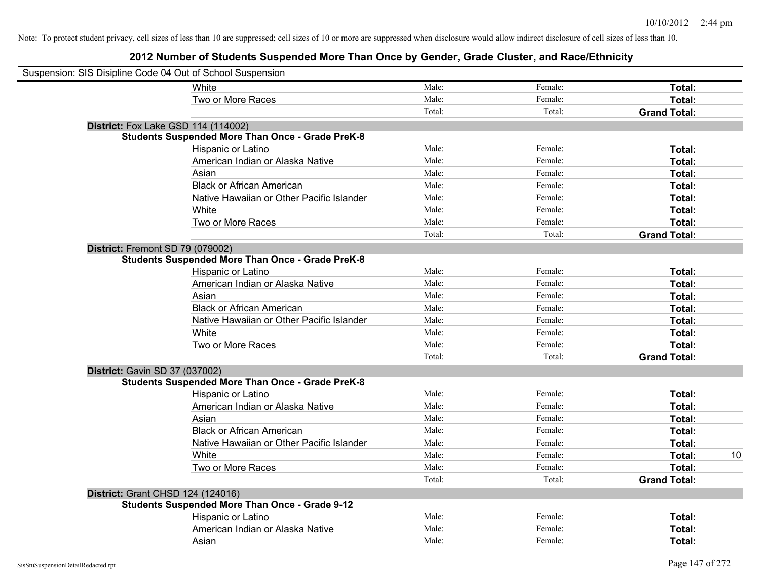|                                          | Suspension: SIS Disipline Code 04 Out of School Suspension |        |         |                     |    |
|------------------------------------------|------------------------------------------------------------|--------|---------|---------------------|----|
|                                          | White                                                      | Male:  | Female: | Total:              |    |
|                                          | Two or More Races                                          | Male:  | Female: | Total:              |    |
|                                          |                                                            | Total: | Total:  | <b>Grand Total:</b> |    |
|                                          | <b>District:</b> Fox Lake GSD 114 (114002)                 |        |         |                     |    |
|                                          | <b>Students Suspended More Than Once - Grade PreK-8</b>    |        |         |                     |    |
|                                          | Hispanic or Latino                                         | Male:  | Female: | Total:              |    |
|                                          | American Indian or Alaska Native                           | Male:  | Female: | Total:              |    |
|                                          | Asian                                                      | Male:  | Female: | Total:              |    |
|                                          | <b>Black or African American</b>                           | Male:  | Female: | Total:              |    |
|                                          | Native Hawaiian or Other Pacific Islander                  | Male:  | Female: | Total:              |    |
|                                          | White                                                      | Male:  | Female: | Total:              |    |
|                                          | Two or More Races                                          | Male:  | Female: | Total:              |    |
|                                          |                                                            | Total: | Total:  | <b>Grand Total:</b> |    |
| District: Fremont SD 79 (079002)         |                                                            |        |         |                     |    |
|                                          | <b>Students Suspended More Than Once - Grade PreK-8</b>    |        |         |                     |    |
|                                          | Hispanic or Latino                                         | Male:  | Female: | Total:              |    |
|                                          | American Indian or Alaska Native                           | Male:  | Female: | Total:              |    |
|                                          | Asian                                                      | Male:  | Female: | Total:              |    |
|                                          | <b>Black or African American</b>                           | Male:  | Female: | Total:              |    |
|                                          | Native Hawaiian or Other Pacific Islander                  | Male:  | Female: | Total:              |    |
|                                          | White                                                      | Male:  | Female: | Total:              |    |
|                                          | Two or More Races                                          | Male:  | Female: | Total:              |    |
|                                          |                                                            | Total: | Total:  | <b>Grand Total:</b> |    |
| <b>District: Gavin SD 37 (037002)</b>    |                                                            |        |         |                     |    |
|                                          | <b>Students Suspended More Than Once - Grade PreK-8</b>    |        |         |                     |    |
|                                          | Hispanic or Latino                                         | Male:  | Female: | Total:              |    |
|                                          | American Indian or Alaska Native                           | Male:  | Female: | Total:              |    |
|                                          | Asian                                                      | Male:  | Female: | Total:              |    |
|                                          | <b>Black or African American</b>                           | Male:  | Female: | Total:              |    |
|                                          | Native Hawaiian or Other Pacific Islander                  | Male:  | Female: | Total:              |    |
|                                          | White                                                      | Male:  | Female: | Total:              | 10 |
|                                          | Two or More Races                                          | Male:  | Female: | Total:              |    |
|                                          |                                                            | Total: | Total:  | <b>Grand Total:</b> |    |
| <b>District: Grant CHSD 124 (124016)</b> |                                                            |        |         |                     |    |
|                                          | <b>Students Suspended More Than Once - Grade 9-12</b>      |        |         |                     |    |
|                                          | Hispanic or Latino                                         | Male:  | Female: | Total:              |    |
|                                          | American Indian or Alaska Native                           | Male:  | Female: | Total:              |    |
|                                          | Asian                                                      | Male:  | Female: | Total:              |    |
|                                          |                                                            |        |         |                     |    |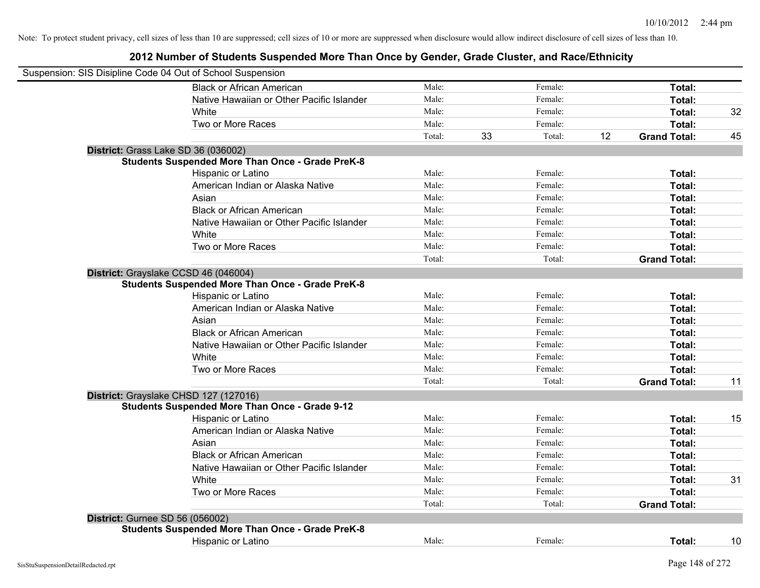| Suspension: SIS Disipline Code 04 Out of School Suspension |        |    |         |    |                     |    |
|------------------------------------------------------------|--------|----|---------|----|---------------------|----|
| <b>Black or African American</b>                           | Male:  |    | Female: |    | Total:              |    |
| Native Hawaiian or Other Pacific Islander                  | Male:  |    | Female: |    | Total:              |    |
| White                                                      | Male:  |    | Female: |    | Total:              | 32 |
| Two or More Races                                          | Male:  |    | Female: |    | Total:              |    |
|                                                            | Total: | 33 | Total:  | 12 | <b>Grand Total:</b> | 45 |
| District: Grass Lake SD 36 (036002)                        |        |    |         |    |                     |    |
| <b>Students Suspended More Than Once - Grade PreK-8</b>    |        |    |         |    |                     |    |
| Hispanic or Latino                                         | Male:  |    | Female: |    | Total:              |    |
| American Indian or Alaska Native                           | Male:  |    | Female: |    | Total:              |    |
| Asian                                                      | Male:  |    | Female: |    | Total:              |    |
| <b>Black or African American</b>                           | Male:  |    | Female: |    | Total:              |    |
| Native Hawaiian or Other Pacific Islander                  | Male:  |    | Female: |    | Total:              |    |
| White                                                      | Male:  |    | Female: |    | Total:              |    |
| Two or More Races                                          | Male:  |    | Female: |    | Total:              |    |
|                                                            | Total: |    | Total:  |    | <b>Grand Total:</b> |    |
| District: Grayslake CCSD 46 (046004)                       |        |    |         |    |                     |    |
| <b>Students Suspended More Than Once - Grade PreK-8</b>    |        |    |         |    |                     |    |
| Hispanic or Latino                                         | Male:  |    | Female: |    | Total:              |    |
| American Indian or Alaska Native                           | Male:  |    | Female: |    | Total:              |    |
| Asian                                                      | Male:  |    | Female: |    | Total:              |    |
| <b>Black or African American</b>                           | Male:  |    | Female: |    | Total:              |    |
| Native Hawaiian or Other Pacific Islander                  | Male:  |    | Female: |    | Total:              |    |
| White                                                      | Male:  |    | Female: |    | Total:              |    |
| Two or More Races                                          | Male:  |    | Female: |    | Total:              |    |
|                                                            | Total: |    | Total:  |    | <b>Grand Total:</b> | 11 |
| District: Grayslake CHSD 127 (127016)                      |        |    |         |    |                     |    |
| <b>Students Suspended More Than Once - Grade 9-12</b>      |        |    |         |    |                     |    |
| Hispanic or Latino                                         | Male:  |    | Female: |    | Total:              | 15 |
| American Indian or Alaska Native                           | Male:  |    | Female: |    | Total:              |    |
| Asian                                                      | Male:  |    | Female: |    | Total:              |    |
| <b>Black or African American</b>                           | Male:  |    | Female: |    | Total:              |    |
| Native Hawaiian or Other Pacific Islander                  | Male:  |    | Female: |    | Total:              |    |
| <b>White</b>                                               | Male:  |    | Female: |    | Total:              | 31 |
| Two or More Races                                          | Male:  |    | Female: |    | Total:              |    |
|                                                            | Total: |    | Total:  |    | <b>Grand Total:</b> |    |
| District: Gurnee SD 56 (056002)                            |        |    |         |    |                     |    |
| <b>Students Suspended More Than Once - Grade PreK-8</b>    |        |    |         |    |                     |    |
| Hispanic or Latino                                         | Male:  |    | Female: |    | Total:              | 10 |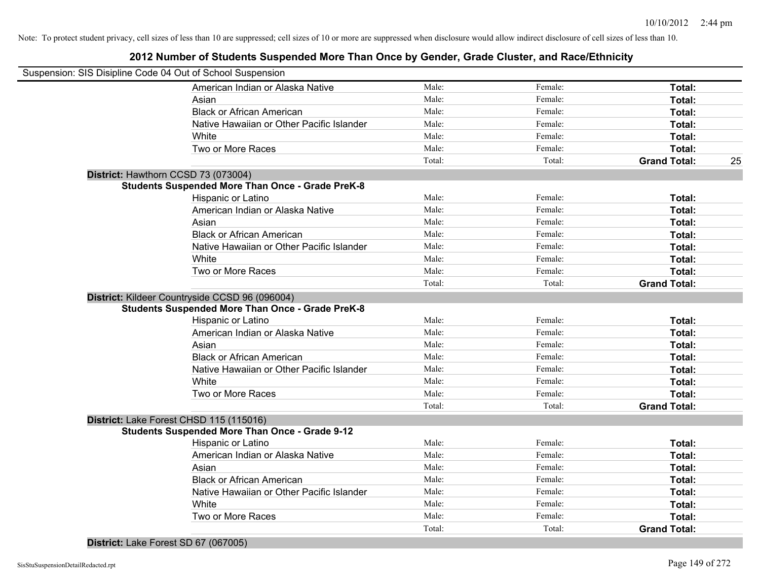| Suspension: SIS Disipline Code 04 Out of School Suspension |        |         |                     |    |
|------------------------------------------------------------|--------|---------|---------------------|----|
| American Indian or Alaska Native                           | Male:  | Female: | Total:              |    |
| Asian                                                      | Male:  | Female: | Total:              |    |
| <b>Black or African American</b>                           | Male:  | Female: | Total:              |    |
| Native Hawaiian or Other Pacific Islander                  | Male:  | Female: | Total:              |    |
| White                                                      | Male:  | Female: | Total:              |    |
| Two or More Races                                          | Male:  | Female: | Total:              |    |
|                                                            | Total: | Total:  | <b>Grand Total:</b> | 25 |
| District: Hawthorn CCSD 73 (073004)                        |        |         |                     |    |
| <b>Students Suspended More Than Once - Grade PreK-8</b>    |        |         |                     |    |
| Hispanic or Latino                                         | Male:  | Female: | Total:              |    |
| American Indian or Alaska Native                           | Male:  | Female: | Total:              |    |
| Asian                                                      | Male:  | Female: | Total:              |    |
| <b>Black or African American</b>                           | Male:  | Female: | Total:              |    |
| Native Hawaiian or Other Pacific Islander                  | Male:  | Female: | Total:              |    |
| White                                                      | Male:  | Female: | Total:              |    |
| Two or More Races                                          | Male:  | Female: | Total:              |    |
|                                                            | Total: | Total:  | <b>Grand Total:</b> |    |
| District: Kildeer Countryside CCSD 96 (096004)             |        |         |                     |    |
| <b>Students Suspended More Than Once - Grade PreK-8</b>    |        |         |                     |    |
| Hispanic or Latino                                         | Male:  | Female: | Total:              |    |
| American Indian or Alaska Native                           | Male:  | Female: | Total:              |    |
| Asian                                                      | Male:  | Female: | Total:              |    |
| <b>Black or African American</b>                           | Male:  | Female: | Total:              |    |
| Native Hawaiian or Other Pacific Islander                  | Male:  | Female: | Total:              |    |
| White                                                      | Male:  | Female: | Total:              |    |
| Two or More Races                                          | Male:  | Female: | Total:              |    |
|                                                            | Total: | Total:  | <b>Grand Total:</b> |    |
| District: Lake Forest CHSD 115 (115016)                    |        |         |                     |    |
| <b>Students Suspended More Than Once - Grade 9-12</b>      |        |         |                     |    |
| Hispanic or Latino                                         | Male:  | Female: | Total:              |    |
| American Indian or Alaska Native                           | Male:  | Female: | Total:              |    |
| Asian                                                      | Male:  | Female: | Total:              |    |
| <b>Black or African American</b>                           | Male:  | Female: | Total:              |    |
| Native Hawaiian or Other Pacific Islander                  | Male:  | Female: | Total:              |    |
| White                                                      | Male:  | Female: | Total:              |    |
| Two or More Races                                          | Male:  | Female: | Total:              |    |
|                                                            | Total: | Total:  | <b>Grand Total:</b> |    |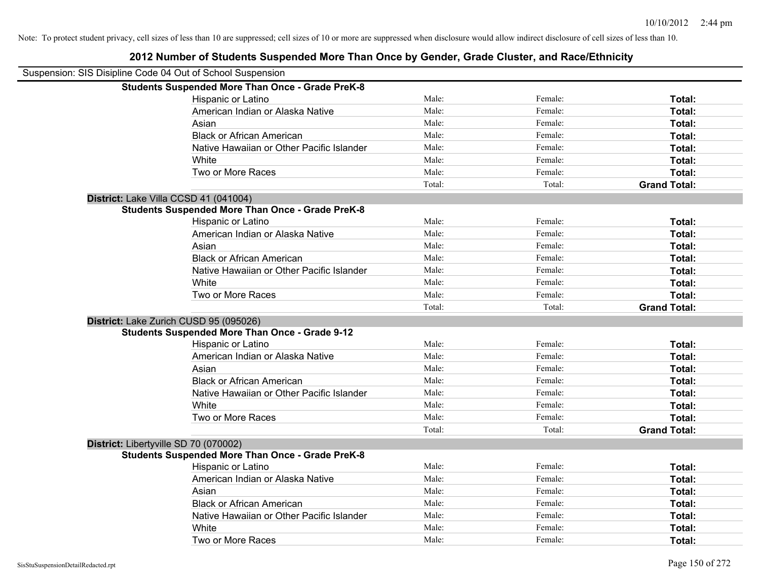| Suspension: SIS Disipline Code 04 Out of School Suspension |        |         |                     |
|------------------------------------------------------------|--------|---------|---------------------|
| <b>Students Suspended More Than Once - Grade PreK-8</b>    |        |         |                     |
| Hispanic or Latino                                         | Male:  | Female: | Total:              |
| American Indian or Alaska Native                           | Male:  | Female: | Total:              |
| Asian                                                      | Male:  | Female: | Total:              |
| <b>Black or African American</b>                           | Male:  | Female: | Total:              |
| Native Hawaiian or Other Pacific Islander                  | Male:  | Female: | Total:              |
| White                                                      | Male:  | Female: | Total:              |
| Two or More Races                                          | Male:  | Female: | Total:              |
|                                                            | Total: | Total:  | <b>Grand Total:</b> |
| District: Lake Villa CCSD 41 (041004)                      |        |         |                     |
| <b>Students Suspended More Than Once - Grade PreK-8</b>    |        |         |                     |
| Hispanic or Latino                                         | Male:  | Female: | Total:              |
| American Indian or Alaska Native                           | Male:  | Female: | Total:              |
| Asian                                                      | Male:  | Female: | Total:              |
| <b>Black or African American</b>                           | Male:  | Female: | Total:              |
| Native Hawaiian or Other Pacific Islander                  | Male:  | Female: | Total:              |
| White                                                      | Male:  | Female: | Total:              |
| Two or More Races                                          | Male:  | Female: | Total:              |
|                                                            | Total: | Total:  | <b>Grand Total:</b> |
| District: Lake Zurich CUSD 95 (095026)                     |        |         |                     |
| <b>Students Suspended More Than Once - Grade 9-12</b>      |        |         |                     |
| Hispanic or Latino                                         | Male:  | Female: | Total:              |
| American Indian or Alaska Native                           | Male:  | Female: | Total:              |
| Asian                                                      | Male:  | Female: | Total:              |
| <b>Black or African American</b>                           | Male:  | Female: | Total:              |
| Native Hawaiian or Other Pacific Islander                  | Male:  | Female: | Total:              |
| White                                                      | Male:  | Female: | Total:              |
| Two or More Races                                          | Male:  | Female: | Total:              |
|                                                            | Total: | Total:  | <b>Grand Total:</b> |
| District: Libertyville SD 70 (070002)                      |        |         |                     |
| <b>Students Suspended More Than Once - Grade PreK-8</b>    |        |         |                     |
| Hispanic or Latino                                         | Male:  | Female: | Total:              |
| American Indian or Alaska Native                           | Male:  | Female: | Total:              |
| Asian                                                      | Male:  | Female: | Total:              |
| <b>Black or African American</b>                           | Male:  | Female: | Total:              |
| Native Hawaiian or Other Pacific Islander                  | Male:  | Female: | Total:              |
| White                                                      | Male:  | Female: | Total:              |
| Two or More Races                                          | Male:  | Female: | Total:              |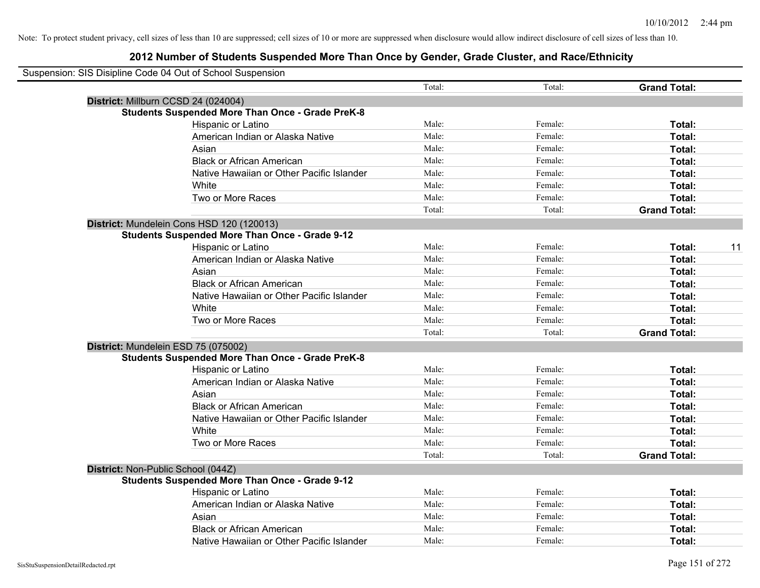| Suspension: SIS Disipline Code 04 Out of School Suspension |        |         |                     |    |
|------------------------------------------------------------|--------|---------|---------------------|----|
|                                                            | Total: | Total:  | <b>Grand Total:</b> |    |
| District: Millburn CCSD 24 (024004)                        |        |         |                     |    |
| <b>Students Suspended More Than Once - Grade PreK-8</b>    |        |         |                     |    |
| Hispanic or Latino                                         | Male:  | Female: | Total:              |    |
| American Indian or Alaska Native                           | Male:  | Female: | Total:              |    |
| Asian                                                      | Male:  | Female: | Total:              |    |
| <b>Black or African American</b>                           | Male:  | Female: | Total:              |    |
| Native Hawaiian or Other Pacific Islander                  | Male:  | Female: | Total:              |    |
| White                                                      | Male:  | Female: | Total:              |    |
| Two or More Races                                          | Male:  | Female: | Total:              |    |
|                                                            | Total: | Total:  | <b>Grand Total:</b> |    |
| District: Mundelein Cons HSD 120 (120013)                  |        |         |                     |    |
| <b>Students Suspended More Than Once - Grade 9-12</b>      |        |         |                     |    |
| Hispanic or Latino                                         | Male:  | Female: | Total:              | 11 |
| American Indian or Alaska Native                           | Male:  | Female: | Total:              |    |
| Asian                                                      | Male:  | Female: | Total:              |    |
| <b>Black or African American</b>                           | Male:  | Female: | Total:              |    |
| Native Hawaiian or Other Pacific Islander                  | Male:  | Female: | Total:              |    |
| White                                                      | Male:  | Female: | Total:              |    |
| Two or More Races                                          | Male:  | Female: | Total:              |    |
|                                                            | Total: | Total:  | <b>Grand Total:</b> |    |
| District: Mundelein ESD 75 (075002)                        |        |         |                     |    |
| <b>Students Suspended More Than Once - Grade PreK-8</b>    |        |         |                     |    |
| Hispanic or Latino                                         | Male:  | Female: | Total:              |    |
| American Indian or Alaska Native                           | Male:  | Female: | Total:              |    |
| Asian                                                      | Male:  | Female: | Total:              |    |
| <b>Black or African American</b>                           | Male:  | Female: | Total:              |    |
| Native Hawaiian or Other Pacific Islander                  | Male:  | Female: | Total:              |    |
| White                                                      | Male:  | Female: | Total:              |    |
| Two or More Races                                          | Male:  | Female: | Total:              |    |
|                                                            | Total: | Total:  | <b>Grand Total:</b> |    |
| District: Non-Public School (044Z)                         |        |         |                     |    |
| <b>Students Suspended More Than Once - Grade 9-12</b>      |        |         |                     |    |
| Hispanic or Latino                                         | Male:  | Female: | Total:              |    |
| American Indian or Alaska Native                           | Male:  | Female: | Total:              |    |
| Asian                                                      | Male:  | Female: | Total:              |    |
| <b>Black or African American</b>                           | Male:  | Female: | <b>Total:</b>       |    |
| Native Hawaiian or Other Pacific Islander                  | Male:  | Female: | Total:              |    |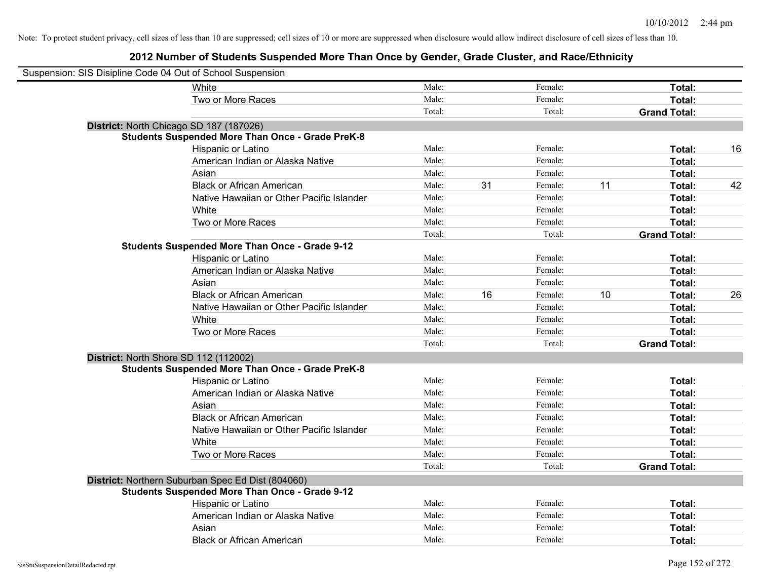| Suspension: SIS Disipline Code 04 Out of School Suspension |                                                         |        |    |         |    |                     |    |
|------------------------------------------------------------|---------------------------------------------------------|--------|----|---------|----|---------------------|----|
|                                                            | <b>White</b>                                            | Male:  |    | Female: |    | Total:              |    |
|                                                            | Two or More Races                                       | Male:  |    | Female: |    | Total:              |    |
|                                                            |                                                         | Total: |    | Total:  |    | <b>Grand Total:</b> |    |
| District: North Chicago SD 187 (187026)                    |                                                         |        |    |         |    |                     |    |
|                                                            | <b>Students Suspended More Than Once - Grade PreK-8</b> |        |    |         |    |                     |    |
|                                                            | Hispanic or Latino                                      | Male:  |    | Female: |    | Total:              | 16 |
|                                                            | American Indian or Alaska Native                        | Male:  |    | Female: |    | Total:              |    |
|                                                            | Asian                                                   | Male:  |    | Female: |    | Total:              |    |
|                                                            | <b>Black or African American</b>                        | Male:  | 31 | Female: | 11 | Total:              | 42 |
|                                                            | Native Hawaiian or Other Pacific Islander               | Male:  |    | Female: |    | Total:              |    |
|                                                            | White                                                   | Male:  |    | Female: |    | Total:              |    |
|                                                            | Two or More Races                                       | Male:  |    | Female: |    | Total:              |    |
|                                                            |                                                         | Total: |    | Total:  |    | <b>Grand Total:</b> |    |
|                                                            | <b>Students Suspended More Than Once - Grade 9-12</b>   |        |    |         |    |                     |    |
|                                                            | Hispanic or Latino                                      | Male:  |    | Female: |    | Total:              |    |
|                                                            | American Indian or Alaska Native                        | Male:  |    | Female: |    | Total:              |    |
|                                                            | Asian                                                   | Male:  |    | Female: |    | Total:              |    |
|                                                            | <b>Black or African American</b>                        | Male:  | 16 | Female: | 10 | Total:              | 26 |
|                                                            | Native Hawaiian or Other Pacific Islander               | Male:  |    | Female: |    | Total:              |    |
|                                                            | White                                                   | Male:  |    | Female: |    | Total:              |    |
|                                                            | Two or More Races                                       | Male:  |    | Female: |    | Total:              |    |
|                                                            |                                                         | Total: |    | Total:  |    | <b>Grand Total:</b> |    |
| District: North Shore SD 112 (112002)                      |                                                         |        |    |         |    |                     |    |
|                                                            | <b>Students Suspended More Than Once - Grade PreK-8</b> |        |    |         |    |                     |    |
|                                                            | Hispanic or Latino                                      | Male:  |    | Female: |    | Total:              |    |
|                                                            | American Indian or Alaska Native                        | Male:  |    | Female: |    | Total:              |    |
|                                                            | Asian                                                   | Male:  |    | Female: |    | Total:              |    |
|                                                            | <b>Black or African American</b>                        | Male:  |    | Female: |    | Total:              |    |
|                                                            | Native Hawaiian or Other Pacific Islander               | Male:  |    | Female: |    | Total:              |    |
|                                                            | White                                                   | Male:  |    | Female: |    | Total:              |    |
|                                                            | Two or More Races                                       | Male:  |    | Female: |    | Total:              |    |
|                                                            |                                                         | Total: |    | Total:  |    | <b>Grand Total:</b> |    |
|                                                            | District: Northern Suburban Spec Ed Dist (804060)       |        |    |         |    |                     |    |
|                                                            | <b>Students Suspended More Than Once - Grade 9-12</b>   |        |    |         |    |                     |    |
|                                                            | Hispanic or Latino                                      | Male:  |    | Female: |    | Total:              |    |
|                                                            | American Indian or Alaska Native                        | Male:  |    | Female: |    | Total:              |    |
|                                                            | Asian                                                   | Male:  |    | Female: |    | Total:              |    |
|                                                            | <b>Black or African American</b>                        | Male:  |    | Female: |    | Total:              |    |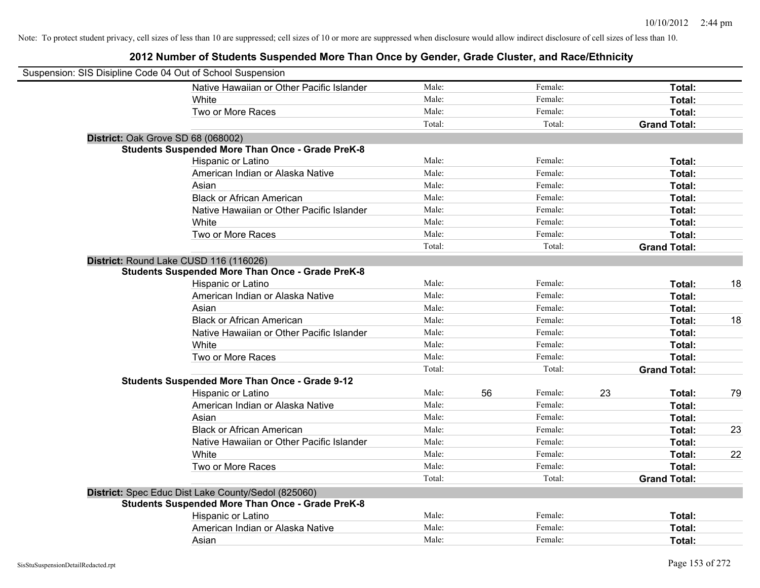| Suspension: SIS Disipline Code 04 Out of School Suspension |                                                         |        |    |         |    |                     |    |
|------------------------------------------------------------|---------------------------------------------------------|--------|----|---------|----|---------------------|----|
|                                                            | Native Hawaiian or Other Pacific Islander               | Male:  |    | Female: |    | Total:              |    |
|                                                            | White                                                   | Male:  |    | Female: |    | Total:              |    |
|                                                            | Two or More Races                                       | Male:  |    | Female: |    | Total:              |    |
|                                                            |                                                         | Total: |    | Total:  |    | <b>Grand Total:</b> |    |
| District: Oak Grove SD 68 (068002)                         |                                                         |        |    |         |    |                     |    |
|                                                            | <b>Students Suspended More Than Once - Grade PreK-8</b> |        |    |         |    |                     |    |
|                                                            | Hispanic or Latino                                      | Male:  |    | Female: |    | Total:              |    |
|                                                            | American Indian or Alaska Native                        | Male:  |    | Female: |    | Total:              |    |
|                                                            | Asian                                                   | Male:  |    | Female: |    | Total:              |    |
|                                                            | <b>Black or African American</b>                        | Male:  |    | Female: |    | Total:              |    |
|                                                            | Native Hawaiian or Other Pacific Islander               | Male:  |    | Female: |    | Total:              |    |
|                                                            | White                                                   | Male:  |    | Female: |    | Total:              |    |
|                                                            | Two or More Races                                       | Male:  |    | Female: |    | Total:              |    |
|                                                            |                                                         | Total: |    | Total:  |    | <b>Grand Total:</b> |    |
| District: Round Lake CUSD 116 (116026)                     |                                                         |        |    |         |    |                     |    |
|                                                            | <b>Students Suspended More Than Once - Grade PreK-8</b> |        |    |         |    |                     |    |
|                                                            | Hispanic or Latino                                      | Male:  |    | Female: |    | Total:              | 18 |
|                                                            | American Indian or Alaska Native                        | Male:  |    | Female: |    | Total:              |    |
|                                                            | Asian                                                   | Male:  |    | Female: |    | Total:              |    |
|                                                            | <b>Black or African American</b>                        | Male:  |    | Female: |    | Total:              | 18 |
|                                                            | Native Hawaiian or Other Pacific Islander               | Male:  |    | Female: |    | Total:              |    |
|                                                            | White                                                   | Male:  |    | Female: |    | Total:              |    |
|                                                            | Two or More Races                                       | Male:  |    | Female: |    | Total:              |    |
|                                                            |                                                         | Total: |    | Total:  |    | <b>Grand Total:</b> |    |
|                                                            | <b>Students Suspended More Than Once - Grade 9-12</b>   |        |    |         |    |                     |    |
|                                                            | Hispanic or Latino                                      | Male:  | 56 | Female: | 23 | Total:              | 79 |
|                                                            | American Indian or Alaska Native                        | Male:  |    | Female: |    | Total:              |    |
|                                                            | Asian                                                   | Male:  |    | Female: |    | Total:              |    |
|                                                            | <b>Black or African American</b>                        | Male:  |    | Female: |    | Total:              | 23 |
|                                                            | Native Hawaiian or Other Pacific Islander               | Male:  |    | Female: |    | Total:              |    |
|                                                            | White                                                   | Male:  |    | Female: |    | Total:              | 22 |
|                                                            | Two or More Races                                       | Male:  |    | Female: |    | Total:              |    |
|                                                            |                                                         | Total: |    | Total:  |    | <b>Grand Total:</b> |    |
|                                                            | District: Spec Educ Dist Lake County/Sedol (825060)     |        |    |         |    |                     |    |
|                                                            | <b>Students Suspended More Than Once - Grade PreK-8</b> |        |    |         |    |                     |    |
|                                                            | Hispanic or Latino                                      | Male:  |    | Female: |    | Total:              |    |
|                                                            | American Indian or Alaska Native                        | Male:  |    | Female: |    | Total:              |    |
|                                                            | Asian                                                   | Male:  |    | Female: |    | Total:              |    |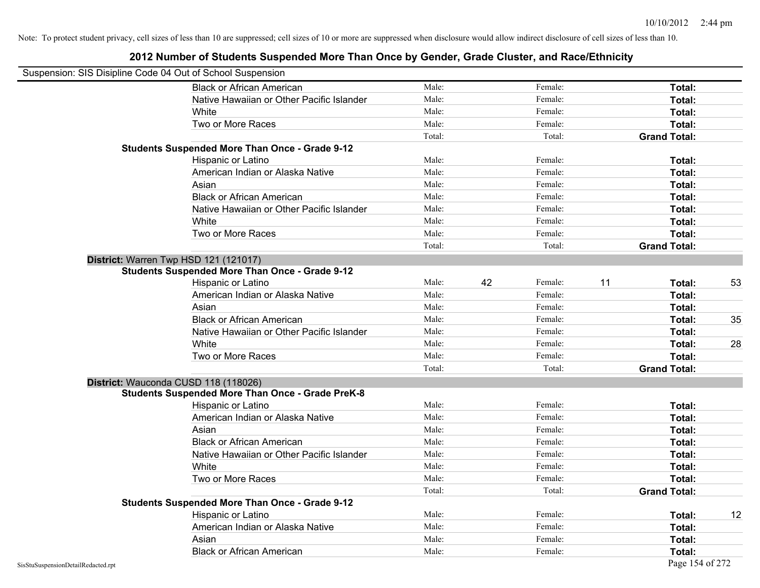|                                    | Suspension: SIS Disipline Code 04 Out of School Suspension |        |    |         |    |                     |    |
|------------------------------------|------------------------------------------------------------|--------|----|---------|----|---------------------|----|
|                                    | <b>Black or African American</b>                           | Male:  |    | Female: |    | Total:              |    |
|                                    | Native Hawaiian or Other Pacific Islander                  | Male:  |    | Female: |    | Total:              |    |
|                                    | White                                                      | Male:  |    | Female: |    | Total:              |    |
|                                    | Two or More Races                                          | Male:  |    | Female: |    | Total:              |    |
|                                    |                                                            | Total: |    | Total:  |    | <b>Grand Total:</b> |    |
|                                    | <b>Students Suspended More Than Once - Grade 9-12</b>      |        |    |         |    |                     |    |
|                                    | Hispanic or Latino                                         | Male:  |    | Female: |    | Total:              |    |
|                                    | American Indian or Alaska Native                           | Male:  |    | Female: |    | Total:              |    |
|                                    | Asian                                                      | Male:  |    | Female: |    | Total:              |    |
|                                    | <b>Black or African American</b>                           | Male:  |    | Female: |    | Total:              |    |
|                                    | Native Hawaiian or Other Pacific Islander                  | Male:  |    | Female: |    | Total:              |    |
|                                    | White                                                      | Male:  |    | Female: |    | Total:              |    |
|                                    | Two or More Races                                          | Male:  |    | Female: |    | Total:              |    |
|                                    |                                                            | Total: |    | Total:  |    | <b>Grand Total:</b> |    |
|                                    | District: Warren Twp HSD 121 (121017)                      |        |    |         |    |                     |    |
|                                    | <b>Students Suspended More Than Once - Grade 9-12</b>      |        |    |         |    |                     |    |
|                                    | Hispanic or Latino                                         | Male:  | 42 | Female: | 11 | Total:              | 53 |
|                                    | American Indian or Alaska Native                           | Male:  |    | Female: |    | Total:              |    |
|                                    | Asian                                                      | Male:  |    | Female: |    | Total:              |    |
|                                    | <b>Black or African American</b>                           | Male:  |    | Female: |    | Total:              | 35 |
|                                    | Native Hawaiian or Other Pacific Islander                  | Male:  |    | Female: |    | Total:              |    |
|                                    | White                                                      | Male:  |    | Female: |    | Total:              | 28 |
|                                    | Two or More Races                                          | Male:  |    | Female: |    | Total:              |    |
|                                    |                                                            | Total: |    | Total:  |    | <b>Grand Total:</b> |    |
|                                    | District: Wauconda CUSD 118 (118026)                       |        |    |         |    |                     |    |
|                                    | <b>Students Suspended More Than Once - Grade PreK-8</b>    |        |    |         |    |                     |    |
|                                    | Hispanic or Latino                                         | Male:  |    | Female: |    | Total:              |    |
|                                    | American Indian or Alaska Native                           | Male:  |    | Female: |    | Total:              |    |
|                                    | Asian                                                      | Male:  |    | Female: |    | Total:              |    |
|                                    | <b>Black or African American</b>                           | Male:  |    | Female: |    | Total:              |    |
|                                    | Native Hawaiian or Other Pacific Islander                  | Male:  |    | Female: |    | Total:              |    |
|                                    | White                                                      | Male:  |    | Female: |    | Total:              |    |
|                                    | Two or More Races                                          | Male:  |    | Female: |    | Total:              |    |
|                                    |                                                            | Total: |    | Total:  |    | <b>Grand Total:</b> |    |
|                                    | <b>Students Suspended More Than Once - Grade 9-12</b>      |        |    |         |    |                     |    |
|                                    | Hispanic or Latino                                         | Male:  |    | Female: |    | Total:              | 12 |
|                                    | American Indian or Alaska Native                           | Male:  |    | Female: |    | Total:              |    |
|                                    | Asian                                                      | Male:  |    | Female: |    | Total:              |    |
|                                    | <b>Black or African American</b>                           | Male:  |    | Female: |    | Total:              |    |
| SisStuSuspensionDetailRedacted.rpt |                                                            |        |    |         |    | Page 154 of 272     |    |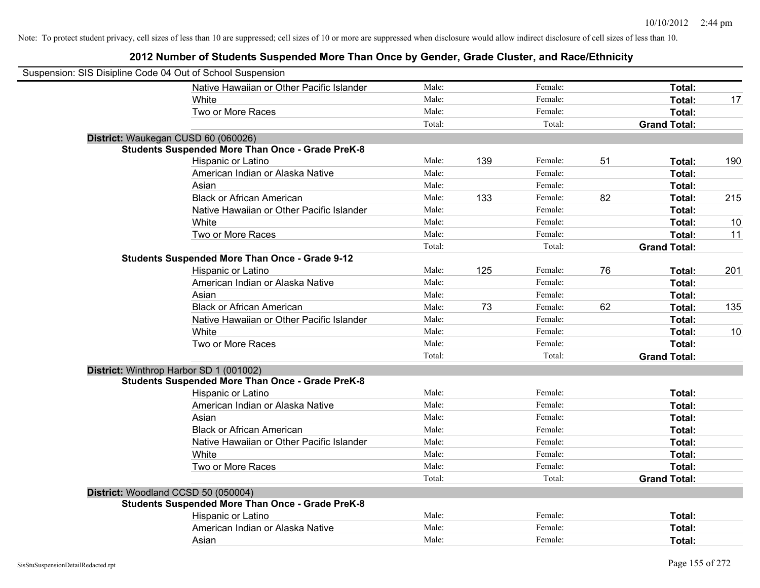| Suspension: SIS Disipline Code 04 Out of School Suspension |                                                         |        |     |         |    |                     |     |
|------------------------------------------------------------|---------------------------------------------------------|--------|-----|---------|----|---------------------|-----|
|                                                            | Native Hawaiian or Other Pacific Islander               | Male:  |     | Female: |    | Total:              |     |
|                                                            | White                                                   | Male:  |     | Female: |    | Total:              | 17  |
|                                                            | Two or More Races                                       | Male:  |     | Female: |    | Total:              |     |
|                                                            |                                                         | Total: |     | Total:  |    | <b>Grand Total:</b> |     |
| District: Waukegan CUSD 60 (060026)                        |                                                         |        |     |         |    |                     |     |
|                                                            | <b>Students Suspended More Than Once - Grade PreK-8</b> |        |     |         |    |                     |     |
|                                                            | Hispanic or Latino                                      | Male:  | 139 | Female: | 51 | Total:              | 190 |
|                                                            | American Indian or Alaska Native                        | Male:  |     | Female: |    | Total:              |     |
|                                                            | Asian                                                   | Male:  |     | Female: |    | Total:              |     |
|                                                            | <b>Black or African American</b>                        | Male:  | 133 | Female: | 82 | Total:              | 215 |
|                                                            | Native Hawaiian or Other Pacific Islander               | Male:  |     | Female: |    | Total:              |     |
|                                                            | White                                                   | Male:  |     | Female: |    | Total:              | 10  |
|                                                            | Two or More Races                                       | Male:  |     | Female: |    | Total:              | 11  |
|                                                            |                                                         | Total: |     | Total:  |    | <b>Grand Total:</b> |     |
|                                                            | <b>Students Suspended More Than Once - Grade 9-12</b>   |        |     |         |    |                     |     |
|                                                            | Hispanic or Latino                                      | Male:  | 125 | Female: | 76 | Total:              | 201 |
|                                                            | American Indian or Alaska Native                        | Male:  |     | Female: |    | Total:              |     |
|                                                            | Asian                                                   | Male:  |     | Female: |    | Total:              |     |
|                                                            | <b>Black or African American</b>                        | Male:  | 73  | Female: | 62 | Total:              | 135 |
|                                                            | Native Hawaiian or Other Pacific Islander               | Male:  |     | Female: |    | Total:              |     |
|                                                            | White                                                   | Male:  |     | Female: |    | Total:              | 10  |
|                                                            | Two or More Races                                       | Male:  |     | Female: |    | Total:              |     |
|                                                            |                                                         | Total: |     | Total:  |    | <b>Grand Total:</b> |     |
| District: Winthrop Harbor SD 1 (001002)                    |                                                         |        |     |         |    |                     |     |
|                                                            | <b>Students Suspended More Than Once - Grade PreK-8</b> |        |     |         |    |                     |     |
|                                                            | Hispanic or Latino                                      | Male:  |     | Female: |    | Total:              |     |
|                                                            | American Indian or Alaska Native                        | Male:  |     | Female: |    | Total:              |     |
|                                                            | Asian                                                   | Male:  |     | Female: |    | Total:              |     |
|                                                            | <b>Black or African American</b>                        | Male:  |     | Female: |    | Total:              |     |
|                                                            | Native Hawaiian or Other Pacific Islander               | Male:  |     | Female: |    | Total:              |     |
|                                                            | White                                                   | Male:  |     | Female: |    | Total:              |     |
|                                                            | Two or More Races                                       | Male:  |     | Female: |    | Total:              |     |
|                                                            |                                                         | Total: |     | Total:  |    | <b>Grand Total:</b> |     |
| District: Woodland CCSD 50 (050004)                        |                                                         |        |     |         |    |                     |     |
|                                                            | <b>Students Suspended More Than Once - Grade PreK-8</b> |        |     |         |    |                     |     |
|                                                            | Hispanic or Latino                                      | Male:  |     | Female: |    | Total:              |     |
|                                                            | American Indian or Alaska Native                        | Male:  |     | Female: |    | <b>Total:</b>       |     |
|                                                            | Asian                                                   | Male:  |     | Female: |    | Total:              |     |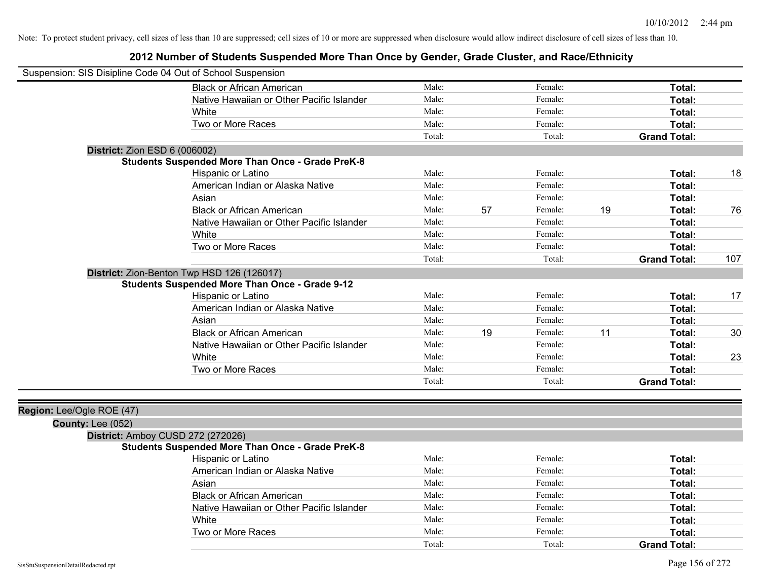| Suspension: SIS Disipline Code 04 Out of School Suspension |                                                         |        |    |         |    |                     |     |
|------------------------------------------------------------|---------------------------------------------------------|--------|----|---------|----|---------------------|-----|
|                                                            | <b>Black or African American</b>                        | Male:  |    | Female: |    | Total:              |     |
|                                                            | Native Hawaiian or Other Pacific Islander               | Male:  |    | Female: |    | Total:              |     |
|                                                            | <b>White</b>                                            | Male:  |    | Female: |    | Total:              |     |
|                                                            | Two or More Races                                       | Male:  |    | Female: |    | Total:              |     |
|                                                            |                                                         | Total: |    | Total:  |    | <b>Grand Total:</b> |     |
| <b>District: Zion ESD 6 (006002)</b>                       |                                                         |        |    |         |    |                     |     |
|                                                            | <b>Students Suspended More Than Once - Grade PreK-8</b> |        |    |         |    |                     |     |
|                                                            | Hispanic or Latino                                      | Male:  |    | Female: |    | Total:              | 18  |
|                                                            | American Indian or Alaska Native                        | Male:  |    | Female: |    | Total:              |     |
|                                                            | Asian                                                   | Male:  |    | Female: |    | Total:              |     |
|                                                            | <b>Black or African American</b>                        | Male:  | 57 | Female: | 19 | Total:              | 76  |
|                                                            | Native Hawaiian or Other Pacific Islander               | Male:  |    | Female: |    | Total:              |     |
|                                                            | White                                                   | Male:  |    | Female: |    | Total:              |     |
|                                                            | Two or More Races                                       | Male:  |    | Female: |    | Total:              |     |
|                                                            |                                                         | Total: |    | Total:  |    | <b>Grand Total:</b> | 107 |
|                                                            | District: Zion-Benton Twp HSD 126 (126017)              |        |    |         |    |                     |     |
|                                                            | <b>Students Suspended More Than Once - Grade 9-12</b>   |        |    |         |    |                     |     |
|                                                            | Hispanic or Latino                                      | Male:  |    | Female: |    | Total:              | 17  |
|                                                            | American Indian or Alaska Native                        | Male:  |    | Female: |    | Total:              |     |
|                                                            | Asian                                                   | Male:  |    | Female: |    | Total:              |     |
|                                                            | <b>Black or African American</b>                        | Male:  | 19 | Female: | 11 | Total:              | 30  |
|                                                            | Native Hawaiian or Other Pacific Islander               | Male:  |    | Female: |    | Total:              |     |
|                                                            | White                                                   | Male:  |    | Female: |    | Total:              | 23  |
|                                                            | Two or More Races                                       | Male:  |    | Female: |    | Total:              |     |
|                                                            |                                                         | Total: |    | Total:  |    | <b>Grand Total:</b> |     |
|                                                            |                                                         |        |    |         |    |                     |     |
| Region: Lee/Ogle ROE (47)                                  |                                                         |        |    |         |    |                     |     |
| County: Lee (052)                                          |                                                         |        |    |         |    |                     |     |
|                                                            | District: Amboy CUSD 272 (272026)                       |        |    |         |    |                     |     |
|                                                            | <b>Students Suspended More Than Once - Grade PreK-8</b> |        |    |         |    |                     |     |
|                                                            | Hispanic or Latino                                      | Male:  |    | Female: |    | Total:              |     |
|                                                            | American Indian or Alaska Native                        | Male:  |    | Female: |    | Total:              |     |
|                                                            | Asian                                                   | Male:  |    | Female: |    | Total:              |     |
|                                                            | <b>Black or African American</b>                        | Male:  |    | Female: |    | Total:              |     |
|                                                            | Native Hawaiian or Other Pacific Islander               | Male:  |    | Female: |    | Total:              |     |
|                                                            | White                                                   | Male:  |    | Female: |    | Total:              |     |
|                                                            | Two or More Races                                       | Male:  |    | Female: |    | Total:              |     |
|                                                            |                                                         | Total: |    | Total:  |    | <b>Grand Total:</b> |     |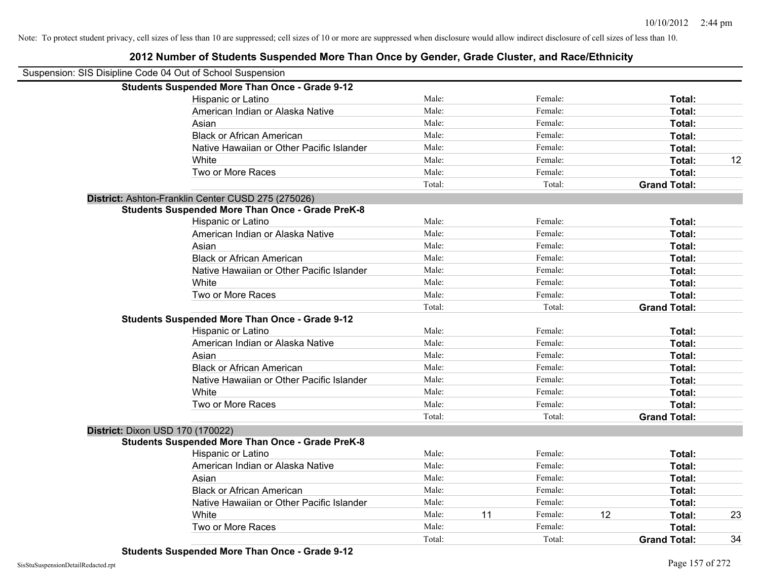| Suspension: SIS Disipline Code 04 Out of School Suspension |                                                         |        |    |         |    |                     |    |
|------------------------------------------------------------|---------------------------------------------------------|--------|----|---------|----|---------------------|----|
|                                                            | <b>Students Suspended More Than Once - Grade 9-12</b>   |        |    |         |    |                     |    |
|                                                            | Hispanic or Latino                                      | Male:  |    | Female: |    | Total:              |    |
|                                                            | American Indian or Alaska Native                        | Male:  |    | Female: |    | Total:              |    |
|                                                            | Asian                                                   | Male:  |    | Female: |    | Total:              |    |
|                                                            | <b>Black or African American</b>                        | Male:  |    | Female: |    | Total:              |    |
|                                                            | Native Hawaiian or Other Pacific Islander               | Male:  |    | Female: |    | Total:              |    |
|                                                            | White                                                   | Male:  |    | Female: |    | Total:              | 12 |
|                                                            | Two or More Races                                       | Male:  |    | Female: |    | Total:              |    |
|                                                            |                                                         | Total: |    | Total:  |    | <b>Grand Total:</b> |    |
|                                                            | District: Ashton-Franklin Center CUSD 275 (275026)      |        |    |         |    |                     |    |
|                                                            | <b>Students Suspended More Than Once - Grade PreK-8</b> |        |    |         |    |                     |    |
|                                                            | Hispanic or Latino                                      | Male:  |    | Female: |    | Total:              |    |
|                                                            | American Indian or Alaska Native                        | Male:  |    | Female: |    | Total:              |    |
|                                                            | Asian                                                   | Male:  |    | Female: |    | Total:              |    |
|                                                            | <b>Black or African American</b>                        | Male:  |    | Female: |    | Total:              |    |
|                                                            | Native Hawaiian or Other Pacific Islander               | Male:  |    | Female: |    | Total:              |    |
|                                                            | White                                                   | Male:  |    | Female: |    | Total:              |    |
|                                                            | Two or More Races                                       | Male:  |    | Female: |    | Total:              |    |
|                                                            |                                                         | Total: |    | Total:  |    | <b>Grand Total:</b> |    |
|                                                            | <b>Students Suspended More Than Once - Grade 9-12</b>   |        |    |         |    |                     |    |
|                                                            | Hispanic or Latino                                      | Male:  |    | Female: |    | Total:              |    |
|                                                            | American Indian or Alaska Native                        | Male:  |    | Female: |    | Total:              |    |
|                                                            | Asian                                                   | Male:  |    | Female: |    | Total:              |    |
|                                                            | <b>Black or African American</b>                        | Male:  |    | Female: |    | Total:              |    |
|                                                            | Native Hawaiian or Other Pacific Islander               | Male:  |    | Female: |    | Total:              |    |
|                                                            | White                                                   | Male:  |    | Female: |    | Total:              |    |
|                                                            | Two or More Races                                       | Male:  |    | Female: |    | Total:              |    |
|                                                            |                                                         | Total: |    | Total:  |    | <b>Grand Total:</b> |    |
|                                                            | District: Dixon USD 170 (170022)                        |        |    |         |    |                     |    |
|                                                            | <b>Students Suspended More Than Once - Grade PreK-8</b> |        |    |         |    |                     |    |
|                                                            | Hispanic or Latino                                      | Male:  |    | Female: |    | Total:              |    |
|                                                            | American Indian or Alaska Native                        | Male:  |    | Female: |    | Total:              |    |
|                                                            | Asian                                                   | Male:  |    | Female: |    | Total:              |    |
|                                                            | <b>Black or African American</b>                        | Male:  |    | Female: |    | Total:              |    |
|                                                            | Native Hawaiian or Other Pacific Islander               | Male:  |    | Female: |    | Total:              |    |
|                                                            | White                                                   | Male:  | 11 | Female: | 12 | Total:              | 23 |
|                                                            | Two or More Races                                       | Male:  |    | Female: |    | <b>Total:</b>       |    |
|                                                            |                                                         | Total: |    | Total:  |    | <b>Grand Total:</b> | 34 |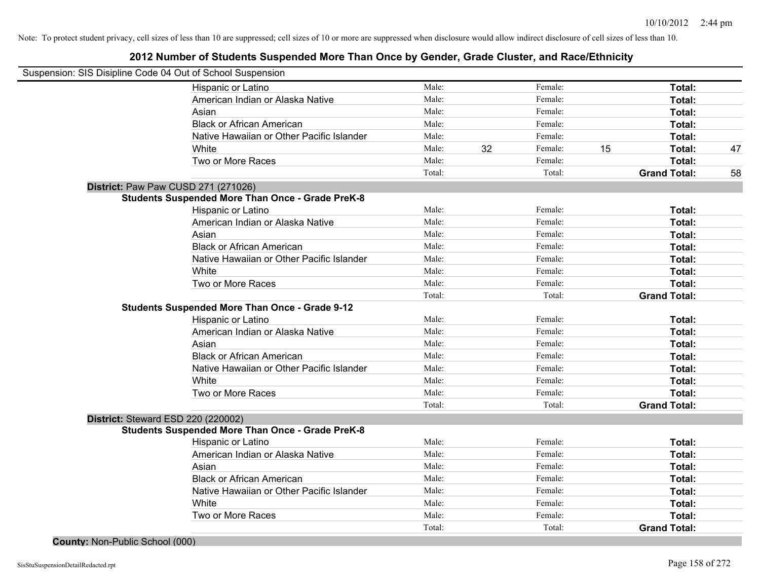### **2012 Number of Students Suspended More Than Once by Gender, Grade Cluster, and Race/Ethnicity**

| Suspension: SIS Disipline Code 04 Out of School Suspension |                                                         |        |    |         |    |                     |    |
|------------------------------------------------------------|---------------------------------------------------------|--------|----|---------|----|---------------------|----|
|                                                            | Hispanic or Latino                                      | Male:  |    | Female: |    | Total:              |    |
|                                                            | American Indian or Alaska Native                        | Male:  |    | Female: |    | Total:              |    |
|                                                            | Asian                                                   | Male:  |    | Female: |    | Total:              |    |
|                                                            | <b>Black or African American</b>                        | Male:  |    | Female: |    | Total:              |    |
|                                                            | Native Hawaiian or Other Pacific Islander               | Male:  |    | Female: |    | Total:              |    |
|                                                            | White                                                   | Male:  | 32 | Female: | 15 | Total:              | 47 |
|                                                            | Two or More Races                                       | Male:  |    | Female: |    | Total:              |    |
|                                                            |                                                         | Total: |    | Total:  |    | <b>Grand Total:</b> | 58 |
| District: Paw Paw CUSD 271 (271026)                        |                                                         |        |    |         |    |                     |    |
|                                                            | <b>Students Suspended More Than Once - Grade PreK-8</b> |        |    |         |    |                     |    |
|                                                            | Hispanic or Latino                                      | Male:  |    | Female: |    | Total:              |    |
|                                                            | American Indian or Alaska Native                        | Male:  |    | Female: |    | Total:              |    |
|                                                            | Asian                                                   | Male:  |    | Female: |    | Total:              |    |
|                                                            | <b>Black or African American</b>                        | Male:  |    | Female: |    | Total:              |    |
|                                                            | Native Hawaiian or Other Pacific Islander               | Male:  |    | Female: |    | Total:              |    |
|                                                            | White                                                   | Male:  |    | Female: |    | Total:              |    |
|                                                            | Two or More Races                                       | Male:  |    | Female: |    | Total:              |    |
|                                                            |                                                         | Total: |    | Total:  |    | <b>Grand Total:</b> |    |
|                                                            | <b>Students Suspended More Than Once - Grade 9-12</b>   |        |    |         |    |                     |    |
|                                                            | Hispanic or Latino                                      | Male:  |    | Female: |    | Total:              |    |
|                                                            | American Indian or Alaska Native                        | Male:  |    | Female: |    | Total:              |    |
|                                                            | Asian                                                   | Male:  |    | Female: |    | Total:              |    |
|                                                            | <b>Black or African American</b>                        | Male:  |    | Female: |    | Total:              |    |
|                                                            | Native Hawaiian or Other Pacific Islander               | Male:  |    | Female: |    | Total:              |    |
|                                                            | White                                                   | Male:  |    | Female: |    | Total:              |    |
|                                                            | Two or More Races                                       | Male:  |    | Female: |    | Total:              |    |
|                                                            |                                                         | Total: |    | Total:  |    | <b>Grand Total:</b> |    |
| District: Steward ESD 220 (220002)                         |                                                         |        |    |         |    |                     |    |
|                                                            | <b>Students Suspended More Than Once - Grade PreK-8</b> |        |    |         |    |                     |    |
|                                                            | Hispanic or Latino                                      | Male:  |    | Female: |    | Total:              |    |
|                                                            | American Indian or Alaska Native                        | Male:  |    | Female: |    | Total:              |    |
|                                                            | Asian                                                   | Male:  |    | Female: |    | Total:              |    |
|                                                            | <b>Black or African American</b>                        | Male:  |    | Female: |    | Total:              |    |
|                                                            | Native Hawaiian or Other Pacific Islander               | Male:  |    | Female: |    | Total:              |    |
|                                                            | White                                                   | Male:  |    | Female: |    | Total:              |    |
|                                                            | Two or More Races                                       | Male:  |    | Female: |    | Total:              |    |
|                                                            |                                                         | Total: |    | Total:  |    | <b>Grand Total:</b> |    |

**County:** Non-Public School (000)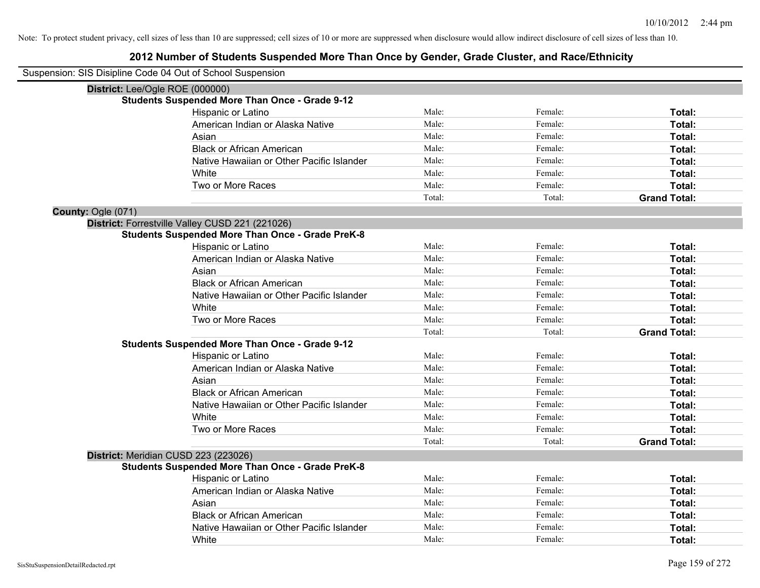| Suspension: SIS Disipline Code 04 Out of School Suspension |                                                         |        |         |                     |
|------------------------------------------------------------|---------------------------------------------------------|--------|---------|---------------------|
| District: Lee/Ogle ROE (000000)                            |                                                         |        |         |                     |
|                                                            | <b>Students Suspended More Than Once - Grade 9-12</b>   |        |         |                     |
|                                                            | Hispanic or Latino                                      | Male:  | Female: | Total:              |
|                                                            | American Indian or Alaska Native                        | Male:  | Female: | Total:              |
|                                                            | Asian                                                   | Male:  | Female: | Total:              |
|                                                            | <b>Black or African American</b>                        | Male:  | Female: | Total:              |
|                                                            | Native Hawaiian or Other Pacific Islander               | Male:  | Female: | <b>Total:</b>       |
|                                                            | White                                                   | Male:  | Female: | Total:              |
|                                                            | Two or More Races                                       | Male:  | Female: | Total:              |
|                                                            |                                                         | Total: | Total:  | <b>Grand Total:</b> |
| County: Ogle (071)                                         |                                                         |        |         |                     |
|                                                            | District: Forrestville Valley CUSD 221 (221026)         |        |         |                     |
|                                                            | <b>Students Suspended More Than Once - Grade PreK-8</b> |        |         |                     |
|                                                            | Hispanic or Latino                                      | Male:  | Female: | Total:              |
|                                                            | American Indian or Alaska Native                        | Male:  | Female: | Total:              |
|                                                            | Asian                                                   | Male:  | Female: | Total:              |
|                                                            | <b>Black or African American</b>                        | Male:  | Female: | Total:              |
|                                                            | Native Hawaiian or Other Pacific Islander               | Male:  | Female: | Total:              |
|                                                            | White                                                   | Male:  | Female: | <b>Total:</b>       |
|                                                            | Two or More Races                                       | Male:  | Female: | Total:              |
|                                                            |                                                         | Total: | Total:  | <b>Grand Total:</b> |
|                                                            | <b>Students Suspended More Than Once - Grade 9-12</b>   |        |         |                     |
|                                                            | Hispanic or Latino                                      | Male:  | Female: | Total:              |
|                                                            | American Indian or Alaska Native                        | Male:  | Female: | Total:              |
|                                                            | Asian                                                   | Male:  | Female: | Total:              |
|                                                            | <b>Black or African American</b>                        | Male:  | Female: | Total:              |
|                                                            | Native Hawaiian or Other Pacific Islander               | Male:  | Female: | Total:              |
|                                                            | White                                                   | Male:  | Female: | Total:              |
|                                                            | Two or More Races                                       | Male:  | Female: | Total:              |
|                                                            |                                                         | Total: | Total:  | <b>Grand Total:</b> |
|                                                            | District: Meridian CUSD 223 (223026)                    |        |         |                     |
|                                                            | <b>Students Suspended More Than Once - Grade PreK-8</b> |        |         |                     |
|                                                            | Hispanic or Latino                                      | Male:  | Female: | Total:              |
|                                                            | American Indian or Alaska Native                        | Male:  | Female: | Total:              |
|                                                            | Asian                                                   | Male:  | Female: | Total:              |
|                                                            | <b>Black or African American</b>                        | Male:  | Female: | Total:              |
|                                                            | Native Hawaiian or Other Pacific Islander               | Male:  | Female: | Total:              |
|                                                            | White                                                   | Male:  | Female: | Total:              |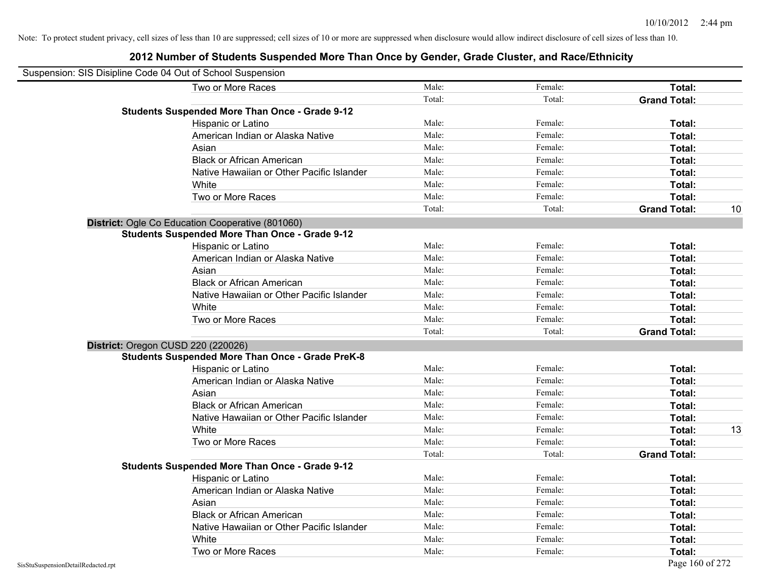| Suspension: SIS Disipline Code 04 Out of School Suspension |                                                         |        |         |                     |    |
|------------------------------------------------------------|---------------------------------------------------------|--------|---------|---------------------|----|
|                                                            | Two or More Races                                       | Male:  | Female: | Total:              |    |
|                                                            |                                                         | Total: | Total:  | <b>Grand Total:</b> |    |
|                                                            | <b>Students Suspended More Than Once - Grade 9-12</b>   |        |         |                     |    |
|                                                            | Hispanic or Latino                                      | Male:  | Female: | Total:              |    |
|                                                            | American Indian or Alaska Native                        | Male:  | Female: | Total:              |    |
|                                                            | Asian                                                   | Male:  | Female: | Total:              |    |
|                                                            | <b>Black or African American</b>                        | Male:  | Female: | Total:              |    |
|                                                            | Native Hawaiian or Other Pacific Islander               | Male:  | Female: | Total:              |    |
|                                                            | White                                                   | Male:  | Female: | Total:              |    |
|                                                            | Two or More Races                                       | Male:  | Female: | Total:              |    |
|                                                            |                                                         | Total: | Total:  | <b>Grand Total:</b> | 10 |
|                                                            | District: Ogle Co Education Cooperative (801060)        |        |         |                     |    |
|                                                            | <b>Students Suspended More Than Once - Grade 9-12</b>   |        |         |                     |    |
|                                                            | Hispanic or Latino                                      | Male:  | Female: | Total:              |    |
|                                                            | American Indian or Alaska Native                        | Male:  | Female: | Total:              |    |
|                                                            | Asian                                                   | Male:  | Female: | Total:              |    |
|                                                            | <b>Black or African American</b>                        | Male:  | Female: | Total:              |    |
|                                                            | Native Hawaiian or Other Pacific Islander               | Male:  | Female: | Total:              |    |
|                                                            | White                                                   | Male:  | Female: | Total:              |    |
|                                                            | Two or More Races                                       | Male:  | Female: | Total:              |    |
|                                                            |                                                         | Total: | Total:  | <b>Grand Total:</b> |    |
|                                                            | District: Oregon CUSD 220 (220026)                      |        |         |                     |    |
|                                                            | <b>Students Suspended More Than Once - Grade PreK-8</b> |        |         |                     |    |
|                                                            | Hispanic or Latino                                      | Male:  | Female: | Total:              |    |
|                                                            | American Indian or Alaska Native                        | Male:  | Female: | Total:              |    |
|                                                            | Asian                                                   | Male:  | Female: | Total:              |    |
|                                                            | <b>Black or African American</b>                        | Male:  | Female: | Total:              |    |
|                                                            | Native Hawaiian or Other Pacific Islander               | Male:  | Female: | Total:              |    |
|                                                            | White                                                   | Male:  | Female: | Total:              | 13 |
|                                                            | Two or More Races                                       | Male:  | Female: | Total:              |    |
|                                                            |                                                         | Total: | Total:  | <b>Grand Total:</b> |    |
|                                                            | <b>Students Suspended More Than Once - Grade 9-12</b>   |        |         |                     |    |
|                                                            | Hispanic or Latino                                      | Male:  | Female: | Total:              |    |
|                                                            | American Indian or Alaska Native                        | Male:  | Female: | Total:              |    |
|                                                            | Asian                                                   | Male:  | Female: | Total:              |    |
|                                                            | <b>Black or African American</b>                        | Male:  | Female: | Total:              |    |
|                                                            | Native Hawaiian or Other Pacific Islander               | Male:  | Female: | Total:              |    |
|                                                            | White                                                   | Male:  | Female: | Total:              |    |
|                                                            | Two or More Races                                       | Male:  | Female: | Total:              |    |
| SisStuSuspensionDetailRedacted.rpt                         |                                                         |        |         | Page 160 of 272     |    |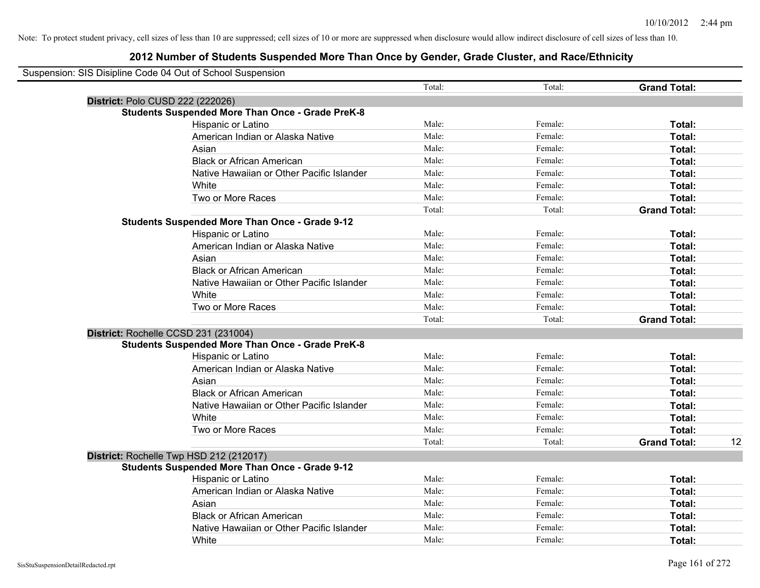| Suspension: SIS Disipline Code 04 Out of School Suspension |                                                         |        |         |                     |    |
|------------------------------------------------------------|---------------------------------------------------------|--------|---------|---------------------|----|
|                                                            |                                                         | Total: | Total:  | <b>Grand Total:</b> |    |
| District: Polo CUSD 222 (222026)                           |                                                         |        |         |                     |    |
|                                                            | <b>Students Suspended More Than Once - Grade PreK-8</b> |        |         |                     |    |
|                                                            | Hispanic or Latino                                      | Male:  | Female: | Total:              |    |
|                                                            | American Indian or Alaska Native                        | Male:  | Female: | Total:              |    |
|                                                            | Asian                                                   | Male:  | Female: | Total:              |    |
|                                                            | <b>Black or African American</b>                        | Male:  | Female: | Total:              |    |
|                                                            | Native Hawaiian or Other Pacific Islander               | Male:  | Female: | Total:              |    |
|                                                            | White                                                   | Male:  | Female: | Total:              |    |
|                                                            | Two or More Races                                       | Male:  | Female: | Total:              |    |
|                                                            |                                                         | Total: | Total:  | <b>Grand Total:</b> |    |
|                                                            | <b>Students Suspended More Than Once - Grade 9-12</b>   |        |         |                     |    |
|                                                            | Hispanic or Latino                                      | Male:  | Female: | Total:              |    |
|                                                            | American Indian or Alaska Native                        | Male:  | Female: | Total:              |    |
|                                                            | Asian                                                   | Male:  | Female: | Total:              |    |
|                                                            | <b>Black or African American</b>                        | Male:  | Female: | Total:              |    |
|                                                            | Native Hawaiian or Other Pacific Islander               | Male:  | Female: | Total:              |    |
|                                                            | White                                                   | Male:  | Female: | Total:              |    |
|                                                            | Two or More Races                                       | Male:  | Female: | Total:              |    |
|                                                            |                                                         | Total: | Total:  | <b>Grand Total:</b> |    |
| District: Rochelle CCSD 231 (231004)                       |                                                         |        |         |                     |    |
|                                                            | <b>Students Suspended More Than Once - Grade PreK-8</b> |        |         |                     |    |
|                                                            | Hispanic or Latino                                      | Male:  | Female: | Total:              |    |
|                                                            | American Indian or Alaska Native                        | Male:  | Female: | Total:              |    |
|                                                            | Asian                                                   | Male:  | Female: | Total:              |    |
|                                                            | <b>Black or African American</b>                        | Male:  | Female: | Total:              |    |
|                                                            | Native Hawaiian or Other Pacific Islander               | Male:  | Female: | Total:              |    |
|                                                            | White                                                   | Male:  | Female: | Total:              |    |
|                                                            | Two or More Races                                       | Male:  | Female: | Total:              |    |
|                                                            |                                                         | Total: | Total:  | <b>Grand Total:</b> | 12 |
|                                                            | District: Rochelle Twp HSD 212 (212017)                 |        |         |                     |    |
|                                                            | <b>Students Suspended More Than Once - Grade 9-12</b>   |        |         |                     |    |
|                                                            | <b>Hispanic or Latino</b>                               | Male:  | Female: | Total:              |    |
|                                                            | American Indian or Alaska Native                        | Male:  | Female: | Total:              |    |
|                                                            | Asian                                                   | Male:  | Female: | Total:              |    |
|                                                            | <b>Black or African American</b>                        | Male:  | Female: | Total:              |    |
|                                                            | Native Hawaiian or Other Pacific Islander               | Male:  | Female: | Total:              |    |
|                                                            | White                                                   | Male:  | Female: | Total:              |    |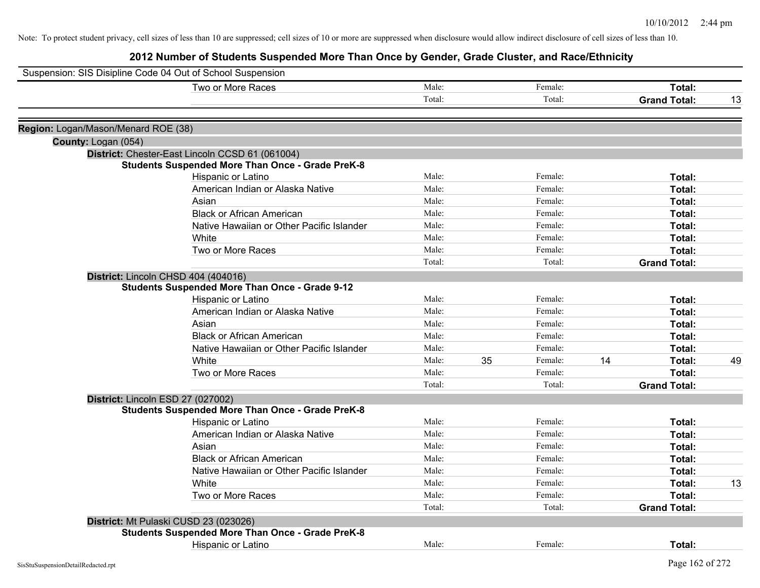|                                     | Suspension: SIS Disipline Code 04 Out of School Suspension |        |    |         |    |                     |    |
|-------------------------------------|------------------------------------------------------------|--------|----|---------|----|---------------------|----|
|                                     | Two or More Races                                          | Male:  |    | Female: |    | Total:              |    |
|                                     |                                                            | Total: |    | Total:  |    | <b>Grand Total:</b> | 13 |
| Region: Logan/Mason/Menard ROE (38) |                                                            |        |    |         |    |                     |    |
| County: Logan (054)                 |                                                            |        |    |         |    |                     |    |
|                                     | District: Chester-East Lincoln CCSD 61 (061004)            |        |    |         |    |                     |    |
|                                     | <b>Students Suspended More Than Once - Grade PreK-8</b>    |        |    |         |    |                     |    |
|                                     | Hispanic or Latino                                         | Male:  |    | Female: |    | Total:              |    |
|                                     | American Indian or Alaska Native                           | Male:  |    | Female: |    | Total:              |    |
|                                     | Asian                                                      | Male:  |    | Female: |    | Total:              |    |
|                                     | <b>Black or African American</b>                           | Male:  |    | Female: |    | Total:              |    |
|                                     | Native Hawaiian or Other Pacific Islander                  | Male:  |    | Female: |    | Total:              |    |
|                                     | White                                                      | Male:  |    | Female: |    | Total:              |    |
|                                     | Two or More Races                                          | Male:  |    | Female: |    | Total:              |    |
|                                     |                                                            | Total: |    | Total:  |    | <b>Grand Total:</b> |    |
|                                     | District: Lincoln CHSD 404 (404016)                        |        |    |         |    |                     |    |
|                                     | <b>Students Suspended More Than Once - Grade 9-12</b>      |        |    |         |    |                     |    |
|                                     | Hispanic or Latino                                         | Male:  |    | Female: |    | Total:              |    |
|                                     | American Indian or Alaska Native                           | Male:  |    | Female: |    | Total:              |    |
|                                     | Asian                                                      | Male:  |    | Female: |    | Total:              |    |
|                                     | <b>Black or African American</b>                           | Male:  |    | Female: |    | Total:              |    |
|                                     | Native Hawaiian or Other Pacific Islander                  | Male:  |    | Female: |    | Total:              |    |
|                                     | White                                                      | Male:  | 35 | Female: | 14 | Total:              | 49 |
|                                     | Two or More Races                                          | Male:  |    | Female: |    | Total:              |    |
|                                     |                                                            | Total: |    | Total:  |    | <b>Grand Total:</b> |    |
|                                     | District: Lincoln ESD 27 (027002)                          |        |    |         |    |                     |    |
|                                     | <b>Students Suspended More Than Once - Grade PreK-8</b>    |        |    |         |    |                     |    |
|                                     | Hispanic or Latino                                         | Male:  |    | Female: |    | Total:              |    |
|                                     | American Indian or Alaska Native                           | Male:  |    | Female: |    | Total:              |    |
|                                     | Asian                                                      | Male:  |    | Female: |    | Total:              |    |
|                                     | <b>Black or African American</b>                           | Male:  |    | Female: |    | Total:              |    |
|                                     | Native Hawaiian or Other Pacific Islander                  | Male:  |    | Female: |    | Total:              |    |
|                                     | <b>White</b>                                               | Male:  |    | Female: |    | Total:              | 13 |
|                                     | Two or More Races                                          | Male:  |    | Female: |    | Total:              |    |
|                                     |                                                            | Total: |    | Total:  |    | <b>Grand Total:</b> |    |
|                                     | District: Mt Pulaski CUSD 23 (023026)                      |        |    |         |    |                     |    |
|                                     | <b>Students Suspended More Than Once - Grade PreK-8</b>    |        |    |         |    |                     |    |
|                                     | <b>Hispanic or Latino</b>                                  | Male:  |    | Female: |    | Total:              |    |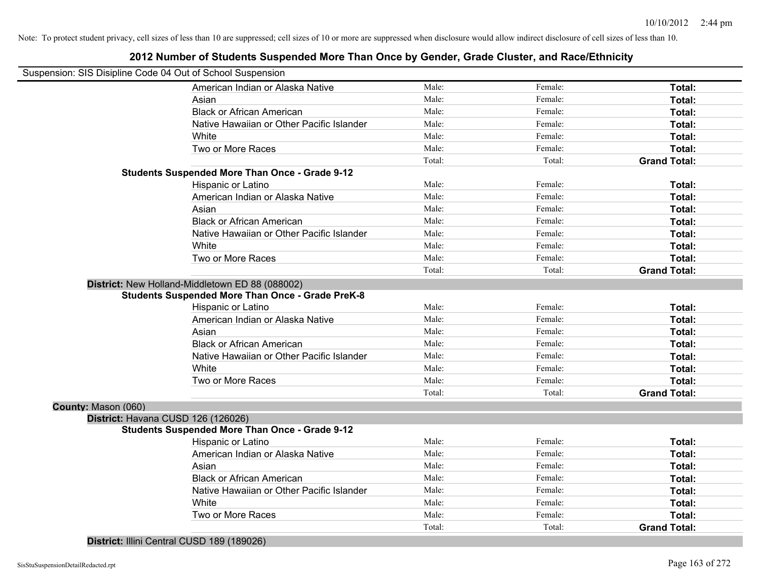| Suspension: SIS Disipline Code 04 Out of School Suspension |                                                         |        |         |                     |
|------------------------------------------------------------|---------------------------------------------------------|--------|---------|---------------------|
|                                                            |                                                         |        |         |                     |
|                                                            | American Indian or Alaska Native                        | Male:  | Female: | Total:              |
|                                                            | Asian                                                   | Male:  | Female: | Total:              |
|                                                            | <b>Black or African American</b>                        | Male:  | Female: | Total:              |
|                                                            | Native Hawaiian or Other Pacific Islander               | Male:  | Female: | Total:              |
|                                                            | White                                                   | Male:  | Female: | Total:              |
|                                                            | Two or More Races                                       | Male:  | Female: | Total:              |
|                                                            |                                                         | Total: | Total:  | <b>Grand Total:</b> |
|                                                            | <b>Students Suspended More Than Once - Grade 9-12</b>   |        |         |                     |
|                                                            | Hispanic or Latino                                      | Male:  | Female: | Total:              |
|                                                            | American Indian or Alaska Native                        | Male:  | Female: | Total:              |
|                                                            | Asian                                                   | Male:  | Female: | Total:              |
|                                                            | <b>Black or African American</b>                        | Male:  | Female: | Total:              |
|                                                            | Native Hawaiian or Other Pacific Islander               | Male:  | Female: | Total:              |
|                                                            | White                                                   | Male:  | Female: | Total:              |
|                                                            | Two or More Races                                       | Male:  | Female: | Total:              |
|                                                            |                                                         | Total: | Total:  | <b>Grand Total:</b> |
|                                                            | District: New Holland-Middletown ED 88 (088002)         |        |         |                     |
|                                                            | <b>Students Suspended More Than Once - Grade PreK-8</b> |        |         |                     |
|                                                            | Hispanic or Latino                                      | Male:  | Female: | Total:              |
|                                                            | American Indian or Alaska Native                        | Male:  | Female: | Total:              |
|                                                            | Asian                                                   | Male:  | Female: | Total:              |
|                                                            | <b>Black or African American</b>                        | Male:  | Female: | Total:              |
|                                                            | Native Hawaiian or Other Pacific Islander               | Male:  | Female: | Total:              |
|                                                            | White                                                   | Male:  | Female: | Total:              |
|                                                            | Two or More Races                                       | Male:  | Female: | Total:              |
|                                                            |                                                         | Total: | Total:  | <b>Grand Total:</b> |
| County: Mason (060)                                        |                                                         |        |         |                     |
|                                                            | District: Havana CUSD 126 (126026)                      |        |         |                     |
|                                                            | <b>Students Suspended More Than Once - Grade 9-12</b>   |        |         |                     |
|                                                            | Hispanic or Latino                                      | Male:  | Female: | Total:              |
|                                                            | American Indian or Alaska Native                        | Male:  | Female: | Total:              |
|                                                            | Asian                                                   | Male:  | Female: | Total:              |
|                                                            | <b>Black or African American</b>                        | Male:  | Female: | Total:              |
|                                                            | Native Hawaiian or Other Pacific Islander               | Male:  | Female: | Total:              |
|                                                            | White                                                   | Male:  | Female: | Total:              |
|                                                            | Two or More Races                                       | Male:  | Female: | Total:              |
|                                                            |                                                         | Total: | Total:  | <b>Grand Total:</b> |
|                                                            |                                                         |        |         |                     |

# **2012 Number of Students Suspended More Than Once by Gender, Grade Cluster, and Race/Ethnicity**

**District:** Illini Central CUSD 189 (189026)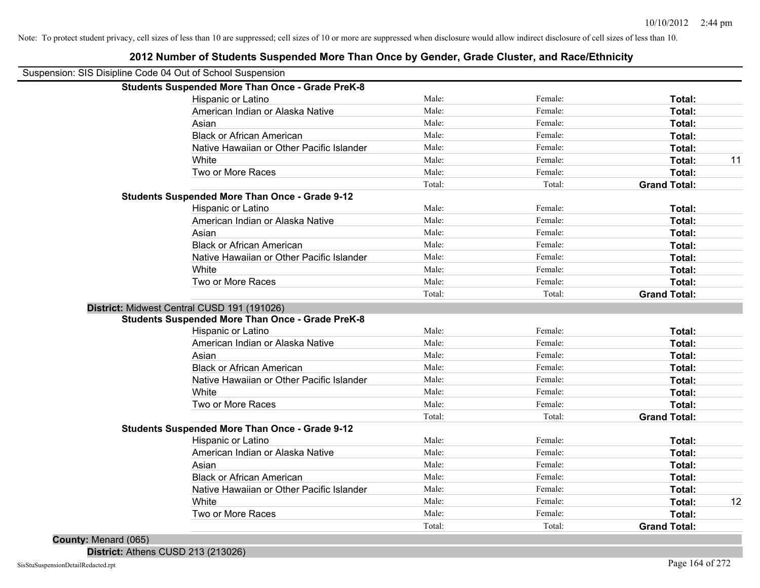| <b>Students Suspended More Than Once - Grade PreK-8</b><br>Male:<br>Female:<br>Hispanic or Latino<br>Total:<br>Male:<br>Female:<br>American Indian or Alaska Native<br>Total:<br>Male:<br>Female:<br>Total:<br>Asian<br>Male:<br>Female:<br><b>Black or African American</b><br>Total:<br>Male:<br>Native Hawaiian or Other Pacific Islander<br>Female:<br>Total:<br>Male:<br>Female:<br>White<br>Total:<br>Male:<br>Female:<br>Two or More Races<br>Total:<br>Total:<br>Total:<br><b>Grand Total:</b><br><b>Students Suspended More Than Once - Grade 9-12</b><br>Male:<br>Female:<br>Hispanic or Latino<br>Total:<br>Male:<br>Female:<br><b>Total:</b><br>American Indian or Alaska Native<br>Male:<br>Female:<br><b>Total:</b><br>Asian<br>Male:<br>Female:<br><b>Black or African American</b><br>Total:<br>Male:<br>Female:<br>Native Hawaiian or Other Pacific Islander<br>Total:<br>Male:<br>White<br>Female:<br>Total:<br>Male:<br>Two or More Races<br>Female:<br>Total:<br>Total:<br>Total:<br><b>Grand Total:</b><br>District: Midwest Central CUSD 191 (191026)<br><b>Students Suspended More Than Once - Grade PreK-8</b><br>Male:<br>Hispanic or Latino<br>Female:<br>Total: | Suspension: SIS Disipline Code 04 Out of School Suspension |  |  |    |
|--------------------------------------------------------------------------------------------------------------------------------------------------------------------------------------------------------------------------------------------------------------------------------------------------------------------------------------------------------------------------------------------------------------------------------------------------------------------------------------------------------------------------------------------------------------------------------------------------------------------------------------------------------------------------------------------------------------------------------------------------------------------------------------------------------------------------------------------------------------------------------------------------------------------------------------------------------------------------------------------------------------------------------------------------------------------------------------------------------------------------------------------------------------------------------------------|------------------------------------------------------------|--|--|----|
|                                                                                                                                                                                                                                                                                                                                                                                                                                                                                                                                                                                                                                                                                                                                                                                                                                                                                                                                                                                                                                                                                                                                                                                            |                                                            |  |  |    |
|                                                                                                                                                                                                                                                                                                                                                                                                                                                                                                                                                                                                                                                                                                                                                                                                                                                                                                                                                                                                                                                                                                                                                                                            |                                                            |  |  |    |
|                                                                                                                                                                                                                                                                                                                                                                                                                                                                                                                                                                                                                                                                                                                                                                                                                                                                                                                                                                                                                                                                                                                                                                                            |                                                            |  |  |    |
|                                                                                                                                                                                                                                                                                                                                                                                                                                                                                                                                                                                                                                                                                                                                                                                                                                                                                                                                                                                                                                                                                                                                                                                            |                                                            |  |  |    |
|                                                                                                                                                                                                                                                                                                                                                                                                                                                                                                                                                                                                                                                                                                                                                                                                                                                                                                                                                                                                                                                                                                                                                                                            |                                                            |  |  |    |
|                                                                                                                                                                                                                                                                                                                                                                                                                                                                                                                                                                                                                                                                                                                                                                                                                                                                                                                                                                                                                                                                                                                                                                                            |                                                            |  |  |    |
|                                                                                                                                                                                                                                                                                                                                                                                                                                                                                                                                                                                                                                                                                                                                                                                                                                                                                                                                                                                                                                                                                                                                                                                            |                                                            |  |  | 11 |
|                                                                                                                                                                                                                                                                                                                                                                                                                                                                                                                                                                                                                                                                                                                                                                                                                                                                                                                                                                                                                                                                                                                                                                                            |                                                            |  |  |    |
|                                                                                                                                                                                                                                                                                                                                                                                                                                                                                                                                                                                                                                                                                                                                                                                                                                                                                                                                                                                                                                                                                                                                                                                            |                                                            |  |  |    |
|                                                                                                                                                                                                                                                                                                                                                                                                                                                                                                                                                                                                                                                                                                                                                                                                                                                                                                                                                                                                                                                                                                                                                                                            |                                                            |  |  |    |
|                                                                                                                                                                                                                                                                                                                                                                                                                                                                                                                                                                                                                                                                                                                                                                                                                                                                                                                                                                                                                                                                                                                                                                                            |                                                            |  |  |    |
|                                                                                                                                                                                                                                                                                                                                                                                                                                                                                                                                                                                                                                                                                                                                                                                                                                                                                                                                                                                                                                                                                                                                                                                            |                                                            |  |  |    |
|                                                                                                                                                                                                                                                                                                                                                                                                                                                                                                                                                                                                                                                                                                                                                                                                                                                                                                                                                                                                                                                                                                                                                                                            |                                                            |  |  |    |
|                                                                                                                                                                                                                                                                                                                                                                                                                                                                                                                                                                                                                                                                                                                                                                                                                                                                                                                                                                                                                                                                                                                                                                                            |                                                            |  |  |    |
|                                                                                                                                                                                                                                                                                                                                                                                                                                                                                                                                                                                                                                                                                                                                                                                                                                                                                                                                                                                                                                                                                                                                                                                            |                                                            |  |  |    |
|                                                                                                                                                                                                                                                                                                                                                                                                                                                                                                                                                                                                                                                                                                                                                                                                                                                                                                                                                                                                                                                                                                                                                                                            |                                                            |  |  |    |
|                                                                                                                                                                                                                                                                                                                                                                                                                                                                                                                                                                                                                                                                                                                                                                                                                                                                                                                                                                                                                                                                                                                                                                                            |                                                            |  |  |    |
|                                                                                                                                                                                                                                                                                                                                                                                                                                                                                                                                                                                                                                                                                                                                                                                                                                                                                                                                                                                                                                                                                                                                                                                            |                                                            |  |  |    |
|                                                                                                                                                                                                                                                                                                                                                                                                                                                                                                                                                                                                                                                                                                                                                                                                                                                                                                                                                                                                                                                                                                                                                                                            |                                                            |  |  |    |
|                                                                                                                                                                                                                                                                                                                                                                                                                                                                                                                                                                                                                                                                                                                                                                                                                                                                                                                                                                                                                                                                                                                                                                                            |                                                            |  |  |    |
|                                                                                                                                                                                                                                                                                                                                                                                                                                                                                                                                                                                                                                                                                                                                                                                                                                                                                                                                                                                                                                                                                                                                                                                            |                                                            |  |  |    |
| American Indian or Alaska Native<br>Male:<br>Female:<br>Total:                                                                                                                                                                                                                                                                                                                                                                                                                                                                                                                                                                                                                                                                                                                                                                                                                                                                                                                                                                                                                                                                                                                             |                                                            |  |  |    |
| Asian<br>Male:<br>Female:<br>Total:                                                                                                                                                                                                                                                                                                                                                                                                                                                                                                                                                                                                                                                                                                                                                                                                                                                                                                                                                                                                                                                                                                                                                        |                                                            |  |  |    |
| <b>Black or African American</b><br>Male:<br>Female:<br>Total:                                                                                                                                                                                                                                                                                                                                                                                                                                                                                                                                                                                                                                                                                                                                                                                                                                                                                                                                                                                                                                                                                                                             |                                                            |  |  |    |
| Native Hawaiian or Other Pacific Islander<br>Male:<br>Female:<br>Total:                                                                                                                                                                                                                                                                                                                                                                                                                                                                                                                                                                                                                                                                                                                                                                                                                                                                                                                                                                                                                                                                                                                    |                                                            |  |  |    |
| Male:<br>White<br>Female:<br>Total:                                                                                                                                                                                                                                                                                                                                                                                                                                                                                                                                                                                                                                                                                                                                                                                                                                                                                                                                                                                                                                                                                                                                                        |                                                            |  |  |    |
| Male:<br>Two or More Races<br>Female:<br>Total:                                                                                                                                                                                                                                                                                                                                                                                                                                                                                                                                                                                                                                                                                                                                                                                                                                                                                                                                                                                                                                                                                                                                            |                                                            |  |  |    |
| Total:<br>Total:<br><b>Grand Total:</b>                                                                                                                                                                                                                                                                                                                                                                                                                                                                                                                                                                                                                                                                                                                                                                                                                                                                                                                                                                                                                                                                                                                                                    |                                                            |  |  |    |
| <b>Students Suspended More Than Once - Grade 9-12</b>                                                                                                                                                                                                                                                                                                                                                                                                                                                                                                                                                                                                                                                                                                                                                                                                                                                                                                                                                                                                                                                                                                                                      |                                                            |  |  |    |
| Male:<br>Hispanic or Latino<br>Female:<br>Total:                                                                                                                                                                                                                                                                                                                                                                                                                                                                                                                                                                                                                                                                                                                                                                                                                                                                                                                                                                                                                                                                                                                                           |                                                            |  |  |    |
| Male:<br>Female:<br>American Indian or Alaska Native<br>Total:                                                                                                                                                                                                                                                                                                                                                                                                                                                                                                                                                                                                                                                                                                                                                                                                                                                                                                                                                                                                                                                                                                                             |                                                            |  |  |    |
| Asian<br>Male:<br>Female:<br>Total:                                                                                                                                                                                                                                                                                                                                                                                                                                                                                                                                                                                                                                                                                                                                                                                                                                                                                                                                                                                                                                                                                                                                                        |                                                            |  |  |    |
| <b>Black or African American</b><br>Male:<br>Female:<br>Total:                                                                                                                                                                                                                                                                                                                                                                                                                                                                                                                                                                                                                                                                                                                                                                                                                                                                                                                                                                                                                                                                                                                             |                                                            |  |  |    |
| Native Hawaiian or Other Pacific Islander<br>Male:<br>Female:<br>Total:                                                                                                                                                                                                                                                                                                                                                                                                                                                                                                                                                                                                                                                                                                                                                                                                                                                                                                                                                                                                                                                                                                                    |                                                            |  |  |    |
| White<br>Male:<br>Female:<br>Total:                                                                                                                                                                                                                                                                                                                                                                                                                                                                                                                                                                                                                                                                                                                                                                                                                                                                                                                                                                                                                                                                                                                                                        |                                                            |  |  | 12 |
| Two or More Races<br>Male:<br>Female:<br>Total:                                                                                                                                                                                                                                                                                                                                                                                                                                                                                                                                                                                                                                                                                                                                                                                                                                                                                                                                                                                                                                                                                                                                            |                                                            |  |  |    |
| Total:<br>Total:<br><b>Grand Total:</b>                                                                                                                                                                                                                                                                                                                                                                                                                                                                                                                                                                                                                                                                                                                                                                                                                                                                                                                                                                                                                                                                                                                                                    |                                                            |  |  |    |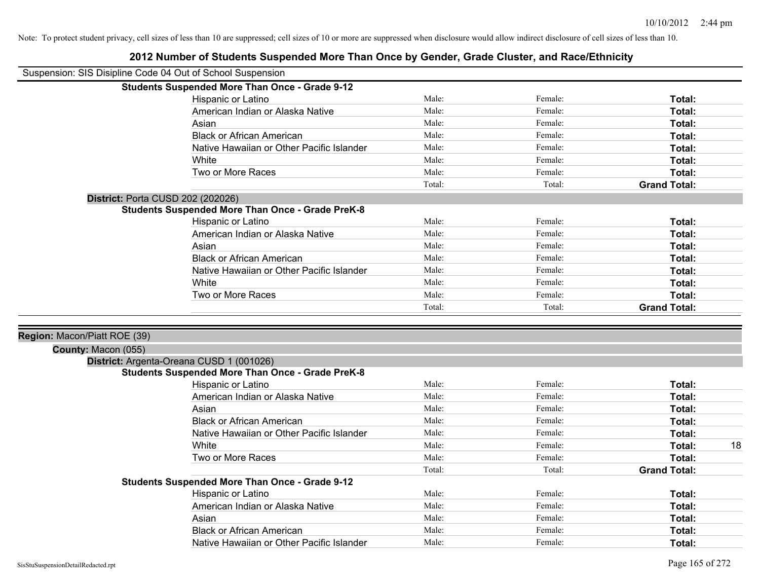| Suspension: SIS Disipline Code 04 Out of School Suspension |                                                         |        |         |                     |
|------------------------------------------------------------|---------------------------------------------------------|--------|---------|---------------------|
|                                                            | <b>Students Suspended More Than Once - Grade 9-12</b>   |        |         |                     |
|                                                            | Hispanic or Latino                                      | Male:  | Female: | Total:              |
|                                                            | American Indian or Alaska Native                        | Male:  | Female: | Total:              |
|                                                            | Asian                                                   | Male:  | Female: | Total:              |
|                                                            | <b>Black or African American</b>                        | Male:  | Female: | Total:              |
|                                                            | Native Hawaiian or Other Pacific Islander               | Male:  | Female: | Total:              |
|                                                            | White                                                   | Male:  | Female: | Total:              |
|                                                            | Two or More Races                                       | Male:  | Female: | Total:              |
|                                                            |                                                         | Total: | Total:  | <b>Grand Total:</b> |
|                                                            | <b>District: Porta CUSD 202 (202026)</b>                |        |         |                     |
|                                                            | <b>Students Suspended More Than Once - Grade PreK-8</b> |        |         |                     |
|                                                            | Hispanic or Latino                                      | Male:  | Female: | Total:              |
|                                                            | American Indian or Alaska Native                        | Male:  | Female: | Total:              |
|                                                            | Asian                                                   | Male:  | Female: | Total:              |
|                                                            | <b>Black or African American</b>                        | Male:  | Female: | Total:              |
|                                                            | Native Hawaiian or Other Pacific Islander               | Male:  | Female: | Total:              |
|                                                            | White                                                   | Male:  | Female: | Total:              |
|                                                            | Two or More Races                                       | Male:  | Female: | Total:              |
|                                                            |                                                         | Total: | Total:  | <b>Grand Total:</b> |
|                                                            |                                                         |        |         |                     |
| Region: Macon/Piatt ROE (39)                               |                                                         |        |         |                     |
| County: Macon (055)                                        |                                                         |        |         |                     |
|                                                            | District: Argenta-Oreana CUSD 1 (001026)                |        |         |                     |
|                                                            | <b>Students Suspended More Than Once - Grade PreK-8</b> |        |         |                     |
|                                                            | Hispanic or Latino                                      | Male:  | Female: | Total:              |
|                                                            | American Indian or Alaska Native                        | Male:  | Female: | Total:              |
|                                                            | Asian                                                   | Male:  | Female: | Total:              |
|                                                            | <b>Black or African American</b>                        | Male:  | Female: | Total:              |
|                                                            | Native Hawaiian or Other Pacific Islander               | Male:  | Female: | Total:              |
|                                                            | White                                                   | Male:  | Female: | 18<br>Total:        |
|                                                            | Two or More Races                                       | Male:  | Female: | Total:              |
|                                                            |                                                         | Total: | Total:  | <b>Grand Total:</b> |
|                                                            | Students Suspended More Than Once - Grade 9-12          |        |         |                     |
|                                                            | Hispanic or Latino                                      | Male:  | Female: | Total:              |
|                                                            | American Indian or Alaska Native                        | Male:  | Female: | Total:              |
|                                                            | Asian                                                   | Male:  | Female: | Total:              |
|                                                            | <b>Black or African American</b>                        | Male:  | Female: | Total:              |
|                                                            | Native Hawaiian or Other Pacific Islander               | Male:  | Female: | Total:              |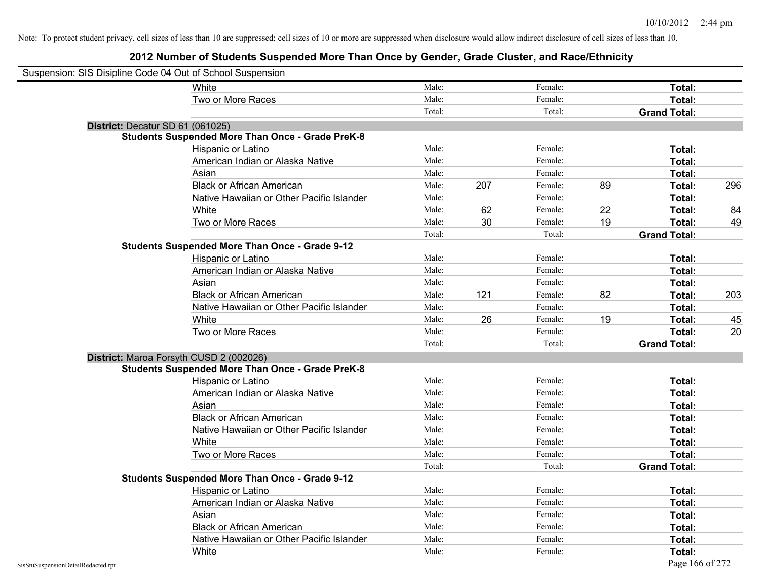| Suspension: SIS Disipline Code 04 Out of School Suspension |                                                         |        |     |         |    |                     |     |
|------------------------------------------------------------|---------------------------------------------------------|--------|-----|---------|----|---------------------|-----|
|                                                            | White                                                   | Male:  |     | Female: |    | Total:              |     |
|                                                            | Two or More Races                                       | Male:  |     | Female: |    | Total:              |     |
|                                                            |                                                         | Total: |     | Total:  |    | <b>Grand Total:</b> |     |
| District: Decatur SD 61 (061025)                           |                                                         |        |     |         |    |                     |     |
|                                                            | <b>Students Suspended More Than Once - Grade PreK-8</b> |        |     |         |    |                     |     |
|                                                            | Hispanic or Latino                                      | Male:  |     | Female: |    | Total:              |     |
|                                                            | American Indian or Alaska Native                        | Male:  |     | Female: |    | Total:              |     |
|                                                            | Asian                                                   | Male:  |     | Female: |    | Total:              |     |
|                                                            | <b>Black or African American</b>                        | Male:  | 207 | Female: | 89 | Total:              | 296 |
|                                                            | Native Hawaiian or Other Pacific Islander               | Male:  |     | Female: |    | Total:              |     |
|                                                            | White                                                   | Male:  | 62  | Female: | 22 | <b>Total:</b>       | 84  |
|                                                            | Two or More Races                                       | Male:  | 30  | Female: | 19 | Total:              | 49  |
|                                                            |                                                         | Total: |     | Total:  |    | <b>Grand Total:</b> |     |
|                                                            | <b>Students Suspended More Than Once - Grade 9-12</b>   |        |     |         |    |                     |     |
|                                                            | Hispanic or Latino                                      | Male:  |     | Female: |    | Total:              |     |
|                                                            | American Indian or Alaska Native                        | Male:  |     | Female: |    | <b>Total:</b>       |     |
|                                                            | Asian                                                   | Male:  |     | Female: |    | <b>Total:</b>       |     |
|                                                            | <b>Black or African American</b>                        | Male:  | 121 | Female: | 82 | Total:              | 203 |
|                                                            | Native Hawaiian or Other Pacific Islander               | Male:  |     | Female: |    | Total:              |     |
|                                                            | White                                                   | Male:  | 26  | Female: | 19 | <b>Total:</b>       | 45  |
|                                                            | Two or More Races                                       | Male:  |     | Female: |    | Total:              | 20  |
|                                                            |                                                         | Total: |     | Total:  |    | <b>Grand Total:</b> |     |
|                                                            | District: Maroa Forsyth CUSD 2 (002026)                 |        |     |         |    |                     |     |
|                                                            | <b>Students Suspended More Than Once - Grade PreK-8</b> |        |     |         |    |                     |     |
|                                                            | Hispanic or Latino                                      | Male:  |     | Female: |    | <b>Total:</b>       |     |
|                                                            | American Indian or Alaska Native                        | Male:  |     | Female: |    | Total:              |     |
|                                                            | Asian                                                   | Male:  |     | Female: |    | Total:              |     |
|                                                            | <b>Black or African American</b>                        | Male:  |     | Female: |    | Total:              |     |
|                                                            | Native Hawaiian or Other Pacific Islander               | Male:  |     | Female: |    | Total:              |     |
|                                                            | White                                                   | Male:  |     | Female: |    | <b>Total:</b>       |     |
|                                                            | Two or More Races                                       | Male:  |     | Female: |    | Total:              |     |
|                                                            |                                                         | Total: |     | Total:  |    | <b>Grand Total:</b> |     |
|                                                            | <b>Students Suspended More Than Once - Grade 9-12</b>   |        |     |         |    |                     |     |
|                                                            | Hispanic or Latino                                      | Male:  |     | Female: |    | Total:              |     |
|                                                            | American Indian or Alaska Native                        | Male:  |     | Female: |    | Total:              |     |
|                                                            | Asian                                                   | Male:  |     | Female: |    | Total:              |     |
|                                                            | <b>Black or African American</b>                        | Male:  |     | Female: |    | Total:              |     |
|                                                            | Native Hawaiian or Other Pacific Islander               | Male:  |     | Female: |    | Total:              |     |
|                                                            | White                                                   | Male:  |     | Female: |    | Total:              |     |
| SisStuSuspensionDetailRedacted.rpt                         |                                                         |        |     |         |    | Page 166 of 272     |     |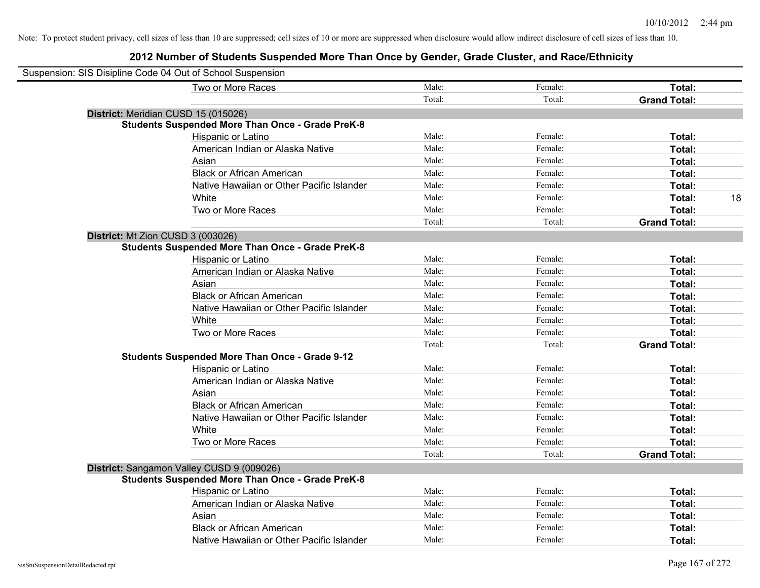| Suspension: SIS Disipline Code 04 Out of School Suspension |                                                         |        |         |                     |
|------------------------------------------------------------|---------------------------------------------------------|--------|---------|---------------------|
|                                                            | Two or More Races                                       | Male:  | Female: | Total:              |
|                                                            |                                                         | Total: | Total:  | <b>Grand Total:</b> |
| District: Meridian CUSD 15 (015026)                        |                                                         |        |         |                     |
|                                                            | <b>Students Suspended More Than Once - Grade PreK-8</b> |        |         |                     |
|                                                            | Hispanic or Latino                                      | Male:  | Female: | Total:              |
|                                                            | American Indian or Alaska Native                        | Male:  | Female: | Total:              |
|                                                            | Asian                                                   | Male:  | Female: | Total:              |
|                                                            | <b>Black or African American</b>                        | Male:  | Female: | Total:              |
|                                                            | Native Hawaiian or Other Pacific Islander               | Male:  | Female: | Total:              |
|                                                            | White                                                   | Male:  | Female: | 18<br>Total:        |
|                                                            | Two or More Races                                       | Male:  | Female: | Total:              |
|                                                            |                                                         | Total: | Total:  | <b>Grand Total:</b> |
| District: Mt Zion CUSD 3 (003026)                          |                                                         |        |         |                     |
|                                                            | <b>Students Suspended More Than Once - Grade PreK-8</b> |        |         |                     |
|                                                            | Hispanic or Latino                                      | Male:  | Female: | Total:              |
|                                                            | American Indian or Alaska Native                        | Male:  | Female: | Total:              |
|                                                            | Asian                                                   | Male:  | Female: | Total:              |
|                                                            | <b>Black or African American</b>                        | Male:  | Female: | Total:              |
|                                                            | Native Hawaiian or Other Pacific Islander               | Male:  | Female: | Total:              |
|                                                            | White                                                   | Male:  | Female: | Total:              |
|                                                            | Two or More Races                                       | Male:  | Female: | Total:              |
|                                                            |                                                         | Total: | Total:  | <b>Grand Total:</b> |
|                                                            | <b>Students Suspended More Than Once - Grade 9-12</b>   |        |         |                     |
|                                                            | Hispanic or Latino                                      | Male:  | Female: | Total:              |
|                                                            | American Indian or Alaska Native                        | Male:  | Female: | Total:              |
|                                                            | Asian                                                   | Male:  | Female: | Total:              |
|                                                            | <b>Black or African American</b>                        | Male:  | Female: | Total:              |
|                                                            | Native Hawaiian or Other Pacific Islander               | Male:  | Female: | Total:              |
|                                                            | White                                                   | Male:  | Female: | Total:              |
|                                                            | Two or More Races                                       | Male:  | Female: | Total:              |
|                                                            |                                                         | Total: | Total:  | <b>Grand Total:</b> |
|                                                            | District: Sangamon Valley CUSD 9 (009026)               |        |         |                     |
|                                                            | <b>Students Suspended More Than Once - Grade PreK-8</b> |        |         |                     |
|                                                            | Hispanic or Latino                                      | Male:  | Female: | Total:              |
|                                                            | American Indian or Alaska Native                        | Male:  | Female: | Total:              |
|                                                            | Asian                                                   | Male:  | Female: | Total:              |
|                                                            | <b>Black or African American</b>                        | Male:  | Female: | Total:              |
|                                                            | Native Hawaiian or Other Pacific Islander               | Male:  | Female: | Total:              |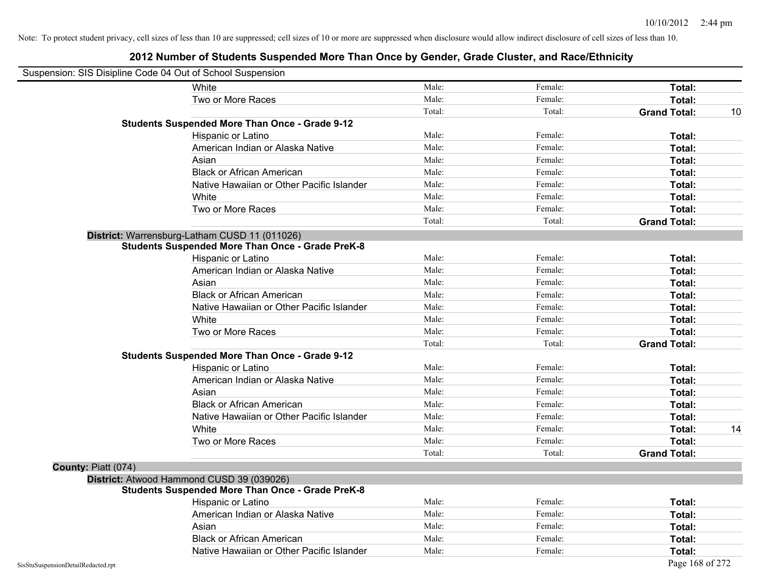| Suspension: SIS Disipline Code 04 Out of School Suspension |                                                         |        |         |                     |    |
|------------------------------------------------------------|---------------------------------------------------------|--------|---------|---------------------|----|
|                                                            | White                                                   | Male:  | Female: | Total:              |    |
|                                                            | Two or More Races                                       | Male:  | Female: | Total:              |    |
|                                                            |                                                         | Total: | Total:  | <b>Grand Total:</b> | 10 |
|                                                            | <b>Students Suspended More Than Once - Grade 9-12</b>   |        |         |                     |    |
|                                                            | Hispanic or Latino                                      | Male:  | Female: | Total:              |    |
|                                                            | American Indian or Alaska Native                        | Male:  | Female: | Total:              |    |
|                                                            | Asian                                                   | Male:  | Female: | Total:              |    |
|                                                            | <b>Black or African American</b>                        | Male:  | Female: | Total:              |    |
|                                                            | Native Hawaiian or Other Pacific Islander               | Male:  | Female: | Total:              |    |
|                                                            | White                                                   | Male:  | Female: | Total:              |    |
|                                                            | Two or More Races                                       | Male:  | Female: | Total:              |    |
|                                                            |                                                         | Total: | Total:  | <b>Grand Total:</b> |    |
|                                                            | District: Warrensburg-Latham CUSD 11 (011026)           |        |         |                     |    |
|                                                            | <b>Students Suspended More Than Once - Grade PreK-8</b> |        |         |                     |    |
|                                                            | Hispanic or Latino                                      | Male:  | Female: | Total:              |    |
|                                                            | American Indian or Alaska Native                        | Male:  | Female: | Total:              |    |
|                                                            | Asian                                                   | Male:  | Female: | Total:              |    |
|                                                            | <b>Black or African American</b>                        | Male:  | Female: | Total:              |    |
|                                                            | Native Hawaiian or Other Pacific Islander               | Male:  | Female: | Total:              |    |
|                                                            | White                                                   | Male:  | Female: | Total:              |    |
|                                                            | Two or More Races                                       | Male:  | Female: | Total:              |    |
|                                                            |                                                         | Total: | Total:  | <b>Grand Total:</b> |    |
|                                                            | <b>Students Suspended More Than Once - Grade 9-12</b>   |        |         |                     |    |
|                                                            | Hispanic or Latino                                      | Male:  | Female: | Total:              |    |
|                                                            | American Indian or Alaska Native                        | Male:  | Female: | Total:              |    |
|                                                            | Asian                                                   | Male:  | Female: | Total:              |    |
|                                                            | <b>Black or African American</b>                        | Male:  | Female: | Total:              |    |
|                                                            | Native Hawaiian or Other Pacific Islander               | Male:  | Female: | Total:              |    |
|                                                            | White                                                   | Male:  | Female: | Total:              | 14 |
|                                                            | Two or More Races                                       | Male:  | Female: | Total:              |    |
|                                                            |                                                         | Total: | Total:  | <b>Grand Total:</b> |    |
| County: Piatt (074)                                        |                                                         |        |         |                     |    |
|                                                            | District: Atwood Hammond CUSD 39 (039026)               |        |         |                     |    |
|                                                            | <b>Students Suspended More Than Once - Grade PreK-8</b> |        |         |                     |    |
|                                                            | Hispanic or Latino                                      | Male:  | Female: | Total:              |    |
|                                                            | American Indian or Alaska Native                        | Male:  | Female: | Total:              |    |
|                                                            | Asian                                                   | Male:  | Female: | Total:              |    |
|                                                            | <b>Black or African American</b>                        | Male:  | Female: | Total:              |    |
|                                                            | Native Hawaiian or Other Pacific Islander               | Male:  | Female: | Total:              |    |
| SisStuSuspensionDetailRedacted.rpt                         |                                                         |        |         | Page 168 of 272     |    |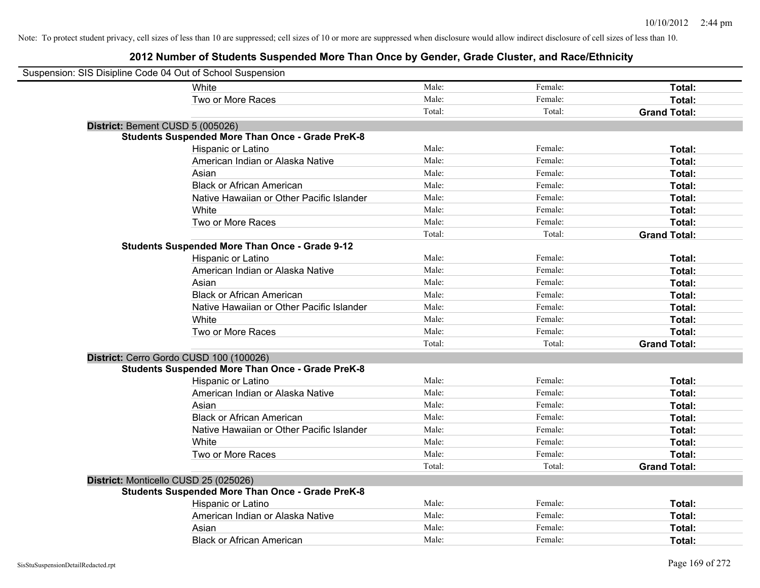| Suspension: SIS Disipline Code 04 Out of School Suspension |                                                         |        |         |                     |
|------------------------------------------------------------|---------------------------------------------------------|--------|---------|---------------------|
|                                                            | White                                                   | Male:  | Female: | Total:              |
|                                                            | Two or More Races                                       | Male:  | Female: | Total:              |
|                                                            |                                                         | Total: | Total:  | <b>Grand Total:</b> |
| District: Bement CUSD 5 (005026)                           |                                                         |        |         |                     |
|                                                            | <b>Students Suspended More Than Once - Grade PreK-8</b> |        |         |                     |
|                                                            | Hispanic or Latino                                      | Male:  | Female: | Total:              |
|                                                            | American Indian or Alaska Native                        | Male:  | Female: | Total:              |
|                                                            | Asian                                                   | Male:  | Female: | Total:              |
|                                                            | <b>Black or African American</b>                        | Male:  | Female: | Total:              |
|                                                            | Native Hawaiian or Other Pacific Islander               | Male:  | Female: | Total:              |
|                                                            | White                                                   | Male:  | Female: | Total:              |
|                                                            | Two or More Races                                       | Male:  | Female: | Total:              |
|                                                            |                                                         | Total: | Total:  | <b>Grand Total:</b> |
|                                                            | <b>Students Suspended More Than Once - Grade 9-12</b>   |        |         |                     |
|                                                            | Hispanic or Latino                                      | Male:  | Female: | Total:              |
|                                                            | American Indian or Alaska Native                        | Male:  | Female: | Total:              |
|                                                            | Asian                                                   | Male:  | Female: | Total:              |
|                                                            | <b>Black or African American</b>                        | Male:  | Female: | Total:              |
|                                                            | Native Hawaiian or Other Pacific Islander               | Male:  | Female: | Total:              |
|                                                            | White                                                   | Male:  | Female: | Total:              |
|                                                            | Two or More Races                                       | Male:  | Female: | Total:              |
|                                                            |                                                         | Total: | Total:  | <b>Grand Total:</b> |
|                                                            | District: Cerro Gordo CUSD 100 (100026)                 |        |         |                     |
|                                                            | <b>Students Suspended More Than Once - Grade PreK-8</b> |        |         |                     |
|                                                            | Hispanic or Latino                                      | Male:  | Female: | Total:              |
|                                                            | American Indian or Alaska Native                        | Male:  | Female: | Total:              |
|                                                            | Asian                                                   | Male:  | Female: | Total:              |
|                                                            | <b>Black or African American</b>                        | Male:  | Female: | Total:              |
|                                                            | Native Hawaiian or Other Pacific Islander               | Male:  | Female: | Total:              |
|                                                            | White                                                   | Male:  | Female: | Total:              |
|                                                            | Two or More Races                                       | Male:  | Female: | Total:              |
|                                                            |                                                         | Total: | Total:  | <b>Grand Total:</b> |
|                                                            | District: Monticello CUSD 25 (025026)                   |        |         |                     |
|                                                            | <b>Students Suspended More Than Once - Grade PreK-8</b> |        |         |                     |
|                                                            | Hispanic or Latino                                      | Male:  | Female: | Total:              |
|                                                            | American Indian or Alaska Native                        | Male:  | Female: | Total:              |
|                                                            | Asian                                                   | Male:  | Female: | Total:              |
|                                                            | <b>Black or African American</b>                        | Male:  | Female: | Total:              |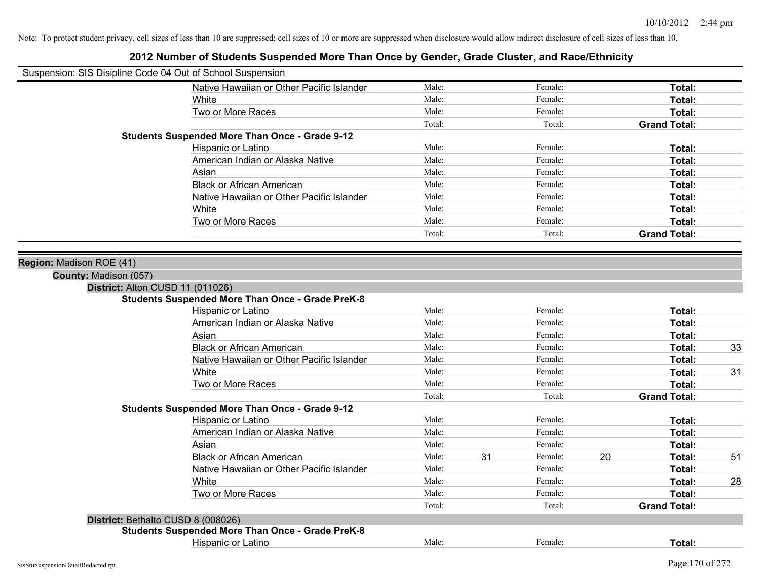| Suspension: SIS Disipline Code 04 Out of School Suspension |                                                         |        |    |         |    |                     |    |
|------------------------------------------------------------|---------------------------------------------------------|--------|----|---------|----|---------------------|----|
|                                                            | Native Hawaiian or Other Pacific Islander               | Male:  |    | Female: |    | Total:              |    |
|                                                            | White                                                   | Male:  |    | Female: |    | Total:              |    |
|                                                            | Two or More Races                                       | Male:  |    | Female: |    | Total:              |    |
|                                                            |                                                         | Total: |    | Total:  |    | <b>Grand Total:</b> |    |
|                                                            | <b>Students Suspended More Than Once - Grade 9-12</b>   |        |    |         |    |                     |    |
|                                                            | Hispanic or Latino                                      | Male:  |    | Female: |    | Total:              |    |
|                                                            | American Indian or Alaska Native                        | Male:  |    | Female: |    | Total:              |    |
|                                                            | Asian                                                   | Male:  |    | Female: |    | Total:              |    |
|                                                            | <b>Black or African American</b>                        | Male:  |    | Female: |    | Total:              |    |
|                                                            | Native Hawaiian or Other Pacific Islander               | Male:  |    | Female: |    | Total:              |    |
|                                                            | White                                                   | Male:  |    | Female: |    | Total:              |    |
|                                                            | Two or More Races                                       | Male:  |    | Female: |    | Total:              |    |
|                                                            |                                                         | Total: |    | Total:  |    | <b>Grand Total:</b> |    |
|                                                            |                                                         |        |    |         |    |                     |    |
| Region: Madison ROE (41)                                   |                                                         |        |    |         |    |                     |    |
| County: Madison (057)                                      |                                                         |        |    |         |    |                     |    |
|                                                            | District: Alton CUSD 11 (011026)                        |        |    |         |    |                     |    |
|                                                            | <b>Students Suspended More Than Once - Grade PreK-8</b> |        |    |         |    |                     |    |
|                                                            | Hispanic or Latino                                      | Male:  |    | Female: |    | Total:              |    |
|                                                            | American Indian or Alaska Native                        | Male:  |    | Female: |    | Total:              |    |
|                                                            | Asian                                                   | Male:  |    | Female: |    | Total:              |    |
|                                                            | <b>Black or African American</b>                        | Male:  |    | Female: |    | Total:              | 33 |
|                                                            | Native Hawaiian or Other Pacific Islander               | Male:  |    | Female: |    | Total:              |    |
|                                                            | White                                                   | Male:  |    | Female: |    | Total:              | 31 |
|                                                            | Two or More Races                                       | Male:  |    | Female: |    | Total:              |    |
|                                                            |                                                         | Total: |    | Total:  |    | <b>Grand Total:</b> |    |
|                                                            | <b>Students Suspended More Than Once - Grade 9-12</b>   |        |    |         |    |                     |    |
|                                                            | Hispanic or Latino                                      | Male:  |    | Female: |    | Total:              |    |
|                                                            | American Indian or Alaska Native                        | Male:  |    | Female: |    | Total:              |    |
|                                                            | Asian                                                   | Male:  |    | Female: |    | Total:              |    |
|                                                            | <b>Black or African American</b>                        | Male:  | 31 | Female: | 20 | <b>Total:</b>       | 51 |
|                                                            | Native Hawaiian or Other Pacific Islander               | Male:  |    | Female: |    | Total:              |    |
|                                                            | White                                                   | Male:  |    | Female: |    | Total:              | 28 |
|                                                            | Two or More Races                                       | Male:  |    | Female: |    | Total:              |    |
|                                                            |                                                         | Total: |    | Total:  |    | <b>Grand Total:</b> |    |
|                                                            | District: Bethalto CUSD 8 (008026)                      |        |    |         |    |                     |    |
|                                                            | <b>Students Suspended More Than Once - Grade PreK-8</b> |        |    |         |    |                     |    |
|                                                            | Hispanic or Latino                                      | Male:  |    | Female: |    | Total:              |    |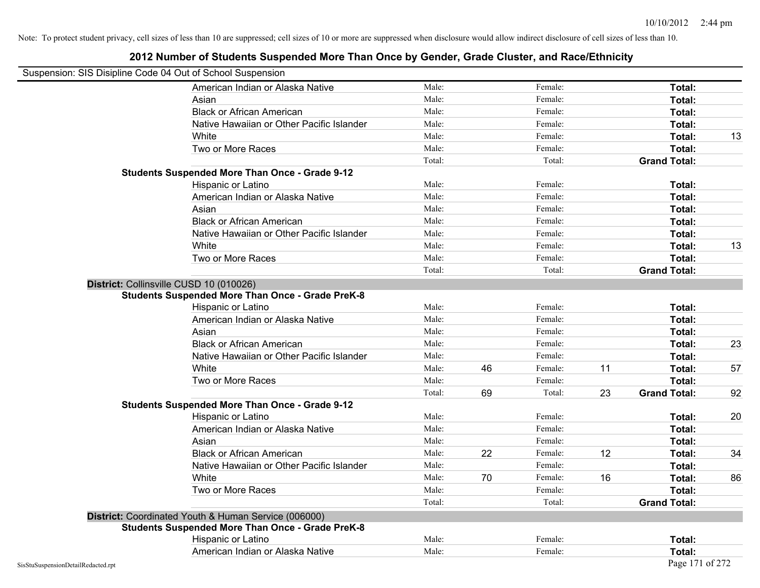| Suspension: SIS Disipline Code 04 Out of School Suspension |                                                         |        |    |         |    |                     |    |
|------------------------------------------------------------|---------------------------------------------------------|--------|----|---------|----|---------------------|----|
|                                                            | American Indian or Alaska Native                        | Male:  |    | Female: |    | Total:              |    |
|                                                            | Asian                                                   | Male:  |    | Female: |    | Total:              |    |
|                                                            | <b>Black or African American</b>                        | Male:  |    | Female: |    | Total:              |    |
|                                                            | Native Hawaiian or Other Pacific Islander               | Male:  |    | Female: |    | Total:              |    |
|                                                            | White                                                   | Male:  |    | Female: |    | Total:              | 13 |
|                                                            | Two or More Races                                       | Male:  |    | Female: |    | Total:              |    |
|                                                            |                                                         | Total: |    | Total:  |    | <b>Grand Total:</b> |    |
|                                                            | <b>Students Suspended More Than Once - Grade 9-12</b>   |        |    |         |    |                     |    |
|                                                            | Hispanic or Latino                                      | Male:  |    | Female: |    | Total:              |    |
|                                                            | American Indian or Alaska Native                        | Male:  |    | Female: |    | Total:              |    |
|                                                            | Asian                                                   | Male:  |    | Female: |    | Total:              |    |
|                                                            | <b>Black or African American</b>                        | Male:  |    | Female: |    | Total:              |    |
|                                                            | Native Hawaiian or Other Pacific Islander               | Male:  |    | Female: |    | Total:              |    |
|                                                            | White                                                   | Male:  |    | Female: |    | Total:              | 13 |
|                                                            | Two or More Races                                       | Male:  |    | Female: |    | Total:              |    |
|                                                            |                                                         | Total: |    | Total:  |    | <b>Grand Total:</b> |    |
|                                                            | District: Collinsville CUSD 10 (010026)                 |        |    |         |    |                     |    |
|                                                            | <b>Students Suspended More Than Once - Grade PreK-8</b> |        |    |         |    |                     |    |
|                                                            | Hispanic or Latino                                      | Male:  |    | Female: |    | Total:              |    |
|                                                            | American Indian or Alaska Native                        | Male:  |    | Female: |    | Total:              |    |
|                                                            | Asian                                                   | Male:  |    | Female: |    | Total:              |    |
|                                                            | <b>Black or African American</b>                        | Male:  |    | Female: |    | Total:              | 23 |
|                                                            | Native Hawaiian or Other Pacific Islander               | Male:  |    | Female: |    | Total:              |    |
|                                                            | White                                                   | Male:  | 46 | Female: | 11 | Total:              | 57 |
|                                                            | Two or More Races                                       | Male:  |    | Female: |    | Total:              |    |
|                                                            |                                                         | Total: | 69 | Total:  | 23 | <b>Grand Total:</b> | 92 |
|                                                            | <b>Students Suspended More Than Once - Grade 9-12</b>   |        |    |         |    |                     |    |
|                                                            | Hispanic or Latino                                      | Male:  |    | Female: |    | Total:              | 20 |
|                                                            | American Indian or Alaska Native                        | Male:  |    | Female: |    | Total:              |    |
|                                                            | Asian                                                   | Male:  |    | Female: |    | Total:              |    |
|                                                            | <b>Black or African American</b>                        | Male:  | 22 | Female: | 12 | Total:              | 34 |
|                                                            | Native Hawaiian or Other Pacific Islander               | Male:  |    | Female: |    | Total:              |    |
|                                                            | White                                                   | Male:  | 70 | Female: | 16 | <b>Total:</b>       | 86 |
|                                                            | Two or More Races                                       | Male:  |    | Female: |    | Total:              |    |
|                                                            |                                                         | Total: |    | Total:  |    | <b>Grand Total:</b> |    |
|                                                            | District: Coordinated Youth & Human Service (006000)    |        |    |         |    |                     |    |
|                                                            | <b>Students Suspended More Than Once - Grade PreK-8</b> |        |    |         |    |                     |    |
|                                                            | Hispanic or Latino                                      | Male:  |    | Female: |    | Total:              |    |
|                                                            | American Indian or Alaska Native                        | Male:  |    | Female: |    | Total:              |    |
| SisStuSuspensionDetailRedacted.rpt                         |                                                         |        |    |         |    | Page 171 of 272     |    |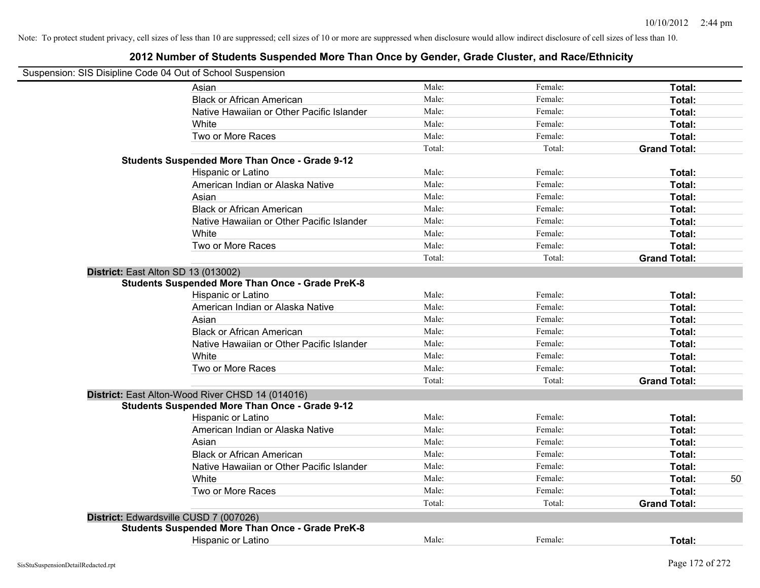| Suspension: SIS Disipline Code 04 Out of School Suspension                                        |        |         |                     |    |
|---------------------------------------------------------------------------------------------------|--------|---------|---------------------|----|
| Asian                                                                                             | Male:  | Female: | Total:              |    |
| <b>Black or African American</b>                                                                  | Male:  | Female: | Total:              |    |
| Native Hawaiian or Other Pacific Islander                                                         | Male:  | Female: | Total:              |    |
| White                                                                                             | Male:  | Female: | Total:              |    |
| Two or More Races                                                                                 | Male:  | Female: | Total:              |    |
|                                                                                                   | Total: | Total:  | <b>Grand Total:</b> |    |
| <b>Students Suspended More Than Once - Grade 9-12</b>                                             |        |         |                     |    |
| Hispanic or Latino                                                                                | Male:  | Female: | Total:              |    |
| American Indian or Alaska Native                                                                  | Male:  | Female: | Total:              |    |
| Asian                                                                                             | Male:  | Female: | Total:              |    |
| <b>Black or African American</b>                                                                  | Male:  | Female: | Total:              |    |
| Native Hawaiian or Other Pacific Islander                                                         | Male:  | Female: | Total:              |    |
| White                                                                                             | Male:  | Female: | Total:              |    |
| Two or More Races                                                                                 | Male:  | Female: | Total:              |    |
|                                                                                                   | Total: | Total:  | <b>Grand Total:</b> |    |
| District: East Alton SD 13 (013002)                                                               |        |         |                     |    |
| <b>Students Suspended More Than Once - Grade PreK-8</b>                                           |        |         |                     |    |
| Hispanic or Latino                                                                                | Male:  | Female: | Total:              |    |
| American Indian or Alaska Native                                                                  | Male:  | Female: | Total:              |    |
| Asian                                                                                             | Male:  | Female: | Total:              |    |
| <b>Black or African American</b>                                                                  | Male:  | Female: | Total:              |    |
| Native Hawaiian or Other Pacific Islander                                                         | Male:  | Female: | Total:              |    |
| White                                                                                             | Male:  | Female: | Total:              |    |
| Two or More Races                                                                                 | Male:  | Female: | Total:              |    |
|                                                                                                   | Total: | Total:  | <b>Grand Total:</b> |    |
| District: East Alton-Wood River CHSD 14 (014016)                                                  |        |         |                     |    |
| <b>Students Suspended More Than Once - Grade 9-12</b>                                             |        |         |                     |    |
| Hispanic or Latino                                                                                | Male:  | Female: | Total:              |    |
| American Indian or Alaska Native                                                                  | Male:  | Female: | Total:              |    |
| Asian                                                                                             | Male:  | Female: | Total:              |    |
| <b>Black or African American</b>                                                                  | Male:  | Female: | Total:              |    |
| Native Hawaiian or Other Pacific Islander                                                         | Male:  | Female: | Total:              |    |
| White                                                                                             | Male:  | Female: | Total:              | 50 |
| Two or More Races                                                                                 | Male:  | Female: | Total:              |    |
|                                                                                                   | Total: | Total:  | <b>Grand Total:</b> |    |
|                                                                                                   |        |         |                     |    |
| District: Edwardsville CUSD 7 (007026)<br><b>Students Suspended More Than Once - Grade PreK-8</b> |        |         |                     |    |
| <b>Hispanic or Latino</b>                                                                         | Male:  | Female: | Total:              |    |
|                                                                                                   |        |         |                     |    |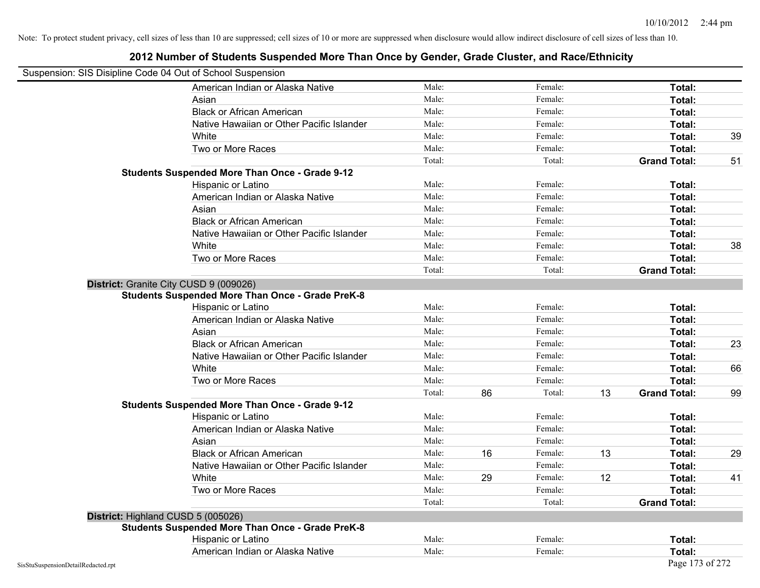| Suspension: SIS Disipline Code 04 Out of School Suspension |                                                         |        |    |         |    |                     |    |
|------------------------------------------------------------|---------------------------------------------------------|--------|----|---------|----|---------------------|----|
|                                                            | American Indian or Alaska Native                        | Male:  |    | Female: |    | Total:              |    |
|                                                            | Asian                                                   | Male:  |    | Female: |    | Total:              |    |
|                                                            | <b>Black or African American</b>                        | Male:  |    | Female: |    | Total:              |    |
|                                                            | Native Hawaiian or Other Pacific Islander               | Male:  |    | Female: |    | Total:              |    |
|                                                            | White                                                   | Male:  |    | Female: |    | Total:              | 39 |
|                                                            | Two or More Races                                       | Male:  |    | Female: |    | Total:              |    |
|                                                            |                                                         | Total: |    | Total:  |    | <b>Grand Total:</b> | 51 |
|                                                            | <b>Students Suspended More Than Once - Grade 9-12</b>   |        |    |         |    |                     |    |
|                                                            | Hispanic or Latino                                      | Male:  |    | Female: |    | Total:              |    |
|                                                            | American Indian or Alaska Native                        | Male:  |    | Female: |    | Total:              |    |
|                                                            | Asian                                                   | Male:  |    | Female: |    | Total:              |    |
|                                                            | <b>Black or African American</b>                        | Male:  |    | Female: |    | Total:              |    |
|                                                            | Native Hawaiian or Other Pacific Islander               | Male:  |    | Female: |    | Total:              |    |
|                                                            | White                                                   | Male:  |    | Female: |    | Total:              | 38 |
|                                                            | Two or More Races                                       | Male:  |    | Female: |    | Total:              |    |
|                                                            |                                                         | Total: |    | Total:  |    | <b>Grand Total:</b> |    |
|                                                            | District: Granite City CUSD 9 (009026)                  |        |    |         |    |                     |    |
|                                                            | <b>Students Suspended More Than Once - Grade PreK-8</b> |        |    |         |    |                     |    |
|                                                            | Hispanic or Latino                                      | Male:  |    | Female: |    | Total:              |    |
|                                                            | American Indian or Alaska Native                        | Male:  |    | Female: |    | Total:              |    |
|                                                            | Asian                                                   | Male:  |    | Female: |    | Total:              |    |
|                                                            | <b>Black or African American</b>                        | Male:  |    | Female: |    | Total:              | 23 |
|                                                            | Native Hawaiian or Other Pacific Islander               | Male:  |    | Female: |    | Total:              |    |
|                                                            | White                                                   | Male:  |    | Female: |    | Total:              | 66 |
|                                                            | Two or More Races                                       | Male:  |    | Female: |    | Total:              |    |
|                                                            |                                                         | Total: | 86 | Total:  | 13 | <b>Grand Total:</b> | 99 |
|                                                            | <b>Students Suspended More Than Once - Grade 9-12</b>   |        |    |         |    |                     |    |
|                                                            | Hispanic or Latino                                      | Male:  |    | Female: |    | Total:              |    |
|                                                            | American Indian or Alaska Native                        | Male:  |    | Female: |    | Total:              |    |
|                                                            | Asian                                                   | Male:  |    | Female: |    | Total:              |    |
|                                                            | <b>Black or African American</b>                        | Male:  | 16 | Female: | 13 | Total:              | 29 |
|                                                            | Native Hawaiian or Other Pacific Islander               | Male:  |    | Female: |    | Total:              |    |
|                                                            | White                                                   | Male:  | 29 | Female: | 12 | Total:              | 41 |
|                                                            | Two or More Races                                       | Male:  |    | Female: |    | Total:              |    |
|                                                            |                                                         | Total: |    | Total:  |    | <b>Grand Total:</b> |    |
|                                                            | District: Highland CUSD 5 (005026)                      |        |    |         |    |                     |    |
|                                                            | <b>Students Suspended More Than Once - Grade PreK-8</b> |        |    |         |    |                     |    |
|                                                            | Hispanic or Latino                                      | Male:  |    | Female: |    | Total:              |    |
|                                                            | American Indian or Alaska Native                        | Male:  |    | Female: |    | Total:              |    |
| SisStuSuspensionDetailRedacted.rpt                         |                                                         |        |    |         |    | Page 173 of 272     |    |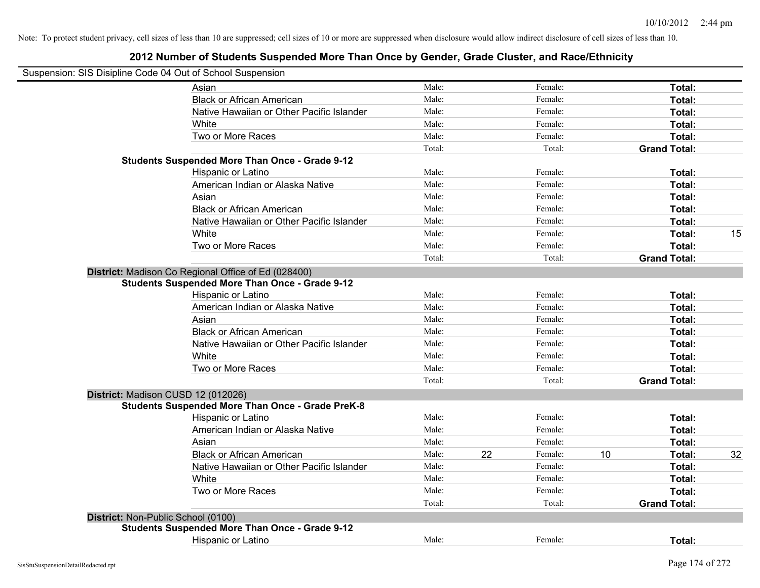| Suspension: SIS Disipline Code 04 Out of School Suspension |                                                         |        |    |         |    |                     |    |
|------------------------------------------------------------|---------------------------------------------------------|--------|----|---------|----|---------------------|----|
|                                                            | Asian                                                   | Male:  |    | Female: |    | Total:              |    |
|                                                            | <b>Black or African American</b>                        | Male:  |    | Female: |    | Total:              |    |
|                                                            | Native Hawaiian or Other Pacific Islander               | Male:  |    | Female: |    | Total:              |    |
|                                                            | White                                                   | Male:  |    | Female: |    | Total:              |    |
|                                                            | Two or More Races                                       | Male:  |    | Female: |    | Total:              |    |
|                                                            |                                                         | Total: |    | Total:  |    | <b>Grand Total:</b> |    |
|                                                            | <b>Students Suspended More Than Once - Grade 9-12</b>   |        |    |         |    |                     |    |
|                                                            | Hispanic or Latino                                      | Male:  |    | Female: |    | Total:              |    |
|                                                            | American Indian or Alaska Native                        | Male:  |    | Female: |    | Total:              |    |
|                                                            | Asian                                                   | Male:  |    | Female: |    | Total:              |    |
|                                                            | <b>Black or African American</b>                        | Male:  |    | Female: |    | Total:              |    |
|                                                            | Native Hawaiian or Other Pacific Islander               | Male:  |    | Female: |    | Total:              |    |
|                                                            | White                                                   | Male:  |    | Female: |    | Total:              | 15 |
|                                                            | Two or More Races                                       | Male:  |    | Female: |    | Total:              |    |
|                                                            |                                                         | Total: |    | Total:  |    | <b>Grand Total:</b> |    |
|                                                            | District: Madison Co Regional Office of Ed (028400)     |        |    |         |    |                     |    |
|                                                            | <b>Students Suspended More Than Once - Grade 9-12</b>   |        |    |         |    |                     |    |
|                                                            | Hispanic or Latino                                      | Male:  |    | Female: |    | Total:              |    |
|                                                            | American Indian or Alaska Native                        | Male:  |    | Female: |    | Total:              |    |
|                                                            | Asian                                                   | Male:  |    | Female: |    | Total:              |    |
|                                                            | <b>Black or African American</b>                        | Male:  |    | Female: |    | Total:              |    |
|                                                            | Native Hawaiian or Other Pacific Islander               | Male:  |    | Female: |    | Total:              |    |
|                                                            | White                                                   | Male:  |    | Female: |    | Total:              |    |
|                                                            | Two or More Races                                       | Male:  |    | Female: |    | Total:              |    |
|                                                            |                                                         | Total: |    | Total:  |    | <b>Grand Total:</b> |    |
| District: Madison CUSD 12 (012026)                         |                                                         |        |    |         |    |                     |    |
|                                                            | <b>Students Suspended More Than Once - Grade PreK-8</b> |        |    |         |    |                     |    |
|                                                            | Hispanic or Latino                                      | Male:  |    | Female: |    | Total:              |    |
|                                                            | American Indian or Alaska Native                        | Male:  |    | Female: |    | Total:              |    |
|                                                            | Asian                                                   | Male:  |    | Female: |    | Total:              |    |
|                                                            | <b>Black or African American</b>                        | Male:  | 22 | Female: | 10 | Total:              | 32 |
|                                                            | Native Hawaiian or Other Pacific Islander               | Male:  |    | Female: |    | Total:              |    |
|                                                            | White                                                   | Male:  |    | Female: |    | Total:              |    |
|                                                            | Two or More Races                                       | Male:  |    | Female: |    | Total:              |    |
|                                                            |                                                         | Total: |    | Total:  |    | <b>Grand Total:</b> |    |
| District: Non-Public School (0100)                         |                                                         |        |    |         |    |                     |    |
|                                                            | <b>Students Suspended More Than Once - Grade 9-12</b>   |        |    |         |    |                     |    |
|                                                            | Hispanic or Latino                                      | Male:  |    | Female: |    | Total:              |    |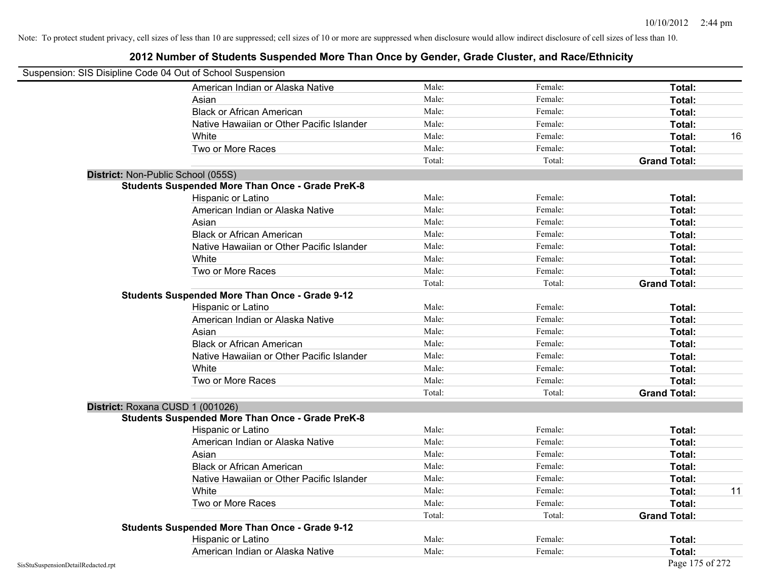| Suspension: SIS Disipline Code 04 Out of School Suspension |                                                         |        |         |                     |
|------------------------------------------------------------|---------------------------------------------------------|--------|---------|---------------------|
|                                                            | American Indian or Alaska Native                        | Male:  | Female: | Total:              |
|                                                            | Asian                                                   | Male:  | Female: | Total:              |
|                                                            | <b>Black or African American</b>                        | Male:  | Female: | Total:              |
|                                                            | Native Hawaiian or Other Pacific Islander               | Male:  | Female: | Total:              |
|                                                            | White                                                   | Male:  | Female: | Total:<br>16        |
|                                                            | Two or More Races                                       | Male:  | Female: | Total:              |
|                                                            |                                                         | Total: | Total:  | <b>Grand Total:</b> |
|                                                            | District: Non-Public School (055S)                      |        |         |                     |
|                                                            | <b>Students Suspended More Than Once - Grade PreK-8</b> |        |         |                     |
|                                                            | Hispanic or Latino                                      | Male:  | Female: | Total:              |
|                                                            | American Indian or Alaska Native                        | Male:  | Female: | Total:              |
|                                                            | Asian                                                   | Male:  | Female: | Total:              |
|                                                            | <b>Black or African American</b>                        | Male:  | Female: | Total:              |
|                                                            | Native Hawaiian or Other Pacific Islander               | Male:  | Female: | Total:              |
|                                                            | White                                                   | Male:  | Female: | Total:              |
|                                                            | Two or More Races                                       | Male:  | Female: | Total:              |
|                                                            |                                                         | Total: | Total:  | <b>Grand Total:</b> |
|                                                            | <b>Students Suspended More Than Once - Grade 9-12</b>   |        |         |                     |
|                                                            | Hispanic or Latino                                      | Male:  | Female: | Total:              |
|                                                            | American Indian or Alaska Native                        | Male:  | Female: | Total:              |
|                                                            | Asian                                                   | Male:  | Female: | Total:              |
|                                                            | <b>Black or African American</b>                        | Male:  | Female: | Total:              |
|                                                            | Native Hawaiian or Other Pacific Islander               | Male:  | Female: | Total:              |
|                                                            | White                                                   | Male:  | Female: | Total:              |
|                                                            | Two or More Races                                       | Male:  | Female: | Total:              |
|                                                            |                                                         | Total: | Total:  | <b>Grand Total:</b> |
|                                                            | District: Roxana CUSD 1 (001026)                        |        |         |                     |
|                                                            | <b>Students Suspended More Than Once - Grade PreK-8</b> |        |         |                     |
|                                                            | Hispanic or Latino                                      | Male:  | Female: | Total:              |
|                                                            | American Indian or Alaska Native                        | Male:  | Female: | Total:              |
|                                                            | Asian                                                   | Male:  | Female: | Total:              |
|                                                            | <b>Black or African American</b>                        | Male:  | Female: | Total:              |
|                                                            | Native Hawaiian or Other Pacific Islander               | Male:  | Female: | Total:              |
|                                                            | White                                                   | Male:  | Female: | 11<br>Total:        |
|                                                            | Two or More Races                                       | Male:  | Female: | Total:              |
|                                                            |                                                         | Total: | Total:  | <b>Grand Total:</b> |
|                                                            | <b>Students Suspended More Than Once - Grade 9-12</b>   |        |         |                     |
|                                                            | Hispanic or Latino                                      | Male:  | Female: | Total:              |
|                                                            | American Indian or Alaska Native                        | Male:  | Female: | Total:              |
| SisStuSuspensionDetailRedacted.rpt                         |                                                         |        |         | Page 175 of 272     |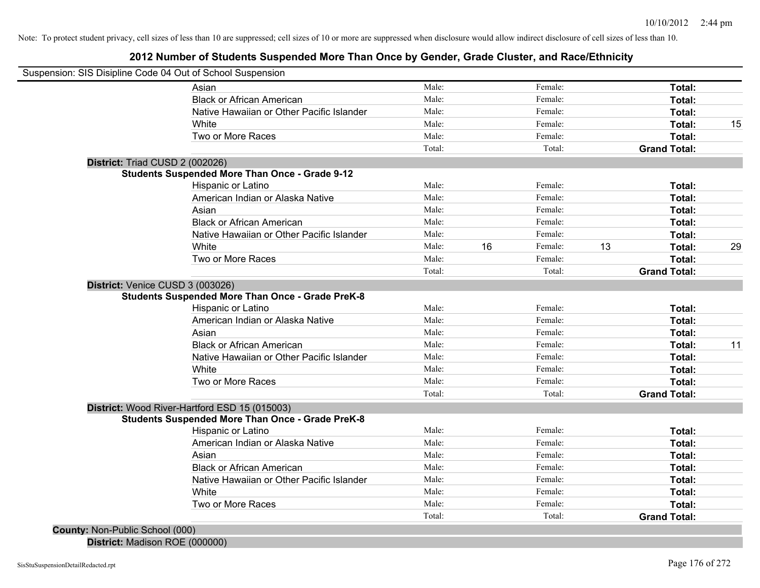### **2012 Number of Students Suspended More Than Once by Gender, Grade Cluster, and Race/Ethnicity**

| Male:<br>Female:<br>Total:<br>Asian<br><b>Black or African American</b><br>Male:<br>Female:<br>Total:<br>Female:<br>Native Hawaiian or Other Pacific Islander<br>Male:<br>Total:<br>Male:<br>Female:<br>White<br>Total:<br>Two or More Races<br>Male:<br>Female:<br>Total:<br>Total:<br><b>Grand Total:</b><br>Total:<br>District: Triad CUSD 2 (002026)<br>Students Suspended More Than Once - Grade 9-12<br>Male:<br>Hispanic or Latino<br>Female:<br>Total:<br>Male:<br>American Indian or Alaska Native<br>Female:<br>Total:<br>Male:<br>Asian<br>Female:<br>Total:<br>Male:<br><b>Black or African American</b><br>Female:<br>Total:<br>Native Hawaiian or Other Pacific Islander<br>Male:<br>Female:<br>Total:<br>White<br>16<br>13<br>Male:<br>Female:<br>Total:<br>Two or More Races<br>Male:<br>Female:<br>Total:<br>Total:<br>Total:<br><b>Grand Total:</b><br>District: Venice CUSD 3 (003026)<br><b>Students Suspended More Than Once - Grade PreK-8</b><br>Male:<br>Female:<br>Total:<br>Hispanic or Latino<br>Male:<br>American Indian or Alaska Native<br>Female:<br>Total:<br>Male:<br>Asian<br>Female:<br>Total:<br><b>Black or African American</b><br>Male:<br>Female:<br>Total:<br>Native Hawaiian or Other Pacific Islander<br>Male:<br>Female:<br>Total:<br>Male:<br>Female:<br>Total:<br>White<br>Male:<br>Female:<br>Two or More Races<br>Total:<br>Total:<br>Total:<br><b>Grand Total:</b><br>District: Wood River-Hartford ESD 15 (015003)<br><b>Students Suspended More Than Once - Grade PreK-8</b><br>Male:<br>Female:<br>Hispanic or Latino<br>Total:<br>Male:<br>Female:<br>American Indian or Alaska Native<br>Total:<br>Male:<br>Female:<br>Asian<br>Total:<br><b>Black or African American</b><br>Male:<br>Female:<br>Total:<br>Native Hawaiian or Other Pacific Islander<br>Male:<br>Female:<br>Total:<br>Female:<br>White<br>Male:<br>Total:<br>Two or More Races<br>Male:<br>Female:<br>Total:<br>Total:<br>Total:<br><b>Grand Total:</b><br>County: Non-Public School (000) | Suspension: SIS Disipline Code 04 Out of School Suspension |  |  |  |    |
|-------------------------------------------------------------------------------------------------------------------------------------------------------------------------------------------------------------------------------------------------------------------------------------------------------------------------------------------------------------------------------------------------------------------------------------------------------------------------------------------------------------------------------------------------------------------------------------------------------------------------------------------------------------------------------------------------------------------------------------------------------------------------------------------------------------------------------------------------------------------------------------------------------------------------------------------------------------------------------------------------------------------------------------------------------------------------------------------------------------------------------------------------------------------------------------------------------------------------------------------------------------------------------------------------------------------------------------------------------------------------------------------------------------------------------------------------------------------------------------------------------------------------------------------------------------------------------------------------------------------------------------------------------------------------------------------------------------------------------------------------------------------------------------------------------------------------------------------------------------------------------------------------------------------------------------------------------------------------------------------------------------------|------------------------------------------------------------|--|--|--|----|
|                                                                                                                                                                                                                                                                                                                                                                                                                                                                                                                                                                                                                                                                                                                                                                                                                                                                                                                                                                                                                                                                                                                                                                                                                                                                                                                                                                                                                                                                                                                                                                                                                                                                                                                                                                                                                                                                                                                                                                                                                   |                                                            |  |  |  |    |
|                                                                                                                                                                                                                                                                                                                                                                                                                                                                                                                                                                                                                                                                                                                                                                                                                                                                                                                                                                                                                                                                                                                                                                                                                                                                                                                                                                                                                                                                                                                                                                                                                                                                                                                                                                                                                                                                                                                                                                                                                   |                                                            |  |  |  |    |
|                                                                                                                                                                                                                                                                                                                                                                                                                                                                                                                                                                                                                                                                                                                                                                                                                                                                                                                                                                                                                                                                                                                                                                                                                                                                                                                                                                                                                                                                                                                                                                                                                                                                                                                                                                                                                                                                                                                                                                                                                   |                                                            |  |  |  |    |
|                                                                                                                                                                                                                                                                                                                                                                                                                                                                                                                                                                                                                                                                                                                                                                                                                                                                                                                                                                                                                                                                                                                                                                                                                                                                                                                                                                                                                                                                                                                                                                                                                                                                                                                                                                                                                                                                                                                                                                                                                   |                                                            |  |  |  | 15 |
|                                                                                                                                                                                                                                                                                                                                                                                                                                                                                                                                                                                                                                                                                                                                                                                                                                                                                                                                                                                                                                                                                                                                                                                                                                                                                                                                                                                                                                                                                                                                                                                                                                                                                                                                                                                                                                                                                                                                                                                                                   |                                                            |  |  |  |    |
|                                                                                                                                                                                                                                                                                                                                                                                                                                                                                                                                                                                                                                                                                                                                                                                                                                                                                                                                                                                                                                                                                                                                                                                                                                                                                                                                                                                                                                                                                                                                                                                                                                                                                                                                                                                                                                                                                                                                                                                                                   |                                                            |  |  |  |    |
|                                                                                                                                                                                                                                                                                                                                                                                                                                                                                                                                                                                                                                                                                                                                                                                                                                                                                                                                                                                                                                                                                                                                                                                                                                                                                                                                                                                                                                                                                                                                                                                                                                                                                                                                                                                                                                                                                                                                                                                                                   |                                                            |  |  |  |    |
|                                                                                                                                                                                                                                                                                                                                                                                                                                                                                                                                                                                                                                                                                                                                                                                                                                                                                                                                                                                                                                                                                                                                                                                                                                                                                                                                                                                                                                                                                                                                                                                                                                                                                                                                                                                                                                                                                                                                                                                                                   |                                                            |  |  |  |    |
|                                                                                                                                                                                                                                                                                                                                                                                                                                                                                                                                                                                                                                                                                                                                                                                                                                                                                                                                                                                                                                                                                                                                                                                                                                                                                                                                                                                                                                                                                                                                                                                                                                                                                                                                                                                                                                                                                                                                                                                                                   |                                                            |  |  |  |    |
|                                                                                                                                                                                                                                                                                                                                                                                                                                                                                                                                                                                                                                                                                                                                                                                                                                                                                                                                                                                                                                                                                                                                                                                                                                                                                                                                                                                                                                                                                                                                                                                                                                                                                                                                                                                                                                                                                                                                                                                                                   |                                                            |  |  |  |    |
|                                                                                                                                                                                                                                                                                                                                                                                                                                                                                                                                                                                                                                                                                                                                                                                                                                                                                                                                                                                                                                                                                                                                                                                                                                                                                                                                                                                                                                                                                                                                                                                                                                                                                                                                                                                                                                                                                                                                                                                                                   |                                                            |  |  |  |    |
|                                                                                                                                                                                                                                                                                                                                                                                                                                                                                                                                                                                                                                                                                                                                                                                                                                                                                                                                                                                                                                                                                                                                                                                                                                                                                                                                                                                                                                                                                                                                                                                                                                                                                                                                                                                                                                                                                                                                                                                                                   |                                                            |  |  |  |    |
|                                                                                                                                                                                                                                                                                                                                                                                                                                                                                                                                                                                                                                                                                                                                                                                                                                                                                                                                                                                                                                                                                                                                                                                                                                                                                                                                                                                                                                                                                                                                                                                                                                                                                                                                                                                                                                                                                                                                                                                                                   |                                                            |  |  |  |    |
|                                                                                                                                                                                                                                                                                                                                                                                                                                                                                                                                                                                                                                                                                                                                                                                                                                                                                                                                                                                                                                                                                                                                                                                                                                                                                                                                                                                                                                                                                                                                                                                                                                                                                                                                                                                                                                                                                                                                                                                                                   |                                                            |  |  |  | 29 |
|                                                                                                                                                                                                                                                                                                                                                                                                                                                                                                                                                                                                                                                                                                                                                                                                                                                                                                                                                                                                                                                                                                                                                                                                                                                                                                                                                                                                                                                                                                                                                                                                                                                                                                                                                                                                                                                                                                                                                                                                                   |                                                            |  |  |  |    |
|                                                                                                                                                                                                                                                                                                                                                                                                                                                                                                                                                                                                                                                                                                                                                                                                                                                                                                                                                                                                                                                                                                                                                                                                                                                                                                                                                                                                                                                                                                                                                                                                                                                                                                                                                                                                                                                                                                                                                                                                                   |                                                            |  |  |  |    |
|                                                                                                                                                                                                                                                                                                                                                                                                                                                                                                                                                                                                                                                                                                                                                                                                                                                                                                                                                                                                                                                                                                                                                                                                                                                                                                                                                                                                                                                                                                                                                                                                                                                                                                                                                                                                                                                                                                                                                                                                                   |                                                            |  |  |  |    |
|                                                                                                                                                                                                                                                                                                                                                                                                                                                                                                                                                                                                                                                                                                                                                                                                                                                                                                                                                                                                                                                                                                                                                                                                                                                                                                                                                                                                                                                                                                                                                                                                                                                                                                                                                                                                                                                                                                                                                                                                                   |                                                            |  |  |  |    |
|                                                                                                                                                                                                                                                                                                                                                                                                                                                                                                                                                                                                                                                                                                                                                                                                                                                                                                                                                                                                                                                                                                                                                                                                                                                                                                                                                                                                                                                                                                                                                                                                                                                                                                                                                                                                                                                                                                                                                                                                                   |                                                            |  |  |  |    |
|                                                                                                                                                                                                                                                                                                                                                                                                                                                                                                                                                                                                                                                                                                                                                                                                                                                                                                                                                                                                                                                                                                                                                                                                                                                                                                                                                                                                                                                                                                                                                                                                                                                                                                                                                                                                                                                                                                                                                                                                                   |                                                            |  |  |  |    |
|                                                                                                                                                                                                                                                                                                                                                                                                                                                                                                                                                                                                                                                                                                                                                                                                                                                                                                                                                                                                                                                                                                                                                                                                                                                                                                                                                                                                                                                                                                                                                                                                                                                                                                                                                                                                                                                                                                                                                                                                                   |                                                            |  |  |  | 11 |
|                                                                                                                                                                                                                                                                                                                                                                                                                                                                                                                                                                                                                                                                                                                                                                                                                                                                                                                                                                                                                                                                                                                                                                                                                                                                                                                                                                                                                                                                                                                                                                                                                                                                                                                                                                                                                                                                                                                                                                                                                   |                                                            |  |  |  |    |
|                                                                                                                                                                                                                                                                                                                                                                                                                                                                                                                                                                                                                                                                                                                                                                                                                                                                                                                                                                                                                                                                                                                                                                                                                                                                                                                                                                                                                                                                                                                                                                                                                                                                                                                                                                                                                                                                                                                                                                                                                   |                                                            |  |  |  |    |
|                                                                                                                                                                                                                                                                                                                                                                                                                                                                                                                                                                                                                                                                                                                                                                                                                                                                                                                                                                                                                                                                                                                                                                                                                                                                                                                                                                                                                                                                                                                                                                                                                                                                                                                                                                                                                                                                                                                                                                                                                   |                                                            |  |  |  |    |
|                                                                                                                                                                                                                                                                                                                                                                                                                                                                                                                                                                                                                                                                                                                                                                                                                                                                                                                                                                                                                                                                                                                                                                                                                                                                                                                                                                                                                                                                                                                                                                                                                                                                                                                                                                                                                                                                                                                                                                                                                   |                                                            |  |  |  |    |
|                                                                                                                                                                                                                                                                                                                                                                                                                                                                                                                                                                                                                                                                                                                                                                                                                                                                                                                                                                                                                                                                                                                                                                                                                                                                                                                                                                                                                                                                                                                                                                                                                                                                                                                                                                                                                                                                                                                                                                                                                   |                                                            |  |  |  |    |
|                                                                                                                                                                                                                                                                                                                                                                                                                                                                                                                                                                                                                                                                                                                                                                                                                                                                                                                                                                                                                                                                                                                                                                                                                                                                                                                                                                                                                                                                                                                                                                                                                                                                                                                                                                                                                                                                                                                                                                                                                   |                                                            |  |  |  |    |
|                                                                                                                                                                                                                                                                                                                                                                                                                                                                                                                                                                                                                                                                                                                                                                                                                                                                                                                                                                                                                                                                                                                                                                                                                                                                                                                                                                                                                                                                                                                                                                                                                                                                                                                                                                                                                                                                                                                                                                                                                   |                                                            |  |  |  |    |
|                                                                                                                                                                                                                                                                                                                                                                                                                                                                                                                                                                                                                                                                                                                                                                                                                                                                                                                                                                                                                                                                                                                                                                                                                                                                                                                                                                                                                                                                                                                                                                                                                                                                                                                                                                                                                                                                                                                                                                                                                   |                                                            |  |  |  |    |
|                                                                                                                                                                                                                                                                                                                                                                                                                                                                                                                                                                                                                                                                                                                                                                                                                                                                                                                                                                                                                                                                                                                                                                                                                                                                                                                                                                                                                                                                                                                                                                                                                                                                                                                                                                                                                                                                                                                                                                                                                   |                                                            |  |  |  |    |
|                                                                                                                                                                                                                                                                                                                                                                                                                                                                                                                                                                                                                                                                                                                                                                                                                                                                                                                                                                                                                                                                                                                                                                                                                                                                                                                                                                                                                                                                                                                                                                                                                                                                                                                                                                                                                                                                                                                                                                                                                   |                                                            |  |  |  |    |
|                                                                                                                                                                                                                                                                                                                                                                                                                                                                                                                                                                                                                                                                                                                                                                                                                                                                                                                                                                                                                                                                                                                                                                                                                                                                                                                                                                                                                                                                                                                                                                                                                                                                                                                                                                                                                                                                                                                                                                                                                   |                                                            |  |  |  |    |
|                                                                                                                                                                                                                                                                                                                                                                                                                                                                                                                                                                                                                                                                                                                                                                                                                                                                                                                                                                                                                                                                                                                                                                                                                                                                                                                                                                                                                                                                                                                                                                                                                                                                                                                                                                                                                                                                                                                                                                                                                   |                                                            |  |  |  |    |
|                                                                                                                                                                                                                                                                                                                                                                                                                                                                                                                                                                                                                                                                                                                                                                                                                                                                                                                                                                                                                                                                                                                                                                                                                                                                                                                                                                                                                                                                                                                                                                                                                                                                                                                                                                                                                                                                                                                                                                                                                   |                                                            |  |  |  |    |
|                                                                                                                                                                                                                                                                                                                                                                                                                                                                                                                                                                                                                                                                                                                                                                                                                                                                                                                                                                                                                                                                                                                                                                                                                                                                                                                                                                                                                                                                                                                                                                                                                                                                                                                                                                                                                                                                                                                                                                                                                   |                                                            |  |  |  |    |
|                                                                                                                                                                                                                                                                                                                                                                                                                                                                                                                                                                                                                                                                                                                                                                                                                                                                                                                                                                                                                                                                                                                                                                                                                                                                                                                                                                                                                                                                                                                                                                                                                                                                                                                                                                                                                                                                                                                                                                                                                   |                                                            |  |  |  |    |

**District:** Madison ROE (000000)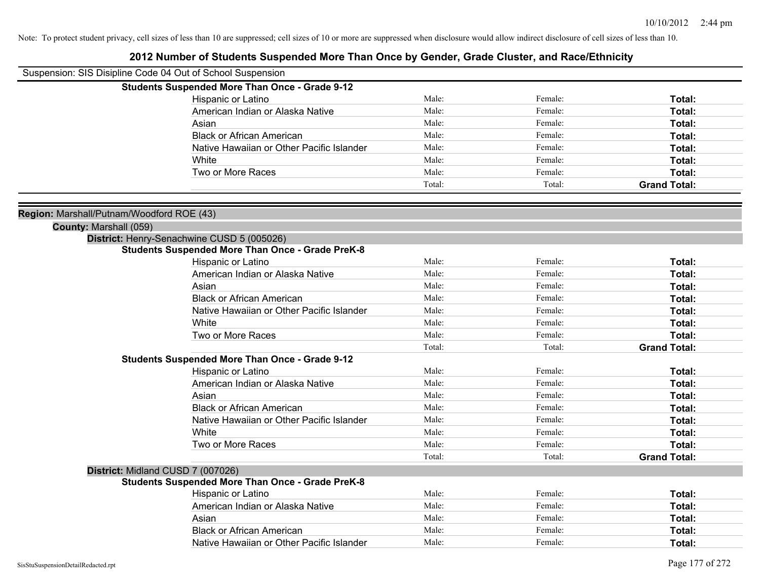| Suspension: SIS Disipline Code 04 Out of School Suspension |                                                         |                |                    |                     |
|------------------------------------------------------------|---------------------------------------------------------|----------------|--------------------|---------------------|
|                                                            | <b>Students Suspended More Than Once - Grade 9-12</b>   |                |                    |                     |
|                                                            | Hispanic or Latino                                      | Male:          | Female:            | Total:              |
|                                                            | American Indian or Alaska Native                        | Male:          | Female:            | Total:              |
|                                                            | Asian                                                   | Male:          | Female:            | Total:              |
|                                                            | <b>Black or African American</b>                        | Male:          | Female:            | Total:              |
|                                                            | Native Hawaiian or Other Pacific Islander               | Male:          | Female:            | Total:              |
|                                                            | White                                                   | Male:          | Female:            | Total:              |
|                                                            | Two or More Races                                       | Male:          | Female:            | Total:              |
|                                                            |                                                         | Total:         | Total:             | <b>Grand Total:</b> |
|                                                            |                                                         |                |                    |                     |
| Region: Marshall/Putnam/Woodford ROE (43)                  |                                                         |                |                    |                     |
| County: Marshall (059)                                     |                                                         |                |                    |                     |
|                                                            | District: Henry-Senachwine CUSD 5 (005026)              |                |                    |                     |
|                                                            | <b>Students Suspended More Than Once - Grade PreK-8</b> | Male:          |                    |                     |
|                                                            | Hispanic or Latino                                      | Male:          | Female:<br>Female: | Total:              |
|                                                            | American Indian or Alaska Native                        | Male:          |                    | Total:              |
|                                                            | Asian                                                   | Male:          | Female:<br>Female: | Total:              |
|                                                            | <b>Black or African American</b>                        |                |                    | Total:              |
|                                                            | Native Hawaiian or Other Pacific Islander               | Male:          | Female:            | Total:              |
|                                                            | White                                                   | Male:          | Female:            | Total:              |
|                                                            | Two or More Races                                       | Male:          | Female:            | Total:              |
|                                                            |                                                         | Total:         | Total:             | <b>Grand Total:</b> |
|                                                            | <b>Students Suspended More Than Once - Grade 9-12</b>   |                |                    |                     |
|                                                            | Hispanic or Latino                                      | Male:<br>Male: | Female:            | Total:              |
|                                                            | American Indian or Alaska Native                        | Male:          | Female:            | Total:              |
|                                                            | Asian                                                   | Male:          | Female:            | Total:              |
|                                                            | <b>Black or African American</b>                        | Male:          | Female:            | Total:              |
|                                                            | Native Hawaiian or Other Pacific Islander               | Male:          | Female:            | Total:              |
|                                                            | White                                                   | Male:          | Female:            | Total:              |
|                                                            | Two or More Races                                       |                | Female:            | Total:              |
|                                                            |                                                         | Total:         | Total:             | <b>Grand Total:</b> |
| District: Midland CUSD 7 (007026)                          |                                                         |                |                    |                     |
|                                                            | <b>Students Suspended More Than Once - Grade PreK-8</b> | Male:          |                    |                     |
|                                                            | <b>Hispanic or Latino</b>                               |                | Female:            | Total:              |
|                                                            | American Indian or Alaska Native                        | Male:          | Female:            | Total:              |
|                                                            | Asian                                                   | Male:          | Female:            | Total:              |
|                                                            | <b>Black or African American</b>                        | Male:          | Female:            | Total:              |
|                                                            | Native Hawaiian or Other Pacific Islander               | Male:          | Female:            | Total:              |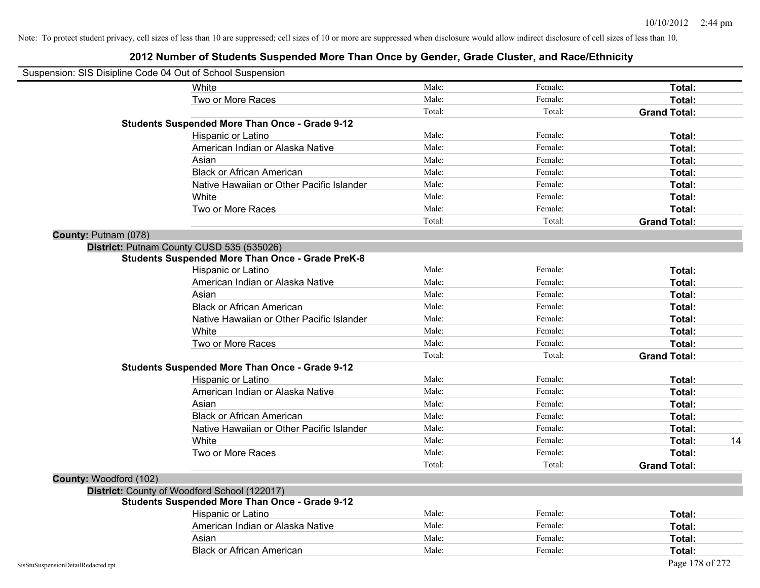| Suspension: SIS Disipline Code 04 Out of School Suspension |                                                         |        |         |                     |
|------------------------------------------------------------|---------------------------------------------------------|--------|---------|---------------------|
|                                                            | White                                                   | Male:  | Female: | Total:              |
|                                                            | Two or More Races                                       | Male:  | Female: | Total:              |
|                                                            |                                                         | Total: | Total:  | <b>Grand Total:</b> |
|                                                            | <b>Students Suspended More Than Once - Grade 9-12</b>   |        |         |                     |
|                                                            | Hispanic or Latino                                      | Male:  | Female: | Total:              |
|                                                            | American Indian or Alaska Native                        | Male:  | Female: | <b>Total:</b>       |
|                                                            | Asian                                                   | Male:  | Female: | <b>Total:</b>       |
|                                                            | <b>Black or African American</b>                        | Male:  | Female: | Total:              |
|                                                            | Native Hawaiian or Other Pacific Islander               | Male:  | Female: | Total:              |
|                                                            | White                                                   | Male:  | Female: | Total:              |
|                                                            | Two or More Races                                       | Male:  | Female: | Total:              |
|                                                            |                                                         | Total: | Total:  | <b>Grand Total:</b> |
| County: Putnam (078)                                       |                                                         |        |         |                     |
|                                                            | District: Putnam County CUSD 535 (535026)               |        |         |                     |
|                                                            | <b>Students Suspended More Than Once - Grade PreK-8</b> |        |         |                     |
|                                                            | Hispanic or Latino                                      | Male:  | Female: | Total:              |
|                                                            | American Indian or Alaska Native                        | Male:  | Female: | Total:              |
|                                                            | Asian                                                   | Male:  | Female: | <b>Total:</b>       |
|                                                            | <b>Black or African American</b>                        | Male:  | Female: | Total:              |
|                                                            | Native Hawaiian or Other Pacific Islander               | Male:  | Female: | Total:              |
|                                                            | White                                                   | Male:  | Female: | Total:              |
|                                                            | Two or More Races                                       | Male:  | Female: | <b>Total:</b>       |
|                                                            |                                                         | Total: | Total:  | <b>Grand Total:</b> |
|                                                            | <b>Students Suspended More Than Once - Grade 9-12</b>   |        |         |                     |
|                                                            | Hispanic or Latino                                      | Male:  | Female: | Total:              |
|                                                            | American Indian or Alaska Native                        | Male:  | Female: | Total:              |
|                                                            | Asian                                                   | Male:  | Female: | <b>Total:</b>       |
|                                                            | <b>Black or African American</b>                        | Male:  | Female: | Total:              |
|                                                            | Native Hawaiian or Other Pacific Islander               | Male:  | Female: | Total:              |
|                                                            | White                                                   | Male:  | Female: | 14<br>Total:        |
|                                                            | Two or More Races                                       | Male:  | Female: | Total:              |
|                                                            |                                                         | Total: | Total:  | <b>Grand Total:</b> |
| County: Woodford (102)                                     |                                                         |        |         |                     |
|                                                            | District: County of Woodford School (122017)            |        |         |                     |
|                                                            | <b>Students Suspended More Than Once - Grade 9-12</b>   |        |         |                     |
|                                                            | Hispanic or Latino                                      | Male:  | Female: | Total:              |
|                                                            | American Indian or Alaska Native                        | Male:  | Female: | Total:              |
|                                                            | Asian                                                   | Male:  | Female: | Total:              |
|                                                            | <b>Black or African American</b>                        | Male:  | Female: | <b>Total:</b>       |
| SisStuSuspensionDetailRedacted.rpt                         |                                                         |        |         | Page 178 of 272     |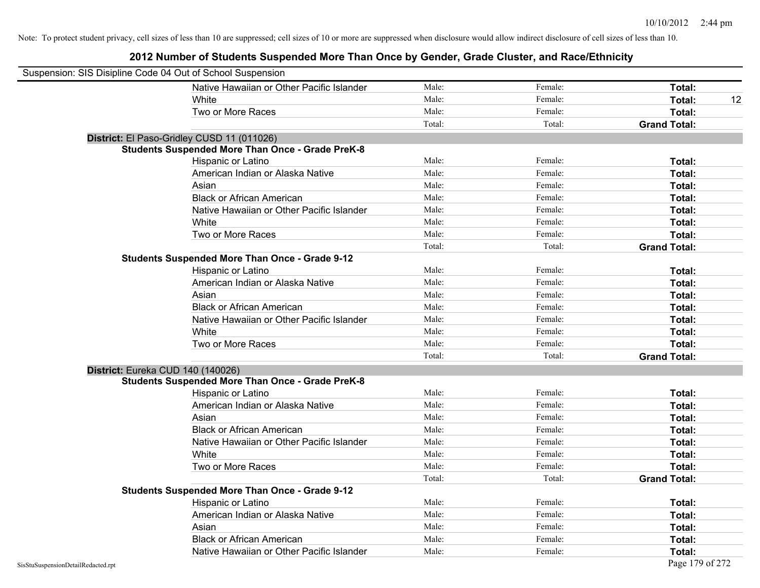| Suspension: SIS Disipline Code 04 Out of School Suspension |                                                         |        |         |                     |
|------------------------------------------------------------|---------------------------------------------------------|--------|---------|---------------------|
|                                                            | Native Hawaiian or Other Pacific Islander               | Male:  | Female: | Total:              |
|                                                            | White                                                   | Male:  | Female: | Total:<br>12        |
|                                                            | Two or More Races                                       | Male:  | Female: | Total:              |
|                                                            |                                                         | Total: | Total:  | <b>Grand Total:</b> |
| District: El Paso-Gridley CUSD 11 (011026)                 |                                                         |        |         |                     |
|                                                            | <b>Students Suspended More Than Once - Grade PreK-8</b> |        |         |                     |
|                                                            | Hispanic or Latino                                      | Male:  | Female: | Total:              |
|                                                            | American Indian or Alaska Native                        | Male:  | Female: | Total:              |
|                                                            | Asian                                                   | Male:  | Female: | Total:              |
|                                                            | <b>Black or African American</b>                        | Male:  | Female: | Total:              |
|                                                            | Native Hawaiian or Other Pacific Islander               | Male:  | Female: | Total:              |
|                                                            | White                                                   | Male:  | Female: | Total:              |
|                                                            | Two or More Races                                       | Male:  | Female: | Total:              |
|                                                            |                                                         | Total: | Total:  | <b>Grand Total:</b> |
|                                                            | <b>Students Suspended More Than Once - Grade 9-12</b>   |        |         |                     |
|                                                            | Hispanic or Latino                                      | Male:  | Female: | Total:              |
|                                                            | American Indian or Alaska Native                        | Male:  | Female: | Total:              |
|                                                            | Asian                                                   | Male:  | Female: | Total:              |
|                                                            | <b>Black or African American</b>                        | Male:  | Female: | Total:              |
|                                                            | Native Hawaiian or Other Pacific Islander               | Male:  | Female: | Total:              |
|                                                            | White                                                   | Male:  | Female: | Total:              |
|                                                            | Two or More Races                                       | Male:  | Female: | Total:              |
|                                                            |                                                         | Total: | Total:  | <b>Grand Total:</b> |
| District: Eureka CUD 140 (140026)                          |                                                         |        |         |                     |
|                                                            | <b>Students Suspended More Than Once - Grade PreK-8</b> |        |         |                     |
|                                                            | Hispanic or Latino                                      | Male:  | Female: | Total:              |
|                                                            | American Indian or Alaska Native                        | Male:  | Female: | Total:              |
|                                                            | Asian                                                   | Male:  | Female: | Total:              |
|                                                            | <b>Black or African American</b>                        | Male:  | Female: | Total:              |
|                                                            | Native Hawaiian or Other Pacific Islander               | Male:  | Female: | Total:              |
|                                                            | White                                                   | Male:  | Female: | Total:              |
|                                                            | Two or More Races                                       | Male:  | Female: | Total:              |
|                                                            |                                                         | Total: | Total:  | <b>Grand Total:</b> |
|                                                            | <b>Students Suspended More Than Once - Grade 9-12</b>   |        |         |                     |
|                                                            | Hispanic or Latino                                      | Male:  | Female: | Total:              |
|                                                            | American Indian or Alaska Native                        | Male:  | Female: | Total:              |
|                                                            | Asian                                                   | Male:  | Female: | Total:              |
|                                                            | <b>Black or African American</b>                        | Male:  | Female: | Total:              |
|                                                            | Native Hawaiian or Other Pacific Islander               | Male:  | Female: | Total:              |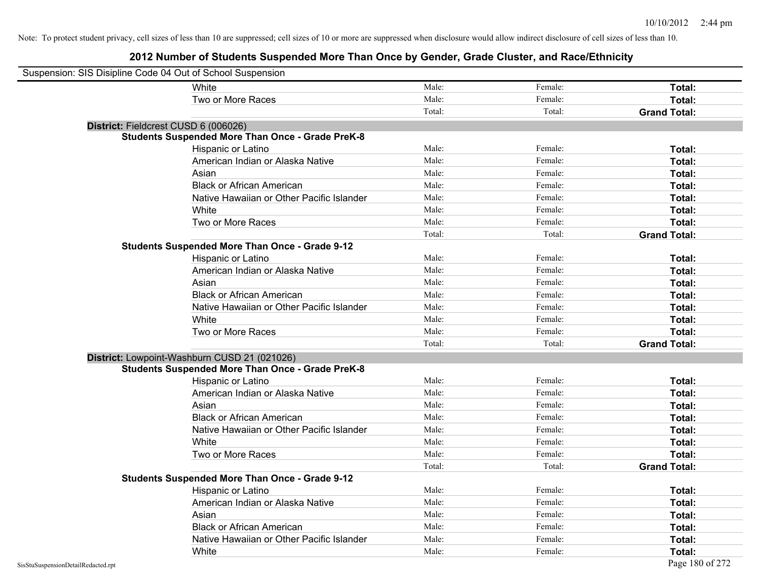| Suspension: SIS Disipline Code 04 Out of School Suspension |                                                         |        |         |                     |
|------------------------------------------------------------|---------------------------------------------------------|--------|---------|---------------------|
|                                                            | <b>White</b>                                            | Male:  | Female: | Total:              |
|                                                            | Two or More Races                                       | Male:  | Female: | Total:              |
|                                                            |                                                         | Total: | Total:  | <b>Grand Total:</b> |
|                                                            | District: Fieldcrest CUSD 6 (006026)                    |        |         |                     |
|                                                            | <b>Students Suspended More Than Once - Grade PreK-8</b> |        |         |                     |
|                                                            | Hispanic or Latino                                      | Male:  | Female: | Total:              |
|                                                            | American Indian or Alaska Native                        | Male:  | Female: | Total:              |
|                                                            | Asian                                                   | Male:  | Female: | Total:              |
|                                                            | <b>Black or African American</b>                        | Male:  | Female: | Total:              |
|                                                            | Native Hawaiian or Other Pacific Islander               | Male:  | Female: | Total:              |
|                                                            | White                                                   | Male:  | Female: | Total:              |
|                                                            | Two or More Races                                       | Male:  | Female: | Total:              |
|                                                            |                                                         | Total: | Total:  | <b>Grand Total:</b> |
|                                                            | <b>Students Suspended More Than Once - Grade 9-12</b>   |        |         |                     |
|                                                            | Hispanic or Latino                                      | Male:  | Female: | Total:              |
|                                                            | American Indian or Alaska Native                        | Male:  | Female: | Total:              |
|                                                            | Asian                                                   | Male:  | Female: | Total:              |
|                                                            | <b>Black or African American</b>                        | Male:  | Female: | Total:              |
|                                                            | Native Hawaiian or Other Pacific Islander               | Male:  | Female: | Total:              |
|                                                            | White                                                   | Male:  | Female: | Total:              |
|                                                            | Two or More Races                                       | Male:  | Female: | Total:              |
|                                                            |                                                         | Total: | Total:  | <b>Grand Total:</b> |
|                                                            | District: Lowpoint-Washburn CUSD 21 (021026)            |        |         |                     |
|                                                            | <b>Students Suspended More Than Once - Grade PreK-8</b> |        |         |                     |
|                                                            | Hispanic or Latino                                      | Male:  | Female: | Total:              |
|                                                            | American Indian or Alaska Native                        | Male:  | Female: | Total:              |
|                                                            | Asian                                                   | Male:  | Female: | Total:              |
|                                                            | <b>Black or African American</b>                        | Male:  | Female: | Total:              |
|                                                            | Native Hawaiian or Other Pacific Islander               | Male:  | Female: | Total:              |
|                                                            | White                                                   | Male:  | Female: | Total:              |
|                                                            | Two or More Races                                       | Male:  | Female: | Total:              |
|                                                            |                                                         | Total: | Total:  | <b>Grand Total:</b> |
|                                                            | <b>Students Suspended More Than Once - Grade 9-12</b>   |        |         |                     |
|                                                            | Hispanic or Latino                                      | Male:  | Female: | Total:              |
|                                                            | American Indian or Alaska Native                        | Male:  | Female: | Total:              |
|                                                            | Asian                                                   | Male:  | Female: | Total:              |
|                                                            | <b>Black or African American</b>                        | Male:  | Female: | Total:              |
|                                                            | Native Hawaiian or Other Pacific Islander               | Male:  | Female: | Total:              |
|                                                            | White                                                   | Male:  | Female: | Total:              |
| SisStuSuspensionDetailRedacted.rpt                         |                                                         |        |         | Page 180 of 272     |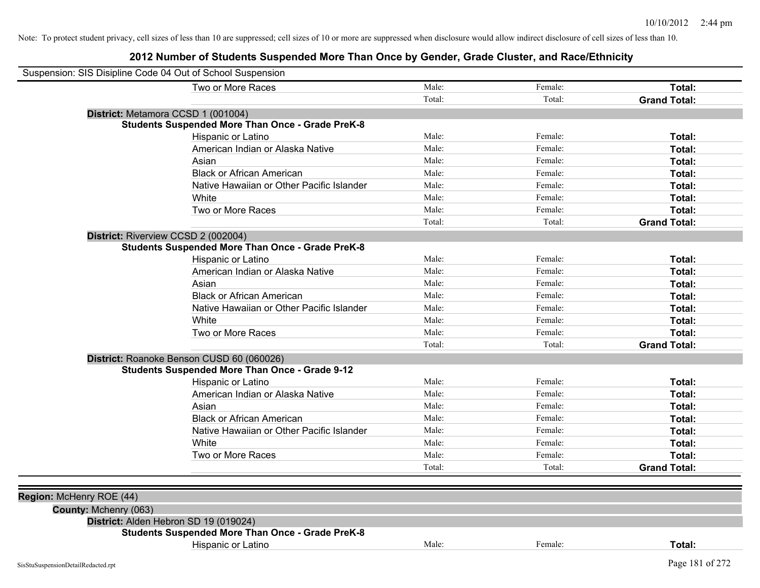| Two or More Races                                       | Male:  | Female: | Total:              |
|---------------------------------------------------------|--------|---------|---------------------|
|                                                         | Total: | Total:  | <b>Grand Total:</b> |
| District: Metamora CCSD 1 (001004)                      |        |         |                     |
| <b>Students Suspended More Than Once - Grade PreK-8</b> |        |         |                     |
| Hispanic or Latino                                      | Male:  | Female: | Total:              |
| American Indian or Alaska Native                        | Male:  | Female: | Total:              |
| Asian                                                   | Male:  | Female: | Total:              |
| <b>Black or African American</b>                        | Male:  | Female: | Total:              |
| Native Hawaiian or Other Pacific Islander               | Male:  | Female: | Total:              |
| White                                                   | Male:  | Female: | Total:              |
| Two or More Races                                       | Male:  | Female: | Total:              |
|                                                         | Total: | Total:  | <b>Grand Total:</b> |
| District: Riverview CCSD 2 (002004)                     |        |         |                     |
| <b>Students Suspended More Than Once - Grade PreK-8</b> |        |         |                     |
| Hispanic or Latino                                      | Male:  | Female: | Total:              |
| American Indian or Alaska Native                        | Male:  | Female: | Total:              |
| Asian                                                   | Male:  | Female: | Total:              |
| <b>Black or African American</b>                        | Male:  | Female: | Total:              |
| Native Hawaiian or Other Pacific Islander               | Male:  | Female: | Total:              |
| White                                                   | Male:  | Female: | Total:              |
| Two or More Races                                       | Male:  | Female: | Total:              |
|                                                         | Total: | Total:  | <b>Grand Total:</b> |
| District: Roanoke Benson CUSD 60 (060026)               |        |         |                     |
| <b>Students Suspended More Than Once - Grade 9-12</b>   |        |         |                     |
| Hispanic or Latino                                      | Male:  | Female: | Total:              |
| American Indian or Alaska Native                        | Male:  | Female: | Total:              |
| Asian                                                   | Male:  | Female: | Total:              |
| <b>Black or African American</b>                        | Male:  | Female: | Total:              |
| Native Hawaiian or Other Pacific Islander               | Male:  | Female: | Total:              |
| White                                                   | Male:  | Female: | Total:              |
| Two or More Races                                       | Male:  | Female: | Total:              |
|                                                         | Total: | Total:  | <b>Grand Total:</b> |
|                                                         |        |         |                     |
| Region: McHenry ROE (44)                                |        |         |                     |
| County: Mchenry (063)                                   |        |         |                     |
| District: Alden Hebron SD 19 (019024)                   |        |         |                     |
| <b>Students Suspended More Than Once - Grade PreK-8</b> |        |         |                     |
| Hispanic or Latino                                      | Male:  | Female: | Total:              |
|                                                         |        |         |                     |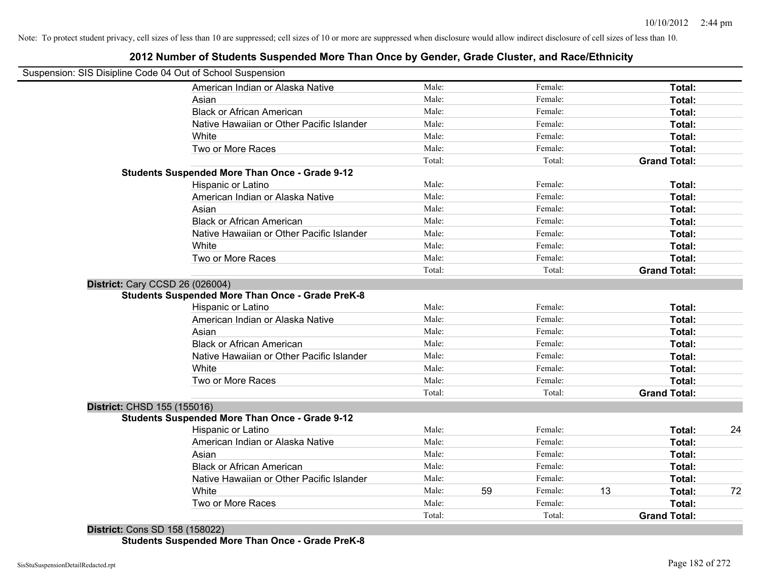# **2012 Number of Students Suspended More Than Once by Gender, Grade Cluster, and Race/Ethnicity**

|                             | Suspension: SIS Disipline Code 04 Out of School Suspension |        |    |         |    |                     |
|-----------------------------|------------------------------------------------------------|--------|----|---------|----|---------------------|
|                             | American Indian or Alaska Native                           | Male:  |    | Female: |    | Total:              |
|                             | Asian                                                      | Male:  |    | Female: |    | Total:              |
|                             | <b>Black or African American</b>                           | Male:  |    | Female: |    | Total:              |
|                             | Native Hawaiian or Other Pacific Islander                  | Male:  |    | Female: |    | Total:              |
|                             | White                                                      | Male:  |    | Female: |    | Total:              |
|                             | Two or More Races                                          | Male:  |    | Female: |    | Total:              |
|                             |                                                            | Total: |    | Total:  |    | <b>Grand Total:</b> |
|                             | <b>Students Suspended More Than Once - Grade 9-12</b>      |        |    |         |    |                     |
|                             | Hispanic or Latino                                         | Male:  |    | Female: |    | Total:              |
|                             | American Indian or Alaska Native                           | Male:  |    | Female: |    | Total:              |
|                             | Asian                                                      | Male:  |    | Female: |    | Total:              |
|                             | <b>Black or African American</b>                           | Male:  |    | Female: |    | Total:              |
|                             | Native Hawaiian or Other Pacific Islander                  | Male:  |    | Female: |    | Total:              |
|                             | White                                                      | Male:  |    | Female: |    | Total:              |
|                             | Two or More Races                                          | Male:  |    | Female: |    | Total:              |
|                             |                                                            | Total: |    | Total:  |    | <b>Grand Total:</b> |
|                             | Hispanic or Latino                                         | Male:  |    | Female: |    | Total:              |
|                             | American Indian or Alaska Native                           | Male:  |    | Female: |    | Total:              |
|                             | Asian                                                      | Male:  |    | Female: |    | Total:              |
|                             | <b>Black or African American</b>                           | Male:  |    | Female: |    | Total:              |
|                             | Native Hawaiian or Other Pacific Islander                  | Male:  |    | Female: |    | Total:              |
|                             | White                                                      | Male:  |    | Female: |    | Total:              |
|                             | Two or More Races                                          | Male:  |    | Female: |    | Total:              |
|                             |                                                            | Total: |    | Total:  |    | <b>Grand Total:</b> |
| District: CHSD 155 (155016) |                                                            |        |    |         |    |                     |
|                             | <b>Students Suspended More Than Once - Grade 9-12</b>      |        |    |         |    |                     |
|                             | Hispanic or Latino                                         | Male:  |    | Female: |    | Total:              |
|                             | American Indian or Alaska Native                           | Male:  |    | Female: |    | Total:              |
|                             | Asian                                                      | Male:  |    | Female: |    | Total:              |
|                             | <b>Black or African American</b>                           | Male:  |    | Female: |    | Total:              |
|                             | Native Hawaiian or Other Pacific Islander                  | Male:  |    | Female: |    | Total:              |
|                             | White                                                      | Male:  | 59 | Female: | 13 | Total:              |
|                             | Two or More Races                                          | Male:  |    | Female: |    | Total:              |
|                             |                                                            | Total: |    | Total:  |    | <b>Grand Total:</b> |

**District:** Cons SD 158 (158022) **Students Suspended More Than Once - Grade PreK-8**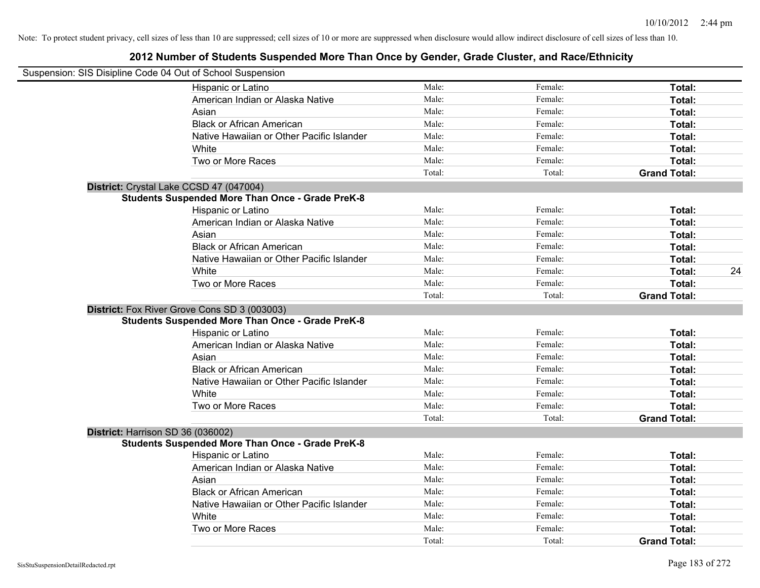| Suspension: SIS Disipline Code 04 Out of School Suspension |        |         |                     |    |
|------------------------------------------------------------|--------|---------|---------------------|----|
| Hispanic or Latino                                         | Male:  | Female: | Total:              |    |
| American Indian or Alaska Native                           | Male:  | Female: | Total:              |    |
| Asian                                                      | Male:  | Female: | Total:              |    |
| <b>Black or African American</b>                           | Male:  | Female: | Total:              |    |
| Native Hawaiian or Other Pacific Islander                  | Male:  | Female: | Total:              |    |
| White                                                      | Male:  | Female: | Total:              |    |
| Two or More Races                                          | Male:  | Female: | Total:              |    |
|                                                            | Total: | Total:  | <b>Grand Total:</b> |    |
| District: Crystal Lake CCSD 47 (047004)                    |        |         |                     |    |
| <b>Students Suspended More Than Once - Grade PreK-8</b>    |        |         |                     |    |
| Hispanic or Latino                                         | Male:  | Female: | Total:              |    |
| American Indian or Alaska Native                           | Male:  | Female: | Total:              |    |
| Asian                                                      | Male:  | Female: | Total:              |    |
| <b>Black or African American</b>                           | Male:  | Female: | Total:              |    |
| Native Hawaiian or Other Pacific Islander                  | Male:  | Female: | Total:              |    |
| White                                                      | Male:  | Female: | Total:              | 24 |
| Two or More Races                                          | Male:  | Female: | Total:              |    |
|                                                            | Total: | Total:  | <b>Grand Total:</b> |    |
| District: Fox River Grove Cons SD 3 (003003)               |        |         |                     |    |
| <b>Students Suspended More Than Once - Grade PreK-8</b>    |        |         |                     |    |
| Hispanic or Latino                                         | Male:  | Female: | Total:              |    |
| American Indian or Alaska Native                           | Male:  | Female: | Total:              |    |
| Asian                                                      | Male:  | Female: | Total:              |    |
| <b>Black or African American</b>                           | Male:  | Female: | Total:              |    |
| Native Hawaiian or Other Pacific Islander                  | Male:  | Female: | Total:              |    |
| White                                                      | Male:  | Female: | Total:              |    |
| Two or More Races                                          | Male:  | Female: | Total:              |    |
|                                                            | Total: | Total:  | <b>Grand Total:</b> |    |
| District: Harrison SD 36 (036002)                          |        |         |                     |    |
| <b>Students Suspended More Than Once - Grade PreK-8</b>    |        |         |                     |    |
| Hispanic or Latino                                         | Male:  | Female: | Total:              |    |
| American Indian or Alaska Native                           | Male:  | Female: | Total:              |    |
| Asian                                                      | Male:  | Female: | Total:              |    |
| <b>Black or African American</b>                           | Male:  | Female: | Total:              |    |
| Native Hawaiian or Other Pacific Islander                  | Male:  | Female: | Total:              |    |
| White                                                      | Male:  | Female: | Total:              |    |
| Two or More Races                                          | Male:  | Female: | <b>Total:</b>       |    |
|                                                            | Total: | Total:  | <b>Grand Total:</b> |    |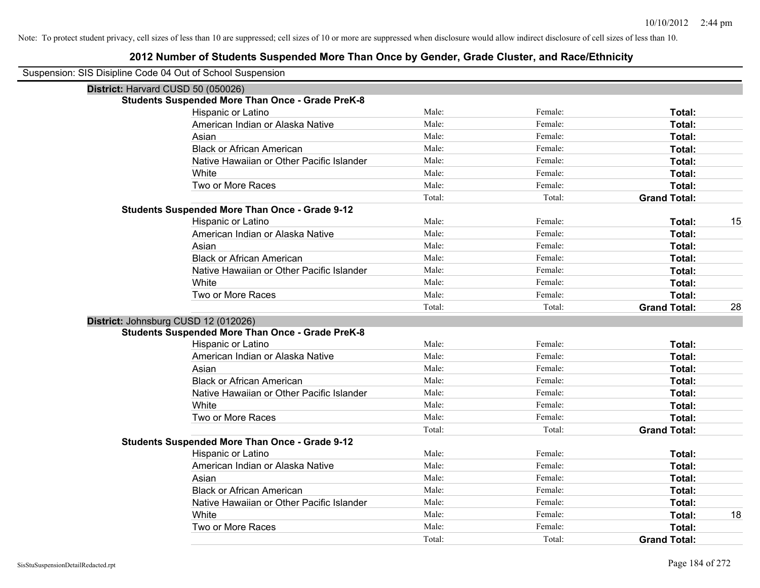| Suspension: SIS Disipline Code 04 Out of School Suspension |                                                         |        |         |                     |    |
|------------------------------------------------------------|---------------------------------------------------------|--------|---------|---------------------|----|
| District: Harvard CUSD 50 (050026)                         |                                                         |        |         |                     |    |
|                                                            | <b>Students Suspended More Than Once - Grade PreK-8</b> |        |         |                     |    |
|                                                            | Hispanic or Latino                                      | Male:  | Female: | Total:              |    |
|                                                            | American Indian or Alaska Native                        | Male:  | Female: | Total:              |    |
|                                                            | Asian                                                   | Male:  | Female: | Total:              |    |
|                                                            | <b>Black or African American</b>                        | Male:  | Female: | Total:              |    |
|                                                            | Native Hawaiian or Other Pacific Islander               | Male:  | Female: | Total:              |    |
|                                                            | White                                                   | Male:  | Female: | Total:              |    |
|                                                            | Two or More Races                                       | Male:  | Female: | Total:              |    |
|                                                            |                                                         | Total: | Total:  | <b>Grand Total:</b> |    |
|                                                            | <b>Students Suspended More Than Once - Grade 9-12</b>   |        |         |                     |    |
|                                                            | Hispanic or Latino                                      | Male:  | Female: | Total:              | 15 |
|                                                            | American Indian or Alaska Native                        | Male:  | Female: | Total:              |    |
|                                                            | Asian                                                   | Male:  | Female: | <b>Total:</b>       |    |
|                                                            | <b>Black or African American</b>                        | Male:  | Female: | Total:              |    |
|                                                            | Native Hawaiian or Other Pacific Islander               | Male:  | Female: | Total:              |    |
|                                                            | White                                                   | Male:  | Female: | Total:              |    |
|                                                            | Two or More Races                                       | Male:  | Female: | Total:              |    |
|                                                            |                                                         | Total: | Total:  | <b>Grand Total:</b> | 28 |
| District: Johnsburg CUSD 12 (012026)                       |                                                         |        |         |                     |    |
|                                                            | <b>Students Suspended More Than Once - Grade PreK-8</b> |        |         |                     |    |
|                                                            | Hispanic or Latino                                      | Male:  | Female: | Total:              |    |
|                                                            | American Indian or Alaska Native                        | Male:  | Female: | Total:              |    |
|                                                            | Asian                                                   | Male:  | Female: | Total:              |    |
|                                                            | <b>Black or African American</b>                        | Male:  | Female: | Total:              |    |
|                                                            | Native Hawaiian or Other Pacific Islander               | Male:  | Female: | Total:              |    |
|                                                            | White                                                   | Male:  | Female: | Total:              |    |
|                                                            | Two or More Races                                       | Male:  | Female: | Total:              |    |
|                                                            |                                                         | Total: | Total:  | <b>Grand Total:</b> |    |
|                                                            | <b>Students Suspended More Than Once - Grade 9-12</b>   |        |         |                     |    |
|                                                            | Hispanic or Latino                                      | Male:  | Female: | Total:              |    |
|                                                            | American Indian or Alaska Native                        | Male:  | Female: | Total:              |    |
|                                                            | Asian                                                   | Male:  | Female: | Total:              |    |
|                                                            | <b>Black or African American</b>                        | Male:  | Female: | Total:              |    |
|                                                            | Native Hawaiian or Other Pacific Islander               | Male:  | Female: | Total:              |    |
|                                                            | White                                                   | Male:  | Female: | Total:              | 18 |
|                                                            | Two or More Races                                       | Male:  | Female: | Total:              |    |
|                                                            |                                                         | Total: | Total:  | <b>Grand Total:</b> |    |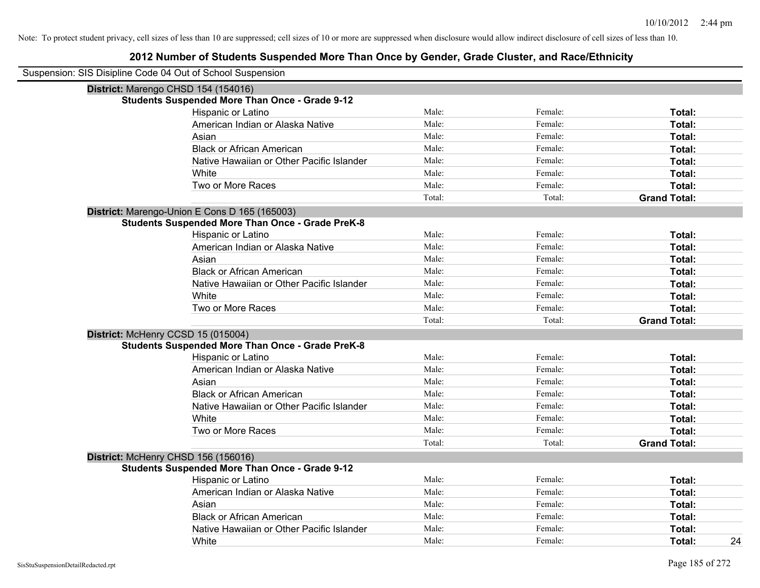| Suspension: SIS Disipline Code 04 Out of School Suspension |                                                         |        |         |                     |
|------------------------------------------------------------|---------------------------------------------------------|--------|---------|---------------------|
|                                                            | District: Marengo CHSD 154 (154016)                     |        |         |                     |
|                                                            | <b>Students Suspended More Than Once - Grade 9-12</b>   |        |         |                     |
|                                                            | <b>Hispanic or Latino</b>                               | Male:  | Female: | Total:              |
|                                                            | American Indian or Alaska Native                        | Male:  | Female: | Total:              |
|                                                            | Asian                                                   | Male:  | Female: | Total:              |
|                                                            | <b>Black or African American</b>                        | Male:  | Female: | Total:              |
|                                                            | Native Hawaiian or Other Pacific Islander               | Male:  | Female: | Total:              |
|                                                            | White                                                   | Male:  | Female: | Total:              |
|                                                            | Two or More Races                                       | Male:  | Female: | Total:              |
|                                                            |                                                         | Total: | Total:  | <b>Grand Total:</b> |
|                                                            | District: Marengo-Union E Cons D 165 (165003)           |        |         |                     |
|                                                            | <b>Students Suspended More Than Once - Grade PreK-8</b> |        |         |                     |
|                                                            | Hispanic or Latino                                      | Male:  | Female: | Total:              |
|                                                            | American Indian or Alaska Native                        | Male:  | Female: | Total:              |
|                                                            | Asian                                                   | Male:  | Female: | Total:              |
|                                                            | <b>Black or African American</b>                        | Male:  | Female: | Total:              |
|                                                            | Native Hawaiian or Other Pacific Islander               | Male:  | Female: | Total:              |
|                                                            | White                                                   | Male:  | Female: | Total:              |
|                                                            | Two or More Races                                       | Male:  | Female: | Total:              |
|                                                            |                                                         | Total: | Total:  | <b>Grand Total:</b> |
|                                                            | District: McHenry CCSD 15 (015004)                      |        |         |                     |
|                                                            | <b>Students Suspended More Than Once - Grade PreK-8</b> |        |         |                     |
|                                                            | Hispanic or Latino                                      | Male:  | Female: | Total:              |
|                                                            | American Indian or Alaska Native                        | Male:  | Female: | Total:              |
|                                                            | Asian                                                   | Male:  | Female: | Total:              |
|                                                            | <b>Black or African American</b>                        | Male:  | Female: | Total:              |
|                                                            | Native Hawaiian or Other Pacific Islander               | Male:  | Female: | Total:              |
|                                                            | White                                                   | Male:  | Female: | Total:              |
|                                                            | Two or More Races                                       | Male:  | Female: | Total:              |
|                                                            |                                                         | Total: | Total:  | <b>Grand Total:</b> |
|                                                            | District: McHenry CHSD 156 (156016)                     |        |         |                     |
|                                                            | Students Suspended More Than Once - Grade 9-12          |        |         |                     |
|                                                            | Hispanic or Latino                                      | Male:  | Female: | Total:              |
|                                                            | American Indian or Alaska Native                        | Male:  | Female: | Total:              |
|                                                            | Asian                                                   | Male:  | Female: | Total:              |
|                                                            | <b>Black or African American</b>                        | Male:  | Female: | Total:              |
|                                                            | Native Hawaiian or Other Pacific Islander               | Male:  | Female: | Total:              |
|                                                            | White                                                   | Male:  | Female: | 24<br>Total:        |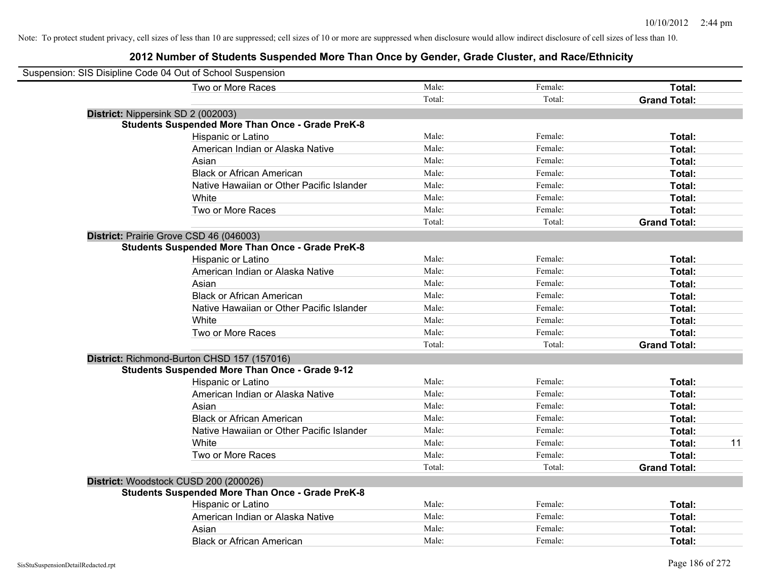| Suspension: SIS Disipline Code 04 Out of School Suspension |                                                         |        |         |                     |    |
|------------------------------------------------------------|---------------------------------------------------------|--------|---------|---------------------|----|
|                                                            | Two or More Races                                       | Male:  | Female: | Total:              |    |
|                                                            |                                                         | Total: | Total:  | <b>Grand Total:</b> |    |
| District: Nippersink SD 2 (002003)                         |                                                         |        |         |                     |    |
|                                                            | <b>Students Suspended More Than Once - Grade PreK-8</b> |        |         |                     |    |
|                                                            | Hispanic or Latino                                      | Male:  | Female: | Total:              |    |
|                                                            | American Indian or Alaska Native                        | Male:  | Female: | Total:              |    |
|                                                            | Asian                                                   | Male:  | Female: | Total:              |    |
|                                                            | <b>Black or African American</b>                        | Male:  | Female: | Total:              |    |
|                                                            | Native Hawaiian or Other Pacific Islander               | Male:  | Female: | Total:              |    |
|                                                            | White                                                   | Male:  | Female: | Total:              |    |
|                                                            | Two or More Races                                       | Male:  | Female: | Total:              |    |
|                                                            |                                                         | Total: | Total:  | <b>Grand Total:</b> |    |
|                                                            | District: Prairie Grove CSD 46 (046003)                 |        |         |                     |    |
|                                                            | <b>Students Suspended More Than Once - Grade PreK-8</b> |        |         |                     |    |
|                                                            | Hispanic or Latino                                      | Male:  | Female: | Total:              |    |
|                                                            | American Indian or Alaska Native                        | Male:  | Female: | Total:              |    |
|                                                            | Asian                                                   | Male:  | Female: | Total:              |    |
|                                                            | <b>Black or African American</b>                        | Male:  | Female: | Total:              |    |
|                                                            | Native Hawaiian or Other Pacific Islander               | Male:  | Female: | Total:              |    |
|                                                            | White                                                   | Male:  | Female: | Total:              |    |
|                                                            | Two or More Races                                       | Male:  | Female: | Total:              |    |
|                                                            |                                                         | Total: | Total:  | <b>Grand Total:</b> |    |
|                                                            | District: Richmond-Burton CHSD 157 (157016)             |        |         |                     |    |
|                                                            | <b>Students Suspended More Than Once - Grade 9-12</b>   |        |         |                     |    |
|                                                            | Hispanic or Latino                                      | Male:  | Female: | Total:              |    |
|                                                            | American Indian or Alaska Native                        | Male:  | Female: | Total:              |    |
|                                                            | Asian                                                   | Male:  | Female: | Total:              |    |
|                                                            | <b>Black or African American</b>                        | Male:  | Female: | Total:              |    |
|                                                            | Native Hawaiian or Other Pacific Islander               | Male:  | Female: | Total:              |    |
|                                                            | White                                                   | Male:  | Female: | Total:              | 11 |
|                                                            | Two or More Races                                       | Male:  | Female: | Total:              |    |
|                                                            |                                                         | Total: | Total:  | <b>Grand Total:</b> |    |
|                                                            | District: Woodstock CUSD 200 (200026)                   |        |         |                     |    |
|                                                            | <b>Students Suspended More Than Once - Grade PreK-8</b> |        |         |                     |    |
|                                                            | Hispanic or Latino                                      | Male:  | Female: | Total:              |    |
|                                                            | American Indian or Alaska Native                        | Male:  | Female: | Total:              |    |
|                                                            | Asian                                                   | Male:  | Female: | Total:              |    |
|                                                            | <b>Black or African American</b>                        | Male:  | Female: | Total:              |    |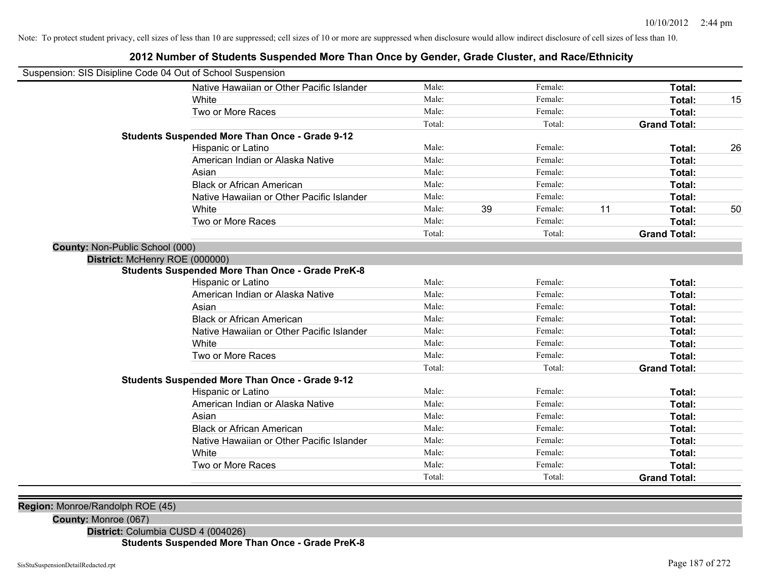## Suspension: SIS Disipline Code 04 Out of School Suspension Native Hawaiian or Other Pacific Islander **Male:** Male: Female: Female: **Total:** Total: White **Male:** Male: **Total: 15** Male: **Total: 15** Male: **Total: 15** Two or More Races **Total:** Total: Male: Female: Female: **Total:** Total: Total: Total: **Grand Total: Students Suspended More Than Once - Grade 9-12** Hispanic or Latino **Finally Hispanic or Latino Female: Total:** 26 American Indian or Alaska Native **Male:** Male: Female: Female: **Total:** Total: Asian **Asian Male:** Female: **Total:** Female: **Total:** Female: **Total:** Female: **Total:** Female: **Total:** Female: **Total:** Female: **Total:** Female: **Total:** Female: **Total: Total: Total: Total: Total: Total: Tot** Black or African American **Figure 1.1 and Total:** Male: Female: Female: **Total:** Total: Native Hawaiian or Other Pacific Islander **Male:** Male: Female: Female: **Total:** Total: White **Male:** 39 Female: 11 Total: 50 Solution of Male: 39 Female: 11 Total: 50 Two or More Races **Total:** Total: Male: Female: Female: **Total:** Female: **Total:** Total: Total: Total: **Grand Total: County:** Non-Public School (000) **District:** McHenry ROE (000000) **Students Suspended More Than Once - Grade PreK-8** Hispanic or Latino **Finally Hispanic or Latino** *Total:* Male: Female: **Female: Total: Total: Total: Female: Total: Total: Female: Total: Total: Total: Total: Total: Total: Total: Total: T** American Indian or Alaska Native **Male:** Male: Female: Female: **Total:** Total: Asian **Asian Male:** Total: Male: Female: **Total: Total:** Total: Total: Total: Total: Total: Total: Total: Total: Total: Total: Total: Total: Total: Total: Total: Total: Total: Total: Total: Total: Total: Total: Total: Tota Black or African American **Figure 1.1 and Total:** Male: Female: Female: **Total:** Total: Native Hawaiian or Other Pacific Islander **Male:** Male: Female: Female: **Total:** Total: White **Total:** Male: Female: **Total:** Total: **Total:** Female: **Total:** Total: Two or More Races **Total:** Total: Male: Female: Female: **Total:** Total: Total: Total: **Grand Total: Students Suspended More Than Once - Grade 9-12** Hispanic or Latino **Finally Hispanic or Latino** *Total:* Male: Female: **Female: Total: Total: Total: Female: Total: Total: Female: Total: Total: Total: Total: Total: Total: Total: Total: T** American Indian or Alaska Native **Male:** Male: Female: Female: **Total:** Total: Asian **Asian Male:** Total: Male: Female: **Total: Total:** Total: Total: Total: Total: Total: Total: Total: Total: Total: Total: Total: Total: Total: Total: Total: Total: Total: Total: Total: Total: Total: Total: Total: Tota Black or African American **Figure 1.1 and Struck and Male:** Female: **Female: Total: Total: Total: Total: Total: Total: Total: Total: Total: Total: Total: Total: Total: Total: Total: Total:** Native Hawaiian or Other Pacific Islander **Male:** Male: Female: Female: **Total:** Total: White **Total:** Male: Female: **Total:** Total: **Total:** Female: **Total:** Total: Two or More Races **Total:** Total: Male: Female: Female: **Total:** Total: Total: Total: **Grand Total:**

**2012 Number of Students Suspended More Than Once by Gender, Grade Cluster, and Race/Ethnicity**

**Region:** Monroe/Randolph ROE (45)

**County:** Monroe (067)

**District:** Columbia CUSD 4 (004026)

**Students Suspended More Than Once - Grade PreK-8**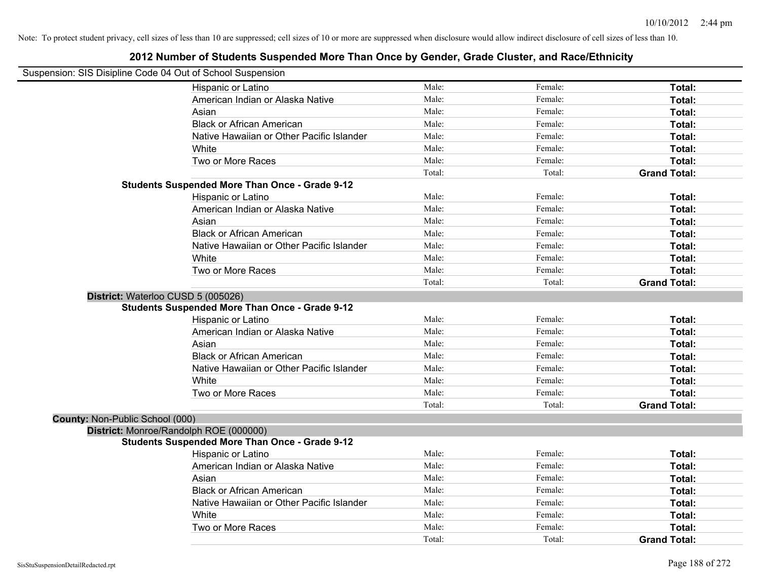| Suspension: SIS Disipline Code 04 Out of School Suspension |                                                       |        |         |                     |
|------------------------------------------------------------|-------------------------------------------------------|--------|---------|---------------------|
|                                                            | Hispanic or Latino                                    | Male:  | Female: | Total:              |
|                                                            | American Indian or Alaska Native                      | Male:  | Female: | Total:              |
|                                                            | Asian                                                 | Male:  | Female: | Total:              |
|                                                            | <b>Black or African American</b>                      | Male:  | Female: | Total:              |
|                                                            | Native Hawaiian or Other Pacific Islander             | Male:  | Female: | Total:              |
|                                                            | White                                                 | Male:  | Female: | Total:              |
|                                                            | Two or More Races                                     | Male:  | Female: | Total:              |
|                                                            |                                                       | Total: | Total:  | <b>Grand Total:</b> |
|                                                            | <b>Students Suspended More Than Once - Grade 9-12</b> |        |         |                     |
|                                                            | Hispanic or Latino                                    | Male:  | Female: | Total:              |
|                                                            | American Indian or Alaska Native                      | Male:  | Female: | Total:              |
|                                                            | Asian                                                 | Male:  | Female: | Total:              |
|                                                            | <b>Black or African American</b>                      | Male:  | Female: | Total:              |
|                                                            | Native Hawaiian or Other Pacific Islander             | Male:  | Female: | Total:              |
|                                                            | White                                                 | Male:  | Female: | Total:              |
|                                                            | Two or More Races                                     | Male:  | Female: | Total:              |
|                                                            |                                                       | Total: | Total:  | <b>Grand Total:</b> |
| District: Waterloo CUSD 5 (005026)                         |                                                       |        |         |                     |
|                                                            | <b>Students Suspended More Than Once - Grade 9-12</b> |        |         |                     |
|                                                            | Hispanic or Latino                                    | Male:  | Female: | Total:              |
|                                                            | American Indian or Alaska Native                      | Male:  | Female: | Total:              |
|                                                            | Asian                                                 | Male:  | Female: | Total:              |
|                                                            | <b>Black or African American</b>                      | Male:  | Female: | Total:              |
|                                                            | Native Hawaiian or Other Pacific Islander             | Male:  | Female: | Total:              |
|                                                            | White                                                 | Male:  | Female: | Total:              |
|                                                            | Two or More Races                                     | Male:  | Female: | Total:              |
|                                                            |                                                       | Total: | Total:  | <b>Grand Total:</b> |
| County: Non-Public School (000)                            |                                                       |        |         |                     |
|                                                            | District: Monroe/Randolph ROE (000000)                |        |         |                     |
|                                                            | <b>Students Suspended More Than Once - Grade 9-12</b> |        |         |                     |
|                                                            | Hispanic or Latino                                    | Male:  | Female: | Total:              |
|                                                            | American Indian or Alaska Native                      | Male:  | Female: | Total:              |
|                                                            | Asian                                                 | Male:  | Female: | Total:              |
|                                                            | <b>Black or African American</b>                      | Male:  | Female: | Total:              |
|                                                            | Native Hawaiian or Other Pacific Islander             | Male:  | Female: | Total:              |
|                                                            | White                                                 | Male:  | Female: | Total:              |
|                                                            | Two or More Races                                     | Male:  | Female: | Total:              |
|                                                            |                                                       | Total: | Total:  | <b>Grand Total:</b> |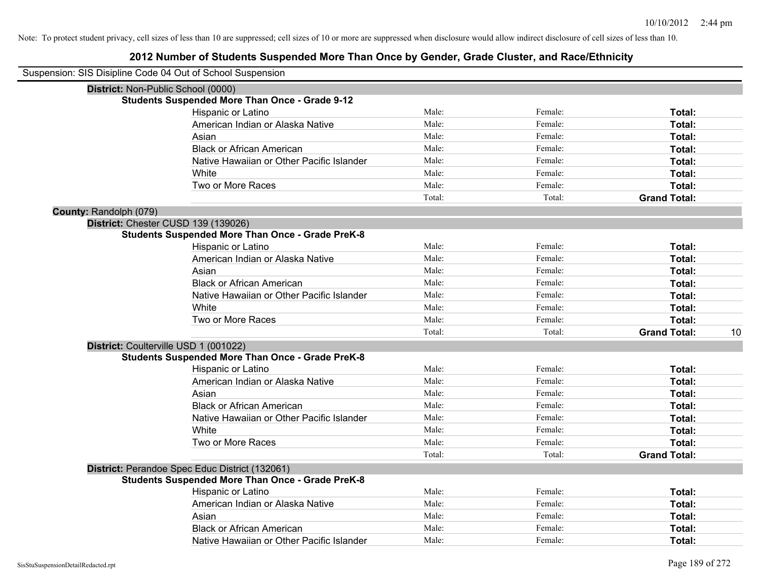| Suspension: SIS Disipline Code 04 Out of School Suspension |                                                         |        |         |                     |    |
|------------------------------------------------------------|---------------------------------------------------------|--------|---------|---------------------|----|
|                                                            | District: Non-Public School (0000)                      |        |         |                     |    |
|                                                            | <b>Students Suspended More Than Once - Grade 9-12</b>   |        |         |                     |    |
|                                                            | Hispanic or Latino                                      | Male:  | Female: | Total:              |    |
|                                                            | American Indian or Alaska Native                        | Male:  | Female: | Total:              |    |
|                                                            | Asian                                                   | Male:  | Female: | Total:              |    |
|                                                            | <b>Black or African American</b>                        | Male:  | Female: | Total:              |    |
|                                                            | Native Hawaiian or Other Pacific Islander               | Male:  | Female: | Total:              |    |
|                                                            | White                                                   | Male:  | Female: | Total:              |    |
|                                                            | Two or More Races                                       | Male:  | Female: | Total:              |    |
|                                                            |                                                         | Total: | Total:  | <b>Grand Total:</b> |    |
| County: Randolph (079)                                     |                                                         |        |         |                     |    |
|                                                            | District: Chester CUSD 139 (139026)                     |        |         |                     |    |
|                                                            | <b>Students Suspended More Than Once - Grade PreK-8</b> |        |         |                     |    |
|                                                            | Hispanic or Latino                                      | Male:  | Female: | Total:              |    |
|                                                            | American Indian or Alaska Native                        | Male:  | Female: | Total:              |    |
|                                                            | Asian                                                   | Male:  | Female: | Total:              |    |
|                                                            | <b>Black or African American</b>                        | Male:  | Female: | Total:              |    |
|                                                            | Native Hawaiian or Other Pacific Islander               | Male:  | Female: | Total:              |    |
|                                                            | White                                                   | Male:  | Female: | Total:              |    |
|                                                            | Two or More Races                                       | Male:  | Female: | Total:              |    |
|                                                            |                                                         | Total: | Total:  | <b>Grand Total:</b> | 10 |
|                                                            | District: Coulterville USD 1 (001022)                   |        |         |                     |    |
|                                                            | <b>Students Suspended More Than Once - Grade PreK-8</b> |        |         |                     |    |
|                                                            | Hispanic or Latino                                      | Male:  | Female: | Total:              |    |
|                                                            | American Indian or Alaska Native                        | Male:  | Female: | Total:              |    |
|                                                            | Asian                                                   | Male:  | Female: | Total:              |    |
|                                                            | <b>Black or African American</b>                        | Male:  | Female: | Total:              |    |
|                                                            | Native Hawaiian or Other Pacific Islander               | Male:  | Female: | Total:              |    |
|                                                            | White                                                   | Male:  | Female: | Total:              |    |
|                                                            | Two or More Races                                       | Male:  | Female: | Total:              |    |
|                                                            |                                                         | Total: | Total:  | <b>Grand Total:</b> |    |
|                                                            | District: Perandoe Spec Educ District (132061)          |        |         |                     |    |
|                                                            | <b>Students Suspended More Than Once - Grade PreK-8</b> |        |         |                     |    |
|                                                            | <b>Hispanic or Latino</b>                               | Male:  | Female: | Total:              |    |
|                                                            | American Indian or Alaska Native                        | Male:  | Female: | Total:              |    |
|                                                            | Asian                                                   | Male:  | Female: | Total:              |    |
|                                                            | <b>Black or African American</b>                        | Male:  | Female: | Total:              |    |
|                                                            | Native Hawaiian or Other Pacific Islander               | Male:  | Female: | Total:              |    |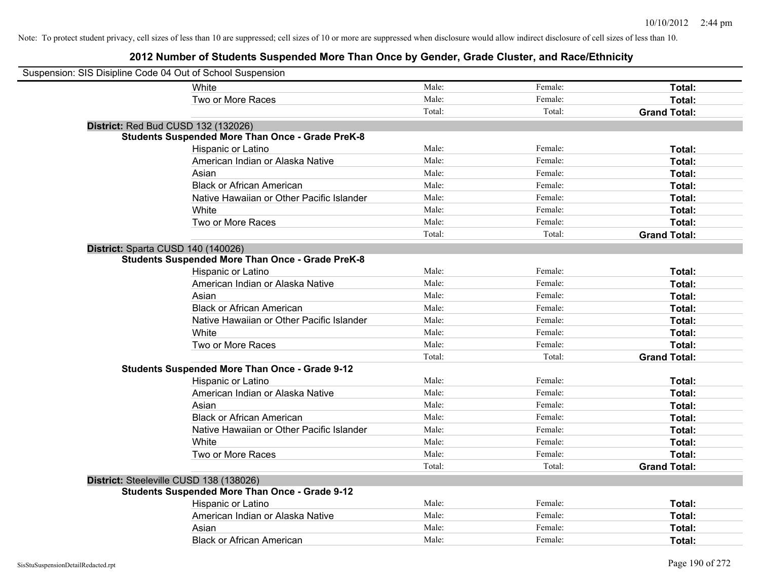| Suspension: SIS Disipline Code 04 Out of School Suspension |                                                         |        |         |                     |
|------------------------------------------------------------|---------------------------------------------------------|--------|---------|---------------------|
|                                                            | White                                                   | Male:  | Female: | Total:              |
|                                                            | Two or More Races                                       | Male:  | Female: | Total:              |
|                                                            |                                                         | Total: | Total:  | <b>Grand Total:</b> |
| District: Red Bud CUSD 132 (132026)                        |                                                         |        |         |                     |
|                                                            | <b>Students Suspended More Than Once - Grade PreK-8</b> |        |         |                     |
|                                                            | Hispanic or Latino                                      | Male:  | Female: | Total:              |
|                                                            | American Indian or Alaska Native                        | Male:  | Female: | Total:              |
|                                                            | Asian                                                   | Male:  | Female: | Total:              |
|                                                            | <b>Black or African American</b>                        | Male:  | Female: | Total:              |
|                                                            | Native Hawaiian or Other Pacific Islander               | Male:  | Female: | Total:              |
|                                                            | White                                                   | Male:  | Female: | Total:              |
|                                                            | Two or More Races                                       | Male:  | Female: | Total:              |
|                                                            |                                                         | Total: | Total:  | <b>Grand Total:</b> |
| District: Sparta CUSD 140 (140026)                         |                                                         |        |         |                     |
|                                                            | <b>Students Suspended More Than Once - Grade PreK-8</b> |        |         |                     |
|                                                            | Hispanic or Latino                                      | Male:  | Female: | Total:              |
|                                                            | American Indian or Alaska Native                        | Male:  | Female: | Total:              |
|                                                            | Asian                                                   | Male:  | Female: | Total:              |
|                                                            | <b>Black or African American</b>                        | Male:  | Female: | Total:              |
|                                                            | Native Hawaiian or Other Pacific Islander               | Male:  | Female: | Total:              |
|                                                            | White                                                   | Male:  | Female: | Total:              |
|                                                            | Two or More Races                                       | Male:  | Female: | Total:              |
|                                                            |                                                         | Total: | Total:  | <b>Grand Total:</b> |
|                                                            | <b>Students Suspended More Than Once - Grade 9-12</b>   |        |         |                     |
|                                                            | Hispanic or Latino                                      | Male:  | Female: | Total:              |
|                                                            | American Indian or Alaska Native                        | Male:  | Female: | Total:              |
|                                                            | Asian                                                   | Male:  | Female: | Total:              |
|                                                            | <b>Black or African American</b>                        | Male:  | Female: | Total:              |
|                                                            | Native Hawaiian or Other Pacific Islander               | Male:  | Female: | Total:              |
|                                                            | White                                                   | Male:  | Female: | Total:              |
|                                                            | Two or More Races                                       | Male:  | Female: | Total:              |
|                                                            |                                                         | Total: | Total:  | <b>Grand Total:</b> |
| District: Steeleville CUSD 138 (138026)                    |                                                         |        |         |                     |
|                                                            | <b>Students Suspended More Than Once - Grade 9-12</b>   |        |         |                     |
|                                                            | Hispanic or Latino                                      | Male:  | Female: | Total:              |
|                                                            | American Indian or Alaska Native                        | Male:  | Female: | Total:              |
|                                                            | Asian                                                   | Male:  | Female: | Total:              |
|                                                            | <b>Black or African American</b>                        | Male:  | Female: | Total:              |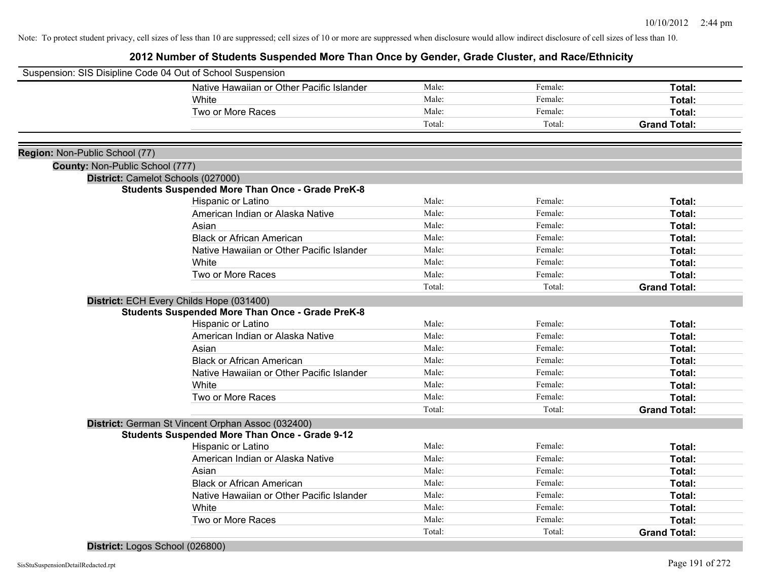**2012 Number of Students Suspended More Than Once by Gender, Grade Cluster, and Race/Ethnicity**

|                                 | Suspension: SIS Disipline Code 04 Out of School Suspension |        |         |                     |
|---------------------------------|------------------------------------------------------------|--------|---------|---------------------|
|                                 | Native Hawaiian or Other Pacific Islander                  | Male:  | Female: | Total:              |
|                                 | White                                                      | Male:  | Female: | Total:              |
|                                 | Two or More Races                                          | Male:  | Female: | Total:              |
|                                 |                                                            | Total: | Total:  | <b>Grand Total:</b> |
|                                 |                                                            |        |         |                     |
| Region: Non-Public School (77)  |                                                            |        |         |                     |
| County: Non-Public School (777) |                                                            |        |         |                     |
|                                 | District: Camelot Schools (027000)                         |        |         |                     |
|                                 | <b>Students Suspended More Than Once - Grade PreK-8</b>    |        |         |                     |
|                                 | Hispanic or Latino                                         | Male:  | Female: | Total:              |
|                                 | American Indian or Alaska Native                           | Male:  | Female: | Total:              |
|                                 | Asian                                                      | Male:  | Female: | Total:              |
|                                 | <b>Black or African American</b>                           | Male:  | Female: | Total:              |
|                                 | Native Hawaiian or Other Pacific Islander                  | Male:  | Female: | Total:              |
|                                 | White                                                      | Male:  | Female: | Total:              |
|                                 | Two or More Races                                          | Male:  | Female: | Total:              |
|                                 |                                                            | Total: | Total:  | <b>Grand Total:</b> |
|                                 | District: ECH Every Childs Hope (031400)                   |        |         |                     |
|                                 | <b>Students Suspended More Than Once - Grade PreK-8</b>    |        |         |                     |
|                                 | Hispanic or Latino                                         | Male:  | Female: | Total:              |
|                                 | American Indian or Alaska Native                           | Male:  | Female: | Total:              |
|                                 | Asian                                                      | Male:  | Female: | Total:              |
|                                 | <b>Black or African American</b>                           | Male:  | Female: | Total:              |
|                                 | Native Hawaiian or Other Pacific Islander                  | Male:  | Female: | Total:              |
|                                 | White                                                      | Male:  | Female: | Total:              |
|                                 | Two or More Races                                          | Male:  | Female: | Total:              |
|                                 |                                                            | Total: | Total:  | <b>Grand Total:</b> |
|                                 | District: German St Vincent Orphan Assoc (032400)          |        |         |                     |
|                                 | <b>Students Suspended More Than Once - Grade 9-12</b>      |        |         |                     |
|                                 | Hispanic or Latino                                         | Male:  | Female: | Total:              |
|                                 | American Indian or Alaska Native                           | Male:  | Female: | Total:              |
|                                 | Asian                                                      | Male:  | Female: | Total:              |
|                                 | <b>Black or African American</b>                           | Male:  | Female: | Total:              |
|                                 | Native Hawaiian or Other Pacific Islander                  | Male:  | Female: | Total:              |
|                                 | White                                                      | Male:  | Female: | Total:              |
|                                 | Two or More Races                                          | Male:  | Female: | Total:              |
|                                 |                                                            | Total: | Total:  | <b>Grand Total:</b> |
|                                 |                                                            |        |         |                     |

**District:** Logos School (026800)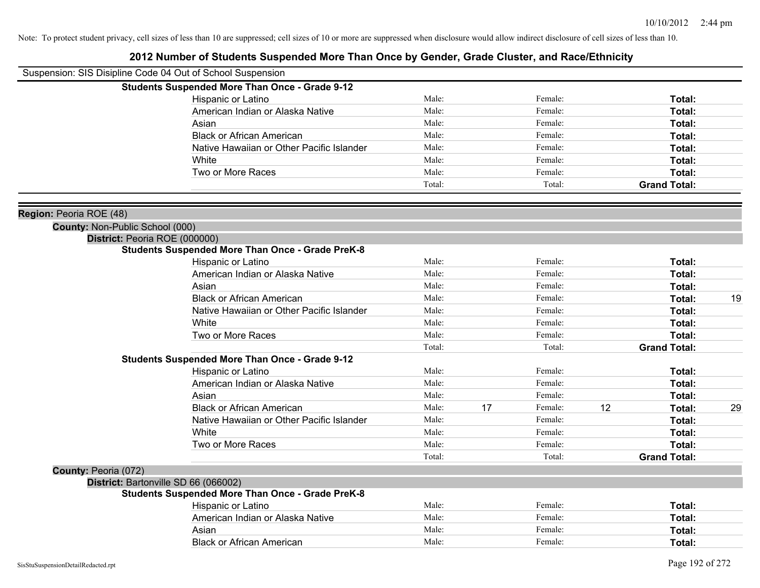| Suspension: SIS Disipline Code 04 Out of School Suspension        |                                                         |        |    |         |    |                     |    |
|-------------------------------------------------------------------|---------------------------------------------------------|--------|----|---------|----|---------------------|----|
|                                                                   | <b>Students Suspended More Than Once - Grade 9-12</b>   |        |    |         |    |                     |    |
|                                                                   | Hispanic or Latino                                      | Male:  |    | Female: |    | Total:              |    |
|                                                                   | American Indian or Alaska Native                        | Male:  |    | Female: |    | Total:              |    |
|                                                                   | Asian                                                   | Male:  |    | Female: |    | Total:              |    |
|                                                                   | <b>Black or African American</b>                        | Male:  |    | Female: |    | Total:              |    |
|                                                                   | Native Hawaiian or Other Pacific Islander               | Male:  |    | Female: |    | Total:              |    |
|                                                                   | White                                                   | Male:  |    | Female: |    | Total:              |    |
|                                                                   | Two or More Races                                       | Male:  |    | Female: |    | Total:              |    |
|                                                                   |                                                         | Total: |    | Total:  |    | <b>Grand Total:</b> |    |
|                                                                   |                                                         |        |    |         |    |                     |    |
| Region: Peoria ROE (48)<br><b>County: Non-Public School (000)</b> |                                                         |        |    |         |    |                     |    |
| District: Peoria ROE (000000)                                     |                                                         |        |    |         |    |                     |    |
|                                                                   | <b>Students Suspended More Than Once - Grade PreK-8</b> |        |    |         |    |                     |    |
|                                                                   | Hispanic or Latino                                      | Male:  |    | Female: |    | Total:              |    |
|                                                                   | American Indian or Alaska Native                        | Male:  |    | Female: |    | Total:              |    |
|                                                                   | Asian                                                   | Male:  |    | Female: |    | Total:              |    |
|                                                                   | <b>Black or African American</b>                        | Male:  |    | Female: |    | Total:              | 19 |
|                                                                   | Native Hawaiian or Other Pacific Islander               | Male:  |    | Female: |    | Total:              |    |
|                                                                   | White                                                   | Male:  |    | Female: |    | Total:              |    |
|                                                                   | Two or More Races                                       | Male:  |    | Female: |    | <b>Total:</b>       |    |
|                                                                   |                                                         | Total: |    | Total:  |    | <b>Grand Total:</b> |    |
|                                                                   | <b>Students Suspended More Than Once - Grade 9-12</b>   |        |    |         |    |                     |    |
|                                                                   | Hispanic or Latino                                      | Male:  |    | Female: |    | Total:              |    |
|                                                                   | American Indian or Alaska Native                        | Male:  |    | Female: |    | Total:              |    |
|                                                                   | Asian                                                   | Male:  |    | Female: |    | <b>Total:</b>       |    |
|                                                                   | <b>Black or African American</b>                        | Male:  | 17 | Female: | 12 | Total:              | 29 |
|                                                                   | Native Hawaiian or Other Pacific Islander               | Male:  |    | Female: |    | Total:              |    |
|                                                                   | White                                                   | Male:  |    | Female: |    | Total:              |    |
|                                                                   | Two or More Races                                       | Male:  |    | Female: |    | Total:              |    |
|                                                                   |                                                         | Total: |    | Total:  |    | <b>Grand Total:</b> |    |
| <b>County: Peoria (072)</b>                                       |                                                         |        |    |         |    |                     |    |
|                                                                   | District: Bartonville SD 66 (066002)                    |        |    |         |    |                     |    |
|                                                                   | <b>Students Suspended More Than Once - Grade PreK-8</b> | Male:  |    | Female: |    |                     |    |
|                                                                   | Hispanic or Latino<br>American Indian or Alaska Native  | Male:  |    | Female: |    | Total:              |    |
|                                                                   | Asian                                                   | Male:  |    | Female: |    | Total:              |    |
|                                                                   |                                                         | Male:  |    | Female: |    | Total:              |    |
|                                                                   | <b>Black or African American</b>                        |        |    |         |    | Total:              |    |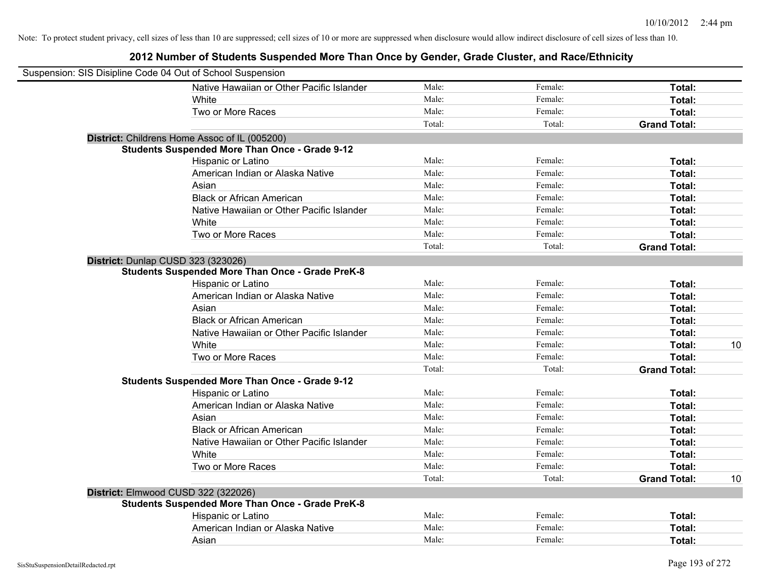| Suspension: SIS Disipline Code 04 Out of School Suspension |                                                         |        |         |                     |    |
|------------------------------------------------------------|---------------------------------------------------------|--------|---------|---------------------|----|
|                                                            | Native Hawaiian or Other Pacific Islander               | Male:  | Female: | Total:              |    |
|                                                            | White                                                   | Male:  | Female: | Total:              |    |
|                                                            | Two or More Races                                       | Male:  | Female: | Total:              |    |
|                                                            |                                                         | Total: | Total:  | <b>Grand Total:</b> |    |
|                                                            | District: Childrens Home Assoc of IL (005200)           |        |         |                     |    |
|                                                            | <b>Students Suspended More Than Once - Grade 9-12</b>   |        |         |                     |    |
|                                                            | Hispanic or Latino                                      | Male:  | Female: | Total:              |    |
|                                                            | American Indian or Alaska Native                        | Male:  | Female: | Total:              |    |
|                                                            | Asian                                                   | Male:  | Female: | Total:              |    |
|                                                            | <b>Black or African American</b>                        | Male:  | Female: | Total:              |    |
|                                                            | Native Hawaiian or Other Pacific Islander               | Male:  | Female: | Total:              |    |
|                                                            | White                                                   | Male:  | Female: | Total:              |    |
|                                                            | Two or More Races                                       | Male:  | Female: | Total:              |    |
|                                                            |                                                         | Total: | Total:  | <b>Grand Total:</b> |    |
| District: Dunlap CUSD 323 (323026)                         |                                                         |        |         |                     |    |
|                                                            | <b>Students Suspended More Than Once - Grade PreK-8</b> |        |         |                     |    |
|                                                            | Hispanic or Latino                                      | Male:  | Female: | Total:              |    |
|                                                            | American Indian or Alaska Native                        | Male:  | Female: | Total:              |    |
|                                                            | Asian                                                   | Male:  | Female: | Total:              |    |
|                                                            | <b>Black or African American</b>                        | Male:  | Female: | Total:              |    |
|                                                            | Native Hawaiian or Other Pacific Islander               | Male:  | Female: | Total:              |    |
|                                                            | White                                                   | Male:  | Female: | Total:              | 10 |
|                                                            | Two or More Races                                       | Male:  | Female: | Total:              |    |
|                                                            |                                                         | Total: | Total:  | <b>Grand Total:</b> |    |
|                                                            | <b>Students Suspended More Than Once - Grade 9-12</b>   |        |         |                     |    |
|                                                            | Hispanic or Latino                                      | Male:  | Female: | Total:              |    |
|                                                            | American Indian or Alaska Native                        | Male:  | Female: | Total:              |    |
|                                                            | Asian                                                   | Male:  | Female: | Total:              |    |
|                                                            | <b>Black or African American</b>                        | Male:  | Female: | Total:              |    |
|                                                            | Native Hawaiian or Other Pacific Islander               | Male:  | Female: | Total:              |    |
|                                                            | White                                                   | Male:  | Female: | Total:              |    |
|                                                            | Two or More Races                                       | Male:  | Female: | Total:              |    |
|                                                            |                                                         | Total: | Total:  | <b>Grand Total:</b> | 10 |
| District: Elmwood CUSD 322 (322026)                        |                                                         |        |         |                     |    |
|                                                            | <b>Students Suspended More Than Once - Grade PreK-8</b> |        |         |                     |    |
|                                                            | Hispanic or Latino                                      | Male:  | Female: | Total:              |    |
|                                                            | American Indian or Alaska Native                        | Male:  | Female: | Total:              |    |
|                                                            | Asian                                                   | Male:  | Female: | Total:              |    |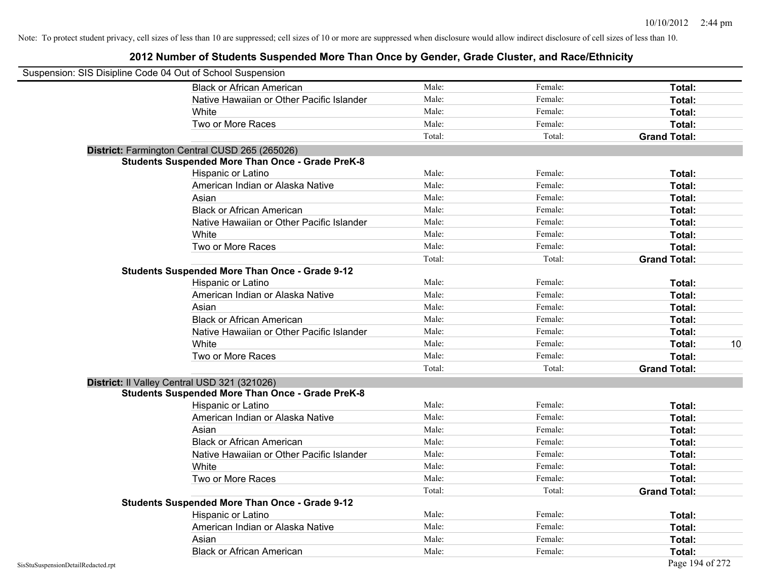| Suspension: SIS Disipline Code 04 Out of School Suspension |                                                         |        |         |                     |
|------------------------------------------------------------|---------------------------------------------------------|--------|---------|---------------------|
|                                                            | <b>Black or African American</b>                        | Male:  | Female: | Total:              |
|                                                            | Native Hawaiian or Other Pacific Islander               | Male:  | Female: | Total:              |
|                                                            | White                                                   | Male:  | Female: | Total:              |
|                                                            | Two or More Races                                       | Male:  | Female: | Total:              |
|                                                            |                                                         | Total: | Total:  | <b>Grand Total:</b> |
|                                                            | District: Farmington Central CUSD 265 (265026)          |        |         |                     |
|                                                            | <b>Students Suspended More Than Once - Grade PreK-8</b> |        |         |                     |
|                                                            | Hispanic or Latino                                      | Male:  | Female: | Total:              |
|                                                            | American Indian or Alaska Native                        | Male:  | Female: | Total:              |
|                                                            | Asian                                                   | Male:  | Female: | Total:              |
|                                                            | <b>Black or African American</b>                        | Male:  | Female: | Total:              |
|                                                            | Native Hawaiian or Other Pacific Islander               | Male:  | Female: | Total:              |
|                                                            | White                                                   | Male:  | Female: | Total:              |
|                                                            | Two or More Races                                       | Male:  | Female: | Total:              |
|                                                            |                                                         | Total: | Total:  | <b>Grand Total:</b> |
|                                                            | <b>Students Suspended More Than Once - Grade 9-12</b>   |        |         |                     |
|                                                            | Hispanic or Latino                                      | Male:  | Female: | Total:              |
|                                                            | American Indian or Alaska Native                        | Male:  | Female: | Total:              |
|                                                            | Asian                                                   | Male:  | Female: | Total:              |
|                                                            | <b>Black or African American</b>                        | Male:  | Female: | Total:              |
|                                                            | Native Hawaiian or Other Pacific Islander               | Male:  | Female: | Total:              |
|                                                            | White                                                   | Male:  | Female: | 10<br>Total:        |
|                                                            | Two or More Races                                       | Male:  | Female: | Total:              |
|                                                            |                                                         | Total: | Total:  | <b>Grand Total:</b> |
|                                                            | District: Il Valley Central USD 321 (321026)            |        |         |                     |
|                                                            | <b>Students Suspended More Than Once - Grade PreK-8</b> |        |         |                     |
|                                                            | Hispanic or Latino                                      | Male:  | Female: | Total:              |
|                                                            | American Indian or Alaska Native                        | Male:  | Female: | Total:              |
|                                                            | Asian                                                   | Male:  | Female: | Total:              |
|                                                            | <b>Black or African American</b>                        | Male:  | Female: | Total:              |
|                                                            | Native Hawaiian or Other Pacific Islander               | Male:  | Female: | Total:              |
|                                                            | White                                                   | Male:  | Female: | Total:              |
|                                                            | Two or More Races                                       | Male:  | Female: | Total:              |
|                                                            |                                                         | Total: | Total:  | <b>Grand Total:</b> |
|                                                            | <b>Students Suspended More Than Once - Grade 9-12</b>   |        |         |                     |
|                                                            | Hispanic or Latino                                      | Male:  | Female: | Total:              |
|                                                            | American Indian or Alaska Native                        | Male:  | Female: | Total:              |
|                                                            | Asian                                                   | Male:  | Female: | Total:              |
|                                                            | <b>Black or African American</b>                        | Male:  | Female: | Total:              |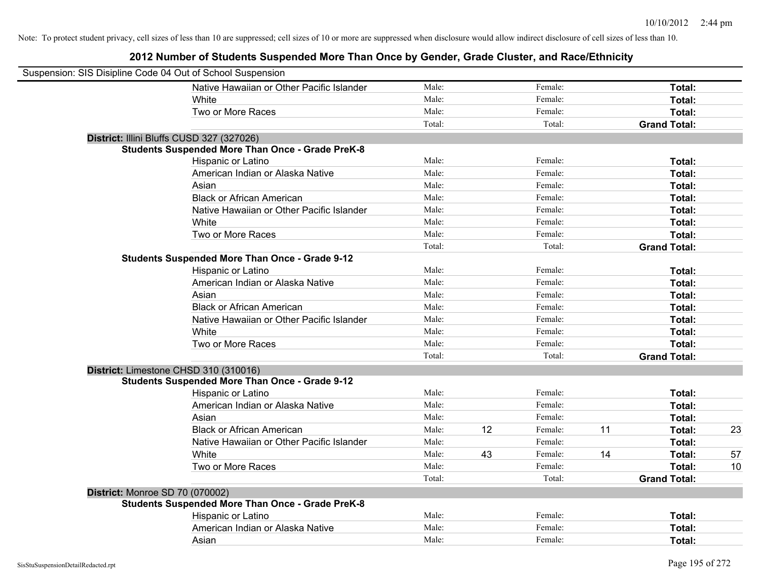| Suspension: SIS Disipline Code 04 Out of School Suspension |                                                         |        |    |         |    |                     |    |
|------------------------------------------------------------|---------------------------------------------------------|--------|----|---------|----|---------------------|----|
|                                                            | Native Hawaiian or Other Pacific Islander               | Male:  |    | Female: |    | Total:              |    |
|                                                            | White                                                   | Male:  |    | Female: |    | Total:              |    |
|                                                            | Two or More Races                                       | Male:  |    | Female: |    | Total:              |    |
|                                                            |                                                         | Total: |    | Total:  |    | <b>Grand Total:</b> |    |
| District: Illini Bluffs CUSD 327 (327026)                  |                                                         |        |    |         |    |                     |    |
|                                                            | <b>Students Suspended More Than Once - Grade PreK-8</b> |        |    |         |    |                     |    |
|                                                            | Hispanic or Latino                                      | Male:  |    | Female: |    | Total:              |    |
|                                                            | American Indian or Alaska Native                        | Male:  |    | Female: |    | Total:              |    |
|                                                            | Asian                                                   | Male:  |    | Female: |    | Total:              |    |
|                                                            | <b>Black or African American</b>                        | Male:  |    | Female: |    | Total:              |    |
|                                                            | Native Hawaiian or Other Pacific Islander               | Male:  |    | Female: |    | Total:              |    |
|                                                            | White                                                   | Male:  |    | Female: |    | Total:              |    |
|                                                            | Two or More Races                                       | Male:  |    | Female: |    | Total:              |    |
|                                                            |                                                         | Total: |    | Total:  |    | <b>Grand Total:</b> |    |
|                                                            | <b>Students Suspended More Than Once - Grade 9-12</b>   |        |    |         |    |                     |    |
|                                                            | Hispanic or Latino                                      | Male:  |    | Female: |    | Total:              |    |
|                                                            | American Indian or Alaska Native                        | Male:  |    | Female: |    | Total:              |    |
|                                                            | Asian                                                   | Male:  |    | Female: |    | Total:              |    |
|                                                            | <b>Black or African American</b>                        | Male:  |    | Female: |    | Total:              |    |
|                                                            | Native Hawaiian or Other Pacific Islander               | Male:  |    | Female: |    | Total:              |    |
|                                                            | White                                                   | Male:  |    | Female: |    | Total:              |    |
|                                                            | Two or More Races                                       | Male:  |    | Female: |    | Total:              |    |
|                                                            |                                                         | Total: |    | Total:  |    | <b>Grand Total:</b> |    |
| District: Limestone CHSD 310 (310016)                      |                                                         |        |    |         |    |                     |    |
|                                                            | <b>Students Suspended More Than Once - Grade 9-12</b>   |        |    |         |    |                     |    |
|                                                            | Hispanic or Latino                                      | Male:  |    | Female: |    | Total:              |    |
|                                                            | American Indian or Alaska Native                        | Male:  |    | Female: |    | Total:              |    |
|                                                            | Asian                                                   | Male:  |    | Female: |    | Total:              |    |
|                                                            | <b>Black or African American</b>                        | Male:  | 12 | Female: | 11 | Total:              | 23 |
|                                                            | Native Hawaiian or Other Pacific Islander               | Male:  |    | Female: |    | Total:              |    |
|                                                            | White                                                   | Male:  | 43 | Female: | 14 | Total:              | 57 |
|                                                            | Two or More Races                                       | Male:  |    | Female: |    | Total:              | 10 |
|                                                            |                                                         | Total: |    | Total:  |    | <b>Grand Total:</b> |    |
| <b>District: Monroe SD 70 (070002)</b>                     |                                                         |        |    |         |    |                     |    |
|                                                            | <b>Students Suspended More Than Once - Grade PreK-8</b> |        |    |         |    |                     |    |
|                                                            | Hispanic or Latino                                      | Male:  |    | Female: |    | Total:              |    |
|                                                            | American Indian or Alaska Native                        | Male:  |    | Female: |    | Total:              |    |
|                                                            | Asian                                                   | Male:  |    | Female: |    | Total:              |    |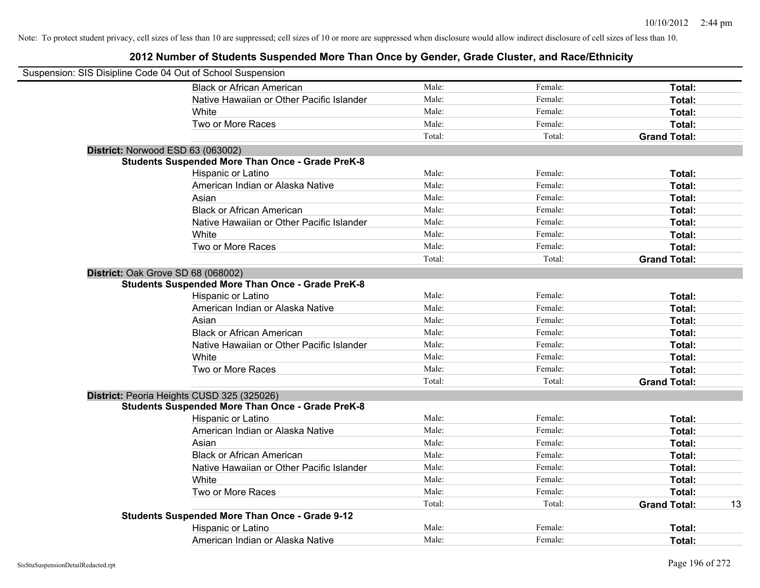| Suspension: SIS Disipline Code 04 Out of School Suspension |                                                         |        |         |                           |
|------------------------------------------------------------|---------------------------------------------------------|--------|---------|---------------------------|
|                                                            | <b>Black or African American</b>                        | Male:  | Female: | Total:                    |
|                                                            | Native Hawaiian or Other Pacific Islander               | Male:  | Female: | Total:                    |
|                                                            | White                                                   | Male:  | Female: | Total:                    |
|                                                            | Two or More Races                                       | Male:  | Female: | Total:                    |
|                                                            |                                                         | Total: | Total:  | <b>Grand Total:</b>       |
| District: Norwood ESD 63 (063002)                          |                                                         |        |         |                           |
|                                                            | <b>Students Suspended More Than Once - Grade PreK-8</b> |        |         |                           |
|                                                            | Hispanic or Latino                                      | Male:  | Female: | Total:                    |
|                                                            | American Indian or Alaska Native                        | Male:  | Female: | Total:                    |
|                                                            | Asian                                                   | Male:  | Female: | Total:                    |
|                                                            | <b>Black or African American</b>                        | Male:  | Female: | Total:                    |
|                                                            | Native Hawaiian or Other Pacific Islander               | Male:  | Female: | Total:                    |
|                                                            | White                                                   | Male:  | Female: | Total:                    |
|                                                            | Two or More Races                                       | Male:  | Female: | Total:                    |
|                                                            |                                                         | Total: | Total:  | <b>Grand Total:</b>       |
| District: Oak Grove SD 68 (068002)                         |                                                         |        |         |                           |
|                                                            | <b>Students Suspended More Than Once - Grade PreK-8</b> |        |         |                           |
|                                                            | Hispanic or Latino                                      | Male:  | Female: | Total:                    |
|                                                            | American Indian or Alaska Native                        | Male:  | Female: | Total:                    |
|                                                            | Asian                                                   | Male:  | Female: | Total:                    |
|                                                            | <b>Black or African American</b>                        | Male:  | Female: | Total:                    |
|                                                            | Native Hawaiian or Other Pacific Islander               | Male:  | Female: | Total:                    |
|                                                            | White                                                   | Male:  | Female: | Total:                    |
|                                                            | Two or More Races                                       | Male:  | Female: | Total:                    |
|                                                            |                                                         | Total: | Total:  | <b>Grand Total:</b>       |
|                                                            | District: Peoria Heights CUSD 325 (325026)              |        |         |                           |
|                                                            | <b>Students Suspended More Than Once - Grade PreK-8</b> |        |         |                           |
|                                                            | Hispanic or Latino                                      | Male:  | Female: | Total:                    |
|                                                            | American Indian or Alaska Native                        | Male:  | Female: | Total:                    |
|                                                            | Asian                                                   | Male:  | Female: | Total:                    |
|                                                            | <b>Black or African American</b>                        | Male:  | Female: | Total:                    |
|                                                            | Native Hawaiian or Other Pacific Islander               | Male:  | Female: | Total:                    |
|                                                            | White                                                   | Male:  | Female: | Total:                    |
|                                                            | Two or More Races                                       | Male:  | Female: | Total:                    |
|                                                            |                                                         | Total: | Total:  | 13<br><b>Grand Total:</b> |
|                                                            | Students Suspended More Than Once - Grade 9-12          |        |         |                           |
|                                                            | Hispanic or Latino                                      | Male:  | Female: | Total:                    |
|                                                            | American Indian or Alaska Native                        | Male:  | Female: | Total:                    |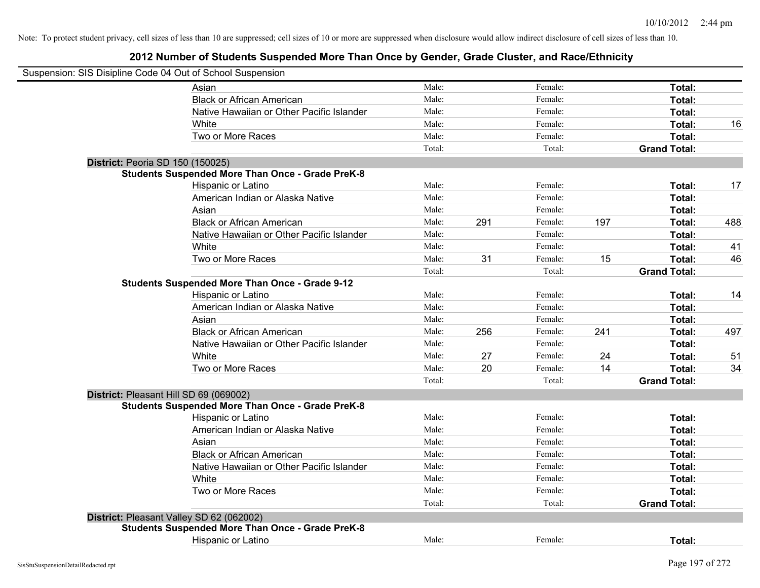| Suspension: SIS Disipline Code 04 Out of School Suspension |        |     |         |     |                     |     |
|------------------------------------------------------------|--------|-----|---------|-----|---------------------|-----|
| Asian                                                      | Male:  |     | Female: |     | Total:              |     |
| <b>Black or African American</b>                           | Male:  |     | Female: |     | Total:              |     |
| Native Hawaiian or Other Pacific Islander                  | Male:  |     | Female: |     | Total:              |     |
| White                                                      | Male:  |     | Female: |     | Total:              | 16  |
| Two or More Races                                          | Male:  |     | Female: |     | Total:              |     |
|                                                            | Total: |     | Total:  |     | <b>Grand Total:</b> |     |
| District: Peoria SD 150 (150025)                           |        |     |         |     |                     |     |
| <b>Students Suspended More Than Once - Grade PreK-8</b>    |        |     |         |     |                     |     |
| Hispanic or Latino                                         | Male:  |     | Female: |     | Total:              | 17  |
| American Indian or Alaska Native                           | Male:  |     | Female: |     | Total:              |     |
| Asian                                                      | Male:  |     | Female: |     | Total:              |     |
| <b>Black or African American</b>                           | Male:  | 291 | Female: | 197 | Total:              | 488 |
| Native Hawaiian or Other Pacific Islander                  | Male:  |     | Female: |     | Total:              |     |
| White                                                      | Male:  |     | Female: |     | Total:              | 41  |
| Two or More Races                                          | Male:  | 31  | Female: | 15  | Total:              | 46  |
|                                                            | Total: |     | Total:  |     | <b>Grand Total:</b> |     |
| <b>Students Suspended More Than Once - Grade 9-12</b>      |        |     |         |     |                     |     |
| Hispanic or Latino                                         | Male:  |     | Female: |     | Total:              | 14  |
| American Indian or Alaska Native                           | Male:  |     | Female: |     | Total:              |     |
| Asian                                                      | Male:  |     | Female: |     | Total:              |     |
| <b>Black or African American</b>                           | Male:  | 256 | Female: | 241 | Total:              | 497 |
| Native Hawaiian or Other Pacific Islander                  | Male:  |     | Female: |     | Total:              |     |
| White                                                      | Male:  | 27  | Female: | 24  | Total:              | 51  |
| Two or More Races                                          | Male:  | 20  | Female: | 14  | Total:              | 34  |
|                                                            | Total: |     | Total:  |     | <b>Grand Total:</b> |     |
| District: Pleasant Hill SD 69 (069002)                     |        |     |         |     |                     |     |
| <b>Students Suspended More Than Once - Grade PreK-8</b>    |        |     |         |     |                     |     |
| Hispanic or Latino                                         | Male:  |     | Female: |     | Total:              |     |
| American Indian or Alaska Native                           | Male:  |     | Female: |     | Total:              |     |
| Asian                                                      | Male:  |     | Female: |     | Total:              |     |
| <b>Black or African American</b>                           | Male:  |     | Female: |     | Total:              |     |
| Native Hawaiian or Other Pacific Islander                  | Male:  |     | Female: |     | Total:              |     |
| White                                                      | Male:  |     | Female: |     | Total:              |     |
| Two or More Races                                          | Male:  |     | Female: |     | Total:              |     |
|                                                            | Total: |     | Total:  |     | <b>Grand Total:</b> |     |
| District: Pleasant Valley SD 62 (062002)                   |        |     |         |     |                     |     |
| <b>Students Suspended More Than Once - Grade PreK-8</b>    |        |     |         |     |                     |     |
| Hispanic or Latino                                         | Male:  |     | Female: |     | Total:              |     |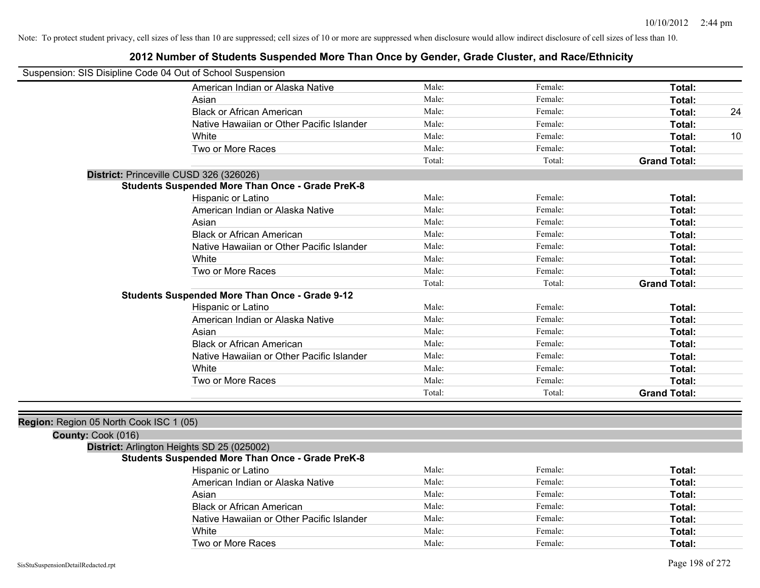### **2012 Number of Students Suspended More Than Once by Gender, Grade Cluster, and Race/Ethnicity**

| Suspension: SIS Disipline Code 04 Out of School Suspension |                                                         |        |         |                     |    |
|------------------------------------------------------------|---------------------------------------------------------|--------|---------|---------------------|----|
|                                                            | American Indian or Alaska Native                        | Male:  | Female: | Total:              |    |
|                                                            | Asian                                                   | Male:  | Female: | Total:              |    |
|                                                            | <b>Black or African American</b>                        | Male:  | Female: | Total:              | 24 |
|                                                            | Native Hawaiian or Other Pacific Islander               | Male:  | Female: | Total:              |    |
|                                                            | White                                                   | Male:  | Female: | Total:              | 10 |
|                                                            | Two or More Races                                       | Male:  | Female: | Total:              |    |
|                                                            |                                                         | Total: | Total:  | <b>Grand Total:</b> |    |
|                                                            | District: Princeville CUSD 326 (326026)                 |        |         |                     |    |
|                                                            | <b>Students Suspended More Than Once - Grade PreK-8</b> |        |         |                     |    |
|                                                            | Hispanic or Latino                                      | Male:  | Female: | Total:              |    |
|                                                            | American Indian or Alaska Native                        | Male:  | Female: | Total:              |    |
|                                                            | Asian                                                   | Male:  | Female: | Total:              |    |
|                                                            | <b>Black or African American</b>                        | Male:  | Female: | Total:              |    |
|                                                            | Native Hawaiian or Other Pacific Islander               | Male:  | Female: | Total:              |    |
|                                                            | White                                                   | Male:  | Female: | Total:              |    |
|                                                            | Two or More Races                                       | Male:  | Female: | Total:              |    |
|                                                            |                                                         | Total: | Total:  | <b>Grand Total:</b> |    |
|                                                            | <b>Students Suspended More Than Once - Grade 9-12</b>   |        |         |                     |    |
|                                                            | Hispanic or Latino                                      | Male:  | Female: | Total:              |    |
|                                                            | American Indian or Alaska Native                        | Male:  | Female: | Total:              |    |
|                                                            | Asian                                                   | Male:  | Female: | Total:              |    |
|                                                            | <b>Black or African American</b>                        | Male:  | Female: | Total:              |    |
|                                                            | Native Hawaiian or Other Pacific Islander               | Male:  | Female: | Total:              |    |
|                                                            | White                                                   | Male:  | Female: | Total:              |    |
|                                                            | Two or More Races                                       | Male:  | Female: | Total:              |    |
|                                                            |                                                         | Total: | Total:  | <b>Grand Total:</b> |    |
|                                                            |                                                         |        |         |                     |    |
| Region: Region 05 North Cook ISC 1 (05)                    |                                                         |        |         |                     |    |
| County: Cook (016)                                         |                                                         |        |         |                     |    |
|                                                            | District: Arlington Heights SD 25 (025002)              |        |         |                     |    |
|                                                            | <b>Students Suspended More Than Once - Grade PreK-8</b> |        |         |                     |    |
|                                                            | Hispanic or Latino                                      | Male:  | Female: | Total:              |    |
|                                                            | American Indian or Alaska Native                        | Male:  | Female: | Total:              |    |
|                                                            | Asian                                                   | Male:  | Female: | Total:              |    |
|                                                            | <b>Black or African American</b>                        | Male:  | Female: | Total:              |    |
|                                                            | Native Hawaiian or Other Pacific Islander               | Male:  | Female: | Total:              |    |

White **Total:** Male: Female: **Total:** Female: **Total:** Total: Two or More Races **Total:** Male: Female: Female: **Total:** Total: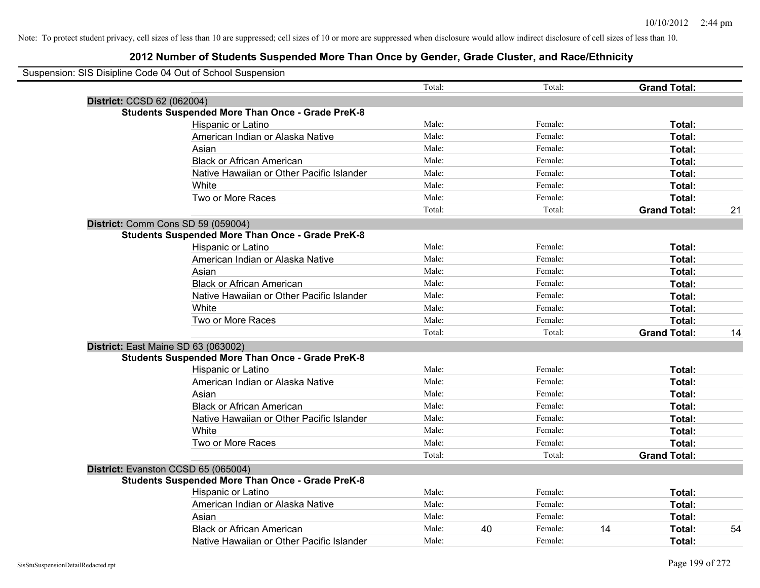|                            | Suspension: SIS Disipline Code 04 Out of School Suspension |        |    |         |    |                     |    |
|----------------------------|------------------------------------------------------------|--------|----|---------|----|---------------------|----|
|                            |                                                            | Total: |    | Total:  |    | <b>Grand Total:</b> |    |
| District: CCSD 62 (062004) |                                                            |        |    |         |    |                     |    |
|                            | <b>Students Suspended More Than Once - Grade PreK-8</b>    |        |    |         |    |                     |    |
|                            | Hispanic or Latino                                         | Male:  |    | Female: |    | Total:              |    |
|                            | American Indian or Alaska Native                           | Male:  |    | Female: |    | Total:              |    |
|                            | Asian                                                      | Male:  |    | Female: |    | Total:              |    |
|                            | <b>Black or African American</b>                           | Male:  |    | Female: |    | Total:              |    |
|                            | Native Hawaiian or Other Pacific Islander                  | Male:  |    | Female: |    | Total:              |    |
|                            | White                                                      | Male:  |    | Female: |    | Total:              |    |
|                            | Two or More Races                                          | Male:  |    | Female: |    | Total:              |    |
|                            |                                                            | Total: |    | Total:  |    | <b>Grand Total:</b> | 21 |
|                            | District: Comm Cons SD 59 (059004)                         |        |    |         |    |                     |    |
|                            | <b>Students Suspended More Than Once - Grade PreK-8</b>    |        |    |         |    |                     |    |
|                            | Hispanic or Latino                                         | Male:  |    | Female: |    | Total:              |    |
|                            | American Indian or Alaska Native                           | Male:  |    | Female: |    | Total:              |    |
|                            | Asian                                                      | Male:  |    | Female: |    | Total:              |    |
|                            | <b>Black or African American</b>                           | Male:  |    | Female: |    | Total:              |    |
|                            | Native Hawaiian or Other Pacific Islander                  | Male:  |    | Female: |    | Total:              |    |
|                            | White                                                      | Male:  |    | Female: |    | Total:              |    |
|                            | Two or More Races                                          | Male:  |    | Female: |    | Total:              |    |
|                            |                                                            | Total: |    | Total:  |    | <b>Grand Total:</b> | 14 |
|                            | District: East Maine SD 63 (063002)                        |        |    |         |    |                     |    |
|                            | <b>Students Suspended More Than Once - Grade PreK-8</b>    |        |    |         |    |                     |    |
|                            | Hispanic or Latino                                         | Male:  |    | Female: |    | Total:              |    |
|                            | American Indian or Alaska Native                           | Male:  |    | Female: |    | Total:              |    |
|                            | Asian                                                      | Male:  |    | Female: |    | Total:              |    |
|                            | <b>Black or African American</b>                           | Male:  |    | Female: |    | Total:              |    |
|                            | Native Hawaiian or Other Pacific Islander                  | Male:  |    | Female: |    | Total:              |    |
|                            | White                                                      | Male:  |    | Female: |    | Total:              |    |
|                            | Two or More Races                                          | Male:  |    | Female: |    | Total:              |    |
|                            |                                                            | Total: |    | Total:  |    | <b>Grand Total:</b> |    |
|                            | District: Evanston CCSD 65 (065004)                        |        |    |         |    |                     |    |
|                            | <b>Students Suspended More Than Once - Grade PreK-8</b>    |        |    |         |    |                     |    |
|                            | <b>Hispanic or Latino</b>                                  | Male:  |    | Female: |    | Total:              |    |
|                            | American Indian or Alaska Native                           | Male:  |    | Female: |    | Total:              |    |
|                            | Asian                                                      | Male:  |    | Female: |    | Total:              |    |
|                            | <b>Black or African American</b>                           | Male:  | 40 | Female: | 14 | Total:              | 54 |
|                            | Native Hawaiian or Other Pacific Islander                  | Male:  |    | Female: |    | Total:              |    |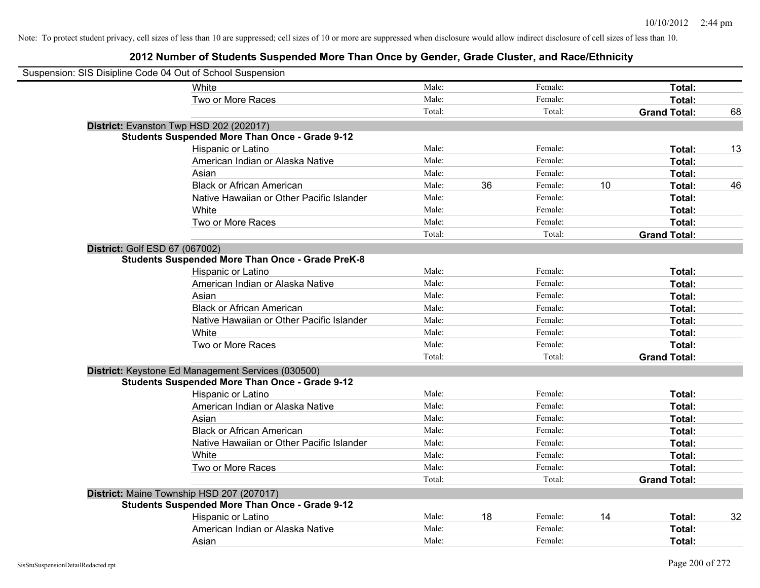| Suspension: SIS Disipline Code 04 Out of School Suspension |                                                         |        |    |         |    |                     |    |
|------------------------------------------------------------|---------------------------------------------------------|--------|----|---------|----|---------------------|----|
|                                                            | <b>White</b>                                            | Male:  |    | Female: |    | Total:              |    |
|                                                            | Two or More Races                                       | Male:  |    | Female: |    | Total:              |    |
|                                                            |                                                         | Total: |    | Total:  |    | <b>Grand Total:</b> | 68 |
|                                                            | District: Evanston Twp HSD 202 (202017)                 |        |    |         |    |                     |    |
|                                                            | <b>Students Suspended More Than Once - Grade 9-12</b>   |        |    |         |    |                     |    |
|                                                            | Hispanic or Latino                                      | Male:  |    | Female: |    | Total:              | 13 |
|                                                            | American Indian or Alaska Native                        | Male:  |    | Female: |    | Total:              |    |
|                                                            | Asian                                                   | Male:  |    | Female: |    | Total:              |    |
|                                                            | <b>Black or African American</b>                        | Male:  | 36 | Female: | 10 | Total:              | 46 |
|                                                            | Native Hawaiian or Other Pacific Islander               | Male:  |    | Female: |    | Total:              |    |
|                                                            | White                                                   | Male:  |    | Female: |    | Total:              |    |
|                                                            | Two or More Races                                       | Male:  |    | Female: |    | Total:              |    |
|                                                            |                                                         | Total: |    | Total:  |    | <b>Grand Total:</b> |    |
| District: Golf ESD 67 (067002)                             |                                                         |        |    |         |    |                     |    |
|                                                            | <b>Students Suspended More Than Once - Grade PreK-8</b> |        |    |         |    |                     |    |
|                                                            | Hispanic or Latino                                      | Male:  |    | Female: |    | Total:              |    |
|                                                            | American Indian or Alaska Native                        | Male:  |    | Female: |    | Total:              |    |
|                                                            | Asian                                                   | Male:  |    | Female: |    | Total:              |    |
|                                                            | <b>Black or African American</b>                        | Male:  |    | Female: |    | Total:              |    |
|                                                            | Native Hawaiian or Other Pacific Islander               | Male:  |    | Female: |    | Total:              |    |
|                                                            | White                                                   | Male:  |    | Female: |    | Total:              |    |
|                                                            | Two or More Races                                       | Male:  |    | Female: |    | Total:              |    |
|                                                            |                                                         | Total: |    | Total:  |    | <b>Grand Total:</b> |    |
|                                                            | District: Keystone Ed Management Services (030500)      |        |    |         |    |                     |    |
|                                                            | Students Suspended More Than Once - Grade 9-12          |        |    |         |    |                     |    |
|                                                            | Hispanic or Latino                                      | Male:  |    | Female: |    | Total:              |    |
|                                                            | American Indian or Alaska Native                        | Male:  |    | Female: |    | Total:              |    |
|                                                            | Asian                                                   | Male:  |    | Female: |    | Total:              |    |
|                                                            | <b>Black or African American</b>                        | Male:  |    | Female: |    | Total:              |    |
|                                                            | Native Hawaiian or Other Pacific Islander               | Male:  |    | Female: |    | Total:              |    |
|                                                            | White                                                   | Male:  |    | Female: |    | Total:              |    |
|                                                            | Two or More Races                                       | Male:  |    | Female: |    | Total:              |    |
|                                                            |                                                         | Total: |    | Total:  |    | <b>Grand Total:</b> |    |
|                                                            | District: Maine Township HSD 207 (207017)               |        |    |         |    |                     |    |
|                                                            | <b>Students Suspended More Than Once - Grade 9-12</b>   |        |    |         |    |                     |    |
|                                                            | Hispanic or Latino                                      | Male:  | 18 | Female: | 14 | Total:              | 32 |
|                                                            | American Indian or Alaska Native                        | Male:  |    | Female: |    | Total:              |    |
|                                                            | Asian                                                   | Male:  |    | Female: |    | Total:              |    |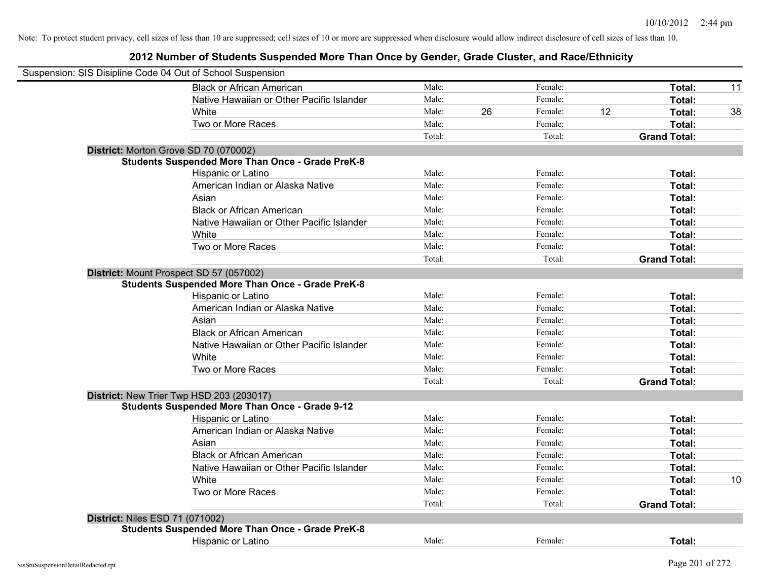| Suspension: SIS Disipline Code 04 Out of School Suspension |        |    |         |    |                     |    |
|------------------------------------------------------------|--------|----|---------|----|---------------------|----|
| <b>Black or African American</b>                           | Male:  |    | Female: |    | Total:              | 11 |
| Native Hawaiian or Other Pacific Islander                  | Male:  |    | Female: |    | Total:              |    |
| White                                                      | Male:  | 26 | Female: | 12 | Total:              | 38 |
| Two or More Races                                          | Male:  |    | Female: |    | Total:              |    |
|                                                            | Total: |    | Total:  |    | <b>Grand Total:</b> |    |
| District: Morton Grove SD 70 (070002)                      |        |    |         |    |                     |    |
| <b>Students Suspended More Than Once - Grade PreK-8</b>    |        |    |         |    |                     |    |
| Hispanic or Latino                                         | Male:  |    | Female: |    | Total:              |    |
| American Indian or Alaska Native                           | Male:  |    | Female: |    | Total:              |    |
| Asian                                                      | Male:  |    | Female: |    | Total:              |    |
| <b>Black or African American</b>                           | Male:  |    | Female: |    | Total:              |    |
| Native Hawaiian or Other Pacific Islander                  | Male:  |    | Female: |    | Total:              |    |
| White                                                      | Male:  |    | Female: |    | Total:              |    |
| Two or More Races                                          | Male:  |    | Female: |    | Total:              |    |
|                                                            | Total: |    | Total:  |    | <b>Grand Total:</b> |    |
| District: Mount Prospect SD 57 (057002)                    |        |    |         |    |                     |    |
| <b>Students Suspended More Than Once - Grade PreK-8</b>    |        |    |         |    |                     |    |
| Hispanic or Latino                                         | Male:  |    | Female: |    | Total:              |    |
| American Indian or Alaska Native                           | Male:  |    | Female: |    | Total:              |    |
| Asian                                                      | Male:  |    | Female: |    | Total:              |    |
| <b>Black or African American</b>                           | Male:  |    | Female: |    | Total:              |    |
| Native Hawaiian or Other Pacific Islander                  | Male:  |    | Female: |    | Total:              |    |
| <b>White</b>                                               | Male:  |    | Female: |    | Total:              |    |
| Two or More Races                                          | Male:  |    | Female: |    | Total:              |    |
|                                                            | Total: |    | Total:  |    | <b>Grand Total:</b> |    |
| District: New Trier Twp HSD 203 (203017)                   |        |    |         |    |                     |    |
| <b>Students Suspended More Than Once - Grade 9-12</b>      |        |    |         |    |                     |    |
| Hispanic or Latino                                         | Male:  |    | Female: |    | Total:              |    |
| American Indian or Alaska Native                           | Male:  |    | Female: |    | Total:              |    |
| Asian                                                      | Male:  |    | Female: |    | Total:              |    |
| <b>Black or African American</b>                           | Male:  |    | Female: |    | Total:              |    |
| Native Hawaiian or Other Pacific Islander                  | Male:  |    | Female: |    | Total:              |    |
| <b>White</b>                                               | Male:  |    | Female: |    | Total:              | 10 |
| Two or More Races                                          | Male:  |    | Female: |    | Total:              |    |
|                                                            | Total: |    | Total:  |    | <b>Grand Total:</b> |    |
| <b>District: Niles ESD 71 (071002)</b>                     |        |    |         |    |                     |    |
| <b>Students Suspended More Than Once - Grade PreK-8</b>    |        |    |         |    |                     |    |
| Hispanic or Latino                                         | Male:  |    | Female: |    | Total:              |    |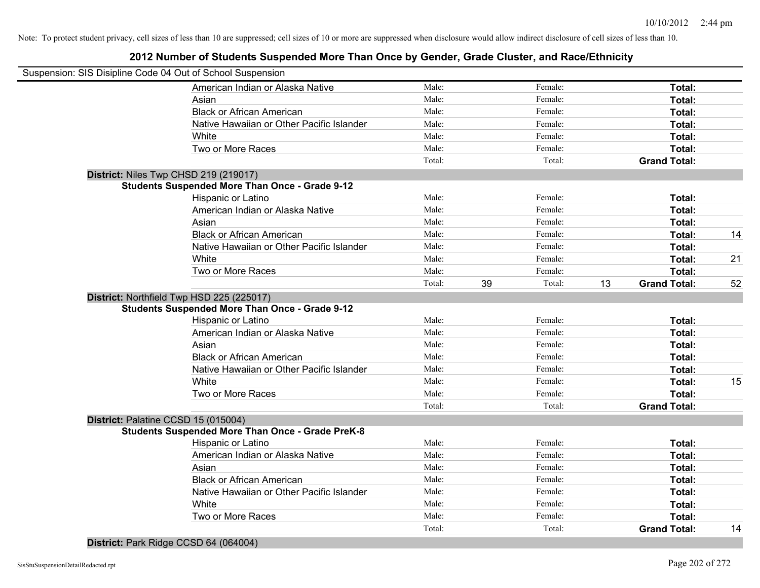### **2012 Number of Students Suspended More Than Once by Gender, Grade Cluster, and Race/Ethnicity**

| Suspension: SIS Disipline Code 04 Out of School Suspension |        |    |         |    |                     |    |
|------------------------------------------------------------|--------|----|---------|----|---------------------|----|
| American Indian or Alaska Native                           | Male:  |    | Female: |    | Total:              |    |
| Asian                                                      | Male:  |    | Female: |    | Total:              |    |
| <b>Black or African American</b>                           | Male:  |    | Female: |    | Total:              |    |
| Native Hawaiian or Other Pacific Islander                  | Male:  |    | Female: |    | Total:              |    |
| White                                                      | Male:  |    | Female: |    | Total:              |    |
| Two or More Races                                          | Male:  |    | Female: |    | Total:              |    |
|                                                            | Total: |    | Total:  |    | <b>Grand Total:</b> |    |
| District: Niles Twp CHSD 219 (219017)                      |        |    |         |    |                     |    |
| <b>Students Suspended More Than Once - Grade 9-12</b>      |        |    |         |    |                     |    |
| Hispanic or Latino                                         | Male:  |    | Female: |    | Total:              |    |
| American Indian or Alaska Native                           | Male:  |    | Female: |    | Total:              |    |
| Asian                                                      | Male:  |    | Female: |    | Total:              |    |
| <b>Black or African American</b>                           | Male:  |    | Female: |    | Total:              | 14 |
| Native Hawaiian or Other Pacific Islander                  | Male:  |    | Female: |    | Total:              |    |
| White                                                      | Male:  |    | Female: |    | Total:              | 21 |
| Two or More Races                                          | Male:  |    | Female: |    | Total:              |    |
|                                                            | Total: | 39 | Total:  | 13 | <b>Grand Total:</b> | 52 |
| District: Northfield Twp HSD 225 (225017)                  |        |    |         |    |                     |    |
| <b>Students Suspended More Than Once - Grade 9-12</b>      |        |    |         |    |                     |    |
| Hispanic or Latino                                         | Male:  |    | Female: |    | Total:              |    |
| American Indian or Alaska Native                           | Male:  |    | Female: |    | Total:              |    |
| Asian                                                      | Male:  |    | Female: |    | Total:              |    |
| <b>Black or African American</b>                           | Male:  |    | Female: |    | Total:              |    |
| Native Hawaiian or Other Pacific Islander                  | Male:  |    | Female: |    | Total:              |    |
| White                                                      | Male:  |    | Female: |    | Total:              | 15 |
| Two or More Races                                          | Male:  |    | Female: |    | Total:              |    |
|                                                            | Total: |    | Total:  |    | <b>Grand Total:</b> |    |
| District: Palatine CCSD 15 (015004)                        |        |    |         |    |                     |    |
| <b>Students Suspended More Than Once - Grade PreK-8</b>    |        |    |         |    |                     |    |
| Hispanic or Latino                                         | Male:  |    | Female: |    | Total:              |    |
| American Indian or Alaska Native                           | Male:  |    | Female: |    | Total:              |    |
| Asian                                                      | Male:  |    | Female: |    | Total:              |    |
| <b>Black or African American</b>                           | Male:  |    | Female: |    | Total:              |    |
| Native Hawaiian or Other Pacific Islander                  | Male:  |    | Female: |    | Total:              |    |
| White                                                      | Male:  |    | Female: |    | Total:              |    |
| Two or More Races                                          | Male:  |    | Female: |    | Total:              |    |
|                                                            | Total: |    | Total:  |    | <b>Grand Total:</b> | 14 |
|                                                            |        |    |         |    |                     |    |

#### **District:** Park Ridge CCSD 64 (064004)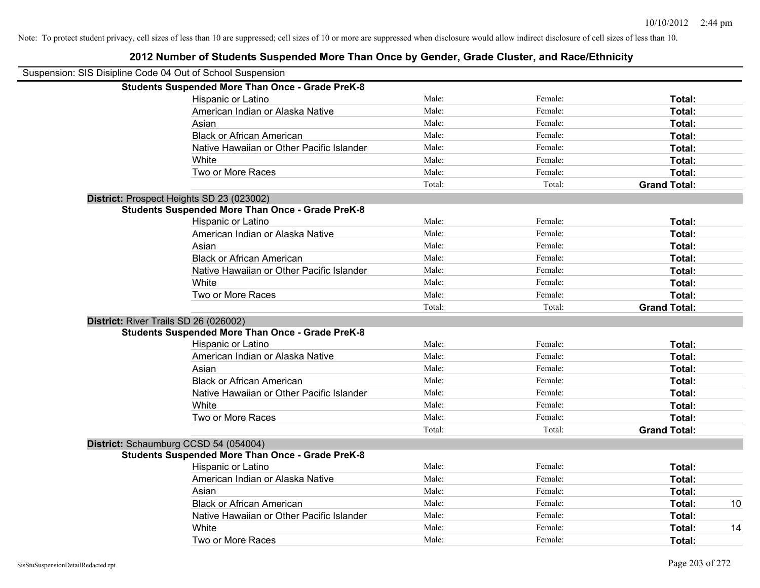| Suspension: SIS Disipline Code 04 Out of School Suspension |                                                         |        |         |                     |    |
|------------------------------------------------------------|---------------------------------------------------------|--------|---------|---------------------|----|
|                                                            | <b>Students Suspended More Than Once - Grade PreK-8</b> |        |         |                     |    |
|                                                            | Hispanic or Latino                                      | Male:  | Female: | Total:              |    |
|                                                            | American Indian or Alaska Native                        | Male:  | Female: | Total:              |    |
|                                                            | Asian                                                   | Male:  | Female: | Total:              |    |
|                                                            | <b>Black or African American</b>                        | Male:  | Female: | Total:              |    |
|                                                            | Native Hawaiian or Other Pacific Islander               | Male:  | Female: | Total:              |    |
|                                                            | White                                                   | Male:  | Female: | Total:              |    |
|                                                            | Two or More Races                                       | Male:  | Female: | Total:              |    |
|                                                            |                                                         | Total: | Total:  | <b>Grand Total:</b> |    |
|                                                            | District: Prospect Heights SD 23 (023002)               |        |         |                     |    |
|                                                            | <b>Students Suspended More Than Once - Grade PreK-8</b> |        |         |                     |    |
|                                                            | Hispanic or Latino                                      | Male:  | Female: | Total:              |    |
|                                                            | American Indian or Alaska Native                        | Male:  | Female: | Total:              |    |
|                                                            | Asian                                                   | Male:  | Female: | Total:              |    |
|                                                            | <b>Black or African American</b>                        | Male:  | Female: | Total:              |    |
|                                                            | Native Hawaiian or Other Pacific Islander               | Male:  | Female: | Total:              |    |
|                                                            | White                                                   | Male:  | Female: | Total:              |    |
|                                                            | Two or More Races                                       | Male:  | Female: | Total:              |    |
|                                                            |                                                         | Total: | Total:  | <b>Grand Total:</b> |    |
|                                                            | District: River Trails SD 26 (026002)                   |        |         |                     |    |
|                                                            | <b>Students Suspended More Than Once - Grade PreK-8</b> |        |         |                     |    |
|                                                            | Hispanic or Latino                                      | Male:  | Female: | Total:              |    |
|                                                            | American Indian or Alaska Native                        | Male:  | Female: | Total:              |    |
|                                                            | Asian                                                   | Male:  | Female: | Total:              |    |
|                                                            | <b>Black or African American</b>                        | Male:  | Female: | Total:              |    |
|                                                            | Native Hawaiian or Other Pacific Islander               | Male:  | Female: | Total:              |    |
|                                                            | White                                                   | Male:  | Female: | Total:              |    |
|                                                            | Two or More Races                                       | Male:  | Female: | Total:              |    |
|                                                            |                                                         | Total: | Total:  | <b>Grand Total:</b> |    |
|                                                            | District: Schaumburg CCSD 54 (054004)                   |        |         |                     |    |
|                                                            | <b>Students Suspended More Than Once - Grade PreK-8</b> |        |         |                     |    |
|                                                            | Hispanic or Latino                                      | Male:  | Female: | Total:              |    |
|                                                            | American Indian or Alaska Native                        | Male:  | Female: | Total:              |    |
|                                                            | Asian                                                   | Male:  | Female: | Total:              |    |
|                                                            | <b>Black or African American</b>                        | Male:  | Female: | Total:              | 10 |
|                                                            | Native Hawaiian or Other Pacific Islander               | Male:  | Female: | Total:              |    |
|                                                            | White                                                   | Male:  | Female: | Total:              | 14 |
|                                                            | Two or More Races                                       | Male:  | Female: | Total:              |    |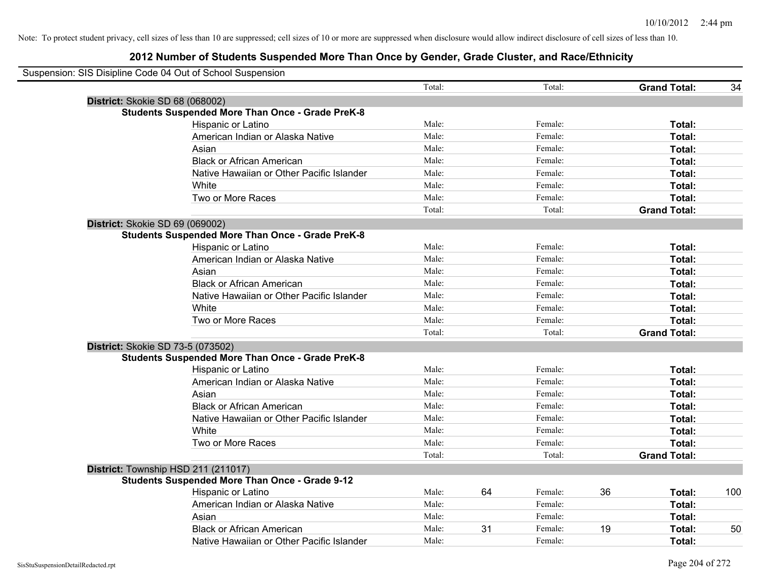| Suspension: SIS Disipline Code 04 Out of School Suspension |        |    |         |    |                     |     |
|------------------------------------------------------------|--------|----|---------|----|---------------------|-----|
|                                                            | Total: |    | Total:  |    | <b>Grand Total:</b> | 34  |
| District: Skokie SD 68 (068002)                            |        |    |         |    |                     |     |
| <b>Students Suspended More Than Once - Grade PreK-8</b>    |        |    |         |    |                     |     |
| Hispanic or Latino                                         | Male:  |    | Female: |    | Total:              |     |
| American Indian or Alaska Native                           | Male:  |    | Female: |    | Total:              |     |
| Asian                                                      | Male:  |    | Female: |    | Total:              |     |
| <b>Black or African American</b>                           | Male:  |    | Female: |    | Total:              |     |
| Native Hawaiian or Other Pacific Islander                  | Male:  |    | Female: |    | Total:              |     |
| White                                                      | Male:  |    | Female: |    | Total:              |     |
| Two or More Races                                          | Male:  |    | Female: |    | Total:              |     |
|                                                            | Total: |    | Total:  |    | <b>Grand Total:</b> |     |
| District: Skokie SD 69 (069002)                            |        |    |         |    |                     |     |
| <b>Students Suspended More Than Once - Grade PreK-8</b>    |        |    |         |    |                     |     |
| Hispanic or Latino                                         | Male:  |    | Female: |    | Total:              |     |
| American Indian or Alaska Native                           | Male:  |    | Female: |    | Total:              |     |
| Asian                                                      | Male:  |    | Female: |    | Total:              |     |
| <b>Black or African American</b>                           | Male:  |    | Female: |    | Total:              |     |
| Native Hawaiian or Other Pacific Islander                  | Male:  |    | Female: |    | Total:              |     |
| White                                                      | Male:  |    | Female: |    | Total:              |     |
| Two or More Races                                          | Male:  |    | Female: |    | Total:              |     |
|                                                            | Total: |    | Total:  |    | <b>Grand Total:</b> |     |
| District: Skokie SD 73-5 (073502)                          |        |    |         |    |                     |     |
| <b>Students Suspended More Than Once - Grade PreK-8</b>    |        |    |         |    |                     |     |
| Hispanic or Latino                                         | Male:  |    | Female: |    | Total:              |     |
| American Indian or Alaska Native                           | Male:  |    | Female: |    | Total:              |     |
| Asian                                                      | Male:  |    | Female: |    | Total:              |     |
| <b>Black or African American</b>                           | Male:  |    | Female: |    | Total:              |     |
| Native Hawaiian or Other Pacific Islander                  | Male:  |    | Female: |    | Total:              |     |
| White                                                      | Male:  |    | Female: |    | Total:              |     |
| Two or More Races                                          | Male:  |    | Female: |    | Total:              |     |
|                                                            | Total: |    | Total:  |    | <b>Grand Total:</b> |     |
| District: Township HSD 211 (211017)                        |        |    |         |    |                     |     |
| <b>Students Suspended More Than Once - Grade 9-12</b>      |        |    |         |    |                     |     |
| Hispanic or Latino                                         | Male:  | 64 | Female: | 36 | Total:              | 100 |
| American Indian or Alaska Native                           | Male:  |    | Female: |    | Total:              |     |
| Asian                                                      | Male:  |    | Female: |    | Total:              |     |
| <b>Black or African American</b>                           | Male:  | 31 | Female: | 19 | Total:              | 50  |
| Native Hawaiian or Other Pacific Islander                  | Male:  |    | Female: |    | Total:              |     |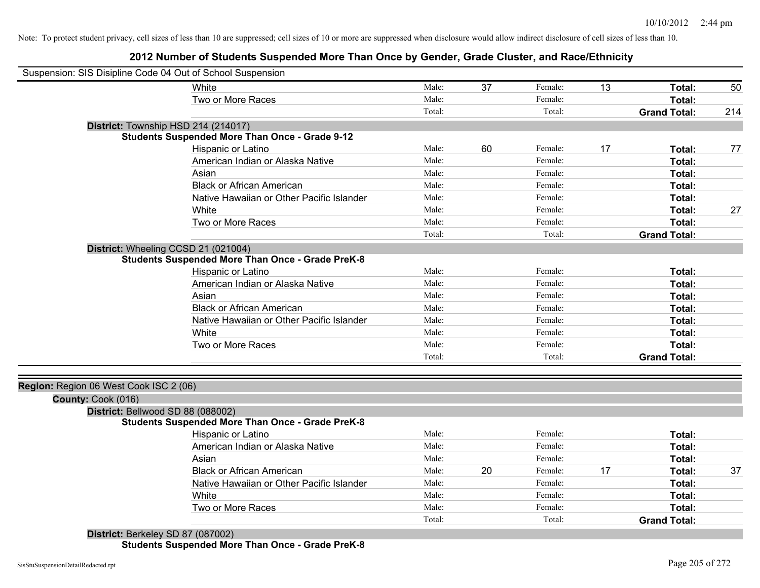### **2012 Number of Students Suspended More Than Once by Gender, Grade Cluster, and Race/Ethnicity**

| Suspension: SIS Disipline Code 04 Out of School Suspension |                                                         |        |    |         |    |                     |     |
|------------------------------------------------------------|---------------------------------------------------------|--------|----|---------|----|---------------------|-----|
|                                                            | White                                                   | Male:  | 37 | Female: | 13 | Total:              | 50  |
|                                                            | Two or More Races                                       | Male:  |    | Female: |    | Total:              |     |
|                                                            |                                                         | Total: |    | Total:  |    | <b>Grand Total:</b> | 214 |
|                                                            | District: Township HSD 214 (214017)                     |        |    |         |    |                     |     |
|                                                            | <b>Students Suspended More Than Once - Grade 9-12</b>   |        |    |         |    |                     |     |
|                                                            | Hispanic or Latino                                      | Male:  | 60 | Female: | 17 | Total:              | 77  |
|                                                            | American Indian or Alaska Native                        | Male:  |    | Female: |    | Total:              |     |
|                                                            | Asian                                                   | Male:  |    | Female: |    | Total:              |     |
|                                                            | <b>Black or African American</b>                        | Male:  |    | Female: |    | Total:              |     |
|                                                            | Native Hawaiian or Other Pacific Islander               | Male:  |    | Female: |    | Total:              |     |
|                                                            | White                                                   | Male:  |    | Female: |    | Total:              | 27  |
|                                                            | Two or More Races                                       | Male:  |    | Female: |    | Total:              |     |
|                                                            |                                                         | Total: |    | Total:  |    | <b>Grand Total:</b> |     |
|                                                            | District: Wheeling CCSD 21 (021004)                     |        |    |         |    |                     |     |
|                                                            | <b>Students Suspended More Than Once - Grade PreK-8</b> |        |    |         |    |                     |     |
|                                                            | Hispanic or Latino                                      | Male:  |    | Female: |    | Total:              |     |
|                                                            | American Indian or Alaska Native                        | Male:  |    | Female: |    | Total:              |     |
|                                                            | Asian                                                   | Male:  |    | Female: |    | Total:              |     |
|                                                            | <b>Black or African American</b>                        | Male:  |    | Female: |    | Total:              |     |
|                                                            | Native Hawaiian or Other Pacific Islander               | Male:  |    | Female: |    | Total:              |     |
|                                                            | White                                                   | Male:  |    | Female: |    | Total:              |     |
|                                                            | Two or More Races                                       | Male:  |    | Female: |    | Total:              |     |
|                                                            |                                                         | Total: |    | Total:  |    | <b>Grand Total:</b> |     |
|                                                            |                                                         |        |    |         |    |                     |     |
| Region: Region 06 West Cook ISC 2 (06)                     |                                                         |        |    |         |    |                     |     |
| County: Cook (016)                                         |                                                         |        |    |         |    |                     |     |
| District: Bellwood SD 88 (088002)                          |                                                         |        |    |         |    |                     |     |
|                                                            | <b>Students Suspended More Than Once - Grade PreK-8</b> |        |    |         |    |                     |     |
|                                                            | Hispanic or Latino                                      | Male:  |    | Female: |    | Total:              |     |
|                                                            | American Indian or Alaska Native                        | Male:  |    | Female: |    | Total:              |     |
|                                                            | Asian                                                   | Male:  |    | Female: |    | Total:              |     |
|                                                            | <b>Black or African American</b>                        | Male:  | 20 | Female: | 17 | Total:              | 37  |
|                                                            | Native Hawaiian or Other Pacific Islander               | Male:  |    | Female: |    | Total:              |     |
|                                                            | White                                                   | Male:  |    | Female: |    | Total:              |     |
|                                                            | Two or More Races                                       | Male:  |    | Female: |    | Total:              |     |
|                                                            |                                                         | Total: |    | Total:  |    | <b>Grand Total:</b> |     |
| District: Berkeley SD 87 (087002)                          |                                                         |        |    |         |    |                     |     |

**Students Suspended More Than Once - Grade PreK-8**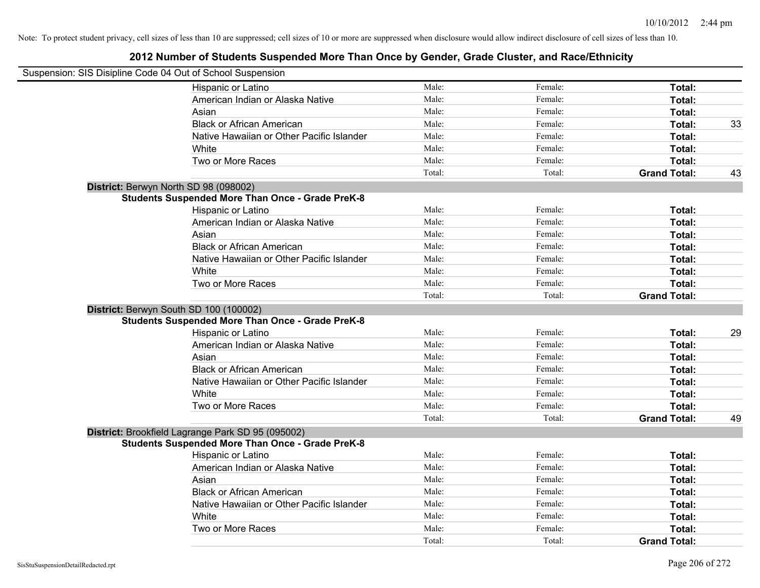| Suspension: SIS Disipline Code 04 Out of School Suspension |        |         |                     |    |
|------------------------------------------------------------|--------|---------|---------------------|----|
| Hispanic or Latino                                         | Male:  | Female: | Total:              |    |
| American Indian or Alaska Native                           | Male:  | Female: | Total:              |    |
| Asian                                                      | Male:  | Female: | Total:              |    |
| <b>Black or African American</b>                           | Male:  | Female: | Total:              | 33 |
| Native Hawaiian or Other Pacific Islander                  | Male:  | Female: | Total:              |    |
| White                                                      | Male:  | Female: | Total:              |    |
| Two or More Races                                          | Male:  | Female: | Total:              |    |
|                                                            | Total: | Total:  | <b>Grand Total:</b> | 43 |
| District: Berwyn North SD 98 (098002)                      |        |         |                     |    |
| <b>Students Suspended More Than Once - Grade PreK-8</b>    |        |         |                     |    |
| Hispanic or Latino                                         | Male:  | Female: | Total:              |    |
| American Indian or Alaska Native                           | Male:  | Female: | Total:              |    |
| Asian                                                      | Male:  | Female: | Total:              |    |
| <b>Black or African American</b>                           | Male:  | Female: | Total:              |    |
| Native Hawaiian or Other Pacific Islander                  | Male:  | Female: | Total:              |    |
| White                                                      | Male:  | Female: | Total:              |    |
| Two or More Races                                          | Male:  | Female: | Total:              |    |
|                                                            | Total: | Total:  | <b>Grand Total:</b> |    |
| District: Berwyn South SD 100 (100002)                     |        |         |                     |    |
| <b>Students Suspended More Than Once - Grade PreK-8</b>    |        |         |                     |    |
| Hispanic or Latino                                         | Male:  | Female: | Total:              | 29 |
| American Indian or Alaska Native                           | Male:  | Female: | Total:              |    |
| Asian                                                      | Male:  | Female: | Total:              |    |
| <b>Black or African American</b>                           | Male:  | Female: | Total:              |    |
| Native Hawaiian or Other Pacific Islander                  | Male:  | Female: | Total:              |    |
| White                                                      | Male:  | Female: | Total:              |    |
| Two or More Races                                          | Male:  | Female: | Total:              |    |
|                                                            | Total: | Total:  | <b>Grand Total:</b> | 49 |
| District: Brookfield Lagrange Park SD 95 (095002)          |        |         |                     |    |
| <b>Students Suspended More Than Once - Grade PreK-8</b>    |        |         |                     |    |
| Hispanic or Latino                                         | Male:  | Female: | Total:              |    |
| American Indian or Alaska Native                           | Male:  | Female: | Total:              |    |
| Asian                                                      | Male:  | Female: | Total:              |    |
| <b>Black or African American</b>                           | Male:  | Female: | Total:              |    |
| Native Hawaiian or Other Pacific Islander                  | Male:  | Female: | Total:              |    |
| White                                                      | Male:  | Female: | Total:              |    |
| Two or More Races                                          | Male:  | Female: | Total:              |    |
|                                                            | Total: | Total:  | <b>Grand Total:</b> |    |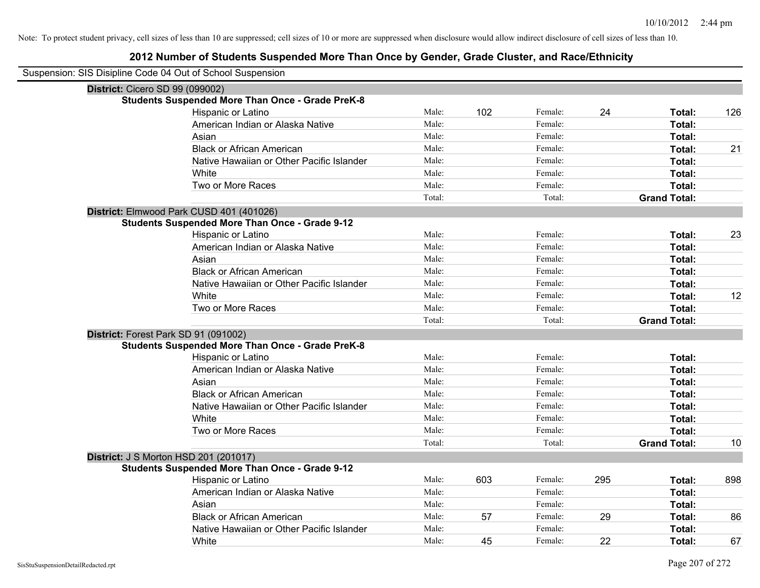| Suspension: SIS Disipline Code 04 Out of School Suspension |        |     |         |     |                     |     |
|------------------------------------------------------------|--------|-----|---------|-----|---------------------|-----|
| District: Cicero SD 99 (099002)                            |        |     |         |     |                     |     |
| <b>Students Suspended More Than Once - Grade PreK-8</b>    |        |     |         |     |                     |     |
| Hispanic or Latino                                         | Male:  | 102 | Female: | 24  | Total:              | 126 |
| American Indian or Alaska Native                           | Male:  |     | Female: |     | Total:              |     |
| Asian                                                      | Male:  |     | Female: |     | Total:              |     |
| <b>Black or African American</b>                           | Male:  |     | Female: |     | Total:              | 21  |
| Native Hawaiian or Other Pacific Islander                  | Male:  |     | Female: |     | Total:              |     |
| White                                                      | Male:  |     | Female: |     | Total:              |     |
| Two or More Races                                          | Male:  |     | Female: |     | Total:              |     |
|                                                            | Total: |     | Total:  |     | <b>Grand Total:</b> |     |
| District: Elmwood Park CUSD 401 (401026)                   |        |     |         |     |                     |     |
| <b>Students Suspended More Than Once - Grade 9-12</b>      |        |     |         |     |                     |     |
| Hispanic or Latino                                         | Male:  |     | Female: |     | Total:              | 23  |
| American Indian or Alaska Native                           | Male:  |     | Female: |     | Total:              |     |
| Asian                                                      | Male:  |     | Female: |     | Total:              |     |
| <b>Black or African American</b>                           | Male:  |     | Female: |     | Total:              |     |
| Native Hawaiian or Other Pacific Islander                  | Male:  |     | Female: |     | Total:              |     |
| White                                                      | Male:  |     | Female: |     | Total:              | 12  |
| Two or More Races                                          | Male:  |     | Female: |     | Total:              |     |
|                                                            | Total: |     | Total:  |     | <b>Grand Total:</b> |     |
| District: Forest Park SD 91 (091002)                       |        |     |         |     |                     |     |
| <b>Students Suspended More Than Once - Grade PreK-8</b>    |        |     |         |     |                     |     |
| Hispanic or Latino                                         | Male:  |     | Female: |     | Total:              |     |
| American Indian or Alaska Native                           | Male:  |     | Female: |     | Total:              |     |
| Asian                                                      | Male:  |     | Female: |     | Total:              |     |
| <b>Black or African American</b>                           | Male:  |     | Female: |     | Total:              |     |
| Native Hawaiian or Other Pacific Islander                  | Male:  |     | Female: |     | Total:              |     |
| White                                                      | Male:  |     | Female: |     | Total:              |     |
| Two or More Races                                          | Male:  |     | Female: |     | Total:              |     |
|                                                            | Total: |     | Total:  |     | <b>Grand Total:</b> | 10  |
| <b>District: J S Morton HSD 201 (201017)</b>               |        |     |         |     |                     |     |
| <b>Students Suspended More Than Once - Grade 9-12</b>      |        |     |         |     |                     |     |
| Hispanic or Latino                                         | Male:  | 603 | Female: | 295 | Total:              | 898 |
| American Indian or Alaska Native                           | Male:  |     | Female: |     | Total:              |     |
| Asian                                                      | Male:  |     | Female: |     | Total:              |     |
| <b>Black or African American</b>                           | Male:  | 57  | Female: | 29  | Total:              | 86  |
| Native Hawaiian or Other Pacific Islander                  | Male:  |     | Female: |     | Total:              |     |
| White                                                      | Male:  | 45  | Female: | 22  | Total:              | 67  |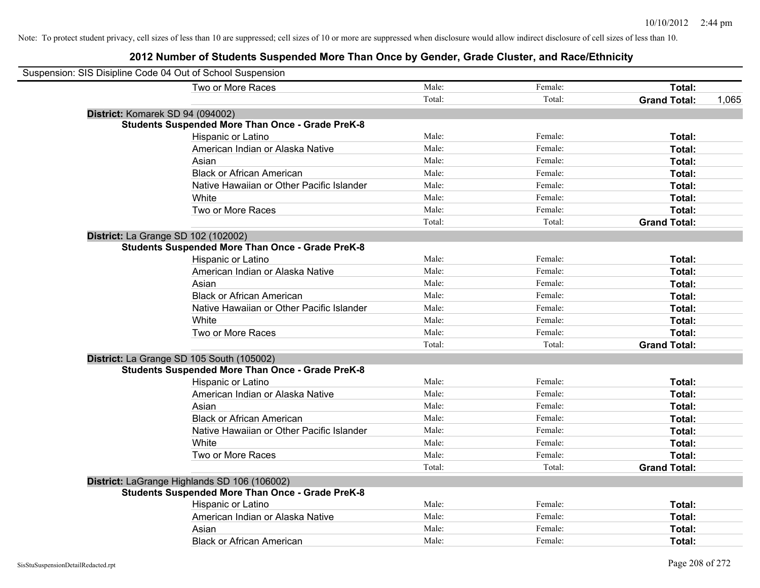| Suspension: SIS Disipline Code 04 Out of School Suspension |                                                         |        |         |                     |       |
|------------------------------------------------------------|---------------------------------------------------------|--------|---------|---------------------|-------|
|                                                            | Two or More Races                                       | Male:  | Female: | Total:              |       |
|                                                            |                                                         | Total: | Total:  | <b>Grand Total:</b> | 1,065 |
| District: Komarek SD 94 (094002)                           |                                                         |        |         |                     |       |
|                                                            | <b>Students Suspended More Than Once - Grade PreK-8</b> |        |         |                     |       |
|                                                            | Hispanic or Latino                                      | Male:  | Female: | Total:              |       |
|                                                            | American Indian or Alaska Native                        | Male:  | Female: | Total:              |       |
|                                                            | Asian                                                   | Male:  | Female: | Total:              |       |
|                                                            | <b>Black or African American</b>                        | Male:  | Female: | Total:              |       |
|                                                            | Native Hawaiian or Other Pacific Islander               | Male:  | Female: | Total:              |       |
|                                                            | White                                                   | Male:  | Female: | Total:              |       |
|                                                            | Two or More Races                                       | Male:  | Female: | Total:              |       |
|                                                            |                                                         | Total: | Total:  | <b>Grand Total:</b> |       |
|                                                            | <b>District:</b> La Grange SD 102 (102002)              |        |         |                     |       |
|                                                            | <b>Students Suspended More Than Once - Grade PreK-8</b> |        |         |                     |       |
|                                                            | Hispanic or Latino                                      | Male:  | Female: | Total:              |       |
|                                                            | American Indian or Alaska Native                        | Male:  | Female: | Total:              |       |
|                                                            | Asian                                                   | Male:  | Female: | Total:              |       |
|                                                            | <b>Black or African American</b>                        | Male:  | Female: | Total:              |       |
|                                                            | Native Hawaiian or Other Pacific Islander               | Male:  | Female: | Total:              |       |
|                                                            | White                                                   | Male:  | Female: | Total:              |       |
|                                                            | Two or More Races                                       | Male:  | Female: | Total:              |       |
|                                                            |                                                         | Total: | Total:  | <b>Grand Total:</b> |       |
|                                                            | District: La Grange SD 105 South (105002)               |        |         |                     |       |
|                                                            | <b>Students Suspended More Than Once - Grade PreK-8</b> |        |         |                     |       |
|                                                            | Hispanic or Latino                                      | Male:  | Female: | Total:              |       |
|                                                            | American Indian or Alaska Native                        | Male:  | Female: | Total:              |       |
|                                                            | Asian                                                   | Male:  | Female: | Total:              |       |
|                                                            | <b>Black or African American</b>                        | Male:  | Female: | Total:              |       |
|                                                            | Native Hawaiian or Other Pacific Islander               | Male:  | Female: | Total:              |       |
|                                                            | White                                                   | Male:  | Female: | Total:              |       |
|                                                            | Two or More Races                                       | Male:  | Female: | Total:              |       |
|                                                            |                                                         | Total: | Total:  | <b>Grand Total:</b> |       |
|                                                            | District: LaGrange Highlands SD 106 (106002)            |        |         |                     |       |
|                                                            | <b>Students Suspended More Than Once - Grade PreK-8</b> |        |         |                     |       |
|                                                            | Hispanic or Latino                                      | Male:  | Female: | Total:              |       |
|                                                            | American Indian or Alaska Native                        | Male:  | Female: | Total:              |       |
|                                                            | Asian                                                   | Male:  | Female: | Total:              |       |
|                                                            | <b>Black or African American</b>                        | Male:  | Female: | Total:              |       |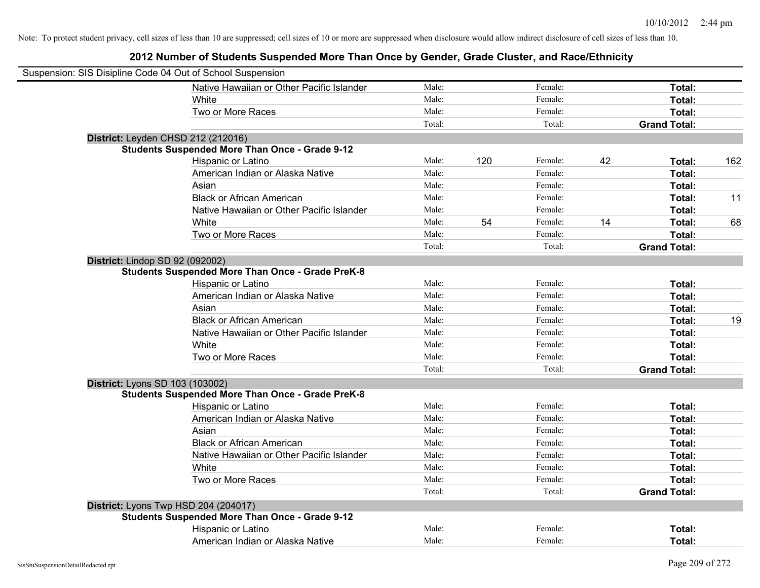| Suspension: SIS Disipline Code 04 Out of School Suspension |                                                         |        |     |         |    |                     |     |
|------------------------------------------------------------|---------------------------------------------------------|--------|-----|---------|----|---------------------|-----|
|                                                            | Native Hawaiian or Other Pacific Islander               | Male:  |     | Female: |    | Total:              |     |
|                                                            | White                                                   | Male:  |     | Female: |    | Total:              |     |
|                                                            | Two or More Races                                       | Male:  |     | Female: |    | Total:              |     |
|                                                            |                                                         | Total: |     | Total:  |    | <b>Grand Total:</b> |     |
| District: Leyden CHSD 212 (212016)                         |                                                         |        |     |         |    |                     |     |
|                                                            | <b>Students Suspended More Than Once - Grade 9-12</b>   |        |     |         |    |                     |     |
|                                                            | Hispanic or Latino                                      | Male:  | 120 | Female: | 42 | Total:              | 162 |
|                                                            | American Indian or Alaska Native                        | Male:  |     | Female: |    | Total:              |     |
|                                                            | Asian                                                   | Male:  |     | Female: |    | Total:              |     |
|                                                            | <b>Black or African American</b>                        | Male:  |     | Female: |    | Total:              | 11  |
|                                                            | Native Hawaiian or Other Pacific Islander               | Male:  |     | Female: |    | Total:              |     |
|                                                            | White                                                   | Male:  | 54  | Female: | 14 | Total:              | 68  |
|                                                            | Two or More Races                                       | Male:  |     | Female: |    | Total:              |     |
|                                                            |                                                         | Total: |     | Total:  |    | <b>Grand Total:</b> |     |
| District: Lindop SD 92 (092002)                            |                                                         |        |     |         |    |                     |     |
|                                                            | <b>Students Suspended More Than Once - Grade PreK-8</b> |        |     |         |    |                     |     |
|                                                            | Hispanic or Latino                                      | Male:  |     | Female: |    | Total:              |     |
|                                                            | American Indian or Alaska Native                        | Male:  |     | Female: |    | Total:              |     |
|                                                            | Asian                                                   | Male:  |     | Female: |    | Total:              |     |
|                                                            | <b>Black or African American</b>                        | Male:  |     | Female: |    | Total:              | 19  |
|                                                            | Native Hawaiian or Other Pacific Islander               | Male:  |     | Female: |    | Total:              |     |
|                                                            | White                                                   | Male:  |     | Female: |    | Total:              |     |
|                                                            | Two or More Races                                       | Male:  |     | Female: |    | Total:              |     |
|                                                            |                                                         | Total: |     | Total:  |    | <b>Grand Total:</b> |     |
| District: Lyons SD 103 (103002)                            |                                                         |        |     |         |    |                     |     |
|                                                            | <b>Students Suspended More Than Once - Grade PreK-8</b> |        |     |         |    |                     |     |
|                                                            | Hispanic or Latino                                      | Male:  |     | Female: |    | Total:              |     |
|                                                            | American Indian or Alaska Native                        | Male:  |     | Female: |    | Total:              |     |
|                                                            | Asian                                                   | Male:  |     | Female: |    | Total:              |     |
|                                                            | <b>Black or African American</b>                        | Male:  |     | Female: |    | Total:              |     |
|                                                            | Native Hawaiian or Other Pacific Islander               | Male:  |     | Female: |    | Total:              |     |
|                                                            | White                                                   | Male:  |     | Female: |    | Total:              |     |
|                                                            | Two or More Races                                       | Male:  |     | Female: |    | Total:              |     |
|                                                            |                                                         | Total: |     | Total:  |    | <b>Grand Total:</b> |     |
|                                                            | District: Lyons Twp HSD 204 (204017)                    |        |     |         |    |                     |     |
|                                                            | <b>Students Suspended More Than Once - Grade 9-12</b>   |        |     |         |    |                     |     |
|                                                            | Hispanic or Latino                                      | Male:  |     | Female: |    | Total:              |     |
|                                                            | American Indian or Alaska Native                        | Male:  |     | Female: |    | Total:              |     |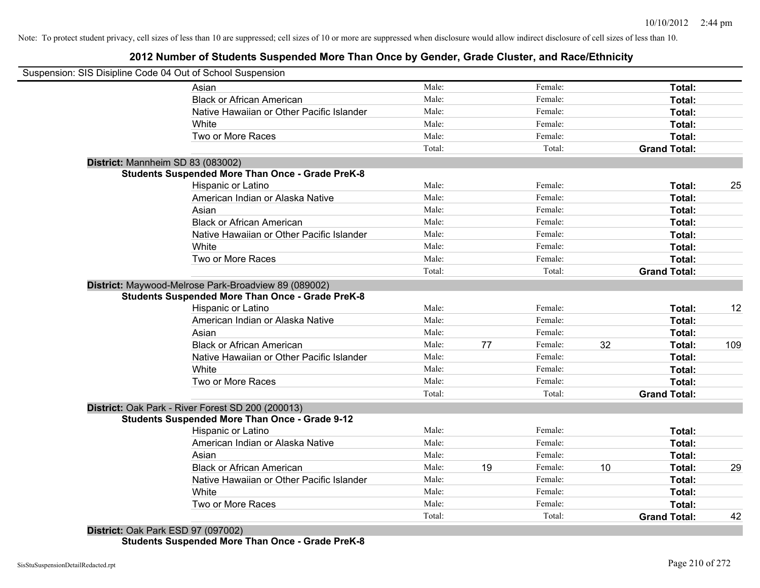### **2012 Number of Students Suspended More Than Once by Gender, Grade Cluster, and Race/Ethnicity**

| Suspension: SIS Disipline Code 04 Out of School Suspension                                                      |        |    |         |    |                     |     |
|-----------------------------------------------------------------------------------------------------------------|--------|----|---------|----|---------------------|-----|
| Asian                                                                                                           | Male:  |    | Female: |    | Total:              |     |
| <b>Black or African American</b>                                                                                | Male:  |    | Female: |    | Total:              |     |
| Native Hawaiian or Other Pacific Islander                                                                       | Male:  |    | Female: |    | Total:              |     |
| White                                                                                                           | Male:  |    | Female: |    | Total:              |     |
| Two or More Races                                                                                               | Male:  |    | Female: |    | Total:              |     |
|                                                                                                                 | Total: |    | Total:  |    | <b>Grand Total:</b> |     |
| District: Mannheim SD 83 (083002)                                                                               |        |    |         |    |                     |     |
| <b>Students Suspended More Than Once - Grade PreK-8</b>                                                         |        |    |         |    |                     |     |
| Hispanic or Latino                                                                                              | Male:  |    | Female: |    | Total:              | 25  |
| American Indian or Alaska Native                                                                                | Male:  |    | Female: |    | Total:              |     |
| Asian                                                                                                           | Male:  |    | Female: |    | Total:              |     |
| <b>Black or African American</b>                                                                                | Male:  |    | Female: |    | Total:              |     |
| Native Hawaiian or Other Pacific Islander                                                                       | Male:  |    | Female: |    | Total:              |     |
| White                                                                                                           | Male:  |    | Female: |    | Total:              |     |
| Two or More Races                                                                                               | Male:  |    | Female: |    | Total:              |     |
|                                                                                                                 | Total: |    | Total:  |    | <b>Grand Total:</b> |     |
| District: Maywood-Melrose Park-Broadview 89 (089002)<br><b>Students Suspended More Than Once - Grade PreK-8</b> |        |    |         |    |                     |     |
| Hispanic or Latino                                                                                              | Male:  |    | Female: |    | Total:              | 12  |
| American Indian or Alaska Native                                                                                | Male:  |    | Female: |    | Total:              |     |
| Asian                                                                                                           | Male:  |    | Female: |    | Total:              |     |
| <b>Black or African American</b>                                                                                | Male:  | 77 | Female: | 32 | Total:              | 109 |
| Native Hawaiian or Other Pacific Islander                                                                       | Male:  |    | Female: |    | Total:              |     |
| White                                                                                                           | Male:  |    | Female: |    | Total:              |     |
| Two or More Races                                                                                               | Male:  |    | Female: |    | Total:              |     |
|                                                                                                                 | Total: |    | Total:  |    | <b>Grand Total:</b> |     |
| District: Oak Park - River Forest SD 200 (200013)<br><b>Students Suspended More Than Once - Grade 9-12</b>      |        |    |         |    |                     |     |
| Hispanic or Latino                                                                                              | Male:  |    | Female: |    | Total:              |     |
| American Indian or Alaska Native                                                                                | Male:  |    | Female: |    | Total:              |     |
| Asian                                                                                                           | Male:  |    | Female: |    | Total:              |     |
| <b>Black or African American</b>                                                                                | Male:  | 19 | Female: | 10 | Total:              | 29  |
| Native Hawaiian or Other Pacific Islander                                                                       | Male:  |    | Female: |    | Total:              |     |
| White                                                                                                           | Male:  |    | Female: |    | Total:              |     |
| Two or More Races                                                                                               | Male:  |    | Female: |    | Total:              |     |
|                                                                                                                 | Total: |    | Total:  |    | <b>Grand Total:</b> | 42  |
| District: Oak Park ESD 97 (097002)                                                                              |        |    |         |    |                     |     |

**Students Suspended More Than Once - Grade PreK-8**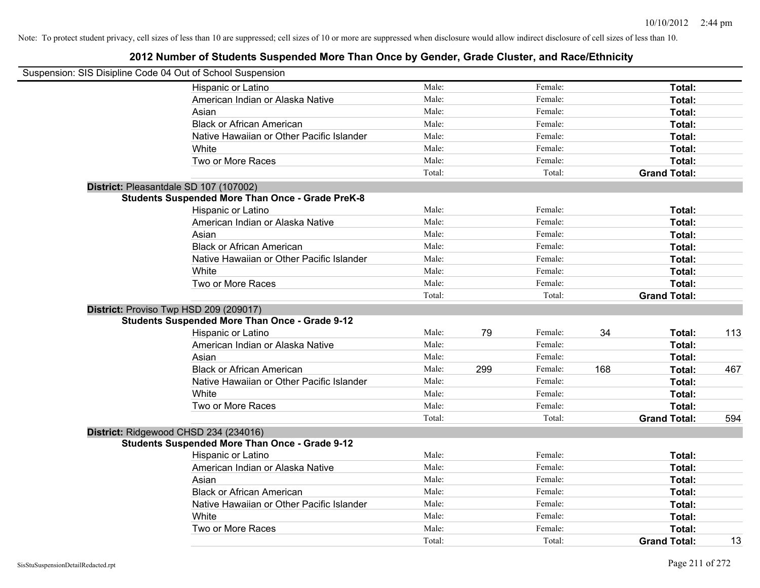| Suspension: SIS Disipline Code 04 Out of School Suspension |        |     |         |     |                     |     |
|------------------------------------------------------------|--------|-----|---------|-----|---------------------|-----|
| Hispanic or Latino                                         | Male:  |     | Female: |     | Total:              |     |
| American Indian or Alaska Native                           | Male:  |     | Female: |     | Total:              |     |
| Asian                                                      | Male:  |     | Female: |     | Total:              |     |
| <b>Black or African American</b>                           | Male:  |     | Female: |     | Total:              |     |
| Native Hawaiian or Other Pacific Islander                  | Male:  |     | Female: |     | Total:              |     |
| White                                                      | Male:  |     | Female: |     | Total:              |     |
| Two or More Races                                          | Male:  |     | Female: |     | Total:              |     |
|                                                            | Total: |     | Total:  |     | <b>Grand Total:</b> |     |
| District: Pleasantdale SD 107 (107002)                     |        |     |         |     |                     |     |
| <b>Students Suspended More Than Once - Grade PreK-8</b>    |        |     |         |     |                     |     |
| Hispanic or Latino                                         | Male:  |     | Female: |     | Total:              |     |
| American Indian or Alaska Native                           | Male:  |     | Female: |     | Total:              |     |
| Asian                                                      | Male:  |     | Female: |     | Total:              |     |
| <b>Black or African American</b>                           | Male:  |     | Female: |     | Total:              |     |
| Native Hawaiian or Other Pacific Islander                  | Male:  |     | Female: |     | Total:              |     |
| White                                                      | Male:  |     | Female: |     | Total:              |     |
| Two or More Races                                          | Male:  |     | Female: |     | Total:              |     |
|                                                            | Total: |     | Total:  |     | <b>Grand Total:</b> |     |
| District: Proviso Twp HSD 209 (209017)                     |        |     |         |     |                     |     |
| <b>Students Suspended More Than Once - Grade 9-12</b>      |        |     |         |     |                     |     |
| Hispanic or Latino                                         | Male:  | 79  | Female: | 34  | Total:              | 113 |
| American Indian or Alaska Native                           | Male:  |     | Female: |     | Total:              |     |
| Asian                                                      | Male:  |     | Female: |     | Total:              |     |
| <b>Black or African American</b>                           | Male:  | 299 | Female: | 168 | Total:              | 467 |
| Native Hawaiian or Other Pacific Islander                  | Male:  |     | Female: |     | Total:              |     |
| White                                                      | Male:  |     | Female: |     | Total:              |     |
| Two or More Races                                          | Male:  |     | Female: |     | Total:              |     |
|                                                            | Total: |     | Total:  |     | <b>Grand Total:</b> | 594 |
| District: Ridgewood CHSD 234 (234016)                      |        |     |         |     |                     |     |
| <b>Students Suspended More Than Once - Grade 9-12</b>      |        |     |         |     |                     |     |
| Hispanic or Latino                                         | Male:  |     | Female: |     | Total:              |     |
| American Indian or Alaska Native                           | Male:  |     | Female: |     | Total:              |     |
| Asian                                                      | Male:  |     | Female: |     | Total:              |     |
| <b>Black or African American</b>                           | Male:  |     | Female: |     | Total:              |     |
| Native Hawaiian or Other Pacific Islander                  | Male:  |     | Female: |     | Total:              |     |
| White                                                      | Male:  |     | Female: |     | Total:              |     |
| Two or More Races                                          | Male:  |     | Female: |     | Total:              |     |
|                                                            | Total: |     | Total:  |     | <b>Grand Total:</b> | 13  |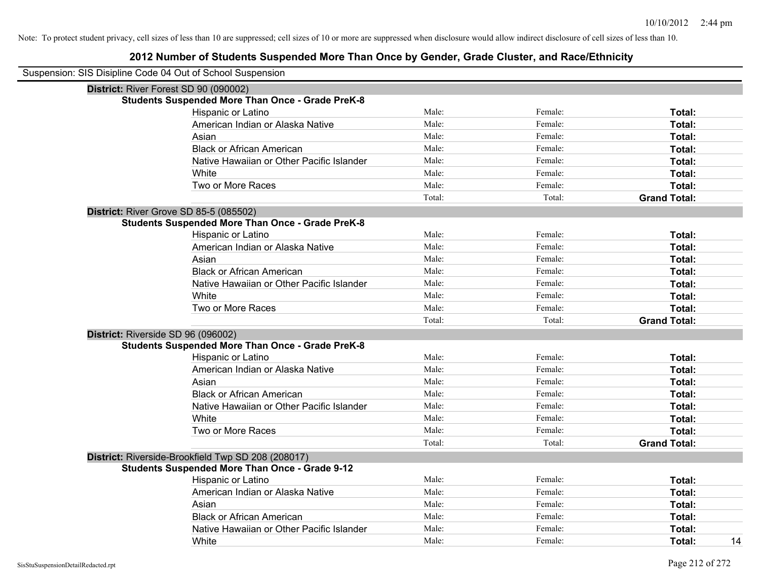| Suspension: SIS Disipline Code 04 Out of School Suspension |                                                         |        |         |                     |
|------------------------------------------------------------|---------------------------------------------------------|--------|---------|---------------------|
| District: River Forest SD 90 (090002)                      |                                                         |        |         |                     |
|                                                            | <b>Students Suspended More Than Once - Grade PreK-8</b> |        |         |                     |
|                                                            | Hispanic or Latino                                      | Male:  | Female: | Total:              |
|                                                            | American Indian or Alaska Native                        | Male:  | Female: | Total:              |
|                                                            | Asian                                                   | Male:  | Female: | Total:              |
|                                                            | <b>Black or African American</b>                        | Male:  | Female: | Total:              |
|                                                            | Native Hawaiian or Other Pacific Islander               | Male:  | Female: | Total:              |
|                                                            | White                                                   | Male:  | Female: | Total:              |
|                                                            | Two or More Races                                       | Male:  | Female: | Total:              |
|                                                            |                                                         | Total: | Total:  | <b>Grand Total:</b> |
| District: River Grove SD 85-5 (085502)                     |                                                         |        |         |                     |
|                                                            | <b>Students Suspended More Than Once - Grade PreK-8</b> |        |         |                     |
|                                                            | Hispanic or Latino                                      | Male:  | Female: | Total:              |
|                                                            | American Indian or Alaska Native                        | Male:  | Female: | Total:              |
|                                                            | Asian                                                   | Male:  | Female: | Total:              |
|                                                            | <b>Black or African American</b>                        | Male:  | Female: | Total:              |
|                                                            | Native Hawaiian or Other Pacific Islander               | Male:  | Female: | Total:              |
|                                                            | White                                                   | Male:  | Female: | Total:              |
|                                                            | Two or More Races                                       | Male:  | Female: | Total:              |
|                                                            |                                                         | Total: | Total:  | <b>Grand Total:</b> |
| District: Riverside SD 96 (096002)                         |                                                         |        |         |                     |
|                                                            | <b>Students Suspended More Than Once - Grade PreK-8</b> |        |         |                     |
|                                                            | Hispanic or Latino                                      | Male:  | Female: | Total:              |
|                                                            | American Indian or Alaska Native                        | Male:  | Female: | Total:              |
|                                                            | Asian                                                   | Male:  | Female: | Total:              |
|                                                            | <b>Black or African American</b>                        | Male:  | Female: | Total:              |
|                                                            | Native Hawaiian or Other Pacific Islander               | Male:  | Female: | Total:              |
|                                                            | White                                                   | Male:  | Female: | Total:              |
|                                                            | Two or More Races                                       | Male:  | Female: | Total:              |
|                                                            |                                                         | Total: | Total:  | <b>Grand Total:</b> |
|                                                            | District: Riverside-Brookfield Twp SD 208 (208017)      |        |         |                     |
|                                                            | <b>Students Suspended More Than Once - Grade 9-12</b>   |        |         |                     |
|                                                            | Hispanic or Latino                                      | Male:  | Female: | Total:              |
|                                                            | American Indian or Alaska Native                        | Male:  | Female: | Total:              |
|                                                            | Asian                                                   | Male:  | Female: | Total:              |
|                                                            | <b>Black or African American</b>                        | Male:  | Female: | Total:              |
|                                                            | Native Hawaiian or Other Pacific Islander               | Male:  | Female: | Total:              |
|                                                            | White                                                   | Male:  | Female: | 14<br>Total:        |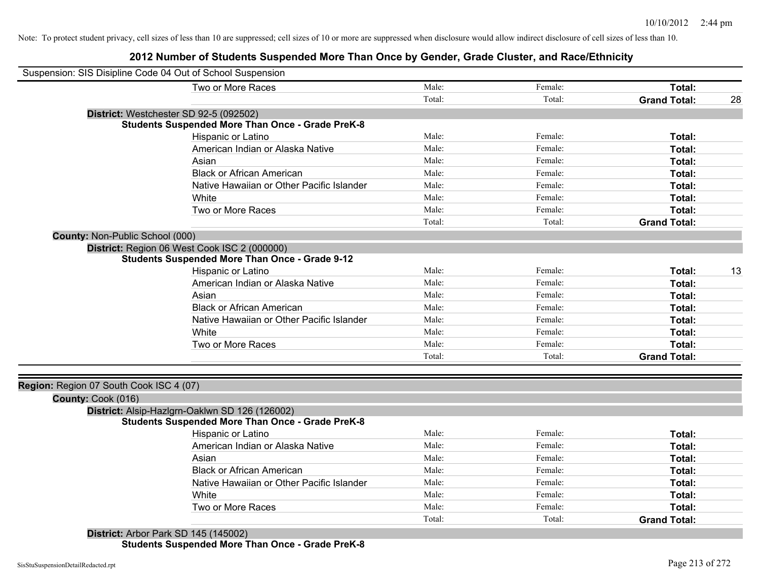### **2012 Number of Students Suspended More Than Once by Gender, Grade Cluster, and Race/Ethnicity**

| Two or More Races<br>Male:<br>Total:<br>Female:<br>Total:<br>Total:<br><b>Grand Total:</b><br>28<br>District: Westchester SD 92-5 (092502)<br><b>Students Suspended More Than Once - Grade PreK-8</b><br>Hispanic or Latino<br>Male:<br>Female:<br>Total:<br>American Indian or Alaska Native<br>Male:<br>Female:<br>Total:<br>Asian<br>Male:<br>Female:<br>Total:<br><b>Black or African American</b><br>Male:<br>Female:<br>Total:<br>Native Hawaiian or Other Pacific Islander<br>Male:<br>Female:<br>Total:<br>Male:<br>Female:<br>White<br>Total:<br>Two or More Races<br>Male:<br>Female:<br>Total:<br>Total:<br>Total:<br><b>Grand Total:</b><br>County: Non-Public School (000)<br>District: Region 06 West Cook ISC 2 (000000)<br><b>Students Suspended More Than Once - Grade 9-12</b><br>Hispanic or Latino<br>Male:<br>Female:<br>13<br>Total:<br>Male:<br>American Indian or Alaska Native<br>Female:<br>Total:<br>Male:<br>Asian<br>Female:<br>Total:<br>Male:<br><b>Black or African American</b><br>Female:<br>Total:<br>Male:<br>Native Hawaiian or Other Pacific Islander<br>Female:<br>Total:<br>Male:<br>White<br>Female:<br>Total:<br>Two or More Races<br>Male:<br>Female:<br>Total:<br>Total:<br>Total:<br><b>Grand Total:</b><br>Region: Region 07 South Cook ISC 4 (07)<br>County: Cook (016)<br>District: Alsip-Hazlgrn-Oaklwn SD 126 (126002)<br><b>Students Suspended More Than Once - Grade PreK-8</b><br>Hispanic or Latino<br>Male:<br>Female:<br>Total:<br>Male:<br>American Indian or Alaska Native<br>Female:<br>Total:<br>Male:<br>Female:<br>Asian<br>Total:<br>Male:<br><b>Black or African American</b><br>Female:<br>Total:<br>Male:<br>Female:<br>Native Hawaiian or Other Pacific Islander<br>Total:<br>White<br>Male:<br>Female:<br>Total:<br>Two or More Races<br>Male:<br>Total:<br>Female:<br>Total:<br>Total:<br><b>Grand Total:</b> | Suspension: SIS Disipline Code 04 Out of School Suspension |  |  |  |
|------------------------------------------------------------------------------------------------------------------------------------------------------------------------------------------------------------------------------------------------------------------------------------------------------------------------------------------------------------------------------------------------------------------------------------------------------------------------------------------------------------------------------------------------------------------------------------------------------------------------------------------------------------------------------------------------------------------------------------------------------------------------------------------------------------------------------------------------------------------------------------------------------------------------------------------------------------------------------------------------------------------------------------------------------------------------------------------------------------------------------------------------------------------------------------------------------------------------------------------------------------------------------------------------------------------------------------------------------------------------------------------------------------------------------------------------------------------------------------------------------------------------------------------------------------------------------------------------------------------------------------------------------------------------------------------------------------------------------------------------------------------------------------------------------------------------------------------------------------------------------------|------------------------------------------------------------|--|--|--|
|                                                                                                                                                                                                                                                                                                                                                                                                                                                                                                                                                                                                                                                                                                                                                                                                                                                                                                                                                                                                                                                                                                                                                                                                                                                                                                                                                                                                                                                                                                                                                                                                                                                                                                                                                                                                                                                                                    |                                                            |  |  |  |
|                                                                                                                                                                                                                                                                                                                                                                                                                                                                                                                                                                                                                                                                                                                                                                                                                                                                                                                                                                                                                                                                                                                                                                                                                                                                                                                                                                                                                                                                                                                                                                                                                                                                                                                                                                                                                                                                                    |                                                            |  |  |  |
|                                                                                                                                                                                                                                                                                                                                                                                                                                                                                                                                                                                                                                                                                                                                                                                                                                                                                                                                                                                                                                                                                                                                                                                                                                                                                                                                                                                                                                                                                                                                                                                                                                                                                                                                                                                                                                                                                    |                                                            |  |  |  |
|                                                                                                                                                                                                                                                                                                                                                                                                                                                                                                                                                                                                                                                                                                                                                                                                                                                                                                                                                                                                                                                                                                                                                                                                                                                                                                                                                                                                                                                                                                                                                                                                                                                                                                                                                                                                                                                                                    |                                                            |  |  |  |
|                                                                                                                                                                                                                                                                                                                                                                                                                                                                                                                                                                                                                                                                                                                                                                                                                                                                                                                                                                                                                                                                                                                                                                                                                                                                                                                                                                                                                                                                                                                                                                                                                                                                                                                                                                                                                                                                                    |                                                            |  |  |  |
|                                                                                                                                                                                                                                                                                                                                                                                                                                                                                                                                                                                                                                                                                                                                                                                                                                                                                                                                                                                                                                                                                                                                                                                                                                                                                                                                                                                                                                                                                                                                                                                                                                                                                                                                                                                                                                                                                    |                                                            |  |  |  |
|                                                                                                                                                                                                                                                                                                                                                                                                                                                                                                                                                                                                                                                                                                                                                                                                                                                                                                                                                                                                                                                                                                                                                                                                                                                                                                                                                                                                                                                                                                                                                                                                                                                                                                                                                                                                                                                                                    |                                                            |  |  |  |
|                                                                                                                                                                                                                                                                                                                                                                                                                                                                                                                                                                                                                                                                                                                                                                                                                                                                                                                                                                                                                                                                                                                                                                                                                                                                                                                                                                                                                                                                                                                                                                                                                                                                                                                                                                                                                                                                                    |                                                            |  |  |  |
|                                                                                                                                                                                                                                                                                                                                                                                                                                                                                                                                                                                                                                                                                                                                                                                                                                                                                                                                                                                                                                                                                                                                                                                                                                                                                                                                                                                                                                                                                                                                                                                                                                                                                                                                                                                                                                                                                    |                                                            |  |  |  |
|                                                                                                                                                                                                                                                                                                                                                                                                                                                                                                                                                                                                                                                                                                                                                                                                                                                                                                                                                                                                                                                                                                                                                                                                                                                                                                                                                                                                                                                                                                                                                                                                                                                                                                                                                                                                                                                                                    |                                                            |  |  |  |
|                                                                                                                                                                                                                                                                                                                                                                                                                                                                                                                                                                                                                                                                                                                                                                                                                                                                                                                                                                                                                                                                                                                                                                                                                                                                                                                                                                                                                                                                                                                                                                                                                                                                                                                                                                                                                                                                                    |                                                            |  |  |  |
|                                                                                                                                                                                                                                                                                                                                                                                                                                                                                                                                                                                                                                                                                                                                                                                                                                                                                                                                                                                                                                                                                                                                                                                                                                                                                                                                                                                                                                                                                                                                                                                                                                                                                                                                                                                                                                                                                    |                                                            |  |  |  |
|                                                                                                                                                                                                                                                                                                                                                                                                                                                                                                                                                                                                                                                                                                                                                                                                                                                                                                                                                                                                                                                                                                                                                                                                                                                                                                                                                                                                                                                                                                                                                                                                                                                                                                                                                                                                                                                                                    |                                                            |  |  |  |
|                                                                                                                                                                                                                                                                                                                                                                                                                                                                                                                                                                                                                                                                                                                                                                                                                                                                                                                                                                                                                                                                                                                                                                                                                                                                                                                                                                                                                                                                                                                                                                                                                                                                                                                                                                                                                                                                                    |                                                            |  |  |  |
|                                                                                                                                                                                                                                                                                                                                                                                                                                                                                                                                                                                                                                                                                                                                                                                                                                                                                                                                                                                                                                                                                                                                                                                                                                                                                                                                                                                                                                                                                                                                                                                                                                                                                                                                                                                                                                                                                    |                                                            |  |  |  |
|                                                                                                                                                                                                                                                                                                                                                                                                                                                                                                                                                                                                                                                                                                                                                                                                                                                                                                                                                                                                                                                                                                                                                                                                                                                                                                                                                                                                                                                                                                                                                                                                                                                                                                                                                                                                                                                                                    |                                                            |  |  |  |
|                                                                                                                                                                                                                                                                                                                                                                                                                                                                                                                                                                                                                                                                                                                                                                                                                                                                                                                                                                                                                                                                                                                                                                                                                                                                                                                                                                                                                                                                                                                                                                                                                                                                                                                                                                                                                                                                                    |                                                            |  |  |  |
|                                                                                                                                                                                                                                                                                                                                                                                                                                                                                                                                                                                                                                                                                                                                                                                                                                                                                                                                                                                                                                                                                                                                                                                                                                                                                                                                                                                                                                                                                                                                                                                                                                                                                                                                                                                                                                                                                    |                                                            |  |  |  |
|                                                                                                                                                                                                                                                                                                                                                                                                                                                                                                                                                                                                                                                                                                                                                                                                                                                                                                                                                                                                                                                                                                                                                                                                                                                                                                                                                                                                                                                                                                                                                                                                                                                                                                                                                                                                                                                                                    |                                                            |  |  |  |
|                                                                                                                                                                                                                                                                                                                                                                                                                                                                                                                                                                                                                                                                                                                                                                                                                                                                                                                                                                                                                                                                                                                                                                                                                                                                                                                                                                                                                                                                                                                                                                                                                                                                                                                                                                                                                                                                                    |                                                            |  |  |  |
|                                                                                                                                                                                                                                                                                                                                                                                                                                                                                                                                                                                                                                                                                                                                                                                                                                                                                                                                                                                                                                                                                                                                                                                                                                                                                                                                                                                                                                                                                                                                                                                                                                                                                                                                                                                                                                                                                    |                                                            |  |  |  |
|                                                                                                                                                                                                                                                                                                                                                                                                                                                                                                                                                                                                                                                                                                                                                                                                                                                                                                                                                                                                                                                                                                                                                                                                                                                                                                                                                                                                                                                                                                                                                                                                                                                                                                                                                                                                                                                                                    |                                                            |  |  |  |
|                                                                                                                                                                                                                                                                                                                                                                                                                                                                                                                                                                                                                                                                                                                                                                                                                                                                                                                                                                                                                                                                                                                                                                                                                                                                                                                                                                                                                                                                                                                                                                                                                                                                                                                                                                                                                                                                                    |                                                            |  |  |  |
|                                                                                                                                                                                                                                                                                                                                                                                                                                                                                                                                                                                                                                                                                                                                                                                                                                                                                                                                                                                                                                                                                                                                                                                                                                                                                                                                                                                                                                                                                                                                                                                                                                                                                                                                                                                                                                                                                    |                                                            |  |  |  |
|                                                                                                                                                                                                                                                                                                                                                                                                                                                                                                                                                                                                                                                                                                                                                                                                                                                                                                                                                                                                                                                                                                                                                                                                                                                                                                                                                                                                                                                                                                                                                                                                                                                                                                                                                                                                                                                                                    |                                                            |  |  |  |
|                                                                                                                                                                                                                                                                                                                                                                                                                                                                                                                                                                                                                                                                                                                                                                                                                                                                                                                                                                                                                                                                                                                                                                                                                                                                                                                                                                                                                                                                                                                                                                                                                                                                                                                                                                                                                                                                                    |                                                            |  |  |  |
|                                                                                                                                                                                                                                                                                                                                                                                                                                                                                                                                                                                                                                                                                                                                                                                                                                                                                                                                                                                                                                                                                                                                                                                                                                                                                                                                                                                                                                                                                                                                                                                                                                                                                                                                                                                                                                                                                    |                                                            |  |  |  |
|                                                                                                                                                                                                                                                                                                                                                                                                                                                                                                                                                                                                                                                                                                                                                                                                                                                                                                                                                                                                                                                                                                                                                                                                                                                                                                                                                                                                                                                                                                                                                                                                                                                                                                                                                                                                                                                                                    |                                                            |  |  |  |
|                                                                                                                                                                                                                                                                                                                                                                                                                                                                                                                                                                                                                                                                                                                                                                                                                                                                                                                                                                                                                                                                                                                                                                                                                                                                                                                                                                                                                                                                                                                                                                                                                                                                                                                                                                                                                                                                                    |                                                            |  |  |  |
|                                                                                                                                                                                                                                                                                                                                                                                                                                                                                                                                                                                                                                                                                                                                                                                                                                                                                                                                                                                                                                                                                                                                                                                                                                                                                                                                                                                                                                                                                                                                                                                                                                                                                                                                                                                                                                                                                    |                                                            |  |  |  |
|                                                                                                                                                                                                                                                                                                                                                                                                                                                                                                                                                                                                                                                                                                                                                                                                                                                                                                                                                                                                                                                                                                                                                                                                                                                                                                                                                                                                                                                                                                                                                                                                                                                                                                                                                                                                                                                                                    |                                                            |  |  |  |
|                                                                                                                                                                                                                                                                                                                                                                                                                                                                                                                                                                                                                                                                                                                                                                                                                                                                                                                                                                                                                                                                                                                                                                                                                                                                                                                                                                                                                                                                                                                                                                                                                                                                                                                                                                                                                                                                                    |                                                            |  |  |  |
|                                                                                                                                                                                                                                                                                                                                                                                                                                                                                                                                                                                                                                                                                                                                                                                                                                                                                                                                                                                                                                                                                                                                                                                                                                                                                                                                                                                                                                                                                                                                                                                                                                                                                                                                                                                                                                                                                    |                                                            |  |  |  |
|                                                                                                                                                                                                                                                                                                                                                                                                                                                                                                                                                                                                                                                                                                                                                                                                                                                                                                                                                                                                                                                                                                                                                                                                                                                                                                                                                                                                                                                                                                                                                                                                                                                                                                                                                                                                                                                                                    |                                                            |  |  |  |
|                                                                                                                                                                                                                                                                                                                                                                                                                                                                                                                                                                                                                                                                                                                                                                                                                                                                                                                                                                                                                                                                                                                                                                                                                                                                                                                                                                                                                                                                                                                                                                                                                                                                                                                                                                                                                                                                                    |                                                            |  |  |  |
|                                                                                                                                                                                                                                                                                                                                                                                                                                                                                                                                                                                                                                                                                                                                                                                                                                                                                                                                                                                                                                                                                                                                                                                                                                                                                                                                                                                                                                                                                                                                                                                                                                                                                                                                                                                                                                                                                    |                                                            |  |  |  |

**District:** Arbor Park SD 145 (145002) **Students Suspended More Than Once - Grade PreK-8**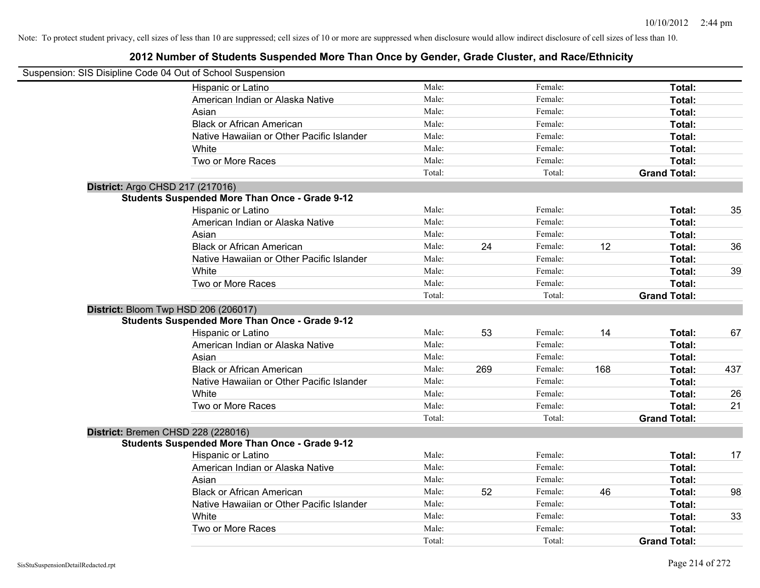| Suspension: SIS Disipline Code 04 Out of School Suspension |        |     |         |     |                     |     |
|------------------------------------------------------------|--------|-----|---------|-----|---------------------|-----|
| Hispanic or Latino                                         | Male:  |     | Female: |     | Total:              |     |
| American Indian or Alaska Native                           | Male:  |     | Female: |     | Total:              |     |
| Asian                                                      | Male:  |     | Female: |     | Total:              |     |
| <b>Black or African American</b>                           | Male:  |     | Female: |     | Total:              |     |
| Native Hawaiian or Other Pacific Islander                  | Male:  |     | Female: |     | Total:              |     |
| White                                                      | Male:  |     | Female: |     | Total:              |     |
| Two or More Races                                          | Male:  |     | Female: |     | Total:              |     |
|                                                            | Total: |     | Total:  |     | <b>Grand Total:</b> |     |
| District: Argo CHSD 217 (217016)                           |        |     |         |     |                     |     |
| <b>Students Suspended More Than Once - Grade 9-12</b>      |        |     |         |     |                     |     |
| Hispanic or Latino                                         | Male:  |     | Female: |     | Total:              | 35  |
| American Indian or Alaska Native                           | Male:  |     | Female: |     | Total:              |     |
| Asian                                                      | Male:  |     | Female: |     | Total:              |     |
| <b>Black or African American</b>                           | Male:  | 24  | Female: | 12  | Total:              | 36  |
| Native Hawaiian or Other Pacific Islander                  | Male:  |     | Female: |     | Total:              |     |
| White                                                      | Male:  |     | Female: |     | Total:              | 39  |
| Two or More Races                                          | Male:  |     | Female: |     | Total:              |     |
|                                                            | Total: |     | Total:  |     | <b>Grand Total:</b> |     |
| District: Bloom Twp HSD 206 (206017)                       |        |     |         |     |                     |     |
| <b>Students Suspended More Than Once - Grade 9-12</b>      |        |     |         |     |                     |     |
| Hispanic or Latino                                         | Male:  | 53  | Female: | 14  | Total:              | 67  |
| American Indian or Alaska Native                           | Male:  |     | Female: |     | Total:              |     |
| Asian                                                      | Male:  |     | Female: |     | Total:              |     |
| <b>Black or African American</b>                           | Male:  | 269 | Female: | 168 | Total:              | 437 |
| Native Hawaiian or Other Pacific Islander                  | Male:  |     | Female: |     | Total:              |     |
| White                                                      | Male:  |     | Female: |     | Total:              | 26  |
| Two or More Races                                          | Male:  |     | Female: |     | Total:              | 21  |
|                                                            | Total: |     | Total:  |     | <b>Grand Total:</b> |     |
| District: Bremen CHSD 228 (228016)                         |        |     |         |     |                     |     |
| <b>Students Suspended More Than Once - Grade 9-12</b>      |        |     |         |     |                     |     |
| Hispanic or Latino                                         | Male:  |     | Female: |     | Total:              | 17  |
| American Indian or Alaska Native                           | Male:  |     | Female: |     | Total:              |     |
| Asian                                                      | Male:  |     | Female: |     | Total:              |     |
| <b>Black or African American</b>                           | Male:  | 52  | Female: | 46  | Total:              | 98  |
| Native Hawaiian or Other Pacific Islander                  | Male:  |     | Female: |     | Total:              |     |
| White                                                      | Male:  |     | Female: |     | Total:              | 33  |
| Two or More Races                                          | Male:  |     | Female: |     | Total:              |     |
|                                                            | Total: |     | Total:  |     | <b>Grand Total:</b> |     |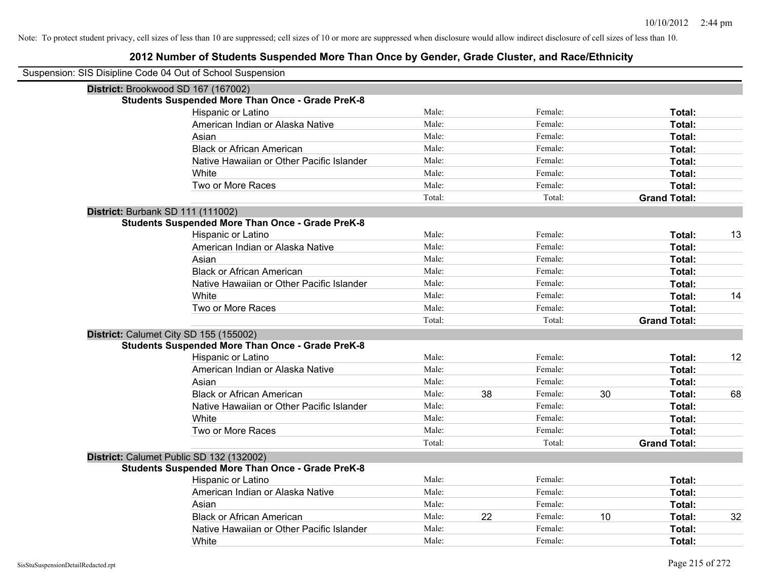| Suspension: SIS Disipline Code 04 Out of School Suspension |                                                         |        |    |         |    |                     |    |
|------------------------------------------------------------|---------------------------------------------------------|--------|----|---------|----|---------------------|----|
|                                                            | District: Brookwood SD 167 (167002)                     |        |    |         |    |                     |    |
|                                                            | <b>Students Suspended More Than Once - Grade PreK-8</b> |        |    |         |    |                     |    |
|                                                            | Hispanic or Latino                                      | Male:  |    | Female: |    | Total:              |    |
|                                                            | American Indian or Alaska Native                        | Male:  |    | Female: |    | Total:              |    |
|                                                            | Asian                                                   | Male:  |    | Female: |    | Total:              |    |
|                                                            | <b>Black or African American</b>                        | Male:  |    | Female: |    | Total:              |    |
|                                                            | Native Hawaiian or Other Pacific Islander               | Male:  |    | Female: |    | Total:              |    |
|                                                            | White                                                   | Male:  |    | Female: |    | Total:              |    |
|                                                            | Two or More Races                                       | Male:  |    | Female: |    | Total:              |    |
|                                                            |                                                         | Total: |    | Total:  |    | <b>Grand Total:</b> |    |
|                                                            | District: Burbank SD 111 (111002)                       |        |    |         |    |                     |    |
|                                                            | <b>Students Suspended More Than Once - Grade PreK-8</b> |        |    |         |    |                     |    |
|                                                            | Hispanic or Latino                                      | Male:  |    | Female: |    | Total:              | 13 |
|                                                            | American Indian or Alaska Native                        | Male:  |    | Female: |    | Total:              |    |
|                                                            | Asian                                                   | Male:  |    | Female: |    | Total:              |    |
|                                                            | <b>Black or African American</b>                        | Male:  |    | Female: |    | Total:              |    |
|                                                            | Native Hawaiian or Other Pacific Islander               | Male:  |    | Female: |    | Total:              |    |
|                                                            | White                                                   | Male:  |    | Female: |    | Total:              | 14 |
|                                                            | Two or More Races                                       | Male:  |    | Female: |    | Total:              |    |
|                                                            |                                                         | Total: |    | Total:  |    | <b>Grand Total:</b> |    |
|                                                            | District: Calumet City SD 155 (155002)                  |        |    |         |    |                     |    |
|                                                            | <b>Students Suspended More Than Once - Grade PreK-8</b> |        |    |         |    |                     |    |
|                                                            | Hispanic or Latino                                      | Male:  |    | Female: |    | Total:              | 12 |
|                                                            | American Indian or Alaska Native                        | Male:  |    | Female: |    | Total:              |    |
|                                                            | Asian                                                   | Male:  |    | Female: |    | Total:              |    |
|                                                            | <b>Black or African American</b>                        | Male:  | 38 | Female: | 30 | Total:              | 68 |
|                                                            | Native Hawaiian or Other Pacific Islander               | Male:  |    | Female: |    | Total:              |    |
|                                                            | White                                                   | Male:  |    | Female: |    | Total:              |    |
|                                                            | Two or More Races                                       | Male:  |    | Female: |    | Total:              |    |
|                                                            |                                                         | Total: |    | Total:  |    | <b>Grand Total:</b> |    |
|                                                            | District: Calumet Public SD 132 (132002)                |        |    |         |    |                     |    |
|                                                            | <b>Students Suspended More Than Once - Grade PreK-8</b> |        |    |         |    |                     |    |
|                                                            | Hispanic or Latino                                      | Male:  |    | Female: |    | Total:              |    |
|                                                            | American Indian or Alaska Native                        | Male:  |    | Female: |    | Total:              |    |
|                                                            | Asian                                                   | Male:  |    | Female: |    | Total:              |    |
|                                                            | <b>Black or African American</b>                        | Male:  | 22 | Female: | 10 | Total:              | 32 |
|                                                            | Native Hawaiian or Other Pacific Islander               | Male:  |    | Female: |    | Total:              |    |
|                                                            | White                                                   | Male:  |    | Female: |    | Total:              |    |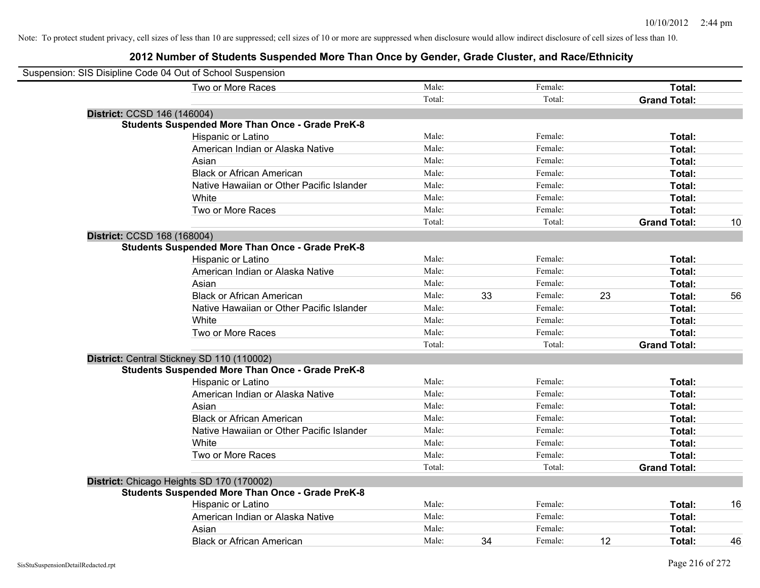| Suspension: SIS Disipline Code 04 Out of School Suspension |        |    |         |    |                     |    |
|------------------------------------------------------------|--------|----|---------|----|---------------------|----|
| Two or More Races                                          | Male:  |    | Female: |    | Total:              |    |
|                                                            | Total: |    | Total:  |    | <b>Grand Total:</b> |    |
| District: CCSD 146 (146004)                                |        |    |         |    |                     |    |
| <b>Students Suspended More Than Once - Grade PreK-8</b>    |        |    |         |    |                     |    |
| Hispanic or Latino                                         | Male:  |    | Female: |    | Total:              |    |
| American Indian or Alaska Native                           | Male:  |    | Female: |    | Total:              |    |
| Asian                                                      | Male:  |    | Female: |    | Total:              |    |
| <b>Black or African American</b>                           | Male:  |    | Female: |    | Total:              |    |
| Native Hawaiian or Other Pacific Islander                  | Male:  |    | Female: |    | Total:              |    |
| White                                                      | Male:  |    | Female: |    | Total:              |    |
| Two or More Races                                          | Male:  |    | Female: |    | Total:              |    |
|                                                            | Total: |    | Total:  |    | <b>Grand Total:</b> | 10 |
| District: CCSD 168 (168004)                                |        |    |         |    |                     |    |
| <b>Students Suspended More Than Once - Grade PreK-8</b>    |        |    |         |    |                     |    |
| Hispanic or Latino                                         | Male:  |    | Female: |    | Total:              |    |
| American Indian or Alaska Native                           | Male:  |    | Female: |    | Total:              |    |
| Asian                                                      | Male:  |    | Female: |    | Total:              |    |
| <b>Black or African American</b>                           | Male:  | 33 | Female: | 23 | Total:              | 56 |
| Native Hawaiian or Other Pacific Islander                  | Male:  |    | Female: |    | Total:              |    |
| White                                                      | Male:  |    | Female: |    | Total:              |    |
| Two or More Races                                          | Male:  |    | Female: |    | Total:              |    |
|                                                            | Total: |    | Total:  |    | <b>Grand Total:</b> |    |
| District: Central Stickney SD 110 (110002)                 |        |    |         |    |                     |    |
| <b>Students Suspended More Than Once - Grade PreK-8</b>    |        |    |         |    |                     |    |
| Hispanic or Latino                                         | Male:  |    | Female: |    | Total:              |    |
| American Indian or Alaska Native                           | Male:  |    | Female: |    | Total:              |    |
| Asian                                                      | Male:  |    | Female: |    | Total:              |    |
| <b>Black or African American</b>                           | Male:  |    | Female: |    | Total:              |    |
| Native Hawaiian or Other Pacific Islander                  | Male:  |    | Female: |    | Total:              |    |
| White                                                      | Male:  |    | Female: |    | Total:              |    |
| Two or More Races                                          | Male:  |    | Female: |    | Total:              |    |
|                                                            | Total: |    | Total:  |    | <b>Grand Total:</b> |    |
| District: Chicago Heights SD 170 (170002)                  |        |    |         |    |                     |    |
| <b>Students Suspended More Than Once - Grade PreK-8</b>    |        |    |         |    |                     |    |
| Hispanic or Latino                                         | Male:  |    | Female: |    | Total:              | 16 |
| American Indian or Alaska Native                           | Male:  |    | Female: |    | Total:              |    |
| Asian                                                      | Male:  |    | Female: |    | Total:              |    |
| <b>Black or African American</b>                           | Male:  | 34 | Female: | 12 | Total:              | 46 |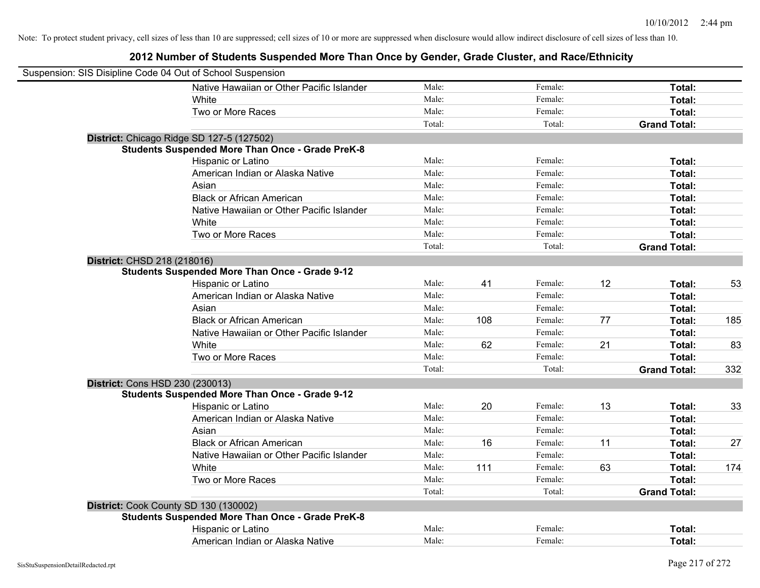| Suspension: SIS Disipline Code 04 Out of School Suspension |                                                         |        |     |         |    |                     |     |
|------------------------------------------------------------|---------------------------------------------------------|--------|-----|---------|----|---------------------|-----|
|                                                            | Native Hawaiian or Other Pacific Islander               | Male:  |     | Female: |    | Total:              |     |
|                                                            | White                                                   | Male:  |     | Female: |    | Total:              |     |
|                                                            | Two or More Races                                       | Male:  |     | Female: |    | Total:              |     |
|                                                            |                                                         | Total: |     | Total:  |    | <b>Grand Total:</b> |     |
|                                                            | District: Chicago Ridge SD 127-5 (127502)               |        |     |         |    |                     |     |
|                                                            | <b>Students Suspended More Than Once - Grade PreK-8</b> |        |     |         |    |                     |     |
|                                                            | Hispanic or Latino                                      | Male:  |     | Female: |    | Total:              |     |
|                                                            | American Indian or Alaska Native                        | Male:  |     | Female: |    | Total:              |     |
|                                                            | Asian                                                   | Male:  |     | Female: |    | Total:              |     |
|                                                            | <b>Black or African American</b>                        | Male:  |     | Female: |    | Total:              |     |
|                                                            | Native Hawaiian or Other Pacific Islander               | Male:  |     | Female: |    | Total:              |     |
|                                                            | White                                                   | Male:  |     | Female: |    | Total:              |     |
|                                                            | Two or More Races                                       | Male:  |     | Female: |    | Total:              |     |
|                                                            |                                                         | Total: |     | Total:  |    | <b>Grand Total:</b> |     |
| District: CHSD 218 (218016)                                |                                                         |        |     |         |    |                     |     |
|                                                            | <b>Students Suspended More Than Once - Grade 9-12</b>   |        |     |         |    |                     |     |
|                                                            | Hispanic or Latino                                      | Male:  | 41  | Female: | 12 | Total:              | 53  |
|                                                            | American Indian or Alaska Native                        | Male:  |     | Female: |    | Total:              |     |
|                                                            | Asian                                                   | Male:  |     | Female: |    | Total:              |     |
|                                                            | <b>Black or African American</b>                        | Male:  | 108 | Female: | 77 | Total:              | 185 |
|                                                            | Native Hawaiian or Other Pacific Islander               | Male:  |     | Female: |    | Total:              |     |
|                                                            | White                                                   | Male:  | 62  | Female: | 21 | Total:              | 83  |
|                                                            | Two or More Races                                       | Male:  |     | Female: |    | Total:              |     |
|                                                            |                                                         | Total: |     | Total:  |    | <b>Grand Total:</b> | 332 |
|                                                            | District: Cons HSD 230 (230013)                         |        |     |         |    |                     |     |
|                                                            | <b>Students Suspended More Than Once - Grade 9-12</b>   |        |     |         |    |                     |     |
|                                                            | Hispanic or Latino                                      | Male:  | 20  | Female: | 13 | Total:              | 33  |
|                                                            | American Indian or Alaska Native                        | Male:  |     | Female: |    | Total:              |     |
|                                                            | Asian                                                   | Male:  |     | Female: |    | Total:              |     |
|                                                            | <b>Black or African American</b>                        | Male:  | 16  | Female: | 11 | Total:              | 27  |
|                                                            | Native Hawaiian or Other Pacific Islander               | Male:  |     | Female: |    | Total:              |     |
|                                                            | White                                                   | Male:  | 111 | Female: | 63 | Total:              | 174 |
|                                                            | Two or More Races                                       | Male:  |     | Female: |    | Total:              |     |
|                                                            |                                                         | Total: |     | Total:  |    | <b>Grand Total:</b> |     |
|                                                            | District: Cook County SD 130 (130002)                   |        |     |         |    |                     |     |
|                                                            | <b>Students Suspended More Than Once - Grade PreK-8</b> |        |     |         |    |                     |     |
|                                                            | Hispanic or Latino                                      | Male:  |     | Female: |    | Total:              |     |
|                                                            | American Indian or Alaska Native                        | Male:  |     | Female: |    | Total:              |     |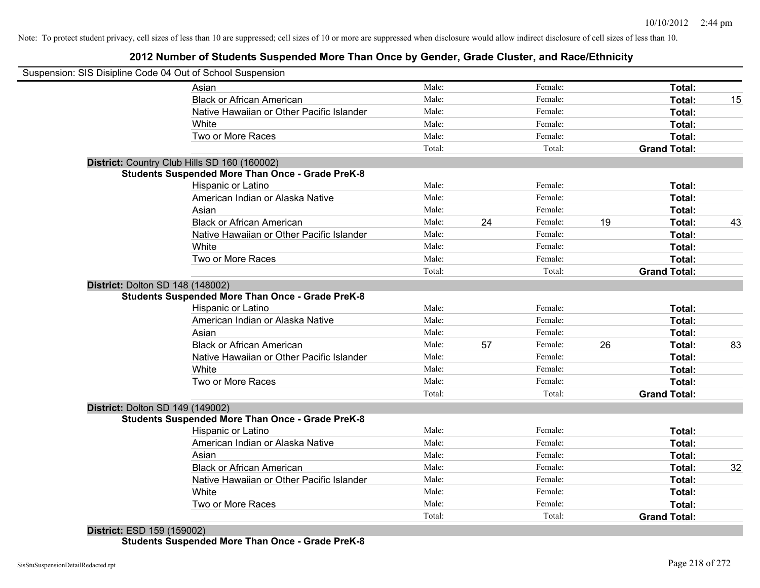### **2012 Number of Students Suspended More Than Once by Gender, Grade Cluster, and Race/Ethnicity**

|                                  | Suspension: SIS Disipline Code 04 Out of School Suspension |        |    |         |    |                     |    |
|----------------------------------|------------------------------------------------------------|--------|----|---------|----|---------------------|----|
|                                  | Asian                                                      | Male:  |    | Female: |    | Total:              |    |
|                                  | <b>Black or African American</b>                           | Male:  |    | Female: |    | Total:              | 15 |
|                                  | Native Hawaiian or Other Pacific Islander                  | Male:  |    | Female: |    | Total:              |    |
|                                  | White                                                      | Male:  |    | Female: |    | Total:              |    |
|                                  | Two or More Races                                          | Male:  |    | Female: |    | Total:              |    |
|                                  |                                                            | Total: |    | Total:  |    | <b>Grand Total:</b> |    |
|                                  | District: Country Club Hills SD 160 (160002)               |        |    |         |    |                     |    |
|                                  | <b>Students Suspended More Than Once - Grade PreK-8</b>    |        |    |         |    |                     |    |
|                                  | Hispanic or Latino                                         | Male:  |    | Female: |    | Total:              |    |
|                                  | American Indian or Alaska Native                           | Male:  |    | Female: |    | Total:              |    |
|                                  | Asian                                                      | Male:  |    | Female: |    | Total:              |    |
|                                  | <b>Black or African American</b>                           | Male:  | 24 | Female: | 19 | Total:              | 43 |
|                                  | Native Hawaiian or Other Pacific Islander                  | Male:  |    | Female: |    | Total:              |    |
|                                  | White                                                      | Male:  |    | Female: |    | Total:              |    |
|                                  | Two or More Races                                          | Male:  |    | Female: |    | Total:              |    |
|                                  |                                                            | Total: |    | Total:  |    | <b>Grand Total:</b> |    |
| District: Dolton SD 148 (148002) | <b>Students Suspended More Than Once - Grade PreK-8</b>    |        |    |         |    |                     |    |
|                                  | Hispanic or Latino                                         | Male:  |    | Female: |    | Total:              |    |
|                                  | American Indian or Alaska Native                           | Male:  |    | Female: |    | Total:              |    |
|                                  | Asian                                                      | Male:  |    | Female: |    | Total:              |    |
|                                  | <b>Black or African American</b>                           | Male:  | 57 | Female: | 26 | Total:              | 83 |
|                                  | Native Hawaiian or Other Pacific Islander                  | Male:  |    | Female: |    | Total:              |    |
|                                  | White                                                      | Male:  |    | Female: |    | Total:              |    |
|                                  | Two or More Races                                          | Male:  |    | Female: |    | Total:              |    |
|                                  |                                                            | Total: |    | Total:  |    | <b>Grand Total:</b> |    |
| District: Dolton SD 149 (149002) |                                                            |        |    |         |    |                     |    |
|                                  | <b>Students Suspended More Than Once - Grade PreK-8</b>    |        |    |         |    |                     |    |
|                                  | Hispanic or Latino                                         | Male:  |    | Female: |    | Total:              |    |
|                                  | American Indian or Alaska Native                           | Male:  |    | Female: |    | Total:              |    |
|                                  | Asian                                                      | Male:  |    | Female: |    | Total:              |    |
|                                  | <b>Black or African American</b>                           | Male:  |    | Female: |    | Total:              | 32 |
|                                  | Native Hawaiian or Other Pacific Islander                  | Male:  |    | Female: |    | Total:              |    |
|                                  | White                                                      | Male:  |    | Female: |    | Total:              |    |
|                                  | Two or More Races                                          | Male:  |    | Female: |    | Total:              |    |
|                                  |                                                            | Total: |    | Total:  |    | <b>Grand Total:</b> |    |

**District:** ESD 159 (159002) **Students Suspended More Than Once - Grade PreK-8**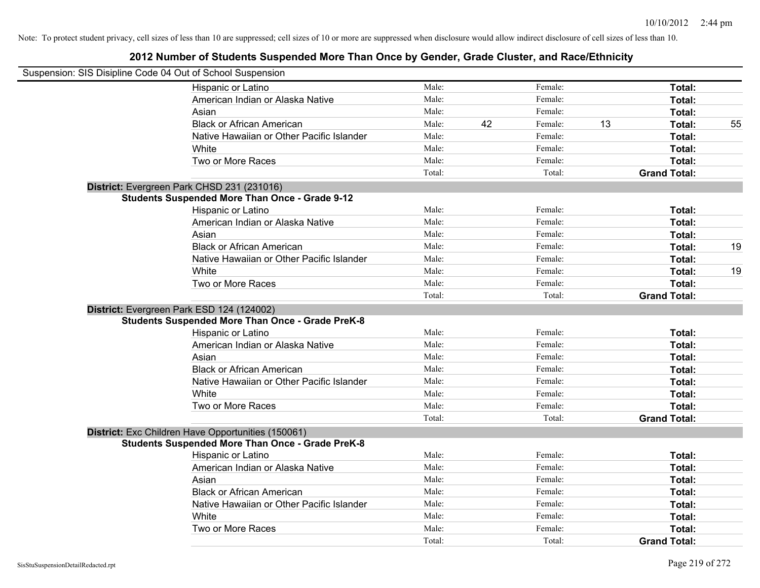| Suspension: SIS Disipline Code 04 Out of School Suspension |                                                         |        |    |         |    |                     |    |
|------------------------------------------------------------|---------------------------------------------------------|--------|----|---------|----|---------------------|----|
|                                                            | Hispanic or Latino                                      | Male:  |    | Female: |    | Total:              |    |
|                                                            | American Indian or Alaska Native                        | Male:  |    | Female: |    | Total:              |    |
|                                                            | Asian                                                   | Male:  |    | Female: |    | Total:              |    |
|                                                            | <b>Black or African American</b>                        | Male:  | 42 | Female: | 13 | Total:              | 55 |
|                                                            | Native Hawaiian or Other Pacific Islander               | Male:  |    | Female: |    | Total:              |    |
|                                                            | <b>White</b>                                            | Male:  |    | Female: |    | Total:              |    |
|                                                            | Two or More Races                                       | Male:  |    | Female: |    | Total:              |    |
|                                                            |                                                         | Total: |    | Total:  |    | <b>Grand Total:</b> |    |
|                                                            | District: Evergreen Park CHSD 231 (231016)              |        |    |         |    |                     |    |
|                                                            | <b>Students Suspended More Than Once - Grade 9-12</b>   |        |    |         |    |                     |    |
|                                                            | Hispanic or Latino                                      | Male:  |    | Female: |    | Total:              |    |
|                                                            | American Indian or Alaska Native                        | Male:  |    | Female: |    | Total:              |    |
|                                                            | Asian                                                   | Male:  |    | Female: |    | Total:              |    |
|                                                            | <b>Black or African American</b>                        | Male:  |    | Female: |    | Total:              | 19 |
|                                                            | Native Hawaiian or Other Pacific Islander               | Male:  |    | Female: |    | Total:              |    |
|                                                            | White                                                   | Male:  |    | Female: |    | Total:              | 19 |
|                                                            | Two or More Races                                       | Male:  |    | Female: |    | Total:              |    |
|                                                            |                                                         | Total: |    | Total:  |    | <b>Grand Total:</b> |    |
|                                                            | District: Evergreen Park ESD 124 (124002)               |        |    |         |    |                     |    |
|                                                            | <b>Students Suspended More Than Once - Grade PreK-8</b> |        |    |         |    |                     |    |
|                                                            | Hispanic or Latino                                      | Male:  |    | Female: |    | Total:              |    |
|                                                            | American Indian or Alaska Native                        | Male:  |    | Female: |    | Total:              |    |
|                                                            | Asian                                                   | Male:  |    | Female: |    | Total:              |    |
|                                                            | <b>Black or African American</b>                        | Male:  |    | Female: |    | Total:              |    |
|                                                            | Native Hawaiian or Other Pacific Islander               | Male:  |    | Female: |    | Total:              |    |
|                                                            | White                                                   | Male:  |    | Female: |    | Total:              |    |
|                                                            | Two or More Races                                       | Male:  |    | Female: |    | Total:              |    |
|                                                            |                                                         | Total: |    | Total:  |    | <b>Grand Total:</b> |    |
|                                                            | District: Exc Children Have Opportunities (150061)      |        |    |         |    |                     |    |
|                                                            | <b>Students Suspended More Than Once - Grade PreK-8</b> |        |    |         |    |                     |    |
|                                                            | Hispanic or Latino                                      | Male:  |    | Female: |    | Total:              |    |
|                                                            | American Indian or Alaska Native                        | Male:  |    | Female: |    | Total:              |    |
|                                                            | Asian                                                   | Male:  |    | Female: |    | Total:              |    |
|                                                            | <b>Black or African American</b>                        | Male:  |    | Female: |    | Total:              |    |
|                                                            | Native Hawaiian or Other Pacific Islander               | Male:  |    | Female: |    | Total:              |    |
|                                                            | White                                                   | Male:  |    | Female: |    | Total:              |    |
|                                                            | Two or More Races                                       | Male:  |    | Female: |    | Total:              |    |
|                                                            |                                                         | Total: |    | Total:  |    | <b>Grand Total:</b> |    |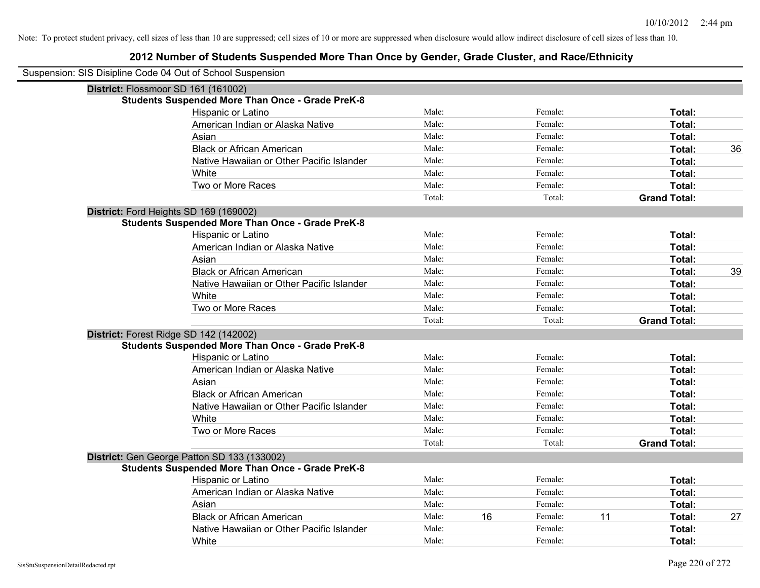| Suspension: SIS Disipline Code 04 Out of School Suspension |                                                         |        |    |         |    |                     |    |
|------------------------------------------------------------|---------------------------------------------------------|--------|----|---------|----|---------------------|----|
| District: Flossmoor SD 161 (161002)                        |                                                         |        |    |         |    |                     |    |
|                                                            | <b>Students Suspended More Than Once - Grade PreK-8</b> |        |    |         |    |                     |    |
|                                                            | Hispanic or Latino                                      | Male:  |    | Female: |    | Total:              |    |
|                                                            | American Indian or Alaska Native                        | Male:  |    | Female: |    | Total:              |    |
|                                                            | Asian                                                   | Male:  |    | Female: |    | Total:              |    |
|                                                            | <b>Black or African American</b>                        | Male:  |    | Female: |    | Total:              | 36 |
|                                                            | Native Hawaiian or Other Pacific Islander               | Male:  |    | Female: |    | Total:              |    |
|                                                            | White                                                   | Male:  |    | Female: |    | Total:              |    |
|                                                            | Two or More Races                                       | Male:  |    | Female: |    | Total:              |    |
|                                                            |                                                         | Total: |    | Total:  |    | <b>Grand Total:</b> |    |
| District: Ford Heights SD 169 (169002)                     |                                                         |        |    |         |    |                     |    |
|                                                            | <b>Students Suspended More Than Once - Grade PreK-8</b> |        |    |         |    |                     |    |
|                                                            | Hispanic or Latino                                      | Male:  |    | Female: |    | Total:              |    |
|                                                            | American Indian or Alaska Native                        | Male:  |    | Female: |    | Total:              |    |
|                                                            | Asian                                                   | Male:  |    | Female: |    | Total:              |    |
|                                                            | <b>Black or African American</b>                        | Male:  |    | Female: |    | Total:              | 39 |
|                                                            | Native Hawaiian or Other Pacific Islander               | Male:  |    | Female: |    | Total:              |    |
|                                                            | White                                                   | Male:  |    | Female: |    | Total:              |    |
|                                                            | Two or More Races                                       | Male:  |    | Female: |    | Total:              |    |
|                                                            |                                                         | Total: |    | Total:  |    | <b>Grand Total:</b> |    |
| District: Forest Ridge SD 142 (142002)                     |                                                         |        |    |         |    |                     |    |
|                                                            | <b>Students Suspended More Than Once - Grade PreK-8</b> |        |    |         |    |                     |    |
|                                                            | Hispanic or Latino                                      | Male:  |    | Female: |    | Total:              |    |
|                                                            | American Indian or Alaska Native                        | Male:  |    | Female: |    | Total:              |    |
|                                                            | Asian                                                   | Male:  |    | Female: |    | Total:              |    |
|                                                            | <b>Black or African American</b>                        | Male:  |    | Female: |    | Total:              |    |
|                                                            | Native Hawaiian or Other Pacific Islander               | Male:  |    | Female: |    | Total:              |    |
|                                                            | White                                                   | Male:  |    | Female: |    | Total:              |    |
|                                                            | Two or More Races                                       | Male:  |    | Female: |    | Total:              |    |
|                                                            |                                                         | Total: |    | Total:  |    | <b>Grand Total:</b> |    |
|                                                            | District: Gen George Patton SD 133 (133002)             |        |    |         |    |                     |    |
|                                                            | <b>Students Suspended More Than Once - Grade PreK-8</b> |        |    |         |    |                     |    |
|                                                            | Hispanic or Latino                                      | Male:  |    | Female: |    | Total:              |    |
|                                                            | American Indian or Alaska Native                        | Male:  |    | Female: |    | Total:              |    |
|                                                            | Asian                                                   | Male:  |    | Female: |    | Total:              |    |
|                                                            | <b>Black or African American</b>                        | Male:  | 16 | Female: | 11 | Total:              | 27 |
|                                                            | Native Hawaiian or Other Pacific Islander               | Male:  |    | Female: |    | Total:              |    |
|                                                            | White                                                   | Male:  |    | Female: |    | Total:              |    |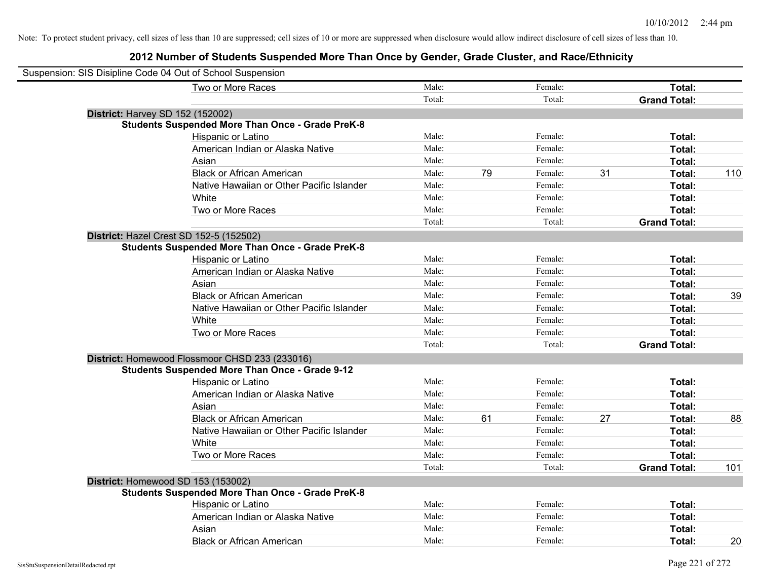| Suspension: SIS Disipline Code 04 Out of School Suspension |                                                         |        |    |         |    |                     |     |
|------------------------------------------------------------|---------------------------------------------------------|--------|----|---------|----|---------------------|-----|
|                                                            | Two or More Races                                       | Male:  |    | Female: |    | Total:              |     |
|                                                            |                                                         | Total: |    | Total:  |    | <b>Grand Total:</b> |     |
| <b>District: Harvey SD 152 (152002)</b>                    |                                                         |        |    |         |    |                     |     |
|                                                            | <b>Students Suspended More Than Once - Grade PreK-8</b> |        |    |         |    |                     |     |
|                                                            | Hispanic or Latino                                      | Male:  |    | Female: |    | Total:              |     |
|                                                            | American Indian or Alaska Native                        | Male:  |    | Female: |    | Total:              |     |
|                                                            | Asian                                                   | Male:  |    | Female: |    | Total:              |     |
|                                                            | <b>Black or African American</b>                        | Male:  | 79 | Female: | 31 | Total:              | 110 |
|                                                            | Native Hawaiian or Other Pacific Islander               | Male:  |    | Female: |    | Total:              |     |
|                                                            | White                                                   | Male:  |    | Female: |    | Total:              |     |
|                                                            | Two or More Races                                       | Male:  |    | Female: |    | Total:              |     |
|                                                            |                                                         | Total: |    | Total:  |    | <b>Grand Total:</b> |     |
| District: Hazel Crest SD 152-5 (152502)                    |                                                         |        |    |         |    |                     |     |
|                                                            | <b>Students Suspended More Than Once - Grade PreK-8</b> |        |    |         |    |                     |     |
|                                                            | Hispanic or Latino                                      | Male:  |    | Female: |    | Total:              |     |
|                                                            | American Indian or Alaska Native                        | Male:  |    | Female: |    | Total:              |     |
|                                                            | Asian                                                   | Male:  |    | Female: |    | Total:              |     |
|                                                            | <b>Black or African American</b>                        | Male:  |    | Female: |    | Total:              | 39  |
|                                                            | Native Hawaiian or Other Pacific Islander               | Male:  |    | Female: |    | Total:              |     |
|                                                            | White                                                   | Male:  |    | Female: |    | Total:              |     |
|                                                            | Two or More Races                                       | Male:  |    | Female: |    | Total:              |     |
|                                                            |                                                         | Total: |    | Total:  |    | <b>Grand Total:</b> |     |
|                                                            | District: Homewood Flossmoor CHSD 233 (233016)          |        |    |         |    |                     |     |
|                                                            | <b>Students Suspended More Than Once - Grade 9-12</b>   |        |    |         |    |                     |     |
|                                                            | Hispanic or Latino                                      | Male:  |    | Female: |    | Total:              |     |
|                                                            | American Indian or Alaska Native                        | Male:  |    | Female: |    | Total:              |     |
|                                                            | Asian                                                   | Male:  |    | Female: |    | Total:              |     |
|                                                            | <b>Black or African American</b>                        | Male:  | 61 | Female: | 27 | Total:              | 88  |
|                                                            | Native Hawaiian or Other Pacific Islander               | Male:  |    | Female: |    | Total:              |     |
|                                                            | White                                                   | Male:  |    | Female: |    | Total:              |     |
|                                                            | Two or More Races                                       | Male:  |    | Female: |    | Total:              |     |
|                                                            |                                                         | Total: |    | Total:  |    | <b>Grand Total:</b> | 101 |
| District: Homewood SD 153 (153002)                         |                                                         |        |    |         |    |                     |     |
|                                                            | <b>Students Suspended More Than Once - Grade PreK-8</b> |        |    |         |    |                     |     |
|                                                            | Hispanic or Latino                                      | Male:  |    | Female: |    | Total:              |     |
|                                                            | American Indian or Alaska Native                        | Male:  |    | Female: |    | Total:              |     |
|                                                            | Asian                                                   | Male:  |    | Female: |    | Total:              |     |
|                                                            | <b>Black or African American</b>                        | Male:  |    | Female: |    | Total:              | 20  |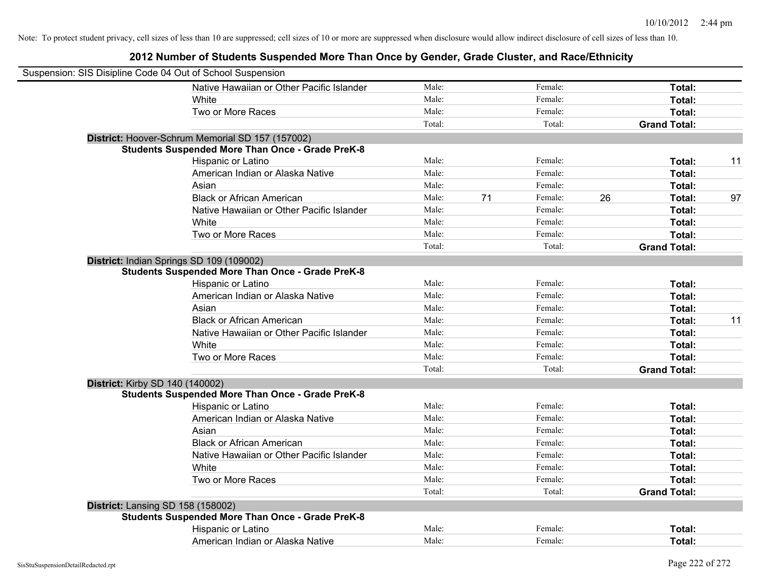| Suspension: SIS Disipline Code 04 Out of School Suspension |        |    |         |    |                     |    |
|------------------------------------------------------------|--------|----|---------|----|---------------------|----|
| Native Hawaiian or Other Pacific Islander                  | Male:  |    | Female: |    | Total:              |    |
| White                                                      | Male:  |    | Female: |    | Total:              |    |
| Two or More Races                                          | Male:  |    | Female: |    | Total:              |    |
|                                                            | Total: |    | Total:  |    | <b>Grand Total:</b> |    |
| District: Hoover-Schrum Memorial SD 157 (157002)           |        |    |         |    |                     |    |
| <b>Students Suspended More Than Once - Grade PreK-8</b>    |        |    |         |    |                     |    |
| Hispanic or Latino                                         | Male:  |    | Female: |    | Total:              | 11 |
| American Indian or Alaska Native                           | Male:  |    | Female: |    | Total:              |    |
| Asian                                                      | Male:  |    | Female: |    | Total:              |    |
| <b>Black or African American</b>                           | Male:  | 71 | Female: | 26 | Total:              | 97 |
| Native Hawaiian or Other Pacific Islander                  | Male:  |    | Female: |    | Total:              |    |
| White                                                      | Male:  |    | Female: |    | Total:              |    |
| Two or More Races                                          | Male:  |    | Female: |    | Total:              |    |
|                                                            | Total: |    | Total:  |    | <b>Grand Total:</b> |    |
| District: Indian Springs SD 109 (109002)                   |        |    |         |    |                     |    |
| <b>Students Suspended More Than Once - Grade PreK-8</b>    |        |    |         |    |                     |    |
| Hispanic or Latino                                         | Male:  |    | Female: |    | Total:              |    |
| American Indian or Alaska Native                           | Male:  |    | Female: |    | Total:              |    |
| Asian                                                      | Male:  |    | Female: |    | Total:              |    |
| <b>Black or African American</b>                           | Male:  |    | Female: |    | Total:              | 11 |
| Native Hawaiian or Other Pacific Islander                  | Male:  |    | Female: |    | Total:              |    |
| White                                                      | Male:  |    | Female: |    | Total:              |    |
| Two or More Races                                          | Male:  |    | Female: |    | Total:              |    |
|                                                            | Total: |    | Total:  |    | <b>Grand Total:</b> |    |
| <b>District: Kirby SD 140 (140002)</b>                     |        |    |         |    |                     |    |
| <b>Students Suspended More Than Once - Grade PreK-8</b>    |        |    |         |    |                     |    |
| Hispanic or Latino                                         | Male:  |    | Female: |    | Total:              |    |
| American Indian or Alaska Native                           | Male:  |    | Female: |    | Total:              |    |
| Asian                                                      | Male:  |    | Female: |    | Total:              |    |
| <b>Black or African American</b>                           | Male:  |    | Female: |    | Total:              |    |
| Native Hawaiian or Other Pacific Islander                  | Male:  |    | Female: |    | Total:              |    |
| White                                                      | Male:  |    | Female: |    | Total:              |    |
| Two or More Races                                          | Male:  |    | Female: |    | Total:              |    |
|                                                            | Total: |    | Total:  |    | <b>Grand Total:</b> |    |
| District: Lansing SD 158 (158002)                          |        |    |         |    |                     |    |
| <b>Students Suspended More Than Once - Grade PreK-8</b>    |        |    |         |    |                     |    |
| Hispanic or Latino                                         | Male:  |    | Female: |    | Total:              |    |
| American Indian or Alaska Native                           | Male:  |    | Female: |    | Total:              |    |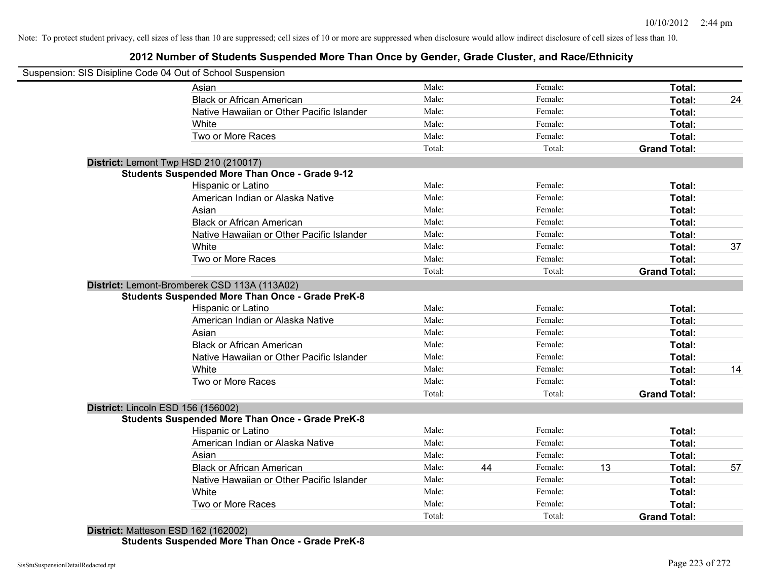### **2012 Number of Students Suspended More Than Once by Gender, Grade Cluster, and Race/Ethnicity**

|                                    | Suspension: SIS Disipline Code 04 Out of School Suspension |        |    |         |    |                     |    |
|------------------------------------|------------------------------------------------------------|--------|----|---------|----|---------------------|----|
|                                    | Asian                                                      | Male:  |    | Female: |    | Total:              |    |
|                                    | <b>Black or African American</b>                           | Male:  |    | Female: |    | Total:              | 24 |
|                                    | Native Hawaiian or Other Pacific Islander                  | Male:  |    | Female: |    | Total:              |    |
|                                    | White                                                      | Male:  |    | Female: |    | Total:              |    |
|                                    | Two or More Races                                          | Male:  |    | Female: |    | Total:              |    |
|                                    |                                                            | Total: |    | Total:  |    | <b>Grand Total:</b> |    |
|                                    | District: Lemont Twp HSD 210 (210017)                      |        |    |         |    |                     |    |
|                                    | <b>Students Suspended More Than Once - Grade 9-12</b>      |        |    |         |    |                     |    |
|                                    | Hispanic or Latino                                         | Male:  |    | Female: |    | Total:              |    |
|                                    | American Indian or Alaska Native                           | Male:  |    | Female: |    | Total:              |    |
|                                    | Asian                                                      | Male:  |    | Female: |    | Total:              |    |
|                                    | <b>Black or African American</b>                           | Male:  |    | Female: |    | Total:              |    |
|                                    | Native Hawaiian or Other Pacific Islander                  | Male:  |    | Female: |    | Total:              |    |
|                                    | White                                                      | Male:  |    | Female: |    | Total:              | 37 |
|                                    | Two or More Races                                          | Male:  |    | Female: |    | Total:              |    |
|                                    |                                                            | Total: |    | Total:  |    | <b>Grand Total:</b> |    |
|                                    | District: Lemont-Bromberek CSD 113A (113A02)               |        |    |         |    |                     |    |
|                                    | <b>Students Suspended More Than Once - Grade PreK-8</b>    |        |    |         |    |                     |    |
|                                    | Hispanic or Latino                                         | Male:  |    | Female: |    | Total:              |    |
|                                    | American Indian or Alaska Native                           | Male:  |    | Female: |    | Total:              |    |
|                                    | Asian                                                      | Male:  |    | Female: |    | Total:              |    |
|                                    | <b>Black or African American</b>                           | Male:  |    | Female: |    | Total:              |    |
|                                    | Native Hawaiian or Other Pacific Islander                  | Male:  |    | Female: |    | Total:              |    |
|                                    | White                                                      | Male:  |    | Female: |    | Total:              | 14 |
|                                    | Two or More Races                                          | Male:  |    | Female: |    | Total:              |    |
|                                    |                                                            | Total: |    | Total:  |    | <b>Grand Total:</b> |    |
| District: Lincoln ESD 156 (156002) |                                                            |        |    |         |    |                     |    |
|                                    | <b>Students Suspended More Than Once - Grade PreK-8</b>    |        |    |         |    |                     |    |
|                                    | Hispanic or Latino                                         | Male:  |    | Female: |    | Total:              |    |
|                                    | American Indian or Alaska Native                           | Male:  |    | Female: |    | Total:              |    |
|                                    | Asian                                                      | Male:  |    | Female: |    | Total:              |    |
|                                    | <b>Black or African American</b>                           | Male:  | 44 | Female: | 13 | Total:              | 57 |
|                                    | Native Hawaiian or Other Pacific Islander                  | Male:  |    | Female: |    | Total:              |    |
|                                    | White                                                      | Male:  |    | Female: |    | Total:              |    |
|                                    | Two or More Races                                          | Male:  |    | Female: |    | <b>Total:</b>       |    |
|                                    |                                                            | Total: |    | Total:  |    | <b>Grand Total:</b> |    |

**Students Suspended More Than Once - Grade PreK-8**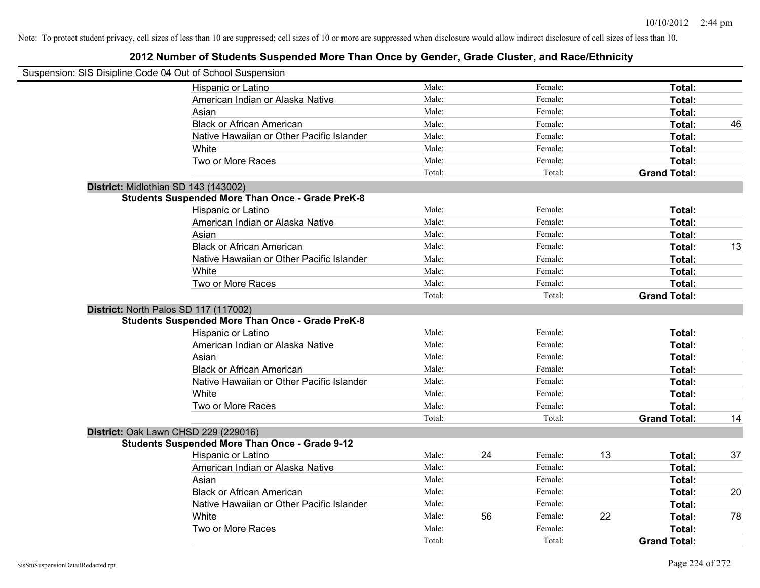| Suspension: SIS Disipline Code 04 Out of School Suspension |        |    |         |    |                     |    |
|------------------------------------------------------------|--------|----|---------|----|---------------------|----|
| Hispanic or Latino                                         | Male:  |    | Female: |    | Total:              |    |
| American Indian or Alaska Native                           | Male:  |    | Female: |    | Total:              |    |
| Asian                                                      | Male:  |    | Female: |    | Total:              |    |
| <b>Black or African American</b>                           | Male:  |    | Female: |    | Total:              | 46 |
| Native Hawaiian or Other Pacific Islander                  | Male:  |    | Female: |    | Total:              |    |
| White                                                      | Male:  |    | Female: |    | Total:              |    |
| Two or More Races                                          | Male:  |    | Female: |    | Total:              |    |
|                                                            | Total: |    | Total:  |    | <b>Grand Total:</b> |    |
| District: Midlothian SD 143 (143002)                       |        |    |         |    |                     |    |
| <b>Students Suspended More Than Once - Grade PreK-8</b>    |        |    |         |    |                     |    |
| Hispanic or Latino                                         | Male:  |    | Female: |    | Total:              |    |
| American Indian or Alaska Native                           | Male:  |    | Female: |    | Total:              |    |
| Asian                                                      | Male:  |    | Female: |    | Total:              |    |
| <b>Black or African American</b>                           | Male:  |    | Female: |    | Total:              | 13 |
| Native Hawaiian or Other Pacific Islander                  | Male:  |    | Female: |    | Total:              |    |
| White                                                      | Male:  |    | Female: |    | Total:              |    |
| Two or More Races                                          | Male:  |    | Female: |    | Total:              |    |
|                                                            | Total: |    | Total:  |    | <b>Grand Total:</b> |    |
| District: North Palos SD 117 (117002)                      |        |    |         |    |                     |    |
| <b>Students Suspended More Than Once - Grade PreK-8</b>    |        |    |         |    |                     |    |
| Hispanic or Latino                                         | Male:  |    | Female: |    | Total:              |    |
| American Indian or Alaska Native                           | Male:  |    | Female: |    | Total:              |    |
| Asian                                                      | Male:  |    | Female: |    | Total:              |    |
| <b>Black or African American</b>                           | Male:  |    | Female: |    | Total:              |    |
| Native Hawaiian or Other Pacific Islander                  | Male:  |    | Female: |    | Total:              |    |
| White                                                      | Male:  |    | Female: |    | Total:              |    |
| Two or More Races                                          | Male:  |    | Female: |    | Total:              |    |
|                                                            | Total: |    | Total:  |    | <b>Grand Total:</b> | 14 |
| District: Oak Lawn CHSD 229 (229016)                       |        |    |         |    |                     |    |
| <b>Students Suspended More Than Once - Grade 9-12</b>      |        |    |         |    |                     |    |
| Hispanic or Latino                                         | Male:  | 24 | Female: | 13 | Total:              | 37 |
| American Indian or Alaska Native                           | Male:  |    | Female: |    | Total:              |    |
| Asian                                                      | Male:  |    | Female: |    | Total:              |    |
| <b>Black or African American</b>                           | Male:  |    | Female: |    | Total:              | 20 |
| Native Hawaiian or Other Pacific Islander                  | Male:  |    | Female: |    | Total:              |    |
| White                                                      | Male:  | 56 | Female: | 22 | Total:              | 78 |
| Two or More Races                                          | Male:  |    | Female: |    | Total:              |    |
|                                                            | Total: |    | Total:  |    | <b>Grand Total:</b> |    |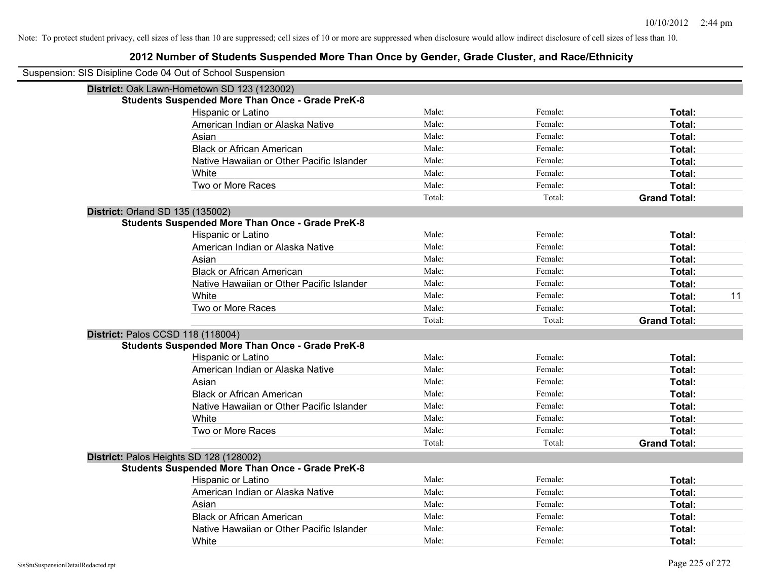| Suspension: SIS Disipline Code 04 Out of School Suspension |                                                         |        |         |                     |    |
|------------------------------------------------------------|---------------------------------------------------------|--------|---------|---------------------|----|
|                                                            | District: Oak Lawn-Hometown SD 123 (123002)             |        |         |                     |    |
|                                                            | <b>Students Suspended More Than Once - Grade PreK-8</b> |        |         |                     |    |
|                                                            | <b>Hispanic or Latino</b>                               | Male:  | Female: | Total:              |    |
|                                                            | American Indian or Alaska Native                        | Male:  | Female: | Total:              |    |
|                                                            | Asian                                                   | Male:  | Female: | Total:              |    |
|                                                            | <b>Black or African American</b>                        | Male:  | Female: | Total:              |    |
|                                                            | Native Hawaiian or Other Pacific Islander               | Male:  | Female: | Total:              |    |
|                                                            | White                                                   | Male:  | Female: | Total:              |    |
|                                                            | Two or More Races                                       | Male:  | Female: | Total:              |    |
|                                                            |                                                         | Total: | Total:  | <b>Grand Total:</b> |    |
|                                                            | District: Orland SD 135 (135002)                        |        |         |                     |    |
|                                                            | <b>Students Suspended More Than Once - Grade PreK-8</b> |        |         |                     |    |
|                                                            | Hispanic or Latino                                      | Male:  | Female: | Total:              |    |
|                                                            | American Indian or Alaska Native                        | Male:  | Female: | Total:              |    |
|                                                            | Asian                                                   | Male:  | Female: | Total:              |    |
|                                                            | <b>Black or African American</b>                        | Male:  | Female: | Total:              |    |
|                                                            | Native Hawaiian or Other Pacific Islander               | Male:  | Female: | Total:              |    |
|                                                            | White                                                   | Male:  | Female: | Total:              | 11 |
|                                                            | Two or More Races                                       | Male:  | Female: | Total:              |    |
|                                                            |                                                         | Total: | Total:  | <b>Grand Total:</b> |    |
|                                                            | District: Palos CCSD 118 (118004)                       |        |         |                     |    |
|                                                            | <b>Students Suspended More Than Once - Grade PreK-8</b> |        |         |                     |    |
|                                                            | Hispanic or Latino                                      | Male:  | Female: | Total:              |    |
|                                                            | American Indian or Alaska Native                        | Male:  | Female: | Total:              |    |
|                                                            | Asian                                                   | Male:  | Female: | Total:              |    |
|                                                            | <b>Black or African American</b>                        | Male:  | Female: | Total:              |    |
|                                                            | Native Hawaiian or Other Pacific Islander               | Male:  | Female: | Total:              |    |
|                                                            | White                                                   | Male:  | Female: | Total:              |    |
|                                                            | Two or More Races                                       | Male:  | Female: | Total:              |    |
|                                                            |                                                         | Total: | Total:  | <b>Grand Total:</b> |    |
|                                                            | District: Palos Heights SD 128 (128002)                 |        |         |                     |    |
|                                                            | <b>Students Suspended More Than Once - Grade PreK-8</b> |        |         |                     |    |
|                                                            | Hispanic or Latino                                      | Male:  | Female: | Total:              |    |
|                                                            | American Indian or Alaska Native                        | Male:  | Female: | Total:              |    |
|                                                            | Asian                                                   | Male:  | Female: | Total:              |    |
|                                                            | <b>Black or African American</b>                        | Male:  | Female: | Total:              |    |
|                                                            | Native Hawaiian or Other Pacific Islander               | Male:  | Female: | Total:              |    |
|                                                            | White                                                   | Male:  | Female: | Total:              |    |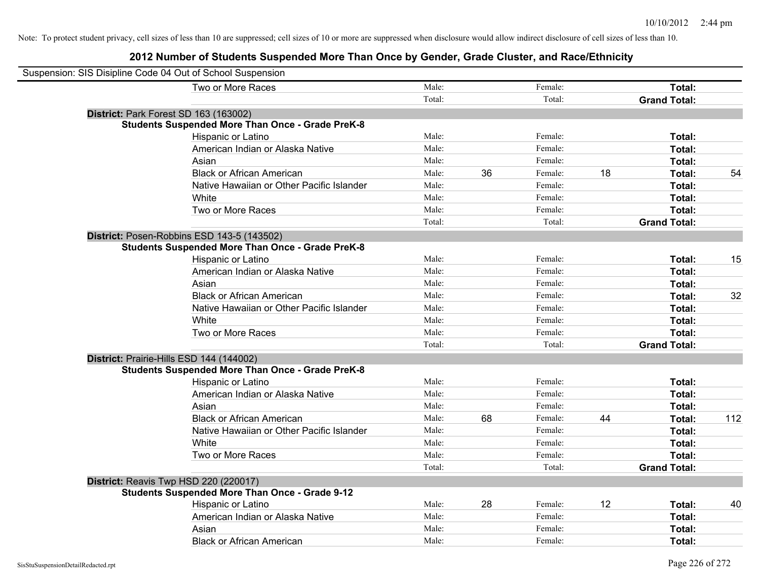| Suspension: SIS Disipline Code 04 Out of School Suspension |                                                         |        |    |         |    |                     |     |
|------------------------------------------------------------|---------------------------------------------------------|--------|----|---------|----|---------------------|-----|
|                                                            | Two or More Races                                       | Male:  |    | Female: |    | Total:              |     |
|                                                            |                                                         | Total: |    | Total:  |    | <b>Grand Total:</b> |     |
| District: Park Forest SD 163 (163002)                      |                                                         |        |    |         |    |                     |     |
|                                                            | <b>Students Suspended More Than Once - Grade PreK-8</b> |        |    |         |    |                     |     |
|                                                            | Hispanic or Latino                                      | Male:  |    | Female: |    | Total:              |     |
|                                                            | American Indian or Alaska Native                        | Male:  |    | Female: |    | Total:              |     |
|                                                            | Asian                                                   | Male:  |    | Female: |    | Total:              |     |
|                                                            | <b>Black or African American</b>                        | Male:  | 36 | Female: | 18 | Total:              | 54  |
|                                                            | Native Hawaiian or Other Pacific Islander               | Male:  |    | Female: |    | Total:              |     |
|                                                            | White                                                   | Male:  |    | Female: |    | Total:              |     |
|                                                            | Two or More Races                                       | Male:  |    | Female: |    | Total:              |     |
|                                                            |                                                         | Total: |    | Total:  |    | <b>Grand Total:</b> |     |
| District: Posen-Robbins ESD 143-5 (143502)                 |                                                         |        |    |         |    |                     |     |
|                                                            | <b>Students Suspended More Than Once - Grade PreK-8</b> |        |    |         |    |                     |     |
|                                                            | Hispanic or Latino                                      | Male:  |    | Female: |    | Total:              | 15  |
|                                                            | American Indian or Alaska Native                        | Male:  |    | Female: |    | Total:              |     |
|                                                            | Asian                                                   | Male:  |    | Female: |    | Total:              |     |
|                                                            | <b>Black or African American</b>                        | Male:  |    | Female: |    | Total:              | 32  |
|                                                            | Native Hawaiian or Other Pacific Islander               | Male:  |    | Female: |    | Total:              |     |
|                                                            | White                                                   | Male:  |    | Female: |    | Total:              |     |
|                                                            | Two or More Races                                       | Male:  |    | Female: |    | Total:              |     |
|                                                            |                                                         | Total: |    | Total:  |    | <b>Grand Total:</b> |     |
| District: Prairie-Hills ESD 144 (144002)                   |                                                         |        |    |         |    |                     |     |
|                                                            | <b>Students Suspended More Than Once - Grade PreK-8</b> |        |    |         |    |                     |     |
|                                                            | Hispanic or Latino                                      | Male:  |    | Female: |    | Total:              |     |
|                                                            | American Indian or Alaska Native                        | Male:  |    | Female: |    | Total:              |     |
|                                                            | Asian                                                   | Male:  |    | Female: |    | Total:              |     |
|                                                            | <b>Black or African American</b>                        | Male:  | 68 | Female: | 44 | Total:              | 112 |
|                                                            | Native Hawaiian or Other Pacific Islander               | Male:  |    | Female: |    | Total:              |     |
|                                                            | White                                                   | Male:  |    | Female: |    | Total:              |     |
|                                                            | Two or More Races                                       | Male:  |    | Female: |    | Total:              |     |
|                                                            |                                                         | Total: |    | Total:  |    | <b>Grand Total:</b> |     |
| District: Reavis Twp HSD 220 (220017)                      |                                                         |        |    |         |    |                     |     |
|                                                            | <b>Students Suspended More Than Once - Grade 9-12</b>   |        |    |         |    |                     |     |
|                                                            | Hispanic or Latino                                      | Male:  | 28 | Female: | 12 | Total:              | 40  |
|                                                            | American Indian or Alaska Native                        | Male:  |    | Female: |    | Total:              |     |
|                                                            | Asian                                                   | Male:  |    | Female: |    | Total:              |     |
|                                                            | <b>Black or African American</b>                        | Male:  |    | Female: |    | Total:              |     |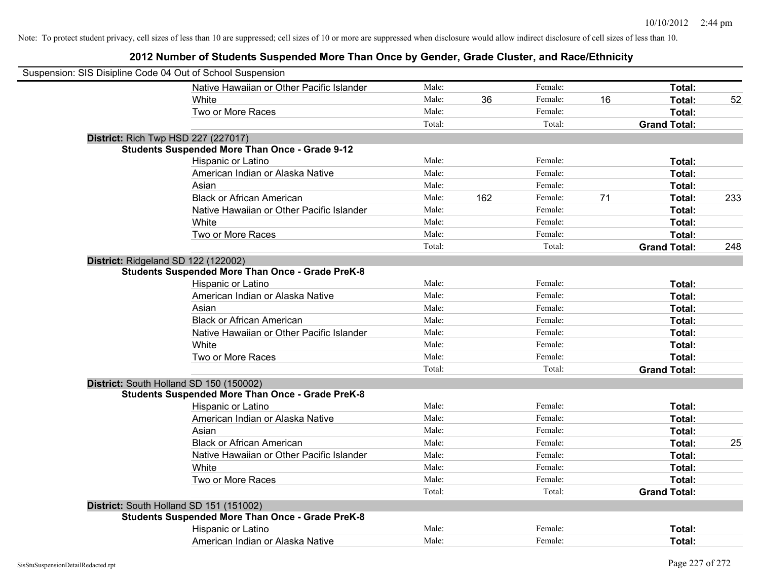| Suspension: SIS Disipline Code 04 Out of School Suspension |                                                         |        |     |         |    |                     |     |
|------------------------------------------------------------|---------------------------------------------------------|--------|-----|---------|----|---------------------|-----|
|                                                            | Native Hawaiian or Other Pacific Islander               | Male:  |     | Female: |    | Total:              |     |
|                                                            | White                                                   | Male:  | 36  | Female: | 16 | Total:              | 52  |
|                                                            | Two or More Races                                       | Male:  |     | Female: |    | Total:              |     |
|                                                            |                                                         | Total: |     | Total:  |    | <b>Grand Total:</b> |     |
| <b>District: Rich Twp HSD 227 (227017)</b>                 |                                                         |        |     |         |    |                     |     |
|                                                            | <b>Students Suspended More Than Once - Grade 9-12</b>   |        |     |         |    |                     |     |
|                                                            | Hispanic or Latino                                      | Male:  |     | Female: |    | Total:              |     |
|                                                            | American Indian or Alaska Native                        | Male:  |     | Female: |    | Total:              |     |
|                                                            | Asian                                                   | Male:  |     | Female: |    | Total:              |     |
|                                                            | <b>Black or African American</b>                        | Male:  | 162 | Female: | 71 | Total:              | 233 |
|                                                            | Native Hawaiian or Other Pacific Islander               | Male:  |     | Female: |    | Total:              |     |
|                                                            | White                                                   | Male:  |     | Female: |    | Total:              |     |
|                                                            | Two or More Races                                       | Male:  |     | Female: |    | Total:              |     |
|                                                            |                                                         | Total: |     | Total:  |    | <b>Grand Total:</b> | 248 |
| District: Ridgeland SD 122 (122002)                        |                                                         |        |     |         |    |                     |     |
|                                                            | <b>Students Suspended More Than Once - Grade PreK-8</b> |        |     |         |    |                     |     |
|                                                            | Hispanic or Latino                                      | Male:  |     | Female: |    | Total:              |     |
|                                                            | American Indian or Alaska Native                        | Male:  |     | Female: |    | Total:              |     |
|                                                            | Asian                                                   | Male:  |     | Female: |    | Total:              |     |
|                                                            | <b>Black or African American</b>                        | Male:  |     | Female: |    | Total:              |     |
|                                                            | Native Hawaiian or Other Pacific Islander               | Male:  |     | Female: |    | Total:              |     |
|                                                            | White                                                   | Male:  |     | Female: |    | Total:              |     |
|                                                            | Two or More Races                                       | Male:  |     | Female: |    | Total:              |     |
|                                                            |                                                         | Total: |     | Total:  |    | <b>Grand Total:</b> |     |
|                                                            | District: South Holland SD 150 (150002)                 |        |     |         |    |                     |     |
|                                                            | <b>Students Suspended More Than Once - Grade PreK-8</b> |        |     |         |    |                     |     |
|                                                            | Hispanic or Latino                                      | Male:  |     | Female: |    | Total:              |     |
|                                                            | American Indian or Alaska Native                        | Male:  |     | Female: |    | Total:              |     |
|                                                            | Asian                                                   | Male:  |     | Female: |    | Total:              |     |
|                                                            | <b>Black or African American</b>                        | Male:  |     | Female: |    | Total:              | 25  |
|                                                            | Native Hawaiian or Other Pacific Islander               | Male:  |     | Female: |    | Total:              |     |
|                                                            | White                                                   | Male:  |     | Female: |    | Total:              |     |
|                                                            | Two or More Races                                       | Male:  |     | Female: |    | Total:              |     |
|                                                            |                                                         | Total: |     | Total:  |    | <b>Grand Total:</b> |     |
|                                                            | District: South Holland SD 151 (151002)                 |        |     |         |    |                     |     |
|                                                            | <b>Students Suspended More Than Once - Grade PreK-8</b> |        |     |         |    |                     |     |
|                                                            | Hispanic or Latino                                      | Male:  |     | Female: |    | Total:              |     |
|                                                            | American Indian or Alaska Native                        | Male:  |     | Female: |    | Total:              |     |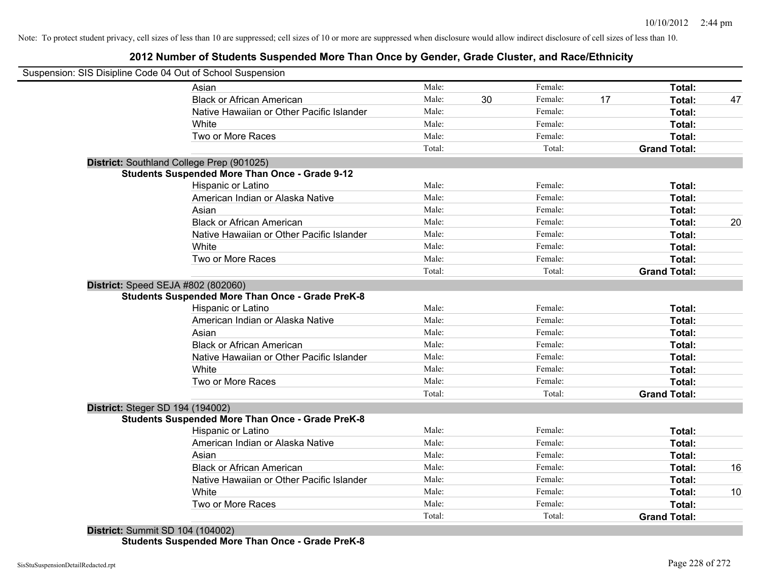### **2012 Number of Students Suspended More Than Once by Gender, Grade Cluster, and Race/Ethnicity**

|                                         | Suspension: SIS Disipline Code 04 Out of School Suspension |        |    |         |    |                     |    |
|-----------------------------------------|------------------------------------------------------------|--------|----|---------|----|---------------------|----|
|                                         | Asian                                                      | Male:  |    | Female: |    | Total:              |    |
|                                         | <b>Black or African American</b>                           | Male:  | 30 | Female: | 17 | Total:              | 47 |
|                                         | Native Hawaiian or Other Pacific Islander                  | Male:  |    | Female: |    | Total:              |    |
|                                         | White                                                      | Male:  |    | Female: |    | Total:              |    |
|                                         | Two or More Races                                          | Male:  |    | Female: |    | Total:              |    |
|                                         |                                                            | Total: |    | Total:  |    | <b>Grand Total:</b> |    |
|                                         | District: Southland College Prep (901025)                  |        |    |         |    |                     |    |
|                                         | <b>Students Suspended More Than Once - Grade 9-12</b>      |        |    |         |    |                     |    |
|                                         | Hispanic or Latino                                         | Male:  |    | Female: |    | Total:              |    |
|                                         | American Indian or Alaska Native                           | Male:  |    | Female: |    | Total:              |    |
|                                         | Asian                                                      | Male:  |    | Female: |    | Total:              |    |
|                                         | <b>Black or African American</b>                           | Male:  |    | Female: |    | Total:              | 20 |
|                                         | Native Hawaiian or Other Pacific Islander                  | Male:  |    | Female: |    | Total:              |    |
|                                         | White                                                      | Male:  |    | Female: |    | Total:              |    |
|                                         | Two or More Races                                          | Male:  |    | Female: |    | Total:              |    |
|                                         |                                                            | Total: |    | Total:  |    | <b>Grand Total:</b> |    |
|                                         | District: Speed SEJA #802 (802060)                         |        |    |         |    |                     |    |
|                                         | <b>Students Suspended More Than Once - Grade PreK-8</b>    |        |    |         |    |                     |    |
|                                         | Hispanic or Latino                                         | Male:  |    | Female: |    | Total:              |    |
|                                         | American Indian or Alaska Native                           | Male:  |    | Female: |    | Total:              |    |
|                                         | Asian                                                      | Male:  |    | Female: |    | Total:              |    |
|                                         | <b>Black or African American</b>                           | Male:  |    | Female: |    | Total:              |    |
|                                         | Native Hawaiian or Other Pacific Islander                  | Male:  |    | Female: |    | Total:              |    |
|                                         | White                                                      | Male:  |    | Female: |    | Total:              |    |
|                                         | Two or More Races                                          | Male:  |    | Female: |    | <b>Total:</b>       |    |
|                                         |                                                            | Total: |    | Total:  |    | <b>Grand Total:</b> |    |
| <b>District: Steger SD 194 (194002)</b> |                                                            |        |    |         |    |                     |    |
|                                         | <b>Students Suspended More Than Once - Grade PreK-8</b>    |        |    |         |    |                     |    |
|                                         | Hispanic or Latino                                         | Male:  |    | Female: |    | Total:              |    |
|                                         | American Indian or Alaska Native                           | Male:  |    | Female: |    | Total:              |    |
|                                         | Asian                                                      | Male:  |    | Female: |    | Total:              |    |
|                                         | <b>Black or African American</b>                           | Male:  |    | Female: |    | Total:              | 16 |
|                                         | Native Hawaiian or Other Pacific Islander                  | Male:  |    | Female: |    | Total:              |    |
|                                         | White                                                      | Male:  |    | Female: |    | Total:              | 10 |
|                                         | Two or More Races                                          | Male:  |    | Female: |    | <b>Total:</b>       |    |
|                                         |                                                            | Total: |    | Total:  |    | <b>Grand Total:</b> |    |

**Students Suspended More Than Once - Grade PreK-8**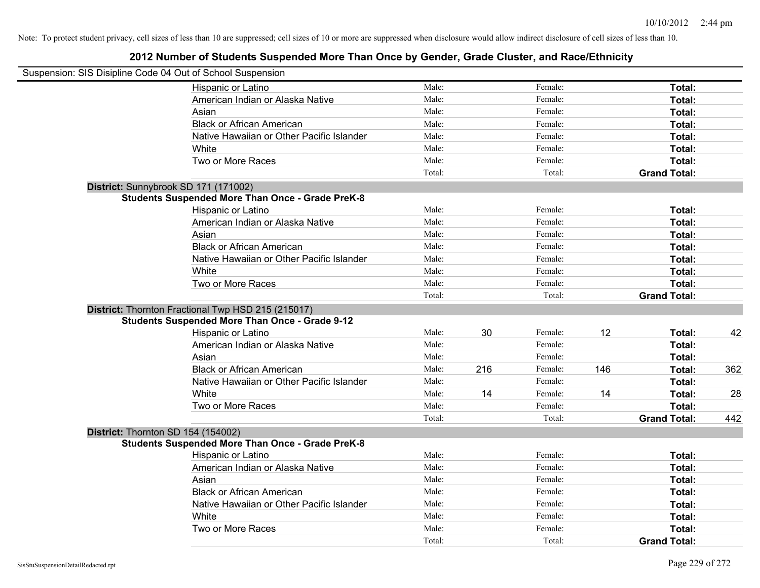| Suspension: SIS Disipline Code 04 Out of School Suspension |        |     |         |     |                     |     |
|------------------------------------------------------------|--------|-----|---------|-----|---------------------|-----|
| Hispanic or Latino                                         | Male:  |     | Female: |     | Total:              |     |
| American Indian or Alaska Native                           | Male:  |     | Female: |     | Total:              |     |
| Asian                                                      | Male:  |     | Female: |     | Total:              |     |
| <b>Black or African American</b>                           | Male:  |     | Female: |     | Total:              |     |
| Native Hawaiian or Other Pacific Islander                  | Male:  |     | Female: |     | Total:              |     |
| White                                                      | Male:  |     | Female: |     | Total:              |     |
| Two or More Races                                          | Male:  |     | Female: |     | Total:              |     |
|                                                            | Total: |     | Total:  |     | <b>Grand Total:</b> |     |
| District: Sunnybrook SD 171 (171002)                       |        |     |         |     |                     |     |
| <b>Students Suspended More Than Once - Grade PreK-8</b>    |        |     |         |     |                     |     |
| Hispanic or Latino                                         | Male:  |     | Female: |     | Total:              |     |
| American Indian or Alaska Native                           | Male:  |     | Female: |     | Total:              |     |
| Asian                                                      | Male:  |     | Female: |     | Total:              |     |
| <b>Black or African American</b>                           | Male:  |     | Female: |     | Total:              |     |
| Native Hawaiian or Other Pacific Islander                  | Male:  |     | Female: |     | Total:              |     |
| White                                                      | Male:  |     | Female: |     | Total:              |     |
| Two or More Races                                          | Male:  |     | Female: |     | Total:              |     |
|                                                            | Total: |     | Total:  |     | <b>Grand Total:</b> |     |
| District: Thornton Fractional Twp HSD 215 (215017)         |        |     |         |     |                     |     |
| <b>Students Suspended More Than Once - Grade 9-12</b>      |        |     |         |     |                     |     |
| Hispanic or Latino                                         | Male:  | 30  | Female: | 12  | Total:              | 42  |
| American Indian or Alaska Native                           | Male:  |     | Female: |     | Total:              |     |
| Asian                                                      | Male:  |     | Female: |     | Total:              |     |
| <b>Black or African American</b>                           | Male:  | 216 | Female: | 146 | Total:              | 362 |
| Native Hawaiian or Other Pacific Islander                  | Male:  |     | Female: |     | Total:              |     |
| White                                                      | Male:  | 14  | Female: | 14  | Total:              | 28  |
| Two or More Races                                          | Male:  |     | Female: |     | Total:              |     |
|                                                            | Total: |     | Total:  |     | <b>Grand Total:</b> | 442 |
| District: Thornton SD 154 (154002)                         |        |     |         |     |                     |     |
| <b>Students Suspended More Than Once - Grade PreK-8</b>    |        |     |         |     |                     |     |
| Hispanic or Latino                                         | Male:  |     | Female: |     | Total:              |     |
| American Indian or Alaska Native                           | Male:  |     | Female: |     | Total:              |     |
| Asian                                                      | Male:  |     | Female: |     | Total:              |     |
| <b>Black or African American</b>                           | Male:  |     | Female: |     | Total:              |     |
| Native Hawaiian or Other Pacific Islander                  | Male:  |     | Female: |     | Total:              |     |
| White                                                      | Male:  |     | Female: |     | Total:              |     |
| Two or More Races                                          | Male:  |     | Female: |     | <b>Total:</b>       |     |
|                                                            | Total: |     | Total:  |     | <b>Grand Total:</b> |     |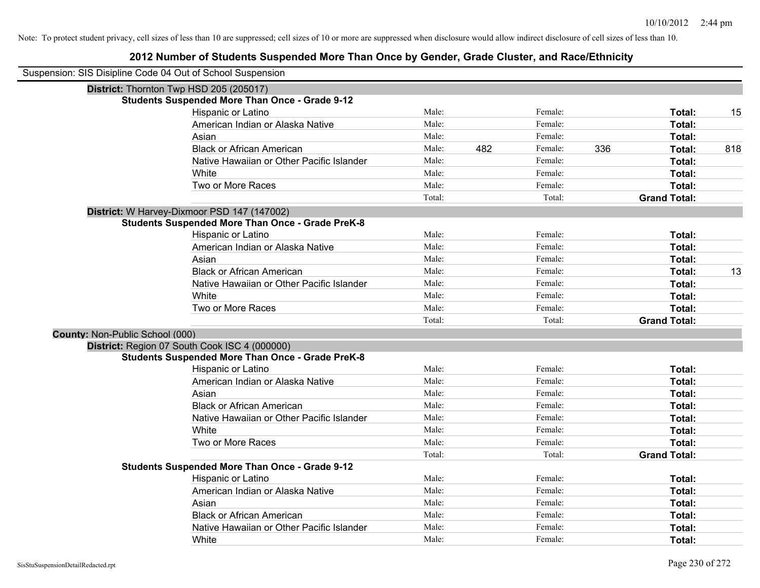| Suspension: SIS Disipline Code 04 Out of School Suspension |        |     |         |     |                     |     |
|------------------------------------------------------------|--------|-----|---------|-----|---------------------|-----|
| District: Thornton Twp HSD 205 (205017)                    |        |     |         |     |                     |     |
| <b>Students Suspended More Than Once - Grade 9-12</b>      |        |     |         |     |                     |     |
| Hispanic or Latino                                         | Male:  |     | Female: |     | Total:              | 15  |
| American Indian or Alaska Native                           | Male:  |     | Female: |     | Total:              |     |
| Asian                                                      | Male:  |     | Female: |     | Total:              |     |
| <b>Black or African American</b>                           | Male:  | 482 | Female: | 336 | Total:              | 818 |
| Native Hawaiian or Other Pacific Islander                  | Male:  |     | Female: |     | Total:              |     |
| White                                                      | Male:  |     | Female: |     | Total:              |     |
| Two or More Races                                          | Male:  |     | Female: |     | Total:              |     |
|                                                            | Total: |     | Total:  |     | <b>Grand Total:</b> |     |
| District: W Harvey-Dixmoor PSD 147 (147002)                |        |     |         |     |                     |     |
| <b>Students Suspended More Than Once - Grade PreK-8</b>    |        |     |         |     |                     |     |
| Hispanic or Latino                                         | Male:  |     | Female: |     | Total:              |     |
| American Indian or Alaska Native                           | Male:  |     | Female: |     | Total:              |     |
| Asian                                                      | Male:  |     | Female: |     | Total:              |     |
| <b>Black or African American</b>                           | Male:  |     | Female: |     | Total:              | 13  |
| Native Hawaiian or Other Pacific Islander                  | Male:  |     | Female: |     | Total:              |     |
| White                                                      | Male:  |     | Female: |     | Total:              |     |
| Two or More Races                                          | Male:  |     | Female: |     | Total:              |     |
|                                                            | Total: |     | Total:  |     | <b>Grand Total:</b> |     |
| County: Non-Public School (000)                            |        |     |         |     |                     |     |
| District: Region 07 South Cook ISC 4 (000000)              |        |     |         |     |                     |     |
| <b>Students Suspended More Than Once - Grade PreK-8</b>    |        |     |         |     |                     |     |
| Hispanic or Latino                                         | Male:  |     | Female: |     | Total:              |     |
| American Indian or Alaska Native                           | Male:  |     | Female: |     | Total:              |     |
| Asian                                                      | Male:  |     | Female: |     | Total:              |     |
| <b>Black or African American</b>                           | Male:  |     | Female: |     | Total:              |     |
| Native Hawaiian or Other Pacific Islander                  | Male:  |     | Female: |     | Total:              |     |
| White                                                      | Male:  |     | Female: |     | Total:              |     |
| Two or More Races                                          | Male:  |     | Female: |     | Total:              |     |
|                                                            | Total: |     | Total:  |     | <b>Grand Total:</b> |     |
| <b>Students Suspended More Than Once - Grade 9-12</b>      | Male:  |     |         |     |                     |     |
| Hispanic or Latino                                         |        |     | Female: |     | Total:              |     |
| American Indian or Alaska Native                           | Male:  |     | Female: |     | Total:              |     |
| Asian                                                      | Male:  |     | Female: |     | Total:              |     |
| <b>Black or African American</b>                           | Male:  |     | Female: |     | Total:              |     |
| Native Hawaiian or Other Pacific Islander                  | Male:  |     | Female: |     | Total:              |     |
| White                                                      | Male:  |     | Female: |     | Total:              |     |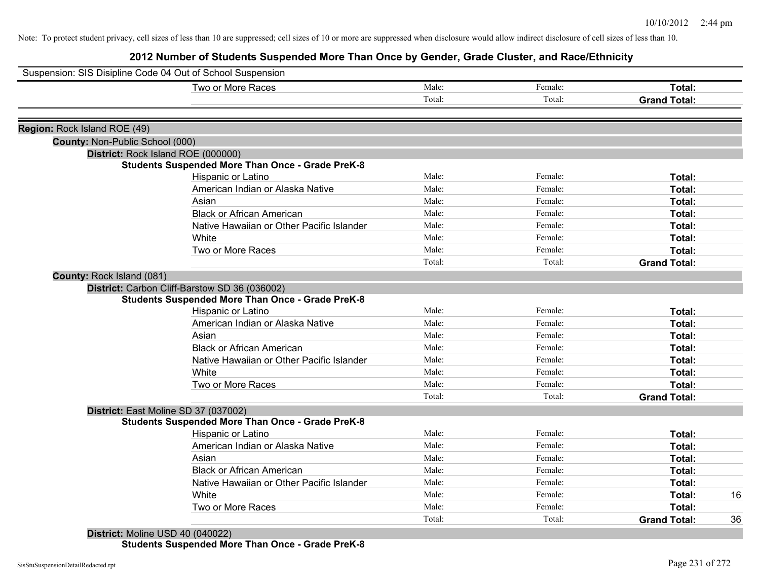**2012 Number of Students Suspended More Than Once by Gender, Grade Cluster, and Race/Ethnicity**

| Suspension: SIS Disipline Code 04 Out of School Suspension |                                                         |        |         |                     |    |
|------------------------------------------------------------|---------------------------------------------------------|--------|---------|---------------------|----|
|                                                            | Two or More Races                                       | Male:  | Female: | Total:              |    |
|                                                            |                                                         | Total: | Total:  | <b>Grand Total:</b> |    |
| Region: Rock Island ROE (49)                               |                                                         |        |         |                     |    |
| County: Non-Public School (000)                            |                                                         |        |         |                     |    |
|                                                            | District: Rock Island ROE (000000)                      |        |         |                     |    |
|                                                            | <b>Students Suspended More Than Once - Grade PreK-8</b> |        |         |                     |    |
|                                                            | Hispanic or Latino                                      | Male:  | Female: | Total:              |    |
|                                                            | American Indian or Alaska Native                        | Male:  | Female: | Total:              |    |
|                                                            | Asian                                                   | Male:  | Female: | Total:              |    |
|                                                            | <b>Black or African American</b>                        | Male:  | Female: | Total:              |    |
|                                                            | Native Hawaiian or Other Pacific Islander               | Male:  | Female: | Total:              |    |
|                                                            | White                                                   | Male:  | Female: | Total:              |    |
|                                                            | Two or More Races                                       | Male:  | Female: | Total:              |    |
|                                                            |                                                         | Total: | Total:  | <b>Grand Total:</b> |    |
| County: Rock Island (081)                                  |                                                         |        |         |                     |    |
|                                                            | District: Carbon Cliff-Barstow SD 36 (036002)           |        |         |                     |    |
|                                                            | <b>Students Suspended More Than Once - Grade PreK-8</b> |        |         |                     |    |
|                                                            | Hispanic or Latino                                      | Male:  | Female: | Total:              |    |
|                                                            | American Indian or Alaska Native                        | Male:  | Female: | Total:              |    |
|                                                            | Asian                                                   | Male:  | Female: | Total:              |    |
|                                                            | <b>Black or African American</b>                        | Male:  | Female: | Total:              |    |
|                                                            | Native Hawaiian or Other Pacific Islander               | Male:  | Female: | Total:              |    |
|                                                            | White                                                   | Male:  | Female: | Total:              |    |
|                                                            | Two or More Races                                       | Male:  | Female: | Total:              |    |
|                                                            |                                                         | Total: | Total:  | <b>Grand Total:</b> |    |
|                                                            | District: East Moline SD 37 (037002)                    |        |         |                     |    |
|                                                            | <b>Students Suspended More Than Once - Grade PreK-8</b> |        |         |                     |    |
|                                                            | Hispanic or Latino                                      | Male:  | Female: | Total:              |    |
|                                                            | American Indian or Alaska Native                        | Male:  | Female: | Total:              |    |
|                                                            | Asian                                                   | Male:  | Female: | Total:              |    |
|                                                            | <b>Black or African American</b>                        | Male:  | Female: | Total:              |    |
|                                                            | Native Hawaiian or Other Pacific Islander               | Male:  | Female: | Total:              |    |
|                                                            | White                                                   | Male:  | Female: | Total:              | 16 |
|                                                            | Two or More Races                                       | Male:  | Female: | Total:              |    |
|                                                            |                                                         | Total: | Total:  | <b>Grand Total:</b> | 36 |

**Students Suspended More Than Once - Grade PreK-8**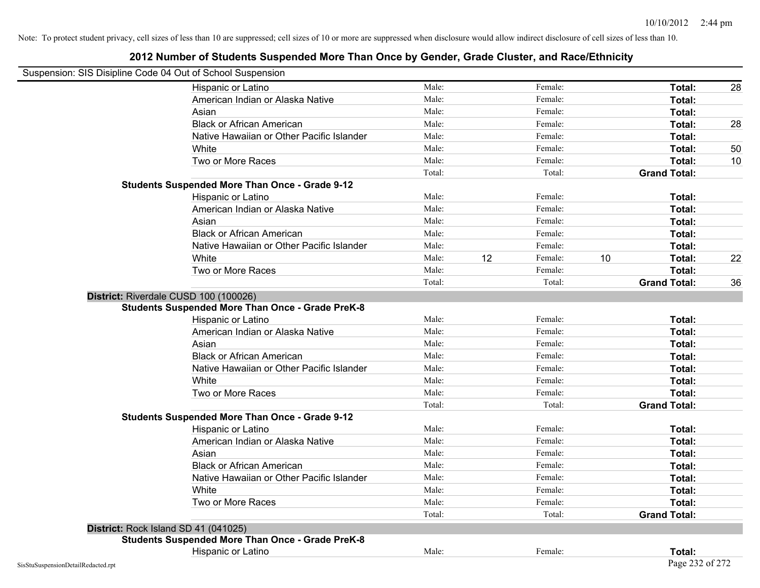|                                    | Suspension: SIS Disipline Code 04 Out of School Suspension |        |    |         |    |                     |    |
|------------------------------------|------------------------------------------------------------|--------|----|---------|----|---------------------|----|
|                                    | Hispanic or Latino                                         | Male:  |    | Female: |    | Total:              | 28 |
|                                    | American Indian or Alaska Native                           | Male:  |    | Female: |    | Total:              |    |
|                                    | Asian                                                      | Male:  |    | Female: |    | Total:              |    |
|                                    | <b>Black or African American</b>                           | Male:  |    | Female: |    | Total:              | 28 |
|                                    | Native Hawaiian or Other Pacific Islander                  | Male:  |    | Female: |    | Total:              |    |
|                                    | White                                                      | Male:  |    | Female: |    | Total:              | 50 |
|                                    | Two or More Races                                          | Male:  |    | Female: |    | Total:              | 10 |
|                                    |                                                            | Total: |    | Total:  |    | <b>Grand Total:</b> |    |
|                                    | <b>Students Suspended More Than Once - Grade 9-12</b>      |        |    |         |    |                     |    |
|                                    | Hispanic or Latino                                         | Male:  |    | Female: |    | Total:              |    |
|                                    | American Indian or Alaska Native                           | Male:  |    | Female: |    | Total:              |    |
|                                    | Asian                                                      | Male:  |    | Female: |    | Total:              |    |
|                                    | <b>Black or African American</b>                           | Male:  |    | Female: |    | Total:              |    |
|                                    | Native Hawaiian or Other Pacific Islander                  | Male:  |    | Female: |    | Total:              |    |
|                                    | White                                                      | Male:  | 12 | Female: | 10 | Total:              | 22 |
|                                    | Two or More Races                                          | Male:  |    | Female: |    | Total:              |    |
|                                    |                                                            | Total: |    | Total:  |    | <b>Grand Total:</b> | 36 |
|                                    | District: Riverdale CUSD 100 (100026)                      |        |    |         |    |                     |    |
|                                    | <b>Students Suspended More Than Once - Grade PreK-8</b>    |        |    |         |    |                     |    |
|                                    | Hispanic or Latino                                         | Male:  |    | Female: |    | Total:              |    |
|                                    | American Indian or Alaska Native                           | Male:  |    | Female: |    | Total:              |    |
|                                    | Asian                                                      | Male:  |    | Female: |    | Total:              |    |
|                                    | <b>Black or African American</b>                           | Male:  |    | Female: |    | Total:              |    |
|                                    | Native Hawaiian or Other Pacific Islander                  | Male:  |    | Female: |    | Total:              |    |
|                                    | White                                                      | Male:  |    | Female: |    | Total:              |    |
|                                    | Two or More Races                                          | Male:  |    | Female: |    | Total:              |    |
|                                    |                                                            | Total: |    | Total:  |    | <b>Grand Total:</b> |    |
|                                    | <b>Students Suspended More Than Once - Grade 9-12</b>      |        |    |         |    |                     |    |
|                                    | Hispanic or Latino                                         | Male:  |    | Female: |    | Total:              |    |
|                                    | American Indian or Alaska Native                           | Male:  |    | Female: |    | Total:              |    |
|                                    | Asian                                                      | Male:  |    | Female: |    | Total:              |    |
|                                    | <b>Black or African American</b>                           | Male:  |    | Female: |    | Total:              |    |
|                                    | Native Hawaiian or Other Pacific Islander                  | Male:  |    | Female: |    | Total:              |    |
|                                    | White                                                      | Male:  |    | Female: |    | Total:              |    |
|                                    | Two or More Races                                          | Male:  |    | Female: |    | Total:              |    |
|                                    |                                                            | Total: |    | Total:  |    | <b>Grand Total:</b> |    |
|                                    | District: Rock Island SD 41 (041025)                       |        |    |         |    |                     |    |
|                                    | <b>Students Suspended More Than Once - Grade PreK-8</b>    |        |    |         |    |                     |    |
|                                    | Hispanic or Latino                                         | Male:  |    | Female: |    | Total:              |    |
| SisStuSuspensionDetailRedacted.rpt |                                                            |        |    |         |    | Page 232 of 272     |    |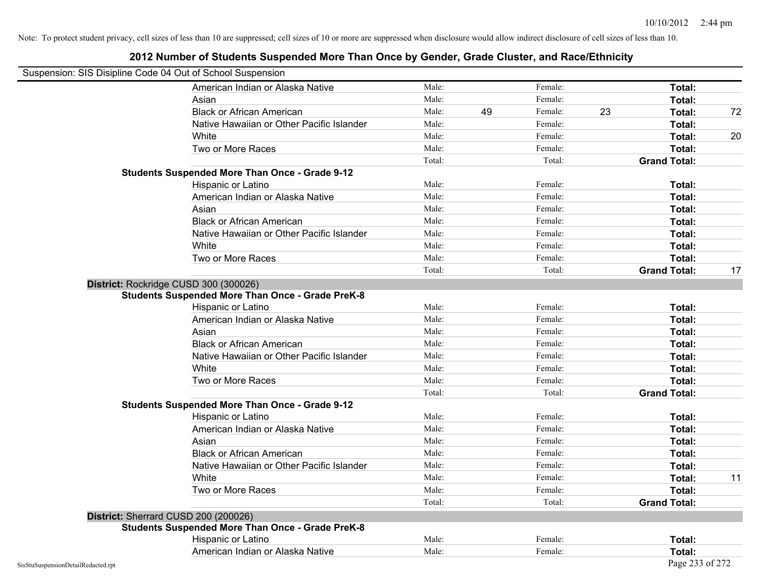| Suspension: SIS Disipline Code 04 Out of School Suspension |                                                         |        |    |         |    |                     |    |
|------------------------------------------------------------|---------------------------------------------------------|--------|----|---------|----|---------------------|----|
|                                                            | American Indian or Alaska Native                        | Male:  |    | Female: |    | Total:              |    |
|                                                            | Asian                                                   | Male:  |    | Female: |    | Total:              |    |
|                                                            | <b>Black or African American</b>                        | Male:  | 49 | Female: | 23 | Total:              | 72 |
|                                                            | Native Hawaiian or Other Pacific Islander               | Male:  |    | Female: |    | Total:              |    |
|                                                            | White                                                   | Male:  |    | Female: |    | Total:              | 20 |
|                                                            | Two or More Races                                       | Male:  |    | Female: |    | Total:              |    |
|                                                            |                                                         | Total: |    | Total:  |    | <b>Grand Total:</b> |    |
|                                                            | <b>Students Suspended More Than Once - Grade 9-12</b>   |        |    |         |    |                     |    |
|                                                            | Hispanic or Latino                                      | Male:  |    | Female: |    | Total:              |    |
|                                                            | American Indian or Alaska Native                        | Male:  |    | Female: |    | Total:              |    |
|                                                            | Asian                                                   | Male:  |    | Female: |    | Total:              |    |
|                                                            | <b>Black or African American</b>                        | Male:  |    | Female: |    | Total:              |    |
|                                                            | Native Hawaiian or Other Pacific Islander               | Male:  |    | Female: |    | Total:              |    |
|                                                            | White                                                   | Male:  |    | Female: |    | Total:              |    |
|                                                            | Two or More Races                                       | Male:  |    | Female: |    | Total:              |    |
|                                                            |                                                         | Total: |    | Total:  |    | <b>Grand Total:</b> | 17 |
|                                                            | District: Rockridge CUSD 300 (300026)                   |        |    |         |    |                     |    |
|                                                            | <b>Students Suspended More Than Once - Grade PreK-8</b> |        |    |         |    |                     |    |
|                                                            | Hispanic or Latino                                      | Male:  |    | Female: |    | Total:              |    |
|                                                            | American Indian or Alaska Native                        | Male:  |    | Female: |    | Total:              |    |
|                                                            | Asian                                                   | Male:  |    | Female: |    | Total:              |    |
|                                                            | <b>Black or African American</b>                        | Male:  |    | Female: |    | Total:              |    |
|                                                            | Native Hawaiian or Other Pacific Islander               | Male:  |    | Female: |    | Total:              |    |
|                                                            | White                                                   | Male:  |    | Female: |    | Total:              |    |
|                                                            | Two or More Races                                       | Male:  |    | Female: |    | Total:              |    |
|                                                            |                                                         | Total: |    | Total:  |    | <b>Grand Total:</b> |    |
|                                                            | <b>Students Suspended More Than Once - Grade 9-12</b>   |        |    |         |    |                     |    |
|                                                            | Hispanic or Latino                                      | Male:  |    | Female: |    | Total:              |    |
|                                                            | American Indian or Alaska Native                        | Male:  |    | Female: |    | Total:              |    |
|                                                            | Asian                                                   | Male:  |    | Female: |    | Total:              |    |
|                                                            | <b>Black or African American</b>                        | Male:  |    | Female: |    | Total:              |    |
|                                                            | Native Hawaiian or Other Pacific Islander               | Male:  |    | Female: |    | Total:              |    |
|                                                            | White                                                   | Male:  |    | Female: |    | Total:              | 11 |
|                                                            | Two or More Races                                       | Male:  |    | Female: |    | Total:              |    |
|                                                            |                                                         | Total: |    | Total:  |    | <b>Grand Total:</b> |    |
|                                                            | District: Sherrard CUSD 200 (200026)                    |        |    |         |    |                     |    |
|                                                            | <b>Students Suspended More Than Once - Grade PreK-8</b> |        |    |         |    |                     |    |
|                                                            | Hispanic or Latino                                      | Male:  |    | Female: |    | Total:              |    |
|                                                            | American Indian or Alaska Native                        | Male:  |    | Female: |    | Total:              |    |
| SisStuSuspensionDetailRedacted.rpt                         |                                                         |        |    |         |    | Page 233 of 272     |    |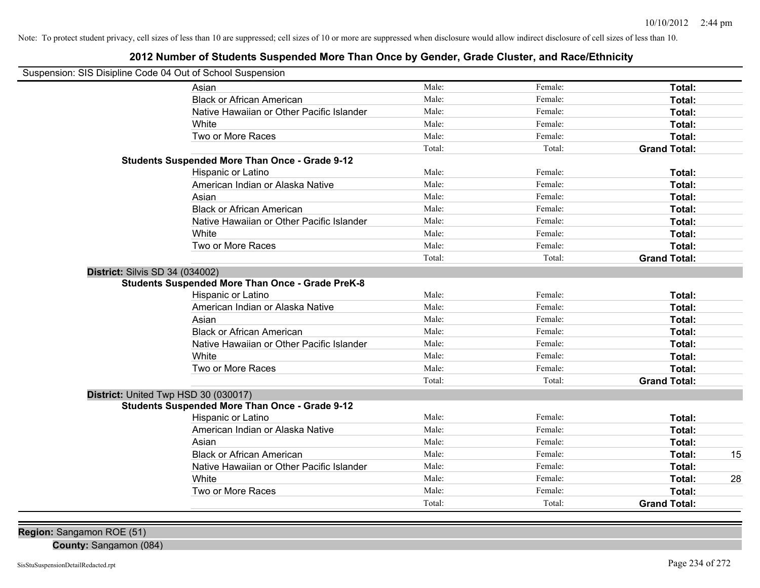### **2012 Number of Students Suspended More Than Once by Gender, Grade Cluster, and Race/Ethnicity**

| Suspension: SIS Disipline Code 04 Out of School Suspension |                                                         |        |                    |                               |    |
|------------------------------------------------------------|---------------------------------------------------------|--------|--------------------|-------------------------------|----|
|                                                            | Asian                                                   | Male:  | Female:            | Total:                        |    |
|                                                            | <b>Black or African American</b>                        | Male:  | Female:            | Total:                        |    |
|                                                            | Native Hawaiian or Other Pacific Islander               | Male:  | Female:            | Total:                        |    |
|                                                            | White                                                   | Male:  | Female:            | Total:                        |    |
|                                                            | Two or More Races                                       | Male:  | Female:            | Total:                        |    |
|                                                            |                                                         | Total: | Total:             | <b>Grand Total:</b>           |    |
|                                                            | <b>Students Suspended More Than Once - Grade 9-12</b>   |        |                    |                               |    |
|                                                            | Hispanic or Latino                                      | Male:  | Female:            | Total:                        |    |
|                                                            | American Indian or Alaska Native                        | Male:  | Female:            | Total:                        |    |
|                                                            | Asian                                                   | Male:  | Female:            | Total:                        |    |
|                                                            | <b>Black or African American</b>                        | Male:  | Female:            | Total:                        |    |
|                                                            | Native Hawaiian or Other Pacific Islander               | Male:  | Female:            | Total:                        |    |
|                                                            | White                                                   | Male:  | Female:            | Total:                        |    |
|                                                            | Two or More Races                                       | Male:  | Female:            | Total:                        |    |
|                                                            |                                                         | Total: | Total:             | <b>Grand Total:</b>           |    |
| District: Silvis SD 34 (034002)                            | <b>Students Suspended More Than Once - Grade PreK-8</b> |        |                    |                               |    |
|                                                            | Hispanic or Latino                                      | Male:  | Female:            | Total:                        |    |
|                                                            | American Indian or Alaska Native                        | Male:  | Female:            | Total:                        |    |
|                                                            | Asian                                                   | Male:  | Female:            | Total:                        |    |
|                                                            | <b>Black or African American</b>                        | Male:  | Female:            | Total:                        |    |
|                                                            | Native Hawaiian or Other Pacific Islander               | Male:  | Female:            | Total:                        |    |
|                                                            | White                                                   | Male:  | Female:            | Total:                        |    |
|                                                            | Two or More Races                                       | Male:  | Female:            | Total:                        |    |
|                                                            |                                                         | Total: | Total:             | <b>Grand Total:</b>           |    |
| District: United Twp HSD 30 (030017)                       | <b>Students Suspended More Than Once - Grade 9-12</b>   |        |                    |                               |    |
|                                                            |                                                         | Male:  | Female:            | Total:                        |    |
|                                                            | Hispanic or Latino<br>American Indian or Alaska Native  | Male:  | Female:            | Total:                        |    |
|                                                            | Asian                                                   | Male:  | Female:            | Total:                        |    |
|                                                            | <b>Black or African American</b>                        | Male:  | Female:            |                               |    |
|                                                            |                                                         | Male:  |                    | Total:                        | 15 |
|                                                            | Native Hawaiian or Other Pacific Islander               | Male:  | Female:<br>Female: | Total:                        |    |
|                                                            | White                                                   | Male:  |                    | Total:                        | 28 |
|                                                            | Two or More Races                                       | Total: | Female:<br>Total:  | Total:<br><b>Grand Total:</b> |    |
|                                                            |                                                         |        |                    |                               |    |

**Region:** Sangamon ROE (51)

**County:** Sangamon (084)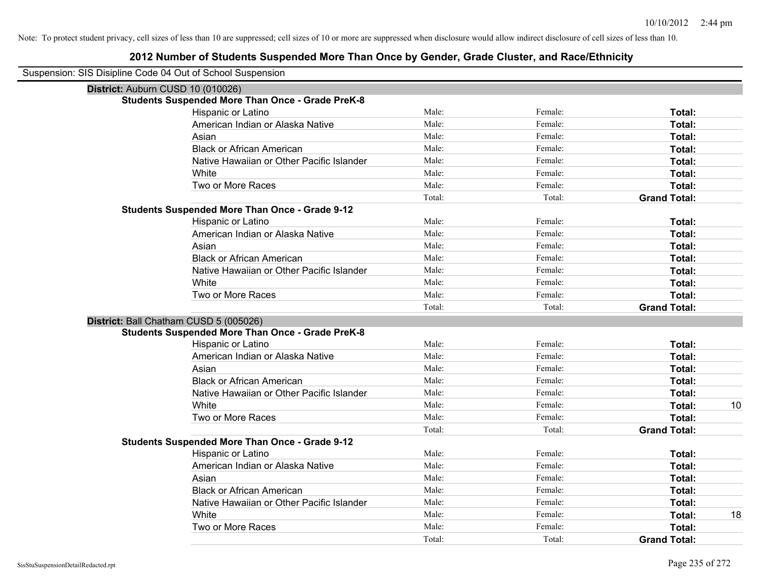| Suspension: SIS Disipline Code 04 Out of School Suspension |                                                         |        |         |                     |    |
|------------------------------------------------------------|---------------------------------------------------------|--------|---------|---------------------|----|
| District: Auburn CUSD 10 (010026)                          |                                                         |        |         |                     |    |
|                                                            | <b>Students Suspended More Than Once - Grade PreK-8</b> |        |         |                     |    |
|                                                            | Hispanic or Latino                                      | Male:  | Female: | Total:              |    |
|                                                            | American Indian or Alaska Native                        | Male:  | Female: | Total:              |    |
|                                                            | Asian                                                   | Male:  | Female: | Total:              |    |
|                                                            | <b>Black or African American</b>                        | Male:  | Female: | Total:              |    |
|                                                            | Native Hawaiian or Other Pacific Islander               | Male:  | Female: | Total:              |    |
|                                                            | White                                                   | Male:  | Female: | Total:              |    |
|                                                            | Two or More Races                                       | Male:  | Female: | Total:              |    |
|                                                            |                                                         | Total: | Total:  | <b>Grand Total:</b> |    |
|                                                            | <b>Students Suspended More Than Once - Grade 9-12</b>   |        |         |                     |    |
|                                                            | Hispanic or Latino                                      | Male:  | Female: | Total:              |    |
|                                                            | American Indian or Alaska Native                        | Male:  | Female: | Total:              |    |
|                                                            | Asian                                                   | Male:  | Female: | Total:              |    |
|                                                            | <b>Black or African American</b>                        | Male:  | Female: | Total:              |    |
|                                                            | Native Hawaiian or Other Pacific Islander               | Male:  | Female: | Total:              |    |
|                                                            | White                                                   | Male:  | Female: | Total:              |    |
|                                                            | Two or More Races                                       | Male:  | Female: | Total:              |    |
|                                                            |                                                         | Total: | Total:  | <b>Grand Total:</b> |    |
|                                                            | District: Ball Chatham CUSD 5 (005026)                  |        |         |                     |    |
|                                                            | <b>Students Suspended More Than Once - Grade PreK-8</b> |        |         |                     |    |
|                                                            | Hispanic or Latino                                      | Male:  | Female: | Total:              |    |
|                                                            | American Indian or Alaska Native                        | Male:  | Female: | Total:              |    |
|                                                            | Asian                                                   | Male:  | Female: | Total:              |    |
|                                                            | <b>Black or African American</b>                        | Male:  | Female: | Total:              |    |
|                                                            | Native Hawaiian or Other Pacific Islander               | Male:  | Female: | Total:              |    |
|                                                            | White                                                   | Male:  | Female: | Total:              | 10 |
|                                                            | Two or More Races                                       | Male:  | Female: | Total:              |    |
|                                                            |                                                         | Total: | Total:  | <b>Grand Total:</b> |    |
|                                                            | <b>Students Suspended More Than Once - Grade 9-12</b>   |        |         |                     |    |
|                                                            | Hispanic or Latino                                      | Male:  | Female: | Total:              |    |
|                                                            | American Indian or Alaska Native                        | Male:  | Female: | Total:              |    |
|                                                            | Asian                                                   | Male:  | Female: | Total:              |    |
|                                                            | <b>Black or African American</b>                        | Male:  | Female: | Total:              |    |
|                                                            | Native Hawaiian or Other Pacific Islander               | Male:  | Female: | Total:              |    |
|                                                            | White                                                   | Male:  | Female: | Total:              | 18 |
|                                                            | Two or More Races                                       | Male:  | Female: | Total:              |    |
|                                                            |                                                         | Total: | Total:  | <b>Grand Total:</b> |    |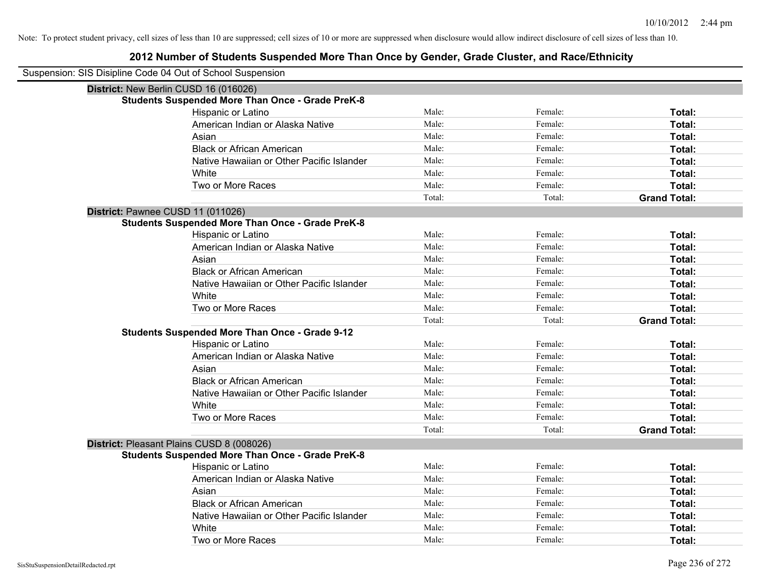| Suspension: SIS Disipline Code 04 Out of School Suspension |                                                         |        |         |                     |
|------------------------------------------------------------|---------------------------------------------------------|--------|---------|---------------------|
| District: New Berlin CUSD 16 (016026)                      |                                                         |        |         |                     |
|                                                            | <b>Students Suspended More Than Once - Grade PreK-8</b> |        |         |                     |
|                                                            | Hispanic or Latino                                      | Male:  | Female: | Total:              |
|                                                            | American Indian or Alaska Native                        | Male:  | Female: | Total:              |
|                                                            | Asian                                                   | Male:  | Female: | Total:              |
|                                                            | <b>Black or African American</b>                        | Male:  | Female: | Total:              |
|                                                            | Native Hawaiian or Other Pacific Islander               | Male:  | Female: | Total:              |
|                                                            | White                                                   | Male:  | Female: | Total:              |
|                                                            | Two or More Races                                       | Male:  | Female: | Total:              |
|                                                            |                                                         | Total: | Total:  | <b>Grand Total:</b> |
| District: Pawnee CUSD 11 (011026)                          |                                                         |        |         |                     |
|                                                            | <b>Students Suspended More Than Once - Grade PreK-8</b> |        |         |                     |
|                                                            | Hispanic or Latino                                      | Male:  | Female: | Total:              |
|                                                            | American Indian or Alaska Native                        | Male:  | Female: | Total:              |
|                                                            | Asian                                                   | Male:  | Female: | Total:              |
|                                                            | <b>Black or African American</b>                        | Male:  | Female: | Total:              |
|                                                            | Native Hawaiian or Other Pacific Islander               | Male:  | Female: | Total:              |
|                                                            | White                                                   | Male:  | Female: | Total:              |
|                                                            | Two or More Races                                       | Male:  | Female: | Total:              |
|                                                            |                                                         | Total: | Total:  | <b>Grand Total:</b> |
|                                                            | <b>Students Suspended More Than Once - Grade 9-12</b>   |        |         |                     |
|                                                            | Hispanic or Latino                                      | Male:  | Female: | Total:              |
|                                                            | American Indian or Alaska Native                        | Male:  | Female: | Total:              |
|                                                            | Asian                                                   | Male:  | Female: | Total:              |
|                                                            | <b>Black or African American</b>                        | Male:  | Female: | Total:              |
|                                                            | Native Hawaiian or Other Pacific Islander               | Male:  | Female: | Total:              |
|                                                            | White                                                   | Male:  | Female: | Total:              |
|                                                            | Two or More Races                                       | Male:  | Female: | Total:              |
|                                                            |                                                         | Total: | Total:  | <b>Grand Total:</b> |
| District: Pleasant Plains CUSD 8 (008026)                  |                                                         |        |         |                     |
|                                                            | <b>Students Suspended More Than Once - Grade PreK-8</b> |        |         |                     |
|                                                            | Hispanic or Latino                                      | Male:  | Female: | Total:              |
|                                                            | American Indian or Alaska Native                        | Male:  | Female: | Total:              |
|                                                            | Asian                                                   | Male:  | Female: | Total:              |
|                                                            | <b>Black or African American</b>                        | Male:  | Female: | Total:              |
|                                                            | Native Hawaiian or Other Pacific Islander               | Male:  | Female: | Total:              |
|                                                            | White                                                   | Male:  | Female: | Total:              |
|                                                            | Two or More Races                                       | Male:  | Female: | Total:              |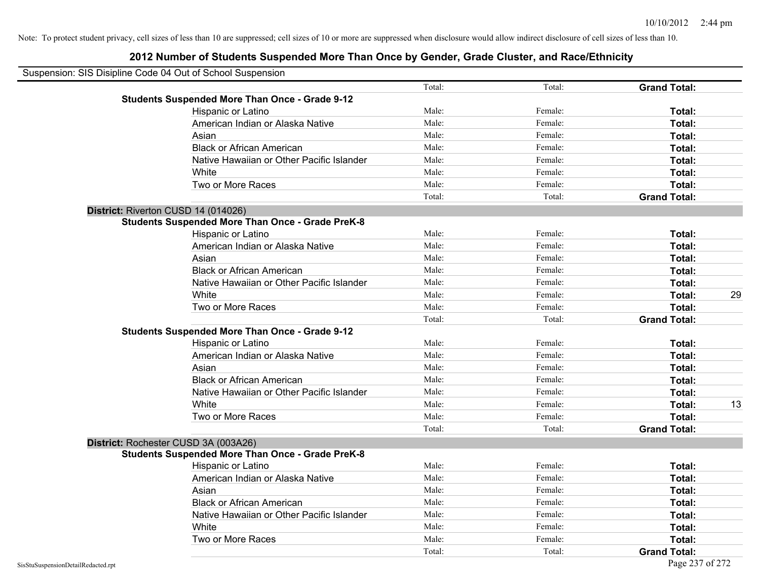| Suspension: SIS Disipline Code 04 Out of School Suspension |                                                         |        |         |                     |    |
|------------------------------------------------------------|---------------------------------------------------------|--------|---------|---------------------|----|
|                                                            |                                                         | Total: | Total:  | <b>Grand Total:</b> |    |
|                                                            | <b>Students Suspended More Than Once - Grade 9-12</b>   |        |         |                     |    |
|                                                            | Hispanic or Latino                                      | Male:  | Female: | Total:              |    |
|                                                            | American Indian or Alaska Native                        | Male:  | Female: | Total:              |    |
|                                                            | Asian                                                   | Male:  | Female: | Total:              |    |
|                                                            | <b>Black or African American</b>                        | Male:  | Female: | Total:              |    |
|                                                            | Native Hawaiian or Other Pacific Islander               | Male:  | Female: | Total:              |    |
|                                                            | White                                                   | Male:  | Female: | Total:              |    |
|                                                            | Two or More Races                                       | Male:  | Female: | Total:              |    |
|                                                            |                                                         | Total: | Total:  | <b>Grand Total:</b> |    |
|                                                            | District: Riverton CUSD 14 (014026)                     |        |         |                     |    |
|                                                            | <b>Students Suspended More Than Once - Grade PreK-8</b> |        |         |                     |    |
|                                                            | Hispanic or Latino                                      | Male:  | Female: | Total:              |    |
|                                                            | American Indian or Alaska Native                        | Male:  | Female: | Total:              |    |
|                                                            | Asian                                                   | Male:  | Female: | Total:              |    |
|                                                            | <b>Black or African American</b>                        | Male:  | Female: | Total:              |    |
|                                                            | Native Hawaiian or Other Pacific Islander               | Male:  | Female: | Total:              |    |
|                                                            | White                                                   | Male:  | Female: | Total:              | 29 |
|                                                            | Two or More Races                                       | Male:  | Female: | Total:              |    |
|                                                            |                                                         | Total: | Total:  | <b>Grand Total:</b> |    |
|                                                            | <b>Students Suspended More Than Once - Grade 9-12</b>   |        |         |                     |    |
|                                                            | Hispanic or Latino                                      | Male:  | Female: | Total:              |    |
|                                                            | American Indian or Alaska Native                        | Male:  | Female: | Total:              |    |
|                                                            | Asian                                                   | Male:  | Female: | Total:              |    |
|                                                            | <b>Black or African American</b>                        | Male:  | Female: | Total:              |    |
|                                                            | Native Hawaiian or Other Pacific Islander               | Male:  | Female: | Total:              |    |
|                                                            | White                                                   | Male:  | Female: | Total:              | 13 |
|                                                            | Two or More Races                                       | Male:  | Female: | Total:              |    |
|                                                            |                                                         | Total: | Total:  | <b>Grand Total:</b> |    |
|                                                            | District: Rochester CUSD 3A (003A26)                    |        |         |                     |    |
|                                                            | <b>Students Suspended More Than Once - Grade PreK-8</b> |        |         |                     |    |
|                                                            | Hispanic or Latino                                      | Male:  | Female: | Total:              |    |
|                                                            | American Indian or Alaska Native                        | Male:  | Female: | Total:              |    |
|                                                            | Asian                                                   | Male:  | Female: | Total:              |    |
|                                                            | <b>Black or African American</b>                        | Male:  | Female: | Total:              |    |
|                                                            | Native Hawaiian or Other Pacific Islander               | Male:  | Female: | Total:              |    |
|                                                            | White                                                   | Male:  | Female: | Total:              |    |
|                                                            | Two or More Races                                       | Male:  | Female: | Total:              |    |
|                                                            |                                                         | Total: | Total:  | <b>Grand Total:</b> |    |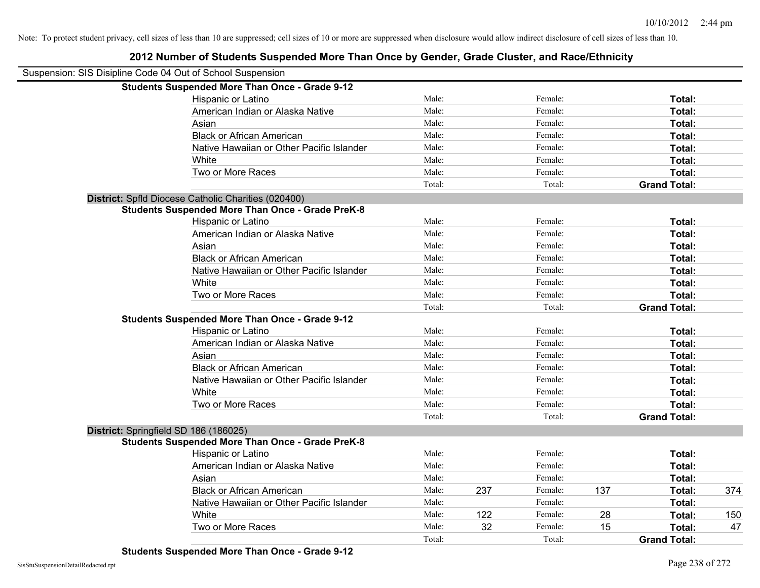| Suspension: SIS Disipline Code 04 Out of School Suspension |                                                         |        |     |         |     |                     |     |
|------------------------------------------------------------|---------------------------------------------------------|--------|-----|---------|-----|---------------------|-----|
|                                                            | <b>Students Suspended More Than Once - Grade 9-12</b>   |        |     |         |     |                     |     |
|                                                            | Hispanic or Latino                                      | Male:  |     | Female: |     | Total:              |     |
|                                                            | American Indian or Alaska Native                        | Male:  |     | Female: |     | Total:              |     |
|                                                            | Asian                                                   | Male:  |     | Female: |     | Total:              |     |
|                                                            | <b>Black or African American</b>                        | Male:  |     | Female: |     | Total:              |     |
|                                                            | Native Hawaiian or Other Pacific Islander               | Male:  |     | Female: |     | Total:              |     |
|                                                            | White                                                   | Male:  |     | Female: |     | Total:              |     |
|                                                            | Two or More Races                                       | Male:  |     | Female: |     | Total:              |     |
|                                                            |                                                         | Total: |     | Total:  |     | <b>Grand Total:</b> |     |
|                                                            | District: Spfld Diocese Catholic Charities (020400)     |        |     |         |     |                     |     |
|                                                            | <b>Students Suspended More Than Once - Grade PreK-8</b> |        |     |         |     |                     |     |
|                                                            | Hispanic or Latino                                      | Male:  |     | Female: |     | Total:              |     |
|                                                            | American Indian or Alaska Native                        | Male:  |     | Female: |     | Total:              |     |
|                                                            | Asian                                                   | Male:  |     | Female: |     | Total:              |     |
|                                                            | <b>Black or African American</b>                        | Male:  |     | Female: |     | Total:              |     |
|                                                            | Native Hawaiian or Other Pacific Islander               | Male:  |     | Female: |     | Total:              |     |
|                                                            | White                                                   | Male:  |     | Female: |     | Total:              |     |
|                                                            | Two or More Races                                       | Male:  |     | Female: |     | Total:              |     |
|                                                            |                                                         | Total: |     | Total:  |     | <b>Grand Total:</b> |     |
|                                                            | <b>Students Suspended More Than Once - Grade 9-12</b>   |        |     |         |     |                     |     |
|                                                            | Hispanic or Latino                                      | Male:  |     | Female: |     | Total:              |     |
|                                                            | American Indian or Alaska Native                        | Male:  |     | Female: |     | Total:              |     |
|                                                            | Asian                                                   | Male:  |     | Female: |     | Total:              |     |
|                                                            | <b>Black or African American</b>                        | Male:  |     | Female: |     | Total:              |     |
|                                                            | Native Hawaiian or Other Pacific Islander               | Male:  |     | Female: |     | Total:              |     |
|                                                            | White                                                   | Male:  |     | Female: |     | Total:              |     |
|                                                            | Two or More Races                                       | Male:  |     | Female: |     | <b>Total:</b>       |     |
|                                                            |                                                         | Total: |     | Total:  |     | <b>Grand Total:</b> |     |
|                                                            | District: Springfield SD 186 (186025)                   |        |     |         |     |                     |     |
|                                                            | <b>Students Suspended More Than Once - Grade PreK-8</b> |        |     |         |     |                     |     |
|                                                            | Hispanic or Latino                                      | Male:  |     | Female: |     | Total:              |     |
|                                                            | American Indian or Alaska Native                        | Male:  |     | Female: |     | Total:              |     |
|                                                            | Asian                                                   | Male:  |     | Female: |     | Total:              |     |
|                                                            | <b>Black or African American</b>                        | Male:  | 237 | Female: | 137 | Total:              | 374 |
|                                                            | Native Hawaiian or Other Pacific Islander               | Male:  |     | Female: |     | Total:              |     |
|                                                            | White                                                   | Male:  | 122 | Female: | 28  | Total:              | 150 |
|                                                            | Two or More Races                                       | Male:  | 32  | Female: | 15  | Total:              | 47  |
|                                                            |                                                         | Total: |     | Total:  |     | <b>Grand Total:</b> |     |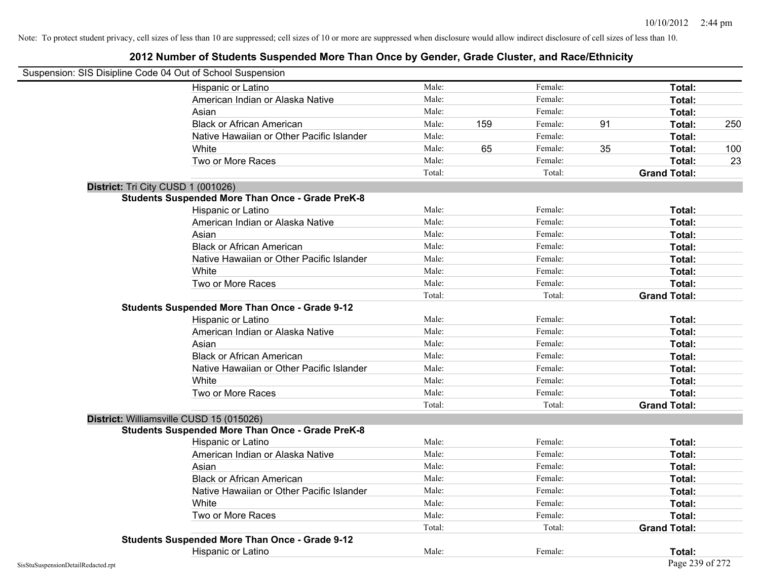| Suspension: SIS Disipline Code 04 Out of School Suspension |                                                         |        |     |         |    |                     |     |
|------------------------------------------------------------|---------------------------------------------------------|--------|-----|---------|----|---------------------|-----|
|                                                            | Hispanic or Latino                                      | Male:  |     | Female: |    | Total:              |     |
|                                                            | American Indian or Alaska Native                        | Male:  |     | Female: |    | Total:              |     |
|                                                            | Asian                                                   | Male:  |     | Female: |    | Total:              |     |
|                                                            | <b>Black or African American</b>                        | Male:  | 159 | Female: | 91 | Total:              | 250 |
|                                                            | Native Hawaiian or Other Pacific Islander               | Male:  |     | Female: |    | Total:              |     |
|                                                            | White                                                   | Male:  | 65  | Female: | 35 | Total:              | 100 |
|                                                            | Two or More Races                                       | Male:  |     | Female: |    | Total:              | 23  |
|                                                            |                                                         | Total: |     | Total:  |    | <b>Grand Total:</b> |     |
|                                                            | District: Tri City CUSD 1 (001026)                      |        |     |         |    |                     |     |
|                                                            | <b>Students Suspended More Than Once - Grade PreK-8</b> |        |     |         |    |                     |     |
|                                                            | Hispanic or Latino                                      | Male:  |     | Female: |    | Total:              |     |
|                                                            | American Indian or Alaska Native                        | Male:  |     | Female: |    | Total:              |     |
|                                                            | Asian                                                   | Male:  |     | Female: |    | Total:              |     |
|                                                            | <b>Black or African American</b>                        | Male:  |     | Female: |    | Total:              |     |
|                                                            | Native Hawaiian or Other Pacific Islander               | Male:  |     | Female: |    | Total:              |     |
|                                                            | White                                                   | Male:  |     | Female: |    | Total:              |     |
|                                                            | Two or More Races                                       | Male:  |     | Female: |    | Total:              |     |
|                                                            |                                                         | Total: |     | Total:  |    | <b>Grand Total:</b> |     |
|                                                            | <b>Students Suspended More Than Once - Grade 9-12</b>   |        |     |         |    |                     |     |
|                                                            | Hispanic or Latino                                      | Male:  |     | Female: |    | Total:              |     |
|                                                            | American Indian or Alaska Native                        | Male:  |     | Female: |    | Total:              |     |
|                                                            | Asian                                                   | Male:  |     | Female: |    | Total:              |     |
|                                                            | <b>Black or African American</b>                        | Male:  |     | Female: |    | Total:              |     |
|                                                            | Native Hawaiian or Other Pacific Islander               | Male:  |     | Female: |    | Total:              |     |
|                                                            | White                                                   | Male:  |     | Female: |    | Total:              |     |
|                                                            | Two or More Races                                       | Male:  |     | Female: |    | Total:              |     |
|                                                            |                                                         | Total: |     | Total:  |    | <b>Grand Total:</b> |     |
|                                                            | District: Williamsville CUSD 15 (015026)                |        |     |         |    |                     |     |
|                                                            | <b>Students Suspended More Than Once - Grade PreK-8</b> |        |     |         |    |                     |     |
|                                                            | Hispanic or Latino                                      | Male:  |     | Female: |    | Total:              |     |
|                                                            | American Indian or Alaska Native                        | Male:  |     | Female: |    | Total:              |     |
|                                                            | Asian                                                   | Male:  |     | Female: |    | Total:              |     |
|                                                            | <b>Black or African American</b>                        | Male:  |     | Female: |    | Total:              |     |
|                                                            | Native Hawaiian or Other Pacific Islander               | Male:  |     | Female: |    | Total:              |     |
|                                                            | White                                                   | Male:  |     | Female: |    | Total:              |     |
|                                                            | Two or More Races                                       | Male:  |     | Female: |    | Total:              |     |
|                                                            |                                                         | Total: |     | Total:  |    | <b>Grand Total:</b> |     |
|                                                            | <b>Students Suspended More Than Once - Grade 9-12</b>   |        |     |         |    |                     |     |
|                                                            | Hispanic or Latino                                      | Male:  |     | Female: |    | Total:              |     |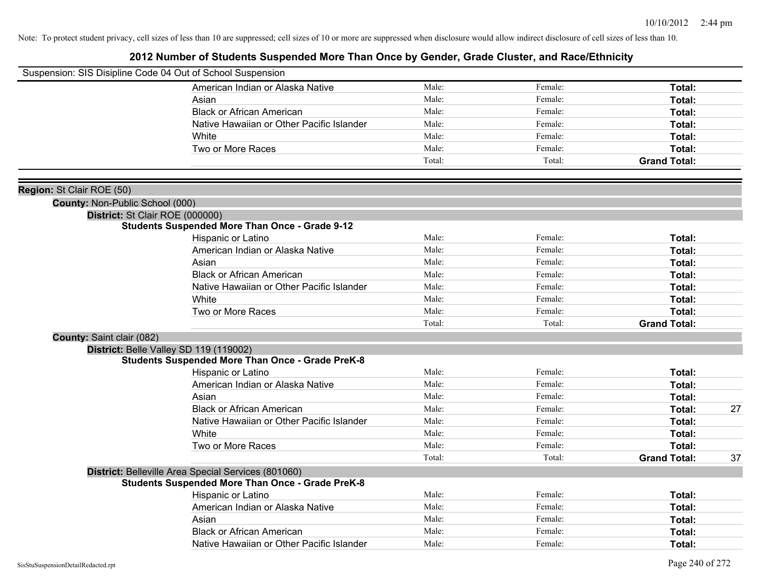|                                        | Suspension: SIS Disipline Code 04 Out of School Suspension |        |         |                     |    |
|----------------------------------------|------------------------------------------------------------|--------|---------|---------------------|----|
|                                        | American Indian or Alaska Native                           | Male:  | Female: | Total:              |    |
|                                        | Asian                                                      | Male:  | Female: | Total:              |    |
|                                        | <b>Black or African American</b>                           | Male:  | Female: | Total:              |    |
|                                        | Native Hawaiian or Other Pacific Islander                  | Male:  | Female: | Total:              |    |
|                                        | White                                                      | Male:  | Female: | Total:              |    |
|                                        | Two or More Races                                          | Male:  | Female: | Total:              |    |
|                                        |                                                            | Total: | Total:  | <b>Grand Total:</b> |    |
| Region: St Clair ROE (50)              |                                                            |        |         |                     |    |
| <b>County: Non-Public School (000)</b> |                                                            |        |         |                     |    |
|                                        | District: St Clair ROE (000000)                            |        |         |                     |    |
|                                        | <b>Students Suspended More Than Once - Grade 9-12</b>      |        |         |                     |    |
|                                        | Hispanic or Latino                                         | Male:  | Female: | Total:              |    |
|                                        | American Indian or Alaska Native                           | Male:  | Female: | Total:              |    |
|                                        | Asian                                                      | Male:  | Female: | Total:              |    |
|                                        | <b>Black or African American</b>                           | Male:  | Female: | Total:              |    |
|                                        | Native Hawaiian or Other Pacific Islander                  | Male:  | Female: | Total:              |    |
|                                        | White                                                      | Male:  | Female: | Total:              |    |
|                                        | Two or More Races                                          | Male:  | Female: | Total:              |    |
|                                        |                                                            | Total: | Total:  | <b>Grand Total:</b> |    |
| County: Saint clair (082)              |                                                            |        |         |                     |    |
|                                        | District: Belle Valley SD 119 (119002)                     |        |         |                     |    |
|                                        | <b>Students Suspended More Than Once - Grade PreK-8</b>    |        |         |                     |    |
|                                        | Hispanic or Latino                                         | Male:  | Female: | Total:              |    |
|                                        | American Indian or Alaska Native                           | Male:  | Female: | Total:              |    |
|                                        | Asian                                                      | Male:  | Female: | Total:              |    |
|                                        | <b>Black or African American</b>                           | Male:  | Female: | Total:              | 27 |
|                                        | Native Hawaiian or Other Pacific Islander                  | Male:  | Female: | <b>Total:</b>       |    |
|                                        | White                                                      | Male:  | Female: | Total:              |    |
|                                        | Two or More Races                                          | Male:  | Female: | Total:              |    |
|                                        |                                                            | Total: | Total:  | <b>Grand Total:</b> | 37 |
|                                        | District: Belleville Area Special Services (801060)        |        |         |                     |    |
|                                        | <b>Students Suspended More Than Once - Grade PreK-8</b>    |        |         |                     |    |
|                                        | Hispanic or Latino                                         | Male:  | Female: | Total:              |    |
|                                        | American Indian or Alaska Native                           | Male:  | Female: | Total:              |    |
|                                        | Asian                                                      | Male:  | Female: | Total:              |    |
|                                        | <b>Black or African American</b>                           | Male:  | Female: | <b>Total:</b>       |    |
|                                        | Native Hawaiian or Other Pacific Islander                  | Male:  | Female: | Total:              |    |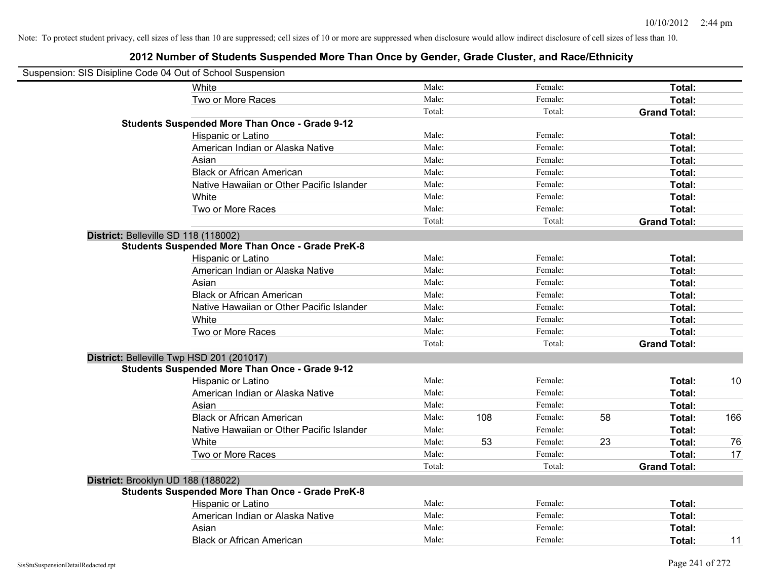|                                      | Suspension: SIS Disipline Code 04 Out of School Suspension |        |     |         |    |                     |     |
|--------------------------------------|------------------------------------------------------------|--------|-----|---------|----|---------------------|-----|
|                                      | White                                                      | Male:  |     | Female: |    | Total:              |     |
|                                      | Two or More Races                                          | Male:  |     | Female: |    | Total:              |     |
|                                      |                                                            | Total: |     | Total:  |    | <b>Grand Total:</b> |     |
|                                      | <b>Students Suspended More Than Once - Grade 9-12</b>      |        |     |         |    |                     |     |
|                                      | Hispanic or Latino                                         | Male:  |     | Female: |    | Total:              |     |
|                                      | American Indian or Alaska Native                           | Male:  |     | Female: |    | Total:              |     |
|                                      | Asian                                                      | Male:  |     | Female: |    | Total:              |     |
|                                      | <b>Black or African American</b>                           | Male:  |     | Female: |    | Total:              |     |
|                                      | Native Hawaiian or Other Pacific Islander                  | Male:  |     | Female: |    | Total:              |     |
|                                      | White                                                      | Male:  |     | Female: |    | Total:              |     |
|                                      | Two or More Races                                          | Male:  |     | Female: |    | Total:              |     |
|                                      |                                                            | Total: |     | Total:  |    | <b>Grand Total:</b> |     |
| District: Belleville SD 118 (118002) |                                                            |        |     |         |    |                     |     |
|                                      | <b>Students Suspended More Than Once - Grade PreK-8</b>    |        |     |         |    |                     |     |
|                                      | Hispanic or Latino                                         | Male:  |     | Female: |    | Total:              |     |
|                                      | American Indian or Alaska Native                           | Male:  |     | Female: |    | Total:              |     |
|                                      | Asian                                                      | Male:  |     | Female: |    | Total:              |     |
|                                      | <b>Black or African American</b>                           | Male:  |     | Female: |    | Total:              |     |
|                                      | Native Hawaiian or Other Pacific Islander                  | Male:  |     | Female: |    | Total:              |     |
|                                      | White                                                      | Male:  |     | Female: |    | Total:              |     |
|                                      | Two or More Races                                          | Male:  |     | Female: |    | Total:              |     |
|                                      |                                                            | Total: |     | Total:  |    | <b>Grand Total:</b> |     |
|                                      | District: Belleville Twp HSD 201 (201017)                  |        |     |         |    |                     |     |
|                                      | <b>Students Suspended More Than Once - Grade 9-12</b>      |        |     |         |    |                     |     |
|                                      | Hispanic or Latino                                         | Male:  |     | Female: |    | Total:              | 10  |
|                                      | American Indian or Alaska Native                           | Male:  |     | Female: |    | Total:              |     |
|                                      | Asian                                                      | Male:  |     | Female: |    | Total:              |     |
|                                      | <b>Black or African American</b>                           | Male:  | 108 | Female: | 58 | Total:              | 166 |
|                                      | Native Hawaiian or Other Pacific Islander                  | Male:  |     | Female: |    | Total:              |     |
|                                      | White                                                      | Male:  | 53  | Female: | 23 | Total:              | 76  |
|                                      | Two or More Races                                          | Male:  |     | Female: |    | Total:              | 17  |
|                                      |                                                            | Total: |     | Total:  |    | <b>Grand Total:</b> |     |
| District: Brooklyn UD 188 (188022)   |                                                            |        |     |         |    |                     |     |
|                                      | <b>Students Suspended More Than Once - Grade PreK-8</b>    |        |     |         |    |                     |     |
|                                      | Hispanic or Latino                                         | Male:  |     | Female: |    | Total:              |     |
|                                      | American Indian or Alaska Native                           | Male:  |     | Female: |    | Total:              |     |
|                                      | Asian                                                      | Male:  |     | Female: |    | Total:              |     |
|                                      | <b>Black or African American</b>                           | Male:  |     | Female: |    | Total:              | 11  |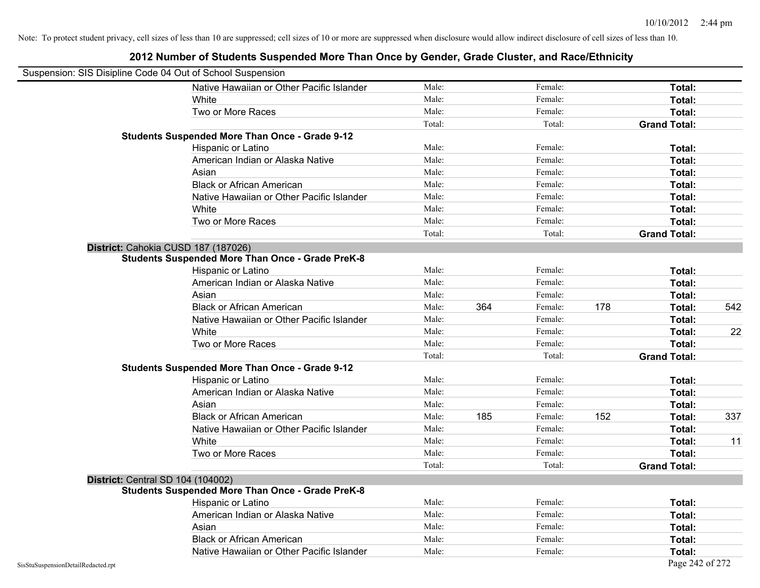|                                    | Suspension: SIS Disipline Code 04 Out of School Suspension |        |     |         |     |                     |     |
|------------------------------------|------------------------------------------------------------|--------|-----|---------|-----|---------------------|-----|
|                                    | Native Hawaiian or Other Pacific Islander                  | Male:  |     | Female: |     | Total:              |     |
|                                    | White                                                      | Male:  |     | Female: |     | Total:              |     |
|                                    | Two or More Races                                          | Male:  |     | Female: |     | Total:              |     |
|                                    |                                                            | Total: |     | Total:  |     | <b>Grand Total:</b> |     |
|                                    | <b>Students Suspended More Than Once - Grade 9-12</b>      |        |     |         |     |                     |     |
|                                    | Hispanic or Latino                                         | Male:  |     | Female: |     | Total:              |     |
|                                    | American Indian or Alaska Native                           | Male:  |     | Female: |     | Total:              |     |
|                                    | Asian                                                      | Male:  |     | Female: |     | Total:              |     |
|                                    | <b>Black or African American</b>                           | Male:  |     | Female: |     | Total:              |     |
|                                    | Native Hawaiian or Other Pacific Islander                  | Male:  |     | Female: |     | Total:              |     |
|                                    | White                                                      | Male:  |     | Female: |     | Total:              |     |
|                                    | Two or More Races                                          | Male:  |     | Female: |     | Total:              |     |
|                                    |                                                            | Total: |     | Total:  |     | <b>Grand Total:</b> |     |
|                                    | District: Cahokia CUSD 187 (187026)                        |        |     |         |     |                     |     |
|                                    | <b>Students Suspended More Than Once - Grade PreK-8</b>    |        |     |         |     |                     |     |
|                                    | Hispanic or Latino                                         | Male:  |     | Female: |     | Total:              |     |
|                                    | American Indian or Alaska Native                           | Male:  |     | Female: |     | Total:              |     |
|                                    | Asian                                                      | Male:  |     | Female: |     | Total:              |     |
|                                    | <b>Black or African American</b>                           | Male:  | 364 | Female: | 178 | Total:              | 542 |
|                                    | Native Hawaiian or Other Pacific Islander                  | Male:  |     | Female: |     | Total:              |     |
|                                    | White                                                      | Male:  |     | Female: |     | Total:              | 22  |
|                                    | Two or More Races                                          | Male:  |     | Female: |     | Total:              |     |
|                                    |                                                            | Total: |     | Total:  |     | <b>Grand Total:</b> |     |
|                                    | <b>Students Suspended More Than Once - Grade 9-12</b>      |        |     |         |     |                     |     |
|                                    | Hispanic or Latino                                         | Male:  |     | Female: |     | Total:              |     |
|                                    | American Indian or Alaska Native                           | Male:  |     | Female: |     | Total:              |     |
|                                    | Asian                                                      | Male:  |     | Female: |     | Total:              |     |
|                                    | <b>Black or African American</b>                           | Male:  | 185 | Female: | 152 | Total:              | 337 |
|                                    | Native Hawaiian or Other Pacific Islander                  | Male:  |     | Female: |     | Total:              |     |
|                                    | White                                                      | Male:  |     | Female: |     | Total:              | 11  |
|                                    | Two or More Races                                          | Male:  |     | Female: |     | Total:              |     |
|                                    |                                                            | Total: |     | Total:  |     | <b>Grand Total:</b> |     |
|                                    | District: Central SD 104 (104002)                          |        |     |         |     |                     |     |
|                                    | <b>Students Suspended More Than Once - Grade PreK-8</b>    |        |     |         |     |                     |     |
|                                    | Hispanic or Latino                                         | Male:  |     | Female: |     | Total:              |     |
|                                    | American Indian or Alaska Native                           | Male:  |     | Female: |     | Total:              |     |
|                                    | Asian                                                      | Male:  |     | Female: |     | Total:              |     |
|                                    | <b>Black or African American</b>                           | Male:  |     | Female: |     | Total:              |     |
|                                    | Native Hawaiian or Other Pacific Islander                  | Male:  |     | Female: |     | Total:              |     |
| SisStuSuspensionDetailRedacted.rpt |                                                            |        |     |         |     | Page 242 of 272     |     |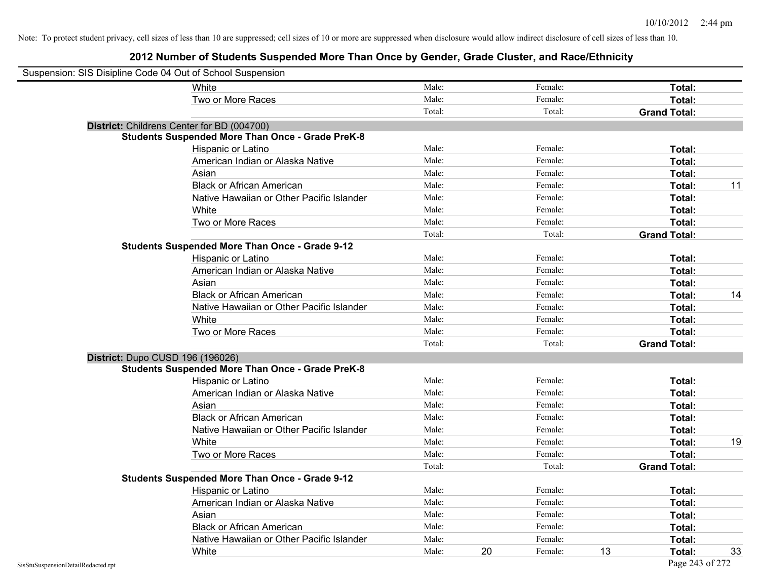| Suspension: SIS Disipline Code 04 Out of School Suspension |                                                         |        |    |         |    |                     |    |
|------------------------------------------------------------|---------------------------------------------------------|--------|----|---------|----|---------------------|----|
|                                                            | White                                                   | Male:  |    | Female: |    | Total:              |    |
|                                                            | Two or More Races                                       | Male:  |    | Female: |    | Total:              |    |
|                                                            |                                                         | Total: |    | Total:  |    | <b>Grand Total:</b> |    |
|                                                            | District: Childrens Center for BD (004700)              |        |    |         |    |                     |    |
|                                                            | <b>Students Suspended More Than Once - Grade PreK-8</b> |        |    |         |    |                     |    |
|                                                            | Hispanic or Latino                                      | Male:  |    | Female: |    | Total:              |    |
|                                                            | American Indian or Alaska Native                        | Male:  |    | Female: |    | Total:              |    |
|                                                            | Asian                                                   | Male:  |    | Female: |    | Total:              |    |
|                                                            | <b>Black or African American</b>                        | Male:  |    | Female: |    | Total:              | 11 |
|                                                            | Native Hawaiian or Other Pacific Islander               | Male:  |    | Female: |    | Total:              |    |
|                                                            | White                                                   | Male:  |    | Female: |    | Total:              |    |
|                                                            | Two or More Races                                       | Male:  |    | Female: |    | <b>Total:</b>       |    |
|                                                            |                                                         | Total: |    | Total:  |    | <b>Grand Total:</b> |    |
|                                                            | <b>Students Suspended More Than Once - Grade 9-12</b>   |        |    |         |    |                     |    |
|                                                            | Hispanic or Latino                                      | Male:  |    | Female: |    | Total:              |    |
|                                                            | American Indian or Alaska Native                        | Male:  |    | Female: |    | Total:              |    |
|                                                            | Asian                                                   | Male:  |    | Female: |    | Total:              |    |
|                                                            | <b>Black or African American</b>                        | Male:  |    | Female: |    | Total:              | 14 |
|                                                            | Native Hawaiian or Other Pacific Islander               | Male:  |    | Female: |    | Total:              |    |
|                                                            | White                                                   | Male:  |    | Female: |    | Total:              |    |
|                                                            | Two or More Races                                       | Male:  |    | Female: |    | Total:              |    |
|                                                            |                                                         | Total: |    | Total:  |    | <b>Grand Total:</b> |    |
|                                                            | District: Dupo CUSD 196 (196026)                        |        |    |         |    |                     |    |
|                                                            | <b>Students Suspended More Than Once - Grade PreK-8</b> |        |    |         |    |                     |    |
|                                                            | Hispanic or Latino                                      | Male:  |    | Female: |    | Total:              |    |
|                                                            | American Indian or Alaska Native                        | Male:  |    | Female: |    | <b>Total:</b>       |    |
|                                                            | Asian                                                   | Male:  |    | Female: |    | Total:              |    |
|                                                            | <b>Black or African American</b>                        | Male:  |    | Female: |    | Total:              |    |
|                                                            | Native Hawaiian or Other Pacific Islander               | Male:  |    | Female: |    | Total:              |    |
|                                                            | White                                                   | Male:  |    | Female: |    | Total:              | 19 |
|                                                            | Two or More Races                                       | Male:  |    | Female: |    | Total:              |    |
|                                                            |                                                         | Total: |    | Total:  |    | <b>Grand Total:</b> |    |
|                                                            | <b>Students Suspended More Than Once - Grade 9-12</b>   |        |    |         |    |                     |    |
|                                                            | Hispanic or Latino                                      | Male:  |    | Female: |    | Total:              |    |
|                                                            | American Indian or Alaska Native                        | Male:  |    | Female: |    | Total:              |    |
|                                                            | Asian                                                   | Male:  |    | Female: |    | Total:              |    |
|                                                            | <b>Black or African American</b>                        | Male:  |    | Female: |    | Total:              |    |
|                                                            | Native Hawaiian or Other Pacific Islander               | Male:  |    | Female: |    | Total:              |    |
|                                                            | White                                                   | Male:  | 20 | Female: | 13 | Total:              | 33 |
| SisStuSuspensionDetailRedacted.rpt                         |                                                         |        |    |         |    | Page 243 of 272     |    |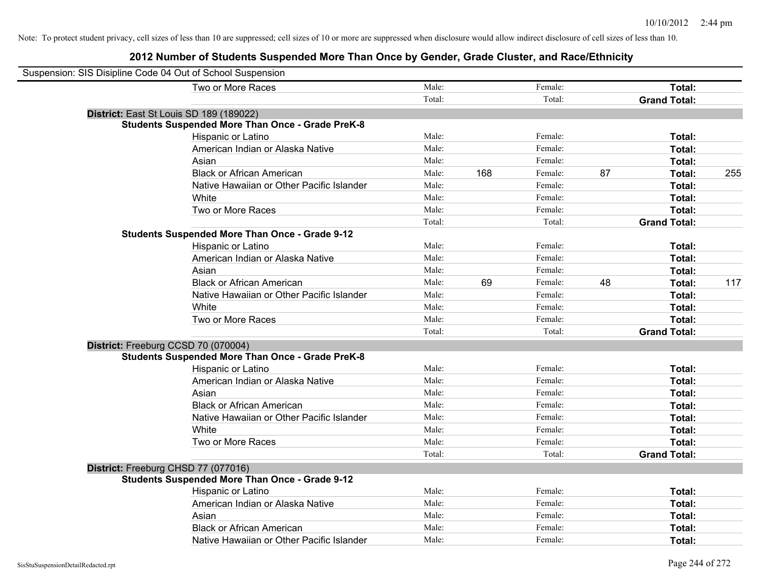| Suspension: SIS Disipline Code 04 Out of School Suspension |        |     |         |    |                     |     |
|------------------------------------------------------------|--------|-----|---------|----|---------------------|-----|
| Two or More Races                                          | Male:  |     | Female: |    | Total:              |     |
|                                                            | Total: |     | Total:  |    | <b>Grand Total:</b> |     |
| District: East St Louis SD 189 (189022)                    |        |     |         |    |                     |     |
| <b>Students Suspended More Than Once - Grade PreK-8</b>    |        |     |         |    |                     |     |
| Hispanic or Latino                                         | Male:  |     | Female: |    | Total:              |     |
| American Indian or Alaska Native                           | Male:  |     | Female: |    | Total:              |     |
| Asian                                                      | Male:  |     | Female: |    | Total:              |     |
| <b>Black or African American</b>                           | Male:  | 168 | Female: | 87 | Total:              | 255 |
| Native Hawaiian or Other Pacific Islander                  | Male:  |     | Female: |    | Total:              |     |
| White                                                      | Male:  |     | Female: |    | Total:              |     |
| Two or More Races                                          | Male:  |     | Female: |    | Total:              |     |
|                                                            | Total: |     | Total:  |    | <b>Grand Total:</b> |     |
| <b>Students Suspended More Than Once - Grade 9-12</b>      |        |     |         |    |                     |     |
| Hispanic or Latino                                         | Male:  |     | Female: |    | Total:              |     |
| American Indian or Alaska Native                           | Male:  |     | Female: |    | Total:              |     |
| Asian                                                      | Male:  |     | Female: |    | Total:              |     |
| <b>Black or African American</b>                           | Male:  | 69  | Female: | 48 | Total:              | 117 |
| Native Hawaiian or Other Pacific Islander                  | Male:  |     | Female: |    | Total:              |     |
| White                                                      | Male:  |     | Female: |    | Total:              |     |
| Two or More Races                                          | Male:  |     | Female: |    | Total:              |     |
|                                                            | Total: |     | Total:  |    | <b>Grand Total:</b> |     |
| District: Freeburg CCSD 70 (070004)                        |        |     |         |    |                     |     |
| <b>Students Suspended More Than Once - Grade PreK-8</b>    |        |     |         |    |                     |     |
| Hispanic or Latino                                         | Male:  |     | Female: |    | Total:              |     |
| American Indian or Alaska Native                           | Male:  |     | Female: |    | Total:              |     |
| Asian                                                      | Male:  |     | Female: |    | Total:              |     |
| <b>Black or African American</b>                           | Male:  |     | Female: |    | Total:              |     |
| Native Hawaiian or Other Pacific Islander                  | Male:  |     | Female: |    | Total:              |     |
| White                                                      | Male:  |     | Female: |    | Total:              |     |
| Two or More Races                                          | Male:  |     | Female: |    | Total:              |     |
|                                                            | Total: |     | Total:  |    | <b>Grand Total:</b> |     |
| District: Freeburg CHSD 77 (077016)                        |        |     |         |    |                     |     |
| <b>Students Suspended More Than Once - Grade 9-12</b>      |        |     |         |    |                     |     |
| Hispanic or Latino                                         | Male:  |     | Female: |    | Total:              |     |
| American Indian or Alaska Native                           | Male:  |     | Female: |    | Total:              |     |
| Asian                                                      | Male:  |     | Female: |    | Total:              |     |
| <b>Black or African American</b>                           | Male:  |     | Female: |    | Total:              |     |
| Native Hawaiian or Other Pacific Islander                  | Male:  |     | Female: |    | Total:              |     |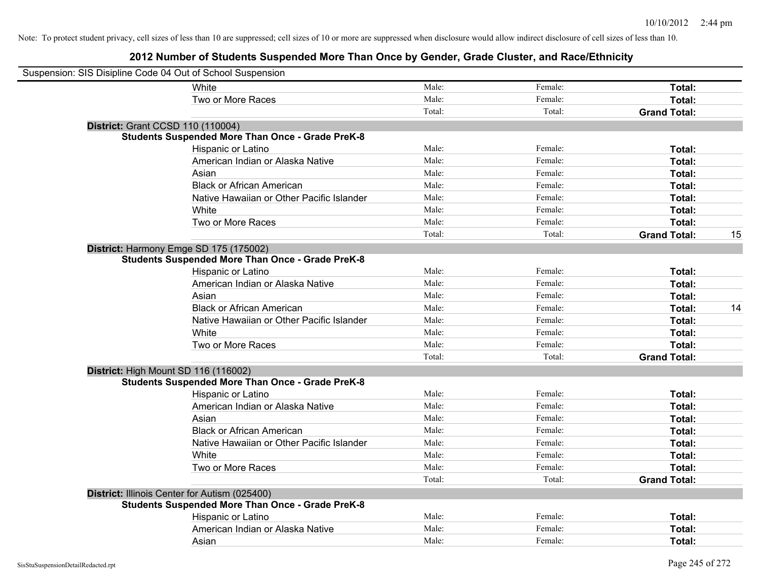| Suspension: SIS Disipline Code 04 Out of School Suspension |                                                         |        |         |                     |    |
|------------------------------------------------------------|---------------------------------------------------------|--------|---------|---------------------|----|
|                                                            | White                                                   | Male:  | Female: | Total:              |    |
|                                                            | Two or More Races                                       | Male:  | Female: | Total:              |    |
|                                                            |                                                         | Total: | Total:  | <b>Grand Total:</b> |    |
| <b>District: Grant CCSD 110 (110004)</b>                   |                                                         |        |         |                     |    |
|                                                            | <b>Students Suspended More Than Once - Grade PreK-8</b> |        |         |                     |    |
|                                                            | Hispanic or Latino                                      | Male:  | Female: | Total:              |    |
|                                                            | American Indian or Alaska Native                        | Male:  | Female: | Total:              |    |
|                                                            | Asian                                                   | Male:  | Female: | Total:              |    |
|                                                            | <b>Black or African American</b>                        | Male:  | Female: | Total:              |    |
|                                                            | Native Hawaiian or Other Pacific Islander               | Male:  | Female: | Total:              |    |
|                                                            | White                                                   | Male:  | Female: | Total:              |    |
|                                                            | Two or More Races                                       | Male:  | Female: | Total:              |    |
|                                                            |                                                         | Total: | Total:  | <b>Grand Total:</b> | 15 |
| District: Harmony Emge SD 175 (175002)                     |                                                         |        |         |                     |    |
|                                                            | <b>Students Suspended More Than Once - Grade PreK-8</b> |        |         |                     |    |
|                                                            | Hispanic or Latino                                      | Male:  | Female: | Total:              |    |
|                                                            | American Indian or Alaska Native                        | Male:  | Female: | Total:              |    |
|                                                            | Asian                                                   | Male:  | Female: | Total:              |    |
|                                                            | <b>Black or African American</b>                        | Male:  | Female: | Total:              | 14 |
|                                                            | Native Hawaiian or Other Pacific Islander               | Male:  | Female: | Total:              |    |
|                                                            | White                                                   | Male:  | Female: | Total:              |    |
|                                                            | Two or More Races                                       | Male:  | Female: | Total:              |    |
|                                                            |                                                         | Total: | Total:  | <b>Grand Total:</b> |    |
| District: High Mount SD 116 (116002)                       |                                                         |        |         |                     |    |
|                                                            | <b>Students Suspended More Than Once - Grade PreK-8</b> |        |         |                     |    |
|                                                            | Hispanic or Latino                                      | Male:  | Female: | Total:              |    |
|                                                            | American Indian or Alaska Native                        | Male:  | Female: | Total:              |    |
|                                                            | Asian                                                   | Male:  | Female: | Total:              |    |
|                                                            | <b>Black or African American</b>                        | Male:  | Female: | Total:              |    |
|                                                            | Native Hawaiian or Other Pacific Islander               | Male:  | Female: | Total:              |    |
|                                                            | White                                                   | Male:  | Female: | Total:              |    |
|                                                            | Two or More Races                                       | Male:  | Female: | Total:              |    |
|                                                            |                                                         | Total: | Total:  | <b>Grand Total:</b> |    |
| District: Illinois Center for Autism (025400)              |                                                         |        |         |                     |    |
|                                                            | <b>Students Suspended More Than Once - Grade PreK-8</b> |        |         |                     |    |
|                                                            | Hispanic or Latino                                      | Male:  | Female: | Total:              |    |
|                                                            | American Indian or Alaska Native                        | Male:  | Female: | Total:              |    |
|                                                            | Asian                                                   | Male:  | Female: | Total:              |    |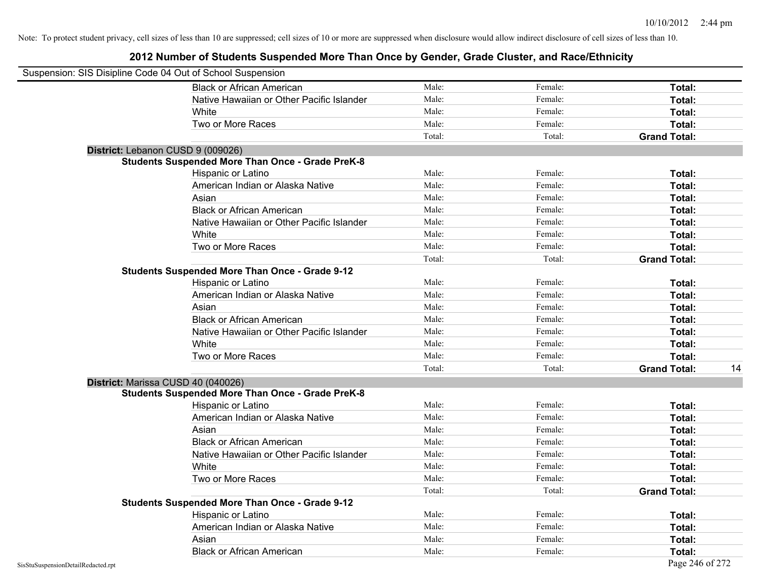| Suspension: SIS Disipline Code 04 Out of School Suspension |                                                         |        |         |                     |    |
|------------------------------------------------------------|---------------------------------------------------------|--------|---------|---------------------|----|
|                                                            | <b>Black or African American</b>                        | Male:  | Female: | Total:              |    |
|                                                            | Native Hawaiian or Other Pacific Islander               | Male:  | Female: | Total:              |    |
|                                                            | White                                                   | Male:  | Female: | Total:              |    |
|                                                            | Two or More Races                                       | Male:  | Female: | Total:              |    |
|                                                            |                                                         | Total: | Total:  | <b>Grand Total:</b> |    |
|                                                            | District: Lebanon CUSD 9 (009026)                       |        |         |                     |    |
|                                                            | <b>Students Suspended More Than Once - Grade PreK-8</b> |        |         |                     |    |
|                                                            | Hispanic or Latino                                      | Male:  | Female: | Total:              |    |
|                                                            | American Indian or Alaska Native                        | Male:  | Female: | Total:              |    |
|                                                            | Asian                                                   | Male:  | Female: | Total:              |    |
|                                                            | <b>Black or African American</b>                        | Male:  | Female: | Total:              |    |
|                                                            | Native Hawaiian or Other Pacific Islander               | Male:  | Female: | Total:              |    |
|                                                            | White                                                   | Male:  | Female: | Total:              |    |
|                                                            | Two or More Races                                       | Male:  | Female: | Total:              |    |
|                                                            |                                                         | Total: | Total:  | <b>Grand Total:</b> |    |
|                                                            | <b>Students Suspended More Than Once - Grade 9-12</b>   |        |         |                     |    |
|                                                            | Hispanic or Latino                                      | Male:  | Female: | Total:              |    |
|                                                            | American Indian or Alaska Native                        | Male:  | Female: | Total:              |    |
|                                                            | Asian                                                   | Male:  | Female: | Total:              |    |
|                                                            | <b>Black or African American</b>                        | Male:  | Female: | Total:              |    |
|                                                            | Native Hawaiian or Other Pacific Islander               | Male:  | Female: | Total:              |    |
|                                                            | White                                                   | Male:  | Female: | Total:              |    |
|                                                            | Two or More Races                                       | Male:  | Female: | Total:              |    |
|                                                            |                                                         | Total: | Total:  | <b>Grand Total:</b> | 14 |
|                                                            | District: Marissa CUSD 40 (040026)                      |        |         |                     |    |
|                                                            | <b>Students Suspended More Than Once - Grade PreK-8</b> |        |         |                     |    |
|                                                            | Hispanic or Latino                                      | Male:  | Female: | Total:              |    |
|                                                            | American Indian or Alaska Native                        | Male:  | Female: | Total:              |    |
|                                                            | Asian                                                   | Male:  | Female: | Total:              |    |
|                                                            | <b>Black or African American</b>                        | Male:  | Female: | Total:              |    |
|                                                            | Native Hawaiian or Other Pacific Islander               | Male:  | Female: | Total:              |    |
|                                                            | White                                                   | Male:  | Female: | Total:              |    |
|                                                            | Two or More Races                                       | Male:  | Female: | Total:              |    |
|                                                            |                                                         | Total: | Total:  | <b>Grand Total:</b> |    |
|                                                            | <b>Students Suspended More Than Once - Grade 9-12</b>   |        |         |                     |    |
|                                                            | <b>Hispanic or Latino</b>                               | Male:  | Female: | Total:              |    |
|                                                            | American Indian or Alaska Native                        | Male:  | Female: | Total:              |    |
|                                                            | Asian                                                   | Male:  | Female: | Total:              |    |
|                                                            | <b>Black or African American</b>                        | Male:  | Female: | Total:              |    |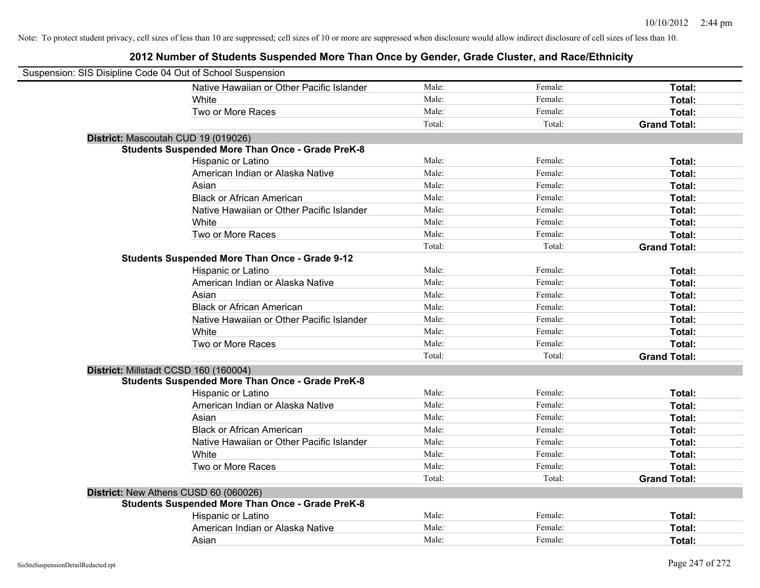| Suspension: SIS Disipline Code 04 Out of School Suspension |                                                         |        |         |                     |
|------------------------------------------------------------|---------------------------------------------------------|--------|---------|---------------------|
|                                                            | Native Hawaiian or Other Pacific Islander               | Male:  | Female: | Total:              |
|                                                            | White                                                   | Male:  | Female: | Total:              |
|                                                            | Two or More Races                                       | Male:  | Female: | Total:              |
|                                                            |                                                         | Total: | Total:  | <b>Grand Total:</b> |
| District: Mascoutah CUD 19 (019026)                        |                                                         |        |         |                     |
|                                                            | <b>Students Suspended More Than Once - Grade PreK-8</b> |        |         |                     |
|                                                            | Hispanic or Latino                                      | Male:  | Female: | Total:              |
|                                                            | American Indian or Alaska Native                        | Male:  | Female: | Total:              |
|                                                            | Asian                                                   | Male:  | Female: | Total:              |
|                                                            | <b>Black or African American</b>                        | Male:  | Female: | Total:              |
|                                                            | Native Hawaiian or Other Pacific Islander               | Male:  | Female: | Total:              |
|                                                            | White                                                   | Male:  | Female: | Total:              |
|                                                            | Two or More Races                                       | Male:  | Female: | Total:              |
|                                                            |                                                         | Total: | Total:  | <b>Grand Total:</b> |
|                                                            | <b>Students Suspended More Than Once - Grade 9-12</b>   |        |         |                     |
|                                                            | Hispanic or Latino                                      | Male:  | Female: | Total:              |
|                                                            | American Indian or Alaska Native                        | Male:  | Female: | Total:              |
|                                                            | Asian                                                   | Male:  | Female: | Total:              |
|                                                            | <b>Black or African American</b>                        | Male:  | Female: | Total:              |
|                                                            | Native Hawaiian or Other Pacific Islander               | Male:  | Female: | Total:              |
|                                                            | White                                                   | Male:  | Female: | Total:              |
|                                                            | Two or More Races                                       | Male:  | Female: | Total:              |
|                                                            |                                                         | Total: | Total:  | <b>Grand Total:</b> |
| District: Millstadt CCSD 160 (160004)                      |                                                         |        |         |                     |
|                                                            | <b>Students Suspended More Than Once - Grade PreK-8</b> |        |         |                     |
|                                                            | Hispanic or Latino                                      | Male:  | Female: | Total:              |
|                                                            | American Indian or Alaska Native                        | Male:  | Female: | Total:              |
|                                                            | Asian                                                   | Male:  | Female: | Total:              |
|                                                            | <b>Black or African American</b>                        | Male:  | Female: | Total:              |
|                                                            | Native Hawaiian or Other Pacific Islander               | Male:  | Female: | Total:              |
|                                                            | White                                                   | Male:  | Female: | Total:              |
|                                                            | Two or More Races                                       | Male:  | Female: | Total:              |
|                                                            |                                                         | Total: | Total:  | <b>Grand Total:</b> |
| District: New Athens CUSD 60 (060026)                      |                                                         |        |         |                     |
|                                                            | <b>Students Suspended More Than Once - Grade PreK-8</b> |        |         |                     |
|                                                            | Hispanic or Latino                                      | Male:  | Female: | Total:              |
|                                                            | American Indian or Alaska Native                        | Male:  | Female: | Total:              |
|                                                            | Asian                                                   | Male:  | Female: | Total:              |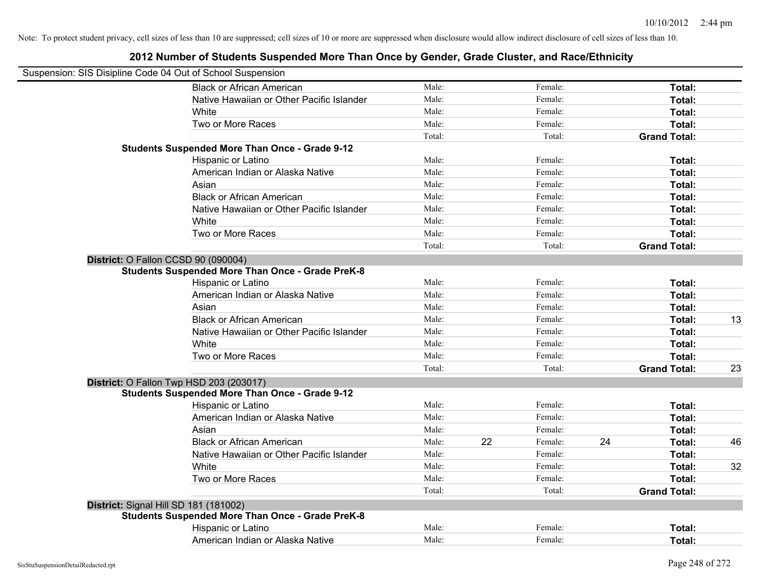|                                       | Suspension: SIS Disipline Code 04 Out of School Suspension |        |    |         |    |                     |    |
|---------------------------------------|------------------------------------------------------------|--------|----|---------|----|---------------------|----|
|                                       | <b>Black or African American</b>                           | Male:  |    | Female: |    | Total:              |    |
|                                       | Native Hawaiian or Other Pacific Islander                  | Male:  |    | Female: |    | Total:              |    |
|                                       | White                                                      | Male:  |    | Female: |    | Total:              |    |
|                                       | Two or More Races                                          | Male:  |    | Female: |    | Total:              |    |
|                                       |                                                            | Total: |    | Total:  |    | <b>Grand Total:</b> |    |
|                                       | <b>Students Suspended More Than Once - Grade 9-12</b>      |        |    |         |    |                     |    |
|                                       | Hispanic or Latino                                         | Male:  |    | Female: |    | Total:              |    |
|                                       | American Indian or Alaska Native                           | Male:  |    | Female: |    | Total:              |    |
|                                       | Asian                                                      | Male:  |    | Female: |    | Total:              |    |
|                                       | <b>Black or African American</b>                           | Male:  |    | Female: |    | Total:              |    |
|                                       | Native Hawaiian or Other Pacific Islander                  | Male:  |    | Female: |    | Total:              |    |
|                                       | White                                                      | Male:  |    | Female: |    | Total:              |    |
|                                       | Two or More Races                                          | Male:  |    | Female: |    | Total:              |    |
|                                       |                                                            | Total: |    | Total:  |    | <b>Grand Total:</b> |    |
| District: O Fallon CCSD 90 (090004)   |                                                            |        |    |         |    |                     |    |
|                                       | <b>Students Suspended More Than Once - Grade PreK-8</b>    |        |    |         |    |                     |    |
|                                       | Hispanic or Latino                                         | Male:  |    | Female: |    | Total:              |    |
|                                       | American Indian or Alaska Native                           | Male:  |    | Female: |    | Total:              |    |
|                                       | Asian                                                      | Male:  |    | Female: |    | Total:              |    |
|                                       | <b>Black or African American</b>                           | Male:  |    | Female: |    | Total:              | 13 |
|                                       | Native Hawaiian or Other Pacific Islander                  | Male:  |    | Female: |    | Total:              |    |
|                                       | White                                                      | Male:  |    | Female: |    | Total:              |    |
|                                       | Two or More Races                                          | Male:  |    | Female: |    | Total:              |    |
|                                       |                                                            | Total: |    | Total:  |    | <b>Grand Total:</b> | 23 |
|                                       | District: O Fallon Twp HSD 203 (203017)                    |        |    |         |    |                     |    |
|                                       | <b>Students Suspended More Than Once - Grade 9-12</b>      |        |    |         |    |                     |    |
|                                       | Hispanic or Latino                                         | Male:  |    | Female: |    | Total:              |    |
|                                       | American Indian or Alaska Native                           | Male:  |    | Female: |    | Total:              |    |
|                                       | Asian                                                      | Male:  |    | Female: |    | Total:              |    |
|                                       | <b>Black or African American</b>                           | Male:  | 22 | Female: | 24 | Total:              | 46 |
|                                       | Native Hawaiian or Other Pacific Islander                  | Male:  |    | Female: |    | Total:              |    |
|                                       | White                                                      | Male:  |    | Female: |    | Total:              | 32 |
|                                       | Two or More Races                                          | Male:  |    | Female: |    | Total:              |    |
|                                       |                                                            | Total: |    | Total:  |    | <b>Grand Total:</b> |    |
| District: Signal Hill SD 181 (181002) |                                                            |        |    |         |    |                     |    |
|                                       | <b>Students Suspended More Than Once - Grade PreK-8</b>    |        |    |         |    |                     |    |
|                                       | Hispanic or Latino                                         | Male:  |    | Female: |    | Total:              |    |
|                                       | American Indian or Alaska Native                           | Male:  |    | Female: |    | Total:              |    |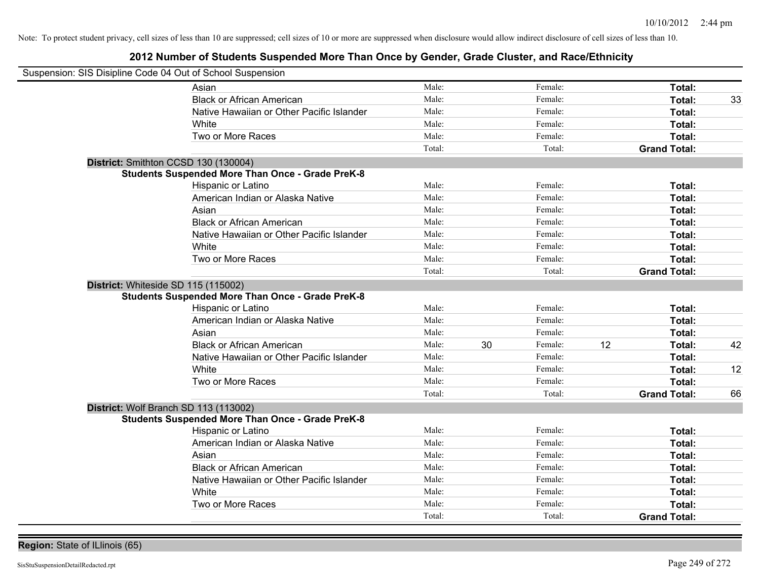| Suspension: SIS Disipline Code 04 Out of School Suspension |                                                         |        |               |                     |    |
|------------------------------------------------------------|---------------------------------------------------------|--------|---------------|---------------------|----|
|                                                            | Asian                                                   | Male:  | Female:       | Total:              |    |
|                                                            | <b>Black or African American</b>                        | Male:  | Female:       | Total:              | 33 |
|                                                            | Native Hawaiian or Other Pacific Islander               | Male:  | Female:       | Total:              |    |
|                                                            | White                                                   | Male:  | Female:       | Total:              |    |
|                                                            | Two or More Races                                       | Male:  | Female:       | Total:              |    |
|                                                            |                                                         | Total: | Total:        | <b>Grand Total:</b> |    |
| District: Smithton CCSD 130 (130004)                       |                                                         |        |               |                     |    |
|                                                            | <b>Students Suspended More Than Once - Grade PreK-8</b> |        |               |                     |    |
|                                                            | Hispanic or Latino                                      | Male:  | Female:       | Total:              |    |
|                                                            | American Indian or Alaska Native                        | Male:  | Female:       | Total:              |    |
|                                                            | Asian                                                   | Male:  | Female:       | Total:              |    |
|                                                            | <b>Black or African American</b>                        | Male:  | Female:       | Total:              |    |
|                                                            | Native Hawaiian or Other Pacific Islander               | Male:  | Female:       | Total:              |    |
|                                                            | White                                                   | Male:  | Female:       | Total:              |    |
|                                                            | Two or More Races                                       | Male:  | Female:       | Total:              |    |
|                                                            |                                                         | Total: | Total:        | <b>Grand Total:</b> |    |
| District: Whiteside SD 115 (115002)                        | <b>Students Suspended More Than Once - Grade PreK-8</b> |        |               |                     |    |
|                                                            | Hispanic or Latino                                      | Male:  | Female:       | Total:              |    |
|                                                            | American Indian or Alaska Native                        | Male:  | Female:       | Total:              |    |
|                                                            | Asian                                                   | Male:  | Female:       | Total:              |    |
|                                                            | <b>Black or African American</b>                        | Male:  | 30<br>Female: | 12<br>Total:        | 42 |
|                                                            | Native Hawaiian or Other Pacific Islander               | Male:  | Female:       | Total:              |    |
|                                                            | White                                                   | Male:  | Female:       | Total:              | 12 |
|                                                            | Two or More Races                                       | Male:  | Female:       | <b>Total:</b>       |    |
|                                                            |                                                         | Total: | Total:        | <b>Grand Total:</b> | 66 |
| District: Wolf Branch SD 113 (113002)                      | <b>Students Suspended More Than Once - Grade PreK-8</b> |        |               |                     |    |
|                                                            | Hispanic or Latino                                      | Male:  | Female:       | Total:              |    |
|                                                            | American Indian or Alaska Native                        | Male:  | Female:       | Total:              |    |
|                                                            | Asian                                                   | Male:  | Female:       | Total:              |    |
|                                                            | <b>Black or African American</b>                        | Male:  | Female:       | Total:              |    |
|                                                            | Native Hawaiian or Other Pacific Islander               | Male:  | Female:       | Total:              |    |
|                                                            | White                                                   | Male:  | Female:       | Total:              |    |
|                                                            | Two or More Races                                       | Male:  | Female:       | Total:              |    |
|                                                            |                                                         | Total: | Total:        | <b>Grand Total:</b> |    |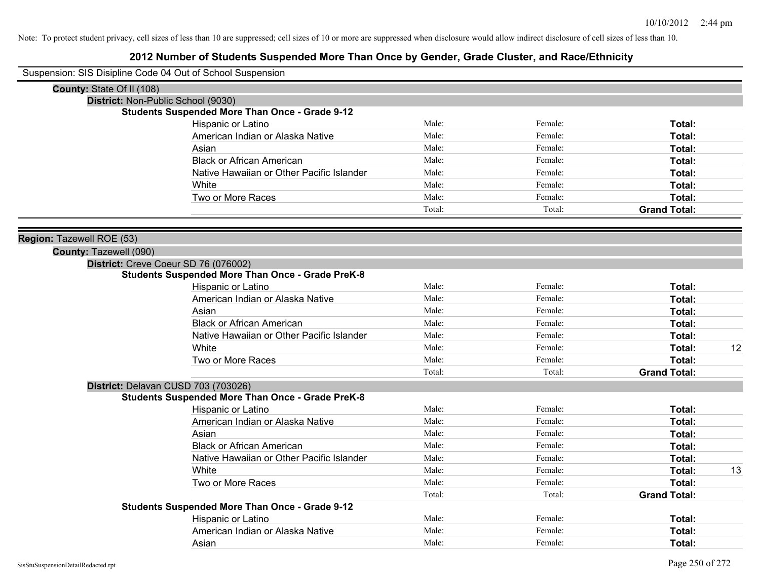|                           | Suspension: SIS Disipline Code 04 Out of School Suspension |        |         |                     |    |
|---------------------------|------------------------------------------------------------|--------|---------|---------------------|----|
| County: State Of II (108) |                                                            |        |         |                     |    |
|                           | District: Non-Public School (9030)                         |        |         |                     |    |
|                           | <b>Students Suspended More Than Once - Grade 9-12</b>      |        |         |                     |    |
|                           | Hispanic or Latino                                         | Male:  | Female: | Total:              |    |
|                           | American Indian or Alaska Native                           | Male:  | Female: | Total:              |    |
|                           | Asian                                                      | Male:  | Female: | Total:              |    |
|                           | <b>Black or African American</b>                           | Male:  | Female: | Total:              |    |
|                           | Native Hawaiian or Other Pacific Islander                  | Male:  | Female: | Total:              |    |
|                           | White                                                      | Male:  | Female: | Total:              |    |
|                           | Two or More Races                                          | Male:  | Female: | Total:              |    |
|                           |                                                            | Total: | Total:  | <b>Grand Total:</b> |    |
| Region: Tazewell ROE (53) |                                                            |        |         |                     |    |
| County: Tazewell (090)    |                                                            |        |         |                     |    |
|                           | District: Creve Coeur SD 76 (076002)                       |        |         |                     |    |
|                           | <b>Students Suspended More Than Once - Grade PreK-8</b>    |        |         |                     |    |
|                           | Hispanic or Latino                                         | Male:  | Female: | Total:              |    |
|                           | American Indian or Alaska Native                           | Male:  | Female: | Total:              |    |
|                           | Asian                                                      | Male:  | Female: | Total:              |    |
|                           | <b>Black or African American</b>                           | Male:  | Female: | Total:              |    |
|                           | Native Hawaiian or Other Pacific Islander                  | Male:  | Female: | Total:              |    |
|                           | White                                                      | Male:  | Female: | Total:              | 12 |
|                           | Two or More Races                                          | Male:  | Female: | Total:              |    |
|                           |                                                            | Total: | Total:  | <b>Grand Total:</b> |    |
|                           | District: Delavan CUSD 703 (703026)                        |        |         |                     |    |
|                           | <b>Students Suspended More Than Once - Grade PreK-8</b>    |        |         |                     |    |
|                           | Hispanic or Latino                                         | Male:  | Female: | Total:              |    |
|                           | American Indian or Alaska Native                           | Male:  | Female: | Total:              |    |
|                           | Asian                                                      | Male:  | Female: | Total:              |    |
|                           | <b>Black or African American</b>                           | Male:  | Female: | Total:              |    |
|                           | Native Hawaiian or Other Pacific Islander                  | Male:  | Female: | Total:              |    |
|                           | White                                                      | Male:  | Female: | Total:              | 13 |
|                           | Two or More Races                                          | Male:  | Female: | Total:              |    |
|                           |                                                            | Total: | Total:  | <b>Grand Total:</b> |    |
|                           | <b>Students Suspended More Than Once - Grade 9-12</b>      |        |         |                     |    |
|                           | Hispanic or Latino                                         | Male:  | Female: | Total:              |    |
|                           | American Indian or Alaska Native                           | Male:  | Female: | Total:              |    |
|                           | Asian                                                      | Male:  | Female: | Total:              |    |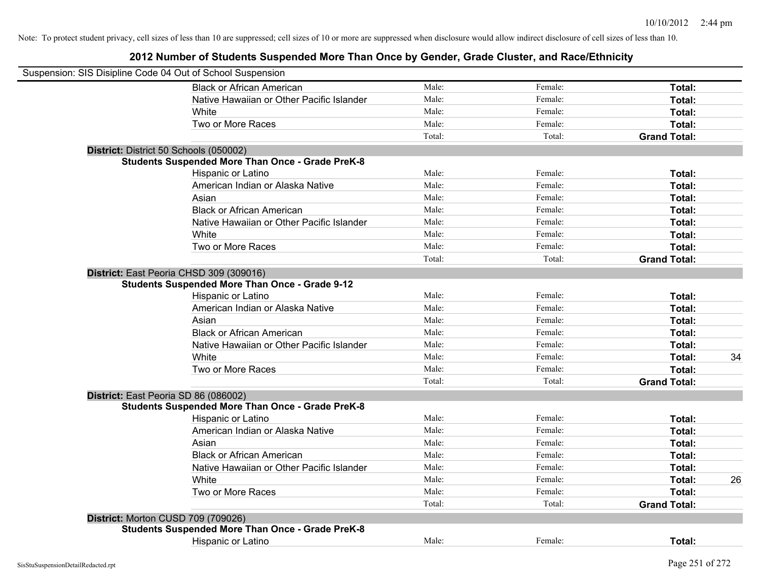| Suspension: SIS Disipline Code 04 Out of School Suspension |        |         |                     |    |
|------------------------------------------------------------|--------|---------|---------------------|----|
| <b>Black or African American</b>                           | Male:  | Female: | Total:              |    |
| Native Hawaiian or Other Pacific Islander                  | Male:  | Female: | Total:              |    |
| White                                                      | Male:  | Female: | Total:              |    |
| Two or More Races                                          | Male:  | Female: | Total:              |    |
|                                                            | Total: | Total:  | <b>Grand Total:</b> |    |
| District: District 50 Schools (050002)                     |        |         |                     |    |
| <b>Students Suspended More Than Once - Grade PreK-8</b>    |        |         |                     |    |
| Hispanic or Latino                                         | Male:  | Female: | Total:              |    |
| American Indian or Alaska Native                           | Male:  | Female: | Total:              |    |
| Asian                                                      | Male:  | Female: | Total:              |    |
| <b>Black or African American</b>                           | Male:  | Female: | Total:              |    |
| Native Hawaiian or Other Pacific Islander                  | Male:  | Female: | Total:              |    |
| White                                                      | Male:  | Female: | Total:              |    |
| Two or More Races                                          | Male:  | Female: | Total:              |    |
|                                                            | Total: | Total:  | <b>Grand Total:</b> |    |
| District: East Peoria CHSD 309 (309016)                    |        |         |                     |    |
| <b>Students Suspended More Than Once - Grade 9-12</b>      |        |         |                     |    |
| Hispanic or Latino                                         | Male:  | Female: | Total:              |    |
| American Indian or Alaska Native                           | Male:  | Female: | Total:              |    |
| Asian                                                      | Male:  | Female: | Total:              |    |
| <b>Black or African American</b>                           | Male:  | Female: | Total:              |    |
| Native Hawaiian or Other Pacific Islander                  | Male:  | Female: | Total:              |    |
| White                                                      | Male:  | Female: | Total:              | 34 |
| Two or More Races                                          | Male:  | Female: | Total:              |    |
|                                                            | Total: | Total:  | <b>Grand Total:</b> |    |
| District: East Peoria SD 86 (086002)                       |        |         |                     |    |
| <b>Students Suspended More Than Once - Grade PreK-8</b>    |        |         |                     |    |
| Hispanic or Latino                                         | Male:  | Female: | Total:              |    |
| American Indian or Alaska Native                           | Male:  | Female: | Total:              |    |
| Asian                                                      | Male:  | Female: | Total:              |    |
| <b>Black or African American</b>                           | Male:  | Female: | Total:              |    |
| Native Hawaiian or Other Pacific Islander                  | Male:  | Female: | Total:              |    |
| White                                                      | Male:  | Female: | Total:              | 26 |
| Two or More Races                                          | Male:  | Female: | Total:              |    |
|                                                            | Total: | Total:  | <b>Grand Total:</b> |    |
| District: Morton CUSD 709 (709026)                         |        |         |                     |    |
| <b>Students Suspended More Than Once - Grade PreK-8</b>    |        |         |                     |    |
| <b>Hispanic or Latino</b>                                  | Male:  | Female: | Total:              |    |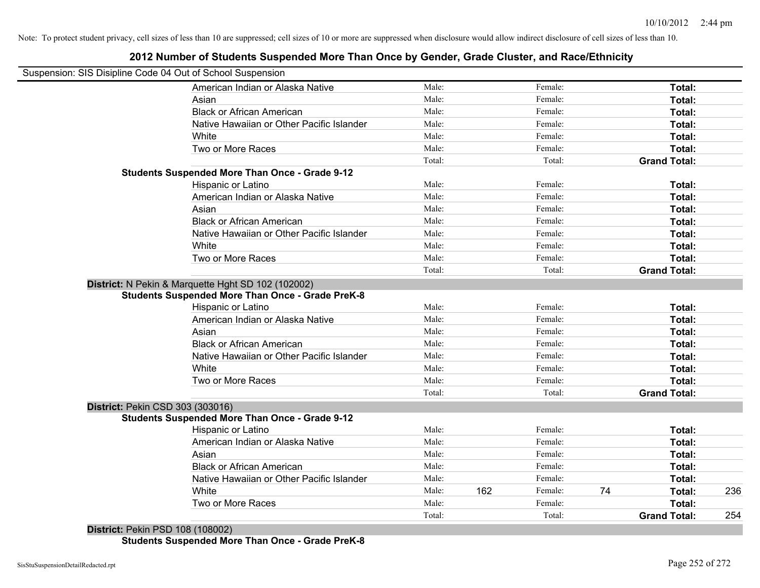## Suspension: SIS Disipline Code 04 Out of School Suspension American Indian or Alaska Native **Male:** Male: Female: Female: **Total:** Total: Asian **Asian Male:** Female: **Total:** Female: **Total:** Female: **Total:** Female: **Total:** Female: **Total:** Female: **Total:** Female: **Total:** Female: **Total:** Female: **Total: Total: Total: Total: Total: Total: Tot** Black or African American **American** Male: Male: Female: **Female: Total: Total: Total: Female: Total: Total: Total: Total: Total: Total: Total: Total: Total: Total: Total: Total: Total:** Native Hawaiian or Other Pacific Islander **Male:** Male: Female: Female: **Total:** Total: White **Total:** Male: **Female:** Female: **Total:** Total: **Total:** Female: **Total:** Total: **Total:** Total: **Total:** Total: **Total:** Total: **Total:** Total: **Total:** Total: **Total:** Total: **Total:** Total: **Total:** Total: **Total** Two or More Races **Total:** Total: Male: Female: Female: **Total:** Female: **Total:** Total: Total: Total: Total: **Grand Total: Students Suspended More Than Once - Grade 9-12** Hispanic or Latino **Finally Hispanic or Latino** *Total:* Male: Female: **Female: Total: Total:** Female: **Total:** American Indian or Alaska Native **Male:** Male: Female: Female: **Total:** Total: Asian **Asian Male:** Female: **Total:** Female: **Total:** Female: **Total:** Female: **Total:** Female: **Total:** Female: **Total:** Female: **Total:** Female: **Total:** Female: **Total: Total: Total: Total: Total: Total: Tot** Black or African American **Figure 1.1 and Total:** Male: Female: Female: **Total:** Total: Native Hawaiian or Other Pacific Islander **Male:** Male: Female: Female: **Total:** Total: White **Total:** Male: **Female:** Female: **Total:** Total: **Total:** Female: **Total:** Total: **Total:** Total: **Total:** Total: **Total:** Total: **Total:** Total: **Total:** Total: **Total:** Total: **Total:** Total: **Total:** Total: **Total** Two or More Races **Total:** Total: Male: Female: Female: **Total:** Female: **Total:** Total: Total: Total: **Grand Total: District:** N Pekin & Marquette Hght SD 102 (102002) **Students Suspended More Than Once - Grade PreK-8** Hispanic or Latino **Finally Hispanic or Latino** *Total:* Male: Female: **Female: Total: Total: Total: Finally** American Indian or Alaska Native **Male:** Male: Female: Female: **Total:** Total: Asian **Female:** Total: Male: Female: **Total:** Total: Total: Total: Total: Total: Total: Total: Total: Total: Total: Total: Total: Total: Total: Total: Total: Total: Total: Total: Total: Total: Total: Total: Total: Total: T Black or African American **Figure 1.1 and Total:** Male: Female: Female: **Total:** Total: Native Hawaiian or Other Pacific Islander **Male:** Male: Female: Female: **Total:** Total: White **Total:** Male: Female: **Total:** Total: **Total:** Female: **Total:** Total: Two or More Races **Total:** Total: Male: Female: Female: **Total:** Total: Total: Total: **Grand Total: District:** Pekin CSD 303 (303016) **Students Suspended More Than Once - Grade 9-12** Hispanic or Latino **Finale:** Female: **Female:** Female: **Total:** Female: **Total:** Female: **Female:** Female: **Total:** Female: **Female:** Female: **Female:** Female: **Female:** Female: **Female:** Female: **Female:** Female: **Female:** American Indian or Alaska Native **Male:** Male: Female: Female: **Total:** Total: Asian **Asian Male:** Total: Male: Female: **Total: Total:** Total: Total: Total: Total: Total: Total: Total: Total: Total: Total: Total: Total: Total: Total: Total: Total: Total: Total: Total: Total: Total: Total: Total: Tota Black or African American **Male:** Male: Female: Female: **Total:** Total: **Total:** Female: **Female:** Total: Total: **Female:** Total: Total: Total: Total: Total: Total: Total: Total: Total: Total: Total: Total: Total: Total: T Native Hawaiian or Other Pacific Islander **Male:** Male: Female: Female: **Total:** Total: White Male: 162 Female: 74 **Total:** 236 Two or More Races **Total:** Total: Male: Female: Female: **Total:** Female: **Total:** Total: Total: Total: **Grand Total:** 254

**2012 Number of Students Suspended More Than Once by Gender, Grade Cluster, and Race/Ethnicity**

**District:** Pekin PSD 108 (108002) **Students Suspended More Than Once - Grade PreK-8**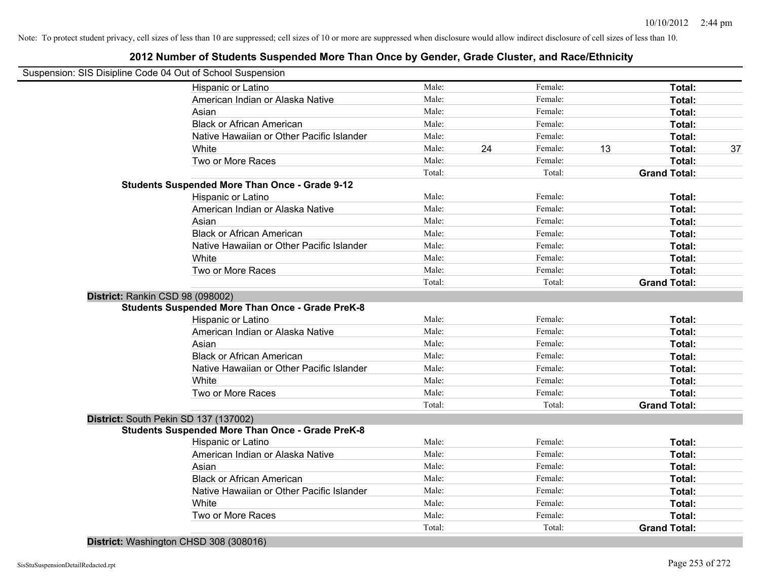## **2012 Number of Students Suspended More Than Once by Gender, Grade Cluster, and Race/Ethnicity**

| Male:<br>Male:<br>Male:<br>Male:<br>Male:<br>Male:<br>Male:<br>Total:<br>Male:<br>Male:<br>Male:<br>Male:<br>Male:<br>Male:<br>Male:<br>Total:<br>Male: | 24                                                           | Female:<br>Female:<br>Female:<br>Female:<br>Female:<br>Female:<br>Female:<br>Total:<br>Female:<br>Female:<br>Female:<br>Female:<br>Female:<br>Female:<br>Female:<br>Total: | 13     | Total:<br>Total:<br>Total:<br>Total:<br>Total:<br>Total:<br>Total:<br><b>Grand Total:</b><br>Total:<br>Total:<br>Total:<br>Total:<br>Total:<br>Total:<br>Total:<br><b>Grand Total:</b> | 37                                      |
|---------------------------------------------------------------------------------------------------------------------------------------------------------|--------------------------------------------------------------|----------------------------------------------------------------------------------------------------------------------------------------------------------------------------|--------|----------------------------------------------------------------------------------------------------------------------------------------------------------------------------------------|-----------------------------------------|
|                                                                                                                                                         |                                                              |                                                                                                                                                                            |        |                                                                                                                                                                                        |                                         |
|                                                                                                                                                         |                                                              |                                                                                                                                                                            |        |                                                                                                                                                                                        |                                         |
|                                                                                                                                                         |                                                              |                                                                                                                                                                            |        |                                                                                                                                                                                        |                                         |
|                                                                                                                                                         |                                                              |                                                                                                                                                                            |        |                                                                                                                                                                                        |                                         |
|                                                                                                                                                         |                                                              |                                                                                                                                                                            |        |                                                                                                                                                                                        |                                         |
|                                                                                                                                                         |                                                              |                                                                                                                                                                            |        |                                                                                                                                                                                        |                                         |
|                                                                                                                                                         |                                                              |                                                                                                                                                                            |        |                                                                                                                                                                                        |                                         |
|                                                                                                                                                         |                                                              |                                                                                                                                                                            |        |                                                                                                                                                                                        |                                         |
|                                                                                                                                                         |                                                              |                                                                                                                                                                            |        |                                                                                                                                                                                        |                                         |
|                                                                                                                                                         |                                                              |                                                                                                                                                                            |        |                                                                                                                                                                                        |                                         |
|                                                                                                                                                         |                                                              |                                                                                                                                                                            |        |                                                                                                                                                                                        |                                         |
|                                                                                                                                                         |                                                              |                                                                                                                                                                            |        |                                                                                                                                                                                        |                                         |
|                                                                                                                                                         |                                                              |                                                                                                                                                                            |        |                                                                                                                                                                                        |                                         |
|                                                                                                                                                         |                                                              |                                                                                                                                                                            |        |                                                                                                                                                                                        |                                         |
|                                                                                                                                                         |                                                              |                                                                                                                                                                            |        |                                                                                                                                                                                        |                                         |
|                                                                                                                                                         |                                                              |                                                                                                                                                                            |        |                                                                                                                                                                                        |                                         |
|                                                                                                                                                         |                                                              |                                                                                                                                                                            |        |                                                                                                                                                                                        |                                         |
|                                                                                                                                                         |                                                              |                                                                                                                                                                            |        |                                                                                                                                                                                        |                                         |
|                                                                                                                                                         |                                                              |                                                                                                                                                                            |        |                                                                                                                                                                                        |                                         |
|                                                                                                                                                         |                                                              |                                                                                                                                                                            |        |                                                                                                                                                                                        |                                         |
|                                                                                                                                                         |                                                              | Female:                                                                                                                                                                    |        | Total:                                                                                                                                                                                 |                                         |
| Male:                                                                                                                                                   |                                                              | Female:                                                                                                                                                                    |        | Total:                                                                                                                                                                                 |                                         |
| Male:                                                                                                                                                   |                                                              | Female:                                                                                                                                                                    |        | Total:                                                                                                                                                                                 |                                         |
| Male:                                                                                                                                                   |                                                              | Female:                                                                                                                                                                    |        | Total:                                                                                                                                                                                 |                                         |
| Male:                                                                                                                                                   |                                                              | Female:                                                                                                                                                                    |        | Total:                                                                                                                                                                                 |                                         |
| Male:                                                                                                                                                   |                                                              | Female:                                                                                                                                                                    |        | Total:                                                                                                                                                                                 |                                         |
|                                                                                                                                                         |                                                              | Female:                                                                                                                                                                    |        | Total:                                                                                                                                                                                 |                                         |
|                                                                                                                                                         |                                                              |                                                                                                                                                                            |        |                                                                                                                                                                                        |                                         |
|                                                                                                                                                         |                                                              |                                                                                                                                                                            |        |                                                                                                                                                                                        |                                         |
|                                                                                                                                                         |                                                              |                                                                                                                                                                            |        |                                                                                                                                                                                        |                                         |
| Male:                                                                                                                                                   |                                                              | Female:                                                                                                                                                                    |        | Total:                                                                                                                                                                                 |                                         |
|                                                                                                                                                         |                                                              | Female:                                                                                                                                                                    |        | Total:                                                                                                                                                                                 |                                         |
| Male:                                                                                                                                                   |                                                              | Female:                                                                                                                                                                    |        | Total:                                                                                                                                                                                 |                                         |
|                                                                                                                                                         |                                                              | Female:                                                                                                                                                                    |        | Total:                                                                                                                                                                                 |                                         |
|                                                                                                                                                         |                                                              | Female:                                                                                                                                                                    |        | Total:                                                                                                                                                                                 |                                         |
|                                                                                                                                                         |                                                              | Female:                                                                                                                                                                    |        |                                                                                                                                                                                        |                                         |
|                                                                                                                                                         |                                                              | Female:                                                                                                                                                                    |        |                                                                                                                                                                                        |                                         |
|                                                                                                                                                         |                                                              |                                                                                                                                                                            |        | <b>Grand Total:</b>                                                                                                                                                                    |                                         |
|                                                                                                                                                         | Male:<br>Total:<br>Male:<br>Male:<br>Male:<br>Male:<br>Male: |                                                                                                                                                                            | Total: | Total:<br>Total:                                                                                                                                                                       | <b>Grand Total:</b><br>Total:<br>Total: |

**District:** Washington CHSD 308 (308016)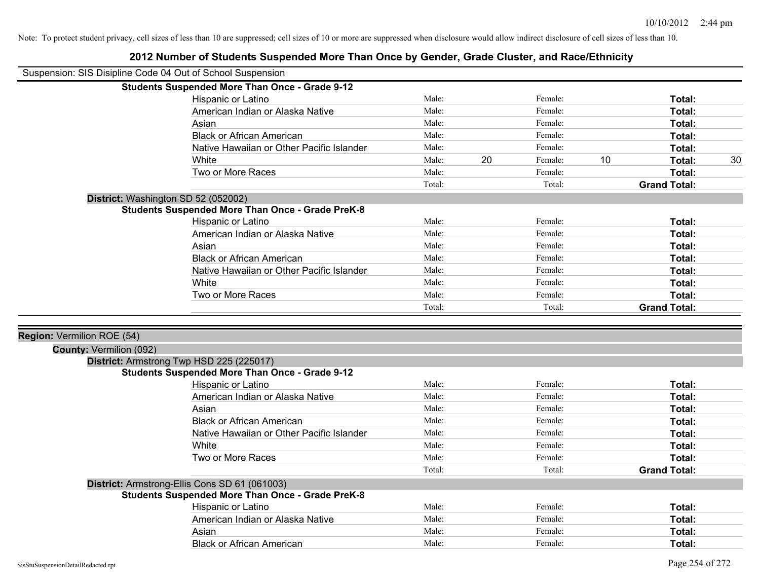|                                                              | 2012 Number of Students Suspended More Than Once by Gender, Grade Cluster, and Race/Ethnicity |        |    |         |    |                     |    |
|--------------------------------------------------------------|-----------------------------------------------------------------------------------------------|--------|----|---------|----|---------------------|----|
| Suspension: SIS Disipline Code 04 Out of School Suspension   |                                                                                               |        |    |         |    |                     |    |
|                                                              | <b>Students Suspended More Than Once - Grade 9-12</b>                                         |        |    |         |    |                     |    |
|                                                              | Hispanic or Latino                                                                            | Male:  |    | Female: |    | Total:              |    |
|                                                              | American Indian or Alaska Native                                                              | Male:  |    | Female: |    | Total:              |    |
|                                                              | Asian                                                                                         | Male:  |    | Female: |    | Total:              |    |
|                                                              | <b>Black or African American</b>                                                              | Male:  |    | Female: |    | Total:              |    |
|                                                              | Native Hawaiian or Other Pacific Islander                                                     | Male:  |    | Female: |    | Total:              |    |
|                                                              | White                                                                                         | Male:  | 20 | Female: | 10 | Total:              | 30 |
|                                                              | Two or More Races                                                                             | Male:  |    | Female: |    | Total:              |    |
|                                                              |                                                                                               | Total: |    | Total:  |    | <b>Grand Total:</b> |    |
|                                                              | District: Washington SD 52 (052002)                                                           |        |    |         |    |                     |    |
|                                                              | <b>Students Suspended More Than Once - Grade PreK-8</b>                                       |        |    |         |    |                     |    |
|                                                              | Hispanic or Latino                                                                            | Male:  |    | Female: |    | Total:              |    |
|                                                              | American Indian or Alaska Native                                                              | Male:  |    | Female: |    | Total:              |    |
|                                                              | Asian                                                                                         | Male:  |    | Female: |    | Total:              |    |
|                                                              | <b>Black or African American</b>                                                              | Male:  |    | Female: |    | Total:              |    |
|                                                              | Native Hawaiian or Other Pacific Islander                                                     | Male:  |    | Female: |    | Total:              |    |
|                                                              | White                                                                                         | Male:  |    | Female: |    | Total:              |    |
|                                                              | Two or More Races                                                                             | Male:  |    | Female: |    | Total:              |    |
|                                                              |                                                                                               | Total: |    | Total:  |    | <b>Grand Total:</b> |    |
| Region: Vermilion ROE (54)<br><b>County: Vermilion (092)</b> |                                                                                               |        |    |         |    |                     |    |
|                                                              | District: Armstrong Twp HSD 225 (225017)<br>Students Suspended More Than Once - Grade 9-12    |        |    |         |    |                     |    |
|                                                              | Hispanic or Latino                                                                            | Male:  |    | Female: |    | Total:              |    |
|                                                              | American Indian or Alaska Native                                                              | Male:  |    | Female: |    | Total:              |    |
|                                                              | Asian                                                                                         | Male:  |    | Female: |    | Total:              |    |
|                                                              | <b>Black or African American</b>                                                              | Male:  |    | Female: |    | Total:              |    |
|                                                              | Native Hawaiian or Other Pacific Islander                                                     | Male:  |    | Female: |    | Total:              |    |
|                                                              | White                                                                                         | Male:  |    | Female: |    | Total:              |    |
|                                                              | Two or More Races                                                                             | Male:  |    | Female: |    | Total:              |    |
|                                                              |                                                                                               | Total: |    | Total:  |    | <b>Grand Total:</b> |    |
|                                                              | District: Armstrong-Ellis Cons SD 61 (061003)                                                 |        |    |         |    |                     |    |
|                                                              | <b>Students Suspended More Than Once - Grade PreK-8</b>                                       |        |    |         |    |                     |    |
|                                                              | Hispanic or Latino                                                                            | Male:  |    | Female: |    | Total:              |    |
|                                                              | American Indian or Alaska Native                                                              | Male:  |    | Female: |    | Total:              |    |
|                                                              | Asian                                                                                         | Male:  |    | Female: |    | Total:              |    |
|                                                              | <b>Black or African American</b>                                                              | Male:  |    | Female: |    | Total:              |    |
|                                                              |                                                                                               |        |    |         |    |                     |    |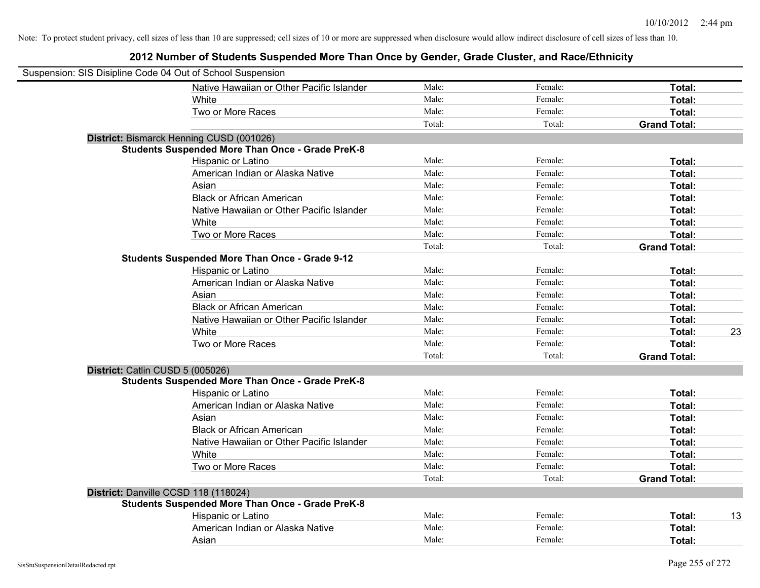| Suspension: SIS Disipline Code 04 Out of School Suspension |                                                         |        |         |                     |    |
|------------------------------------------------------------|---------------------------------------------------------|--------|---------|---------------------|----|
|                                                            | Native Hawaiian or Other Pacific Islander               | Male:  | Female: | Total:              |    |
|                                                            | White                                                   | Male:  | Female: | Total:              |    |
|                                                            | Two or More Races                                       | Male:  | Female: | Total:              |    |
|                                                            |                                                         | Total: | Total:  | <b>Grand Total:</b> |    |
|                                                            | District: Bismarck Henning CUSD (001026)                |        |         |                     |    |
|                                                            | <b>Students Suspended More Than Once - Grade PreK-8</b> |        |         |                     |    |
|                                                            | Hispanic or Latino                                      | Male:  | Female: | Total:              |    |
|                                                            | American Indian or Alaska Native                        | Male:  | Female: | Total:              |    |
|                                                            | Asian                                                   | Male:  | Female: | Total:              |    |
|                                                            | <b>Black or African American</b>                        | Male:  | Female: | Total:              |    |
|                                                            | Native Hawaiian or Other Pacific Islander               | Male:  | Female: | Total:              |    |
|                                                            | White                                                   | Male:  | Female: | Total:              |    |
|                                                            | Two or More Races                                       | Male:  | Female: | Total:              |    |
|                                                            |                                                         | Total: | Total:  | <b>Grand Total:</b> |    |
|                                                            | <b>Students Suspended More Than Once - Grade 9-12</b>   |        |         |                     |    |
|                                                            | Hispanic or Latino                                      | Male:  | Female: | Total:              |    |
|                                                            | American Indian or Alaska Native                        | Male:  | Female: | Total:              |    |
|                                                            | Asian                                                   | Male:  | Female: | Total:              |    |
|                                                            | <b>Black or African American</b>                        | Male:  | Female: | Total:              |    |
|                                                            | Native Hawaiian or Other Pacific Islander               | Male:  | Female: | Total:              |    |
|                                                            | White                                                   | Male:  | Female: | Total:              | 23 |
|                                                            | Two or More Races                                       | Male:  | Female: | Total:              |    |
|                                                            |                                                         | Total: | Total:  | <b>Grand Total:</b> |    |
| District: Catlin CUSD 5 (005026)                           |                                                         |        |         |                     |    |
|                                                            | <b>Students Suspended More Than Once - Grade PreK-8</b> |        |         |                     |    |
|                                                            | Hispanic or Latino                                      | Male:  | Female: | Total:              |    |
|                                                            | American Indian or Alaska Native                        | Male:  | Female: | Total:              |    |
|                                                            | Asian                                                   | Male:  | Female: | Total:              |    |
|                                                            | <b>Black or African American</b>                        | Male:  | Female: | Total:              |    |
|                                                            | Native Hawaiian or Other Pacific Islander               | Male:  | Female: | Total:              |    |
|                                                            | White                                                   | Male:  | Female: | Total:              |    |
|                                                            | Two or More Races                                       | Male:  | Female: | Total:              |    |
|                                                            |                                                         | Total: | Total:  | <b>Grand Total:</b> |    |
| District: Danville CCSD 118 (118024)                       |                                                         |        |         |                     |    |
|                                                            | <b>Students Suspended More Than Once - Grade PreK-8</b> |        |         |                     |    |
|                                                            | Hispanic or Latino                                      | Male:  | Female: | Total:              | 13 |
|                                                            | American Indian or Alaska Native                        | Male:  | Female: | Total:              |    |
|                                                            | Asian                                                   | Male:  | Female: | Total:              |    |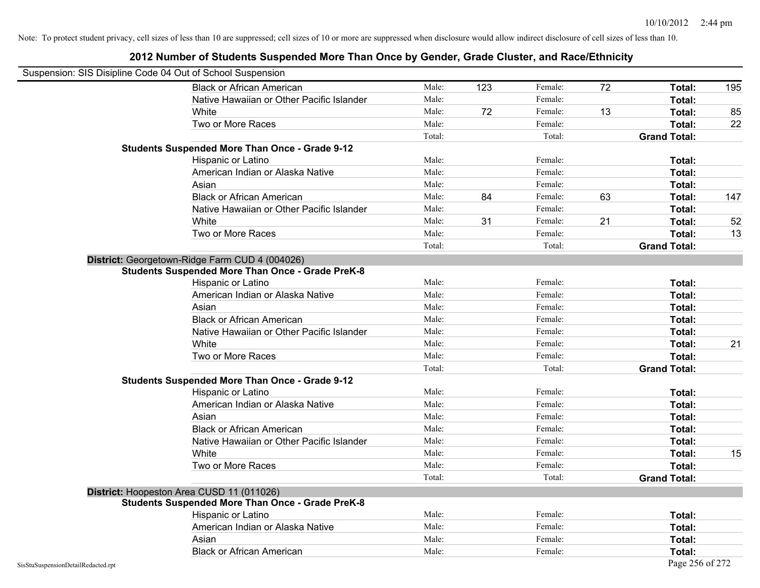|                                    | Suspension: SIS Disipline Code 04 Out of School Suspension |        |     |         |    |                     |     |
|------------------------------------|------------------------------------------------------------|--------|-----|---------|----|---------------------|-----|
|                                    | <b>Black or African American</b>                           | Male:  | 123 | Female: | 72 | Total:              | 195 |
|                                    | Native Hawaiian or Other Pacific Islander                  | Male:  |     | Female: |    | Total:              |     |
|                                    | White                                                      | Male:  | 72  | Female: | 13 | Total:              | 85  |
|                                    | Two or More Races                                          | Male:  |     | Female: |    | Total:              | 22  |
|                                    |                                                            | Total: |     | Total:  |    | <b>Grand Total:</b> |     |
|                                    | <b>Students Suspended More Than Once - Grade 9-12</b>      |        |     |         |    |                     |     |
|                                    | Hispanic or Latino                                         | Male:  |     | Female: |    | Total:              |     |
|                                    | American Indian or Alaska Native                           | Male:  |     | Female: |    | Total:              |     |
|                                    | Asian                                                      | Male:  |     | Female: |    | Total:              |     |
|                                    | <b>Black or African American</b>                           | Male:  | 84  | Female: | 63 | Total:              | 147 |
|                                    | Native Hawaiian or Other Pacific Islander                  | Male:  |     | Female: |    | Total:              |     |
|                                    | White                                                      | Male:  | 31  | Female: | 21 | Total:              | 52  |
|                                    | Two or More Races                                          | Male:  |     | Female: |    | Total:              | 13  |
|                                    |                                                            | Total: |     | Total:  |    | <b>Grand Total:</b> |     |
|                                    | District: Georgetown-Ridge Farm CUD 4 (004026)             |        |     |         |    |                     |     |
|                                    | <b>Students Suspended More Than Once - Grade PreK-8</b>    |        |     |         |    |                     |     |
|                                    | Hispanic or Latino                                         | Male:  |     | Female: |    | Total:              |     |
|                                    | American Indian or Alaska Native                           | Male:  |     | Female: |    | Total:              |     |
|                                    | Asian                                                      | Male:  |     | Female: |    | Total:              |     |
|                                    | <b>Black or African American</b>                           | Male:  |     | Female: |    | Total:              |     |
|                                    | Native Hawaiian or Other Pacific Islander                  | Male:  |     | Female: |    | Total:              |     |
|                                    | White                                                      | Male:  |     | Female: |    | Total:              | 21  |
|                                    | Two or More Races                                          | Male:  |     | Female: |    | Total:              |     |
|                                    |                                                            | Total: |     | Total:  |    | <b>Grand Total:</b> |     |
|                                    | <b>Students Suspended More Than Once - Grade 9-12</b>      |        |     |         |    |                     |     |
|                                    | Hispanic or Latino                                         | Male:  |     | Female: |    | Total:              |     |
|                                    | American Indian or Alaska Native                           | Male:  |     | Female: |    | Total:              |     |
|                                    | Asian                                                      | Male:  |     | Female: |    | Total:              |     |
|                                    | <b>Black or African American</b>                           | Male:  |     | Female: |    | Total:              |     |
|                                    | Native Hawaiian or Other Pacific Islander                  | Male:  |     | Female: |    | Total:              |     |
|                                    | White                                                      | Male:  |     | Female: |    | Total:              | 15  |
|                                    | Two or More Races                                          | Male:  |     | Female: |    | Total:              |     |
|                                    |                                                            | Total: |     | Total:  |    | <b>Grand Total:</b> |     |
|                                    | District: Hoopeston Area CUSD 11 (011026)                  |        |     |         |    |                     |     |
|                                    | <b>Students Suspended More Than Once - Grade PreK-8</b>    |        |     |         |    |                     |     |
|                                    | Hispanic or Latino                                         | Male:  |     | Female: |    | Total:              |     |
|                                    | American Indian or Alaska Native                           | Male:  |     | Female: |    | Total:              |     |
|                                    | Asian                                                      | Male:  |     | Female: |    | Total:              |     |
|                                    | <b>Black or African American</b>                           | Male:  |     | Female: |    | Total:              |     |
| SisStuSuspensionDetailRedacted.rpt |                                                            |        |     |         |    | Page 256 of 272     |     |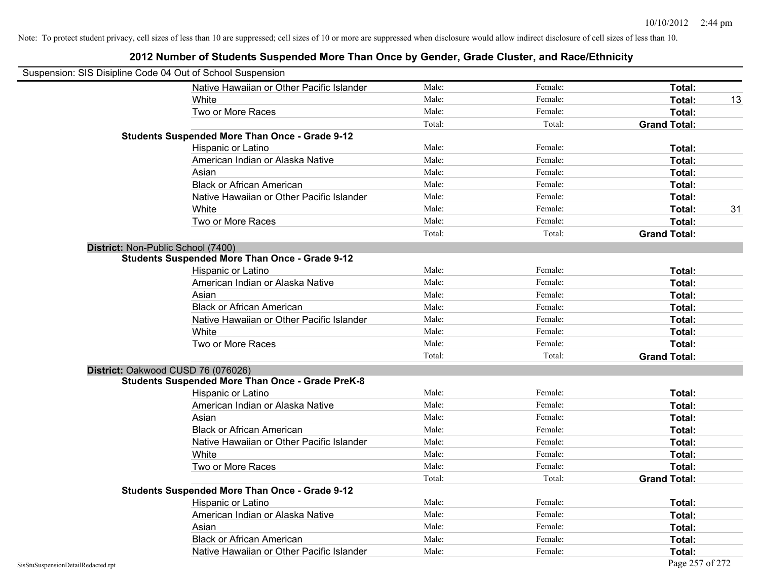|                                    | Suspension: SIS Disipline Code 04 Out of School Suspension |        |         |                     |
|------------------------------------|------------------------------------------------------------|--------|---------|---------------------|
|                                    | Native Hawaiian or Other Pacific Islander                  | Male:  | Female: | Total:              |
|                                    | White                                                      | Male:  | Female: | Total:<br>13        |
|                                    | Two or More Races                                          | Male:  | Female: | Total:              |
|                                    |                                                            | Total: | Total:  | <b>Grand Total:</b> |
|                                    | <b>Students Suspended More Than Once - Grade 9-12</b>      |        |         |                     |
|                                    | Hispanic or Latino                                         | Male:  | Female: | Total:              |
|                                    | American Indian or Alaska Native                           | Male:  | Female: | Total:              |
|                                    | Asian                                                      | Male:  | Female: | Total:              |
|                                    | <b>Black or African American</b>                           | Male:  | Female: | Total:              |
|                                    | Native Hawaiian or Other Pacific Islander                  | Male:  | Female: | Total:              |
|                                    | White                                                      | Male:  | Female: | Total:<br>31        |
|                                    | Two or More Races                                          | Male:  | Female: | Total:              |
|                                    |                                                            | Total: | Total:  | <b>Grand Total:</b> |
|                                    | District: Non-Public School (7400)                         |        |         |                     |
|                                    | <b>Students Suspended More Than Once - Grade 9-12</b>      |        |         |                     |
|                                    | Hispanic or Latino                                         | Male:  | Female: | Total:              |
|                                    | American Indian or Alaska Native                           | Male:  | Female: | Total:              |
|                                    | Asian                                                      | Male:  | Female: | Total:              |
|                                    | <b>Black or African American</b>                           | Male:  | Female: | Total:              |
|                                    | Native Hawaiian or Other Pacific Islander                  | Male:  | Female: | Total:              |
|                                    | White                                                      | Male:  | Female: | Total:              |
|                                    | Two or More Races                                          | Male:  | Female: | Total:              |
|                                    |                                                            | Total: | Total:  | <b>Grand Total:</b> |
|                                    | District: Oakwood CUSD 76 (076026)                         |        |         |                     |
|                                    | <b>Students Suspended More Than Once - Grade PreK-8</b>    |        |         |                     |
|                                    | Hispanic or Latino                                         | Male:  | Female: | Total:              |
|                                    | American Indian or Alaska Native                           | Male:  | Female: | Total:              |
|                                    | Asian                                                      | Male:  | Female: | Total:              |
|                                    | <b>Black or African American</b>                           | Male:  | Female: | Total:              |
|                                    | Native Hawaiian or Other Pacific Islander                  | Male:  | Female: | Total:              |
|                                    | White                                                      | Male:  | Female: | Total:              |
|                                    | Two or More Races                                          | Male:  | Female: | Total:              |
|                                    |                                                            | Total: | Total:  | <b>Grand Total:</b> |
|                                    | <b>Students Suspended More Than Once - Grade 9-12</b>      |        |         |                     |
|                                    | Hispanic or Latino                                         | Male:  | Female: | Total:              |
|                                    | American Indian or Alaska Native                           | Male:  | Female: | Total:              |
|                                    | Asian                                                      | Male:  | Female: | Total:              |
|                                    | <b>Black or African American</b>                           | Male:  | Female: | Total:              |
|                                    | Native Hawaiian or Other Pacific Islander                  | Male:  | Female: | Total:              |
| SisStuSuspensionDetailRedacted.rpt |                                                            |        |         | Page 257 of 272     |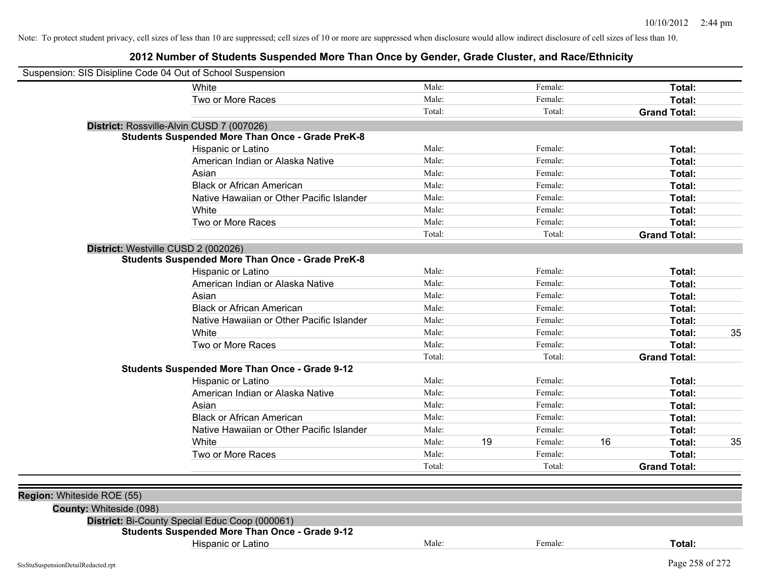| Suspension: SIS Disipline Code 04 Out of School Suspension |                                                         |        |    |         |    |                     |    |
|------------------------------------------------------------|---------------------------------------------------------|--------|----|---------|----|---------------------|----|
|                                                            | White                                                   | Male:  |    | Female: |    | Total:              |    |
|                                                            | Two or More Races                                       | Male:  |    | Female: |    | Total:              |    |
|                                                            |                                                         | Total: |    | Total:  |    | <b>Grand Total:</b> |    |
|                                                            | District: Rossville-Alvin CUSD 7 (007026)               |        |    |         |    |                     |    |
|                                                            | <b>Students Suspended More Than Once - Grade PreK-8</b> |        |    |         |    |                     |    |
|                                                            | Hispanic or Latino                                      | Male:  |    | Female: |    | Total:              |    |
|                                                            | American Indian or Alaska Native                        | Male:  |    | Female: |    | Total:              |    |
|                                                            | Asian                                                   | Male:  |    | Female: |    | Total:              |    |
|                                                            | <b>Black or African American</b>                        | Male:  |    | Female: |    | Total:              |    |
|                                                            | Native Hawaiian or Other Pacific Islander               | Male:  |    | Female: |    | Total:              |    |
|                                                            | White                                                   | Male:  |    | Female: |    | Total:              |    |
|                                                            | Two or More Races                                       | Male:  |    | Female: |    | Total:              |    |
|                                                            |                                                         | Total: |    | Total:  |    | <b>Grand Total:</b> |    |
|                                                            | District: Westville CUSD 2 (002026)                     |        |    |         |    |                     |    |
|                                                            | <b>Students Suspended More Than Once - Grade PreK-8</b> |        |    |         |    |                     |    |
|                                                            | Hispanic or Latino                                      | Male:  |    | Female: |    | Total:              |    |
|                                                            | American Indian or Alaska Native                        | Male:  |    | Female: |    | Total:              |    |
|                                                            | Asian                                                   | Male:  |    | Female: |    | Total:              |    |
|                                                            | <b>Black or African American</b>                        | Male:  |    | Female: |    | Total:              |    |
|                                                            | Native Hawaiian or Other Pacific Islander               | Male:  |    | Female: |    | Total:              |    |
|                                                            | White                                                   | Male:  |    | Female: |    | Total:              | 35 |
|                                                            | Two or More Races                                       | Male:  |    | Female: |    | Total:              |    |
|                                                            |                                                         | Total: |    | Total:  |    | <b>Grand Total:</b> |    |
|                                                            | <b>Students Suspended More Than Once - Grade 9-12</b>   |        |    |         |    |                     |    |
|                                                            | Hispanic or Latino                                      | Male:  |    | Female: |    | Total:              |    |
|                                                            | American Indian or Alaska Native                        | Male:  |    | Female: |    | Total:              |    |
|                                                            | Asian                                                   | Male:  |    | Female: |    | Total:              |    |
|                                                            | <b>Black or African American</b>                        | Male:  |    | Female: |    | Total:              |    |
|                                                            | Native Hawaiian or Other Pacific Islander               | Male:  |    | Female: |    | Total:              |    |
|                                                            | White                                                   | Male:  | 19 | Female: | 16 | Total:              | 35 |
|                                                            | Two or More Races                                       | Male:  |    | Female: |    | Total:              |    |
|                                                            |                                                         | Total: |    | Total:  |    | <b>Grand Total:</b> |    |
|                                                            |                                                         |        |    |         |    |                     |    |
| Region: Whiteside ROE (55)                                 |                                                         |        |    |         |    |                     |    |
| County: Whiteside (098)                                    |                                                         |        |    |         |    |                     |    |
|                                                            | District: Bi-County Special Educ Coop (000061)          |        |    |         |    |                     |    |
|                                                            | <b>Students Suspended More Than Once - Grade 9-12</b>   |        |    |         |    |                     |    |
|                                                            | Hispanic or Latino                                      | Male:  |    | Female: |    | Total:              |    |
| SisStuSuspensionDetailRedacted.rpt                         |                                                         |        |    |         |    | Page 258 of 272     |    |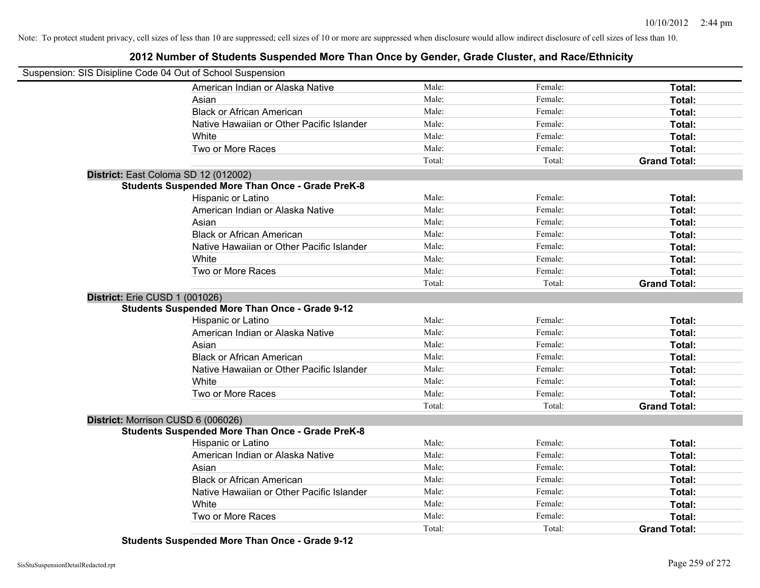## **2012 Number of Students Suspended More Than Once by Gender, Grade Cluster, and Race/Ethnicity**

| Suspension: SIS Disipline Code 04 Out of School Suspension |                                                         |        |         |                     |
|------------------------------------------------------------|---------------------------------------------------------|--------|---------|---------------------|
|                                                            | American Indian or Alaska Native                        | Male:  | Female: | Total:              |
|                                                            | Asian                                                   | Male:  | Female: | Total:              |
|                                                            | <b>Black or African American</b>                        | Male:  | Female: | Total:              |
|                                                            | Native Hawaiian or Other Pacific Islander               | Male:  | Female: | Total:              |
|                                                            | White                                                   | Male:  | Female: | Total:              |
|                                                            | Two or More Races                                       | Male:  | Female: | Total:              |
|                                                            |                                                         | Total: | Total:  | <b>Grand Total:</b> |
|                                                            | District: East Coloma SD 12 (012002)                    |        |         |                     |
|                                                            | <b>Students Suspended More Than Once - Grade PreK-8</b> |        |         |                     |
|                                                            | Hispanic or Latino                                      | Male:  | Female: | Total:              |
|                                                            | American Indian or Alaska Native                        | Male:  | Female: | Total:              |
|                                                            | Asian                                                   | Male:  | Female: | Total:              |
|                                                            | <b>Black or African American</b>                        | Male:  | Female: | Total:              |
|                                                            | Native Hawaiian or Other Pacific Islander               | Male:  | Female: | Total:              |
|                                                            | White                                                   | Male:  | Female: | Total:              |
|                                                            | Two or More Races                                       | Male:  | Female: | Total:              |
|                                                            |                                                         | Total: | Total:  | <b>Grand Total:</b> |
| District: Erie CUSD 1 (001026)                             |                                                         |        |         |                     |
|                                                            | <b>Students Suspended More Than Once - Grade 9-12</b>   |        |         |                     |
|                                                            | Hispanic or Latino                                      | Male:  | Female: | Total:              |
|                                                            | American Indian or Alaska Native                        | Male:  | Female: | Total:              |
|                                                            | Asian                                                   | Male:  | Female: | Total:              |
|                                                            | <b>Black or African American</b>                        | Male:  | Female: | Total:              |
|                                                            | Native Hawaiian or Other Pacific Islander               | Male:  | Female: | Total:              |
|                                                            | White                                                   | Male:  | Female: | Total:              |
|                                                            | Two or More Races                                       | Male:  | Female: | Total:              |
|                                                            |                                                         | Total: | Total:  | <b>Grand Total:</b> |
| District: Morrison CUSD 6 (006026)                         |                                                         |        |         |                     |
|                                                            | <b>Students Suspended More Than Once - Grade PreK-8</b> |        |         |                     |
|                                                            | Hispanic or Latino                                      | Male:  | Female: | Total:              |
|                                                            | American Indian or Alaska Native                        | Male:  | Female: | Total:              |
|                                                            | Asian                                                   | Male:  | Female: | Total:              |
|                                                            | <b>Black or African American</b>                        | Male:  | Female: | Total:              |
|                                                            | Native Hawaiian or Other Pacific Islander               | Male:  | Female: | Total:              |
|                                                            | White                                                   | Male:  | Female: | Total:              |
|                                                            | Two or More Races                                       | Male:  | Female: | Total:              |
|                                                            |                                                         | Total: | Total:  | <b>Grand Total:</b> |

**Students Suspended More Than Once - Grade 9-12**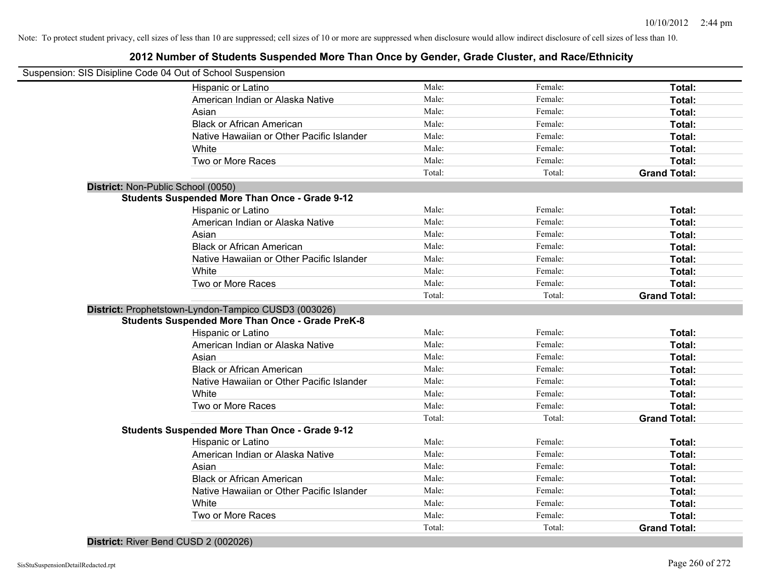## **2012 Number of Students Suspended More Than Once by Gender, Grade Cluster, and Race/Ethnicity**

| Suspension: SIS Disipline Code 04 Out of School Suspension |                                                         |        |         |                     |
|------------------------------------------------------------|---------------------------------------------------------|--------|---------|---------------------|
| Hispanic or Latino                                         |                                                         | Male:  | Female: | Total:              |
|                                                            | American Indian or Alaska Native                        | Male:  | Female: | Total:              |
| Asian                                                      |                                                         | Male:  | Female: | Total:              |
|                                                            | <b>Black or African American</b>                        | Male:  | Female: | Total:              |
|                                                            | Native Hawaiian or Other Pacific Islander               | Male:  | Female: | Total:              |
| White                                                      |                                                         | Male:  | Female: | Total:              |
| Two or More Races                                          |                                                         | Male:  | Female: | Total:              |
|                                                            |                                                         | Total: | Total:  | <b>Grand Total:</b> |
| District: Non-Public School (0050)                         |                                                         |        |         |                     |
|                                                            | <b>Students Suspended More Than Once - Grade 9-12</b>   |        |         |                     |
| Hispanic or Latino                                         |                                                         | Male:  | Female: | Total:              |
|                                                            | American Indian or Alaska Native                        | Male:  | Female: | Total:              |
| Asian                                                      |                                                         | Male:  | Female: | Total:              |
|                                                            | <b>Black or African American</b>                        | Male:  | Female: | Total:              |
|                                                            | Native Hawaiian or Other Pacific Islander               | Male:  | Female: | Total:              |
| White                                                      |                                                         | Male:  | Female: | Total:              |
| Two or More Races                                          |                                                         | Male:  | Female: | Total:              |
|                                                            |                                                         | Total: | Total:  | <b>Grand Total:</b> |
| District: Prophetstown-Lyndon-Tampico CUSD3 (003026)       |                                                         |        |         |                     |
|                                                            | <b>Students Suspended More Than Once - Grade PreK-8</b> |        |         |                     |
| Hispanic or Latino                                         |                                                         | Male:  | Female: | Total:              |
|                                                            | American Indian or Alaska Native                        | Male:  | Female: | Total:              |
| Asian                                                      |                                                         | Male:  | Female: | Total:              |
|                                                            | <b>Black or African American</b>                        | Male:  | Female: | Total:              |
|                                                            | Native Hawaiian or Other Pacific Islander               | Male:  | Female: | Total:              |
| White                                                      |                                                         | Male:  | Female: | Total:              |
| Two or More Races                                          |                                                         | Male:  | Female: | Total:              |
|                                                            |                                                         | Total: | Total:  | <b>Grand Total:</b> |
|                                                            | <b>Students Suspended More Than Once - Grade 9-12</b>   |        |         |                     |
| Hispanic or Latino                                         |                                                         | Male:  | Female: | Total:              |
|                                                            | American Indian or Alaska Native                        | Male:  | Female: | Total:              |
| Asian                                                      |                                                         | Male:  | Female: | Total:              |
|                                                            | <b>Black or African American</b>                        | Male:  | Female: | Total:              |
|                                                            | Native Hawaiian or Other Pacific Islander               | Male:  | Female: | Total:              |
| White                                                      |                                                         | Male:  | Female: | Total:              |
| Two or More Races                                          |                                                         | Male:  | Female: | Total:              |
|                                                            |                                                         | Total: | Total:  | <b>Grand Total:</b> |

**District:** River Bend CUSD 2 (002026)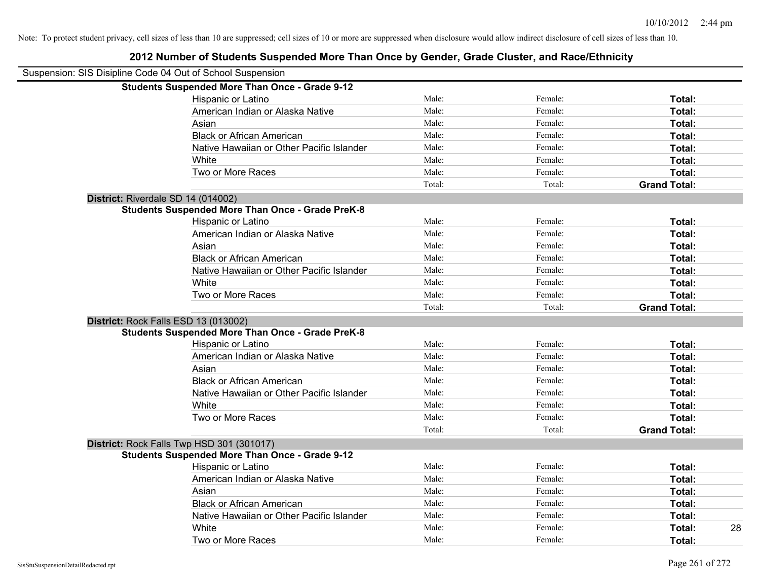| Suspension: SIS Disipline Code 04 Out of School Suspension |                                                         |        |         |                     |
|------------------------------------------------------------|---------------------------------------------------------|--------|---------|---------------------|
|                                                            | <b>Students Suspended More Than Once - Grade 9-12</b>   |        |         |                     |
|                                                            | Hispanic or Latino                                      | Male:  | Female: | Total:              |
|                                                            | American Indian or Alaska Native                        | Male:  | Female: | Total:              |
|                                                            | Asian                                                   | Male:  | Female: | Total:              |
|                                                            | <b>Black or African American</b>                        | Male:  | Female: | Total:              |
|                                                            | Native Hawaiian or Other Pacific Islander               | Male:  | Female: | Total:              |
|                                                            | White                                                   | Male:  | Female: | Total:              |
|                                                            | Two or More Races                                       | Male:  | Female: | Total:              |
|                                                            |                                                         | Total: | Total:  | <b>Grand Total:</b> |
| District: Riverdale SD 14 (014002)                         |                                                         |        |         |                     |
|                                                            | <b>Students Suspended More Than Once - Grade PreK-8</b> |        |         |                     |
|                                                            | Hispanic or Latino                                      | Male:  | Female: | Total:              |
|                                                            | American Indian or Alaska Native                        | Male:  | Female: | Total:              |
|                                                            | Asian                                                   | Male:  | Female: | Total:              |
|                                                            | <b>Black or African American</b>                        | Male:  | Female: | Total:              |
|                                                            | Native Hawaiian or Other Pacific Islander               | Male:  | Female: | Total:              |
|                                                            | White                                                   | Male:  | Female: | Total:              |
|                                                            | Two or More Races                                       | Male:  | Female: | Total:              |
|                                                            |                                                         | Total: | Total:  | <b>Grand Total:</b> |
| District: Rock Falls ESD 13 (013002)                       |                                                         |        |         |                     |
|                                                            | <b>Students Suspended More Than Once - Grade PreK-8</b> |        |         |                     |
|                                                            | Hispanic or Latino                                      | Male:  | Female: | Total:              |
|                                                            | American Indian or Alaska Native                        | Male:  | Female: | Total:              |
|                                                            | Asian                                                   | Male:  | Female: | Total:              |
|                                                            | <b>Black or African American</b>                        | Male:  | Female: | Total:              |
|                                                            | Native Hawaiian or Other Pacific Islander               | Male:  | Female: | Total:              |
|                                                            | White                                                   | Male:  | Female: | Total:              |
|                                                            | Two or More Races                                       | Male:  | Female: | Total:              |
|                                                            |                                                         | Total: | Total:  | <b>Grand Total:</b> |
| District: Rock Falls Twp HSD 301 (301017)                  |                                                         |        |         |                     |
|                                                            | <b>Students Suspended More Than Once - Grade 9-12</b>   |        |         |                     |
|                                                            | Hispanic or Latino                                      | Male:  | Female: | Total:              |
|                                                            | American Indian or Alaska Native                        | Male:  | Female: | Total:              |
|                                                            | Asian                                                   | Male:  | Female: | Total:              |
|                                                            | <b>Black or African American</b>                        | Male:  | Female: | Total:              |
|                                                            | Native Hawaiian or Other Pacific Islander               | Male:  | Female: | Total:              |
|                                                            | White                                                   | Male:  | Female: | Total:              |
|                                                            | Two or More Races                                       | Male:  | Female: | Total:              |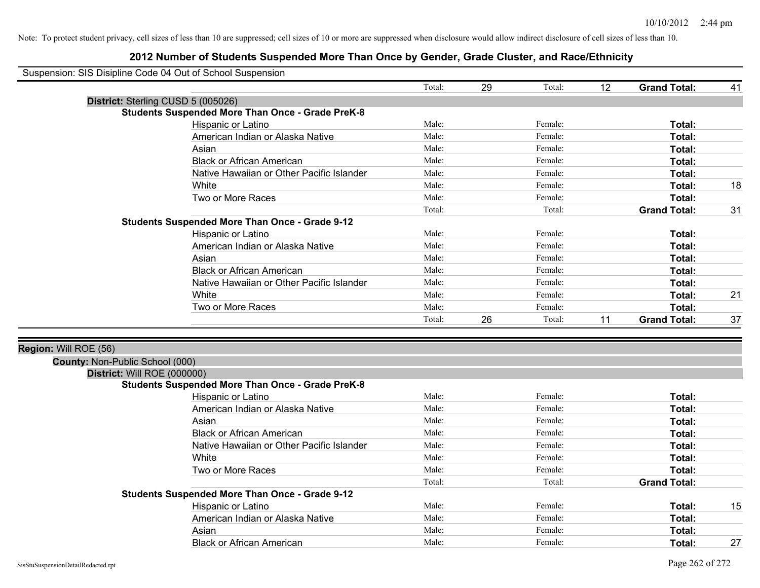|                                 | Suspension: SIS Disipline Code 04 Out of School Suspension                             |        |    |         |    |                     |    |
|---------------------------------|----------------------------------------------------------------------------------------|--------|----|---------|----|---------------------|----|
|                                 |                                                                                        | Total: | 29 | Total:  | 12 | <b>Grand Total:</b> | 41 |
|                                 | District: Sterling CUSD 5 (005026)                                                     |        |    |         |    |                     |    |
|                                 | <b>Students Suspended More Than Once - Grade PreK-8</b>                                |        |    |         |    |                     |    |
|                                 | Hispanic or Latino                                                                     | Male:  |    | Female: |    | Total:              |    |
|                                 | American Indian or Alaska Native                                                       | Male:  |    | Female: |    | Total:              |    |
|                                 | Asian                                                                                  | Male:  |    | Female: |    | Total:              |    |
|                                 | <b>Black or African American</b>                                                       | Male:  |    | Female: |    | Total:              |    |
|                                 | Native Hawaiian or Other Pacific Islander                                              | Male:  |    | Female: |    | Total:              |    |
|                                 | White                                                                                  | Male:  |    | Female: |    | Total:              | 18 |
|                                 | Two or More Races                                                                      | Male:  |    | Female: |    | Total:              |    |
|                                 |                                                                                        | Total: |    | Total:  |    | <b>Grand Total:</b> | 31 |
|                                 | <b>Students Suspended More Than Once - Grade 9-12</b>                                  |        |    |         |    |                     |    |
|                                 | Hispanic or Latino                                                                     | Male:  |    | Female: |    | Total:              |    |
|                                 | American Indian or Alaska Native                                                       | Male:  |    | Female: |    | Total:              |    |
|                                 | Asian                                                                                  | Male:  |    | Female: |    | Total:              |    |
|                                 | <b>Black or African American</b>                                                       | Male:  |    | Female: |    | Total:              |    |
|                                 | Native Hawaiian or Other Pacific Islander                                              | Male:  |    | Female: |    | Total:              |    |
|                                 | White                                                                                  | Male:  |    | Female: |    | Total:              | 21 |
|                                 | Two or More Races                                                                      | Male:  |    | Female: |    | Total:              |    |
|                                 |                                                                                        | Total: | 26 | Total:  | 11 | <b>Grand Total:</b> | 37 |
|                                 |                                                                                        |        |    |         |    |                     |    |
| Region: Will ROE (56)           |                                                                                        |        |    |         |    |                     |    |
| County: Non-Public School (000) |                                                                                        |        |    |         |    |                     |    |
|                                 | District: Will ROE (000000)<br><b>Students Suspended More Than Once - Grade PreK-8</b> |        |    |         |    |                     |    |
|                                 | Hispanic or Latino                                                                     | Male:  |    | Female: |    | Total:              |    |
|                                 | American Indian or Alaska Native                                                       | Male:  |    | Female: |    | <b>Total:</b>       |    |
|                                 | Asian                                                                                  | Male:  |    | Female: |    | Total:              |    |
|                                 | <b>Black or African American</b>                                                       | Male:  |    | Female: |    | Total:              |    |
|                                 | Native Hawaiian or Other Pacific Islander                                              | Male:  |    | Female: |    | Total:              |    |
|                                 | White                                                                                  | Male:  |    | Female: |    | Total:              |    |
|                                 | Two or More Races                                                                      | Male:  |    | Female: |    | Total:              |    |
|                                 |                                                                                        | Total: |    | Total:  |    | <b>Grand Total:</b> |    |
|                                 | <b>Students Suspended More Than Once - Grade 9-12</b>                                  |        |    |         |    |                     |    |
|                                 | Hispanic or Latino                                                                     | Male:  |    | Female: |    | Total:              | 15 |
|                                 | American Indian or Alaska Native                                                       | Male:  |    | Female: |    | Total:              |    |
|                                 | Asian                                                                                  | Male:  |    | Female: |    | Total:              |    |
|                                 | <b>Black or African American</b>                                                       | Male:  |    | Female: |    | Total:              | 27 |
|                                 |                                                                                        |        |    |         |    |                     |    |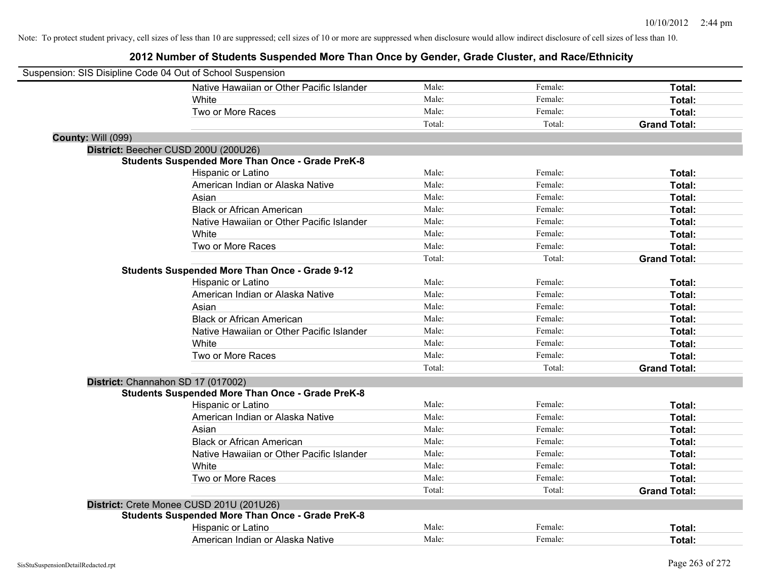| Suspension: SIS Disipline Code 04 Out of School Suspension |                                                         |        |         |                     |
|------------------------------------------------------------|---------------------------------------------------------|--------|---------|---------------------|
|                                                            | Native Hawaiian or Other Pacific Islander               | Male:  | Female: | Total:              |
|                                                            | White                                                   | Male:  | Female: | Total:              |
|                                                            | Two or More Races                                       | Male:  | Female: | Total:              |
|                                                            |                                                         | Total: | Total:  | <b>Grand Total:</b> |
| County: Will (099)                                         |                                                         |        |         |                     |
| District: Beecher CUSD 200U (200U26)                       |                                                         |        |         |                     |
|                                                            | <b>Students Suspended More Than Once - Grade PreK-8</b> |        |         |                     |
|                                                            | Hispanic or Latino                                      | Male:  | Female: | Total:              |
|                                                            | American Indian or Alaska Native                        | Male:  | Female: | Total:              |
|                                                            | Asian                                                   | Male:  | Female: | Total:              |
|                                                            | <b>Black or African American</b>                        | Male:  | Female: | Total:              |
|                                                            | Native Hawaiian or Other Pacific Islander               | Male:  | Female: | Total:              |
|                                                            | White                                                   | Male:  | Female: | Total:              |
|                                                            | Two or More Races                                       | Male:  | Female: | Total:              |
|                                                            |                                                         | Total: | Total:  | <b>Grand Total:</b> |
|                                                            | <b>Students Suspended More Than Once - Grade 9-12</b>   |        |         |                     |
|                                                            | Hispanic or Latino                                      | Male:  | Female: | Total:              |
|                                                            | American Indian or Alaska Native                        | Male:  | Female: | Total:              |
|                                                            | Asian                                                   | Male:  | Female: | Total:              |
|                                                            | <b>Black or African American</b>                        | Male:  | Female: | Total:              |
|                                                            | Native Hawaiian or Other Pacific Islander               | Male:  | Female: | Total:              |
|                                                            | White                                                   | Male:  | Female: | Total:              |
|                                                            | Two or More Races                                       | Male:  | Female: | Total:              |
|                                                            |                                                         | Total: | Total:  | <b>Grand Total:</b> |
| District: Channahon SD 17 (017002)                         |                                                         |        |         |                     |
|                                                            | <b>Students Suspended More Than Once - Grade PreK-8</b> |        |         |                     |
|                                                            | Hispanic or Latino                                      | Male:  | Female: | Total:              |
|                                                            | American Indian or Alaska Native                        | Male:  | Female: | Total:              |
|                                                            | Asian                                                   | Male:  | Female: | Total:              |
|                                                            | <b>Black or African American</b>                        | Male:  | Female: | Total:              |
|                                                            | Native Hawaiian or Other Pacific Islander               | Male:  | Female: | Total:              |
|                                                            | White                                                   | Male:  | Female: | Total:              |
|                                                            | Two or More Races                                       | Male:  | Female: | Total:              |
|                                                            |                                                         | Total: | Total:  | <b>Grand Total:</b> |
|                                                            | District: Crete Monee CUSD 201U (201U26)                |        |         |                     |
|                                                            | Students Suspended More Than Once - Grade PreK-8        |        |         |                     |
|                                                            | Hispanic or Latino                                      | Male:  | Female: | Total:              |
|                                                            | American Indian or Alaska Native                        | Male:  | Female: | Total:              |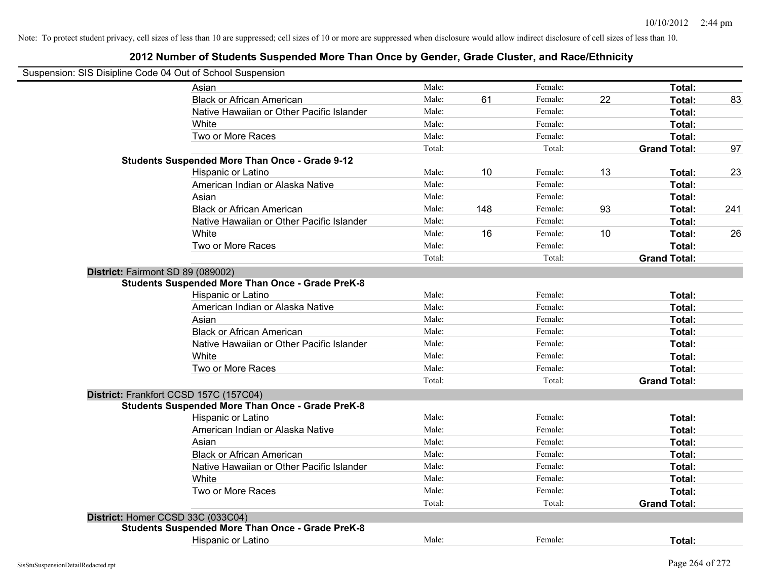| Suspension: SIS Disipline Code 04 Out of School Suspension |                                                         |        |     |         |    |                     |     |
|------------------------------------------------------------|---------------------------------------------------------|--------|-----|---------|----|---------------------|-----|
|                                                            | Asian                                                   | Male:  |     | Female: |    | Total:              |     |
|                                                            | <b>Black or African American</b>                        | Male:  | 61  | Female: | 22 | Total:              | 83  |
|                                                            | Native Hawaiian or Other Pacific Islander               | Male:  |     | Female: |    | Total:              |     |
|                                                            | White                                                   | Male:  |     | Female: |    | Total:              |     |
|                                                            | Two or More Races                                       | Male:  |     | Female: |    | Total:              |     |
|                                                            |                                                         | Total: |     | Total:  |    | <b>Grand Total:</b> | 97  |
|                                                            | <b>Students Suspended More Than Once - Grade 9-12</b>   |        |     |         |    |                     |     |
|                                                            | Hispanic or Latino                                      | Male:  | 10  | Female: | 13 | Total:              | 23  |
|                                                            | American Indian or Alaska Native                        | Male:  |     | Female: |    | Total:              |     |
|                                                            | Asian                                                   | Male:  |     | Female: |    | Total:              |     |
|                                                            | <b>Black or African American</b>                        | Male:  | 148 | Female: | 93 | Total:              | 241 |
|                                                            | Native Hawaiian or Other Pacific Islander               | Male:  |     | Female: |    | Total:              |     |
|                                                            | White                                                   | Male:  | 16  | Female: | 10 | Total:              | 26  |
|                                                            | Two or More Races                                       | Male:  |     | Female: |    | Total:              |     |
|                                                            |                                                         | Total: |     | Total:  |    | <b>Grand Total:</b> |     |
| District: Fairmont SD 89 (089002)                          |                                                         |        |     |         |    |                     |     |
|                                                            | <b>Students Suspended More Than Once - Grade PreK-8</b> |        |     |         |    |                     |     |
|                                                            | Hispanic or Latino                                      | Male:  |     | Female: |    | Total:              |     |
|                                                            | American Indian or Alaska Native                        | Male:  |     | Female: |    | Total:              |     |
|                                                            | Asian                                                   | Male:  |     | Female: |    | Total:              |     |
|                                                            | <b>Black or African American</b>                        | Male:  |     | Female: |    | Total:              |     |
|                                                            | Native Hawaiian or Other Pacific Islander               | Male:  |     | Female: |    | Total:              |     |
|                                                            | White                                                   | Male:  |     | Female: |    | Total:              |     |
|                                                            | Two or More Races                                       | Male:  |     | Female: |    | Total:              |     |
|                                                            |                                                         | Total: |     | Total:  |    | <b>Grand Total:</b> |     |
| District: Frankfort CCSD 157C (157C04)                     |                                                         |        |     |         |    |                     |     |
|                                                            | <b>Students Suspended More Than Once - Grade PreK-8</b> |        |     |         |    |                     |     |
|                                                            | Hispanic or Latino                                      | Male:  |     | Female: |    | Total:              |     |
|                                                            | American Indian or Alaska Native                        | Male:  |     | Female: |    | Total:              |     |
|                                                            | Asian                                                   | Male:  |     | Female: |    | Total:              |     |
|                                                            | <b>Black or African American</b>                        | Male:  |     | Female: |    | Total:              |     |
|                                                            | Native Hawaiian or Other Pacific Islander               | Male:  |     | Female: |    | Total:              |     |
|                                                            | White                                                   | Male:  |     | Female: |    | Total:              |     |
|                                                            | Two or More Races                                       | Male:  |     | Female: |    | Total:              |     |
|                                                            |                                                         | Total: |     | Total:  |    | <b>Grand Total:</b> |     |
| District: Homer CCSD 33C (033C04)                          |                                                         |        |     |         |    |                     |     |
|                                                            | <b>Students Suspended More Than Once - Grade PreK-8</b> |        |     |         |    |                     |     |
|                                                            | Hispanic or Latino                                      | Male:  |     | Female: |    | Total:              |     |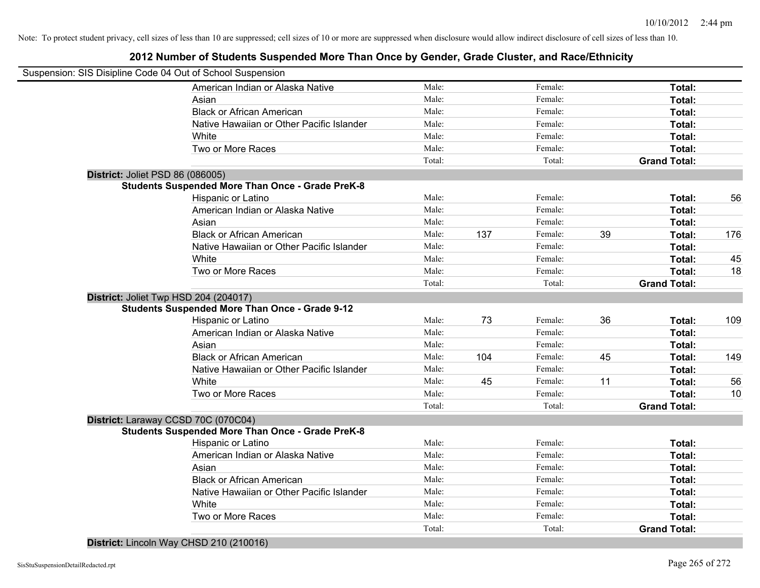## **2012 Number of Students Suspended More Than Once by Gender, Grade Cluster, and Race/Ethnicity**

| Suspension: SIS Disipline Code 04 Out of School Suspension |        |     |         |    |                     |     |
|------------------------------------------------------------|--------|-----|---------|----|---------------------|-----|
| American Indian or Alaska Native                           | Male:  |     | Female: |    | Total:              |     |
| Asian                                                      | Male:  |     | Female: |    | Total:              |     |
| <b>Black or African American</b>                           | Male:  |     | Female: |    | Total:              |     |
| Native Hawaiian or Other Pacific Islander                  | Male:  |     | Female: |    | Total:              |     |
| White                                                      | Male:  |     | Female: |    | Total:              |     |
| Two or More Races                                          | Male:  |     | Female: |    | Total:              |     |
|                                                            | Total: |     | Total:  |    | <b>Grand Total:</b> |     |
| District: Joliet PSD 86 (086005)                           |        |     |         |    |                     |     |
| <b>Students Suspended More Than Once - Grade PreK-8</b>    |        |     |         |    |                     |     |
| Hispanic or Latino                                         | Male:  |     | Female: |    | Total:              | 56  |
| American Indian or Alaska Native                           | Male:  |     | Female: |    | Total:              |     |
| Asian                                                      | Male:  |     | Female: |    | Total:              |     |
| <b>Black or African American</b>                           | Male:  | 137 | Female: | 39 | Total:              | 176 |
| Native Hawaiian or Other Pacific Islander                  | Male:  |     | Female: |    | Total:              |     |
| White                                                      | Male:  |     | Female: |    | Total:              | 45  |
| Two or More Races                                          | Male:  |     | Female: |    | Total:              | 18  |
|                                                            | Total: |     | Total:  |    | <b>Grand Total:</b> |     |
| District: Joliet Twp HSD 204 (204017)                      |        |     |         |    |                     |     |
| <b>Students Suspended More Than Once - Grade 9-12</b>      |        |     |         |    |                     |     |
| Hispanic or Latino                                         | Male:  | 73  | Female: | 36 | Total:              | 109 |
| American Indian or Alaska Native                           | Male:  |     | Female: |    | Total:              |     |
| Asian                                                      | Male:  |     | Female: |    | Total:              |     |
| <b>Black or African American</b>                           | Male:  | 104 | Female: | 45 | Total:              | 149 |
| Native Hawaiian or Other Pacific Islander                  | Male:  |     | Female: |    | Total:              |     |
| White                                                      | Male:  | 45  | Female: | 11 | Total:              | 56  |
| Two or More Races                                          | Male:  |     | Female: |    | Total:              | 10  |
|                                                            | Total: |     | Total:  |    | <b>Grand Total:</b> |     |
| District: Laraway CCSD 70C (070C04)                        |        |     |         |    |                     |     |
| <b>Students Suspended More Than Once - Grade PreK-8</b>    |        |     |         |    |                     |     |
| Hispanic or Latino                                         | Male:  |     | Female: |    | Total:              |     |
| American Indian or Alaska Native                           | Male:  |     | Female: |    | Total:              |     |
| Asian                                                      | Male:  |     | Female: |    | Total:              |     |
| <b>Black or African American</b>                           | Male:  |     | Female: |    | Total:              |     |
| Native Hawaiian or Other Pacific Islander                  | Male:  |     | Female: |    | Total:              |     |
| White                                                      | Male:  |     | Female: |    | Total:              |     |
| Two or More Races                                          | Male:  |     | Female: |    | Total:              |     |
|                                                            | Total: |     | Total:  |    | <b>Grand Total:</b> |     |

**District:** Lincoln Way CHSD 210 (210016)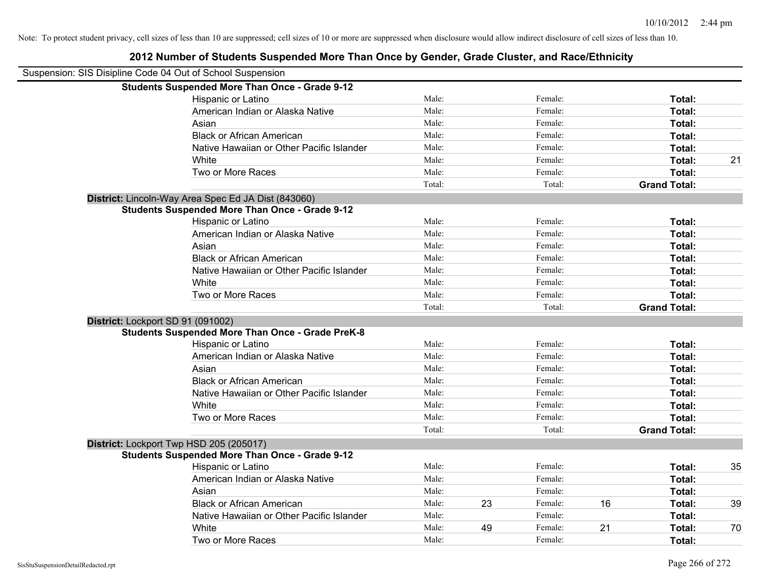| Suspension: SIS Disipline Code 04 Out of School Suspension |                                                         |        |    |         |    |                     |    |
|------------------------------------------------------------|---------------------------------------------------------|--------|----|---------|----|---------------------|----|
|                                                            | <b>Students Suspended More Than Once - Grade 9-12</b>   |        |    |         |    |                     |    |
|                                                            | Hispanic or Latino                                      | Male:  |    | Female: |    | Total:              |    |
|                                                            | American Indian or Alaska Native                        | Male:  |    | Female: |    | Total:              |    |
|                                                            | Asian                                                   | Male:  |    | Female: |    | Total:              |    |
|                                                            | <b>Black or African American</b>                        | Male:  |    | Female: |    | Total:              |    |
|                                                            | Native Hawaiian or Other Pacific Islander               | Male:  |    | Female: |    | Total:              |    |
|                                                            | White                                                   | Male:  |    | Female: |    | Total:              | 21 |
|                                                            | Two or More Races                                       | Male:  |    | Female: |    | Total:              |    |
|                                                            |                                                         | Total: |    | Total:  |    | <b>Grand Total:</b> |    |
|                                                            | District: Lincoln-Way Area Spec Ed JA Dist (843060)     |        |    |         |    |                     |    |
|                                                            | <b>Students Suspended More Than Once - Grade 9-12</b>   |        |    |         |    |                     |    |
|                                                            | Hispanic or Latino                                      | Male:  |    | Female: |    | Total:              |    |
|                                                            | American Indian or Alaska Native                        | Male:  |    | Female: |    | Total:              |    |
|                                                            | Asian                                                   | Male:  |    | Female: |    | Total:              |    |
|                                                            | <b>Black or African American</b>                        | Male:  |    | Female: |    | Total:              |    |
|                                                            | Native Hawaiian or Other Pacific Islander               | Male:  |    | Female: |    | Total:              |    |
|                                                            | White                                                   | Male:  |    | Female: |    | Total:              |    |
|                                                            | Two or More Races                                       | Male:  |    | Female: |    | Total:              |    |
|                                                            |                                                         | Total: |    | Total:  |    | <b>Grand Total:</b> |    |
|                                                            | District: Lockport SD 91 (091002)                       |        |    |         |    |                     |    |
|                                                            | <b>Students Suspended More Than Once - Grade PreK-8</b> |        |    |         |    |                     |    |
|                                                            | Hispanic or Latino                                      | Male:  |    | Female: |    | Total:              |    |
|                                                            | American Indian or Alaska Native                        | Male:  |    | Female: |    | Total:              |    |
|                                                            | Asian                                                   | Male:  |    | Female: |    | Total:              |    |
|                                                            | <b>Black or African American</b>                        | Male:  |    | Female: |    | Total:              |    |
|                                                            | Native Hawaiian or Other Pacific Islander               | Male:  |    | Female: |    | Total:              |    |
|                                                            | White                                                   | Male:  |    | Female: |    | Total:              |    |
|                                                            | Two or More Races                                       | Male:  |    | Female: |    | <b>Total:</b>       |    |
|                                                            |                                                         | Total: |    | Total:  |    | <b>Grand Total:</b> |    |
|                                                            | District: Lockport Twp HSD 205 (205017)                 |        |    |         |    |                     |    |
|                                                            | <b>Students Suspended More Than Once - Grade 9-12</b>   |        |    |         |    |                     |    |
|                                                            | Hispanic or Latino                                      | Male:  |    | Female: |    | Total:              | 35 |
|                                                            | American Indian or Alaska Native                        | Male:  |    | Female: |    | Total:              |    |
|                                                            | Asian                                                   | Male:  |    | Female: |    | Total:              |    |
|                                                            | <b>Black or African American</b>                        | Male:  | 23 | Female: | 16 | Total:              | 39 |
|                                                            | Native Hawaiian or Other Pacific Islander               | Male:  |    | Female: |    | Total:              |    |
|                                                            | White                                                   | Male:  | 49 | Female: | 21 | Total:              | 70 |
|                                                            | Two or More Races                                       | Male:  |    | Female: |    | Total:              |    |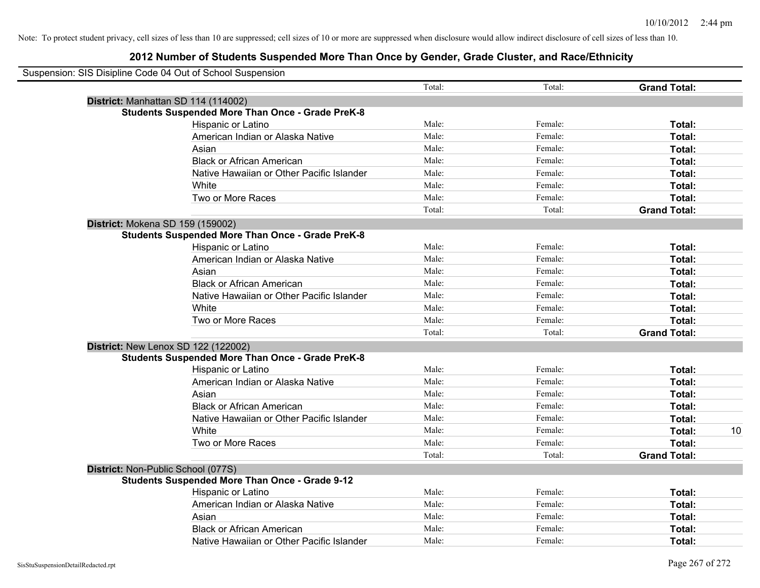| Suspension: SIS Disipline Code 04 Out of School Suspension |                                                         |        |         |                     |    |
|------------------------------------------------------------|---------------------------------------------------------|--------|---------|---------------------|----|
|                                                            |                                                         | Total: | Total:  | <b>Grand Total:</b> |    |
|                                                            | District: Manhattan SD 114 (114002)                     |        |         |                     |    |
|                                                            | <b>Students Suspended More Than Once - Grade PreK-8</b> |        |         |                     |    |
|                                                            | Hispanic or Latino                                      | Male:  | Female: | Total:              |    |
|                                                            | American Indian or Alaska Native                        | Male:  | Female: | Total:              |    |
|                                                            | Asian                                                   | Male:  | Female: | Total:              |    |
|                                                            | <b>Black or African American</b>                        | Male:  | Female: | Total:              |    |
|                                                            | Native Hawaiian or Other Pacific Islander               | Male:  | Female: | Total:              |    |
|                                                            | White                                                   | Male:  | Female: | Total:              |    |
|                                                            | Two or More Races                                       | Male:  | Female: | Total:              |    |
|                                                            |                                                         | Total: | Total:  | <b>Grand Total:</b> |    |
|                                                            | District: Mokena SD 159 (159002)                        |        |         |                     |    |
|                                                            | <b>Students Suspended More Than Once - Grade PreK-8</b> |        |         |                     |    |
|                                                            | Hispanic or Latino                                      | Male:  | Female: | Total:              |    |
|                                                            | American Indian or Alaska Native                        | Male:  | Female: | Total:              |    |
|                                                            | Asian                                                   | Male:  | Female: | Total:              |    |
|                                                            | <b>Black or African American</b>                        | Male:  | Female: | Total:              |    |
|                                                            | Native Hawaiian or Other Pacific Islander               | Male:  | Female: | Total:              |    |
|                                                            | White                                                   | Male:  | Female: | Total:              |    |
|                                                            | Two or More Races                                       | Male:  | Female: | Total:              |    |
|                                                            |                                                         | Total: | Total:  | <b>Grand Total:</b> |    |
|                                                            | District: New Lenox SD 122 (122002)                     |        |         |                     |    |
|                                                            | <b>Students Suspended More Than Once - Grade PreK-8</b> |        |         |                     |    |
|                                                            | Hispanic or Latino                                      | Male:  | Female: | Total:              |    |
|                                                            | American Indian or Alaska Native                        | Male:  | Female: | Total:              |    |
|                                                            | Asian                                                   | Male:  | Female: | Total:              |    |
|                                                            | <b>Black or African American</b>                        | Male:  | Female: | Total:              |    |
|                                                            | Native Hawaiian or Other Pacific Islander               | Male:  | Female: | Total:              |    |
|                                                            | White                                                   | Male:  | Female: | Total:              | 10 |
|                                                            | Two or More Races                                       | Male:  | Female: | Total:              |    |
|                                                            |                                                         | Total: | Total:  | <b>Grand Total:</b> |    |
|                                                            | District: Non-Public School (077S)                      |        |         |                     |    |
|                                                            | <b>Students Suspended More Than Once - Grade 9-12</b>   |        |         |                     |    |
|                                                            | Hispanic or Latino                                      | Male:  | Female: | Total:              |    |
|                                                            | American Indian or Alaska Native                        | Male:  | Female: | Total:              |    |
|                                                            | Asian                                                   | Male:  | Female: | Total:              |    |
|                                                            | <b>Black or African American</b>                        | Male:  | Female: | Total:              |    |
|                                                            | Native Hawaiian or Other Pacific Islander               | Male:  | Female: | Total:              |    |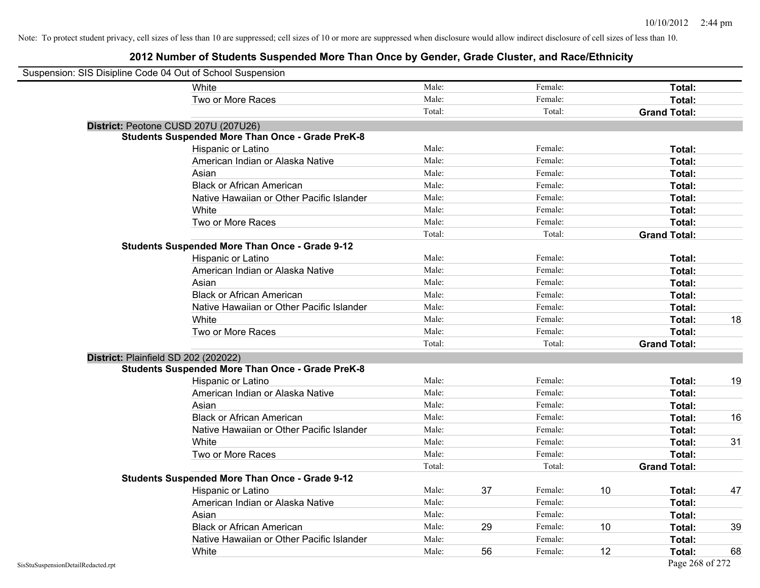| Suspension: SIS Disipline Code 04 Out of School Suspension |                                                         |        |    |         |    |                     |    |
|------------------------------------------------------------|---------------------------------------------------------|--------|----|---------|----|---------------------|----|
|                                                            | White                                                   | Male:  |    | Female: |    | Total:              |    |
|                                                            | Two or More Races                                       | Male:  |    | Female: |    | Total:              |    |
|                                                            |                                                         | Total: |    | Total:  |    | <b>Grand Total:</b> |    |
|                                                            | District: Peotone CUSD 207U (207U26)                    |        |    |         |    |                     |    |
|                                                            | <b>Students Suspended More Than Once - Grade PreK-8</b> |        |    |         |    |                     |    |
|                                                            | Hispanic or Latino                                      | Male:  |    | Female: |    | Total:              |    |
|                                                            | American Indian or Alaska Native                        | Male:  |    | Female: |    | Total:              |    |
|                                                            | Asian                                                   | Male:  |    | Female: |    | Total:              |    |
|                                                            | <b>Black or African American</b>                        | Male:  |    | Female: |    | Total:              |    |
|                                                            | Native Hawaiian or Other Pacific Islander               | Male:  |    | Female: |    | Total:              |    |
|                                                            | White                                                   | Male:  |    | Female: |    | Total:              |    |
|                                                            | Two or More Races                                       | Male:  |    | Female: |    | <b>Total:</b>       |    |
|                                                            |                                                         | Total: |    | Total:  |    | <b>Grand Total:</b> |    |
|                                                            | <b>Students Suspended More Than Once - Grade 9-12</b>   |        |    |         |    |                     |    |
|                                                            | Hispanic or Latino                                      | Male:  |    | Female: |    | Total:              |    |
|                                                            | American Indian or Alaska Native                        | Male:  |    | Female: |    | <b>Total:</b>       |    |
|                                                            | Asian                                                   | Male:  |    | Female: |    | <b>Total:</b>       |    |
|                                                            | <b>Black or African American</b>                        | Male:  |    | Female: |    | Total:              |    |
|                                                            | Native Hawaiian or Other Pacific Islander               | Male:  |    | Female: |    | Total:              |    |
|                                                            | White                                                   | Male:  |    | Female: |    | Total:              | 18 |
|                                                            | Two or More Races                                       | Male:  |    | Female: |    | Total:              |    |
|                                                            |                                                         | Total: |    | Total:  |    | <b>Grand Total:</b> |    |
|                                                            | District: Plainfield SD 202 (202022)                    |        |    |         |    |                     |    |
|                                                            | <b>Students Suspended More Than Once - Grade PreK-8</b> |        |    |         |    |                     |    |
|                                                            | Hispanic or Latino                                      | Male:  |    | Female: |    | Total:              | 19 |
|                                                            | American Indian or Alaska Native                        | Male:  |    | Female: |    | Total:              |    |
|                                                            | Asian                                                   | Male:  |    | Female: |    | Total:              |    |
|                                                            | <b>Black or African American</b>                        | Male:  |    | Female: |    | <b>Total:</b>       | 16 |
|                                                            | Native Hawaiian or Other Pacific Islander               | Male:  |    | Female: |    | Total:              |    |
|                                                            | White                                                   | Male:  |    | Female: |    | Total:              | 31 |
|                                                            | Two or More Races                                       | Male:  |    | Female: |    | Total:              |    |
|                                                            |                                                         | Total: |    | Total:  |    | <b>Grand Total:</b> |    |
|                                                            | <b>Students Suspended More Than Once - Grade 9-12</b>   |        |    |         |    |                     |    |
|                                                            | Hispanic or Latino                                      | Male:  | 37 | Female: | 10 | Total:              | 47 |
|                                                            | American Indian or Alaska Native                        | Male:  |    | Female: |    | <b>Total:</b>       |    |
|                                                            | Asian                                                   | Male:  |    | Female: |    | Total:              |    |
|                                                            | <b>Black or African American</b>                        | Male:  | 29 | Female: | 10 | Total:              | 39 |
|                                                            | Native Hawaiian or Other Pacific Islander               | Male:  |    | Female: |    | Total:              |    |
|                                                            | White                                                   | Male:  | 56 | Female: | 12 | Total:              | 68 |
| SisStuSuspensionDetailRedacted.rpt                         |                                                         |        |    |         |    | Page 268 of 272     |    |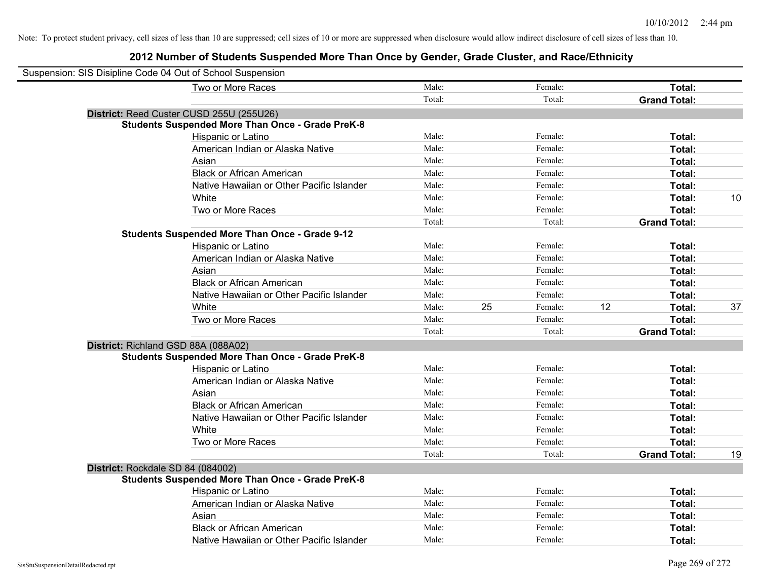| Suspension: SIS Disipline Code 04 Out of School Suspension |        |    |         |    |                     |    |
|------------------------------------------------------------|--------|----|---------|----|---------------------|----|
| Two or More Races                                          | Male:  |    | Female: |    | Total:              |    |
|                                                            | Total: |    | Total:  |    | <b>Grand Total:</b> |    |
| District: Reed Custer CUSD 255U (255U26)                   |        |    |         |    |                     |    |
| <b>Students Suspended More Than Once - Grade PreK-8</b>    |        |    |         |    |                     |    |
| Hispanic or Latino                                         | Male:  |    | Female: |    | Total:              |    |
| American Indian or Alaska Native                           | Male:  |    | Female: |    | Total:              |    |
| Asian                                                      | Male:  |    | Female: |    | Total:              |    |
| <b>Black or African American</b>                           | Male:  |    | Female: |    | Total:              |    |
| Native Hawaiian or Other Pacific Islander                  | Male:  |    | Female: |    | Total:              |    |
| White                                                      | Male:  |    | Female: |    | Total:              | 10 |
| Two or More Races                                          | Male:  |    | Female: |    | Total:              |    |
|                                                            | Total: |    | Total:  |    | <b>Grand Total:</b> |    |
| <b>Students Suspended More Than Once - Grade 9-12</b>      |        |    |         |    |                     |    |
| Hispanic or Latino                                         | Male:  |    | Female: |    | Total:              |    |
| American Indian or Alaska Native                           | Male:  |    | Female: |    | Total:              |    |
| Asian                                                      | Male:  |    | Female: |    | Total:              |    |
| <b>Black or African American</b>                           | Male:  |    | Female: |    | Total:              |    |
| Native Hawaiian or Other Pacific Islander                  | Male:  |    | Female: |    | Total:              |    |
| White                                                      | Male:  | 25 | Female: | 12 | Total:              | 37 |
| Two or More Races                                          | Male:  |    | Female: |    | Total:              |    |
|                                                            | Total: |    | Total:  |    | <b>Grand Total:</b> |    |
| District: Richland GSD 88A (088A02)                        |        |    |         |    |                     |    |
| <b>Students Suspended More Than Once - Grade PreK-8</b>    |        |    |         |    |                     |    |
| <b>Hispanic or Latino</b>                                  | Male:  |    | Female: |    | Total:              |    |
| American Indian or Alaska Native                           | Male:  |    | Female: |    | Total:              |    |
| Asian                                                      | Male:  |    | Female: |    | Total:              |    |
| <b>Black or African American</b>                           | Male:  |    | Female: |    | Total:              |    |
| Native Hawaiian or Other Pacific Islander                  | Male:  |    | Female: |    | Total:              |    |
| White                                                      | Male:  |    | Female: |    | Total:              |    |
| Two or More Races                                          | Male:  |    | Female: |    | Total:              |    |
|                                                            | Total: |    | Total:  |    | <b>Grand Total:</b> | 19 |
| District: Rockdale SD 84 (084002)                          |        |    |         |    |                     |    |
| <b>Students Suspended More Than Once - Grade PreK-8</b>    |        |    |         |    |                     |    |
| Hispanic or Latino                                         | Male:  |    | Female: |    | Total:              |    |
| American Indian or Alaska Native                           | Male:  |    | Female: |    | Total:              |    |
| Asian                                                      | Male:  |    | Female: |    | Total:              |    |
| <b>Black or African American</b>                           | Male:  |    | Female: |    | Total:              |    |
| Native Hawaiian or Other Pacific Islander                  | Male:  |    | Female: |    | Total:              |    |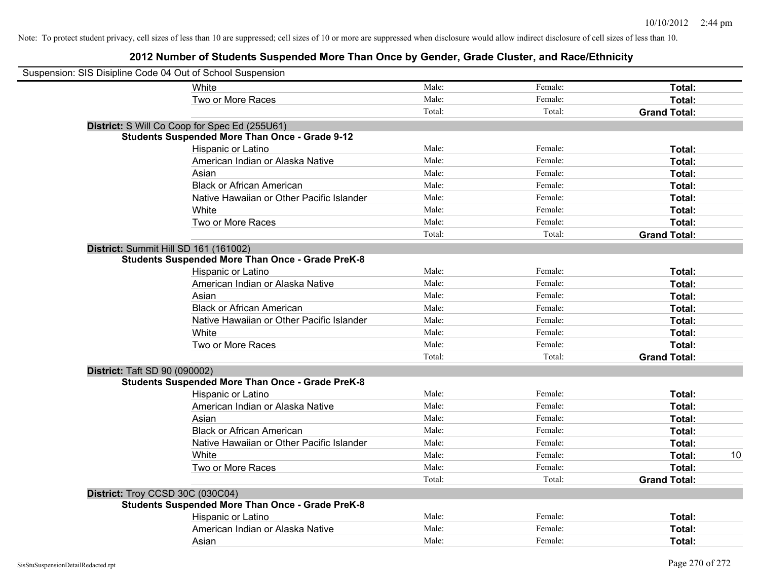| Suspension: SIS Disipline Code 04 Out of School Suspension |                                                         |        |         |                     |    |
|------------------------------------------------------------|---------------------------------------------------------|--------|---------|---------------------|----|
|                                                            | White                                                   | Male:  | Female: | Total:              |    |
|                                                            | Two or More Races                                       | Male:  | Female: | Total:              |    |
|                                                            |                                                         | Total: | Total:  | <b>Grand Total:</b> |    |
|                                                            | District: S Will Co Coop for Spec Ed (255U61)           |        |         |                     |    |
|                                                            | <b>Students Suspended More Than Once - Grade 9-12</b>   |        |         |                     |    |
|                                                            | Hispanic or Latino                                      | Male:  | Female: | Total:              |    |
|                                                            | American Indian or Alaska Native                        | Male:  | Female: | Total:              |    |
|                                                            | Asian                                                   | Male:  | Female: | Total:              |    |
|                                                            | <b>Black or African American</b>                        | Male:  | Female: | Total:              |    |
|                                                            | Native Hawaiian or Other Pacific Islander               | Male:  | Female: | Total:              |    |
|                                                            | White                                                   | Male:  | Female: | Total:              |    |
|                                                            | Two or More Races                                       | Male:  | Female: | Total:              |    |
|                                                            |                                                         | Total: | Total:  | <b>Grand Total:</b> |    |
| District: Summit Hill SD 161 (161002)                      |                                                         |        |         |                     |    |
|                                                            | <b>Students Suspended More Than Once - Grade PreK-8</b> |        |         |                     |    |
|                                                            | Hispanic or Latino                                      | Male:  | Female: | Total:              |    |
|                                                            | American Indian or Alaska Native                        | Male:  | Female: | Total:              |    |
|                                                            | Asian                                                   | Male:  | Female: | Total:              |    |
|                                                            | <b>Black or African American</b>                        | Male:  | Female: | Total:              |    |
|                                                            | Native Hawaiian or Other Pacific Islander               | Male:  | Female: | Total:              |    |
|                                                            | White                                                   | Male:  | Female: | Total:              |    |
|                                                            | Two or More Races                                       | Male:  | Female: | Total:              |    |
|                                                            |                                                         | Total: | Total:  | <b>Grand Total:</b> |    |
| <b>District: Taft SD 90 (090002)</b>                       |                                                         |        |         |                     |    |
|                                                            | <b>Students Suspended More Than Once - Grade PreK-8</b> |        |         |                     |    |
|                                                            | Hispanic or Latino                                      | Male:  | Female: | Total:              |    |
|                                                            | American Indian or Alaska Native                        | Male:  | Female: | Total:              |    |
|                                                            | Asian                                                   | Male:  | Female: | Total:              |    |
|                                                            | <b>Black or African American</b>                        | Male:  | Female: | Total:              |    |
|                                                            | Native Hawaiian or Other Pacific Islander               | Male:  | Female: | Total:              |    |
|                                                            | White                                                   | Male:  | Female: | Total:              | 10 |
|                                                            | Two or More Races                                       | Male:  | Female: | Total:              |    |
|                                                            |                                                         | Total: | Total:  | <b>Grand Total:</b> |    |
| District: Troy CCSD 30C (030C04)                           |                                                         |        |         |                     |    |
|                                                            | <b>Students Suspended More Than Once - Grade PreK-8</b> |        |         |                     |    |
|                                                            | Hispanic or Latino                                      | Male:  | Female: | Total:              |    |
|                                                            | American Indian or Alaska Native                        | Male:  | Female: | Total:              |    |
|                                                            | Asian                                                   | Male:  | Female: | Total:              |    |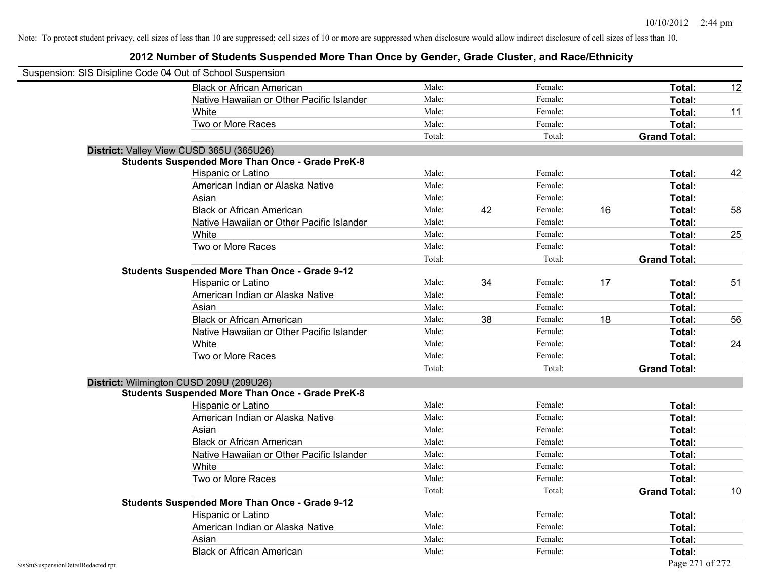| Suspension: SIS Disipline Code 04 Out of School Suspension |                                                         |        |    |         |    |                     |    |
|------------------------------------------------------------|---------------------------------------------------------|--------|----|---------|----|---------------------|----|
|                                                            | <b>Black or African American</b>                        | Male:  |    | Female: |    | Total:              | 12 |
|                                                            | Native Hawaiian or Other Pacific Islander               | Male:  |    | Female: |    | Total:              |    |
|                                                            | White                                                   | Male:  |    | Female: |    | Total:              | 11 |
|                                                            | Two or More Races                                       | Male:  |    | Female: |    | Total:              |    |
|                                                            |                                                         | Total: |    | Total:  |    | <b>Grand Total:</b> |    |
|                                                            | District: Valley View CUSD 365U (365U26)                |        |    |         |    |                     |    |
|                                                            | <b>Students Suspended More Than Once - Grade PreK-8</b> |        |    |         |    |                     |    |
|                                                            | Hispanic or Latino                                      | Male:  |    | Female: |    | Total:              | 42 |
|                                                            | American Indian or Alaska Native                        | Male:  |    | Female: |    | Total:              |    |
|                                                            | Asian                                                   | Male:  |    | Female: |    | Total:              |    |
|                                                            | <b>Black or African American</b>                        | Male:  | 42 | Female: | 16 | Total:              | 58 |
|                                                            | Native Hawaiian or Other Pacific Islander               | Male:  |    | Female: |    | Total:              |    |
|                                                            | White                                                   | Male:  |    | Female: |    | Total:              | 25 |
|                                                            | Two or More Races                                       | Male:  |    | Female: |    | Total:              |    |
|                                                            |                                                         | Total: |    | Total:  |    | <b>Grand Total:</b> |    |
|                                                            | Students Suspended More Than Once - Grade 9-12          |        |    |         |    |                     |    |
|                                                            | Hispanic or Latino                                      | Male:  | 34 | Female: | 17 | Total:              | 51 |
|                                                            | American Indian or Alaska Native                        | Male:  |    | Female: |    | Total:              |    |
|                                                            | Asian                                                   | Male:  |    | Female: |    | Total:              |    |
|                                                            | <b>Black or African American</b>                        | Male:  | 38 | Female: | 18 | Total:              | 56 |
|                                                            | Native Hawaiian or Other Pacific Islander               | Male:  |    | Female: |    | Total:              |    |
|                                                            | White                                                   | Male:  |    | Female: |    | Total:              | 24 |
|                                                            | Two or More Races                                       | Male:  |    | Female: |    | Total:              |    |
|                                                            |                                                         | Total: |    | Total:  |    | <b>Grand Total:</b> |    |
|                                                            | District: Wilmington CUSD 209U (209U26)                 |        |    |         |    |                     |    |
|                                                            | <b>Students Suspended More Than Once - Grade PreK-8</b> |        |    |         |    |                     |    |
|                                                            | <b>Hispanic or Latino</b>                               | Male:  |    | Female: |    | Total:              |    |
|                                                            | American Indian or Alaska Native                        | Male:  |    | Female: |    | Total:              |    |
|                                                            | Asian                                                   | Male:  |    | Female: |    | Total:              |    |
|                                                            | <b>Black or African American</b>                        | Male:  |    | Female: |    | Total:              |    |
|                                                            | Native Hawaiian or Other Pacific Islander               | Male:  |    | Female: |    | Total:              |    |
|                                                            | White                                                   | Male:  |    | Female: |    | Total:              |    |
|                                                            | Two or More Races                                       | Male:  |    | Female: |    | Total:              |    |
|                                                            |                                                         | Total: |    | Total:  |    | <b>Grand Total:</b> | 10 |
|                                                            | <b>Students Suspended More Than Once - Grade 9-12</b>   |        |    |         |    |                     |    |
|                                                            | Hispanic or Latino                                      | Male:  |    | Female: |    | Total:              |    |
|                                                            | American Indian or Alaska Native                        | Male:  |    | Female: |    | Total:              |    |
|                                                            | Asian                                                   | Male:  |    | Female: |    | Total:              |    |
|                                                            | <b>Black or African American</b>                        | Male:  |    | Female: |    | Total:              |    |